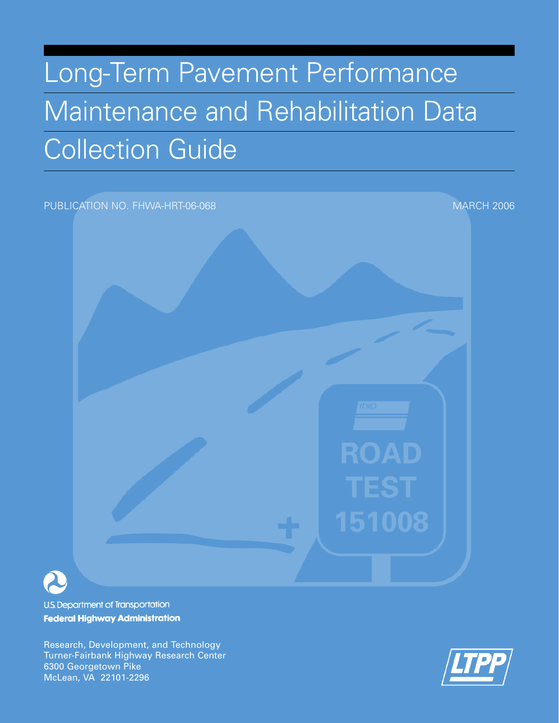# Long-Term Pavement Performance Maintenance and Rehabilitation Data Collection Guide

PUBLICATION NO. FHWA-HRT-06-068 MARCH 2006

U.S. Department of Transportation **Federal Highway Administration** 

Research, Development, and Technology Turner-Fairbank Highway Research Center 6300 Georgetown Pike McLean, VA 22101-2296



**ROAD** 

151008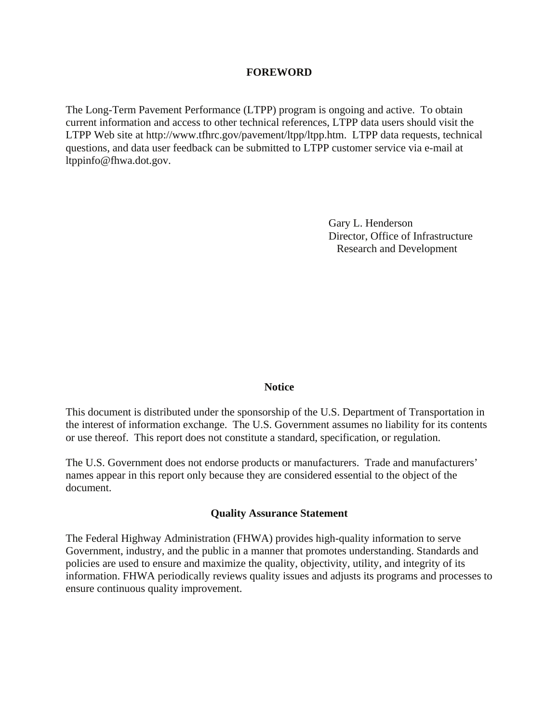#### **FOREWORD**

The Long-Term Pavement Performance (LTPP) program is ongoing and active. To obtain current information and access to other technical references, LTPP data users should visit the LTPP Web site at http://www.tfhrc.gov/pavement/ltpp/ltpp.htm. LTPP data requests, technical questions, and data user feedback can be submitted to LTPP customer service via e-mail at ltppinfo@fhwa.dot.gov.

> Gary L. Henderson Director, Office of Infrastructure Research and Development

#### **Notice**

This document is distributed under the sponsorship of the U.S. Department of Transportation in the interest of information exchange. The U.S. Government assumes no liability for its contents or use thereof. This report does not constitute a standard, specification, or regulation.

The U.S. Government does not endorse products or manufacturers. Trade and manufacturers' names appear in this report only because they are considered essential to the object of the document.

#### **Quality Assurance Statement**

The Federal Highway Administration (FHWA) provides high-quality information to serve Government, industry, and the public in a manner that promotes understanding. Standards and policies are used to ensure and maximize the quality, objectivity, utility, and integrity of its information. FHWA periodically reviews quality issues and adjusts its programs and processes to ensure continuous quality improvement.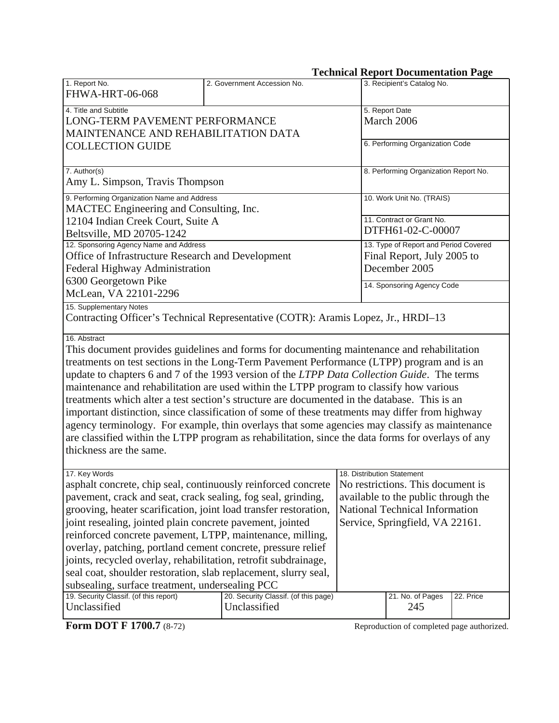## **Technical Report Documentation Page**

| 1. Report No.<br><b>FHWA-HRT-06-068</b>                                                                                                                                                                                                                                                                                                                                                                                                                                                                                                                                                                                                                                                                                                                                                                                                 | 2. Government Accession No.                                                                                                                                                                                         | 3. Recipient's Catalog No.                                                           |  |  |
|-----------------------------------------------------------------------------------------------------------------------------------------------------------------------------------------------------------------------------------------------------------------------------------------------------------------------------------------------------------------------------------------------------------------------------------------------------------------------------------------------------------------------------------------------------------------------------------------------------------------------------------------------------------------------------------------------------------------------------------------------------------------------------------------------------------------------------------------|---------------------------------------------------------------------------------------------------------------------------------------------------------------------------------------------------------------------|--------------------------------------------------------------------------------------|--|--|
| 4. Title and Subtitle<br>LONG-TERM PAVEMENT PERFORMANCE<br>MAINTENANCE AND REHABILITATION DATA                                                                                                                                                                                                                                                                                                                                                                                                                                                                                                                                                                                                                                                                                                                                          | 5. Report Date<br>March 2006                                                                                                                                                                                        |                                                                                      |  |  |
| <b>COLLECTION GUIDE</b>                                                                                                                                                                                                                                                                                                                                                                                                                                                                                                                                                                                                                                                                                                                                                                                                                 |                                                                                                                                                                                                                     | 6. Performing Organization Code                                                      |  |  |
| 7. Author(s)<br>Amy L. Simpson, Travis Thompson                                                                                                                                                                                                                                                                                                                                                                                                                                                                                                                                                                                                                                                                                                                                                                                         |                                                                                                                                                                                                                     | 8. Performing Organization Report No.                                                |  |  |
| 9. Performing Organization Name and Address<br>MACTEC Engineering and Consulting, Inc.                                                                                                                                                                                                                                                                                                                                                                                                                                                                                                                                                                                                                                                                                                                                                  |                                                                                                                                                                                                                     | 10. Work Unit No. (TRAIS)                                                            |  |  |
| 12104 Indian Creek Court, Suite A<br>Beltsville, MD 20705-1242                                                                                                                                                                                                                                                                                                                                                                                                                                                                                                                                                                                                                                                                                                                                                                          |                                                                                                                                                                                                                     | 11. Contract or Grant No.<br>DTFH61-02-C-00007                                       |  |  |
| 12. Sponsoring Agency Name and Address<br>Office of Infrastructure Research and Development<br>Federal Highway Administration                                                                                                                                                                                                                                                                                                                                                                                                                                                                                                                                                                                                                                                                                                           |                                                                                                                                                                                                                     | 13. Type of Report and Period Covered<br>Final Report, July 2005 to<br>December 2005 |  |  |
| 6300 Georgetown Pike<br>McLean, VA 22101-2296                                                                                                                                                                                                                                                                                                                                                                                                                                                                                                                                                                                                                                                                                                                                                                                           |                                                                                                                                                                                                                     | 14. Sponsoring Agency Code                                                           |  |  |
| 15. Supplementary Notes<br>Contracting Officer's Technical Representative (COTR): Aramis Lopez, Jr., HRDI-13                                                                                                                                                                                                                                                                                                                                                                                                                                                                                                                                                                                                                                                                                                                            |                                                                                                                                                                                                                     |                                                                                      |  |  |
| 16. Abstract<br>This document provides guidelines and forms for documenting maintenance and rehabilitation<br>treatments on test sections in the Long-Term Pavement Performance (LTPP) program and is an<br>update to chapters 6 and 7 of the 1993 version of the LTPP Data Collection Guide. The terms<br>maintenance and rehabilitation are used within the LTPP program to classify how various<br>treatments which alter a test section's structure are documented in the database. This is an<br>important distinction, since classification of some of these treatments may differ from highway<br>agency terminology. For example, thin overlays that some agencies may classify as maintenance<br>are classified within the LTPP program as rehabilitation, since the data forms for overlays of any<br>thickness are the same. |                                                                                                                                                                                                                     |                                                                                      |  |  |
| 17. Key Words<br>asphalt concrete, chip seal, continuously reinforced concrete<br>pavement, crack and seat, crack sealing, fog seal, grinding,<br>grooving, heater scarification, joint load transfer restoration,<br>joint resealing, jointed plain concrete pavement, jointed<br>reinforced concrete pavement, LTPP, maintenance, milling,<br>overlay, patching, portland cement concrete, pressure relief<br>joints, recycled overlay, rehabilitation, retrofit subdrainage,<br>seal coat, shoulder restoration, slab replacement, slurry seal,<br>subsealing, surface treatment, undersealing PCC<br>19. Security Classif. (of this report)                                                                                                                                                                                         | 18. Distribution Statement<br>No restrictions. This document is<br>available to the public through the<br><b>National Technical Information</b><br>Service, Springfield, VA 22161.<br>21. No. of Pages<br>22. Price |                                                                                      |  |  |
| Unclassified                                                                                                                                                                                                                                                                                                                                                                                                                                                                                                                                                                                                                                                                                                                                                                                                                            | 20. Security Classif. (of this page)<br>Unclassified                                                                                                                                                                | 245                                                                                  |  |  |
| Form DOT F 1700.7 (8-72)                                                                                                                                                                                                                                                                                                                                                                                                                                                                                                                                                                                                                                                                                                                                                                                                                |                                                                                                                                                                                                                     | Reproduction of completed page authorized.                                           |  |  |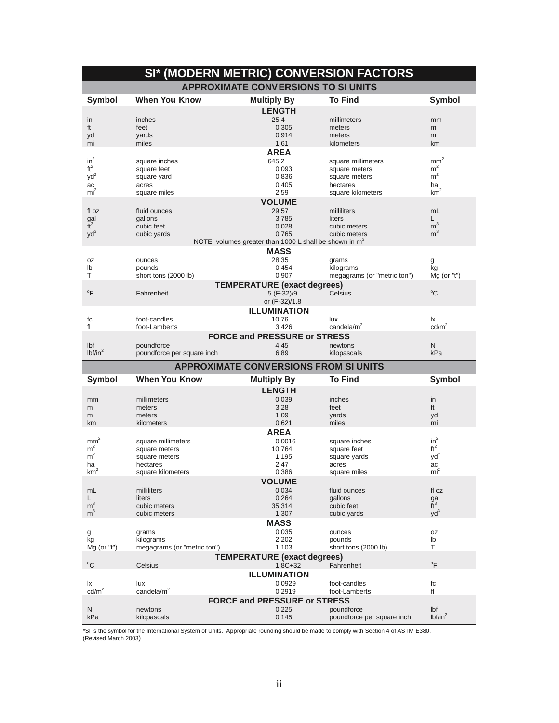| SI* (MODERN METRIC) CONVERSION FACTORS |                             |                                                                    |                                          |                            |  |  |
|----------------------------------------|-----------------------------|--------------------------------------------------------------------|------------------------------------------|----------------------------|--|--|
|                                        |                             | <b>APPROXIMATE CONVERSIONS TO SI UNITS</b>                         |                                          |                            |  |  |
| <b>Symbol</b>                          | <b>When You Know</b>        | <b>Multiply By</b>                                                 | <b>To Find</b>                           | <b>Symbol</b>              |  |  |
|                                        |                             | <b>LENGTH</b>                                                      |                                          |                            |  |  |
| in                                     | inches                      | 25.4                                                               | millimeters                              | mm                         |  |  |
| ft                                     | feet                        | 0.305                                                              | meters                                   | m                          |  |  |
| yd                                     | yards                       | 0.914                                                              | meters                                   | m                          |  |  |
| mi                                     | miles                       | 1.61                                                               | kilometers                               | km                         |  |  |
|                                        |                             | <b>AREA</b>                                                        |                                          |                            |  |  |
| $in^2$                                 | square inches               | 645.2                                                              | square millimeters                       | $\mbox{mm}^2$              |  |  |
| $\mathsf{ft}^2$                        | square feet                 | 0.093                                                              | square meters                            | m <sup>2</sup>             |  |  |
| yd <sup>2</sup>                        | square yard                 | 0.836                                                              | square meters                            | m <sup>2</sup>             |  |  |
| ac<br>mi <sup>2</sup>                  | acres<br>square miles       | 0.405<br>2.59                                                      | hectares<br>square kilometers            | ha<br>km <sup>2</sup>      |  |  |
|                                        |                             | <b>VOLUME</b>                                                      |                                          |                            |  |  |
| fl oz                                  |                             | 29.57                                                              |                                          | mL                         |  |  |
|                                        | fluid ounces<br>gallons     | 3.785                                                              | milliliters<br>liters                    | L                          |  |  |
| $\frac{gal}{ft^3}$                     | cubic feet                  | 0.028                                                              | cubic meters                             | m <sup>3</sup>             |  |  |
| $yd^3$                                 | cubic yards                 | 0.765                                                              | cubic meters                             | m <sup>3</sup>             |  |  |
|                                        |                             | NOTE: volumes greater than 1000 L shall be shown in m <sup>3</sup> |                                          |                            |  |  |
|                                        |                             | <b>MASS</b>                                                        |                                          |                            |  |  |
| 0Z                                     | ounces                      | 28.35                                                              | grams                                    | g                          |  |  |
| lb                                     | pounds                      | 0.454                                                              | kilograms                                | kg                         |  |  |
| T                                      | short tons (2000 lb)        | 0.907                                                              | megagrams (or "metric ton")              | $Mq$ (or "t")              |  |  |
|                                        |                             | <b>TEMPERATURE</b> (exact degrees)                                 |                                          |                            |  |  |
| $\overline{F}$                         | Fahrenheit                  | 5 (F-32)/9                                                         | Celsius                                  | $^{\circ}C$                |  |  |
|                                        |                             | or (F-32)/1.8                                                      |                                          |                            |  |  |
|                                        |                             | <b>ILLUMINATION</b>                                                |                                          |                            |  |  |
| fc                                     | foot-candles                | 10.76                                                              | lux                                      | Ιx                         |  |  |
| fl                                     | foot-Lamberts               | 3.426                                                              | candela/ $m2$                            | cd/m <sup>2</sup>          |  |  |
|                                        |                             | <b>FORCE and PRESSURE or STRESS</b>                                |                                          |                            |  |  |
| lbf                                    | poundforce                  | 4.45                                                               | newtons                                  | N                          |  |  |
| lbf/in <sup>2</sup>                    | poundforce per square inch  | 6.89                                                               | kilopascals                              | kPa                        |  |  |
|                                        |                             | <b>APPROXIMATE CONVERSIONS FROM SI UNITS</b>                       |                                          |                            |  |  |
| <b>Symbol</b>                          | <b>When You Know</b>        | <b>Multiply By</b>                                                 | <b>To Find</b>                           | <b>Symbol</b>              |  |  |
|                                        |                             | <b>LENGTH</b>                                                      |                                          |                            |  |  |
| mm                                     | millimeters                 | 0.039                                                              | inches                                   | in                         |  |  |
| m                                      | meters                      | 3.28                                                               | feet                                     | ft                         |  |  |
| m                                      | meters                      | 1.09                                                               | yards                                    | yd                         |  |  |
| km                                     | kilometers                  | 0.621                                                              | miles                                    | mi                         |  |  |
|                                        |                             | <b>AREA</b>                                                        |                                          |                            |  |  |
| mm <sup>2</sup>                        | square millimeters          | 0.0016                                                             | square inches                            | $in^2$                     |  |  |
| m <sup>2</sup>                         | square meters               | 10.764                                                             | square feet                              | $ft^2$                     |  |  |
| m <sup>2</sup>                         | square meters               | 1.195                                                              | square yards                             | $yd^2$                     |  |  |
| ha                                     | hectares                    | 2.47                                                               | acres                                    | ac                         |  |  |
| $\mbox{km}^2$                          | square kilometers           | 0.386                                                              | square miles                             | $\text{mi}^2$              |  |  |
|                                        |                             | <b>VOLUME</b>                                                      |                                          |                            |  |  |
|                                        |                             |                                                                    |                                          |                            |  |  |
| mL                                     | milliliters                 | 0.034                                                              | fluid ounces                             | fl oz                      |  |  |
| L                                      | liters                      | 0.264                                                              | gallons                                  |                            |  |  |
| $\mathsf{m}^3$                         | cubic meters                | 35.314                                                             | cubic feet                               | $\frac{gal}{ft^3}$         |  |  |
| m <sup>3</sup>                         | cubic meters                | 1.307                                                              | cubic yards                              | $yd^3$                     |  |  |
|                                        |                             | <b>MASS</b>                                                        |                                          |                            |  |  |
| g                                      | grams                       | 0.035                                                              | ounces                                   | 0Z                         |  |  |
| kg                                     | kilograms                   | 2.202                                                              | pounds                                   | lb                         |  |  |
| Mg (or "t")                            | megagrams (or "metric ton") | 1.103                                                              | short tons (2000 lb)                     | т                          |  |  |
|                                        |                             | <b>TEMPERATURE (exact degrees)</b>                                 |                                          |                            |  |  |
| $^{\circ} \text{C}$                    | Celsius                     | $1.8C + 32$                                                        | Fahrenheit                               | $\mathrm{P}$               |  |  |
|                                        |                             | <b>ILLUMINATION</b>                                                |                                          |                            |  |  |
| Ιx                                     | lux                         | 0.0929                                                             | foot-candles                             | fc                         |  |  |
| $\text{cd/m}^2$                        | candela/ $m2$               | 0.2919                                                             | foot-Lamberts                            | fl                         |  |  |
|                                        |                             | <b>FORCE and PRESSURE or STRESS</b>                                |                                          |                            |  |  |
| Ν<br>kPa                               | newtons<br>kilopascals      | 0.225<br>0.145                                                     | poundforce<br>poundforce per square inch | Ibf<br>lbf/in <sup>2</sup> |  |  |

\*SI is the symbol for the International System of Units. Appropriate rounding should be made to comply with Section 4 of ASTM E380.<br>(Revised March 2003)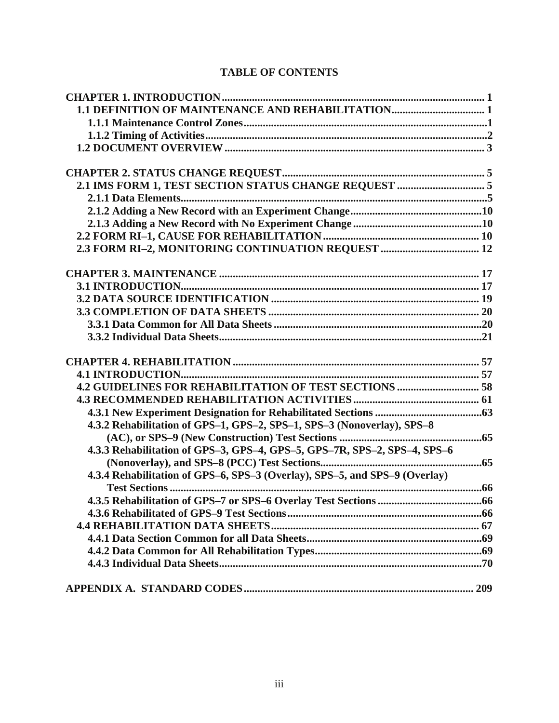## **TABLE OF CONTENTS**

| 1.1 DEFINITION OF MAINTENANCE AND REHABILITATION 1                         |  |
|----------------------------------------------------------------------------|--|
|                                                                            |  |
|                                                                            |  |
|                                                                            |  |
|                                                                            |  |
|                                                                            |  |
|                                                                            |  |
|                                                                            |  |
|                                                                            |  |
|                                                                            |  |
|                                                                            |  |
|                                                                            |  |
|                                                                            |  |
|                                                                            |  |
|                                                                            |  |
|                                                                            |  |
|                                                                            |  |
|                                                                            |  |
|                                                                            |  |
|                                                                            |  |
| <b>4.2 GUIDELINES FOR REHABILITATION OF TEST SECTIONS  58</b>              |  |
|                                                                            |  |
|                                                                            |  |
| 4.3.2 Rehabilitation of GPS-1, GPS-2, SPS-1, SPS-3 (Nonoverlay), SPS-8     |  |
|                                                                            |  |
|                                                                            |  |
| 4.3.3 Rehabilitation of GPS-3, GPS-4, GPS-5, GPS-7R, SPS-2, SPS-4, SPS-6   |  |
|                                                                            |  |
| 4.3.4 Rehabilitation of GPS-6, SPS-3 (Overlay), SPS-5, and SPS-9 (Overlay) |  |
|                                                                            |  |
|                                                                            |  |
|                                                                            |  |
|                                                                            |  |
|                                                                            |  |
|                                                                            |  |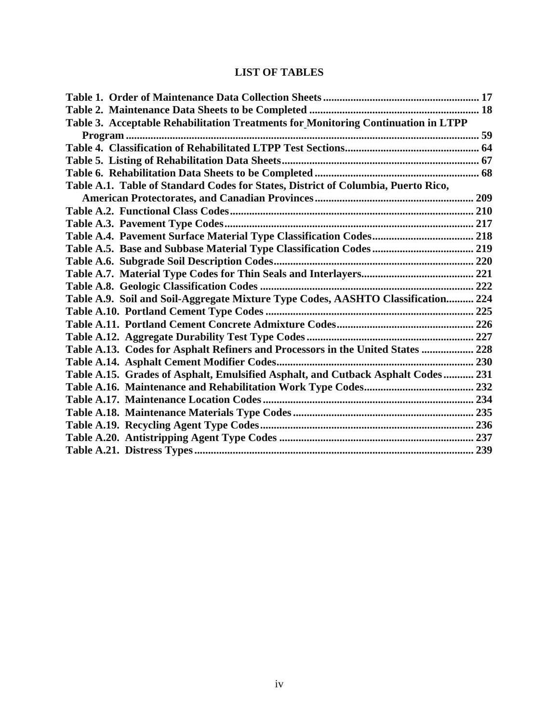## **LIST OF TABLES**

| Table 3. Acceptable Rehabilitation Treatments for Monitoring Continuation in LTPP |  |
|-----------------------------------------------------------------------------------|--|
|                                                                                   |  |
|                                                                                   |  |
|                                                                                   |  |
|                                                                                   |  |
| Table A.1. Table of Standard Codes for States, District of Columbia, Puerto Rico, |  |
|                                                                                   |  |
|                                                                                   |  |
|                                                                                   |  |
|                                                                                   |  |
|                                                                                   |  |
|                                                                                   |  |
|                                                                                   |  |
|                                                                                   |  |
| Table A.9. Soil and Soil-Aggregate Mixture Type Codes, AASHTO Classification 224  |  |
|                                                                                   |  |
|                                                                                   |  |
|                                                                                   |  |
| Table A.13. Codes for Asphalt Refiners and Processors in the United States  228   |  |
|                                                                                   |  |
| Table A.15. Grades of Asphalt, Emulsified Asphalt, and Cutback Asphalt Codes 231  |  |
|                                                                                   |  |
|                                                                                   |  |
|                                                                                   |  |
|                                                                                   |  |
|                                                                                   |  |
|                                                                                   |  |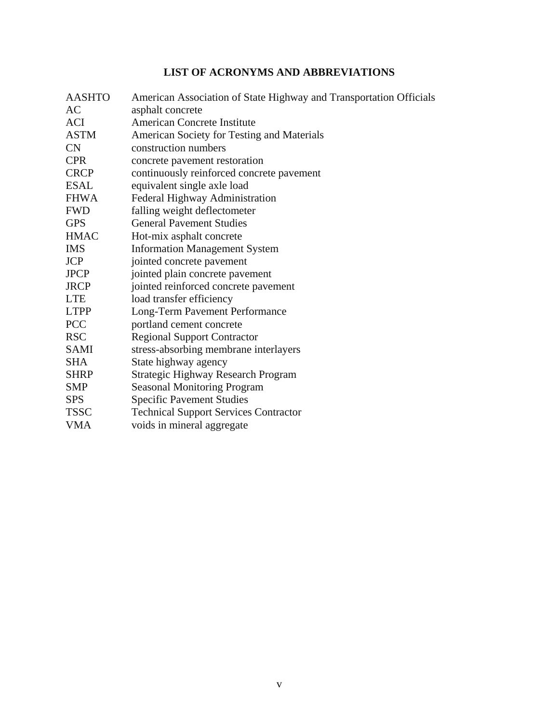## **LIST OF ACRONYMS AND ABBREVIATIONS**

| <b>AASHTO</b> | American Association of State Highway and Transportation Officials |
|---------------|--------------------------------------------------------------------|
| AC            | asphalt concrete                                                   |
| <b>ACI</b>    | <b>American Concrete Institute</b>                                 |
| <b>ASTM</b>   | American Society for Testing and Materials                         |
| <b>CN</b>     | construction numbers                                               |
| <b>CPR</b>    | concrete pavement restoration                                      |
| <b>CRCP</b>   | continuously reinforced concrete pavement                          |
| <b>ESAL</b>   | equivalent single axle load                                        |
| <b>FHWA</b>   | Federal Highway Administration                                     |
| <b>FWD</b>    | falling weight deflectometer                                       |
| <b>GPS</b>    | <b>General Pavement Studies</b>                                    |
| <b>HMAC</b>   | Hot-mix asphalt concrete                                           |
| <b>IMS</b>    | <b>Information Management System</b>                               |
| <b>JCP</b>    | jointed concrete pavement                                          |
| <b>JPCP</b>   | jointed plain concrete pavement                                    |
| <b>JRCP</b>   | jointed reinforced concrete pavement                               |
| <b>LTE</b>    | load transfer efficiency                                           |
| <b>LTPP</b>   | Long-Term Pavement Performance                                     |
| <b>PCC</b>    | portland cement concrete                                           |
| <b>RSC</b>    | <b>Regional Support Contractor</b>                                 |
| <b>SAMI</b>   | stress-absorbing membrane interlayers                              |
| <b>SHA</b>    | State highway agency                                               |
| <b>SHRP</b>   | <b>Strategic Highway Research Program</b>                          |
| <b>SMP</b>    | <b>Seasonal Monitoring Program</b>                                 |
| <b>SPS</b>    | <b>Specific Pavement Studies</b>                                   |
| <b>TSSC</b>   | <b>Technical Support Services Contractor</b>                       |
| <b>VMA</b>    | voids in mineral aggregate                                         |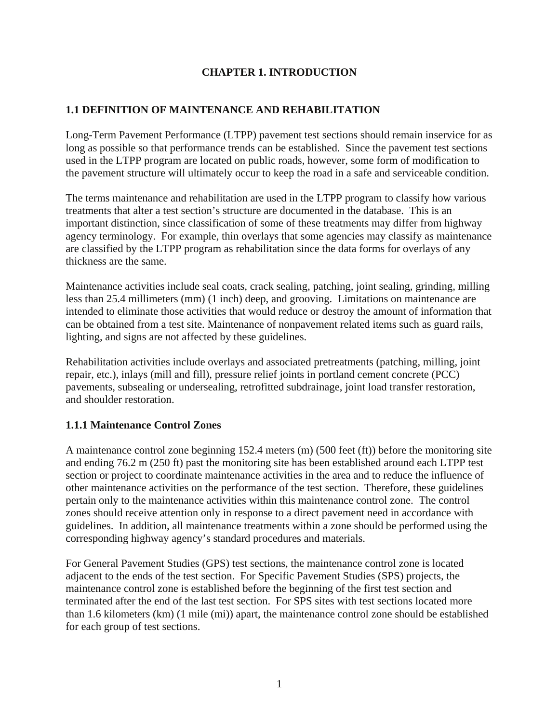### **CHAPTER 1. INTRODUCTION**

#### <span id="page-8-0"></span>**1.1 DEFINITION OF MAINTENANCE AND REHABILITATION**

Long-Term Pavement Performance (LTPP) pavement test sections should remain inservice for as long as possible so that performance trends can be established. Since the pavement test sections used in the LTPP program are located on public roads, however, some form of modification to the pavement structure will ultimately occur to keep the road in a safe and serviceable condition.

The terms maintenance and rehabilitation are used in the LTPP program to classify how various treatments that alter a test section's structure are documented in the database. This is an important distinction, since classification of some of these treatments may differ from highway agency terminology. For example, thin overlays that some agencies may classify as maintenance are classified by the LTPP program as rehabilitation since the data forms for overlays of any thickness are the same.

Maintenance activities include seal coats, crack sealing, patching, joint sealing, grinding, milling less than 25.4 millimeters (mm) (1 inch) deep, and grooving. Limitations on maintenance are intended to eliminate those activities that would reduce or destroy the amount of information that can be obtained from a test site. Maintenance of nonpavement related items such as guard rails, lighting, and signs are not affected by these guidelines.

Rehabilitation activities include overlays and associated pretreatments (patching, milling, joint repair, etc.), inlays (mill and fill), pressure relief joints in portland cement concrete (PCC) pavements, subsealing or undersealing, retrofitted subdrainage, joint load transfer restoration, and shoulder restoration.

#### **1.1.1 Maintenance Control Zones**

A maintenance control zone beginning 152.4 meters (m) (500 feet (ft)) before the monitoring site and ending 76.2 m (250 ft) past the monitoring site has been established around each LTPP test section or project to coordinate maintenance activities in the area and to reduce the influence of other maintenance activities on the performance of the test section. Therefore, these guidelines pertain only to the maintenance activities within this maintenance control zone. The control zones should receive attention only in response to a direct pavement need in accordance with guidelines. In addition, all maintenance treatments within a zone should be performed using the corresponding highway agency's standard procedures and materials.

For General Pavement Studies (GPS) test sections, the maintenance control zone is located adjacent to the ends of the test section. For Specific Pavement Studies (SPS) projects, the maintenance control zone is established before the beginning of the first test section and terminated after the end of the last test section. For SPS sites with test sections located more than 1.6 kilometers (km) (1 mile (mi)) apart, the maintenance control zone should be established for each group of test sections.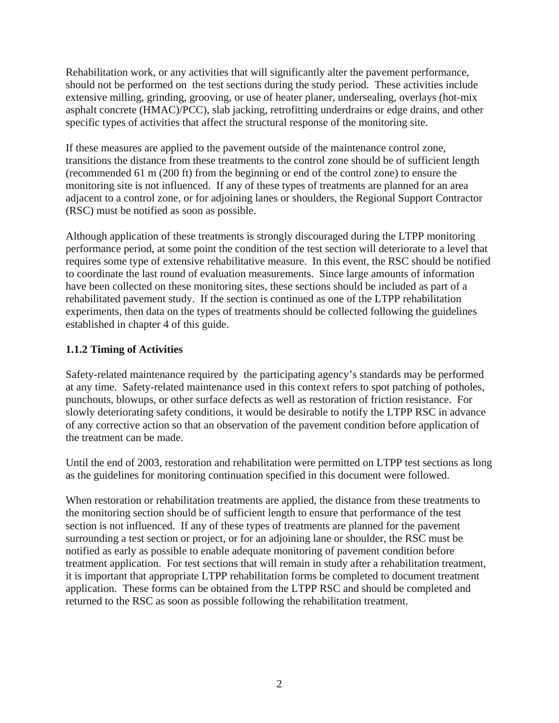<span id="page-9-0"></span>Rehabilitation work, or any activities that will significantly alter the pavement performance, should not be performed on the test sections during the study period. These activities include extensive milling, grinding, grooving, or use of heater planer, undersealing, overlays (hot-mix asphalt concrete (HMAC)/PCC), slab jacking, retrofitting underdrains or edge drains, and other specific types of activities that affect the structural response of the monitoring site.

If these measures are applied to the pavement outside of the maintenance control zone, transitions the distance from these treatments to the control zone should be of sufficient length (recommended 61 m (200 ft) from the beginning or end of the control zone) to ensure the monitoring site is not influenced. If any of these types of treatments are planned for an area adjacent to a control zone, or for adjoining lanes or shoulders, the Regional Support Contractor (RSC) must be notified as soon as possible.

Although application of these treatments is strongly discouraged during the LTPP monitoring performance period, at some point the condition of the test section will deteriorate to a level that requires some type of extensive rehabilitative measure. In this event, the RSC should be notified to coordinate the last round of evaluation measurements. Since large amounts of information have been collected on these monitoring sites, these sections should be included as part of a rehabilitated pavement study. If the section is continued as one of the LTPP rehabilitation experiments, then data on the types of treatments should be collected following the guidelines established in chapter 4 of this guide.

#### **1.1.2 Timing of Activities**

Safety-related maintenance required by the participating agency's standards may be performed at any time. Safety-related maintenance used in this context refers to spot patching of potholes, punchouts, blowups, or other surface defects as well as restoration of friction resistance. For slowly deteriorating safety conditions, it would be desirable to notify the LTPP RSC in advance of any corrective action so that an observation of the pavement condition before application of the treatment can be made.

Until the end of 2003, restoration and rehabilitation were permitted on LTPP test sections as long as the guidelines for monitoring continuation specified in this document were followed.

When restoration or rehabilitation treatments are applied, the distance from these treatments to the monitoring section should be of sufficient length to ensure that performance of the test section is not influenced. If any of these types of treatments are planned for the pavement surrounding a test section or project, or for an adjoining lane or shoulder, the RSC must be notified as early as possible to enable adequate monitoring of pavement condition before treatment application. For test sections that will remain in study after a rehabilitation treatment, it is important that appropriate LTPP rehabilitation forms be completed to document treatment application. These forms can be obtained from the LTPP RSC and should be completed and returned to the RSC as soon as possible following the rehabilitation treatment.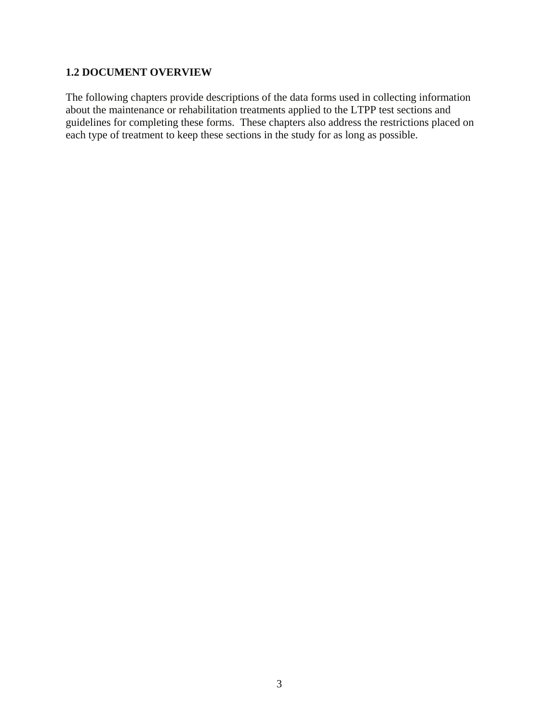#### <span id="page-10-0"></span>**1.2 DOCUMENT OVERVIEW**

The following chapters provide descriptions of the data forms used in collecting information about the maintenance or rehabilitation treatments applied to the LTPP test sections and guidelines for completing these forms. These chapters also address the restrictions placed on each type of treatment to keep these sections in the study for as long as possible.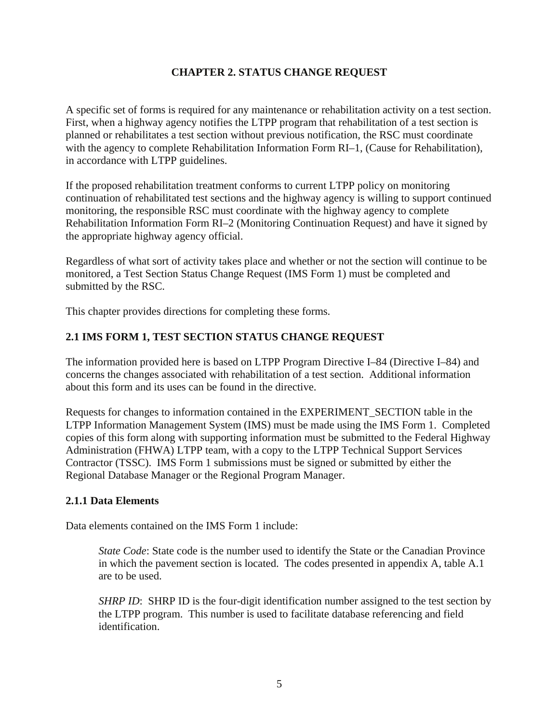#### **CHAPTER 2. STATUS CHANGE REQUEST**

<span id="page-12-0"></span>A specific set of forms is required for any maintenance or rehabilitation activity on a test section. First, when a highway agency notifies the LTPP program that rehabilitation of a test section is planned or rehabilitates a test section without previous notification, the RSC must coordinate with the agency to complete Rehabilitation Information Form RI-1, (Cause for Rehabilitation), in accordance with LTPP guidelines.

If the proposed rehabilitation treatment conforms to current LTPP policy on monitoring continuation of rehabilitated test sections and the highway agency is willing to support continued monitoring, the responsible RSC must coordinate with the highway agency to complete Rehabilitation Information Form RI–2 (Monitoring Continuation Request) and have it signed by the appropriate highway agency official.

Regardless of what sort of activity takes place and whether or not the section will continue to be monitored, a Test Section Status Change Request (IMS Form 1) must be completed and submitted by the RSC.

This chapter provides directions for completing these forms.

#### **2.1 IMS FORM 1, TEST SECTION STATUS CHANGE REQUEST**

The information provided here is based on LTPP Program Directive I–84 (Directive I–84) and concerns the changes associated with rehabilitation of a test section. Additional information about this form and its uses can be found in the directive.

Requests for changes to information contained in the EXPERIMENT\_SECTION table in the LTPP Information Management System (IMS) must be made using the IMS Form 1. Completed copies of this form along with supporting information must be submitted to the Federal Highway Administration (FHWA) LTPP team, with a copy to the LTPP Technical Support Services Contractor (TSSC). IMS Form 1 submissions must be signed or submitted by either the Regional Database Manager or the Regional Program Manager.

#### **2.1.1 Data Elements**

Data elements contained on the IMS Form 1 include:

*State Code*: State code is the number used to identify the State or the Canadian Province in which the pavement section is located. The codes presented in appendix A, table A.1 are to be used.

*SHRP ID*: SHRP ID is the four-digit identification number assigned to the test section by the LTPP program. This number is used to facilitate database referencing and field identification.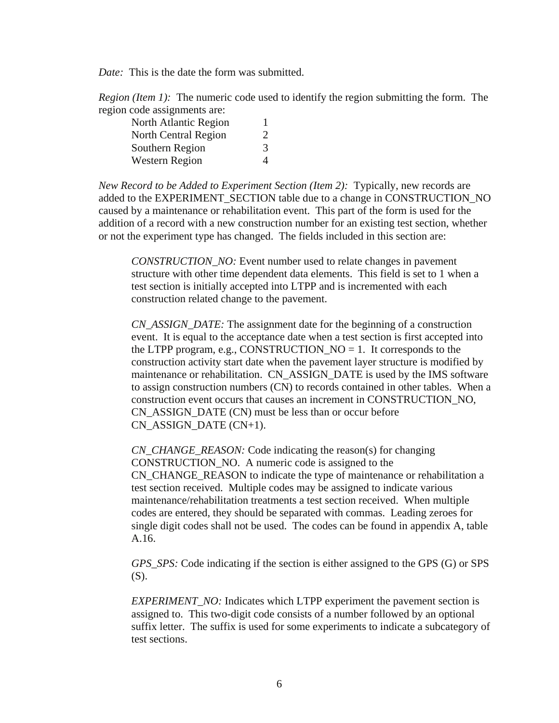*Date:* This is the date the form was submitted.

*Region (Item 1):* The numeric code used to identify the region submitting the form. The region code assignments are:

| North Atlantic Region | 1                           |
|-----------------------|-----------------------------|
| North Central Region  | $\mathcal{D}_{\mathcal{L}}$ |
| Southern Region       | 3                           |
| <b>Western Region</b> | $\Delta$                    |

*New Record to be Added to Experiment Section (Item 2):* Typically, new records are added to the EXPERIMENT\_SECTION table due to a change in CONSTRUCTION\_NO caused by a maintenance or rehabilitation event. This part of the form is used for the addition of a record with a new construction number for an existing test section, whether or not the experiment type has changed. The fields included in this section are:

*CONSTRUCTION\_NO:* Event number used to relate changes in pavement structure with other time dependent data elements. This field is set to 1 when a test section is initially accepted into LTPP and is incremented with each construction related change to the pavement.

*CN\_ASSIGN\_DATE:* The assignment date for the beginning of a construction event. It is equal to the acceptance date when a test section is first accepted into the LTPP program, e.g., CONSTRUCTION\_NO  $= 1$ . It corresponds to the construction activity start date when the pavement layer structure is modified by maintenance or rehabilitation. CN\_ASSIGN\_DATE is used by the IMS software to assign construction numbers (CN) to records contained in other tables. When a construction event occurs that causes an increment in CONSTRUCTION\_NO, CN\_ASSIGN\_DATE (CN) must be less than or occur before CN\_ASSIGN\_DATE (CN+1).

*CN\_CHANGE\_REASON:* Code indicating the reason(s) for changing CONSTRUCTION\_NO. A numeric code is assigned to the CN\_CHANGE\_REASON to indicate the type of maintenance or rehabilitation a test section received. Multiple codes may be assigned to indicate various maintenance/rehabilitation treatments a test section received. When multiple codes are entered, they should be separated with commas. Leading zeroes for single digit codes shall not be used. The codes can be found in appendix A, table A.16.

*GPS\_SPS:* Code indicating if the section is either assigned to the GPS (G) or SPS (S).

*EXPERIMENT\_NO:* Indicates which LTPP experiment the pavement section is assigned to. This two-digit code consists of a number followed by an optional suffix letter. The suffix is used for some experiments to indicate a subcategory of test sections.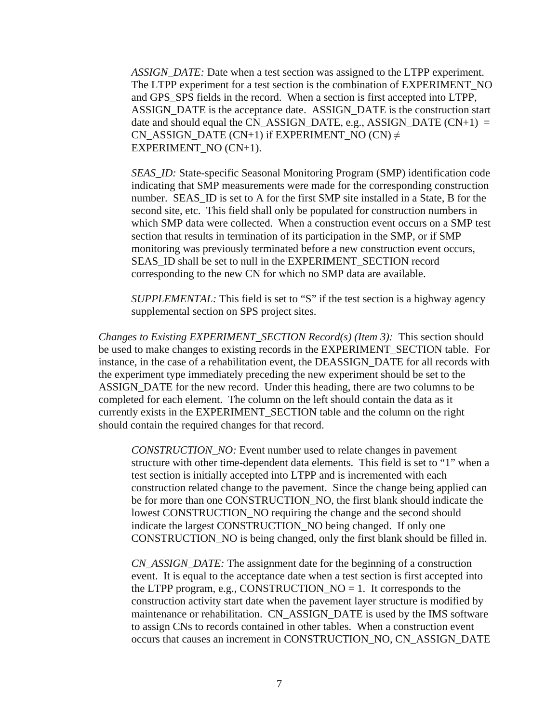*ASSIGN\_DATE:* Date when a test section was assigned to the LTPP experiment. The LTPP experiment for a test section is the combination of EXPERIMENT\_NO and GPS\_SPS fields in the record. When a section is first accepted into LTPP, ASSIGN\_DATE is the acceptance date. ASSIGN\_DATE is the construction start date and should equal the  $CN\_ASSIGN\_DATE$ , e.g., ASSIGN\_DATE  $(CN+1) =$ CN\_ASSIGN\_DATE (CN+1) if EXPERIMENT\_NO (CN)  $\neq$ EXPERIMENT\_NO (CN+1).

*SEAS\_ID:* State-specific Seasonal Monitoring Program (SMP) identification code indicating that SMP measurements were made for the corresponding construction number. SEAS\_ID is set to A for the first SMP site installed in a State, B for the second site, etc. This field shall only be populated for construction numbers in which SMP data were collected. When a construction event occurs on a SMP test section that results in termination of its participation in the SMP, or if SMP monitoring was previously terminated before a new construction event occurs, SEAS\_ID shall be set to null in the EXPERIMENT\_SECTION record corresponding to the new CN for which no SMP data are available.

*SUPPLEMENTAL:* This field is set to "S" if the test section is a highway agency supplemental section on SPS project sites.

*Changes to Existing EXPERIMENT\_SECTION Record(s) (Item 3):* This section should be used to make changes to existing records in the EXPERIMENT\_SECTION table. For instance, in the case of a rehabilitation event, the DEASSIGN\_DATE for all records with the experiment type immediately preceding the new experiment should be set to the ASSIGN\_DATE for the new record. Under this heading, there are two columns to be completed for each element. The column on the left should contain the data as it currently exists in the EXPERIMENT\_SECTION table and the column on the right should contain the required changes for that record.

*CONSTRUCTION\_NO:* Event number used to relate changes in pavement structure with other time-dependent data elements. This field is set to "1" when a test section is initially accepted into LTPP and is incremented with each construction related change to the pavement. Since the change being applied can be for more than one CONSTRUCTION\_NO, the first blank should indicate the lowest CONSTRUCTION\_NO requiring the change and the second should indicate the largest CONSTRUCTION\_NO being changed. If only one CONSTRUCTION\_NO is being changed, only the first blank should be filled in.

*CN\_ASSIGN\_DATE:* The assignment date for the beginning of a construction event. It is equal to the acceptance date when a test section is first accepted into the LTPP program, e.g., CONSTRUCTION  $NO = 1$ . It corresponds to the construction activity start date when the pavement layer structure is modified by maintenance or rehabilitation. CN\_ASSIGN\_DATE is used by the IMS software to assign CNs to records contained in other tables. When a construction event occurs that causes an increment in CONSTRUCTION\_NO, CN\_ASSIGN\_DATE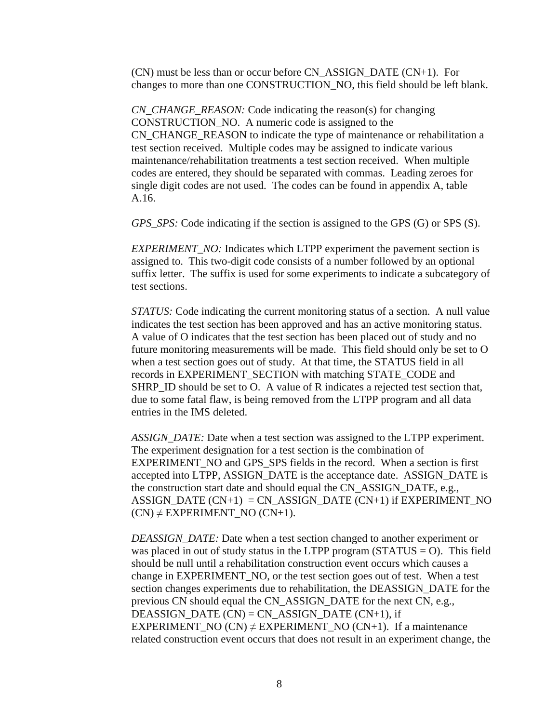(CN) must be less than or occur before CN\_ASSIGN\_DATE (CN+1). For changes to more than one CONSTRUCTION\_NO, this field should be left blank.

*CN\_CHANGE\_REASON:* Code indicating the reason(s) for changing CONSTRUCTION\_NO. A numeric code is assigned to the CN\_CHANGE\_REASON to indicate the type of maintenance or rehabilitation a test section received. Multiple codes may be assigned to indicate various maintenance/rehabilitation treatments a test section received. When multiple codes are entered, they should be separated with commas. Leading zeroes for single digit codes are not used. The codes can be found in appendix A, table A.16.

*GPS\_SPS:* Code indicating if the section is assigned to the GPS (G) or SPS (S).

*EXPERIMENT\_NO:* Indicates which LTPP experiment the pavement section is assigned to. This two-digit code consists of a number followed by an optional suffix letter. The suffix is used for some experiments to indicate a subcategory of test sections.

*STATUS:* Code indicating the current monitoring status of a section. A null value indicates the test section has been approved and has an active monitoring status. A value of O indicates that the test section has been placed out of study and no future monitoring measurements will be made. This field should only be set to O when a test section goes out of study. At that time, the STATUS field in all records in EXPERIMENT\_SECTION with matching STATE\_CODE and SHRP\_ID should be set to O. A value of R indicates a rejected test section that, due to some fatal flaw, is being removed from the LTPP program and all data entries in the IMS deleted.

*ASSIGN\_DATE:* Date when a test section was assigned to the LTPP experiment. The experiment designation for a test section is the combination of EXPERIMENT\_NO and GPS\_SPS fields in the record. When a section is first accepted into LTPP, ASSIGN\_DATE is the acceptance date. ASSIGN\_DATE is the construction start date and should equal the CN\_ASSIGN\_DATE, e.g.,  $ASSIGN\_DATE (CN+1) = CN\_ASSIGN\_DATE (CN+1)$  if  $EXPERIMENT\_NO$  $(CN) \neq EXPERIMENT NO (CN+1).$ 

*DEASSIGN\_DATE:* Date when a test section changed to another experiment or was placed in out of study status in the LTPP program  $(STATUS = O)$ . This field should be null until a rehabilitation construction event occurs which causes a change in EXPERIMENT\_NO, or the test section goes out of test. When a test section changes experiments due to rehabilitation, the DEASSIGN\_DATE for the previous CN should equal the CN\_ASSIGN\_DATE for the next CN, e.g., DEASSIGN\_DATE  $(CN) = CN$  ASSIGN\_DATE  $(CN+1)$ , if EXPERIMENT\_NO (CN)  $\neq$  EXPERIMENT\_NO (CN+1). If a maintenance related construction event occurs that does not result in an experiment change, the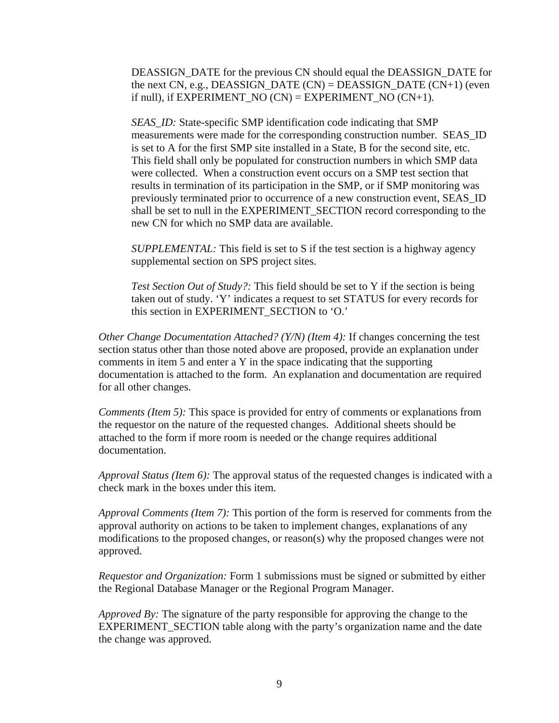DEASSIGN\_DATE for the previous CN should equal the DEASSIGN\_DATE for the next CN, e.g., DEASSIGN\_DATE  $(CN) = DEASSIGN\_DATE (CN+1)$  (even if null), if  $EXPERIMENT_NO (CN) = EXPERIMENT_NO (CN+1)$ .

*SEAS ID:* State-specific SMP identification code indicating that SMP measurements were made for the corresponding construction number. SEAS\_ID is set to A for the first SMP site installed in a State, B for the second site, etc. This field shall only be populated for construction numbers in which SMP data were collected. When a construction event occurs on a SMP test section that results in termination of its participation in the SMP, or if SMP monitoring was previously terminated prior to occurrence of a new construction event, SEAS\_ID shall be set to null in the EXPERIMENT\_SECTION record corresponding to the new CN for which no SMP data are available.

*SUPPLEMENTAL:* This field is set to S if the test section is a highway agency supplemental section on SPS project sites.

*Test Section Out of Study?:* This field should be set to Y if the section is being taken out of study. 'Y' indicates a request to set STATUS for every records for this section in EXPERIMENT\_SECTION to 'O.'

*Other Change Documentation Attached? (Y/N) (Item 4): If changes concerning the test* section status other than those noted above are proposed, provide an explanation under comments in item 5 and enter a Y in the space indicating that the supporting documentation is attached to the form. An explanation and documentation are required for all other changes.

*Comments (Item 5):* This space is provided for entry of comments or explanations from the requestor on the nature of the requested changes. Additional sheets should be attached to the form if more room is needed or the change requires additional documentation.

*Approval Status (Item 6):* The approval status of the requested changes is indicated with a check mark in the boxes under this item.

*Approval Comments (Item 7):* This portion of the form is reserved for comments from the approval authority on actions to be taken to implement changes, explanations of any modifications to the proposed changes, or reason(s) why the proposed changes were not approved.

*Requestor and Organization:* Form 1 submissions must be signed or submitted by either the Regional Database Manager or the Regional Program Manager.

*Approved By:* The signature of the party responsible for approving the change to the EXPERIMENT\_SECTION table along with the party's organization name and the date the change was approved.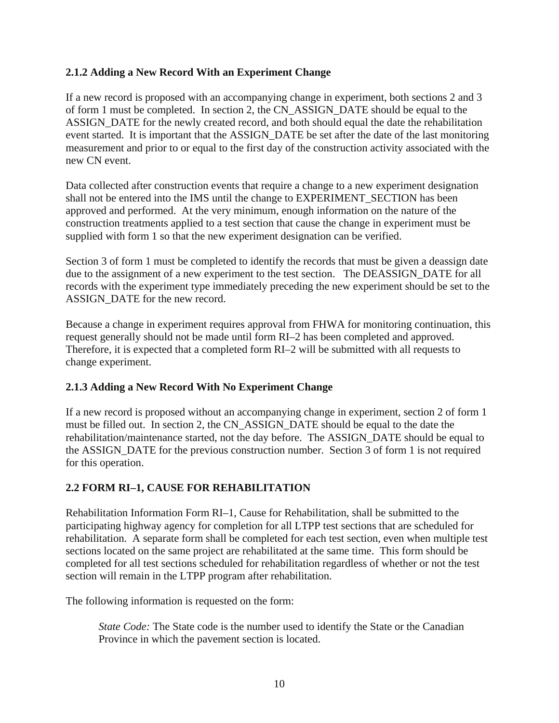#### <span id="page-17-0"></span>**2.1.2 Adding a New Record With an Experiment Change**

If a new record is proposed with an accompanying change in experiment, both sections 2 and 3 of form 1 must be completed. In section 2, the CN\_ASSIGN\_DATE should be equal to the ASSIGN\_DATE for the newly created record, and both should equal the date the rehabilitation event started. It is important that the ASSIGN\_DATE be set after the date of the last monitoring measurement and prior to or equal to the first day of the construction activity associated with the new CN event.

Data collected after construction events that require a change to a new experiment designation shall not be entered into the IMS until the change to EXPERIMENT SECTION has been approved and performed. At the very minimum, enough information on the nature of the construction treatments applied to a test section that cause the change in experiment must be supplied with form 1 so that the new experiment designation can be verified.

Section 3 of form 1 must be completed to identify the records that must be given a deassign date due to the assignment of a new experiment to the test section. The DEASSIGN\_DATE for all records with the experiment type immediately preceding the new experiment should be set to the ASSIGN\_DATE for the new record.

Because a change in experiment requires approval from FHWA for monitoring continuation, this request generally should not be made until form RI–2 has been completed and approved. Therefore, it is expected that a completed form RI–2 will be submitted with all requests to change experiment.

### **2.1.3 Adding a New Record With No Experiment Change**

If a new record is proposed without an accompanying change in experiment, section 2 of form 1 must be filled out. In section 2, the CN\_ASSIGN\_DATE should be equal to the date the rehabilitation/maintenance started, not the day before. The ASSIGN\_DATE should be equal to the ASSIGN\_DATE for the previous construction number. Section 3 of form 1 is not required for this operation.

### **2.2 FORM RI–1, CAUSE FOR REHABILITATION**

Rehabilitation Information Form RI–1, Cause for Rehabilitation, shall be submitted to the participating highway agency for completion for all LTPP test sections that are scheduled for rehabilitation. A separate form shall be completed for each test section, even when multiple test sections located on the same project are rehabilitated at the same time. This form should be completed for all test sections scheduled for rehabilitation regardless of whether or not the test section will remain in the LTPP program after rehabilitation.

The following information is requested on the form:

*State Code:* The State code is the number used to identify the State or the Canadian Province in which the pavement section is located.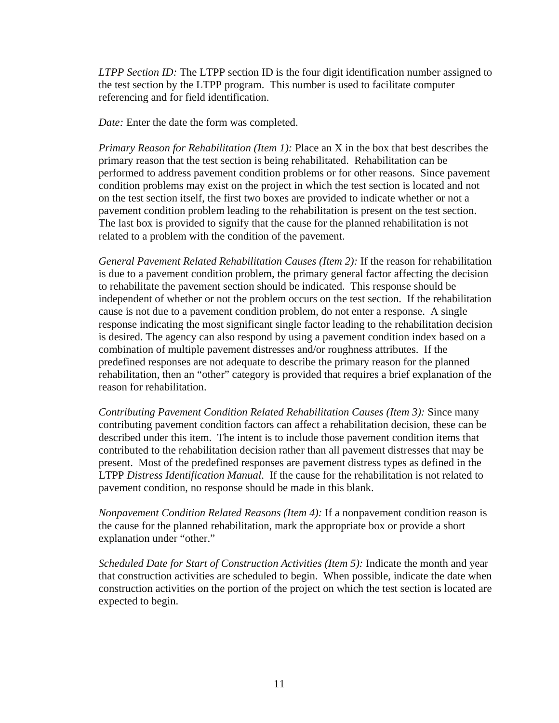*LTPP Section ID:* The LTPP section ID is the four digit identification number assigned to the test section by the LTPP program. This number is used to facilitate computer referencing and for field identification.

*Date:* Enter the date the form was completed.

*Primary Reason for Rehabilitation (Item 1):* Place an X in the box that best describes the primary reason that the test section is being rehabilitated. Rehabilitation can be performed to address pavement condition problems or for other reasons. Since pavement condition problems may exist on the project in which the test section is located and not on the test section itself, the first two boxes are provided to indicate whether or not a pavement condition problem leading to the rehabilitation is present on the test section. The last box is provided to signify that the cause for the planned rehabilitation is not related to a problem with the condition of the pavement.

*General Pavement Related Rehabilitation Causes (Item 2):* If the reason for rehabilitation is due to a pavement condition problem, the primary general factor affecting the decision to rehabilitate the pavement section should be indicated. This response should be independent of whether or not the problem occurs on the test section. If the rehabilitation cause is not due to a pavement condition problem, do not enter a response. A single response indicating the most significant single factor leading to the rehabilitation decision is desired. The agency can also respond by using a pavement condition index based on a combination of multiple pavement distresses and/or roughness attributes. If the predefined responses are not adequate to describe the primary reason for the planned rehabilitation, then an "other" category is provided that requires a brief explanation of the reason for rehabilitation.

*Contributing Pavement Condition Related Rehabilitation Causes (Item 3):* Since many contributing pavement condition factors can affect a rehabilitation decision, these can be described under this item. The intent is to include those pavement condition items that contributed to the rehabilitation decision rather than all pavement distresses that may be present. Most of the predefined responses are pavement distress types as defined in the LTPP *Distress Identification Manual*. If the cause for the rehabilitation is not related to pavement condition, no response should be made in this blank.

*Nonpavement Condition Related Reasons (Item 4):* If a nonpavement condition reason is the cause for the planned rehabilitation, mark the appropriate box or provide a short explanation under "other."

*Scheduled Date for Start of Construction Activities (Item 5):* Indicate the month and year that construction activities are scheduled to begin. When possible, indicate the date when construction activities on the portion of the project on which the test section is located are expected to begin.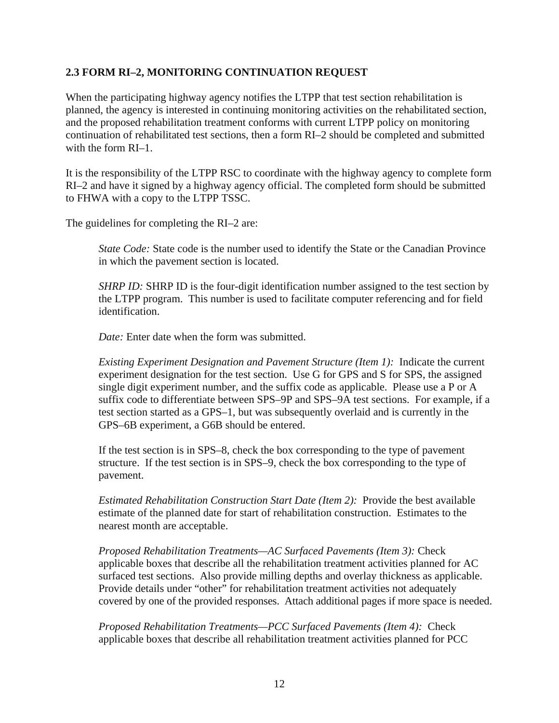#### <span id="page-19-0"></span>**2.3 FORM RI–2, MONITORING CONTINUATION REQUEST**

When the participating highway agency notifies the LTPP that test section rehabilitation is planned, the agency is interested in continuing monitoring activities on the rehabilitated section, and the proposed rehabilitation treatment conforms with current LTPP policy on monitoring continuation of rehabilitated test sections, then a form RI–2 should be completed and submitted with the form RI–1.

It is the responsibility of the LTPP RSC to coordinate with the highway agency to complete form RI–2 and have it signed by a highway agency official. The completed form should be submitted to FHWA with a copy to the LTPP TSSC.

The guidelines for completing the RI–2 are:

*State Code:* State code is the number used to identify the State or the Canadian Province in which the pavement section is located.

*SHRP ID:* SHRP ID is the four-digit identification number assigned to the test section by the LTPP program. This number is used to facilitate computer referencing and for field identification.

*Date:* Enter date when the form was submitted.

*Existing Experiment Designation and Pavement Structure (Item 1):* Indicate the current experiment designation for the test section. Use G for GPS and S for SPS, the assigned single digit experiment number, and the suffix code as applicable. Please use a P or A suffix code to differentiate between SPS–9P and SPS–9A test sections. For example, if a test section started as a GPS–1, but was subsequently overlaid and is currently in the GPS–6B experiment, a G6B should be entered.

If the test section is in SPS–8, check the box corresponding to the type of pavement structure. If the test section is in SPS–9, check the box corresponding to the type of pavement.

*Estimated Rehabilitation Construction Start Date (Item 2):* Provide the best available estimate of the planned date for start of rehabilitation construction. Estimates to the nearest month are acceptable.

*Proposed Rehabilitation Treatments—AC Surfaced Pavements (Item 3):* Check applicable boxes that describe all the rehabilitation treatment activities planned for AC surfaced test sections. Also provide milling depths and overlay thickness as applicable. Provide details under "other" for rehabilitation treatment activities not adequately covered by one of the provided responses. Attach additional pages if more space is needed.

*Proposed Rehabilitation Treatments—PCC Surfaced Pavements (Item 4):* Check applicable boxes that describe all rehabilitation treatment activities planned for PCC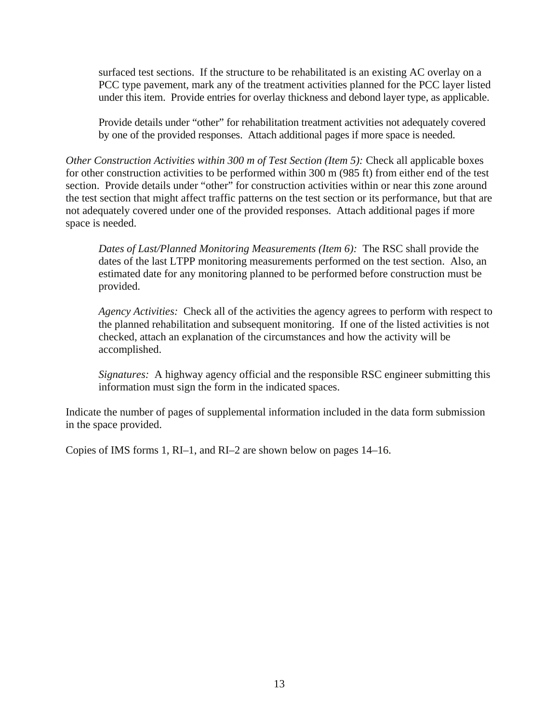surfaced test sections. If the structure to be rehabilitated is an existing AC overlay on a PCC type pavement, mark any of the treatment activities planned for the PCC layer listed under this item. Provide entries for overlay thickness and debond layer type, as applicable.

Provide details under "other" for rehabilitation treatment activities not adequately covered by one of the provided responses. Attach additional pages if more space is needed.

*Other Construction Activities within 300 m of Test Section (Item 5): Check all applicable boxes* for other construction activities to be performed within 300 m (985 ft) from either end of the test section. Provide details under "other" for construction activities within or near this zone around the test section that might affect traffic patterns on the test section or its performance, but that are not adequately covered under one of the provided responses. Attach additional pages if more space is needed.

*Dates of Last/Planned Monitoring Measurements (Item 6):* The RSC shall provide the dates of the last LTPP monitoring measurements performed on the test section. Also, an estimated date for any monitoring planned to be performed before construction must be provided.

*Agency Activities:* Check all of the activities the agency agrees to perform with respect to the planned rehabilitation and subsequent monitoring. If one of the listed activities is not checked, attach an explanation of the circumstances and how the activity will be accomplished.

*Signatures:* A highway agency official and the responsible RSC engineer submitting this information must sign the form in the indicated spaces.

Indicate the number of pages of supplemental information included in the data form submission in the space provided.

Copies of IMS forms 1, RI–1, and RI–2 are shown below on pages 14–16.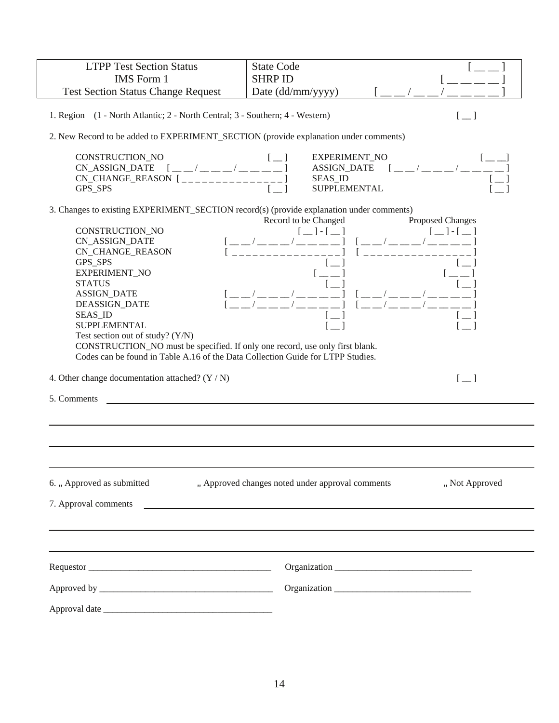| <b>LTPP Test Section Status</b>                                                          | <b>State Code</b>                                                 |
|------------------------------------------------------------------------------------------|-------------------------------------------------------------------|
| <b>IMS</b> Form 1                                                                        | <b>SHRP ID</b>                                                    |
| <b>Test Section Status Change Request</b>                                                | Date (dd/mm/yyyy)                                                 |
|                                                                                          |                                                                   |
| 1. Region (1 - North Atlantic; 2 - North Central; 3 - Southern; 4 - Western)             | $[-]$                                                             |
| 2. New Record to be added to EXPERIMENT_SECTION (provide explanation under comments)     |                                                                   |
| CONSTRUCTION_NO                                                                          | EXPERIMENT_NO                                                     |
| $[- -/ - - -/ - - -]$<br>CN_ASSIGN_DATE                                                  | $[- -/$ $1$<br><b>ASSIGN_DATE</b>                                 |
| $CN\_CHANGE\_REASON$ $[$                                                                 | <b>SEAS ID</b>                                                    |
| GPS_SPS                                                                                  | <b>SUPPLEMENTAL</b>                                               |
| 3. Changes to existing EXPERIMENT_SECTION record(s) (provide explanation under comments) | Proposed Changes<br>Record to be Changed                          |
| CONSTRUCTION_NO                                                                          | $[-]$ $[-]$<br>$[-]$ - $[-]$                                      |
| <b>CN_ASSIGN_DATE</b>                                                                    |                                                                   |
| <b>CN_CHANGE_REASON</b>                                                                  |                                                                   |
| GPS_SPS                                                                                  |                                                                   |
| EXPERIMENT_NO                                                                            |                                                                   |
| <b>STATUS</b>                                                                            |                                                                   |
| <b>ASSIGN_DATE</b>                                                                       |                                                                   |
| <b>DEASSIGN_DATE</b>                                                                     |                                                                   |
| <b>SEAS_ID</b>                                                                           |                                                                   |
| <b>SUPPLEMENTAL</b>                                                                      |                                                                   |
| Test section out of study? (Y/N)                                                         |                                                                   |
| CONSTRUCTION_NO must be specified. If only one record, use only first blank.             |                                                                   |
| Codes can be found in Table A.16 of the Data Collection Guide for LTPP Studies.          |                                                                   |
|                                                                                          |                                                                   |
| 4. Other change documentation attached? $(Y / N)$                                        | $[-]$                                                             |
| 5. Comments                                                                              |                                                                   |
|                                                                                          |                                                                   |
|                                                                                          |                                                                   |
|                                                                                          |                                                                   |
| 6. "Approved as submitted                                                                | " Approved changes noted under approval comments<br>"Not Approved |
| 7. Approval comments                                                                     |                                                                   |
|                                                                                          | <u> 1980 - Jan Alexandri, fizikar matematika (h. 1980).</u>       |
|                                                                                          |                                                                   |
|                                                                                          |                                                                   |
|                                                                                          |                                                                   |
|                                                                                          |                                                                   |
|                                                                                          |                                                                   |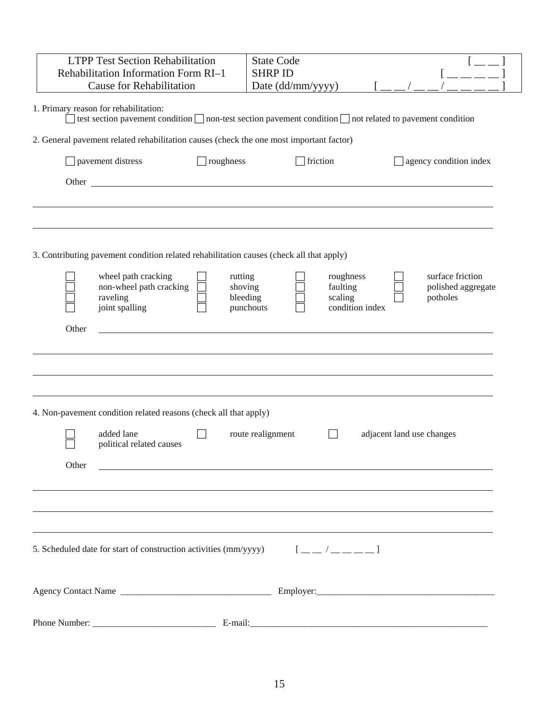|       | <b>LTPP Test Section Rehabilitation</b><br>Rehabilitation Information Form RI-1<br><b>Cause for Rehabilitation</b>                                             |                                | <b>State Code</b><br><b>SHRP ID</b><br>Date (dd/mm/yyyy) |                                  |                           |                                                    |
|-------|----------------------------------------------------------------------------------------------------------------------------------------------------------------|--------------------------------|----------------------------------------------------------|----------------------------------|---------------------------|----------------------------------------------------|
|       | 1. Primary reason for rehabilitation:<br>] test section pavement condition $\Box$ non-test section pavement condition $\Box$ not related to pavement condition |                                |                                                          |                                  |                           |                                                    |
|       | 2. General pavement related rehabilitation causes (check the one most important factor)                                                                        |                                |                                                          |                                  |                           |                                                    |
|       | pavement distress                                                                                                                                              | ] roughness                    |                                                          | $\Box$ friction                  |                           | agency condition index                             |
|       |                                                                                                                                                                |                                |                                                          |                                  |                           |                                                    |
|       |                                                                                                                                                                |                                |                                                          |                                  |                           |                                                    |
|       | 3. Contributing pavement condition related rehabilitation causes (check all that apply)                                                                        |                                |                                                          |                                  |                           |                                                    |
|       | wheel path cracking<br>non-wheel path cracking<br>raveling<br>joint spalling                                                                                   | rutting<br>shoving<br>bleeding | punchouts                                                | roughness<br>faulting<br>scaling | condition index           | surface friction<br>polished aggregate<br>potholes |
| Other |                                                                                                                                                                |                                |                                                          |                                  |                           |                                                    |
|       |                                                                                                                                                                |                                |                                                          |                                  |                           |                                                    |
|       | 4. Non-pavement condition related reasons (check all that apply)                                                                                               |                                |                                                          |                                  |                           |                                                    |
|       | added lane<br>political related causes                                                                                                                         |                                | route realignment                                        |                                  | adjacent land use changes |                                                    |
| Other | <u> 1980 - Andrea Barbara, amerikan personal (h. 1980).</u>                                                                                                    |                                |                                                          |                                  |                           |                                                    |
|       |                                                                                                                                                                |                                |                                                          |                                  |                           |                                                    |
|       | 5. Scheduled date for start of construction activities (mm/yyyyy) $\begin{bmatrix} 1 & 1 \\ 1 & 1 \end{bmatrix}$                                               |                                |                                                          |                                  |                           |                                                    |
|       |                                                                                                                                                                |                                |                                                          |                                  |                           |                                                    |
|       |                                                                                                                                                                |                                |                                                          |                                  |                           |                                                    |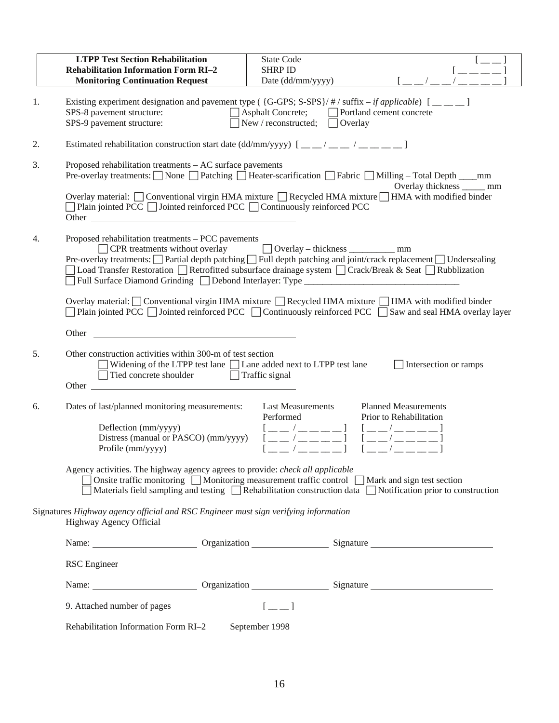|    | <b>LTPP Test Section Rehabilitation</b><br><b>Rehabilitation Information Form RI-2</b><br><b>Monitoring Continuation Request</b>                                                                                                                                                                                                                                                                                                                                                                            | <b>State Code</b><br><b>SHRP ID</b><br>Date (dd/mm/yyyy)                                                                                |                                                                                                                                                                                                                                                                                                                                                                                                                                                                                                                                                                                                                                                                                                                                                                                                                                                                 |
|----|-------------------------------------------------------------------------------------------------------------------------------------------------------------------------------------------------------------------------------------------------------------------------------------------------------------------------------------------------------------------------------------------------------------------------------------------------------------------------------------------------------------|-----------------------------------------------------------------------------------------------------------------------------------------|-----------------------------------------------------------------------------------------------------------------------------------------------------------------------------------------------------------------------------------------------------------------------------------------------------------------------------------------------------------------------------------------------------------------------------------------------------------------------------------------------------------------------------------------------------------------------------------------------------------------------------------------------------------------------------------------------------------------------------------------------------------------------------------------------------------------------------------------------------------------|
| 1. | Existing experiment designation and pavement type ({G-GPS; S-SPS}/#/suffix – if applicable) $[\_\_ \_\_ ]$<br>SPS-8 pavement structure:<br>SPS-9 pavement structure:                                                                                                                                                                                                                                                                                                                                        | New / reconstructed; $\Box$ Overlay                                                                                                     | Asphalt Concrete; Portland cement concrete                                                                                                                                                                                                                                                                                                                                                                                                                                                                                                                                                                                                                                                                                                                                                                                                                      |
| 2. | Estimated rehabilitation construction start date (dd/mm/yyyy) $[\underline{\hspace{1cm}}\underline{\hspace{1cm}}\underline{\hspace{1cm}}\underline{\hspace{1cm}}\underline{\hspace{1cm}}\underline{\hspace{1cm}}\underline{\hspace{1cm}}\underline{\hspace{1cm}}\underline{\hspace{1cm}}\underline{\hspace{1cm}}\underline{\hspace{1cm}}\underline{\hspace{1cm}}\underline{\hspace{1cm}}\underline{\hspace{1cm}}\underline{\hspace{1cm}}\underline{\hspace{1cm}}\underline{\hspace{1cm}}\underline{\hspace$ |                                                                                                                                         |                                                                                                                                                                                                                                                                                                                                                                                                                                                                                                                                                                                                                                                                                                                                                                                                                                                                 |
| 3. | Proposed rehabilitation treatments - AC surface pavements<br>$\Box$ Plain jointed PCC $\Box$ Jointed reinforced PCC $\Box$ Continuously reinforced PCC<br>Other contracts and the contract of the contract of the contract of the contract of the contract of the contract of the contract of the contract of the contract of the contract of the contract of the contract of the contra                                                                                                                    |                                                                                                                                         | Pre-overlay treatments: □ None □ Patching □ Heater-scarification □ Fabric □ Milling - Total Depth ____mm<br>Overlay thickness _____ mm<br>Overlay material: □ Conventional virgin HMA mixture □ Recycled HMA mixture □ HMA with modified binder                                                                                                                                                                                                                                                                                                                                                                                                                                                                                                                                                                                                                 |
| 4. | Proposed rehabilitation treatments - PCC pavements<br>$\Box$ CPR treatments without overlay<br>Full Surface Diamond Grinding Debond Interlayer: Type __________________________                                                                                                                                                                                                                                                                                                                             | □ Overlay – thickness <u>■ mm</u>                                                                                                       | Pre-overlay treatments: □ Partial depth patching □ Full depth patching and joint/crack replacement □ Undersealing<br>Load Transfer Restoration □ Retrofitted subsurface drainage system □ Crack/Break & Seat □ Rubblization<br>Overlay material: Conventional virgin HMA mixture $\Box$ Recycled HMA mixture $\Box$ HMA with modified binder<br>Plain jointed PCC $\Box$ Jointed reinforced PCC $\Box$ Continuously reinforced PCC $\Box$ Saw and seal HMA overlay layer                                                                                                                                                                                                                                                                                                                                                                                        |
|    | Other contracts and the contracts of the contracts of the contracts of the contracts of the contracts of the contracts of the contracts of the contracts of the contracts of the contracts of the contracts of the contracts o                                                                                                                                                                                                                                                                              |                                                                                                                                         |                                                                                                                                                                                                                                                                                                                                                                                                                                                                                                                                                                                                                                                                                                                                                                                                                                                                 |
| 5. | Other construction activities within 300-m of test section<br>Widening of the LTPP test lane Lane added next to LTPP test lane<br>Tied concrete shoulder<br>Other                                                                                                                                                                                                                                                                                                                                           | $\Box$ Traffic signal                                                                                                                   | $\Box$ Intersection or ramps                                                                                                                                                                                                                                                                                                                                                                                                                                                                                                                                                                                                                                                                                                                                                                                                                                    |
| 6. | Dates of last/planned monitoring measurements:<br>Deflection (mm/yyyy)<br>Distress (manual or PASCO) (mm/yyyy)<br>Profile (mm/yyyy)<br>Agency activities. The highway agency agrees to provide: check all applicable<br>◯ Onsite traffic monitoring ◯ Monitoring measurement traffic control ◯ Mark and sign test section                                                                                                                                                                                   | <b>Last Measurements</b><br>Performed<br>$[$ $\_\,\_\,\_\,\_\,\_\,\_\,\_\,\_\,\_\,\_\,\_\,\_\,]$<br>$[$ $\_\_$ $/$ $\_\_$ $\_\_$ $\_\_$ | <b>Planned Measurements</b><br>Prior to Rehabilitation<br>$[$ $\frac{1}{2}$ $\frac{1}{2}$ $\frac{1}{2}$ $\frac{1}{2}$ $\frac{1}{2}$ $\frac{1}{2}$ $\frac{1}{2}$ $\frac{1}{2}$ $\frac{1}{2}$ $\frac{1}{2}$ $\frac{1}{2}$ $\frac{1}{2}$ $\frac{1}{2}$ $\frac{1}{2}$ $\frac{1}{2}$ $\frac{1}{2}$ $\frac{1}{2}$ $\frac{1}{2}$ $\frac{1}{2}$ $\frac{1}{2}$ $\frac{1}{2}$ $\frac{1}{2$<br>$[- -/ - - - -]$<br>$[$ $\frac{1}{2}$ $\frac{1}{2}$ $\frac{1}{2}$ $\frac{1}{2}$ $\frac{1}{2}$ $\frac{1}{2}$ $\frac{1}{2}$ $\frac{1}{2}$ $\frac{1}{2}$ $\frac{1}{2}$ $\frac{1}{2}$ $\frac{1}{2}$ $\frac{1}{2}$ $\frac{1}{2}$ $\frac{1}{2}$ $\frac{1}{2}$ $\frac{1}{2}$ $\frac{1}{2}$ $\frac{1}{2}$ $\frac{1}{2}$ $\frac{1}{2}$ $\frac{1}{2$<br>$\Box$ Materials field sampling and testing $\Box$ Rehabilitation construction data $\Box$ Notification prior to construction |
|    | Signatures Highway agency official and RSC Engineer must sign verifying information<br>Highway Agency Official                                                                                                                                                                                                                                                                                                                                                                                              |                                                                                                                                         |                                                                                                                                                                                                                                                                                                                                                                                                                                                                                                                                                                                                                                                                                                                                                                                                                                                                 |
|    |                                                                                                                                                                                                                                                                                                                                                                                                                                                                                                             |                                                                                                                                         | Name: Comparison Comparison Comparison Comparison Comparison Comparison Comparison Comparison Comparison Comparison Comparison Comparison Comparison Comparison Comparison Comparison Comparison Comparison Comparison Compari                                                                                                                                                                                                                                                                                                                                                                                                                                                                                                                                                                                                                                  |
|    | <b>RSC</b> Engineer                                                                                                                                                                                                                                                                                                                                                                                                                                                                                         |                                                                                                                                         |                                                                                                                                                                                                                                                                                                                                                                                                                                                                                                                                                                                                                                                                                                                                                                                                                                                                 |
|    |                                                                                                                                                                                                                                                                                                                                                                                                                                                                                                             |                                                                                                                                         | Name: Comparison Comparison Comparison Comparison Comparison Comparison Comparison Comparison Comparison Comparison Comparison Comparison Comparison Comparison Comparison Comparison Comparison Comparison Comparison Compari                                                                                                                                                                                                                                                                                                                                                                                                                                                                                                                                                                                                                                  |
|    | 9. Attached number of pages                                                                                                                                                                                                                                                                                                                                                                                                                                                                                 | $[-1]$                                                                                                                                  |                                                                                                                                                                                                                                                                                                                                                                                                                                                                                                                                                                                                                                                                                                                                                                                                                                                                 |
|    | Rehabilitation Information Form RI-2                                                                                                                                                                                                                                                                                                                                                                                                                                                                        | September 1998                                                                                                                          |                                                                                                                                                                                                                                                                                                                                                                                                                                                                                                                                                                                                                                                                                                                                                                                                                                                                 |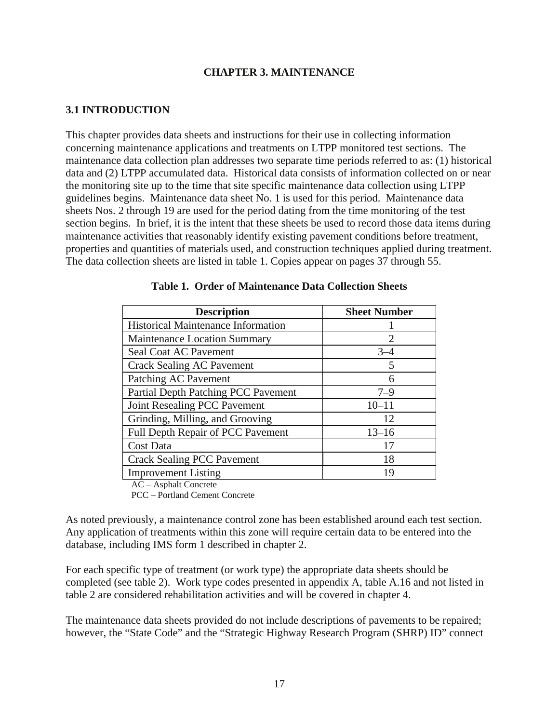#### **CHAPTER 3. MAINTENANCE**

#### <span id="page-24-0"></span>**3.1 INTRODUCTION**

This chapter provides data sheets and instructions for their use in collecting information concerning maintenance applications and treatments on LTPP monitored test sections. The maintenance data collection plan addresses two separate time periods referred to as: (1) historical data and (2) LTPP accumulated data. Historical data consists of information collected on or near the monitoring site up to the time that site specific maintenance data collection using LTPP guidelines begins. Maintenance data sheet No. 1 is used for this period. Maintenance data sheets Nos. 2 through 19 are used for the period dating from the time monitoring of the test section begins. In brief, it is the intent that these sheets be used to record those data items during maintenance activities that reasonably identify existing pavement conditions before treatment, properties and quantities of materials used, and construction techniques applied during treatment. The data collection sheets are listed in table 1. Copies appear on pages 37 through 55.

| <b>Description</b>                         | <b>Sheet Number</b>         |
|--------------------------------------------|-----------------------------|
| <b>Historical Maintenance Information</b>  |                             |
| <b>Maintenance Location Summary</b>        | $\mathcal{D}_{\mathcal{L}}$ |
| Seal Coat AC Pavement                      | $3 - 4$                     |
| <b>Crack Sealing AC Pavement</b>           | 5                           |
| Patching AC Pavement                       | 6                           |
| <b>Partial Depth Patching PCC Pavement</b> | $7 - 9$                     |
| Joint Resealing PCC Pavement               | $10 - 11$                   |
| Grinding, Milling, and Grooving            | 12                          |
| <b>Full Depth Repair of PCC Pavement</b>   | $13 - 16$                   |
| Cost Data                                  | 17                          |
| <b>Crack Sealing PCC Pavement</b>          | 18                          |
| <b>Improvement Listing</b>                 | 19                          |

|  |  | <b>Table 1. Order of Maintenance Data Collection Sheets</b> |  |  |  |
|--|--|-------------------------------------------------------------|--|--|--|
|--|--|-------------------------------------------------------------|--|--|--|

AC – Asphalt Concrete

PCC – Portland Cement Concrete

As noted previously, a maintenance control zone has been established around each test section. Any application of treatments within this zone will require certain data to be entered into the database, including IMS form 1 described in chapter 2.

For each specific type of treatment (or work type) the appropriate data sheets should be completed (see table 2). Work type codes presented in appendix A, table A.16 and not listed in table 2 are considered rehabilitation activities and will be covered in chapter 4.

The maintenance data sheets provided do not include descriptions of pavements to be repaired; however, the "State Code" and the "Strategic Highway Research Program (SHRP) ID" connect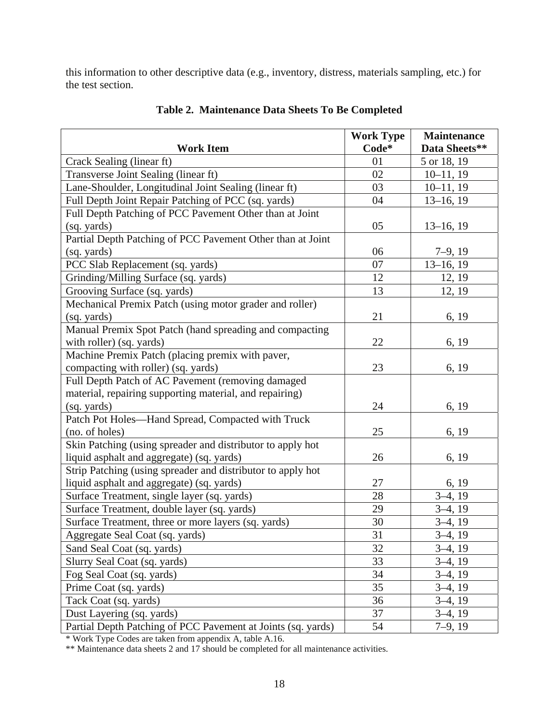<span id="page-25-0"></span>this information to other descriptive data (e.g., inventory, distress, materials sampling, etc.) for the test section.

|                                                              | <b>Work Type</b> | <b>Maintenance</b> |
|--------------------------------------------------------------|------------------|--------------------|
| <b>Work Item</b>                                             | Code*            | Data Sheets**      |
| Crack Sealing (linear ft)                                    | 01               | 5 or 18, 19        |
| Transverse Joint Sealing (linear ft)                         | 02               | $10-11, 19$        |
| Lane-Shoulder, Longitudinal Joint Sealing (linear ft)        | 03               | $10-11, 19$        |
| Full Depth Joint Repair Patching of PCC (sq. yards)          | 04               | $13-16, 19$        |
| Full Depth Patching of PCC Pavement Other than at Joint      |                  |                    |
| (sq. yards)                                                  | 05               | $13-16, 19$        |
| Partial Depth Patching of PCC Pavement Other than at Joint   |                  |                    |
| (sq. yards)                                                  | 06               | $7-9, 19$          |
| PCC Slab Replacement (sq. yards)                             | 07               | $13-16, 19$        |
| Grinding/Milling Surface (sq. yards)                         | 12               | 12, 19             |
| Grooving Surface (sq. yards)                                 | 13               | 12, 19             |
| Mechanical Premix Patch (using motor grader and roller)      |                  |                    |
| (sq. yards)                                                  | 21               | 6, 19              |
| Manual Premix Spot Patch (hand spreading and compacting      |                  |                    |
| with roller) (sq. yards)                                     | 22               | 6, 19              |
| Machine Premix Patch (placing premix with paver,             |                  |                    |
| compacting with roller) (sq. yards)                          | 23               | 6, 19              |
| Full Depth Patch of AC Pavement (removing damaged            |                  |                    |
| material, repairing supporting material, and repairing)      |                  |                    |
| (sq. yards)                                                  | 24               | 6, 19              |
| Patch Pot Holes-Hand Spread, Compacted with Truck            |                  |                    |
| (no. of holes)                                               | 25               | 6, 19              |
| Skin Patching (using spreader and distributor to apply hot   |                  |                    |
| liquid asphalt and aggregate) (sq. yards)                    | 26               | 6, 19              |
| Strip Patching (using spreader and distributor to apply hot  |                  |                    |
| liquid asphalt and aggregate) (sq. yards)                    | 27               | 6, 19              |
| Surface Treatment, single layer (sq. yards)                  | 28               | $3-4, 19$          |
| Surface Treatment, double layer (sq. yards)                  | 29               | $3-4, 19$          |
| Surface Treatment, three or more layers (sq. yards)          | 30               | $3-4, 19$          |
| Aggregate Seal Coat (sq. yards)                              | 31               | $3-4, 19$          |
| Sand Seal Coat (sq. yards)                                   | 32               | $3-4, 19$          |
| Slurry Seal Coat (sq. yards)                                 | 33               | $3-4, 19$          |
| Fog Seal Coat (sq. yards)                                    | 34               | $3-4, 19$          |
| Prime Coat (sq. yards)                                       | 35               | $3-4, 19$          |
| Tack Coat (sq. yards)                                        | 36               | $3-4, 19$          |
| Dust Layering (sq. yards)                                    | 37               | $3-4, 19$          |
| Partial Depth Patching of PCC Pavement at Joints (sq. yards) | 54               | $7-9, 19$          |

**Table 2. Maintenance Data Sheets To Be Completed** 

\* Work Type Codes are taken from appendix A, table A.16.

\*\* Maintenance data sheets 2 and 17 should be completed for all maintenance activities.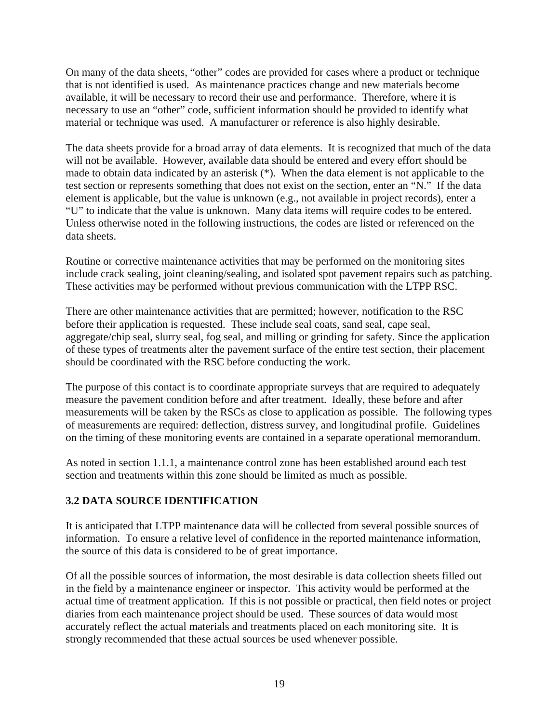<span id="page-26-0"></span>On many of the data sheets, "other" codes are provided for cases where a product or technique that is not identified is used. As maintenance practices change and new materials become available, it will be necessary to record their use and performance. Therefore, where it is necessary to use an "other" code, sufficient information should be provided to identify what material or technique was used. A manufacturer or reference is also highly desirable.

The data sheets provide for a broad array of data elements. It is recognized that much of the data will not be available. However, available data should be entered and every effort should be made to obtain data indicated by an asterisk (\*). When the data element is not applicable to the test section or represents something that does not exist on the section, enter an "N." If the data element is applicable, but the value is unknown (e.g., not available in project records), enter a "U" to indicate that the value is unknown. Many data items will require codes to be entered. Unless otherwise noted in the following instructions, the codes are listed or referenced on the data sheets.

Routine or corrective maintenance activities that may be performed on the monitoring sites include crack sealing, joint cleaning/sealing, and isolated spot pavement repairs such as patching. These activities may be performed without previous communication with the LTPP RSC.

There are other maintenance activities that are permitted; however, notification to the RSC before their application is requested. These include seal coats, sand seal, cape seal, aggregate/chip seal, slurry seal, fog seal, and milling or grinding for safety. Since the application of these types of treatments alter the pavement surface of the entire test section, their placement should be coordinated with the RSC before conducting the work.

The purpose of this contact is to coordinate appropriate surveys that are required to adequately measure the pavement condition before and after treatment. Ideally, these before and after measurements will be taken by the RSCs as close to application as possible. The following types of measurements are required: deflection, distress survey, and longitudinal profile. Guidelines on the timing of these monitoring events are contained in a separate operational memorandum.

As noted in section 1.1.1, a maintenance control zone has been established around each test section and treatments within this zone should be limited as much as possible.

### **3.2 DATA SOURCE IDENTIFICATION**

It is anticipated that LTPP maintenance data will be collected from several possible sources of information. To ensure a relative level of confidence in the reported maintenance information, the source of this data is considered to be of great importance.

Of all the possible sources of information, the most desirable is data collection sheets filled out in the field by a maintenance engineer or inspector. This activity would be performed at the actual time of treatment application. If this is not possible or practical, then field notes or project diaries from each maintenance project should be used. These sources of data would most accurately reflect the actual materials and treatments placed on each monitoring site. It is strongly recommended that these actual sources be used whenever possible.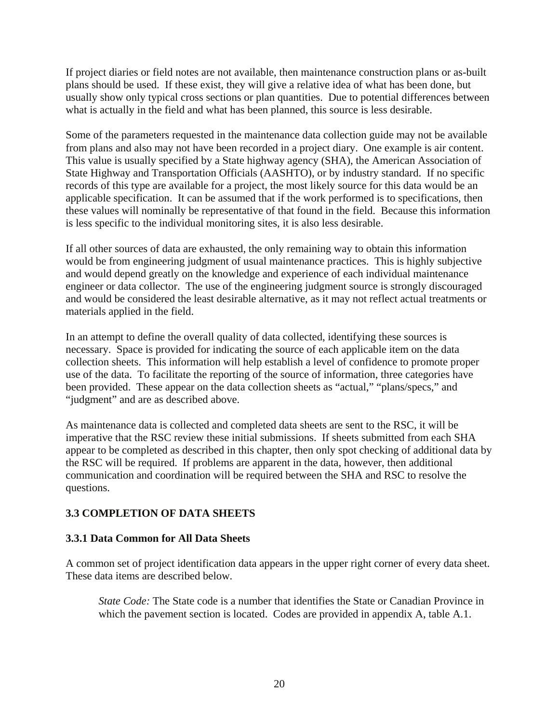<span id="page-27-0"></span>If project diaries or field notes are not available, then maintenance construction plans or as-built plans should be used. If these exist, they will give a relative idea of what has been done, but usually show only typical cross sections or plan quantities. Due to potential differences between what is actually in the field and what has been planned, this source is less desirable.

Some of the parameters requested in the maintenance data collection guide may not be available from plans and also may not have been recorded in a project diary. One example is air content. This value is usually specified by a State highway agency (SHA), the American Association of State Highway and Transportation Officials (AASHTO), or by industry standard. If no specific records of this type are available for a project, the most likely source for this data would be an applicable specification. It can be assumed that if the work performed is to specifications, then these values will nominally be representative of that found in the field. Because this information is less specific to the individual monitoring sites, it is also less desirable.

If all other sources of data are exhausted, the only remaining way to obtain this information would be from engineering judgment of usual maintenance practices. This is highly subjective and would depend greatly on the knowledge and experience of each individual maintenance engineer or data collector. The use of the engineering judgment source is strongly discouraged and would be considered the least desirable alternative, as it may not reflect actual treatments or materials applied in the field.

In an attempt to define the overall quality of data collected, identifying these sources is necessary. Space is provided for indicating the source of each applicable item on the data collection sheets. This information will help establish a level of confidence to promote proper use of the data. To facilitate the reporting of the source of information, three categories have been provided. These appear on the data collection sheets as "actual," "plans/specs," and "judgment" and are as described above.

As maintenance data is collected and completed data sheets are sent to the RSC, it will be imperative that the RSC review these initial submissions. If sheets submitted from each SHA appear to be completed as described in this chapter, then only spot checking of additional data by the RSC will be required. If problems are apparent in the data, however, then additional communication and coordination will be required between the SHA and RSC to resolve the questions.

#### **3.3 COMPLETION OF DATA SHEETS**

#### **3.3.1 Data Common for All Data Sheets**

A common set of project identification data appears in the upper right corner of every data sheet. These data items are described below.

*State Code:* The State code is a number that identifies the State or Canadian Province in which the pavement section is located. Codes are provided in appendix A, table A.1.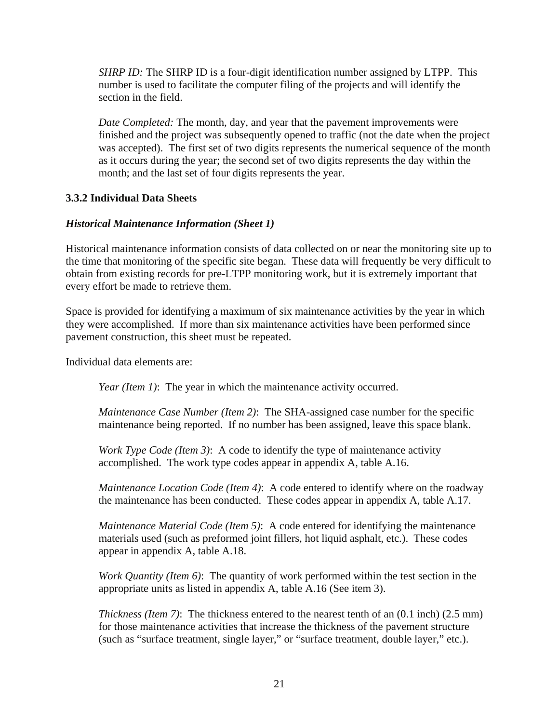<span id="page-28-0"></span>*SHRP ID:* The SHRP ID is a four-digit identification number assigned by LTPP. This number is used to facilitate the computer filing of the projects and will identify the section in the field.

*Date Completed:* The month, day, and year that the pavement improvements were finished and the project was subsequently opened to traffic (not the date when the project was accepted). The first set of two digits represents the numerical sequence of the month as it occurs during the year; the second set of two digits represents the day within the month; and the last set of four digits represents the year.

#### **3.3.2 Individual Data Sheets**

#### *Historical Maintenance Information (Sheet 1)*

Historical maintenance information consists of data collected on or near the monitoring site up to the time that monitoring of the specific site began. These data will frequently be very difficult to obtain from existing records for pre-LTPP monitoring work, but it is extremely important that every effort be made to retrieve them.

Space is provided for identifying a maximum of six maintenance activities by the year in which they were accomplished. If more than six maintenance activities have been performed since pavement construction, this sheet must be repeated.

Individual data elements are:

*Year (Item 1)*: The year in which the maintenance activity occurred.

*Maintenance Case Number (Item 2)*: The SHA-assigned case number for the specific maintenance being reported. If no number has been assigned, leave this space blank.

*Work Type Code (Item 3)*: A code to identify the type of maintenance activity accomplished. The work type codes appear in appendix A, table A.16.

*Maintenance Location Code (Item 4)*: A code entered to identify where on the roadway the maintenance has been conducted. These codes appear in appendix A, table A.17.

*Maintenance Material Code (Item 5)*: A code entered for identifying the maintenance materials used (such as preformed joint fillers, hot liquid asphalt, etc.). These codes appear in appendix A, table A.18.

*Work Quantity (Item 6)*: The quantity of work performed within the test section in the appropriate units as listed in appendix A, table A.16 (See item 3).

*Thickness (Item 7)*: The thickness entered to the nearest tenth of an (0.1 inch) (2.5 mm) for those maintenance activities that increase the thickness of the pavement structure (such as "surface treatment, single layer," or "surface treatment, double layer," etc.).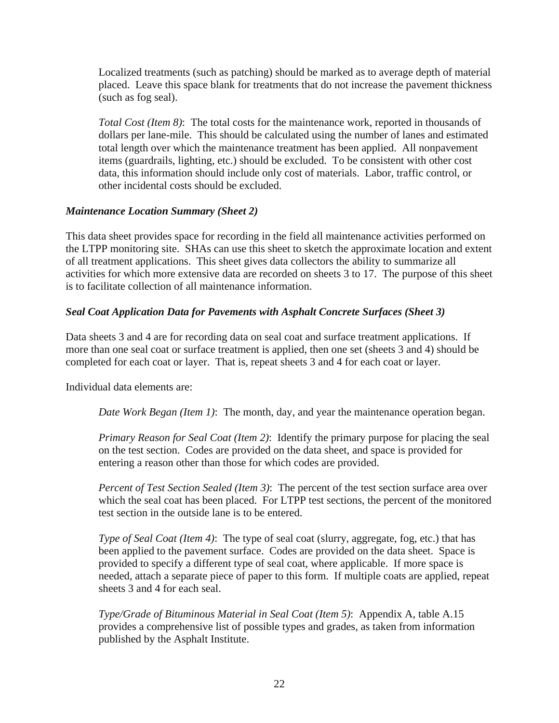Localized treatments (such as patching) should be marked as to average depth of material placed. Leave this space blank for treatments that do not increase the pavement thickness (such as fog seal).

*Total Cost (Item 8)*: The total costs for the maintenance work, reported in thousands of dollars per lane-mile. This should be calculated using the number of lanes and estimated total length over which the maintenance treatment has been applied. All nonpavement items (guardrails, lighting, etc.) should be excluded. To be consistent with other cost data, this information should include only cost of materials. Labor, traffic control, or other incidental costs should be excluded.

#### *Maintenance Location Summary (Sheet 2)*

This data sheet provides space for recording in the field all maintenance activities performed on the LTPP monitoring site. SHAs can use this sheet to sketch the approximate location and extent of all treatment applications. This sheet gives data collectors the ability to summarize all activities for which more extensive data are recorded on sheets 3 to 17. The purpose of this sheet is to facilitate collection of all maintenance information.

#### *Seal Coat Application Data for Pavements with Asphalt Concrete Surfaces (Sheet 3)*

Data sheets 3 and 4 are for recording data on seal coat and surface treatment applications. If more than one seal coat or surface treatment is applied, then one set (sheets 3 and 4) should be completed for each coat or layer. That is, repeat sheets 3 and 4 for each coat or layer.

Individual data elements are:

*Date Work Began (Item 1)*: The month, day, and year the maintenance operation began.

*Primary Reason for Seal Coat (Item 2)*: Identify the primary purpose for placing the seal on the test section. Codes are provided on the data sheet, and space is provided for entering a reason other than those for which codes are provided.

*Percent of Test Section Sealed (Item 3)*: The percent of the test section surface area over which the seal coat has been placed. For LTPP test sections, the percent of the monitored test section in the outside lane is to be entered.

*Type of Seal Coat (Item 4)*: The type of seal coat (slurry, aggregate, fog, etc.) that has been applied to the pavement surface. Codes are provided on the data sheet. Space is provided to specify a different type of seal coat, where applicable. If more space is needed, attach a separate piece of paper to this form. If multiple coats are applied, repeat sheets 3 and 4 for each seal.

*Type/Grade of Bituminous Material in Seal Coat (Item 5)*: Appendix A, table A.15 provides a comprehensive list of possible types and grades, as taken from information published by the Asphalt Institute.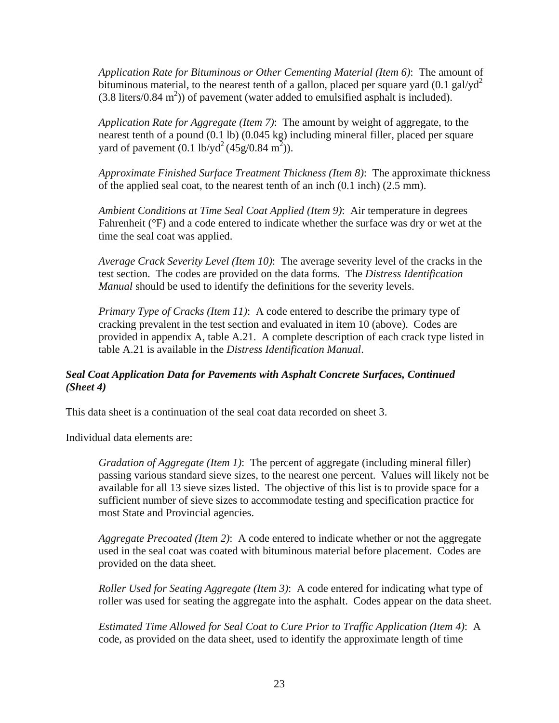*Application Rate for Bituminous or Other Cementing Material (Item 6)*: The amount of bituminous material, to the nearest tenth of a gallon, placed per square yard  $(0.1 \text{ gal/gd}^2)$  $(3.8 \text{ liters}/0.84 \text{ m}^2)$  of pavement (water added to emulsified asphalt is included).

*Application Rate for Aggregate (Item 7)*: The amount by weight of aggregate, to the nearest tenth of a pound (0.1 lb) (0.045 kg) including mineral filler, placed per square yard of pavement  $(0.1 \text{ lb/yd}^2 (45g/0.84 \text{ m}^2))$ .

*Approximate Finished Surface Treatment Thickness (Item 8)*: The approximate thickness of the applied seal coat, to the nearest tenth of an inch (0.1 inch) (2.5 mm).

*Ambient Conditions at Time Seal Coat Applied (Item 9)*: Air temperature in degrees Fahrenheit (°F) and a code entered to indicate whether the surface was dry or wet at the time the seal coat was applied.

*Average Crack Severity Level (Item 10)*: The average severity level of the cracks in the test section. The codes are provided on the data forms. The *Distress Identification Manual* should be used to identify the definitions for the severity levels.

*Primary Type of Cracks (Item 11)*: A code entered to describe the primary type of cracking prevalent in the test section and evaluated in item 10 (above). Codes are provided in appendix A, table A.21. A complete description of each crack type listed in table A.21 is available in the *Distress Identification Manual*.

### *Seal Coat Application Data for Pavements with Asphalt Concrete Surfaces, Continued (Sheet 4)*

This data sheet is a continuation of the seal coat data recorded on sheet 3.

Individual data elements are:

*Gradation of Aggregate (Item 1)*: The percent of aggregate (including mineral filler) passing various standard sieve sizes, to the nearest one percent. Values will likely not be available for all 13 sieve sizes listed. The objective of this list is to provide space for a sufficient number of sieve sizes to accommodate testing and specification practice for most State and Provincial agencies.

*Aggregate Precoated (Item 2)*: A code entered to indicate whether or not the aggregate used in the seal coat was coated with bituminous material before placement. Codes are provided on the data sheet.

*Roller Used for Seating Aggregate (Item 3)*: A code entered for indicating what type of roller was used for seating the aggregate into the asphalt. Codes appear on the data sheet.

*Estimated Time Allowed for Seal Coat to Cure Prior to Traffic Application (Item 4)*: A code, as provided on the data sheet, used to identify the approximate length of time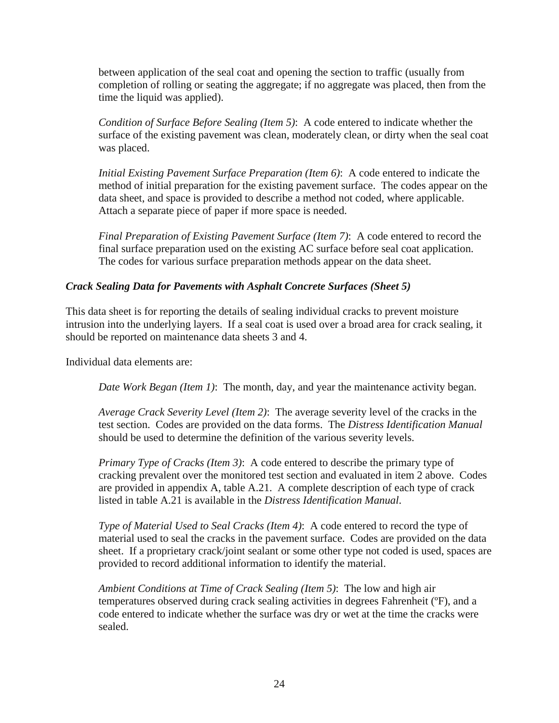between application of the seal coat and opening the section to traffic (usually from completion of rolling or seating the aggregate; if no aggregate was placed, then from the time the liquid was applied).

*Condition of Surface Before Sealing (Item 5)*: A code entered to indicate whether the surface of the existing pavement was clean, moderately clean, or dirty when the seal coat was placed.

*Initial Existing Pavement Surface Preparation (Item 6)*: A code entered to indicate the method of initial preparation for the existing pavement surface. The codes appear on the data sheet, and space is provided to describe a method not coded, where applicable. Attach a separate piece of paper if more space is needed.

*Final Preparation of Existing Pavement Surface (Item 7)*: A code entered to record the final surface preparation used on the existing AC surface before seal coat application. The codes for various surface preparation methods appear on the data sheet.

#### *Crack Sealing Data for Pavements with Asphalt Concrete Surfaces (Sheet 5)*

This data sheet is for reporting the details of sealing individual cracks to prevent moisture intrusion into the underlying layers. If a seal coat is used over a broad area for crack sealing, it should be reported on maintenance data sheets 3 and 4.

Individual data elements are:

*Date Work Began (Item 1)*: The month, day, and year the maintenance activity began.

*Average Crack Severity Level (Item 2)*: The average severity level of the cracks in the test section. Codes are provided on the data forms. The *Distress Identification Manual* should be used to determine the definition of the various severity levels.

*Primary Type of Cracks (Item 3)*: A code entered to describe the primary type of cracking prevalent over the monitored test section and evaluated in item 2 above. Codes are provided in appendix A, table A.21. A complete description of each type of crack listed in table A.21 is available in the *Distress Identification Manual*.

*Type of Material Used to Seal Cracks (Item 4)*: A code entered to record the type of material used to seal the cracks in the pavement surface. Codes are provided on the data sheet. If a proprietary crack/joint sealant or some other type not coded is used, spaces are provided to record additional information to identify the material.

*Ambient Conditions at Time of Crack Sealing (Item 5)*: The low and high air temperatures observed during crack sealing activities in degrees Fahrenheit (ºF), and a code entered to indicate whether the surface was dry or wet at the time the cracks were sealed.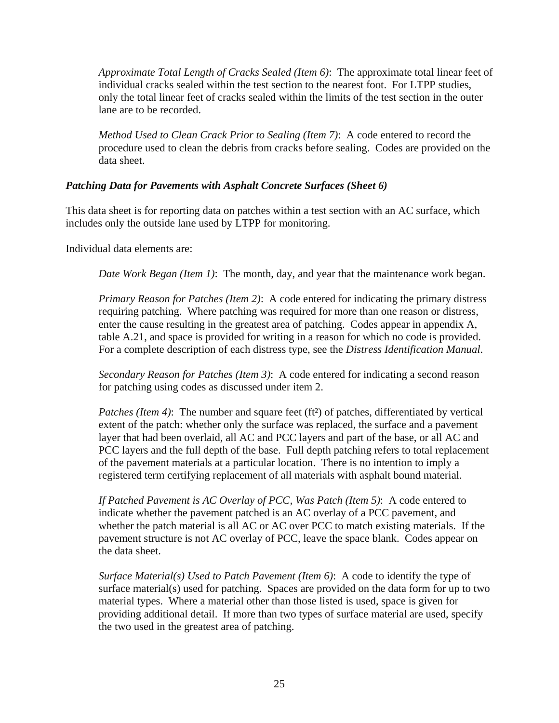*Approximate Total Length of Cracks Sealed (Item 6)*: The approximate total linear feet of individual cracks sealed within the test section to the nearest foot. For LTPP studies, only the total linear feet of cracks sealed within the limits of the test section in the outer lane are to be recorded.

*Method Used to Clean Crack Prior to Sealing (Item 7)*: A code entered to record the procedure used to clean the debris from cracks before sealing. Codes are provided on the data sheet.

#### *Patching Data for Pavements with Asphalt Concrete Surfaces (Sheet 6)*

This data sheet is for reporting data on patches within a test section with an AC surface, which includes only the outside lane used by LTPP for monitoring.

Individual data elements are:

*Date Work Began (Item 1)*: The month, day, and year that the maintenance work began.

*Primary Reason for Patches (Item 2)*: A code entered for indicating the primary distress requiring patching. Where patching was required for more than one reason or distress, enter the cause resulting in the greatest area of patching. Codes appear in appendix A, table A.21, and space is provided for writing in a reason for which no code is provided. For a complete description of each distress type, see the *Distress Identification Manual*.

*Secondary Reason for Patches (Item 3)*: A code entered for indicating a second reason for patching using codes as discussed under item 2.

*Patches (Item 4)*: The number and square feet (ft<sup>2</sup>) of patches, differentiated by vertical extent of the patch: whether only the surface was replaced, the surface and a pavement layer that had been overlaid, all AC and PCC layers and part of the base, or all AC and PCC layers and the full depth of the base. Full depth patching refers to total replacement of the pavement materials at a particular location. There is no intention to imply a registered term certifying replacement of all materials with asphalt bound material.

*If Patched Pavement is AC Overlay of PCC, Was Patch (Item 5)*: A code entered to indicate whether the pavement patched is an AC overlay of a PCC pavement, and whether the patch material is all AC or AC over PCC to match existing materials. If the pavement structure is not AC overlay of PCC, leave the space blank. Codes appear on the data sheet.

*Surface Material(s) Used to Patch Pavement (Item 6)*: A code to identify the type of surface material(s) used for patching. Spaces are provided on the data form for up to two material types. Where a material other than those listed is used, space is given for providing additional detail. If more than two types of surface material are used, specify the two used in the greatest area of patching.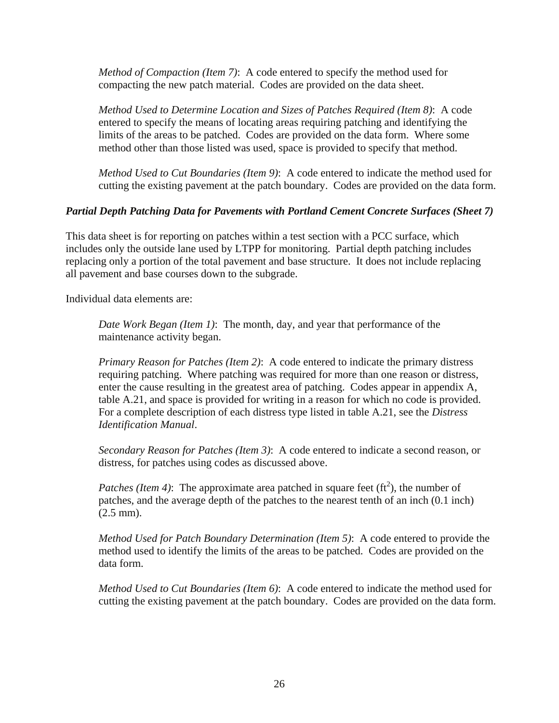*Method of Compaction (Item 7)*: A code entered to specify the method used for compacting the new patch material. Codes are provided on the data sheet.

*Method Used to Determine Location and Sizes of Patches Required (Item 8)*: A code entered to specify the means of locating areas requiring patching and identifying the limits of the areas to be patched. Codes are provided on the data form. Where some method other than those listed was used, space is provided to specify that method.

*Method Used to Cut Boundaries (Item 9)*: A code entered to indicate the method used for cutting the existing pavement at the patch boundary. Codes are provided on the data form.

#### *Partial Depth Patching Data for Pavements with Portland Cement Concrete Surfaces (Sheet 7)*

This data sheet is for reporting on patches within a test section with a PCC surface, which includes only the outside lane used by LTPP for monitoring. Partial depth patching includes replacing only a portion of the total pavement and base structure. It does not include replacing all pavement and base courses down to the subgrade.

Individual data elements are:

*Date Work Began (Item 1)*: The month, day, and year that performance of the maintenance activity began.

*Primary Reason for Patches (Item 2)*: A code entered to indicate the primary distress requiring patching. Where patching was required for more than one reason or distress, enter the cause resulting in the greatest area of patching. Codes appear in appendix A, table A.21, and space is provided for writing in a reason for which no code is provided. For a complete description of each distress type listed in table A.21, see the *Distress Identification Manual*.

*Secondary Reason for Patches (Item 3)*: A code entered to indicate a second reason, or distress, for patches using codes as discussed above.

*Patches (Item 4)*: The approximate area patched in square feet  $(\text{ft}^2)$ , the number of patches, and the average depth of the patches to the nearest tenth of an inch (0.1 inch) (2.5 mm).

*Method Used for Patch Boundary Determination (Item 5)*: A code entered to provide the method used to identify the limits of the areas to be patched. Codes are provided on the data form.

*Method Used to Cut Boundaries (Item 6)*: A code entered to indicate the method used for cutting the existing pavement at the patch boundary. Codes are provided on the data form.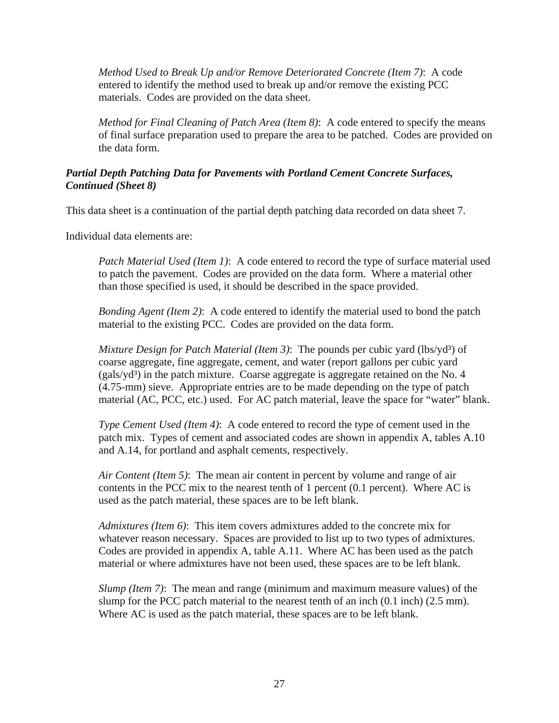*Method Used to Break Up and/or Remove Deteriorated Concrete (Item 7)*: A code entered to identify the method used to break up and/or remove the existing PCC materials. Codes are provided on the data sheet.

*Method for Final Cleaning of Patch Area (Item 8)*: A code entered to specify the means of final surface preparation used to prepare the area to be patched. Codes are provided on the data form.

#### *Partial Depth Patching Data for Pavements with Portland Cement Concrete Surfaces, Continued (Sheet 8)*

This data sheet is a continuation of the partial depth patching data recorded on data sheet 7.

Individual data elements are:

*Patch Material Used (Item 1)*: A code entered to record the type of surface material used to patch the pavement. Codes are provided on the data form. Where a material other than those specified is used, it should be described in the space provided.

*Bonding Agent (Item 2)*: A code entered to identify the material used to bond the patch material to the existing PCC. Codes are provided on the data form.

*Mixture Design for Patch Material (Item 3)*: The pounds per cubic yard (lbs/yd<sup>3</sup>) of coarse aggregate, fine aggregate, cement, and water (report gallons per cubic yard  $(gals/yd<sup>3</sup>)$  in the patch mixture. Coarse aggregate is aggregate retained on the No. 4 (4.75-mm) sieve. Appropriate entries are to be made depending on the type of patch material (AC, PCC, etc.) used. For AC patch material, leave the space for "water" blank.

*Type Cement Used (Item 4)*: A code entered to record the type of cement used in the patch mix. Types of cement and associated codes are shown in appendix A, tables A.10 and A.14, for portland and asphalt cements, respectively.

*Air Content (Item 5)*: The mean air content in percent by volume and range of air contents in the PCC mix to the nearest tenth of 1 percent (0.1 percent). Where AC is used as the patch material, these spaces are to be left blank.

*Admixtures (Item 6)*: This item covers admixtures added to the concrete mix for whatever reason necessary. Spaces are provided to list up to two types of admixtures. Codes are provided in appendix A, table A.11. Where AC has been used as the patch material or where admixtures have not been used, these spaces are to be left blank.

*Slump (Item 7)*: The mean and range (minimum and maximum measure values) of the slump for the PCC patch material to the nearest tenth of an inch (0.1 inch) (2.5 mm). Where AC is used as the patch material, these spaces are to be left blank.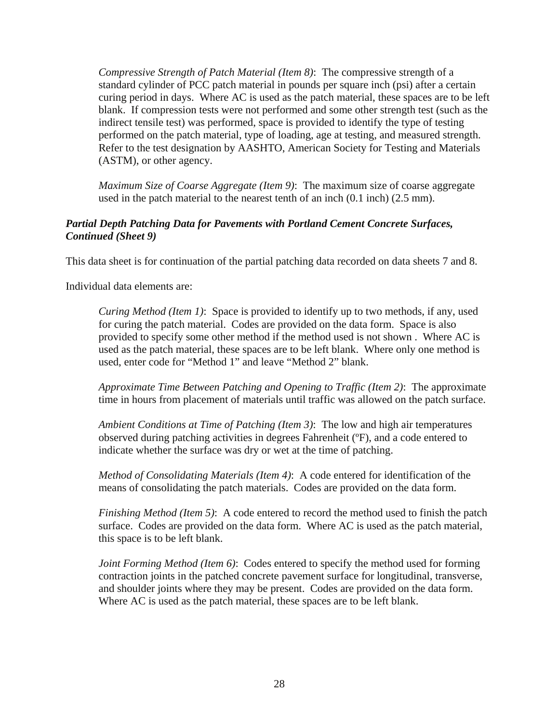*Compressive Strength of Patch Material (Item 8)*: The compressive strength of a standard cylinder of PCC patch material in pounds per square inch (psi) after a certain curing period in days. Where AC is used as the patch material, these spaces are to be left blank. If compression tests were not performed and some other strength test (such as the indirect tensile test) was performed, space is provided to identify the type of testing performed on the patch material, type of loading, age at testing, and measured strength. Refer to the test designation by AASHTO, American Society for Testing and Materials (ASTM), or other agency.

*Maximum Size of Coarse Aggregate (Item 9)*: The maximum size of coarse aggregate used in the patch material to the nearest tenth of an inch (0.1 inch) (2.5 mm).

#### *Partial Depth Patching Data for Pavements with Portland Cement Concrete Surfaces, Continued (Sheet 9)*

This data sheet is for continuation of the partial patching data recorded on data sheets 7 and 8.

Individual data elements are:

*Curing Method (Item 1)*: Space is provided to identify up to two methods, if any, used for curing the patch material. Codes are provided on the data form. Space is also provided to specify some other method if the method used is not shown . Where AC is used as the patch material, these spaces are to be left blank. Where only one method is used, enter code for "Method 1" and leave "Method 2" blank.

*Approximate Time Between Patching and Opening to Traffic (Item 2)*: The approximate time in hours from placement of materials until traffic was allowed on the patch surface.

*Ambient Conditions at Time of Patching (Item 3)*: The low and high air temperatures observed during patching activities in degrees Fahrenheit (ºF), and a code entered to indicate whether the surface was dry or wet at the time of patching.

*Method of Consolidating Materials (Item 4)*: A code entered for identification of the means of consolidating the patch materials. Codes are provided on the data form.

*Finishing Method (Item 5)*: A code entered to record the method used to finish the patch surface. Codes are provided on the data form. Where AC is used as the patch material, this space is to be left blank.

*Joint Forming Method (Item 6)*: Codes entered to specify the method used for forming contraction joints in the patched concrete pavement surface for longitudinal, transverse, and shoulder joints where they may be present. Codes are provided on the data form. Where AC is used as the patch material, these spaces are to be left blank.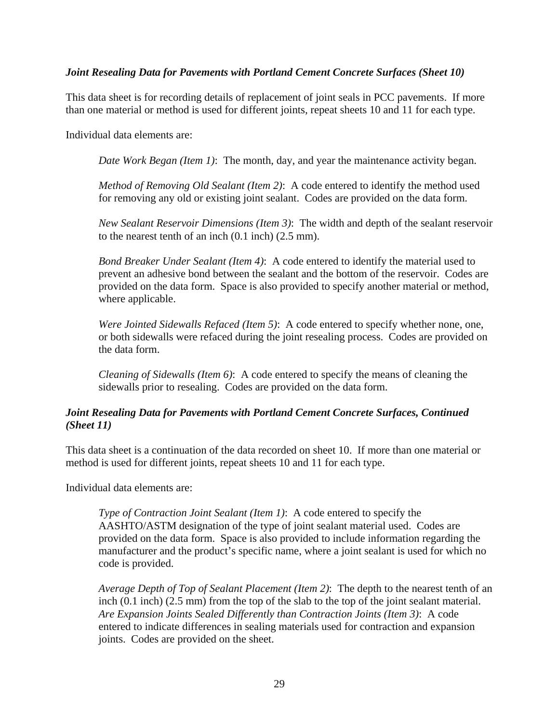## *Joint Resealing Data for Pavements with Portland Cement Concrete Surfaces (Sheet 10)*

This data sheet is for recording details of replacement of joint seals in PCC pavements. If more than one material or method is used for different joints, repeat sheets 10 and 11 for each type.

Individual data elements are:

*Date Work Began (Item 1)*: The month, day, and year the maintenance activity began.

*Method of Removing Old Sealant (Item 2)*: A code entered to identify the method used for removing any old or existing joint sealant. Codes are provided on the data form.

*New Sealant Reservoir Dimensions (Item 3)*: The width and depth of the sealant reservoir to the nearest tenth of an inch (0.1 inch) (2.5 mm).

*Bond Breaker Under Sealant (Item 4)*: A code entered to identify the material used to prevent an adhesive bond between the sealant and the bottom of the reservoir. Codes are provided on the data form. Space is also provided to specify another material or method, where applicable.

*Were Jointed Sidewalls Refaced (Item 5)*: A code entered to specify whether none, one, or both sidewalls were refaced during the joint resealing process. Codes are provided on the data form.

*Cleaning of Sidewalls (Item 6)*: A code entered to specify the means of cleaning the sidewalls prior to resealing. Codes are provided on the data form.

### *Joint Resealing Data for Pavements with Portland Cement Concrete Surfaces, Continued (Sheet 11)*

This data sheet is a continuation of the data recorded on sheet 10. If more than one material or method is used for different joints, repeat sheets 10 and 11 for each type.

Individual data elements are:

*Type of Contraction Joint Sealant (Item 1)*: A code entered to specify the AASHTO/ASTM designation of the type of joint sealant material used. Codes are provided on the data form. Space is also provided to include information regarding the manufacturer and the product's specific name, where a joint sealant is used for which no code is provided.

*Average Depth of Top of Sealant Placement (Item 2)*: The depth to the nearest tenth of an inch (0.1 inch) (2.5 mm) from the top of the slab to the top of the joint sealant material. *Are Expansion Joints Sealed Differently than Contraction Joints (Item 3)*: A code entered to indicate differences in sealing materials used for contraction and expansion joints. Codes are provided on the sheet.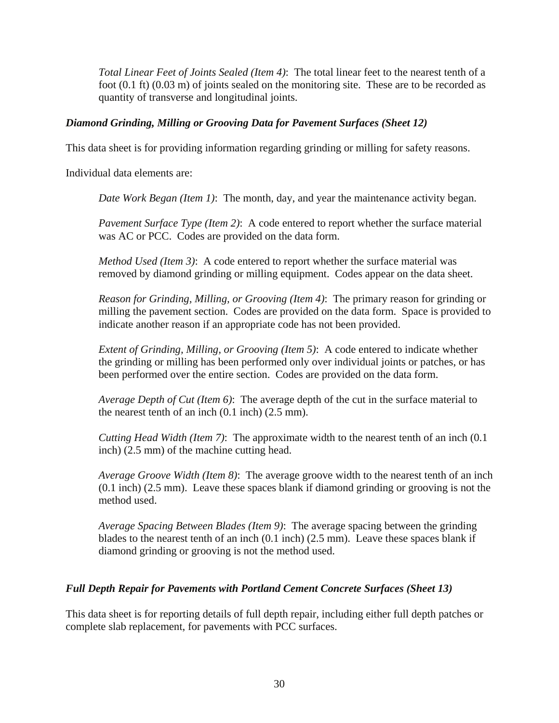*Total Linear Feet of Joints Sealed (Item 4)*: The total linear feet to the nearest tenth of a foot (0.1 ft) (0.03 m) of joints sealed on the monitoring site. These are to be recorded as quantity of transverse and longitudinal joints.

### *Diamond Grinding, Milling or Grooving Data for Pavement Surfaces (Sheet 12)*

This data sheet is for providing information regarding grinding or milling for safety reasons.

Individual data elements are:

*Date Work Began (Item 1)*: The month, day, and year the maintenance activity began.

*Pavement Surface Type (Item 2)*: A code entered to report whether the surface material was AC or PCC. Codes are provided on the data form.

*Method Used (Item 3)*: A code entered to report whether the surface material was removed by diamond grinding or milling equipment. Codes appear on the data sheet.

*Reason for Grinding, Milling, or Grooving (Item 4)*: The primary reason for grinding or milling the pavement section. Codes are provided on the data form. Space is provided to indicate another reason if an appropriate code has not been provided.

*Extent of Grinding, Milling, or Grooving (Item 5)*: A code entered to indicate whether the grinding or milling has been performed only over individual joints or patches, or has been performed over the entire section. Codes are provided on the data form.

*Average Depth of Cut (Item 6)*: The average depth of the cut in the surface material to the nearest tenth of an inch (0.1 inch) (2.5 mm).

*Cutting Head Width (Item 7)*: The approximate width to the nearest tenth of an inch (0.1 inch) (2.5 mm) of the machine cutting head.

*Average Groove Width (Item 8)*: The average groove width to the nearest tenth of an inch (0.1 inch) (2.5 mm). Leave these spaces blank if diamond grinding or grooving is not the method used.

*Average Spacing Between Blades (Item 9)*: The average spacing between the grinding blades to the nearest tenth of an inch (0.1 inch) (2.5 mm). Leave these spaces blank if diamond grinding or grooving is not the method used.

# *Full Depth Repair for Pavements with Portland Cement Concrete Surfaces (Sheet 13)*

This data sheet is for reporting details of full depth repair, including either full depth patches or complete slab replacement, for pavements with PCC surfaces.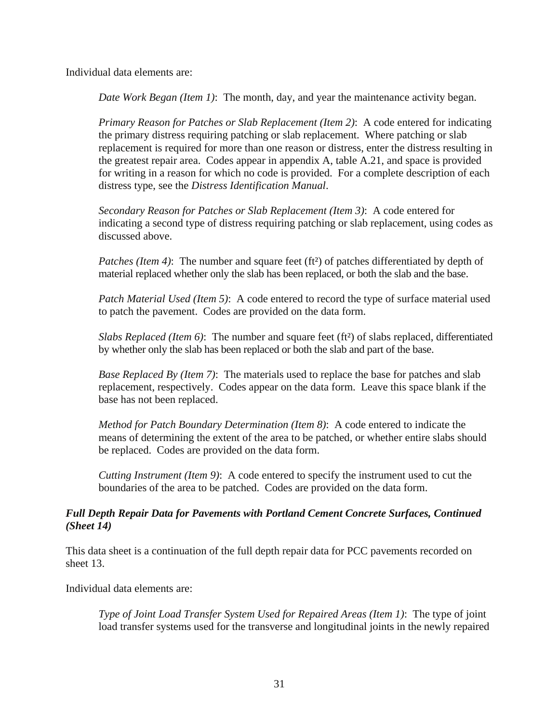Individual data elements are:

*Date Work Began (Item 1)*: The month, day, and year the maintenance activity began.

*Primary Reason for Patches or Slab Replacement (Item 2)*: A code entered for indicating the primary distress requiring patching or slab replacement. Where patching or slab replacement is required for more than one reason or distress, enter the distress resulting in the greatest repair area. Codes appear in appendix A, table A.21, and space is provided for writing in a reason for which no code is provided. For a complete description of each distress type, see the *Distress Identification Manual*.

*Secondary Reason for Patches or Slab Replacement (Item 3)*: A code entered for indicating a second type of distress requiring patching or slab replacement, using codes as discussed above.

*Patches (Item 4)*: The number and square feet (ft<sup>2</sup>) of patches differentiated by depth of material replaced whether only the slab has been replaced, or both the slab and the base.

*Patch Material Used (Item 5)*: A code entered to record the type of surface material used to patch the pavement. Codes are provided on the data form.

*Slabs Replaced (Item 6)*: The number and square feet (ft²) of slabs replaced, differentiated by whether only the slab has been replaced or both the slab and part of the base.

*Base Replaced By (Item 7)*: The materials used to replace the base for patches and slab replacement, respectively. Codes appear on the data form. Leave this space blank if the base has not been replaced.

*Method for Patch Boundary Determination (Item 8)*: A code entered to indicate the means of determining the extent of the area to be patched, or whether entire slabs should be replaced. Codes are provided on the data form.

*Cutting Instrument (Item 9)*: A code entered to specify the instrument used to cut the boundaries of the area to be patched. Codes are provided on the data form.

# *Full Depth Repair Data for Pavements with Portland Cement Concrete Surfaces, Continued (Sheet 14)*

This data sheet is a continuation of the full depth repair data for PCC pavements recorded on sheet 13.

Individual data elements are:

*Type of Joint Load Transfer System Used for Repaired Areas (Item 1)*: The type of joint load transfer systems used for the transverse and longitudinal joints in the newly repaired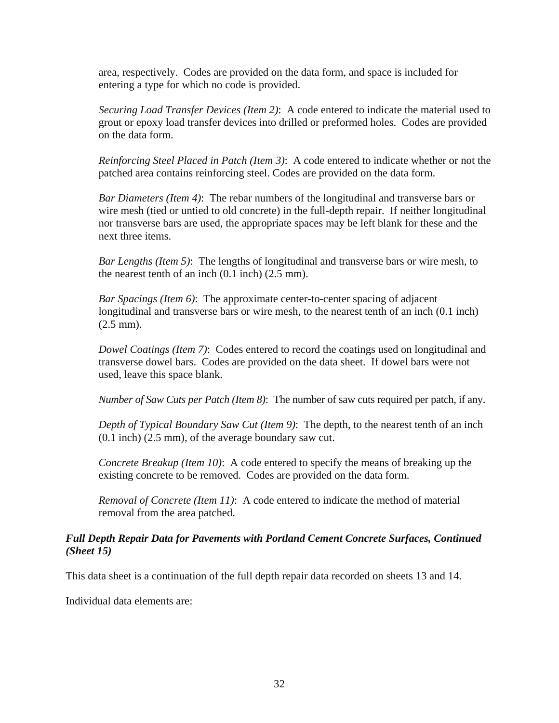area, respectively. Codes are provided on the data form, and space is included for entering a type for which no code is provided.

*Securing Load Transfer Devices (Item 2)*: A code entered to indicate the material used to grout or epoxy load transfer devices into drilled or preformed holes. Codes are provided on the data form.

*Reinforcing Steel Placed in Patch (Item 3)*: A code entered to indicate whether or not the patched area contains reinforcing steel. Codes are provided on the data form.

*Bar Diameters (Item 4)*: The rebar numbers of the longitudinal and transverse bars or wire mesh (tied or untied to old concrete) in the full-depth repair. If neither longitudinal nor transverse bars are used, the appropriate spaces may be left blank for these and the next three items.

*Bar Lengths (Item 5)*: The lengths of longitudinal and transverse bars or wire mesh, to the nearest tenth of an inch (0.1 inch) (2.5 mm).

*Bar Spacings (Item 6)*: The approximate center-to-center spacing of adjacent longitudinal and transverse bars or wire mesh, to the nearest tenth of an inch (0.1 inch) (2.5 mm).

*Dowel Coatings (Item 7)*: Codes entered to record the coatings used on longitudinal and transverse dowel bars. Codes are provided on the data sheet. If dowel bars were not used, leave this space blank.

*Number of Saw Cuts per Patch (Item 8)*: The number of saw cuts required per patch, if any.

*Depth of Typical Boundary Saw Cut (Item 9)*: The depth, to the nearest tenth of an inch (0.1 inch) (2.5 mm), of the average boundary saw cut.

*Concrete Breakup (Item 10)*: A code entered to specify the means of breaking up the existing concrete to be removed. Codes are provided on the data form.

*Removal of Concrete (Item 11)*: A code entered to indicate the method of material removal from the area patched.

#### *Full Depth Repair Data for Pavements with Portland Cement Concrete Surfaces, Continued (Sheet 15)*

This data sheet is a continuation of the full depth repair data recorded on sheets 13 and 14.

Individual data elements are: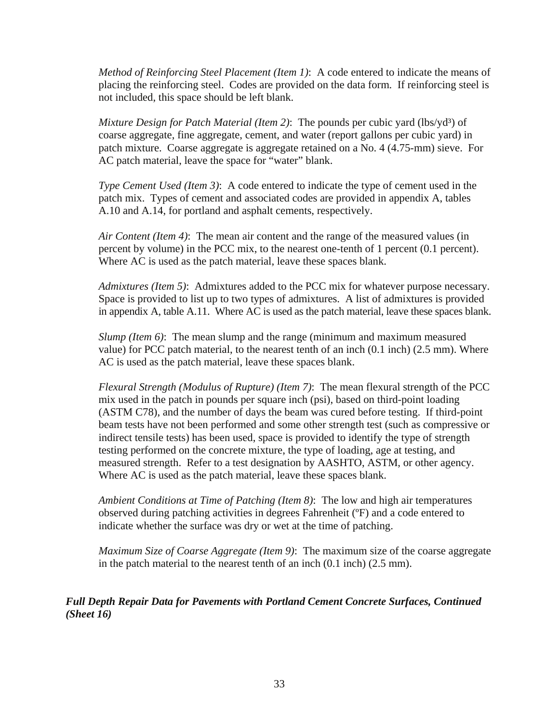*Method of Reinforcing Steel Placement (Item 1)*: A code entered to indicate the means of placing the reinforcing steel. Codes are provided on the data form. If reinforcing steel is not included, this space should be left blank.

*Mixture Design for Patch Material (Item 2)*: The pounds per cubic yard (lbs/yd<sup>3</sup>) of coarse aggregate, fine aggregate, cement, and water (report gallons per cubic yard) in patch mixture. Coarse aggregate is aggregate retained on a No. 4 (4.75-mm) sieve. For AC patch material, leave the space for "water" blank.

*Type Cement Used (Item 3)*: A code entered to indicate the type of cement used in the patch mix. Types of cement and associated codes are provided in appendix A, tables A.10 and A.14, for portland and asphalt cements, respectively.

*Air Content (Item 4)*: The mean air content and the range of the measured values (in percent by volume) in the PCC mix, to the nearest one-tenth of 1 percent (0.1 percent). Where AC is used as the patch material, leave these spaces blank.

*Admixtures (Item 5)*: Admixtures added to the PCC mix for whatever purpose necessary. Space is provided to list up to two types of admixtures. A list of admixtures is provided in appendix A, table A.11. Where AC is used as the patch material, leave these spaces blank.

*Slump (Item 6)*: The mean slump and the range (minimum and maximum measured value) for PCC patch material, to the nearest tenth of an inch (0.1 inch) (2.5 mm). Where AC is used as the patch material, leave these spaces blank.

*Flexural Strength (Modulus of Rupture) (Item 7)*: The mean flexural strength of the PCC mix used in the patch in pounds per square inch (psi), based on third-point loading (ASTM C78), and the number of days the beam was cured before testing. If third-point beam tests have not been performed and some other strength test (such as compressive or indirect tensile tests) has been used, space is provided to identify the type of strength testing performed on the concrete mixture, the type of loading, age at testing, and measured strength. Refer to a test designation by AASHTO, ASTM, or other agency. Where AC is used as the patch material, leave these spaces blank.

*Ambient Conditions at Time of Patching (Item 8)*: The low and high air temperatures observed during patching activities in degrees Fahrenheit (ºF) and a code entered to indicate whether the surface was dry or wet at the time of patching.

*Maximum Size of Coarse Aggregate (Item 9)*: The maximum size of the coarse aggregate in the patch material to the nearest tenth of an inch (0.1 inch) (2.5 mm).

*Full Depth Repair Data for Pavements with Portland Cement Concrete Surfaces, Continued (Sheet 16)*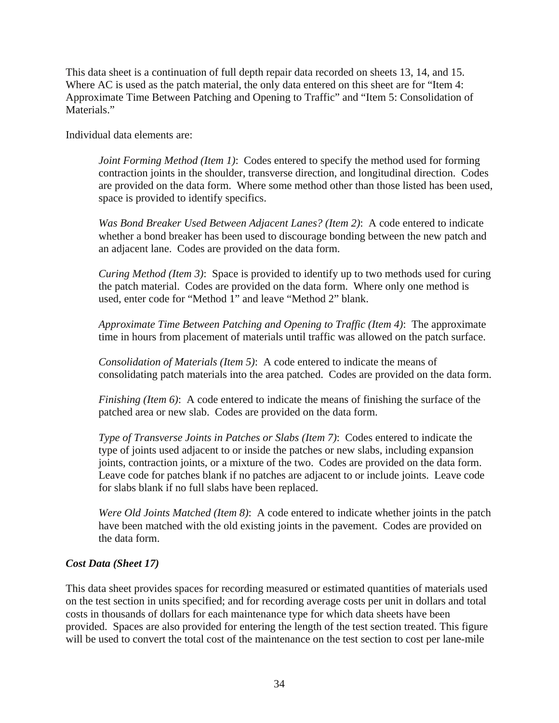This data sheet is a continuation of full depth repair data recorded on sheets 13, 14, and 15. Where AC is used as the patch material, the only data entered on this sheet are for "Item 4: Approximate Time Between Patching and Opening to Traffic" and "Item 5: Consolidation of Materials."

Individual data elements are:

*Joint Forming Method (Item 1)*: Codes entered to specify the method used for forming contraction joints in the shoulder, transverse direction, and longitudinal direction. Codes are provided on the data form. Where some method other than those listed has been used, space is provided to identify specifics.

*Was Bond Breaker Used Between Adjacent Lanes? (Item 2)*: A code entered to indicate whether a bond breaker has been used to discourage bonding between the new patch and an adjacent lane. Codes are provided on the data form.

*Curing Method (Item 3)*: Space is provided to identify up to two methods used for curing the patch material. Codes are provided on the data form. Where only one method is used, enter code for "Method 1" and leave "Method 2" blank.

*Approximate Time Between Patching and Opening to Traffic (Item 4)*: The approximate time in hours from placement of materials until traffic was allowed on the patch surface.

*Consolidation of Materials (Item 5)*: A code entered to indicate the means of consolidating patch materials into the area patched. Codes are provided on the data form.

*Finishing (Item 6)*: A code entered to indicate the means of finishing the surface of the patched area or new slab. Codes are provided on the data form.

*Type of Transverse Joints in Patches or Slabs (Item 7)*: Codes entered to indicate the type of joints used adjacent to or inside the patches or new slabs, including expansion joints, contraction joints, or a mixture of the two. Codes are provided on the data form. Leave code for patches blank if no patches are adjacent to or include joints. Leave code for slabs blank if no full slabs have been replaced.

*Were Old Joints Matched (Item 8)*: A code entered to indicate whether joints in the patch have been matched with the old existing joints in the pavement. Codes are provided on the data form.

# *Cost Data (Sheet 17)*

This data sheet provides spaces for recording measured or estimated quantities of materials used on the test section in units specified; and for recording average costs per unit in dollars and total costs in thousands of dollars for each maintenance type for which data sheets have been provided. Spaces are also provided for entering the length of the test section treated. This figure will be used to convert the total cost of the maintenance on the test section to cost per lane-mile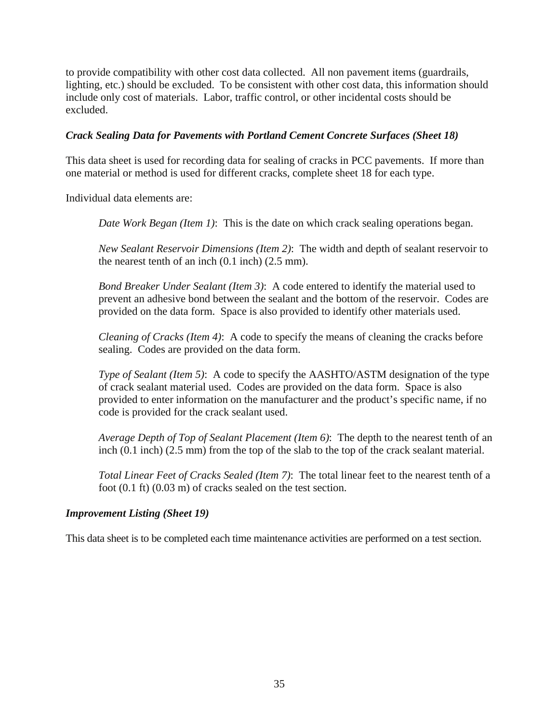to provide compatibility with other cost data collected. All non pavement items (guardrails, lighting, etc.) should be excluded. To be consistent with other cost data, this information should include only cost of materials. Labor, traffic control, or other incidental costs should be excluded.

## *Crack Sealing Data for Pavements with Portland Cement Concrete Surfaces (Sheet 18)*

This data sheet is used for recording data for sealing of cracks in PCC pavements. If more than one material or method is used for different cracks, complete sheet 18 for each type.

Individual data elements are:

*Date Work Began (Item 1)*: This is the date on which crack sealing operations began.

*New Sealant Reservoir Dimensions (Item 2)*: The width and depth of sealant reservoir to the nearest tenth of an inch (0.1 inch) (2.5 mm).

*Bond Breaker Under Sealant (Item 3)*: A code entered to identify the material used to prevent an adhesive bond between the sealant and the bottom of the reservoir. Codes are provided on the data form. Space is also provided to identify other materials used.

*Cleaning of Cracks (Item 4)*: A code to specify the means of cleaning the cracks before sealing. Codes are provided on the data form.

*Type of Sealant (Item 5)*: A code to specify the AASHTO/ASTM designation of the type of crack sealant material used. Codes are provided on the data form. Space is also provided to enter information on the manufacturer and the product's specific name, if no code is provided for the crack sealant used.

*Average Depth of Top of Sealant Placement (Item 6)*: The depth to the nearest tenth of an inch (0.1 inch) (2.5 mm) from the top of the slab to the top of the crack sealant material.

*Total Linear Feet of Cracks Sealed (Item 7)*: The total linear feet to the nearest tenth of a foot (0.1 ft) (0.03 m) of cracks sealed on the test section.

#### *Improvement Listing (Sheet 19)*

This data sheet is to be completed each time maintenance activities are performed on a test section.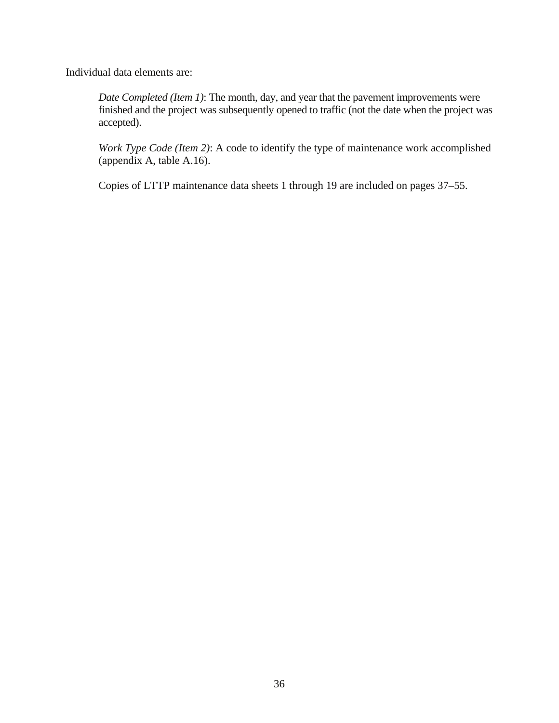Individual data elements are:

*Date Completed (Item 1)*: The month, day, and year that the pavement improvements were finished and the project was subsequently opened to traffic (not the date when the project was accepted).

*Work Type Code (Item 2)*: A code to identify the type of maintenance work accomplished (appendix A, table A.16).

Copies of LTTP maintenance data sheets 1 through 19 are included on pages 37–55.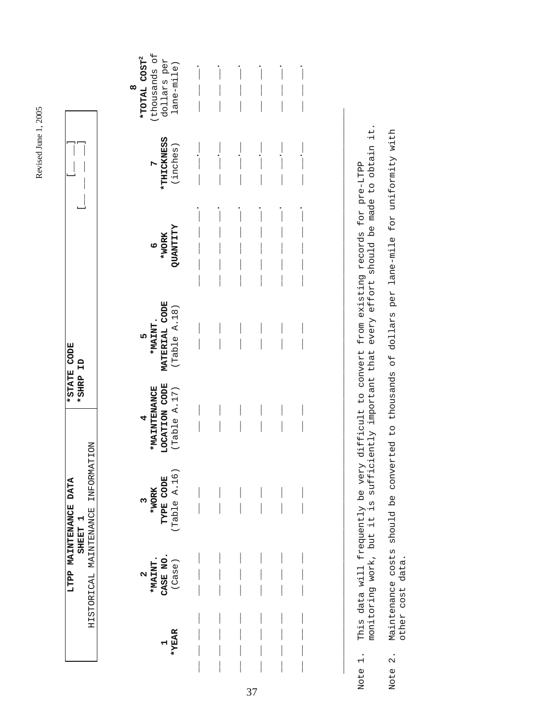| S |
|---|
|   |
| 2 |
|   |
| ٦ |
| Ì |
|   |
| ٢ |
|   |
|   |
|   |

| ì<br>j<br><b>ATA</b><br>)<br>1<br>F<br>F<br>F<br>i<br>C<br>Ē<br>i<br>Notar<br>į<br>i<br>V<br>LTPP 1                                     | $\frac{1}{\sqrt{2}}$<br>$\begin{array}{c} \begin{array}{c} \begin{array}{c} \end{array} \end{array} \end{array}$<br>岡口の<br><b>TATE</b><br>$\frac{1}{2}$ |
|-----------------------------------------------------------------------------------------------------------------------------------------|---------------------------------------------------------------------------------------------------------------------------------------------------------|
| UTTI<br>$\frac{1}{2}$<br>l<br>ו<br>ו<br>しくりょ<br>∣<br>. KHADI DI HAHA KUN<br> <br> <br> <br>1<br> <br>l<br>1<br>FRUIDOFDF:<br>コウソーンコントコー |                                                                                                                                                         |

| thousands of<br>*TOTAL COST <sup>2</sup><br>dollars per<br>lane-mile)<br>œ                                                  |  |  |                          |  |
|-----------------------------------------------------------------------------------------------------------------------------|--|--|--------------------------|--|
| *THICKNESS<br>(inches)<br>$\overline{a}$                                                                                    |  |  |                          |  |
| <b>ZLITANTI</b><br>6<br>*WORK                                                                                               |  |  | $\overline{\phantom{a}}$ |  |
| MATERIAL CODE<br>(Table A.18)<br>$5$<br>*MAINT.<br>$\frac{1}{2}$                                                            |  |  |                          |  |
| LOCATION CODE<br>(Table A.17)<br>*MAINTENANCE<br>4                                                                          |  |  |                          |  |
| $\begin{array}{ll} & 3\\ \text{\tt *WORK}\\ \texttt{TYPE} & \texttt{CODE}\\ \texttt{CTable} & \texttt{A.16})\\ \end{array}$ |  |  |                          |  |
| *MAINT.<br>CASE NO.<br>CASE NO.                                                                                             |  |  |                          |  |
| $7*_{YERR}$                                                                                                                 |  |  |                          |  |

37

monitoring work, but it is sufficiently important that every effort should be made to obtain it. This data will frequently be very difficult to convert from existing records for pre-LTPP<br>monitoring work, but it is sufficiently important that every effort should be made to obtain it. Note 1. This data will frequently be very difficult to convert from existing records for pre-LTPP Note 1.

\_\_\_\_\_\_\_\_\_\_\_\_\_\_\_\_\_\_\_\_\_\_\_\_\_\_\_\_\_\_\_\_\_\_\_\_\_\_\_\_\_\_\_\_\_\_\_\_\_\_\_\_\_\_\_\_\_\_\_\_\_\_\_\_\_\_\_\_\_\_\_\_\_\_\_\_\_\_\_\_\_\_\_\_\_\_\_\_\_\_\_\_\_\_\_\_\_\_\_\_\_\_\_\_\_

Note 2. Maintenance costs should be converted to thousands of dollars per lane-mile for uniformity with Maintenance costs should be converted to thousands of dollars per lane-mile for uniformity with other cost data. other cost data. Note 2.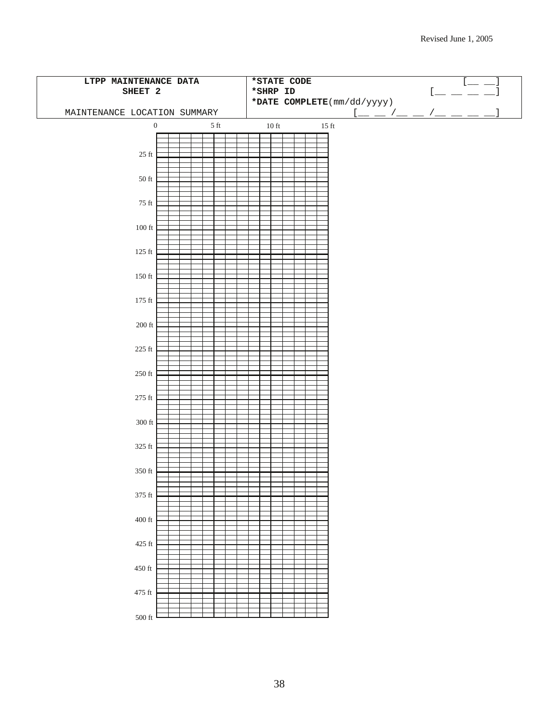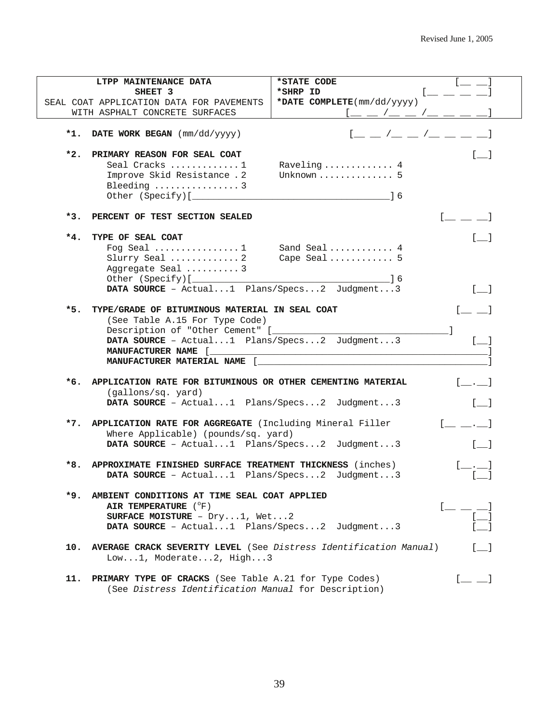|       | LTPP MAINTENANCE DATA                                             | *STATE CODE                                         |                                                |
|-------|-------------------------------------------------------------------|-----------------------------------------------------|------------------------------------------------|
|       | SHEET 3                                                           | *SHRP ID                                            |                                                |
|       | SEAL COAT APPLICATION DATA FOR PAVEMENTS                          | *DATE COMPLETE(mm/dd/yyyy)                          |                                                |
|       | WITH ASPHALT CONCRETE SURFACES                                    |                                                     |                                                |
|       | *1. DATE WORK BEGAN (mm/dd/yyyy)                                  | $[$ $\_$ $\_$ $/$ $\_$ $\_$ $/$ $\_$ $\_$ $\_$ $\_$ |                                                |
| *2.   | PRIMARY REASON FOR SEAL COAT                                      |                                                     | $\begin{bmatrix} 1 & 1 \end{bmatrix}$          |
|       | Seal Cracks 1                                                     | Raveling 4                                          |                                                |
|       | Improve Skid Resistance . 2                                       | Unknown $\ldots \ldots \ldots \ldots 5$             |                                                |
|       | Bleeding  3                                                       | - 16                                                |                                                |
|       |                                                                   |                                                     |                                                |
|       | *3. PERCENT OF TEST SECTION SEALED                                |                                                     | $[$ $\_\_$ $\_\_$                              |
| $*4.$ | TYPE OF SEAL COAT                                                 |                                                     |                                                |
|       | Fog Seal  Sand Seal  4                                            |                                                     |                                                |
|       | Slurry Seal  2                                                    | Cape Seal 5                                         |                                                |
|       | Aggregate Seal 3                                                  |                                                     |                                                |
|       |                                                                   |                                                     |                                                |
|       | DATA SOURCE - Actual1 Plans/Specs2 Judgment3                      |                                                     |                                                |
| *5.   | TYPE/GRADE OF BITUMINOUS MATERIAL IN SEAL COAT                    |                                                     |                                                |
|       | (See Table A.15 For Type Code)                                    |                                                     |                                                |
|       |                                                                   |                                                     |                                                |
|       | DATA SOURCE - Actual1 Plans/Specs2 Judgment3                      |                                                     |                                                |
|       |                                                                   |                                                     |                                                |
|       | MANUFACTURER MATERIAL NAME [                                      |                                                     |                                                |
|       | *6. APPLICATION RATE FOR BITUMINOUS OR OTHER CEMENTING MATERIAL   |                                                     |                                                |
|       | (gallons/sq. yard)                                                |                                                     |                                                |
|       | DATA SOURCE - Actual1 Plans/Specs2 Judgment3                      |                                                     |                                                |
|       | *7. APPLICATION RATE FOR AGGREGATE (Including Mineral Filler      |                                                     | $[$ $\_\_$ $\_\_$                              |
|       | Where Applicable) (pounds/sq. yard)                               |                                                     |                                                |
|       | DATA SOURCE - Actual1 Plans/Specs2 Judgment3                      |                                                     |                                                |
| *8.   | APPROXIMATE FINISHED SURFACE TREATMENT THICKNESS (inches)         |                                                     |                                                |
|       | DATA SOURCE - Actual1 Plans/Specs2 Judgment3                      |                                                     |                                                |
|       |                                                                   |                                                     |                                                |
| *9.   | AMBIENT CONDITIONS AT TIME SEAL COAT APPLIED                      |                                                     |                                                |
|       | AIR TEMPERATURE (°F)                                              |                                                     | $[$ — — — — <sup>— ]</sup><br>$[$              |
|       | SURFACE MOISTURE - $Dry1$ , Wet2                                  |                                                     |                                                |
|       | DATA SOURCE - Actual1 Plans/Specs2 Judgment3                      |                                                     |                                                |
| 10.   | AVERAGE CRACK SEVERITY LEVEL (See Distress Identification Manual) |                                                     | $\begin{bmatrix} 1 & 1 \\ 1 & 1 \end{bmatrix}$ |
|       | Low1, Moderate2, High3                                            |                                                     |                                                |
|       |                                                                   |                                                     |                                                |
| 11.   | PRIMARY TYPE OF CRACKS (See Table A.21 for Type Codes)            |                                                     | $[\_\_\]$                                      |
|       | (See Distress Identification Manual for Description)              |                                                     |                                                |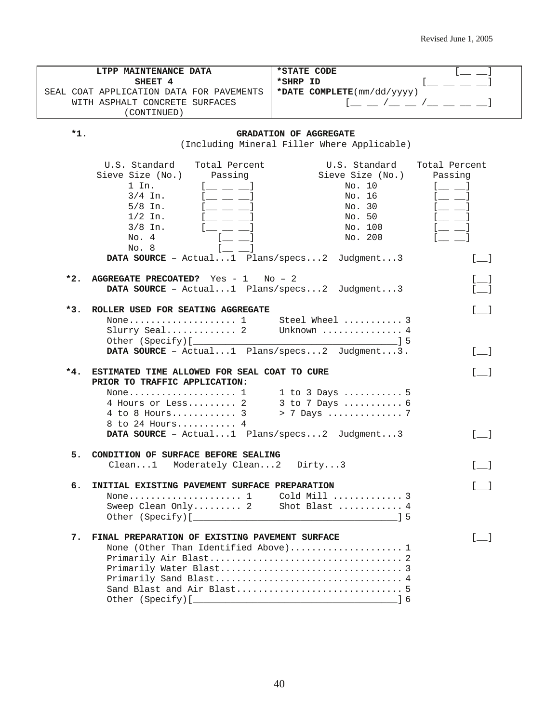|       | LTPP MAINTENANCE DATA                            | *STATE CODE                                           |                                       |
|-------|--------------------------------------------------|-------------------------------------------------------|---------------------------------------|
|       | SHEET 4                                          | *SHRP ID                                              |                                       |
|       | SEAL COAT APPLICATION DATA FOR PAVEMENTS         | *DATE COMPLETE(mm/dd/yyyy)                            |                                       |
|       | WITH ASPHALT CONCRETE SURFACES                   | $1 - 2 - 1 - 1 - 1 = -1$                              |                                       |
|       | (CONTINUED)                                      |                                                       |                                       |
|       |                                                  |                                                       |                                       |
| *1.   |                                                  | GRADATION OF AGGREGATE                                |                                       |
|       |                                                  | (Including Mineral Filler Where Applicable)           |                                       |
|       |                                                  |                                                       |                                       |
|       | U.S. Standard<br>Total Percent                   | U.S. Standard                                         | Total Percent                         |
|       | Sieve Size (No.)<br>Passing                      | Sieve Size (No.)                                      | Passing                               |
|       | 1 In.                                            | No. 10                                                |                                       |
|       | $3/4$ In.                                        | No. 16                                                |                                       |
|       | $5/8$ In.                                        | No. 30                                                |                                       |
|       | $1/2$ In.                                        | No. 50                                                |                                       |
|       | $3/8$ In.                                        | No. 100                                               |                                       |
|       | No. 4                                            | No. 200                                               |                                       |
|       | No. 8                                            |                                                       |                                       |
|       |                                                  | <b>DATA SOURCE</b> - $Actual1$ Plans/specs2 Judgment3 | $\begin{bmatrix} 1 & 1 \end{bmatrix}$ |
|       |                                                  |                                                       |                                       |
|       | *2. AGGREGATE PRECOATED? Yes - $1$ No - $2$      |                                                       |                                       |
|       | DATA SOURCE - Actual1 Plans/specs2 Judgment3     |                                                       |                                       |
|       |                                                  |                                                       |                                       |
| $*3.$ | ROLLER USED FOR SEATING AGGREGATE                |                                                       | $\begin{bmatrix} 1 & 1 \end{bmatrix}$ |
|       | None 1 Steel Wheel  3                            |                                                       |                                       |
|       | Slurry Seal 2 Unknown  4                         |                                                       |                                       |
|       |                                                  |                                                       |                                       |
|       | DATA SOURCE - Actual1 Plans/specs2 Judgment3.    |                                                       | $[\_$                                 |
|       |                                                  |                                                       |                                       |
|       | *4. ESTIMATED TIME ALLOWED FOR SEAL COAT TO CURE |                                                       | $\lceil$ 1                            |
|       | PRIOR TO TRAFFIC APPLICATION:                    |                                                       |                                       |
|       |                                                  |                                                       |                                       |
|       | 4 Hours or Less 2                                | 3 to 7 Days  6<br>> 7 Days  7                         |                                       |
|       | $4$ to $8$ Hours 3                               |                                                       |                                       |
|       | 8 to 24 Hours 4                                  |                                                       |                                       |
|       | DATA SOURCE - Actual1 Plans/specs2 Judgment3     |                                                       | $\begin{bmatrix} 1 & 1 \end{bmatrix}$ |
|       |                                                  |                                                       |                                       |
|       | 5. CONDITION OF SURFACE BEFORE SEALING           |                                                       |                                       |
|       | Clean1 Moderately Clean2 Dirty3                  |                                                       |                                       |
| б.    | INITIAL EXISTING PAVEMENT SURFACE PREPARATION    |                                                       |                                       |
|       | None $1$                                         | Cold Mill  3                                          |                                       |
|       | Sweep Clean Only 2                               | Shot Blast  4                                         |                                       |
|       |                                                  |                                                       |                                       |
|       |                                                  |                                                       |                                       |
| 7.    | FINAL PREPARATION OF EXISTING PAVEMENT SURFACE   |                                                       | $\begin{bmatrix} 1 & 1 \end{bmatrix}$ |
|       | None (Other Than Identified Above) 1             |                                                       |                                       |
|       |                                                  |                                                       |                                       |
|       |                                                  |                                                       |                                       |
|       |                                                  |                                                       |                                       |
|       |                                                  |                                                       |                                       |
|       |                                                  |                                                       |                                       |
|       |                                                  |                                                       |                                       |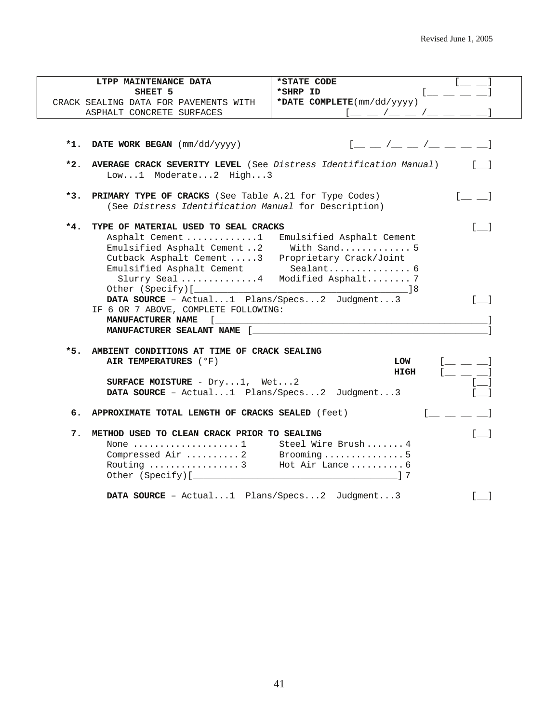| LTPP MAINTENANCE DATA                                                                                                                                                                                                                                                                                                | *STATE CODE                                                                                                                                                                    |
|----------------------------------------------------------------------------------------------------------------------------------------------------------------------------------------------------------------------------------------------------------------------------------------------------------------------|--------------------------------------------------------------------------------------------------------------------------------------------------------------------------------|
| SHEET 5                                                                                                                                                                                                                                                                                                              | *SHRP ID                                                                                                                                                                       |
| CRACK SEALING DATA FOR PAVEMENTS WITH                                                                                                                                                                                                                                                                                | *DATE COMPLETE(mm/dd/yyyy)                                                                                                                                                     |
| ASPHALT CONCRETE SURFACES                                                                                                                                                                                                                                                                                            |                                                                                                                                                                                |
|                                                                                                                                                                                                                                                                                                                      |                                                                                                                                                                                |
| *1. DATE WORK BEGAN (mm/dd/yyyy)                                                                                                                                                                                                                                                                                     | $[$ $\_\_$ $\_\$ $\_\_$ $\_\_$ $\_\_$ $\_\_$ $\_\_$ $\_\_$                                                                                                                     |
| $*2.$<br>AVERAGE CRACK SEVERITY LEVEL (See Distress Identification Manual)<br>Low1 Moderate2 High3                                                                                                                                                                                                                   |                                                                                                                                                                                |
| PRIMARY TYPE OF CRACKS (See Table A.21 for Type Codes)<br>$*3.$<br>(See Distress Identification Manual for Description)                                                                                                                                                                                              | - 1                                                                                                                                                                            |
| $*4.$<br>TYPE OF MATERIAL USED TO SEAL CRACKS<br>Asphalt Cement 1<br>Emulsified Asphalt Cement 2<br>Cutback Asphalt Cement 3<br>Emulsified Asphalt Cement<br>Slurry Seal 4 Modified Asphalt 7<br>DATA SOURCE - Actual1 Plans/Specs2 Judgment3<br>IF 6 OR 7 ABOVE, COMPLETE FOLLOWING:<br>MANUFACTURER SEALANT NAME [ | $\begin{bmatrix} 1 & 1 \\ 1 & 1 \end{bmatrix}$<br>Emulsified Asphalt Cement<br>With Sand 5<br>Proprietary Crack/Joint<br>Sealant 6<br>$\mathbf{I}$<br>MANUFACTURER NAME [ NAME |
| $*5.$<br>AMBIENT CONDITIONS AT TIME OF CRACK SEALING<br>AIR TEMPERATURES (°F)<br>SURFACE MOISTURE - $Dry1$ , Wet2<br><b>DATA SOURCE</b> - $Actual1$ Plans/Specs2 Judgment3                                                                                                                                           | $! \equiv \; \equiv \; \; \cdot \; \; \; 1$<br>LOW<br>$[$ $\_$ $\_$ $]$<br><b>HIGH</b><br>$\sim$ 1                                                                             |
| APPROXIMATE TOTAL LENGTH OF CRACKS SEALED (feet)<br>б.                                                                                                                                                                                                                                                               |                                                                                                                                                                                |
| METHOD USED TO CLEAN CRACK PRIOR TO SEALING<br>7.<br>None $\dots\dots\dots\dots\dots\dots\dots1$<br>Compressed Air  2 Brooming  5<br>Routing $\ldots \ldots \ldots \ldots \ldots$ 3                                                                                                                                  | $\begin{bmatrix} 1 & 1 \end{bmatrix}$<br>Steel Wire Brush 4<br>Hot Air Lance 6                                                                                                 |
| DATA SOURCE - Actual1 Plans/Specs2 Judgment3                                                                                                                                                                                                                                                                         | $\lceil$ 1                                                                                                                                                                     |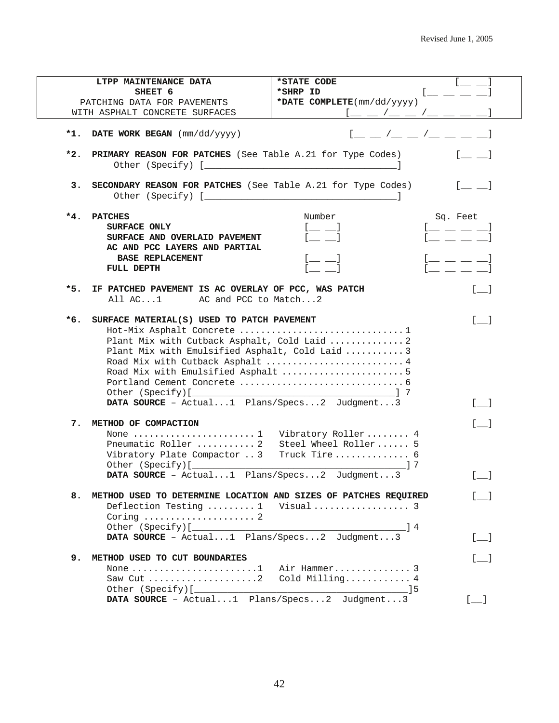|                         | LTPP MAINTENANCE DATA                                                                                   | *STATE CODE                                                                                                                                                                                             |                                                              |
|-------------------------|---------------------------------------------------------------------------------------------------------|---------------------------------------------------------------------------------------------------------------------------------------------------------------------------------------------------------|--------------------------------------------------------------|
|                         | SHEET 6                                                                                                 | *SHRP ID                                                                                                                                                                                                | $1 \underline{\qquad} \underline{\qquad} \underline{\qquad}$ |
|                         | PATCHING DATA FOR PAVEMENTS                                                                             | *DATE COMPLETE(mm/dd/yyyy)                                                                                                                                                                              |                                                              |
|                         | WITH ASPHALT CONCRETE SURFACES                                                                          | $[$ $\_\_$ $\_\$ $\_\_$ $\_\_$ $\_\_$ $\_\_$ $\_\_$ $\_\_$ $\_\_$                                                                                                                                       |                                                              |
|                         | *1. DATE WORK BEGAN $(\text{mm}/\text{dd}/\text{y}\text{y}\text{y})$                                    |                                                                                                                                                                                                         | $[$ $\_\_$ $/$ $\_\_$ $/$ $\_\_$ $/$ $\_\_$ $\_\_$ $\_\_$    |
|                         |                                                                                                         |                                                                                                                                                                                                         |                                                              |
| $*2.$                   |                                                                                                         | PRIMARY REASON FOR PATCHES (See Table A.21 for Type Codes)                                                                                                                                              |                                                              |
| з.                      |                                                                                                         | SECONDARY REASON FOR PATCHES (See Table A.21 for Type Codes)                                                                                                                                            |                                                              |
| $*4.$<br><b>PATCHES</b> |                                                                                                         | Number                                                                                                                                                                                                  | Sq. Feet                                                     |
|                         | SURFACE ONLY                                                                                            | $[$ $\equiv$ $\equiv$ $]$                                                                                                                                                                               | $[$ $\_\,\_$ $\_\,\_$ $\_\,$ $\_\,$ $\_\,$                   |
|                         | SURFACE AND OVERLAID PAVEMENT                                                                           | - 1                                                                                                                                                                                                     | $1 - \frac{1}{2} - \frac{1}{2}$                              |
|                         | AC AND PCC LAYERS AND PARTIAL                                                                           |                                                                                                                                                                                                         |                                                              |
|                         | <b>BASE REPLACEMENT</b>                                                                                 |                                                                                                                                                                                                         | $[$ $\bot$ $\bot$ $\bot$ $\bot$ $]$                          |
| FULL DEPTH              |                                                                                                         |                                                                                                                                                                                                         |                                                              |
| *5.                     | IF PATCHED PAVEMENT IS AC OVERLAY OF PCC, WAS PATCH<br>All AC1 AC and PCC to Match2                     |                                                                                                                                                                                                         | $\begin{bmatrix} 1 & 1 \end{bmatrix}$                        |
| *6.                     | SURFACE MATERIAL(S) USED TO PATCH PAVEMENT                                                              |                                                                                                                                                                                                         | $\lceil$ 1                                                   |
|                         |                                                                                                         | Hot-Mix Asphalt Concrete 1<br>Plant Mix with Cutback Asphalt, Cold Laid  2<br>Plant Mix with Emulsified Asphalt, Cold Laid 3<br>Road Mix with Cutback Asphalt  4<br>Road Mix with Emulsified Asphalt  5 |                                                              |
|                         |                                                                                                         | DATA SOURCE - Actual1 Plans/Specs2 Judgment3                                                                                                                                                            | $\lceil$ 1                                                   |
| 7.                      | METHOD OF COMPACTION                                                                                    |                                                                                                                                                                                                         | $\begin{bmatrix} 1 & 1 \end{bmatrix}$                        |
|                         | None $\dots\dots\dots\dots\dots\dots\dots\dots1$<br>Pneumatic Roller  2<br>Vibratory Plate Compactor  3 | Vibratory Roller 4<br>Steel Wheel Roller 5<br>Truck Tire 6                                                                                                                                              |                                                              |
|                         |                                                                                                         |                                                                                                                                                                                                         |                                                              |
| 8.                      |                                                                                                         | METHOD USED TO DETERMINE LOCATION AND SIZES OF PATCHES REQUIRED<br>Deflection Testing  1 Visual  3                                                                                                      | $\mathbf{I}$                                                 |
|                         | Coring $\ldots \ldots \ldots \ldots \ldots$                                                             |                                                                                                                                                                                                         |                                                              |
|                         |                                                                                                         | DATA SOURCE - Actual1 Plans/Specs2 Judgment3                                                                                                                                                            | $[$ $\Box$                                                   |
| 9.                      | METHOD USED TO CUT BOUNDARIES                                                                           |                                                                                                                                                                                                         | $\begin{bmatrix} 1 & 1 \end{bmatrix}$                        |
|                         | None $\dots\dots\dots\dots\dots\dots\dots\dots\dots1$<br>Saw Cut                                        | Air Hammer 3<br>Cold Milling 4<br>- 15                                                                                                                                                                  |                                                              |
|                         |                                                                                                         | DATA SOURCE - Actual1 Plans/Specs2 Judgment3                                                                                                                                                            | $[$ $\Box$                                                   |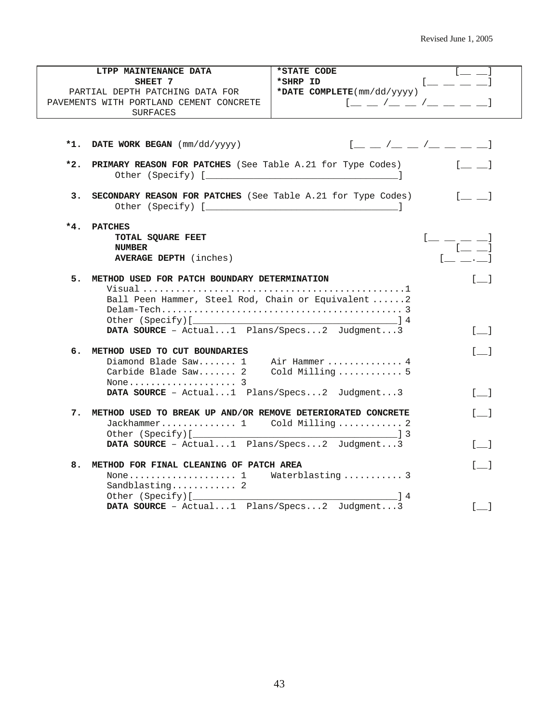|     | LTPP MAINTENANCE DATA                                          | *STATE CODE                                         |                                                |
|-----|----------------------------------------------------------------|-----------------------------------------------------|------------------------------------------------|
|     | SHEET 7                                                        | *SHRP ID                                            | $1 - 1 - 1$                                    |
|     | PARTIAL DEPTH PATCHING DATA FOR                                | *DATE COMPLETE(mm/dd/yyyy)                          |                                                |
|     | PAVEMENTS WITH PORTLAND CEMENT CONCRETE                        | $1 - 2 - 1 - 1 = -1$                                |                                                |
|     | SURFACES                                                       |                                                     |                                                |
|     |                                                                |                                                     |                                                |
|     |                                                                |                                                     |                                                |
|     | *1. DATE WORK BEGAN (mm/dd/yyyy)                               | $[$ $\_$ $\_$ $/$ $\_$ $\_$ $/$ $\_$ $\_$ $\_$ $\_$ |                                                |
| *2. | PRIMARY REASON FOR PATCHES (See Table A.21 for Type Codes)     |                                                     | <b>Line Common</b>                             |
|     |                                                                |                                                     |                                                |
| з.  | SECONDARY REASON FOR PATCHES (See Table A.21 for Type Codes)   |                                                     | $\lfloor \underline{\square} \rfloor = 1$      |
|     |                                                                |                                                     |                                                |
| *4. | <b>PATCHES</b>                                                 |                                                     |                                                |
|     | TOTAL SQUARE FEET                                              |                                                     | $[$ $\_\,\_$ $\_\,\_$ $\_\,$                   |
|     | <b>NUMBER</b><br><b>AVERAGE DEPTH</b> (inches)                 |                                                     |                                                |
|     |                                                                |                                                     |                                                |
|     | 5. METHOD USED FOR PATCH BOUNDARY DETERMINATION                |                                                     | $\begin{bmatrix} 1 \end{bmatrix}$              |
|     |                                                                |                                                     |                                                |
|     | Ball Peen Hammer, Steel Rod, Chain or Equivalent 2             |                                                     |                                                |
|     |                                                                |                                                     |                                                |
|     |                                                                |                                                     |                                                |
|     | DATA SOURCE - Actual1 Plans/Specs2 Judgment3                   |                                                     | $[$ $\Box$                                     |
|     | 6. METHOD USED TO CUT BOUNDARIES                               |                                                     | $\begin{bmatrix} 1 & 1 \\ 1 & 1 \end{bmatrix}$ |
|     | Diamond Blade $Saw$ 1                                          | Air Hammer  4                                       |                                                |
|     | Carbide Blade Saw 2                                            | Cold Milling  5                                     |                                                |
|     |                                                                |                                                     |                                                |
|     | DATA SOURCE - Actual1 Plans/Specs2 Judgment3                   |                                                     | $[$ $]$                                        |
|     |                                                                |                                                     |                                                |
|     | 7. METHOD USED TO BREAK UP AND/OR REMOVE DETERIORATED CONCRETE |                                                     | $\lceil$ 1                                     |
|     | Jackhammer 1 Cold Milling 2                                    |                                                     |                                                |
|     |                                                                |                                                     |                                                |
|     | DATA SOURCE - Actual1 Plans/Specs2 Judgment3                   |                                                     | $\begin{bmatrix} 1 \end{bmatrix}$              |
| 8.  | METHOD FOR FINAL CLEANING OF PATCH AREA                        |                                                     | $\begin{bmatrix} 1 & 1 \end{bmatrix}$          |
|     | None 1 Waterblasting 3                                         |                                                     |                                                |
|     | Sandblasting 2                                                 |                                                     |                                                |
|     |                                                                |                                                     |                                                |
|     | DATA SOURCE - Actual1 Plans/Specs2 Judgment3                   |                                                     | $\begin{bmatrix} 1 \end{bmatrix}$              |
|     |                                                                |                                                     |                                                |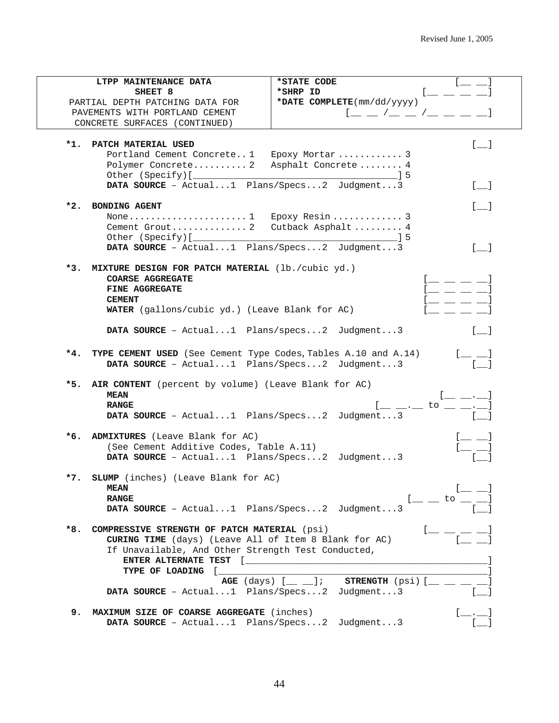|       | LTPP MAINTENANCE DATA                                          | *STATE CODE                                                            |                                                                                                                                                                                                                                                                                                                                                                                                     |
|-------|----------------------------------------------------------------|------------------------------------------------------------------------|-----------------------------------------------------------------------------------------------------------------------------------------------------------------------------------------------------------------------------------------------------------------------------------------------------------------------------------------------------------------------------------------------------|
|       | SHEET <sub>8</sub>                                             | *SHRP ID                                                               | $\overline{a}$ $\overline{a}$                                                                                                                                                                                                                                                                                                                                                                       |
|       | PARTIAL DEPTH PATCHING DATA FOR                                | *DATE COMPLETE(mm/dd/yyyy)                                             |                                                                                                                                                                                                                                                                                                                                                                                                     |
|       | PAVEMENTS WITH PORTLAND CEMENT                                 | $1 - 1 - 1 - 1 = -1$                                                   |                                                                                                                                                                                                                                                                                                                                                                                                     |
|       | CONCRETE SURFACES (CONTINUED)                                  |                                                                        |                                                                                                                                                                                                                                                                                                                                                                                                     |
|       |                                                                |                                                                        |                                                                                                                                                                                                                                                                                                                                                                                                     |
| *1.   | PATCH MATERIAL USED                                            |                                                                        | $[$ $\Box$                                                                                                                                                                                                                                                                                                                                                                                          |
|       | Portland Cement Concrete1 Epoxy Mortar  3                      |                                                                        |                                                                                                                                                                                                                                                                                                                                                                                                     |
|       | Polymer Concrete 2 Asphalt Concrete 4                          |                                                                        |                                                                                                                                                                                                                                                                                                                                                                                                     |
|       | DATA SOURCE - Actual1 Plans/Specs2 Judgment3                   |                                                                        | $\begin{bmatrix} 1 \end{bmatrix}$                                                                                                                                                                                                                                                                                                                                                                   |
|       |                                                                |                                                                        |                                                                                                                                                                                                                                                                                                                                                                                                     |
| *2.   | BONDING AGENT                                                  |                                                                        | $\begin{bmatrix} \phantom{-} \end{bmatrix}$                                                                                                                                                                                                                                                                                                                                                         |
|       | None1 Epoxy Resin 3                                            |                                                                        |                                                                                                                                                                                                                                                                                                                                                                                                     |
|       | Cement Grout 2 Cutback Asphalt 4                               |                                                                        |                                                                                                                                                                                                                                                                                                                                                                                                     |
|       |                                                                |                                                                        |                                                                                                                                                                                                                                                                                                                                                                                                     |
|       | DATA SOURCE - Actual1 Plans/Specs2 Judgment3                   |                                                                        | $\Box$                                                                                                                                                                                                                                                                                                                                                                                              |
|       |                                                                |                                                                        |                                                                                                                                                                                                                                                                                                                                                                                                     |
|       | *3. MIXTURE DESIGN FOR PATCH MATERIAL (lb./cubic yd.)          |                                                                        |                                                                                                                                                                                                                                                                                                                                                                                                     |
|       | <b>COARSE AGGREGATE</b>                                        |                                                                        | $\mathfrak{l} \equiv \mathfrak{l} \equiv \mathfrak{l}$                                                                                                                                                                                                                                                                                                                                              |
|       | FINE AGGREGATE                                                 |                                                                        | $[$ $\_\_$ $\_\_$ $\_\_$                                                                                                                                                                                                                                                                                                                                                                            |
|       | <b>CEMENT</b>                                                  |                                                                        | the control of the control of                                                                                                                                                                                                                                                                                                                                                                       |
|       | WATER (gallons/cubic yd.) (Leave Blank for AC)                 |                                                                        |                                                                                                                                                                                                                                                                                                                                                                                                     |
|       |                                                                |                                                                        |                                                                                                                                                                                                                                                                                                                                                                                                     |
|       | <b>DATA SOURCE</b> - $Actual1$ Plans/specs2 Judgment3          |                                                                        |                                                                                                                                                                                                                                                                                                                                                                                                     |
|       |                                                                |                                                                        |                                                                                                                                                                                                                                                                                                                                                                                                     |
| $*4.$ | TYPE CEMENT USED (See Cement Type Codes, Tables A.10 and A.14) |                                                                        | $1 \_$                                                                                                                                                                                                                                                                                                                                                                                              |
|       | DATA SOURCE - Actual1 Plans/Specs2 Judgment3                   |                                                                        |                                                                                                                                                                                                                                                                                                                                                                                                     |
| *5.   | AIR CONTENT (percent by volume) (Leave Blank for AC)           |                                                                        |                                                                                                                                                                                                                                                                                                                                                                                                     |
|       | <b>MEAN</b>                                                    |                                                                        | [.,                                                                                                                                                                                                                                                                                                                                                                                                 |
|       | <b>RANGE</b>                                                   |                                                                        | $\frac{1}{2} - \frac{1}{2} = \frac{1}{2} - \frac{1}{2} = \frac{1}{2} - \frac{1}{2} = \frac{1}{2} - \frac{1}{2} = \frac{1}{2} - \frac{1}{2} = \frac{1}{2} - \frac{1}{2} = \frac{1}{2} - \frac{1}{2} = \frac{1}{2} - \frac{1}{2} = \frac{1}{2} - \frac{1}{2} = \frac{1}{2} - \frac{1}{2} = \frac{1}{2} - \frac{1}{2} = \frac{1}{2} - \frac{1}{2} = \frac{1}{2} - \frac{1}{2} = \frac{1}{2} - \frac{1$ |
|       | DATA SOURCE - Actual1 Plans/Specs2 Judgment3                   |                                                                        |                                                                                                                                                                                                                                                                                                                                                                                                     |
|       |                                                                |                                                                        |                                                                                                                                                                                                                                                                                                                                                                                                     |
|       | *6. ADMIXTURES (Leave Blank for AC)                            |                                                                        | $[$ $\equiv$ $\equiv$ $]$                                                                                                                                                                                                                                                                                                                                                                           |
|       | (See Cement Additive Codes, Table A.11)                        |                                                                        | $[-]$                                                                                                                                                                                                                                                                                                                                                                                               |
|       | DATA SOURCE - Actual1 Plans/Specs2 Judgment3                   |                                                                        |                                                                                                                                                                                                                                                                                                                                                                                                     |
|       |                                                                |                                                                        |                                                                                                                                                                                                                                                                                                                                                                                                     |
|       | *7. SLUMP (inches) (Leave Blank for AC)                        |                                                                        |                                                                                                                                                                                                                                                                                                                                                                                                     |
|       | <b>MEAN</b>                                                    |                                                                        | $\blacksquare$                                                                                                                                                                                                                                                                                                                                                                                      |
|       | <b>RANGE</b>                                                   |                                                                        | $[$ $\_$ $\_$ to $\_$ $\_$                                                                                                                                                                                                                                                                                                                                                                          |
|       | DATA SOURCE - Actual1 Plans/Specs2 Judgment3                   |                                                                        |                                                                                                                                                                                                                                                                                                                                                                                                     |
|       | COMPRESSIVE STRENGTH OF PATCH MATERIAL (psi)                   |                                                                        |                                                                                                                                                                                                                                                                                                                                                                                                     |
| *8.   | CURING TIME (days) (Leave All of Item 8 Blank for AC)          |                                                                        |                                                                                                                                                                                                                                                                                                                                                                                                     |
|       | If Unavailable, And Other Strength Test Conducted,             |                                                                        |                                                                                                                                                                                                                                                                                                                                                                                                     |
|       |                                                                |                                                                        |                                                                                                                                                                                                                                                                                                                                                                                                     |
|       | TYPE OF LOADING [                                              |                                                                        |                                                                                                                                                                                                                                                                                                                                                                                                     |
|       |                                                                | AGE $(\text{days})$ $[\_\_]$ ; STRENGTH $(\text{psi})$ $[\_\_$ $[\_\_$ |                                                                                                                                                                                                                                                                                                                                                                                                     |
|       | <b>DATA SOURCE</b> - Actual1 Plans/Specs2 Judgment3            |                                                                        |                                                                                                                                                                                                                                                                                                                                                                                                     |
|       |                                                                |                                                                        |                                                                                                                                                                                                                                                                                                                                                                                                     |
| 9.    | MAXIMUM SIZE OF COARSE AGGREGATE (inches)                      |                                                                        | $[$ $\frac{1}{\sqrt{2}}$ $\frac{1}{\sqrt{2}}$                                                                                                                                                                                                                                                                                                                                                       |
|       | DATA SOURCE - Actual1 Plans/Specs2 Judgment3                   |                                                                        |                                                                                                                                                                                                                                                                                                                                                                                                     |
|       |                                                                |                                                                        |                                                                                                                                                                                                                                                                                                                                                                                                     |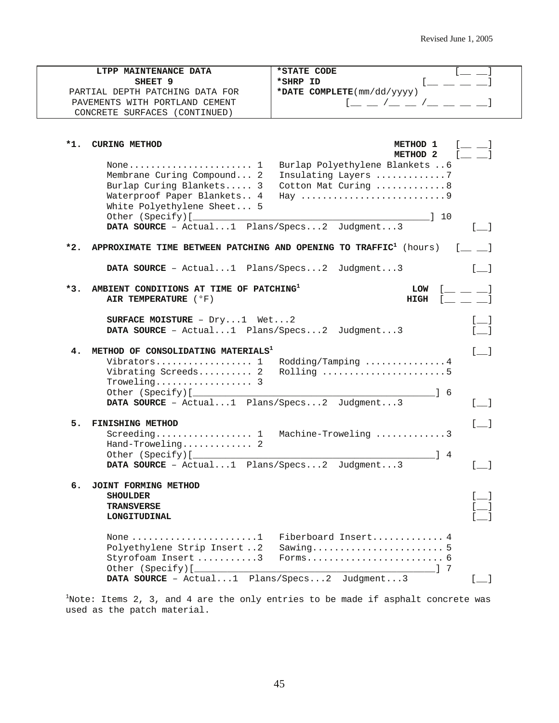|       | LTPP MAINTENANCE DATA                                                         | *STATE CODE                                        |                                       |
|-------|-------------------------------------------------------------------------------|----------------------------------------------------|---------------------------------------|
|       | SHEET <sub>9</sub>                                                            | $=$ $ =$<br>*SHRP ID                               |                                       |
|       | PARTIAL DEPTH PATCHING DATA FOR                                               | *DATE COMPLETE(mm/dd/yyyy)                         |                                       |
|       | PAVEMENTS WITH PORTLAND CEMENT                                                |                                                    |                                       |
|       | CONCRETE SURFACES (CONTINUED)                                                 |                                                    |                                       |
|       |                                                                               |                                                    |                                       |
|       |                                                                               |                                                    |                                       |
| $*1.$ | <b>CURING METHOD</b>                                                          | METHOD 1                                           |                                       |
|       |                                                                               | METHOD <sub>2</sub>                                |                                       |
|       | None $1$                                                                      | Burlap Polyethylene Blankets  6                    |                                       |
|       | Membrane Curing Compound 2                                                    | Insulating Layers 7                                |                                       |
|       | Burlap Curing Blankets 3                                                      | Cotton Mat Curing  8                               |                                       |
|       | Waterproof Paper Blankets 4                                                   | Hay 9                                              |                                       |
|       | White Polyethylene Sheet 5                                                    |                                                    |                                       |
|       |                                                                               | $\begin{array}{ccc} & 1 & 1 & 1 \end{array}$       |                                       |
|       | DATA SOURCE - Actual1 Plans/Specs2 Judgment3                                  |                                                    |                                       |
|       |                                                                               |                                                    |                                       |
| $*2.$ | APPROXIMATE TIME BETWEEN PATCHING AND OPENING TO TRAFFIC <sup>1</sup> (hours) |                                                    |                                       |
|       |                                                                               |                                                    |                                       |
|       | DATA SOURCE - Actual1 Plans/Specs2 Judgment3                                  |                                                    | $\begin{bmatrix} 1 \end{bmatrix}$     |
|       |                                                                               |                                                    |                                       |
| $*3.$ | AMBIENT CONDITIONS AT TIME OF PATCHING <sup>1</sup>                           | <b>LOW</b>                                         |                                       |
|       | AIR TEMPERATURE ( °F)                                                         | HIGH<br>$\mathbb{R}^n$ . The set of $\mathbb{R}^n$ |                                       |
|       |                                                                               |                                                    |                                       |
|       | SURFACE MOISTURE - $Dry1$ Wet2                                                |                                                    |                                       |
|       | DATA SOURCE - Actual1 Plans/Specs2 Judgment3                                  |                                                    |                                       |
|       |                                                                               |                                                    |                                       |
| 4.    | METHOD OF CONSOLIDATING MATERIALS <sup>1</sup>                                |                                                    | $[$ $]$                               |
|       | Vibrators 1                                                                   | Rodding/Tamping 4                                  |                                       |
|       | Vibrating Screeds 2                                                           | Rolling 5                                          |                                       |
|       | $Troweling \ldots \ldots \ldots \ldots \ldots 3$                              |                                                    |                                       |
|       |                                                                               | $\frac{1}{6}$                                      |                                       |
|       | DATA SOURCE - Actual1 Plans/Specs2 Judgment3                                  |                                                    | $\begin{bmatrix} 1 & 1 \end{bmatrix}$ |
|       |                                                                               |                                                    |                                       |
| 5.    | <b>FINISHING METHOD</b>                                                       |                                                    | $\begin{array}{ccc} \end{array}$      |
|       | $\text{Screening} \dots \dots \dots \dots \dots \dots \dots$                  | Machine-Troweling 3                                |                                       |
|       | Hand-Troweling 2                                                              |                                                    |                                       |
|       | Other (Specify) [                                                             | 14                                                 |                                       |
|       | DATA SOURCE - Actual1 Plans/Specs2 Judgment3                                  |                                                    | $\sim$ 1                              |
|       |                                                                               |                                                    |                                       |
| б.    | JOINT FORMING METHOD                                                          |                                                    |                                       |
|       | <b>SHOULDER</b>                                                               |                                                    |                                       |
|       | <b>TRANSVERSE</b>                                                             |                                                    |                                       |
|       | LONGITUDINAL                                                                  |                                                    |                                       |
|       |                                                                               |                                                    |                                       |
|       | None $\dots\dots\dots\dots\dots\dots\dots\dots1$                              | Fiberboard Insert 4                                |                                       |
|       | Polyethylene Strip Insert 2                                                   |                                                    |                                       |
|       | Styrofoam Insert 3                                                            |                                                    |                                       |
|       |                                                                               | $1 \t7$                                            |                                       |
|       | DATA SOURCE - Actual1 Plans/Specs2 Judgment3                                  |                                                    | $\begin{bmatrix} 1 & 1 \end{bmatrix}$ |

 $^1$ Note: Items 2, 3, and 4 are the only entries to be made if asphalt concrete was used as the patch material.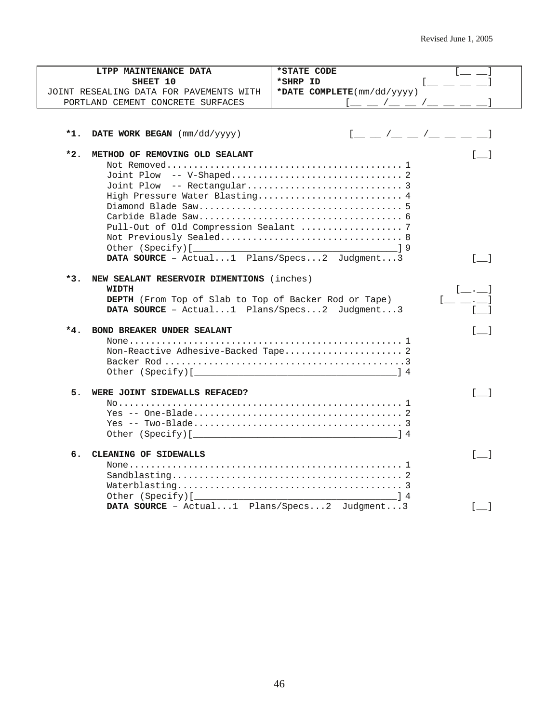| LTPP MAINTENANCE DATA                                 | *STATE CODE                                               |
|-------------------------------------------------------|-----------------------------------------------------------|
| SHEET 10                                              | *SHRP ID                                                  |
| JOINT RESEALING DATA FOR PAVEMENTS WITH               | *DATE COMPLETE(mm/dd/yyyy)                                |
| PORTLAND CEMENT CONCRETE SURFACES                     | $\sqrt{2}$                                                |
|                                                       |                                                           |
|                                                       |                                                           |
| $*1.$<br>DATE WORK BEGAN (mm/dd/yyyy)                 | $[$ $\_\_$ $/$ $\_\_$ $/$ $\_\_$ $/$ $\_\_$ $\_\_$ $\_\_$ |
|                                                       |                                                           |
| $*2.$<br>METHOD OF REMOVING OLD SEALANT               | $\lceil$ $\lceil$                                         |
|                                                       |                                                           |
|                                                       |                                                           |
| High Pressure Water Blasting 4                        |                                                           |
|                                                       |                                                           |
|                                                       |                                                           |
|                                                       |                                                           |
|                                                       |                                                           |
|                                                       |                                                           |
| DATA SOURCE - Actual1 Plans/Specs2 Judgment3          | $[\_$                                                     |
|                                                       |                                                           |
| *3.<br>NEW SEALANT RESERVOIR DIMENTIONS (inches)      |                                                           |
| WIDTH                                                 | $\begin{bmatrix} 1 & 1 & 1 \end{bmatrix}$                 |
| DEPTH (From Top of Slab to Top of Backer Rod or Tape) |                                                           |
| DATA SOURCE - Actual1 Plans/Specs2 Judgment3          |                                                           |
| BOND BREAKER UNDER SEALANT<br>*4.                     | $\lceil$ 1                                                |
|                                                       |                                                           |
| Non-Reactive Adhesive-Backed Tape 2                   |                                                           |
|                                                       |                                                           |
|                                                       |                                                           |
| 5.<br>WERE JOINT SIDEWALLS REFACED?                   | $\begin{bmatrix} 1 & 1 \end{bmatrix}$                     |
|                                                       |                                                           |
|                                                       |                                                           |
|                                                       |                                                           |
|                                                       |                                                           |
|                                                       |                                                           |
| б.<br>CLEANING OF SIDEWALLS                           | $\begin{bmatrix} 1 & 1 \end{bmatrix}$                     |
|                                                       |                                                           |
|                                                       |                                                           |
|                                                       |                                                           |
|                                                       |                                                           |
|                                                       | $\sqrt{1}$                                                |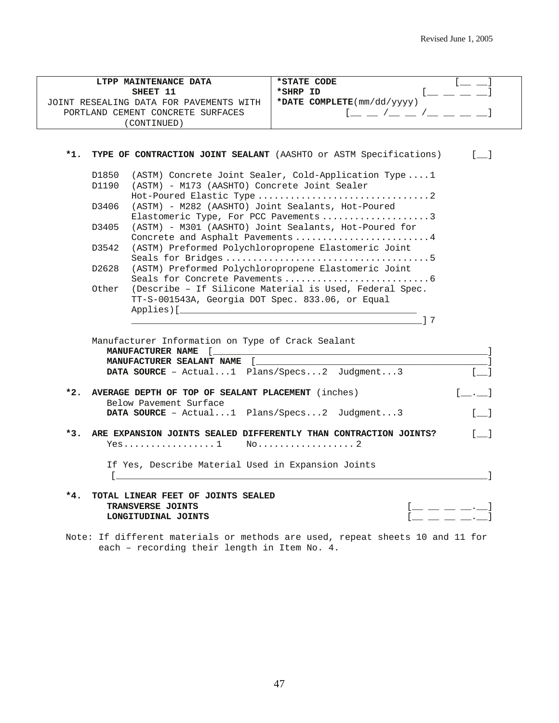| LTPP MAINTENANCE DATA                                                     | *STATE CODE                                                                                            |
|---------------------------------------------------------------------------|--------------------------------------------------------------------------------------------------------|
| SHEET 11                                                                  | *SHRP ID                                                                                               |
| JOINT RESEALING DATA FOR PAVEMENTS WITH                                   | *DATE COMPLETE(mm/dd/yyyy)                                                                             |
| PORTLAND CEMENT CONCRETE SURFACES                                         |                                                                                                        |
| (CONTINUED)                                                               |                                                                                                        |
|                                                                           |                                                                                                        |
|                                                                           |                                                                                                        |
| $*1.$                                                                     | TYPE OF CONTRACTION JOINT SEALANT (AASHTO or ASTM Specifications)<br>$\begin{bmatrix} 1 \end{bmatrix}$ |
| D1850                                                                     | (ASTM) Concrete Joint Sealer, Cold-Application Type1                                                   |
| (ASTM) - M173 (AASHTO) Concrete Joint Sealer<br>D1190                     |                                                                                                        |
|                                                                           |                                                                                                        |
| (ASTM) - M282 (AASHTO) Joint Sealants, Hot-Poured<br>D3406                |                                                                                                        |
|                                                                           | Elastomeric Type, For PCC Pavements 3                                                                  |
| D3405                                                                     | (ASTM) - M301 (AASHTO) Joint Sealants, Hot-Poured for                                                  |
|                                                                           | Concrete and Asphalt Pavements 4                                                                       |
| D3542                                                                     | (ASTM) Preformed Polychloropropene Elastomeric Joint                                                   |
|                                                                           |                                                                                                        |
| D2628                                                                     | (ASTM) Preformed Polychloropropene Elastomeric Joint                                                   |
|                                                                           |                                                                                                        |
| Other                                                                     | (Describe - If Silicone Material is Used, Federal Spec.                                                |
| TT-S-001543A, Georgia DOT Spec. 833.06, or Equal                          |                                                                                                        |
| Applies) [                                                                |                                                                                                        |
|                                                                           | 17                                                                                                     |
|                                                                           |                                                                                                        |
| Manufacturer Information on Type of Crack Sealant                         |                                                                                                        |
| MANUFACTURER NAME [                                                       |                                                                                                        |
| MANUFACTURER SEALANT NAME [                                               |                                                                                                        |
| DATA SOURCE - Actual1 Plans/Specs2 Judgment3                              |                                                                                                        |
| AVERAGE DEPTH OF TOP OF SEALANT PLACEMENT (inches)<br>*2.                 | $\begin{bmatrix} 1 & 1 \end{bmatrix}$                                                                  |
| Below Pavement Surface                                                    |                                                                                                        |
| DATA SOURCE - Actual1 Plans/Specs2 Judgment3                              | $[$ $]$                                                                                                |
|                                                                           |                                                                                                        |
| $*3.$<br>ARE EXPANSION JOINTS SEALED DIFFERENTLY THAN CONTRACTION JOINTS? | $\begin{bmatrix} 1 \end{bmatrix}$                                                                      |
|                                                                           |                                                                                                        |
|                                                                           |                                                                                                        |
| If Yes, Describe Material Used in Expansion Joints                        |                                                                                                        |
| $\mathbf{L}$                                                              |                                                                                                        |
|                                                                           |                                                                                                        |
|                                                                           |                                                                                                        |
| *4.<br>TOTAL LINEAR FEET OF JOINTS SEALED                                 |                                                                                                        |
| TRANSVERSE JOINTS<br>LONGITUDINAL JOINTS                                  | [ <u>__</u> __ __ __ __                                                                                |

Note: If different materials or methods are used, repeat sheets 10 and 11 for each – recording their length in Item No. 4.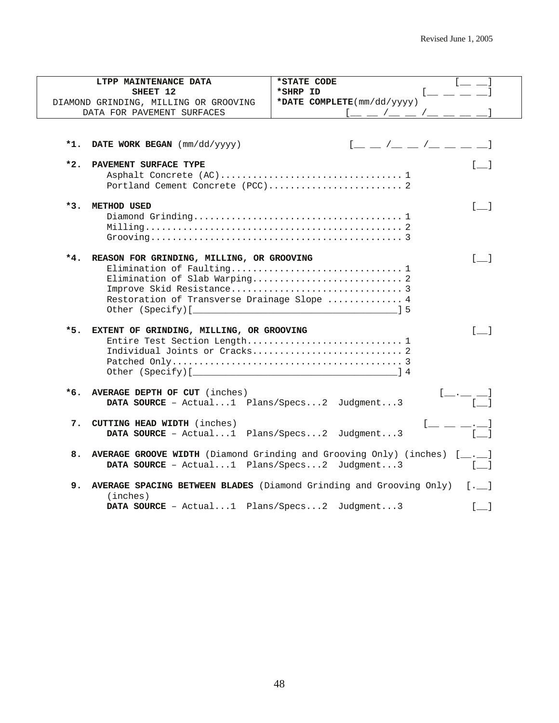|       | LTPP MAINTENANCE DATA                                                                                                  | *STATE CODE                                                                                   |  |
|-------|------------------------------------------------------------------------------------------------------------------------|-----------------------------------------------------------------------------------------------|--|
|       | SHEET 12<br>*SHRP ID                                                                                                   |                                                                                               |  |
|       | *DATE COMPLETE(mm/dd/yyyy)<br>DIAMOND GRINDING, MILLING OR GROOVING                                                    |                                                                                               |  |
|       | DATA FOR PAVEMENT SURFACES                                                                                             |                                                                                               |  |
| *1.   | DATE WORK BEGAN $(mm/dd/yyyy)$                                                                                         | $1 - 1 - 1 - 1 = -1$                                                                          |  |
|       |                                                                                                                        |                                                                                               |  |
| $*2.$ | PAVEMENT SURFACE TYPE                                                                                                  | $\begin{bmatrix} 1 & 1 \end{bmatrix}$                                                         |  |
|       |                                                                                                                        |                                                                                               |  |
| $*3.$ | <b>METHOD USED</b>                                                                                                     | $[$ $]$                                                                                       |  |
|       | $\text{Milling} \dots \dots \dots \dots \dots \dots \dots \dots \dots \dots \dots \dots \dots \dots \dots \dots \dots$ |                                                                                               |  |
| *4.   | REASON FOR GRINDING, MILLING, OR GROOVING                                                                              | $\lceil$ 1                                                                                    |  |
|       | Elimination of Faulting 1                                                                                              |                                                                                               |  |
|       | Elimination of Slab Warping 2                                                                                          |                                                                                               |  |
|       |                                                                                                                        |                                                                                               |  |
|       | Restoration of Transverse Drainage Slope  4                                                                            |                                                                                               |  |
|       |                                                                                                                        |                                                                                               |  |
|       |                                                                                                                        |                                                                                               |  |
| *5.   | EXTENT OF GRINDING, MILLING, OR GROOVING                                                                               | $\lceil$ 1                                                                                    |  |
|       | Entire Test Section Length 1                                                                                           |                                                                                               |  |
|       |                                                                                                                        |                                                                                               |  |
|       |                                                                                                                        |                                                                                               |  |
|       |                                                                                                                        |                                                                                               |  |
| *6.   | AVERAGE DEPTH OF CUT (inches)                                                                                          | $[$ __._ __ $]$                                                                               |  |
|       | DATA SOURCE - Actual1 Plans/Specs2 Judgment3                                                                           |                                                                                               |  |
|       |                                                                                                                        |                                                                                               |  |
| 7.    | <b>CUTTING HEAD WIDTH</b> (inches)                                                                                     |                                                                                               |  |
|       | DATA SOURCE - Actual1 Plans/Specs2 Judgment3                                                                           |                                                                                               |  |
| 8.    |                                                                                                                        | <b>AVERAGE GROOVE WIDTH</b> (Diamond Grinding and Grooving Only) (inches) $[\underline{\ } ]$ |  |
|       | DATA SOURCE - Actual1 Plans/Specs2 Judgment3                                                                           |                                                                                               |  |
|       |                                                                                                                        |                                                                                               |  |
| 9.    |                                                                                                                        | AVERAGE SPACING BETWEEN BLADES (Diamond Grinding and Grooving Only)<br>$[ \cdot \_ ]$         |  |
|       | (inches)                                                                                                               |                                                                                               |  |
|       | DATA SOURCE - Actual1 Plans/Specs2 Judgment3                                                                           | $\begin{bmatrix} 1 \end{bmatrix}$                                                             |  |
|       |                                                                                                                        |                                                                                               |  |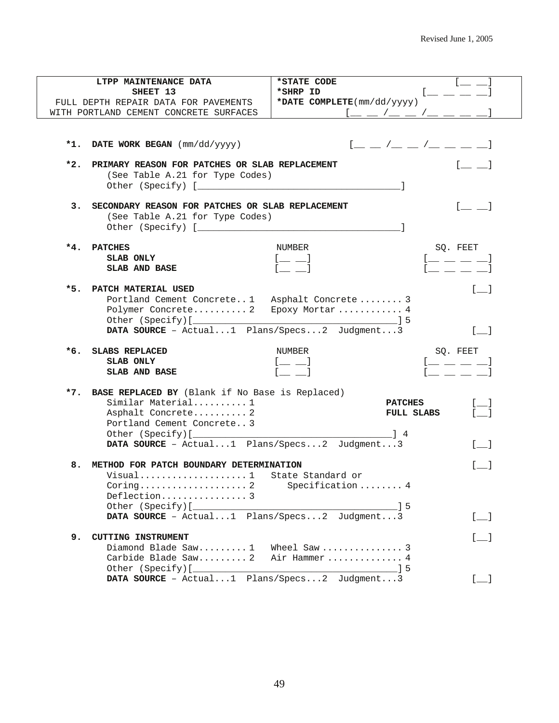|     | LTPP MAINTENANCE DATA                               | *STATE CODE                |                                                     |                                                |
|-----|-----------------------------------------------------|----------------------------|-----------------------------------------------------|------------------------------------------------|
|     | SHEET 13                                            | *SHRP ID                   |                                                     |                                                |
|     | FULL DEPTH REPAIR DATA FOR PAVEMENTS                | *DATE COMPLETE(mm/dd/yyyy) |                                                     |                                                |
|     | WITH PORTLAND CEMENT CONCRETE SURFACES              |                            |                                                     |                                                |
|     |                                                     |                            |                                                     |                                                |
|     |                                                     |                            |                                                     |                                                |
|     |                                                     |                            |                                                     |                                                |
|     | *1. DATE WORK BEGAN (mm/dd/yyyy)                    |                            | $[$ $\_$ $\_$ $/$ $\_$ $\_$ $/$ $\_$ $\_$ $\_$ $\_$ |                                                |
|     |                                                     |                            |                                                     |                                                |
| *2. | PRIMARY REASON FOR PATCHES OR SLAB REPLACEMENT      |                            |                                                     |                                                |
|     | (See Table A.21 for Type Codes)                     |                            |                                                     |                                                |
|     |                                                     |                            |                                                     |                                                |
|     |                                                     |                            |                                                     |                                                |
|     | 3. SECONDARY REASON FOR PATCHES OR SLAB REPLACEMENT |                            |                                                     | $\begin{bmatrix} 1 & 1 \\ 1 & 1 \end{bmatrix}$ |
|     | (See Table A.21 for Type Codes)                     |                            |                                                     |                                                |
|     |                                                     |                            |                                                     |                                                |
|     |                                                     |                            |                                                     |                                                |
| *4. | <b>PATCHES</b>                                      | NUMBER                     | SQ. FEET                                            |                                                |
|     | SLAB ONLY                                           |                            |                                                     |                                                |
|     |                                                     | $[$ $\perp$ $\perp$        |                                                     | $l = \bot = \bot$                              |
|     | SLAB AND BASE                                       |                            |                                                     |                                                |
|     |                                                     |                            |                                                     |                                                |
|     | *5. PATCH MATERIAL USED                             |                            |                                                     | $\begin{bmatrix} 1 & 1 \\ 1 & 1 \end{bmatrix}$ |
|     | Portland Cement Concrete1 Asphalt Concrete 3        |                            |                                                     |                                                |
|     | Polymer Concrete 2 Epoxy Mortar 4                   |                            |                                                     |                                                |
|     |                                                     |                            |                                                     |                                                |
|     | DATA SOURCE - Actual1 Plans/Specs2 Judgment3        |                            |                                                     | $\begin{bmatrix} 1 & 1 \\ 1 & 1 \end{bmatrix}$ |
|     |                                                     |                            |                                                     |                                                |
| *6. | <b>SLABS REPLACED</b>                               | NUMBER                     |                                                     | SQ. FEET                                       |
|     | SLAB ONLY                                           | $[$ $\_\_$                 |                                                     | $=$ $  -$                                      |
|     | SLAB AND BASE                                       |                            |                                                     |                                                |
|     |                                                     |                            |                                                     |                                                |
|     | *7. BASE REPLACED BY (Blank if No Base is Replaced) |                            |                                                     |                                                |
|     | Similar Material 1                                  |                            | <b>PATCHES</b>                                      | $[$ $\_{$                                      |
|     | Asphalt Concrete 2                                  |                            | <b>FULL SLABS</b>                                   | $\begin{bmatrix} 1 \end{bmatrix}$              |
|     | Portland Cement Concrete3                           |                            |                                                     |                                                |
|     |                                                     |                            |                                                     |                                                |
|     |                                                     | $\frac{1}{4}$              |                                                     |                                                |
|     | DATA SOURCE - Actual1 Plans/Specs2 Judgment3        |                            |                                                     | $[$ $]$                                        |
|     |                                                     |                            |                                                     |                                                |
|     | 8. METHOD FOR PATCH BOUNDARY DETERMINATION          |                            |                                                     |                                                |
|     | Visual1 State Standard or                           |                            |                                                     |                                                |
|     | $Coring \ldots \ldots \ldots \ldots \ldots 2$       | Specification  4           |                                                     |                                                |
|     | Deflection3                                         |                            |                                                     |                                                |
|     |                                                     |                            | $\sqrt{5}$                                          |                                                |
|     | DATA SOURCE - Actual1 Plans/Specs2 Judgment3        |                            |                                                     | $[$ $\Box$                                     |
|     |                                                     |                            |                                                     |                                                |
| 9.  | <b>CUTTING INSTRUMENT</b>                           |                            |                                                     | $[$ $\Box$                                     |
|     | Diamond Blade Saw1                                  | Wheel Saw  3               |                                                     |                                                |
|     | Carbide Blade Saw 2                                 | Air Hammer  4              |                                                     |                                                |
|     |                                                     |                            |                                                     |                                                |
|     | DATA SOURCE - Actual1 Plans/Specs2 Judgment3        |                            |                                                     |                                                |
|     |                                                     |                            |                                                     | $[\_$                                          |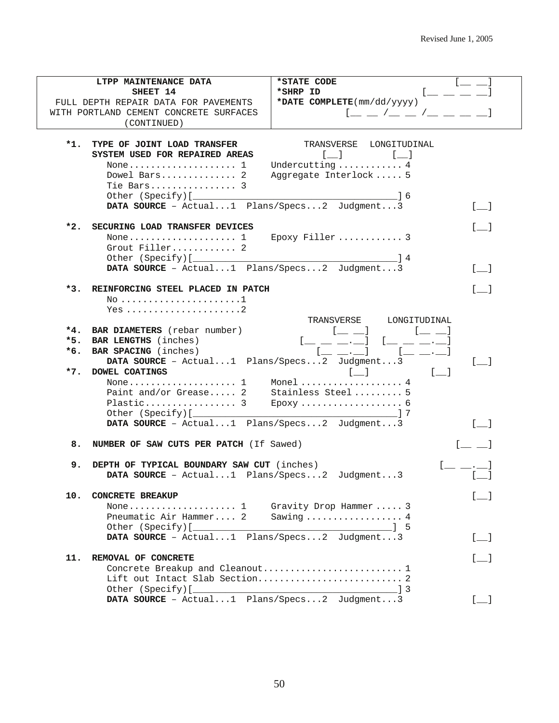|     | LTPP MAINTENANCE DATA                        | *STATE CODE                                                                            |                                       |
|-----|----------------------------------------------|----------------------------------------------------------------------------------------|---------------------------------------|
|     | SHEET 14                                     | *SHRP ID                                                                               |                                       |
|     | FULL DEPTH REPAIR DATA FOR PAVEMENTS         | *DATE COMPLETE(mm/dd/yyyy)                                                             |                                       |
|     | WITH PORTLAND CEMENT CONCRETE SURFACES       |                                                                                        |                                       |
|     | (CONTINUED)                                  |                                                                                        |                                       |
|     |                                              |                                                                                        |                                       |
| *1. | TYPE OF JOINT LOAD TRANSFER                  | TRANSVERSE<br>LONGITUDINAL                                                             |                                       |
|     | SYSTEM USED FOR REPAIRED AREAS               | $\lfloor \quad \rfloor$<br>$\mathbf{L} = \mathbf{L}$                                   |                                       |
|     | None $1$                                     | Undercutting  4                                                                        |                                       |
|     | Dowel Bars 2                                 | Aggregate Interlock  5                                                                 |                                       |
|     | Tie Bars 3                                   |                                                                                        |                                       |
|     |                                              |                                                                                        |                                       |
|     |                                              | $\begin{array}{\begin{array}{\small \begin{array}{\small \end{array}}{16}\end{array}}$ |                                       |
|     | DATA SOURCE - Actual1 Plans/Specs2 Judgment3 |                                                                                        | $\begin{bmatrix} 1 \end{bmatrix}$     |
|     | *2. SECURING LOAD TRANSFER DEVICES           |                                                                                        |                                       |
|     |                                              | Epoxy Filler  3                                                                        |                                       |
|     | Grout Filler 2                               |                                                                                        |                                       |
|     |                                              |                                                                                        |                                       |
|     |                                              |                                                                                        |                                       |
|     | DATA SOURCE - Actual1 Plans/Specs2 Judgment3 |                                                                                        | $\Box$                                |
|     | *3. REINFORCING STEEL PLACED IN PATCH        |                                                                                        |                                       |
|     |                                              |                                                                                        |                                       |
|     |                                              |                                                                                        |                                       |
|     |                                              | LONGITUDINAL                                                                           |                                       |
|     | *4. BAR DIAMETERS (rebar number)             | TRANSVERSE                                                                             |                                       |
|     |                                              | $[- \ ]$                                                                               |                                       |
| *5. | <b>BAR LENGTHS</b> (inches)                  |                                                                                        |                                       |
| *6. | <b>BAR SPACING</b> (inches)                  |                                                                                        |                                       |
|     | DATA SOURCE - Actual1 Plans/Specs2 Judgment3 |                                                                                        |                                       |
|     | *7. DOWEL COATINGS                           | $\begin{bmatrix} 1 & 1 \end{bmatrix}$<br>$\begin{bmatrix} 1 & 1 \end{bmatrix}$         |                                       |
|     |                                              |                                                                                        |                                       |
|     | Paint and/or Grease 2 Stainless Steel 5      |                                                                                        |                                       |
|     |                                              |                                                                                        |                                       |
|     |                                              |                                                                                        |                                       |
|     | DATA SOURCE - Actual1 Plans/Specs2 Judgment3 |                                                                                        |                                       |
|     | 8. NUMBER OF SAW CUTS PER PATCH (If Sawed)   |                                                                                        |                                       |
|     |                                              |                                                                                        |                                       |
| 9.  | DEPTH OF TYPICAL BOUNDARY SAW CUT (inches)   |                                                                                        |                                       |
|     | DATA SOURCE - Actual1 Plans/Specs2 Judgment3 |                                                                                        |                                       |
|     |                                              |                                                                                        |                                       |
| 10. | <b>CONCRETE BREAKUP</b>                      |                                                                                        |                                       |
|     | None $1$                                     | Gravity Drop Hammer  3                                                                 |                                       |
|     | Pneumatic Air Hammer 2                       | Sawing $\dots\dots\dots\dots\dots\dots4$                                               |                                       |
|     |                                              |                                                                                        |                                       |
|     | DATA SOURCE - Actual1 Plans/Specs2 Judgment3 |                                                                                        | $\begin{bmatrix} 1 & 1 \end{bmatrix}$ |
|     |                                              |                                                                                        |                                       |
| 11. | REMOVAL OF CONCRETE                          |                                                                                        | $\lceil$ 1                            |
|     |                                              |                                                                                        |                                       |
|     |                                              |                                                                                        |                                       |
|     |                                              |                                                                                        |                                       |
|     | DATA SOURCE - Actual1 Plans/Specs2 Judgment3 |                                                                                        | $\begin{bmatrix} 1 & 1 \end{bmatrix}$ |

 $\overline{\phantom{0}}$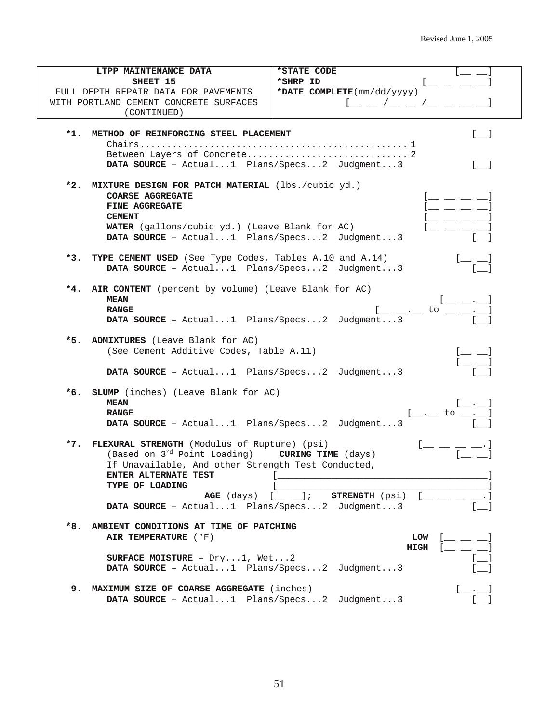| LTPP MAINTENANCE DATA                                            | *STATE CODE                                                                           |
|------------------------------------------------------------------|---------------------------------------------------------------------------------------|
| SHEET 15                                                         | *SHRP ID<br>La Carriera de Carriera de                                                |
| FULL DEPTH REPAIR DATA FOR PAVEMENTS                             | *DATE COMPLETE(mm/dd/yyyy)                                                            |
| WITH PORTLAND CEMENT CONCRETE SURFACES                           | $[$ $\_$ $\_$ $/$ $\_$ $\_$ $/$ $\_$ $\_$ $\_$ $\_$                                   |
| (CONTINUED)                                                      |                                                                                       |
|                                                                  |                                                                                       |
| *1.<br>METHOD OF REINFORCING STEEL PLACEMENT                     | $[$ $]$                                                                               |
|                                                                  |                                                                                       |
|                                                                  |                                                                                       |
|                                                                  |                                                                                       |
| DATA SOURCE - Actual1 Plans/Specs2 Judgment3                     | $[$ $]$                                                                               |
| *2.<br>MIXTURE DESIGN FOR PATCH MATERIAL (lbs./cubic yd.)        |                                                                                       |
| COARSE AGGREGATE                                                 |                                                                                       |
|                                                                  | $\leftarrow$ $\leftarrow$ $\leftarrow$ $\leftarrow$ $\leftarrow$<br>$[$ $\_\_$ $\_\_$ |
| <b>FINE AGGREGATE</b>                                            |                                                                                       |
| <b>CEMENT</b>                                                    | $l = \bot$                                                                            |
| <b>WATER</b> (gallons/cubic yd.) (Leave Blank for AC)            |                                                                                       |
| DATA SOURCE - Actual1 Plans/Specs2 Judgment3                     |                                                                                       |
| $*3.$<br>TYPE CEMENT USED (See Type Codes, Tables A.10 and A.14) |                                                                                       |
|                                                                  |                                                                                       |
| DATA SOURCE - Actual1 Plans/Specs2 Judgment3                     |                                                                                       |
| AIR CONTENT (percent by volume) (Leave Blank for AC)<br>*4.      |                                                                                       |
| <b>MEAN</b>                                                      | $[$ $\_\_$ $\_\_$                                                                     |
| <b>RANGE</b>                                                     | $[$ __ .__ to _ _ ._ l                                                                |
| DATA SOURCE - Actual1 Plans/Specs2 Judgment3                     |                                                                                       |
|                                                                  |                                                                                       |
| *5. ADMIXTURES (Leave Blank for AC)                              |                                                                                       |
| (See Cement Additive Codes, Table A.11)                          |                                                                                       |
|                                                                  | $\stackrel{[--]}{=-}$                                                                 |
| DATA SOURCE - Actual1 Plans/Specs2 Judgment3                     |                                                                                       |
|                                                                  |                                                                                       |
| SLUMP (inches) (Leave Blank for AC)<br>*6.                       |                                                                                       |
| <b>MEAN</b>                                                      | $[\_\_\cdot\_\_\cdot]$                                                                |
| <b>RANGE</b>                                                     |                                                                                       |
| DATA SOURCE - Actual1 Plans/Specs2 Judgment3                     | $[$ __._ to __._]                                                                     |
|                                                                  |                                                                                       |
| FLEXURAL STRENGTH (Modulus of Rupture) (psi)<br>$*7.$            |                                                                                       |
| (Based on $3^{rd}$ Point Loading) <b>CURING TIME</b> (days)      |                                                                                       |
| If Unavailable, And other Strength Test Conducted,               |                                                                                       |
|                                                                  |                                                                                       |
| TYPE OF LOADING                                                  |                                                                                       |
|                                                                  | AGE (days) $[$ $]$ ; STRENGTH (psi) $[$ $]$ $]$ $]$                                   |
| DATA SOURCE - Actual1 Plans/Specs2 Judgment3                     |                                                                                       |
|                                                                  |                                                                                       |
| *8.<br>AMBIENT CONDITIONS AT TIME OF PATCHING                    |                                                                                       |
| AIR TEMPERATURE ( °F)                                            | LOW<br>$[$ $\_\_$ $\_\_$                                                              |
|                                                                  | $HIGH$ $[$ $]$ $]$                                                                    |
| SURFACE MOISTURE - $Dry1$ , Wet2                                 | $[$ $]$                                                                               |
| DATA SOURCE - Actual1 Plans/Specs2 Judgment3                     |                                                                                       |
|                                                                  |                                                                                       |
| 9. MAXIMUM SIZE OF COARSE AGGREGATE (inches)                     | $[-,-]$                                                                               |
| DATA SOURCE - Actual1 Plans/Specs2 Judgment3                     |                                                                                       |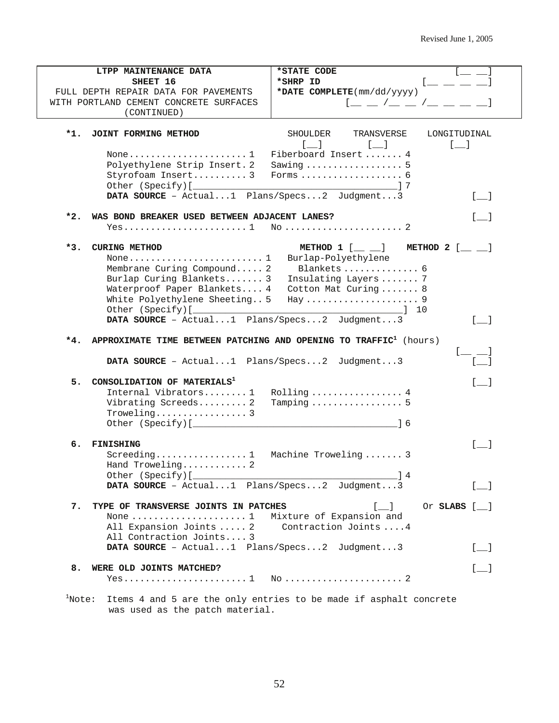|     | LTPP MAINTENANCE DATA                                                         | *STATE CODE                                                                                                                                                                                                                                                                                                                                                                                                                                                                                     |
|-----|-------------------------------------------------------------------------------|-------------------------------------------------------------------------------------------------------------------------------------------------------------------------------------------------------------------------------------------------------------------------------------------------------------------------------------------------------------------------------------------------------------------------------------------------------------------------------------------------|
|     | SHEET 16                                                                      | *SHRP ID                                                                                                                                                                                                                                                                                                                                                                                                                                                                                        |
|     | FULL DEPTH REPAIR DATA FOR PAVEMENTS                                          | *DATE COMPLETE(mm/dd/yyyy)                                                                                                                                                                                                                                                                                                                                                                                                                                                                      |
|     | WITH PORTLAND CEMENT CONCRETE SURFACES                                        | $\mathfrak{l}=\mathfrak{l}=\mathfrak{l}=\mathfrak{l}=\mathfrak{l}=\mathfrak{l}=\mathfrak{l}=\mathfrak{l}=\mathfrak{l}=\mathfrak{l}=\mathfrak{l}=\mathfrak{l}=\mathfrak{l}=\mathfrak{l}=\mathfrak{l}=\mathfrak{l}=\mathfrak{l}=\mathfrak{l}=\mathfrak{l}=\mathfrak{l}=\mathfrak{l}=\mathfrak{l}=\mathfrak{l}=\mathfrak{l}=\mathfrak{l}=\mathfrak{l}=\mathfrak{l}=\mathfrak{l}=\mathfrak{l}=\mathfrak{l}=\mathfrak{l}=\mathfrak{l}=\mathfrak{l}=\mathfrak{l}=\mathfrak{l}=\mathfrak{l}=\mathfrak$ |
|     | (CONTINUED)                                                                   |                                                                                                                                                                                                                                                                                                                                                                                                                                                                                                 |
|     |                                                                               |                                                                                                                                                                                                                                                                                                                                                                                                                                                                                                 |
| *1. | JOINT FORMING METHOD                                                          | SHOULDER<br>TRANSVERSE<br>LONGITUDINAL                                                                                                                                                                                                                                                                                                                                                                                                                                                          |
|     |                                                                               | $\begin{bmatrix} 1 & 1 \end{bmatrix}$<br>$\begin{bmatrix} 1 & 1 \end{bmatrix}$<br><b>Line Coll</b>                                                                                                                                                                                                                                                                                                                                                                                              |
|     |                                                                               | Fiberboard Insert  4                                                                                                                                                                                                                                                                                                                                                                                                                                                                            |
|     | Polyethylene Strip Insert. 2                                                  | Sawing  5                                                                                                                                                                                                                                                                                                                                                                                                                                                                                       |
|     | Styrofoam Insert 3                                                            |                                                                                                                                                                                                                                                                                                                                                                                                                                                                                                 |
|     |                                                                               |                                                                                                                                                                                                                                                                                                                                                                                                                                                                                                 |
|     | DATA SOURCE - Actual1 Plans/Specs2 Judgment3                                  | $\begin{bmatrix} 1 & 1 \\ 1 & 1 \end{bmatrix}$                                                                                                                                                                                                                                                                                                                                                                                                                                                  |
|     |                                                                               |                                                                                                                                                                                                                                                                                                                                                                                                                                                                                                 |
| *2. | WAS BOND BREAKER USED BETWEEN ADJACENT LANES?                                 | $\begin{bmatrix} \phantom{-} \end{bmatrix}$                                                                                                                                                                                                                                                                                                                                                                                                                                                     |
|     |                                                                               |                                                                                                                                                                                                                                                                                                                                                                                                                                                                                                 |
|     |                                                                               |                                                                                                                                                                                                                                                                                                                                                                                                                                                                                                 |
| *3. | <b>CURING METHOD</b>                                                          | METHOD $1$ $[\underline{\hspace{1cm}} \underline{\hspace{1cm}} ]$ METHOD $2$ $[\underline{\hspace{1cm}} \underline{\hspace{1cm}} ]$                                                                                                                                                                                                                                                                                                                                                             |
|     |                                                                               | Burlap-Polyethylene                                                                                                                                                                                                                                                                                                                                                                                                                                                                             |
|     | Membrane Curing Compound 2                                                    | Blankets  6                                                                                                                                                                                                                                                                                                                                                                                                                                                                                     |
|     | Burlap Curing Blankets 3                                                      | Insulating Layers  7                                                                                                                                                                                                                                                                                                                                                                                                                                                                            |
|     | Waterproof Paper Blankets 4                                                   | Cotton Mat Curing 8                                                                                                                                                                                                                                                                                                                                                                                                                                                                             |
|     | White Polyethylene Sheeting 5                                                 |                                                                                                                                                                                                                                                                                                                                                                                                                                                                                                 |
|     |                                                                               | $\sim$ 10                                                                                                                                                                                                                                                                                                                                                                                                                                                                                       |
|     | DATA SOURCE - Actual1 Plans/Specs2 Judgment3                                  | $\begin{bmatrix} 1 & 1 \\ 1 & 1 \end{bmatrix}$                                                                                                                                                                                                                                                                                                                                                                                                                                                  |
|     |                                                                               |                                                                                                                                                                                                                                                                                                                                                                                                                                                                                                 |
| *4. | APPROXIMATE TIME BETWEEN PATCHING AND OPENING TO TRAFFIC <sup>1</sup> (hours) |                                                                                                                                                                                                                                                                                                                                                                                                                                                                                                 |
|     |                                                                               |                                                                                                                                                                                                                                                                                                                                                                                                                                                                                                 |
|     | DATA SOURCE - Actual1 Plans/Specs2 Judgment3                                  |                                                                                                                                                                                                                                                                                                                                                                                                                                                                                                 |
|     |                                                                               |                                                                                                                                                                                                                                                                                                                                                                                                                                                                                                 |
| 5.  | CONSOLIDATION OF MATERIALS <sup>1</sup>                                       | [ ]                                                                                                                                                                                                                                                                                                                                                                                                                                                                                             |
|     | Internal Vibrators 1                                                          | Rolling  4                                                                                                                                                                                                                                                                                                                                                                                                                                                                                      |
|     | Vibrating Screeds 2                                                           | Tamping $\ldots \ldots \ldots \ldots \ldots 5$                                                                                                                                                                                                                                                                                                                                                                                                                                                  |
|     | $Troweling \ldots \ldots \ldots \ldots \ldots 3$                              |                                                                                                                                                                                                                                                                                                                                                                                                                                                                                                 |
|     |                                                                               |                                                                                                                                                                                                                                                                                                                                                                                                                                                                                                 |
|     |                                                                               |                                                                                                                                                                                                                                                                                                                                                                                                                                                                                                 |
| 6.  | FINISHING                                                                     | $\begin{bmatrix} 1 & 1 \end{bmatrix}$                                                                                                                                                                                                                                                                                                                                                                                                                                                           |
|     | Screeding1                                                                    | Machine Troweling  3                                                                                                                                                                                                                                                                                                                                                                                                                                                                            |
|     | Hand Troweling 2                                                              |                                                                                                                                                                                                                                                                                                                                                                                                                                                                                                 |
|     |                                                                               | $\_$ 1 4                                                                                                                                                                                                                                                                                                                                                                                                                                                                                        |
|     | DATA SOURCE - Actual1 Plans/Specs2 Judgment3                                  | $\begin{bmatrix} 1 & 1 \end{bmatrix}$                                                                                                                                                                                                                                                                                                                                                                                                                                                           |
|     |                                                                               |                                                                                                                                                                                                                                                                                                                                                                                                                                                                                                 |
| 7.  | TYPE OF TRANSVERSE JOINTS IN PATCHES                                          | $[\_$<br>Or SLABS $[$ $]$                                                                                                                                                                                                                                                                                                                                                                                                                                                                       |
|     | None $\ldots \ldots \ldots \ldots \ldots \ldots 1$                            | Mixture of Expansion and                                                                                                                                                                                                                                                                                                                                                                                                                                                                        |
|     | All Expansion Joints  2                                                       | Contraction Joints  4                                                                                                                                                                                                                                                                                                                                                                                                                                                                           |
|     | All Contraction Joints 3                                                      |                                                                                                                                                                                                                                                                                                                                                                                                                                                                                                 |
|     | DATA SOURCE - Actual1 Plans/Specs2 Judgment3                                  | $[$ $]$                                                                                                                                                                                                                                                                                                                                                                                                                                                                                         |
|     |                                                                               |                                                                                                                                                                                                                                                                                                                                                                                                                                                                                                 |
| 8.  | WERE OLD JOINTS MATCHED?                                                      | $[$ $]$                                                                                                                                                                                                                                                                                                                                                                                                                                                                                         |
|     |                                                                               |                                                                                                                                                                                                                                                                                                                                                                                                                                                                                                 |
|     |                                                                               |                                                                                                                                                                                                                                                                                                                                                                                                                                                                                                 |

 $1$ Note: Items 4 and 5 are the only entries to be made if asphalt concrete was used as the patch material.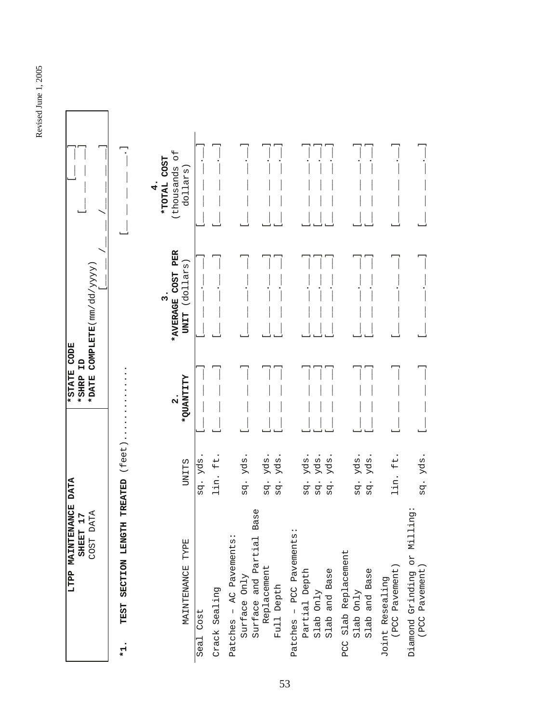| LTPP MAINTENANCE DATA<br>r<br>SHEET 1                      |                                                 | *STATE CODE<br>Ĥ<br>*SHRP                     |                                                                 |                                                      |
|------------------------------------------------------------|-------------------------------------------------|-----------------------------------------------|-----------------------------------------------------------------|------------------------------------------------------|
| COST DATA                                                  |                                                 | *DATE                                         | $\textbf{COMPLETE}(\text{mm}/\text{dd}/\text{YYY})$             |                                                      |
| TEST SECTION LENGTH<br>$*1.$                               | (feet<br>TREATED                                |                                               |                                                                 |                                                      |
| MAINTENANCE TYPE                                           | <b>UNITS</b>                                    | <b><i>ALLINEUS</i></b><br>$\ddot{\mathbf{a}}$ | PER<br>(dollars)<br><b>COST</b><br>ω<br>*AVERAGE<br><b>UNIT</b> | $\overline{5}$<br>TOTAL COST<br>thousands<br>dollars |
| Seal Cost                                                  | sq. yds                                         |                                               |                                                                 |                                                      |
| Crack Sealing                                              | $\pm$<br>lin.                                   |                                               |                                                                 |                                                      |
| Patches - AC Pavements:<br>Surface Only                    | yds.<br>sq.                                     |                                               |                                                                 |                                                      |
| Surface and Partial Base                                   |                                                 |                                               |                                                                 |                                                      |
| Replacement<br>Full Depth                                  | yds.<br>yds.<br>sq.<br>$\bullet$<br>ρά          |                                               |                                                                 |                                                      |
| Patches - PCC Pavements:                                   |                                                 |                                               |                                                                 |                                                      |
| Partial Depth<br>Slab Only                                 | yds.<br>yds.<br>$\bullet$<br>sq.<br>ρq          |                                               |                                                                 |                                                      |
| Slab and Base                                              | yds.<br>$\bullet$<br>ρğ                         |                                               |                                                                 |                                                      |
| PCC Slab Replacement                                       |                                                 |                                               |                                                                 |                                                      |
| Slab and Base<br>Slab Only                                 | yds<br>yds.<br>$\cdot$<br>$\bullet$<br>ρρ<br>ρg |                                               |                                                                 |                                                      |
| Joint Resealing<br>(PCC Pavement)                          | $\pm$<br>lin.                                   |                                               |                                                                 |                                                      |
| $\ddot{g}$<br>Diamond Grinding or Millin<br>(PCC Pavement) | yds.<br>sg.                                     |                                               |                                                                 |                                                      |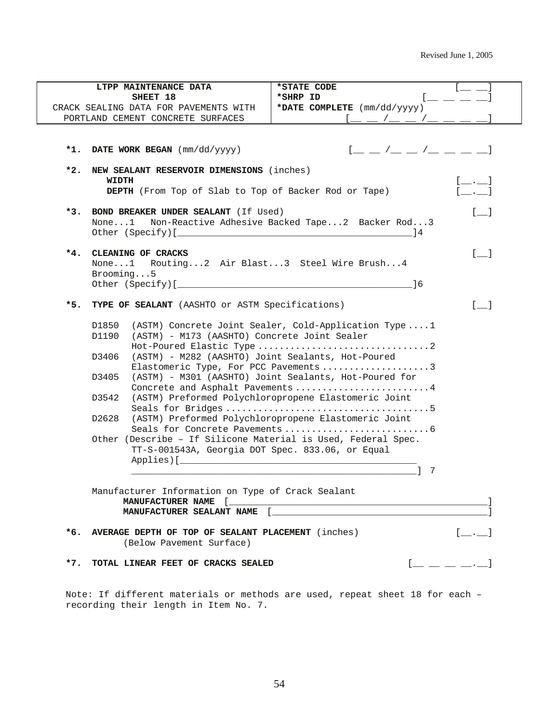|       | LTPP MAINTENANCE DATA<br>SHEET 18                             | *STATE CODE<br>*SHRP ID                                                                                                                                                                                                                                                                                                                                                                                                                                                             | $\Box = \Box$                                  |  |  |
|-------|---------------------------------------------------------------|-------------------------------------------------------------------------------------------------------------------------------------------------------------------------------------------------------------------------------------------------------------------------------------------------------------------------------------------------------------------------------------------------------------------------------------------------------------------------------------|------------------------------------------------|--|--|
|       | CRACK SEALING DATA FOR PAVEMENTS WITH                         | *DATE COMPLETE (mm/dd/yyyy)                                                                                                                                                                                                                                                                                                                                                                                                                                                         |                                                |  |  |
|       | PORTLAND CEMENT CONCRETE SURFACES                             |                                                                                                                                                                                                                                                                                                                                                                                                                                                                                     |                                                |  |  |
|       |                                                               |                                                                                                                                                                                                                                                                                                                                                                                                                                                                                     |                                                |  |  |
|       |                                                               |                                                                                                                                                                                                                                                                                                                                                                                                                                                                                     |                                                |  |  |
|       | *1. DATE WORK BEGAN (mm/dd/yyyy)                              | $[$ $\_$ $\_$ $/$ $\_$ $\_$ $/$ $\_$ $\_$ $\_$ $\_$                                                                                                                                                                                                                                                                                                                                                                                                                                 |                                                |  |  |
| $*2.$ | NEW SEALANT RESERVOIR DIMENSIONS (inches)                     |                                                                                                                                                                                                                                                                                                                                                                                                                                                                                     |                                                |  |  |
|       | WIDTH                                                         |                                                                                                                                                                                                                                                                                                                                                                                                                                                                                     |                                                |  |  |
|       | DEPTH (From Top of Slab to Top of Backer Rod or Tape)         |                                                                                                                                                                                                                                                                                                                                                                                                                                                                                     | <b>College</b>                                 |  |  |
|       |                                                               |                                                                                                                                                                                                                                                                                                                                                                                                                                                                                     |                                                |  |  |
|       | *3. BOND BREAKER UNDER SEALANT (If Used)<br>None. $\ldots 1$  | Non-Reactive Adhesive Backed Tape2 Backer Rod3                                                                                                                                                                                                                                                                                                                                                                                                                                      | [1]                                            |  |  |
|       |                                                               | - 14                                                                                                                                                                                                                                                                                                                                                                                                                                                                                |                                                |  |  |
|       |                                                               |                                                                                                                                                                                                                                                                                                                                                                                                                                                                                     |                                                |  |  |
|       | *4. CLEANING OF CRACKS                                        |                                                                                                                                                                                                                                                                                                                                                                                                                                                                                     | $[ \quad ]$                                    |  |  |
|       | None1 Routing2 Air Blast3 Steel Wire Brush4                   |                                                                                                                                                                                                                                                                                                                                                                                                                                                                                     |                                                |  |  |
|       | Brooming5                                                     |                                                                                                                                                                                                                                                                                                                                                                                                                                                                                     |                                                |  |  |
|       |                                                               | $\sim$ 16                                                                                                                                                                                                                                                                                                                                                                                                                                                                           |                                                |  |  |
| *5.   | TYPE OF SEALANT (AASHTO or ASTM Specifications)               |                                                                                                                                                                                                                                                                                                                                                                                                                                                                                     |                                                |  |  |
|       | D1850<br>(ASTM) Concrete Joint Sealer, Cold-Application Type1 |                                                                                                                                                                                                                                                                                                                                                                                                                                                                                     |                                                |  |  |
|       | (ASTM) - M173 (AASHTO) Concrete Joint Sealer<br>D1190         |                                                                                                                                                                                                                                                                                                                                                                                                                                                                                     |                                                |  |  |
|       |                                                               |                                                                                                                                                                                                                                                                                                                                                                                                                                                                                     |                                                |  |  |
|       | (ASTM) - M282 (AASHTO) Joint Sealants, Hot-Poured<br>D3406    |                                                                                                                                                                                                                                                                                                                                                                                                                                                                                     |                                                |  |  |
|       | Elastomeric Type, For PCC Pavements 3                         |                                                                                                                                                                                                                                                                                                                                                                                                                                                                                     |                                                |  |  |
|       | D3405                                                         | (ASTM) - M301 (AASHTO) Joint Sealants, Hot-Poured for                                                                                                                                                                                                                                                                                                                                                                                                                               |                                                |  |  |
|       | D3542                                                         | Concrete and Asphalt Pavements 4<br>(ASTM) Preformed Polychloropropene Elastomeric Joint                                                                                                                                                                                                                                                                                                                                                                                            |                                                |  |  |
|       |                                                               |                                                                                                                                                                                                                                                                                                                                                                                                                                                                                     |                                                |  |  |
|       | D2628                                                         | (ASTM) Preformed Polychloropropene Elastomeric Joint                                                                                                                                                                                                                                                                                                                                                                                                                                |                                                |  |  |
|       |                                                               |                                                                                                                                                                                                                                                                                                                                                                                                                                                                                     |                                                |  |  |
|       | Other (Describe - If Silicone Material is Used, Federal Spec. |                                                                                                                                                                                                                                                                                                                                                                                                                                                                                     |                                                |  |  |
|       | TT-S-001543A, Georgia DOT Spec. 833.06, or Equal              |                                                                                                                                                                                                                                                                                                                                                                                                                                                                                     |                                                |  |  |
|       | Applies) [                                                    | 7                                                                                                                                                                                                                                                                                                                                                                                                                                                                                   |                                                |  |  |
|       |                                                               |                                                                                                                                                                                                                                                                                                                                                                                                                                                                                     |                                                |  |  |
|       | Manufacturer Information on Type of Crack Sealant             |                                                                                                                                                                                                                                                                                                                                                                                                                                                                                     |                                                |  |  |
|       |                                                               | ${\tt MANUFACTURER\;\; NAME} \quad [\underbrace{\hspace{2.5cm}} \underbrace{\hspace{2.5cm}} \hspace{2.5cm} \underbrace{\hspace{2.5cm}} \hspace{2.5cm} \underbrace{\hspace{2.5cm}} \hspace{2.5cm} \underbrace{\hspace{2.5cm}} \hspace{2.5cm} \underbrace{\hspace{2.5cm}} \hspace{2.5cm} \underbrace{\hspace{2.5cm}} \hspace{2.5cm} \underbrace{\hspace{2.5cm}} \hspace{2.5cm} \underbrace{\hspace{2.5cm}} \hspace{2.5cm} \underbrace{\hspace{2.5cm}} \hspace{2.5cm} \underbrace{\hs$ |                                                |  |  |
|       |                                                               | MANUFACTURER SEALANT NAME [_                                                                                                                                                                                                                                                                                                                                                                                                                                                        |                                                |  |  |
|       | *6. AVERAGE DEPTH OF TOP OF SEALANT PLACEMENT (inches)        |                                                                                                                                                                                                                                                                                                                                                                                                                                                                                     | $\begin{bmatrix} 1 & 1 \\ 1 & 1 \end{bmatrix}$ |  |  |
|       | (Below Pavement Surface)                                      |                                                                                                                                                                                                                                                                                                                                                                                                                                                                                     |                                                |  |  |
|       |                                                               |                                                                                                                                                                                                                                                                                                                                                                                                                                                                                     |                                                |  |  |
|       |                                                               |                                                                                                                                                                                                                                                                                                                                                                                                                                                                                     | $[- - - -]$                                    |  |  |

Note: If different materials or methods are used, repeat sheet 18 for each – recording their length in Item No. 7.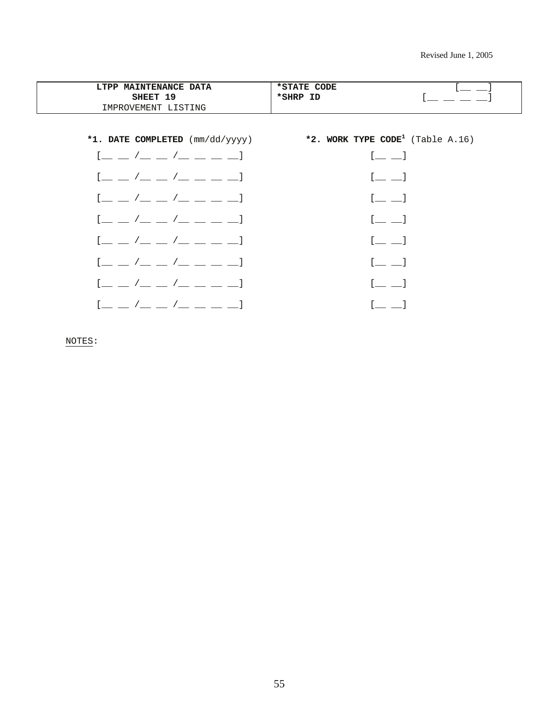| LTPP MAINTENANCE DATA<br>SHEET 19<br>IMPROVEMENT LISTING                                                                                                                                                                                                                                                                                                                                                                                                                                                                                                                            | *STATE CODE<br>*SHRP ID                                                                            |
|-------------------------------------------------------------------------------------------------------------------------------------------------------------------------------------------------------------------------------------------------------------------------------------------------------------------------------------------------------------------------------------------------------------------------------------------------------------------------------------------------------------------------------------------------------------------------------------|----------------------------------------------------------------------------------------------------|
|                                                                                                                                                                                                                                                                                                                                                                                                                                                                                                                                                                                     | *1. DATE COMPLETED $(\text{mm}/\text{dd}/\text{yyy})$ *2. WORK TYPE CODE <sup>1</sup> (Table A.16) |
| $[$ $\_\_$ $\_\_$ $/$ $\_\_$ $\_\_$ $/$ $\_\_$ $\_\_$ $\_\_$ $\_\_$                                                                                                                                                                                                                                                                                                                                                                                                                                                                                                                 | $\begin{bmatrix} 1 & 1 \\ 1 & 1 \end{bmatrix}$                                                     |
| <u>[ _ _ /_ _ /_ _ _ _</u>                                                                                                                                                                                                                                                                                                                                                                                                                                                                                                                                                          | $\begin{bmatrix} 1 & 1 \\ 1 & 1 \end{bmatrix}$                                                     |
| $\begin{array}{ccc} \begin{array}{ccc} \end{array} & \begin{array}{ccc} \end{array} & \begin{array}{ccc} \end{array} & \begin{array}{ccc} \end{array} & \begin{array}{ccc} \end{array} & \begin{array}{ccc} \end{array} & \begin{array}{ccc} \end{array} & \begin{array}{ccc} \end{array} & \begin{array}{ccc} \end{array} & \begin{array}{ccc} \end{array} & \begin{array}{ccc} \end{array} & \begin{array}{ccc} \end{array} & \begin{array}{ccc} \end{array} & \begin{array}{ccc} \end{array} & \begin{array}{ccc} \end{array} & \begin{array}{ccc} \end{array} & \begin{array}{$ | $\begin{bmatrix} 1 & 1 \\ 1 & 1 \end{bmatrix}$                                                     |
| <u>[ _ _ /_ _ /_ _ _ _</u>                                                                                                                                                                                                                                                                                                                                                                                                                                                                                                                                                          | $\begin{bmatrix} 1 & 1 \\ 1 & 1 \end{bmatrix}$                                                     |
| $\begin{bmatrix} 1 & 1 & 1 \end{bmatrix}$                                                                                                                                                                                                                                                                                                                                                                                                                                                                                                                                           | $\begin{bmatrix} 1 & 1 \\ 1 & 1 \end{bmatrix}$                                                     |
| $\begin{bmatrix} 1 & 1 & 1 \end{bmatrix}$                                                                                                                                                                                                                                                                                                                                                                                                                                                                                                                                           | $\begin{bmatrix} 1 & 1 \end{bmatrix}$                                                              |
| $[$ $\_\_$ $\_\_$ $/$ $\_\_$ $\_\_$ $/$ $\_\_$ $\_\_$ $\_\_$                                                                                                                                                                                                                                                                                                                                                                                                                                                                                                                        | $\begin{bmatrix} 1 & 1 \\ 1 & 1 \end{bmatrix}$                                                     |
| $\begin{bmatrix} 1 & 1 & 1 \end{bmatrix}$                                                                                                                                                                                                                                                                                                                                                                                                                                                                                                                                           |                                                                                                    |

NOTES: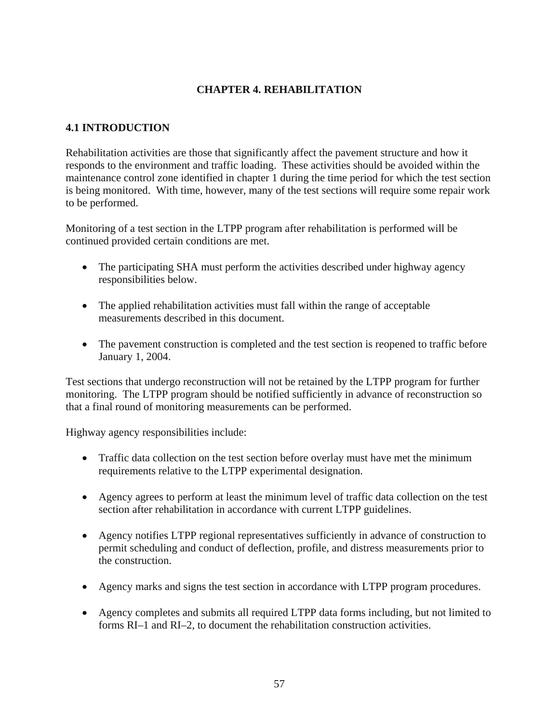# **CHAPTER 4. REHABILITATION**

# **4.1 INTRODUCTION**

Rehabilitation activities are those that significantly affect the pavement structure and how it responds to the environment and traffic loading. These activities should be avoided within the maintenance control zone identified in chapter 1 during the time period for which the test section is being monitored. With time, however, many of the test sections will require some repair work to be performed.

Monitoring of a test section in the LTPP program after rehabilitation is performed will be continued provided certain conditions are met.

- The participating SHA must perform the activities described under highway agency responsibilities below.
- The applied rehabilitation activities must fall within the range of acceptable measurements described in this document.
- The pavement construction is completed and the test section is reopened to traffic before January 1, 2004.

Test sections that undergo reconstruction will not be retained by the LTPP program for further monitoring. The LTPP program should be notified sufficiently in advance of reconstruction so that a final round of monitoring measurements can be performed.

Highway agency responsibilities include:

- Traffic data collection on the test section before overlay must have met the minimum requirements relative to the LTPP experimental designation.
- Agency agrees to perform at least the minimum level of traffic data collection on the test section after rehabilitation in accordance with current LTPP guidelines.
- Agency notifies LTPP regional representatives sufficiently in advance of construction to permit scheduling and conduct of deflection, profile, and distress measurements prior to the construction.
- Agency marks and signs the test section in accordance with LTPP program procedures.
- Agency completes and submits all required LTPP data forms including, but not limited to forms RI–1 and RI–2, to document the rehabilitation construction activities.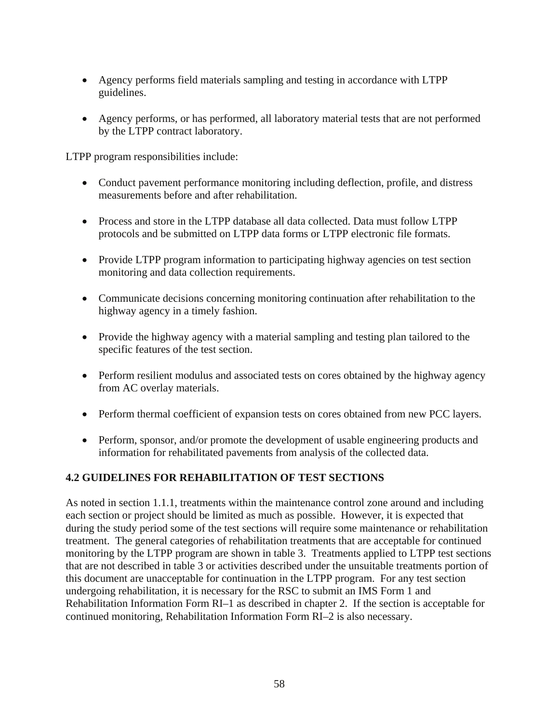- Agency performs field materials sampling and testing in accordance with LTPP guidelines.
- Agency performs, or has performed, all laboratory material tests that are not performed by the LTPP contract laboratory.

LTPP program responsibilities include:

- Conduct pavement performance monitoring including deflection, profile, and distress measurements before and after rehabilitation.
- Process and store in the LTPP database all data collected. Data must follow LTPP protocols and be submitted on LTPP data forms or LTPP electronic file formats.
- Provide LTPP program information to participating highway agencies on test section monitoring and data collection requirements.
- Communicate decisions concerning monitoring continuation after rehabilitation to the highway agency in a timely fashion.
- Provide the highway agency with a material sampling and testing plan tailored to the specific features of the test section.
- Perform resilient modulus and associated tests on cores obtained by the highway agency from AC overlay materials.
- Perform thermal coefficient of expansion tests on cores obtained from new PCC layers.
- Perform, sponsor, and/or promote the development of usable engineering products and information for rehabilitated pavements from analysis of the collected data.

# **4.2 GUIDELINES FOR REHABILITATION OF TEST SECTIONS**

As noted in section 1.1.1, treatments within the maintenance control zone around and including each section or project should be limited as much as possible. However, it is expected that during the study period some of the test sections will require some maintenance or rehabilitation treatment. The general categories of rehabilitation treatments that are acceptable for continued monitoring by the LTPP program are shown in table 3. Treatments applied to LTPP test sections that are not described in table 3 or activities described under the unsuitable treatments portion of this document are unacceptable for continuation in the LTPP program. For any test section undergoing rehabilitation, it is necessary for the RSC to submit an IMS Form 1 and Rehabilitation Information Form RI–1 as described in chapter 2. If the section is acceptable for continued monitoring, Rehabilitation Information Form RI–2 is also necessary.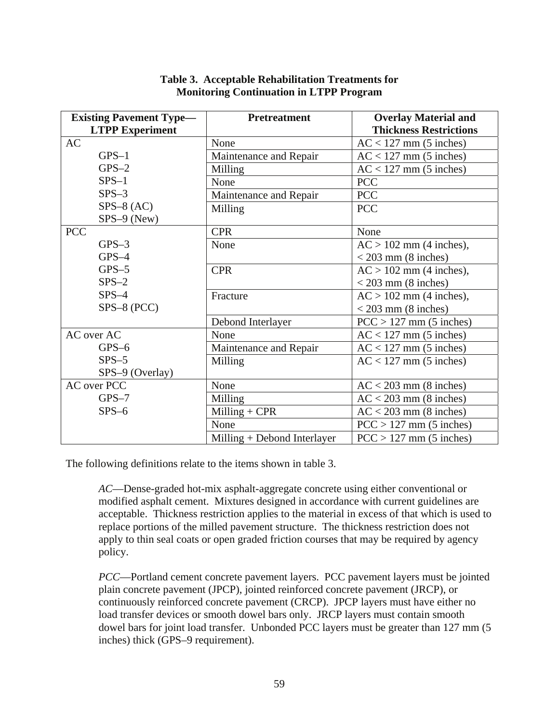| <b>Existing Pavement Type—</b> | <b>Pretreatment</b>         | <b>Overlay Material and</b>   |
|--------------------------------|-----------------------------|-------------------------------|
| <b>LTPP Experiment</b>         |                             | <b>Thickness Restrictions</b> |
| AC                             | None                        | $AC < 127$ mm (5 inches)      |
| $GPS-1$                        | Maintenance and Repair      | $AC < 127$ mm (5 inches)      |
| $GPS-2$                        | Milling                     | $AC < 127$ mm (5 inches)      |
| $SPS-1$                        | None                        | <b>PCC</b>                    |
| $SPS-3$                        | Maintenance and Repair      | <b>PCC</b>                    |
| $SPS-8 (AC)$                   | Milling                     | <b>PCC</b>                    |
| $SPS-9$ (New)                  |                             |                               |
| <b>PCC</b>                     | <b>CPR</b>                  | None                          |
| $GPS-3$                        | None                        | $AC > 102$ mm (4 inches),     |
| $GPS-4$                        |                             | $<$ 203 mm (8 inches)         |
| $GPS-5$                        | <b>CPR</b>                  | $AC > 102$ mm (4 inches),     |
| $SPS-2$                        |                             | $<$ 203 mm (8 inches)         |
| $SPS-4$                        | Fracture                    | $AC > 102$ mm (4 inches),     |
| $SPS-8 (PCC)$                  |                             | $<$ 203 mm (8 inches)         |
|                                | Debond Interlayer           | $PCC > 127$ mm (5 inches)     |
| AC over AC                     | None                        | $AC < 127$ mm (5 inches)      |
| $GPS-6$                        | Maintenance and Repair      | $AC < 127$ mm (5 inches)      |
| $SPS-5$                        | Milling                     | $AC < 127$ mm (5 inches)      |
| SPS-9 (Overlay)                |                             |                               |
| <b>AC</b> over PCC             | None                        | $AC < 203$ mm (8 inches)      |
| $GPS-7$                        | Milling                     | $AC < 203$ mm (8 inches)      |
| $SPS-6$                        | Milling $+$ CPR             | $AC < 203$ mm (8 inches)      |
|                                | None                        | $PCC > 127$ mm (5 inches)     |
|                                | Milling + Debond Interlayer | $PCC > 127$ mm (5 inches)     |

| Table 3. Acceptable Rehabilitation Treatments for |
|---------------------------------------------------|
| <b>Monitoring Continuation in LTPP Program</b>    |

The following definitions relate to the items shown in table 3.

*AC*—Dense-graded hot-mix asphalt-aggregate concrete using either conventional or modified asphalt cement. Mixtures designed in accordance with current guidelines are acceptable. Thickness restriction applies to the material in excess of that which is used to replace portions of the milled pavement structure. The thickness restriction does not apply to thin seal coats or open graded friction courses that may be required by agency policy.

*PCC*—Portland cement concrete pavement layers. PCC pavement layers must be jointed plain concrete pavement (JPCP), jointed reinforced concrete pavement (JRCP), or continuously reinforced concrete pavement (CRCP). JPCP layers must have either no load transfer devices or smooth dowel bars only. JRCP layers must contain smooth dowel bars for joint load transfer. Unbonded PCC layers must be greater than 127 mm (5 inches) thick (GPS–9 requirement).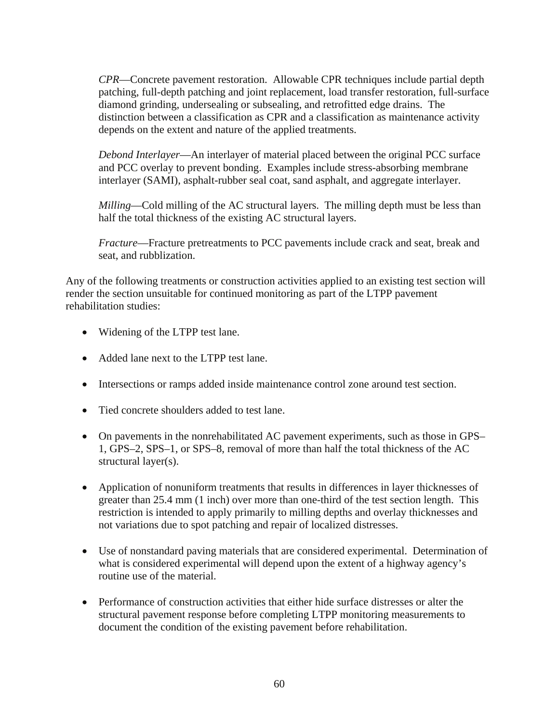*CPR*—Concrete pavement restoration. Allowable CPR techniques include partial depth patching, full-depth patching and joint replacement, load transfer restoration, full-surface diamond grinding, undersealing or subsealing, and retrofitted edge drains. The distinction between a classification as CPR and a classification as maintenance activity depends on the extent and nature of the applied treatments.

*Debond Interlayer*—An interlayer of material placed between the original PCC surface and PCC overlay to prevent bonding. Examples include stress-absorbing membrane interlayer (SAMI), asphalt-rubber seal coat, sand asphalt, and aggregate interlayer.

*Milling*—Cold milling of the AC structural layers. The milling depth must be less than half the total thickness of the existing AC structural layers.

*Fracture*—Fracture pretreatments to PCC pavements include crack and seat, break and seat, and rubblization.

Any of the following treatments or construction activities applied to an existing test section will render the section unsuitable for continued monitoring as part of the LTPP pavement rehabilitation studies:

- Widening of the LTPP test lane.
- Added lane next to the LTPP test lane.
- Intersections or ramps added inside maintenance control zone around test section.
- Tied concrete shoulders added to test lane.
- On pavements in the nonrehabilitated AC pavement experiments, such as those in GPS– 1, GPS–2, SPS–1, or SPS–8, removal of more than half the total thickness of the AC structural layer(s).
- Application of nonuniform treatments that results in differences in layer thicknesses of greater than 25.4 mm (1 inch) over more than one-third of the test section length. This restriction is intended to apply primarily to milling depths and overlay thicknesses and not variations due to spot patching and repair of localized distresses.
- Use of nonstandard paving materials that are considered experimental. Determination of what is considered experimental will depend upon the extent of a highway agency's routine use of the material.
- Performance of construction activities that either hide surface distresses or alter the structural pavement response before completing LTPP monitoring measurements to document the condition of the existing pavement before rehabilitation.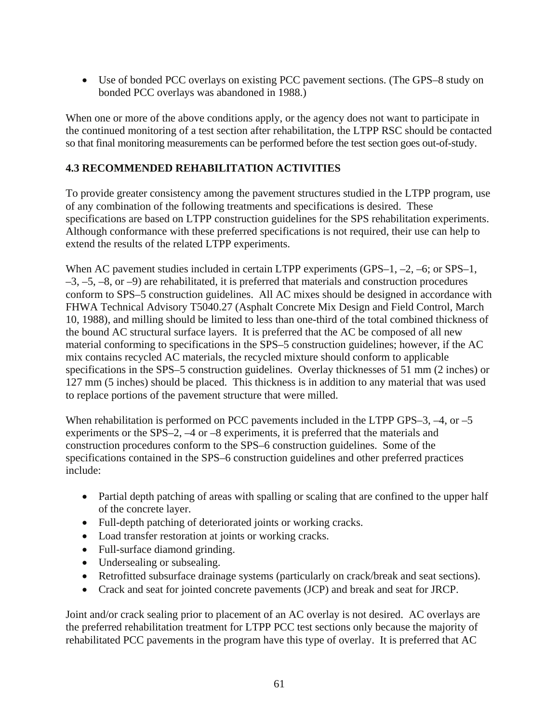• Use of bonded PCC overlays on existing PCC pavement sections. (The GPS–8 study on bonded PCC overlays was abandoned in 1988.)

When one or more of the above conditions apply, or the agency does not want to participate in the continued monitoring of a test section after rehabilitation, the LTPP RSC should be contacted so that final monitoring measurements can be performed before the test section goes out-of-study.

# **4.3 RECOMMENDED REHABILITATION ACTIVITIES**

To provide greater consistency among the pavement structures studied in the LTPP program, use of any combination of the following treatments and specifications is desired. These specifications are based on LTPP construction guidelines for the SPS rehabilitation experiments. Although conformance with these preferred specifications is not required, their use can help to extend the results of the related LTPP experiments.

When AC pavement studies included in certain LTPP experiments (GPS–1, –2, –6; or SPS–1,  $-3, -5, -8,$  or  $-9$ ) are rehabilitated, it is preferred that materials and construction procedures conform to SPS–5 construction guidelines. All AC mixes should be designed in accordance with FHWA Technical Advisory T5040.27 (Asphalt Concrete Mix Design and Field Control, March 10, 1988), and milling should be limited to less than one-third of the total combined thickness of the bound AC structural surface layers. It is preferred that the AC be composed of all new material conforming to specifications in the SPS–5 construction guidelines; however, if the AC mix contains recycled AC materials, the recycled mixture should conform to applicable specifications in the SPS–5 construction guidelines. Overlay thicknesses of 51 mm (2 inches) or 127 mm (5 inches) should be placed. This thickness is in addition to any material that was used to replace portions of the pavement structure that were milled.

When rehabilitation is performed on PCC pavements included in the LTPP GPS–3,  $-4$ , or  $-5$ experiments or the SPS–2, –4 or –8 experiments, it is preferred that the materials and construction procedures conform to the SPS–6 construction guidelines. Some of the specifications contained in the SPS–6 construction guidelines and other preferred practices include:

- Partial depth patching of areas with spalling or scaling that are confined to the upper half of the concrete layer.
- Full-depth patching of deteriorated joints or working cracks.
- Load transfer restoration at joints or working cracks.
- Full-surface diamond grinding.
- Undersealing or subsealing.
- Retrofitted subsurface drainage systems (particularly on crack/break and seat sections).
- Crack and seat for jointed concrete pavements (JCP) and break and seat for JRCP.

Joint and/or crack sealing prior to placement of an AC overlay is not desired. AC overlays are the preferred rehabilitation treatment for LTPP PCC test sections only because the majority of rehabilitated PCC pavements in the program have this type of overlay. It is preferred that AC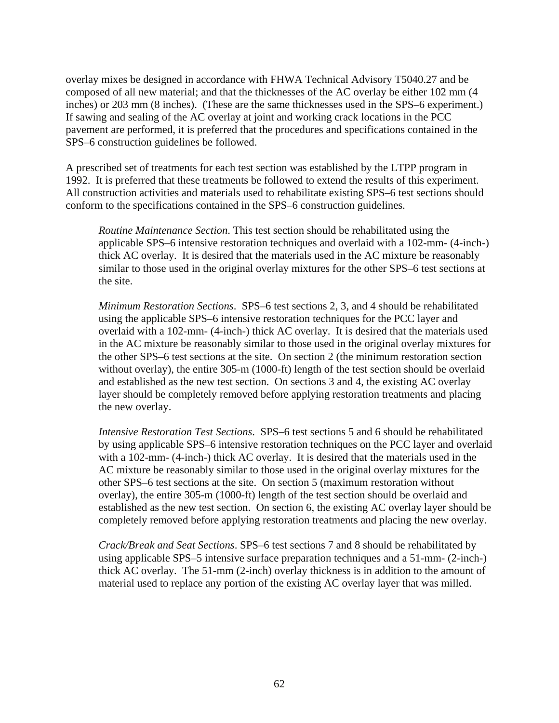overlay mixes be designed in accordance with FHWA Technical Advisory T5040.27 and be composed of all new material; and that the thicknesses of the AC overlay be either 102 mm (4 inches) or 203 mm (8 inches). (These are the same thicknesses used in the SPS–6 experiment.) If sawing and sealing of the AC overlay at joint and working crack locations in the PCC pavement are performed, it is preferred that the procedures and specifications contained in the SPS–6 construction guidelines be followed.

A prescribed set of treatments for each test section was established by the LTPP program in 1992. It is preferred that these treatments be followed to extend the results of this experiment. All construction activities and materials used to rehabilitate existing SPS–6 test sections should conform to the specifications contained in the SPS–6 construction guidelines.

*Routine Maintenance Section*. This test section should be rehabilitated using the applicable SPS–6 intensive restoration techniques and overlaid with a 102-mm- (4-inch-) thick AC overlay. It is desired that the materials used in the AC mixture be reasonably similar to those used in the original overlay mixtures for the other SPS–6 test sections at the site.

*Minimum Restoration Sections*. SPS–6 test sections 2, 3, and 4 should be rehabilitated using the applicable SPS–6 intensive restoration techniques for the PCC layer and overlaid with a 102-mm- (4-inch-) thick AC overlay. It is desired that the materials used in the AC mixture be reasonably similar to those used in the original overlay mixtures for the other SPS–6 test sections at the site. On section 2 (the minimum restoration section without overlay), the entire 305-m (1000-ft) length of the test section should be overlaid and established as the new test section. On sections 3 and 4, the existing AC overlay layer should be completely removed before applying restoration treatments and placing the new overlay.

*Intensive Restoration Test Sections*. SPS–6 test sections 5 and 6 should be rehabilitated by using applicable SPS–6 intensive restoration techniques on the PCC layer and overlaid with a 102-mm- (4-inch-) thick AC overlay. It is desired that the materials used in the AC mixture be reasonably similar to those used in the original overlay mixtures for the other SPS–6 test sections at the site. On section 5 (maximum restoration without overlay), the entire 305-m (1000-ft) length of the test section should be overlaid and established as the new test section. On section 6, the existing AC overlay layer should be completely removed before applying restoration treatments and placing the new overlay.

*Crack/Break and Seat Sections*. SPS–6 test sections 7 and 8 should be rehabilitated by using applicable SPS–5 intensive surface preparation techniques and a 51-mm- (2-inch-) thick AC overlay. The 51-mm (2-inch) overlay thickness is in addition to the amount of material used to replace any portion of the existing AC overlay layer that was milled.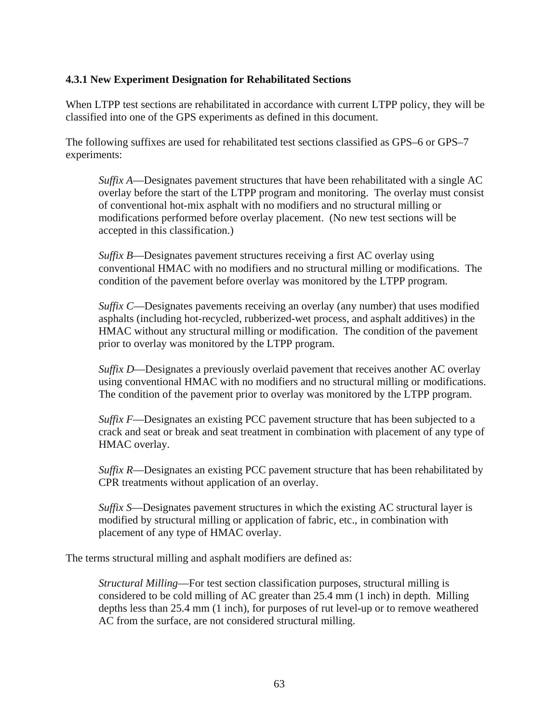## **4.3.1 New Experiment Designation for Rehabilitated Sections**

When LTPP test sections are rehabilitated in accordance with current LTPP policy, they will be classified into one of the GPS experiments as defined in this document.

The following suffixes are used for rehabilitated test sections classified as GPS–6 or GPS–7 experiments:

*Suffix A*—Designates pavement structures that have been rehabilitated with a single AC overlay before the start of the LTPP program and monitoring. The overlay must consist of conventional hot-mix asphalt with no modifiers and no structural milling or modifications performed before overlay placement. (No new test sections will be accepted in this classification.)

*Suffix B*—Designates pavement structures receiving a first AC overlay using conventional HMAC with no modifiers and no structural milling or modifications. The condition of the pavement before overlay was monitored by the LTPP program.

*Suffix C*—Designates pavements receiving an overlay (any number) that uses modified asphalts (including hot-recycled, rubberized-wet process, and asphalt additives) in the HMAC without any structural milling or modification. The condition of the pavement prior to overlay was monitored by the LTPP program.

*Suffix D—Designates a previously overlaid pavement that receives another AC overlay* using conventional HMAC with no modifiers and no structural milling or modifications. The condition of the pavement prior to overlay was monitored by the LTPP program.

*Suffix F*—Designates an existing PCC pavement structure that has been subjected to a crack and seat or break and seat treatment in combination with placement of any type of HMAC overlay.

*Suffix R*—Designates an existing PCC pavement structure that has been rehabilitated by CPR treatments without application of an overlay.

*Suffix S*—Designates pavement structures in which the existing AC structural layer is modified by structural milling or application of fabric, etc., in combination with placement of any type of HMAC overlay.

The terms structural milling and asphalt modifiers are defined as:

*Structural Milling*—For test section classification purposes, structural milling is considered to be cold milling of AC greater than 25.4 mm (1 inch) in depth. Milling depths less than 25.4 mm (1 inch), for purposes of rut level-up or to remove weathered AC from the surface, are not considered structural milling.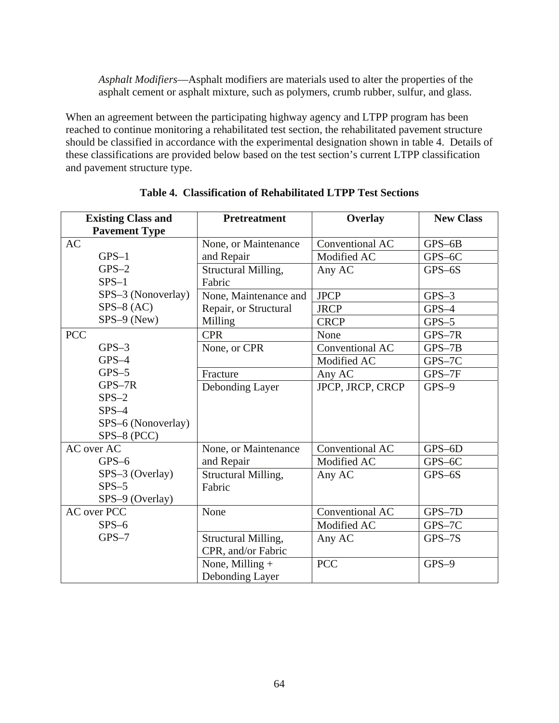*Asphalt Modifiers*—Asphalt modifiers are materials used to alter the properties of the asphalt cement or asphalt mixture, such as polymers, crumb rubber, sulfur, and glass.

When an agreement between the participating highway agency and LTPP program has been reached to continue monitoring a rehabilitated test section, the rehabilitated pavement structure should be classified in accordance with the experimental designation shown in table 4. Details of these classifications are provided below based on the test section's current LTPP classification and pavement structure type.

| <b>Existing Class and</b><br><b>Pavement Type</b> | <b>Pretreatment</b>                       | Overlay          | <b>New Class</b> |
|---------------------------------------------------|-------------------------------------------|------------------|------------------|
| <b>AC</b>                                         | None, or Maintenance                      | Conventional AC  | $GPS-6B$         |
| $GPS-1$                                           | and Repair                                | Modified AC      | GPS-6C           |
| $GPS-2$                                           | Structural Milling,                       | Any AC           | $GPS-6S$         |
| $SPS-1$                                           | Fabric                                    |                  |                  |
| SPS-3 (Nonoverlay)                                | None, Maintenance and                     | <b>JPCP</b>      | $GPS-3$          |
| $SPS-8 (AC)$                                      | Repair, or Structural                     | <b>JRCP</b>      | $GPS-4$          |
| $SPS-9$ (New)                                     | Milling                                   | <b>CRCP</b>      | $GPS-5$          |
| <b>PCC</b>                                        | <b>CPR</b>                                | None             | $GPS-7R$         |
| $GPS-3$                                           | None, or CPR                              | Conventional AC  | $GPS-7B$         |
| $GPS-4$                                           |                                           | Modified AC      | GPS-7C           |
| $GPS-5$                                           | Fracture                                  | Any AC           | GPS-7F           |
| GPS-7R                                            | Debonding Layer                           | JPCP, JRCP, CRCP | $GPS-9$          |
| $SPS-2$                                           |                                           |                  |                  |
| $SPS-4$                                           |                                           |                  |                  |
| SPS-6 (Nonoverlay)                                |                                           |                  |                  |
| SPS-8 (PCC)                                       |                                           |                  |                  |
| AC over AC                                        | None, or Maintenance                      | Conventional AC  | $GPS-6D$         |
| $GPS-6$                                           | and Repair                                | Modified AC      | GPS-6C           |
| SPS-3 (Overlay)                                   | Structural Milling,                       | Any AC           | $GPS-6S$         |
| $SPS-5$                                           | Fabric                                    |                  |                  |
| SPS-9 (Overlay)<br><b>AC</b> over PCC             | None                                      | Conventional AC  | GPS-7D           |
| $SPS-6$                                           |                                           | Modified AC      |                  |
| $GPS-7$                                           |                                           |                  | GPS-7C           |
|                                                   | Structural Milling,<br>CPR, and/or Fabric | Any AC           | $GPS-7S$         |
|                                                   | None, Milling +<br>Debonding Layer        | <b>PCC</b>       | $GPS-9$          |

**Table 4. Classification of Rehabilitated LTPP Test Sections**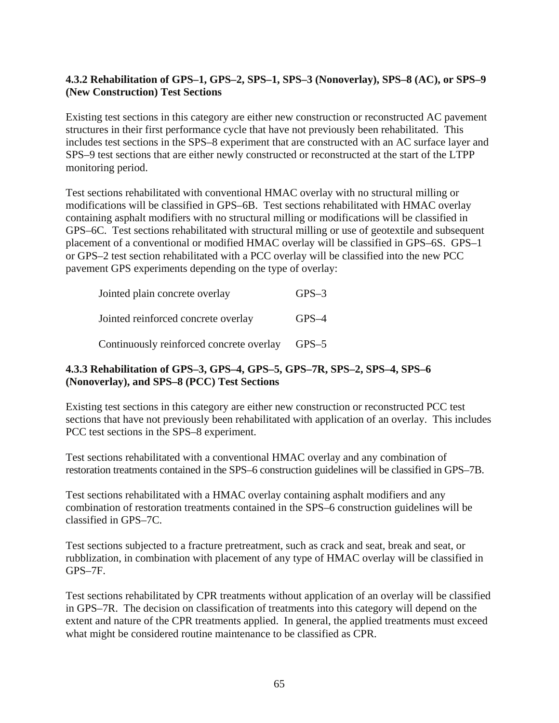# **4.3.2 Rehabilitation of GPS–1, GPS–2, SPS–1, SPS–3 (Nonoverlay), SPS–8 (AC), or SPS–9 (New Construction) Test Sections**

Existing test sections in this category are either new construction or reconstructed AC pavement structures in their first performance cycle that have not previously been rehabilitated. This includes test sections in the SPS–8 experiment that are constructed with an AC surface layer and SPS–9 test sections that are either newly constructed or reconstructed at the start of the LTPP monitoring period.

Test sections rehabilitated with conventional HMAC overlay with no structural milling or modifications will be classified in GPS–6B. Test sections rehabilitated with HMAC overlay containing asphalt modifiers with no structural milling or modifications will be classified in GPS–6C. Test sections rehabilitated with structural milling or use of geotextile and subsequent placement of a conventional or modified HMAC overlay will be classified in GPS–6S. GPS–1 or GPS–2 test section rehabilitated with a PCC overlay will be classified into the new PCC pavement GPS experiments depending on the type of overlay:

| Jointed plain concrete overlay                 | $GPS-3$ |
|------------------------------------------------|---------|
| Jointed reinforced concrete overlay            | $GPS-4$ |
| Continuously reinforced concrete overlay GPS-5 |         |

# **4.3.3 Rehabilitation of GPS–3, GPS–4, GPS–5, GPS–7R, SPS–2, SPS–4, SPS–6 (Nonoverlay), and SPS–8 (PCC) Test Sections**

Existing test sections in this category are either new construction or reconstructed PCC test sections that have not previously been rehabilitated with application of an overlay. This includes PCC test sections in the SPS–8 experiment.

Test sections rehabilitated with a conventional HMAC overlay and any combination of restoration treatments contained in the SPS–6 construction guidelines will be classified in GPS–7B.

Test sections rehabilitated with a HMAC overlay containing asphalt modifiers and any combination of restoration treatments contained in the SPS–6 construction guidelines will be classified in GPS–7C.

Test sections subjected to a fracture pretreatment, such as crack and seat, break and seat, or rubblization, in combination with placement of any type of HMAC overlay will be classified in GPS–7F.

Test sections rehabilitated by CPR treatments without application of an overlay will be classified in GPS–7R. The decision on classification of treatments into this category will depend on the extent and nature of the CPR treatments applied. In general, the applied treatments must exceed what might be considered routine maintenance to be classified as CPR.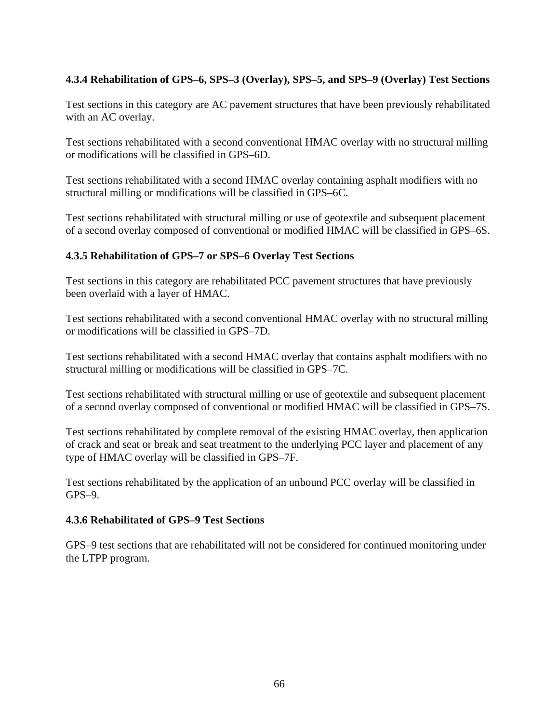# **4.3.4 Rehabilitation of GPS–6, SPS–3 (Overlay), SPS–5, and SPS–9 (Overlay) Test Sections**

Test sections in this category are AC pavement structures that have been previously rehabilitated with an AC overlay.

Test sections rehabilitated with a second conventional HMAC overlay with no structural milling or modifications will be classified in GPS–6D.

Test sections rehabilitated with a second HMAC overlay containing asphalt modifiers with no structural milling or modifications will be classified in GPS–6C.

Test sections rehabilitated with structural milling or use of geotextile and subsequent placement of a second overlay composed of conventional or modified HMAC will be classified in GPS–6S.

### **4.3.5 Rehabilitation of GPS–7 or SPS–6 Overlay Test Sections**

Test sections in this category are rehabilitated PCC pavement structures that have previously been overlaid with a layer of HMAC.

Test sections rehabilitated with a second conventional HMAC overlay with no structural milling or modifications will be classified in GPS–7D.

Test sections rehabilitated with a second HMAC overlay that contains asphalt modifiers with no structural milling or modifications will be classified in GPS–7C.

Test sections rehabilitated with structural milling or use of geotextile and subsequent placement of a second overlay composed of conventional or modified HMAC will be classified in GPS–7S.

Test sections rehabilitated by complete removal of the existing HMAC overlay, then application of crack and seat or break and seat treatment to the underlying PCC layer and placement of any type of HMAC overlay will be classified in GPS–7F.

Test sections rehabilitated by the application of an unbound PCC overlay will be classified in GPS–9.

### **4.3.6 Rehabilitated of GPS–9 Test Sections**

GPS–9 test sections that are rehabilitated will not be considered for continued monitoring under the LTPP program.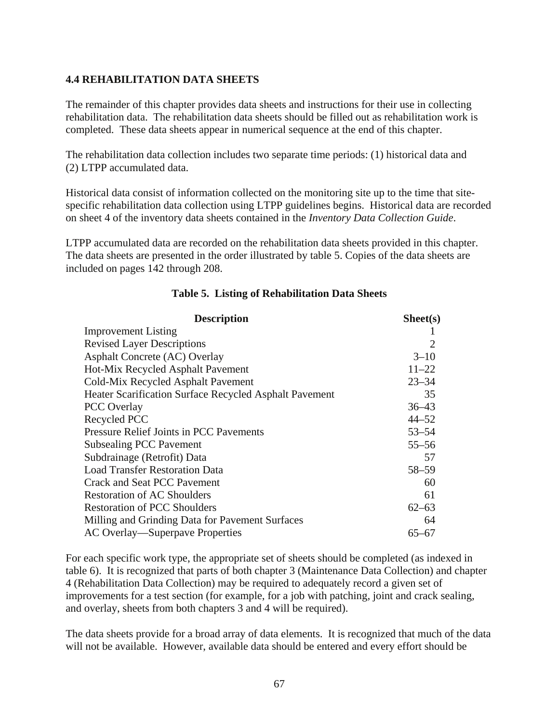### **4.4 REHABILITATION DATA SHEETS**

The remainder of this chapter provides data sheets and instructions for their use in collecting rehabilitation data. The rehabilitation data sheets should be filled out as rehabilitation work is completed. These data sheets appear in numerical sequence at the end of this chapter.

The rehabilitation data collection includes two separate time periods: (1) historical data and (2) LTPP accumulated data.

Historical data consist of information collected on the monitoring site up to the time that sitespecific rehabilitation data collection using LTPP guidelines begins. Historical data are recorded on sheet 4 of the inventory data sheets contained in the *Inventory Data Collection Guide*.

LTPP accumulated data are recorded on the rehabilitation data sheets provided in this chapter. The data sheets are presented in the order illustrated by table 5. Copies of the data sheets are included on pages 142 through 208.

| <b>Description</b>                                     | Sheet(s)                    |
|--------------------------------------------------------|-----------------------------|
| <b>Improvement Listing</b>                             |                             |
| <b>Revised Layer Descriptions</b>                      | $\mathcal{D}_{\mathcal{L}}$ |
| Asphalt Concrete (AC) Overlay                          | $3 - 10$                    |
| Hot-Mix Recycled Asphalt Pavement                      | $11 - 22$                   |
| Cold-Mix Recycled Asphalt Pavement                     | $23 - 34$                   |
| Heater Scarification Surface Recycled Asphalt Pavement | 35                          |
| <b>PCC</b> Overlay                                     | $36 - 43$                   |
| Recycled PCC                                           | $44 - 52$                   |
| <b>Pressure Relief Joints in PCC Pavements</b>         | $53 - 54$                   |
| <b>Subsealing PCC Pavement</b>                         | $55 - 56$                   |
| Subdrainage (Retrofit) Data                            | 57                          |
| <b>Load Transfer Restoration Data</b>                  | 58-59                       |
| Crack and Seat PCC Pavement                            | 60                          |
| <b>Restoration of AC Shoulders</b>                     | 61                          |
| <b>Restoration of PCC Shoulders</b>                    | $62 - 63$                   |
| Milling and Grinding Data for Pavement Surfaces        | 64                          |
| AC Overlay—Superpave Properties                        | 65–67                       |

### **Table 5. Listing of Rehabilitation Data Sheets**

For each specific work type, the appropriate set of sheets should be completed (as indexed in table 6). It is recognized that parts of both chapter 3 (Maintenance Data Collection) and chapter 4 (Rehabilitation Data Collection) may be required to adequately record a given set of improvements for a test section (for example, for a job with patching, joint and crack sealing, and overlay, sheets from both chapters 3 and 4 will be required).

The data sheets provide for a broad array of data elements. It is recognized that much of the data will not be available. However, available data should be entered and every effort should be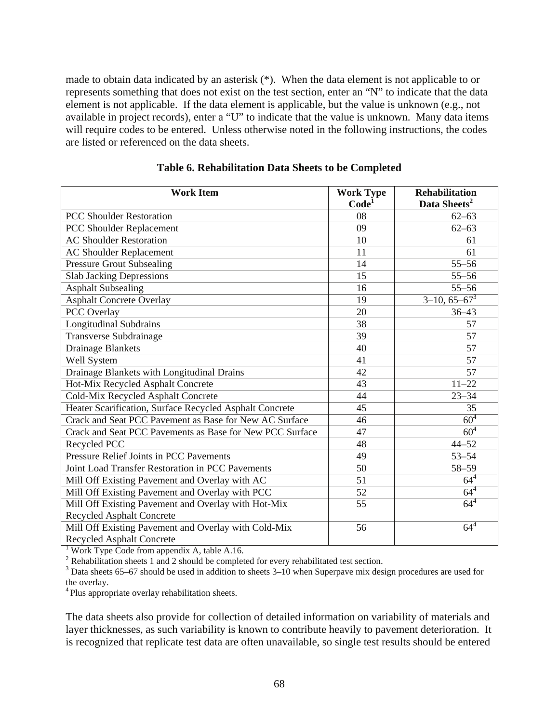made to obtain data indicated by an asterisk (\*). When the data element is not applicable to or represents something that does not exist on the test section, enter an "N" to indicate that the data element is not applicable. If the data element is applicable, but the value is unknown (e.g., not available in project records), enter a "U" to indicate that the value is unknown. Many data items will require codes to be entered. Unless otherwise noted in the following instructions, the codes are listed or referenced on the data sheets.

| <b>Work Item</b>                                         | <b>Work Type</b>  | <b>Rehabilitation</b>    |
|----------------------------------------------------------|-------------------|--------------------------|
|                                                          | Code <sup>1</sup> | Data Sheets <sup>2</sup> |
| <b>PCC Shoulder Restoration</b>                          | 08                | $62 - 63$                |
| PCC Shoulder Replacement                                 | 09                | $62 - 63$                |
| <b>AC Shoulder Restoration</b>                           | 10                | 61                       |
| <b>AC Shoulder Replacement</b>                           | 11                | 61                       |
| <b>Pressure Grout Subsealing</b>                         | 14                | $55 - 56$                |
| <b>Slab Jacking Depressions</b>                          | 15                | $55 - 56$                |
| <b>Asphalt Subsealing</b>                                | 16                | $55 - 56$                |
| <b>Asphalt Concrete Overlay</b>                          | 19                | $3-10, 65-67^3$          |
| PCC Overlay                                              | 20                | $36 - 43$                |
| <b>Longitudinal Subdrains</b>                            | 38                | 57                       |
| <b>Transverse Subdrainage</b>                            | 39                | 57                       |
| <b>Drainage Blankets</b>                                 | 40                | 57                       |
| Well System                                              | 41                | 57                       |
| Drainage Blankets with Longitudinal Drains               | 42                | 57                       |
| Hot-Mix Recycled Asphalt Concrete                        | 43                | $11 - 22$                |
| Cold-Mix Recycled Asphalt Concrete                       | 44                | $23 - 34$                |
| Heater Scarification, Surface Recycled Asphalt Concrete  | 45                | 35                       |
| Crack and Seat PCC Pavement as Base for New AC Surface   | 46                | 60 <sup>4</sup>          |
| Crack and Seat PCC Pavements as Base for New PCC Surface | 47                | $60^{4}$                 |
| Recycled PCC                                             | 48                | $44 - 52$                |
| Pressure Relief Joints in PCC Pavements                  | 49                | $53 - 54$                |
| Joint Load Transfer Restoration in PCC Pavements         | 50                | 58-59                    |
| Mill Off Existing Pavement and Overlay with AC           | 51                | $64^{4}$                 |
| Mill Off Existing Pavement and Overlay with PCC          | 52                | $64^{4}$                 |
| Mill Off Existing Pavement and Overlay with Hot-Mix      | 55                | $64^{4}$                 |
| Recycled Asphalt Concrete                                |                   |                          |
| Mill Off Existing Pavement and Overlay with Cold-Mix     | 56                | $64^{4}$                 |
| Recycled Asphalt Concrete                                |                   |                          |

### **Table 6. Rehabilitation Data Sheets to be Completed**

<sup>1</sup> Work Type Code from appendix A, table A.16.

 $2^2$  Rehabilitation sheets 1 and 2 should be completed for every rehabilitated test section.

 $3$  Data sheets 65–67 should be used in addition to sheets 3–10 when Superpave mix design procedures are used for the overlay.

<sup>4</sup> Plus appropriate overlay rehabilitation sheets.

The data sheets also provide for collection of detailed information on variability of materials and layer thicknesses, as such variability is known to contribute heavily to pavement deterioration. It is recognized that replicate test data are often unavailable, so single test results should be entered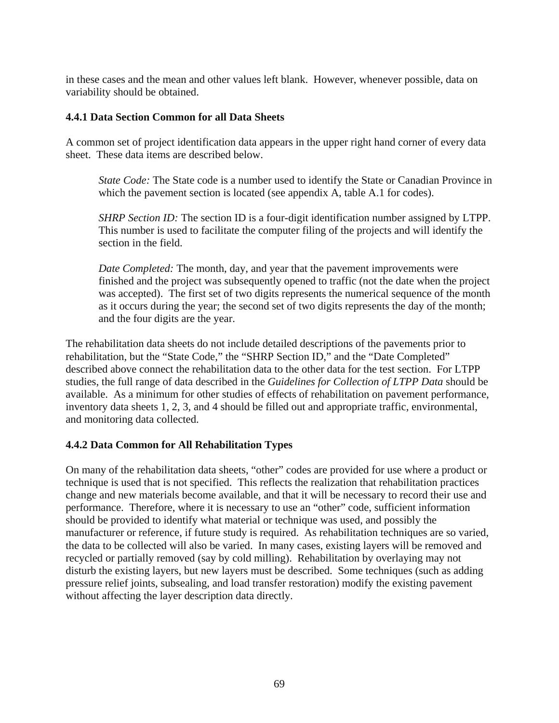in these cases and the mean and other values left blank. However, whenever possible, data on variability should be obtained.

### **4.4.1 Data Section Common for all Data Sheets**

A common set of project identification data appears in the upper right hand corner of every data sheet. These data items are described below.

*State Code:* The State code is a number used to identify the State or Canadian Province in which the pavement section is located (see appendix A, table A.1 for codes).

*SHRP Section ID:* The section ID is a four-digit identification number assigned by LTPP. This number is used to facilitate the computer filing of the projects and will identify the section in the field.

*Date Completed:* The month, day, and year that the pavement improvements were finished and the project was subsequently opened to traffic (not the date when the project was accepted). The first set of two digits represents the numerical sequence of the month as it occurs during the year; the second set of two digits represents the day of the month; and the four digits are the year.

The rehabilitation data sheets do not include detailed descriptions of the pavements prior to rehabilitation, but the "State Code," the "SHRP Section ID," and the "Date Completed" described above connect the rehabilitation data to the other data for the test section. For LTPP studies, the full range of data described in the *Guidelines for Collection of LTPP Data* should be available. As a minimum for other studies of effects of rehabilitation on pavement performance, inventory data sheets 1, 2, 3, and 4 should be filled out and appropriate traffic, environmental, and monitoring data collected.

# **4.4.2 Data Common for All Rehabilitation Types**

On many of the rehabilitation data sheets, "other" codes are provided for use where a product or technique is used that is not specified. This reflects the realization that rehabilitation practices change and new materials become available, and that it will be necessary to record their use and performance. Therefore, where it is necessary to use an "other" code, sufficient information should be provided to identify what material or technique was used, and possibly the manufacturer or reference, if future study is required. As rehabilitation techniques are so varied, the data to be collected will also be varied. In many cases, existing layers will be removed and recycled or partially removed (say by cold milling). Rehabilitation by overlaying may not disturb the existing layers, but new layers must be described. Some techniques (such as adding pressure relief joints, subsealing, and load transfer restoration) modify the existing pavement without affecting the layer description data directly.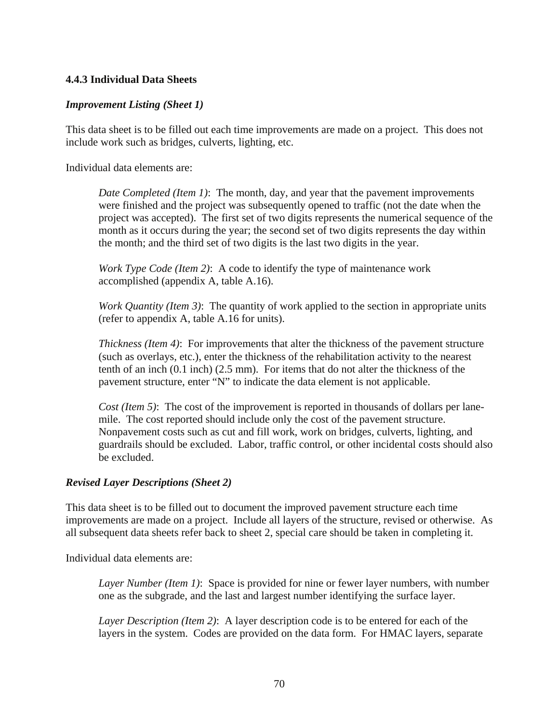### **4.4.3 Individual Data Sheets**

### *Improvement Listing (Sheet 1)*

This data sheet is to be filled out each time improvements are made on a project. This does not include work such as bridges, culverts, lighting, etc.

Individual data elements are:

*Date Completed (Item 1)*: The month, day, and year that the pavement improvements were finished and the project was subsequently opened to traffic (not the date when the project was accepted). The first set of two digits represents the numerical sequence of the month as it occurs during the year; the second set of two digits represents the day within the month; and the third set of two digits is the last two digits in the year.

*Work Type Code (Item 2)*: A code to identify the type of maintenance work accomplished (appendix A, table A.16).

*Work Quantity (Item 3)*: The quantity of work applied to the section in appropriate units (refer to appendix A, table A.16 for units).

*Thickness (Item 4)*: For improvements that alter the thickness of the pavement structure (such as overlays, etc.), enter the thickness of the rehabilitation activity to the nearest tenth of an inch (0.1 inch) (2.5 mm). For items that do not alter the thickness of the pavement structure, enter "N" to indicate the data element is not applicable.

*Cost (Item 5)*: The cost of the improvement is reported in thousands of dollars per lanemile. The cost reported should include only the cost of the pavement structure. Nonpavement costs such as cut and fill work, work on bridges, culverts, lighting, and guardrails should be excluded. Labor, traffic control, or other incidental costs should also be excluded.

### *Revised Layer Descriptions (Sheet 2)*

This data sheet is to be filled out to document the improved pavement structure each time improvements are made on a project. Include all layers of the structure, revised or otherwise. As all subsequent data sheets refer back to sheet 2, special care should be taken in completing it.

Individual data elements are:

*Layer Number (Item 1)*: Space is provided for nine or fewer layer numbers, with number one as the subgrade, and the last and largest number identifying the surface layer.

*Layer Description (Item 2)*: A layer description code is to be entered for each of the layers in the system. Codes are provided on the data form. For HMAC layers, separate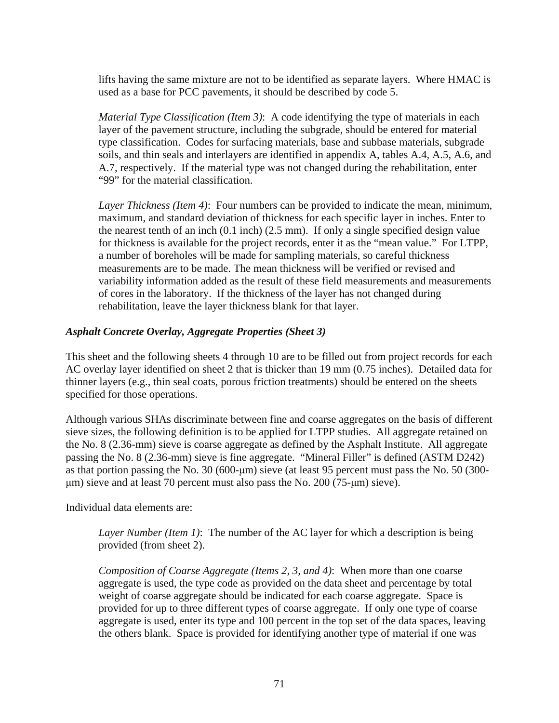lifts having the same mixture are not to be identified as separate layers. Where HMAC is used as a base for PCC pavements, it should be described by code 5.

*Material Type Classification (Item 3)*: A code identifying the type of materials in each layer of the pavement structure, including the subgrade, should be entered for material type classification. Codes for surfacing materials, base and subbase materials, subgrade soils, and thin seals and interlayers are identified in appendix A, tables A.4, A.5, A.6, and A.7, respectively. If the material type was not changed during the rehabilitation, enter "99" for the material classification.

*Layer Thickness (Item 4)*: Four numbers can be provided to indicate the mean, minimum, maximum, and standard deviation of thickness for each specific layer in inches. Enter to the nearest tenth of an inch (0.1 inch) (2.5 mm). If only a single specified design value for thickness is available for the project records, enter it as the "mean value." For LTPP, a number of boreholes will be made for sampling materials, so careful thickness measurements are to be made. The mean thickness will be verified or revised and variability information added as the result of these field measurements and measurements of cores in the laboratory. If the thickness of the layer has not changed during rehabilitation, leave the layer thickness blank for that layer.

# *Asphalt Concrete Overlay, Aggregate Properties (Sheet 3)*

This sheet and the following sheets 4 through 10 are to be filled out from project records for each AC overlay layer identified on sheet 2 that is thicker than 19 mm (0.75 inches). Detailed data for thinner layers (e.g., thin seal coats, porous friction treatments) should be entered on the sheets specified for those operations.

Although various SHAs discriminate between fine and coarse aggregates on the basis of different sieve sizes, the following definition is to be applied for LTPP studies. All aggregate retained on the No. 8 (2.36-mm) sieve is coarse aggregate as defined by the Asphalt Institute. All aggregate passing the No. 8 (2.36-mm) sieve is fine aggregate. "Mineral Filler" is defined (ASTM D242) as that portion passing the No. 30 (600-μm) sieve (at least 95 percent must pass the No. 50 (300 μm) sieve and at least 70 percent must also pass the No. 200 (75-μm) sieve).

Individual data elements are:

*Layer Number (Item 1)*: The number of the AC layer for which a description is being provided (from sheet 2).

*Composition of Coarse Aggregate (Items 2, 3, and 4)*: When more than one coarse aggregate is used, the type code as provided on the data sheet and percentage by total weight of coarse aggregate should be indicated for each coarse aggregate. Space is provided for up to three different types of coarse aggregate. If only one type of coarse aggregate is used, enter its type and 100 percent in the top set of the data spaces, leaving the others blank. Space is provided for identifying another type of material if one was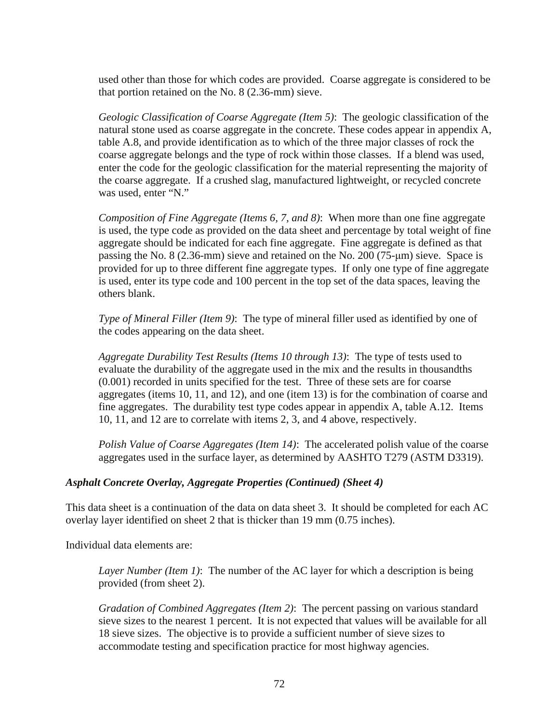used other than those for which codes are provided. Coarse aggregate is considered to be that portion retained on the No. 8 (2.36-mm) sieve.

*Geologic Classification of Coarse Aggregate (Item 5)*: The geologic classification of the natural stone used as coarse aggregate in the concrete. These codes appear in appendix A, table A.8, and provide identification as to which of the three major classes of rock the coarse aggregate belongs and the type of rock within those classes. If a blend was used, enter the code for the geologic classification for the material representing the majority of the coarse aggregate. If a crushed slag, manufactured lightweight, or recycled concrete was used, enter "N."

*Composition of Fine Aggregate (Items 6, 7, and 8)*: When more than one fine aggregate is used, the type code as provided on the data sheet and percentage by total weight of fine aggregate should be indicated for each fine aggregate. Fine aggregate is defined as that passing the No. 8 (2.36-mm) sieve and retained on the No. 200 (75-μm) sieve. Space is provided for up to three different fine aggregate types. If only one type of fine aggregate is used, enter its type code and 100 percent in the top set of the data spaces, leaving the others blank.

*Type of Mineral Filler (Item 9)*: The type of mineral filler used as identified by one of the codes appearing on the data sheet.

*Aggregate Durability Test Results (Items 10 through 13)*: The type of tests used to evaluate the durability of the aggregate used in the mix and the results in thousandths (0.001) recorded in units specified for the test. Three of these sets are for coarse aggregates (items 10, 11, and 12), and one (item 13) is for the combination of coarse and fine aggregates. The durability test type codes appear in appendix A, table A.12. Items 10, 11, and 12 are to correlate with items 2, 3, and 4 above, respectively.

*Polish Value of Coarse Aggregates (Item 14)*: The accelerated polish value of the coarse aggregates used in the surface layer, as determined by AASHTO T279 (ASTM D3319).

### *Asphalt Concrete Overlay, Aggregate Properties (Continued) (Sheet 4)*

This data sheet is a continuation of the data on data sheet 3. It should be completed for each AC overlay layer identified on sheet 2 that is thicker than 19 mm (0.75 inches).

Individual data elements are:

*Layer Number (Item 1)*: The number of the AC layer for which a description is being provided (from sheet 2).

*Gradation of Combined Aggregates (Item 2)*: The percent passing on various standard sieve sizes to the nearest 1 percent. It is not expected that values will be available for all 18 sieve sizes. The objective is to provide a sufficient number of sieve sizes to accommodate testing and specification practice for most highway agencies.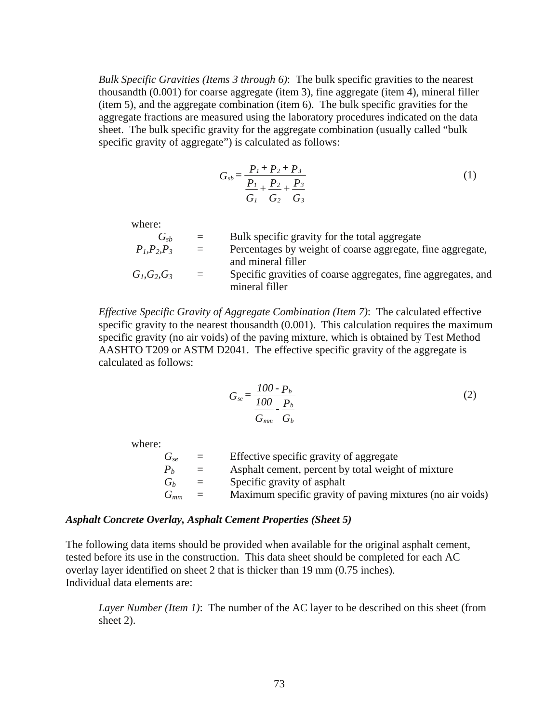*Bulk Specific Gravities (Items 3 through 6)*: The bulk specific gravities to the nearest thousandth (0.001) for coarse aggregate (item 3), fine aggregate (item 4), mineral filler (item 5), and the aggregate combination (item 6). The bulk specific gravities for the aggregate fractions are measured using the laboratory procedures indicated on the data sheet. The bulk specific gravity for the aggregate combination (usually called "bulk specific gravity of aggregate") is calculated as follows:

$$
G_{sb} = \frac{P_1 + P_2 + P_3}{P_1 + P_2 + P_3}
$$
  
\n
$$
G_1 \quad G_2 \quad G_3
$$
\n(1)

where:

| $G_{ch}$        | $\equiv$     | Bulk specific gravity for the total aggregate                 |
|-----------------|--------------|---------------------------------------------------------------|
| $P_1, P_2, P_3$ | $\alpha = 1$ | Percentages by weight of coarse aggregate, fine aggregate,    |
|                 |              | and mineral filler                                            |
| $G_1, G_2, G_3$ | $\alpha = 1$ | Specific gravities of coarse aggregates, fine aggregates, and |
|                 |              | mineral filler                                                |

*Effective Specific Gravity of Aggregate Combination (Item 7)*: The calculated effective specific gravity to the nearest thousandth (0.001). This calculation requires the maximum specific gravity (no air voids) of the paving mixture, which is obtained by Test Method AASHTO T209 or ASTM D2041. The effective specific gravity of the aggregate is calculated as follows:

$$
G_{se} = \frac{100 \cdot P_b}{\frac{100}{G_{mm}} \cdot \frac{P_b}{G_b}}
$$
 (2)

where:

 $G_{se}$  = Effective specific gravity of aggregate  $P_b$  = Asphalt cement, percent by total weight of mixture  $G_b$  = Specific gravity of asphalt  $G_{mm}$  = Maximum specific gravity of paving mixtures (no air voids)

#### *Asphalt Concrete Overlay, Asphalt Cement Properties (Sheet 5)*

The following data items should be provided when available for the original asphalt cement, tested before its use in the construction. This data sheet should be completed for each AC overlay layer identified on sheet 2 that is thicker than 19 mm (0.75 inches). Individual data elements are:

*Layer Number (Item 1)*: The number of the AC layer to be described on this sheet (from sheet 2).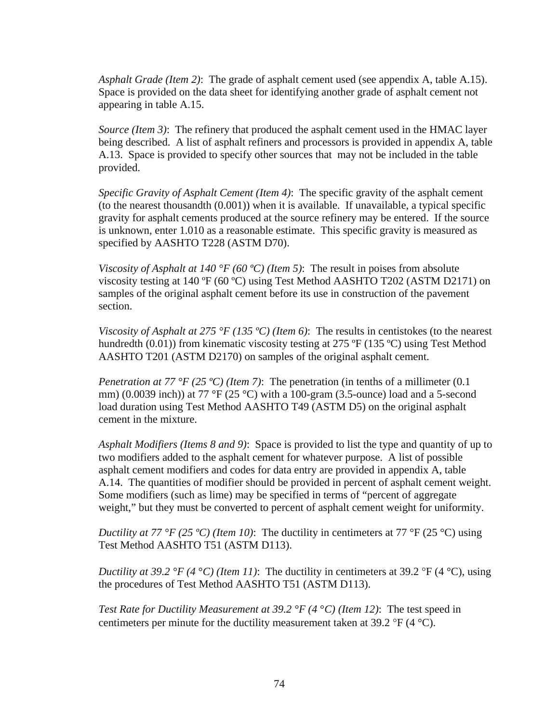*Asphalt Grade (Item 2)*: The grade of asphalt cement used (see appendix A, table A.15). Space is provided on the data sheet for identifying another grade of asphalt cement not appearing in table A.15.

*Source (Item 3)*: The refinery that produced the asphalt cement used in the HMAC layer being described. A list of asphalt refiners and processors is provided in appendix A, table A.13. Space is provided to specify other sources that may not be included in the table provided.

*Specific Gravity of Asphalt Cement (Item 4)*: The specific gravity of the asphalt cement (to the nearest thousandth (0.001)) when it is available. If unavailable, a typical specific gravity for asphalt cements produced at the source refinery may be entered. If the source is unknown, enter 1.010 as a reasonable estimate. This specific gravity is measured as specified by AASHTO T228 (ASTM D70).

*Viscosity of Asphalt at 140 °F (60 °C) (Item 5)*: The result in poises from absolute viscosity testing at 140 ºF (60 ºC) using Test Method AASHTO T202 (ASTM D2171) on samples of the original asphalt cement before its use in construction of the pavement section.

*Viscosity of Asphalt at 275 °F (135 °C) (Item 6)*: The results in centistokes (to the nearest hundredth (0.01)) from kinematic viscosity testing at 275 °F (135 °C) using Test Method AASHTO T201 (ASTM D2170) on samples of the original asphalt cement.

*Penetration at 77 °F (25 °C) (Item 7)*: The penetration (in tenths of a millimeter (0.1) mm) (0.0039 inch)) at 77 °F (25 °C) with a 100-gram (3.5-ounce) load and a 5-second load duration using Test Method AASHTO T49 (ASTM D5) on the original asphalt cement in the mixture.

*Asphalt Modifiers (Items 8 and 9)*: Space is provided to list the type and quantity of up to two modifiers added to the asphalt cement for whatever purpose. A list of possible asphalt cement modifiers and codes for data entry are provided in appendix A, table A.14. The quantities of modifier should be provided in percent of asphalt cement weight. Some modifiers (such as lime) may be specified in terms of "percent of aggregate weight," but they must be converted to percent of asphalt cement weight for uniformity.

*Ductility at 77 °F (25 °C) (Item 10)*: The ductility in centimeters at 77 °F (25 °C) using Test Method AASHTO T51 (ASTM D113).

*Ductility at 39.2 °F (4 °C) (Item 11)*: The ductility in centimeters at 39.2 °F (4 °C), using the procedures of Test Method AASHTO T51 (ASTM D113).

*Test Rate for Ductility Measurement at 39.2 °F (4* °*C) (Item 12)*: The test speed in centimeters per minute for the ductility measurement taken at 39.2  $\mathrm{P}F(4 \mathrm{°C})$ .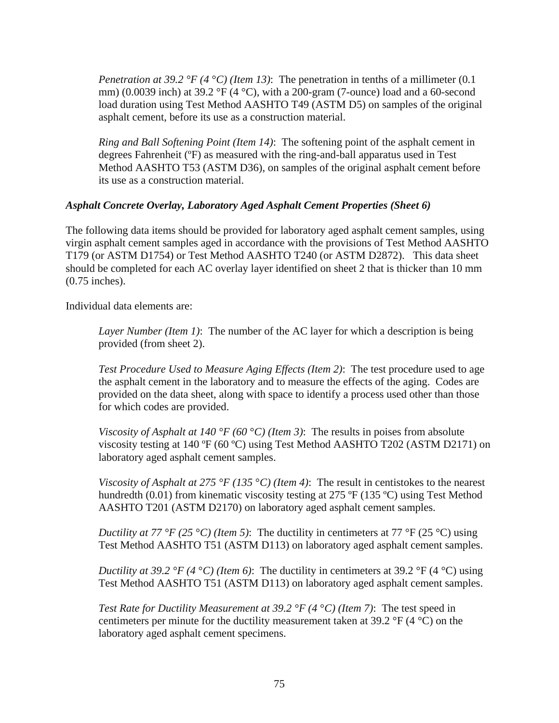*Penetration at 39.2 °F (4 °C) (Item 13)*: The penetration in tenths of a millimeter (0.1) mm) (0.0039 inch) at 39.2 °F (4 °C), with a 200-gram (7-ounce) load and a 60-second load duration using Test Method AASHTO T49 (ASTM D5) on samples of the original asphalt cement, before its use as a construction material.

*Ring and Ball Softening Point (Item 14)*: The softening point of the asphalt cement in degrees Fahrenheit (ºF) as measured with the ring-and-ball apparatus used in Test Method AASHTO T53 (ASTM D36), on samples of the original asphalt cement before its use as a construction material.

### *Asphalt Concrete Overlay, Laboratory Aged Asphalt Cement Properties (Sheet 6)*

The following data items should be provided for laboratory aged asphalt cement samples, using virgin asphalt cement samples aged in accordance with the provisions of Test Method AASHTO T179 (or ASTM D1754) or Test Method AASHTO T240 (or ASTM D2872). This data sheet should be completed for each AC overlay layer identified on sheet 2 that is thicker than 10 mm (0.75 inches).

Individual data elements are:

*Layer Number (Item 1)*: The number of the AC layer for which a description is being provided (from sheet 2).

*Test Procedure Used to Measure Aging Effects (Item 2)*: The test procedure used to age the asphalt cement in the laboratory and to measure the effects of the aging. Codes are provided on the data sheet, along with space to identify a process used other than those for which codes are provided.

*Viscosity of Asphalt at 140 °F (60 °C) (Item 3):* The results in poises from absolute viscosity testing at 140 ºF (60 ºC) using Test Method AASHTO T202 (ASTM D2171) on laboratory aged asphalt cement samples.

*Viscosity of Asphalt at 275 °F (135* °*C) (Item 4)*: The result in centistokes to the nearest hundredth (0.01) from kinematic viscosity testing at 275 °F (135 °C) using Test Method AASHTO T201 (ASTM D2170) on laboratory aged asphalt cement samples.

*Ductility at 77 °F (25 °C) (Item 5)*: The ductility in centimeters at 77 °F (25 °C) using Test Method AASHTO T51 (ASTM D113) on laboratory aged asphalt cement samples.

*Ductility at 39.2 °F (4 °C) (Item 6)*: The ductility in centimeters at 39.2 °F (4 °C) using Test Method AASHTO T51 (ASTM D113) on laboratory aged asphalt cement samples.

*Test Rate for Ductility Measurement at 39.2 °F (4* °*C) (Item 7)*: The test speed in centimeters per minute for the ductility measurement taken at 39.2  $\rm{PF}$  (4  $\rm{^{\circ}C}$ ) on the laboratory aged asphalt cement specimens.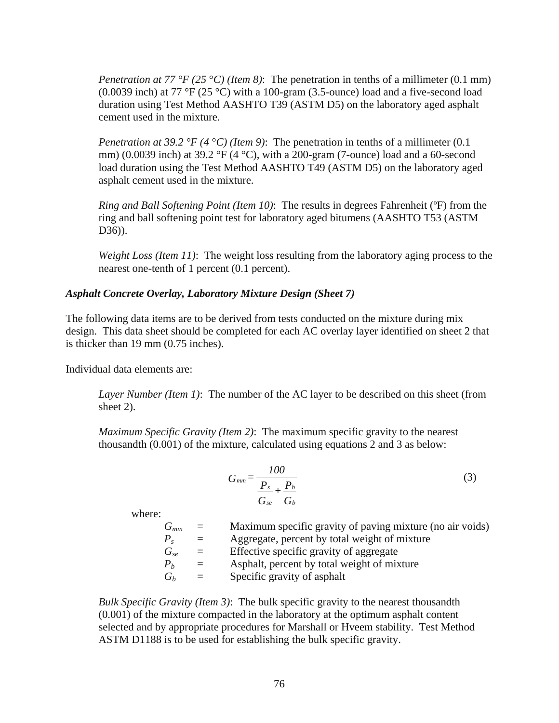*Penetration at 77 °F (25* °*C) (Item 8)*: The penetration in tenths of a millimeter (0.1 mm) (0.0039 inch) at 77 °F (25 °C) with a 100-gram (3.5-ounce) load and a five-second load duration using Test Method AASHTO T39 (ASTM D5) on the laboratory aged asphalt cement used in the mixture.

*Penetration at 39.2 °F (4 °C) (Item 9)*: The penetration in tenths of a millimeter (0.1) mm) (0.0039 inch) at 39.2 °F (4 °C), with a 200-gram (7-ounce) load and a 60-second load duration using the Test Method AASHTO T49 (ASTM D5) on the laboratory aged asphalt cement used in the mixture.

*Ring and Ball Softening Point (Item 10)*: The results in degrees Fahrenheit (ºF) from the ring and ball softening point test for laboratory aged bitumens (AASHTO T53 (ASTM D36)).

*Weight Loss (Item 11)*: The weight loss resulting from the laboratory aging process to the nearest one-tenth of 1 percent (0.1 percent).

### *Asphalt Concrete Overlay, Laboratory Mixture Design (Sheet 7)*

The following data items are to be derived from tests conducted on the mixture during mix design. This data sheet should be completed for each AC overlay layer identified on sheet 2 that is thicker than 19 mm (0.75 inches).

Individual data elements are:

*Layer Number (Item 1)*: The number of the AC layer to be described on this sheet (from sheet 2).

*Maximum Specific Gravity (Item 2)*: The maximum specific gravity to the nearest thousandth (0.001) of the mixture, calculated using equations 2 and 3 as below:

$$
G_{mm} = \frac{100}{\frac{P_s}{G_{se}} + \frac{P_b}{G_b}}
$$
(3)

where:

*Gmm* = Maximum specific gravity of paving mixture (no air voids)  $P_s$  = Aggregate, percent by total weight of mixture *Gse* = Effective specific gravity of aggregate  $P_b$  = Asphalt, percent by total weight of mixture  $G_b$  = Specific gravity of asphalt

*Bulk Specific Gravity (Item 3)*: The bulk specific gravity to the nearest thousandth (0.001) of the mixture compacted in the laboratory at the optimum asphalt content selected and by appropriate procedures for Marshall or Hveem stability. Test Method ASTM D1188 is to be used for establishing the bulk specific gravity.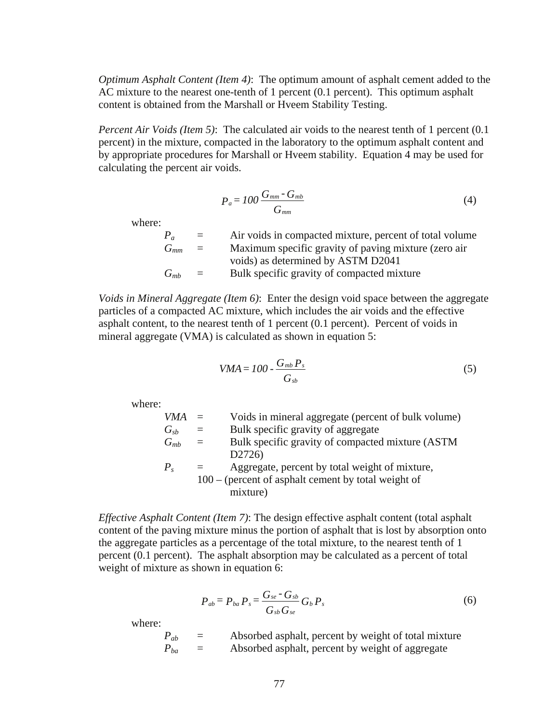*Optimum Asphalt Content (Item 4)*: The optimum amount of asphalt cement added to the AC mixture to the nearest one-tenth of 1 percent (0.1 percent). This optimum asphalt content is obtained from the Marshall or Hveem Stability Testing.

*Percent Air Voids (Item 5)*: The calculated air voids to the nearest tenth of 1 percent (0.1) percent) in the mixture, compacted in the laboratory to the optimum asphalt content and by appropriate procedures for Marshall or Hveem stability. Equation 4 may be used for calculating the percent air voids.

$$
P_a = 100 \frac{G_{mm} - G_{mb}}{G_{mm}} \tag{4}
$$

where:

|            | $\alpha = 1$ | Air voids in compacted mixture, percent of total volume |
|------------|--------------|---------------------------------------------------------|
| $G_{mm}$ = |              | Maximum specific gravity of paving mixture (zero air    |
|            |              | voids) as determined by ASTM D2041                      |
| $G_{mb} =$ |              | Bulk specific gravity of compacted mixture              |

*Voids in Mineral Aggregate (Item 6)*: Enter the design void space between the aggregate particles of a compacted AC mixture, which includes the air voids and the effective asphalt content, to the nearest tenth of 1 percent (0.1 percent). Percent of voids in mineral aggregate (VMA) is calculated as shown in equation 5:

$$
VMA = 100 - \frac{G_{mb} P_s}{G_{sb}}
$$
 (5)

where:

*VMA* = Voids in mineral aggregate (percent of bulk volume)  $G_{sb}$  = Bulk specific gravity of aggregate *Gmb* = Bulk specific gravity of compacted mixture (ASTM D2726)  $P_s$  = Aggregate, percent by total weight of mixture,

 100 – (percent of asphalt cement by total weight of mixture)

*Effective Asphalt Content (Item 7)*: The design effective asphalt content (total asphalt content of the paving mixture minus the portion of asphalt that is lost by absorption onto the aggregate particles as a percentage of the total mixture, to the nearest tenth of 1 percent (0.1 percent). The asphalt absorption may be calculated as a percent of total weight of mixture as shown in equation 6:

$$
P_{ab} = P_{ba} P_s = \frac{G_{se} - G_{sb}}{G_{sb} G_{se}} G_b P_s \tag{6}
$$

where:

 *Pab* = Absorbed asphalt, percent by weight of total mixture  $P_{ba}$  = Absorbed asphalt, percent by weight of aggregate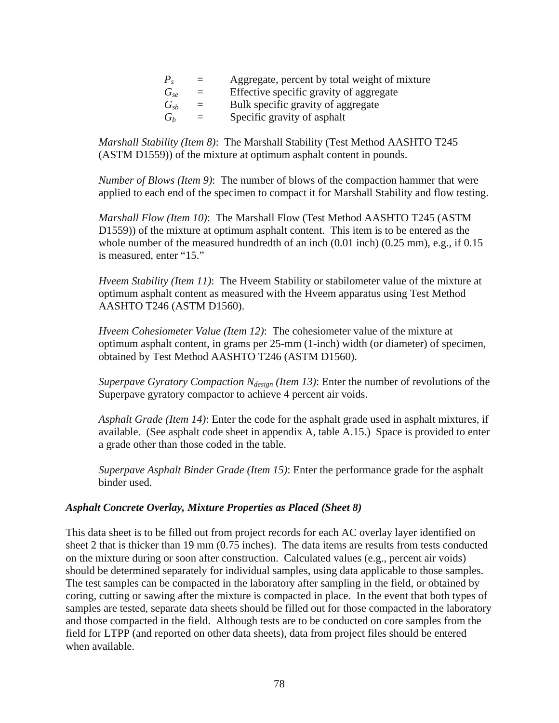|                | $\alpha = 1$              | Aggregate, percent by total weight of mixture |
|----------------|---------------------------|-----------------------------------------------|
| $G_{s}$        | $\alpha = 1$              | Effective specific gravity of aggregate       |
| $G_{sh}$       | $\alpha = 1$              | Bulk specific gravity of aggregate            |
| $\overline{G}$ | $\mathbf{r} = \mathbf{r}$ | Specific gravity of asphalt                   |

*Marshall Stability (Item 8)*: The Marshall Stability (Test Method AASHTO T245 (ASTM D1559)) of the mixture at optimum asphalt content in pounds.

*Number of Blows (Item 9)*: The number of blows of the compaction hammer that were applied to each end of the specimen to compact it for Marshall Stability and flow testing.

*Marshall Flow (Item 10)*: The Marshall Flow (Test Method AASHTO T245 (ASTM D1559)) of the mixture at optimum asphalt content. This item is to be entered as the whole number of the measured hundredth of an inch (0.01 inch) (0.25 mm), e.g., if 0.15 is measured, enter "15."

*Hveem Stability (Item 11)*: The Hveem Stability or stabilometer value of the mixture at optimum asphalt content as measured with the Hveem apparatus using Test Method AASHTO T246 (ASTM D1560).

*Hveem Cohesiometer Value (Item 12)*: The cohesiometer value of the mixture at optimum asphalt content, in grams per 25-mm (1-inch) width (or diameter) of specimen, obtained by Test Method AASHTO T246 (ASTM D1560).

*Superpave Gyratory Compaction N<sub>design</sub> (Item 13)*: Enter the number of revolutions of the Superpave gyratory compactor to achieve 4 percent air voids.

*Asphalt Grade (Item 14)*: Enter the code for the asphalt grade used in asphalt mixtures, if available. (See asphalt code sheet in appendix A, table A.15.) Space is provided to enter a grade other than those coded in the table.

*Superpave Asphalt Binder Grade (Item 15)*: Enter the performance grade for the asphalt binder used.

### *Asphalt Concrete Overlay, Mixture Properties as Placed (Sheet 8)*

This data sheet is to be filled out from project records for each AC overlay layer identified on sheet 2 that is thicker than 19 mm (0.75 inches). The data items are results from tests conducted on the mixture during or soon after construction. Calculated values (e.g., percent air voids) should be determined separately for individual samples, using data applicable to those samples. The test samples can be compacted in the laboratory after sampling in the field, or obtained by coring, cutting or sawing after the mixture is compacted in place. In the event that both types of samples are tested, separate data sheets should be filled out for those compacted in the laboratory and those compacted in the field. Although tests are to be conducted on core samples from the field for LTPP (and reported on other data sheets), data from project files should be entered when available.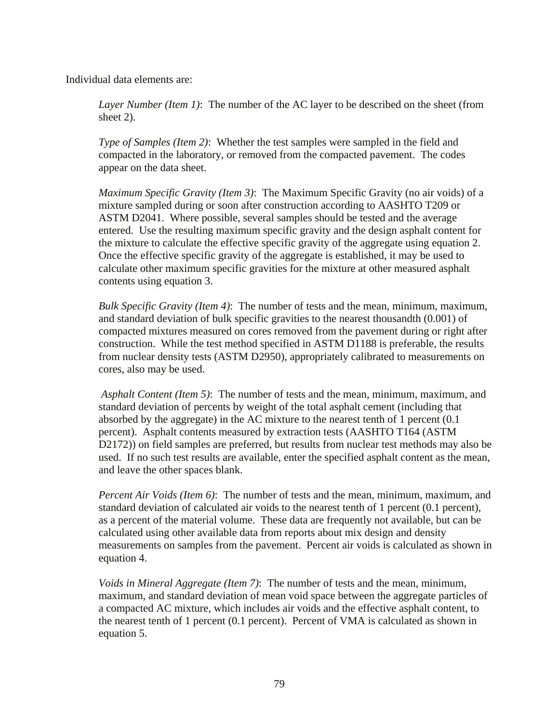Individual data elements are:

*Layer Number (Item 1)*: The number of the AC layer to be described on the sheet (from sheet 2).

*Type of Samples (Item 2)*: Whether the test samples were sampled in the field and compacted in the laboratory, or removed from the compacted pavement. The codes appear on the data sheet.

*Maximum Specific Gravity (Item 3)*: The Maximum Specific Gravity (no air voids) of a mixture sampled during or soon after construction according to AASHTO T209 or ASTM D2041. Where possible, several samples should be tested and the average entered. Use the resulting maximum specific gravity and the design asphalt content for the mixture to calculate the effective specific gravity of the aggregate using equation 2. Once the effective specific gravity of the aggregate is established, it may be used to calculate other maximum specific gravities for the mixture at other measured asphalt contents using equation 3.

*Bulk Specific Gravity (Item 4)*: The number of tests and the mean, minimum, maximum, and standard deviation of bulk specific gravities to the nearest thousandth (0.001) of compacted mixtures measured on cores removed from the pavement during or right after construction. While the test method specified in ASTM D1188 is preferable, the results from nuclear density tests (ASTM D2950), appropriately calibrated to measurements on cores, also may be used.

*Asphalt Content (Item 5)*: The number of tests and the mean, minimum, maximum, and standard deviation of percents by weight of the total asphalt cement (including that absorbed by the aggregate) in the AC mixture to the nearest tenth of 1 percent (0.1 percent). Asphalt contents measured by extraction tests (AASHTO T164 (ASTM D2172)) on field samples are preferred, but results from nuclear test methods may also be used. If no such test results are available, enter the specified asphalt content as the mean, and leave the other spaces blank.

*Percent Air Voids (Item 6)*: The number of tests and the mean, minimum, maximum, and standard deviation of calculated air voids to the nearest tenth of 1 percent (0.1 percent), as a percent of the material volume. These data are frequently not available, but can be calculated using other available data from reports about mix design and density measurements on samples from the pavement. Percent air voids is calculated as shown in equation 4.

*Voids in Mineral Aggregate (Item 7)*: The number of tests and the mean, minimum, maximum, and standard deviation of mean void space between the aggregate particles of a compacted AC mixture, which includes air voids and the effective asphalt content, to the nearest tenth of 1 percent (0.1 percent). Percent of VMA is calculated as shown in equation 5.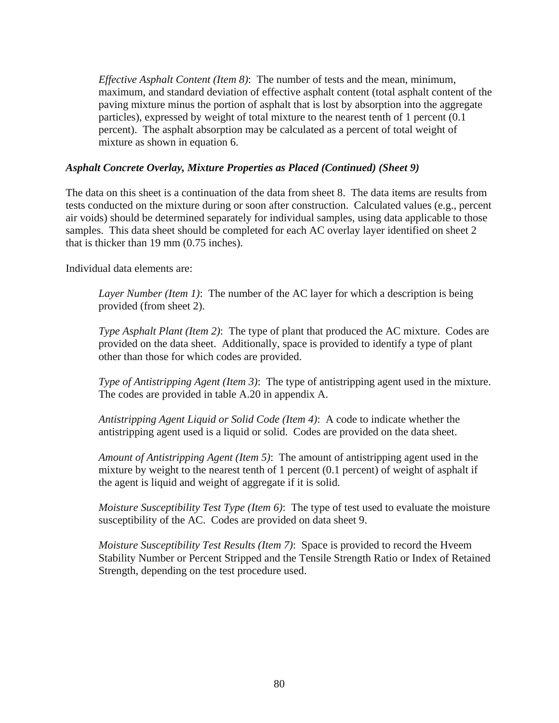*Effective Asphalt Content (Item 8)*: The number of tests and the mean, minimum, maximum, and standard deviation of effective asphalt content (total asphalt content of the paving mixture minus the portion of asphalt that is lost by absorption into the aggregate particles), expressed by weight of total mixture to the nearest tenth of 1 percent (0.1 percent). The asphalt absorption may be calculated as a percent of total weight of mixture as shown in equation 6.

### *Asphalt Concrete Overlay, Mixture Properties as Placed (Continued) (Sheet 9)*

The data on this sheet is a continuation of the data from sheet 8. The data items are results from tests conducted on the mixture during or soon after construction. Calculated values (e.g., percent air voids) should be determined separately for individual samples, using data applicable to those samples. This data sheet should be completed for each AC overlay layer identified on sheet 2 that is thicker than 19 mm (0.75 inches).

Individual data elements are:

*Layer Number (Item 1)*: The number of the AC layer for which a description is being provided (from sheet 2).

*Type Asphalt Plant (Item 2)*: The type of plant that produced the AC mixture. Codes are provided on the data sheet. Additionally, space is provided to identify a type of plant other than those for which codes are provided.

*Type of Antistripping Agent (Item 3)*: The type of antistripping agent used in the mixture. The codes are provided in table A.20 in appendix A.

*Antistripping Agent Liquid or Solid Code (Item 4)*: A code to indicate whether the antistripping agent used is a liquid or solid. Codes are provided on the data sheet.

*Amount of Antistripping Agent (Item 5)*: The amount of antistripping agent used in the mixture by weight to the nearest tenth of 1 percent (0.1 percent) of weight of asphalt if the agent is liquid and weight of aggregate if it is solid.

*Moisture Susceptibility Test Type (Item 6)*: The type of test used to evaluate the moisture susceptibility of the AC. Codes are provided on data sheet 9.

*Moisture Susceptibility Test Results (Item 7)*: Space is provided to record the Hveem Stability Number or Percent Stripped and the Tensile Strength Ratio or Index of Retained Strength, depending on the test procedure used.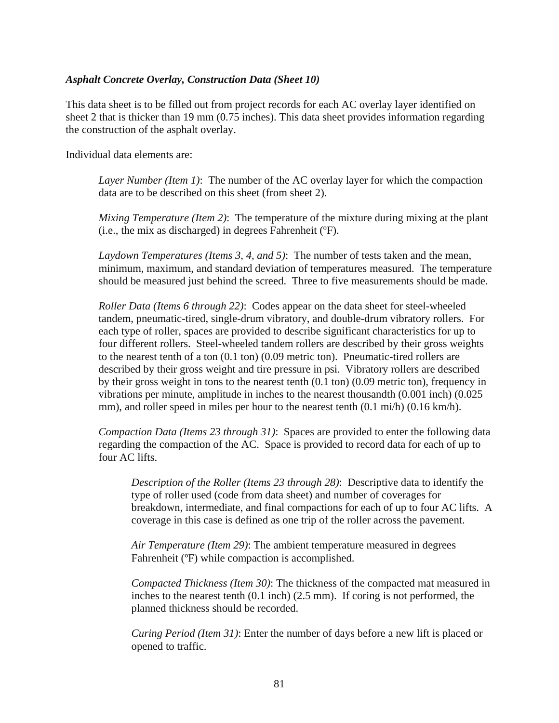### *Asphalt Concrete Overlay, Construction Data (Sheet 10)*

This data sheet is to be filled out from project records for each AC overlay layer identified on sheet 2 that is thicker than 19 mm (0.75 inches). This data sheet provides information regarding the construction of the asphalt overlay.

Individual data elements are:

*Layer Number (Item 1)*: The number of the AC overlay layer for which the compaction data are to be described on this sheet (from sheet 2).

*Mixing Temperature (Item 2)*: The temperature of the mixture during mixing at the plant (i.e., the mix as discharged) in degrees Fahrenheit (ºF).

*Laydown Temperatures (Items 3, 4, and 5)*: The number of tests taken and the mean, minimum, maximum, and standard deviation of temperatures measured. The temperature should be measured just behind the screed. Three to five measurements should be made.

*Roller Data (Items 6 through 22)*: Codes appear on the data sheet for steel-wheeled tandem, pneumatic-tired, single-drum vibratory, and double-drum vibratory rollers. For each type of roller, spaces are provided to describe significant characteristics for up to four different rollers. Steel-wheeled tandem rollers are described by their gross weights to the nearest tenth of a ton (0.1 ton) (0.09 metric ton). Pneumatic-tired rollers are described by their gross weight and tire pressure in psi. Vibratory rollers are described by their gross weight in tons to the nearest tenth (0.1 ton) (0.09 metric ton), frequency in vibrations per minute, amplitude in inches to the nearest thousandth (0.001 inch) (0.025 mm), and roller speed in miles per hour to the nearest tenth  $(0.1 \text{ mi/h})$   $(0.16 \text{ km/h})$ .

*Compaction Data (Items 23 through 31)*: Spaces are provided to enter the following data regarding the compaction of the AC. Space is provided to record data for each of up to four AC lifts.

*Description of the Roller (Items 23 through 28)*: Descriptive data to identify the type of roller used (code from data sheet) and number of coverages for breakdown, intermediate, and final compactions for each of up to four AC lifts. A coverage in this case is defined as one trip of the roller across the pavement.

*Air Temperature (Item 29)*: The ambient temperature measured in degrees Fahrenheit (ºF) while compaction is accomplished.

*Compacted Thickness (Item 30)*: The thickness of the compacted mat measured in inches to the nearest tenth (0.1 inch) (2.5 mm). If coring is not performed, the planned thickness should be recorded.

*Curing Period (Item 31)*: Enter the number of days before a new lift is placed or opened to traffic.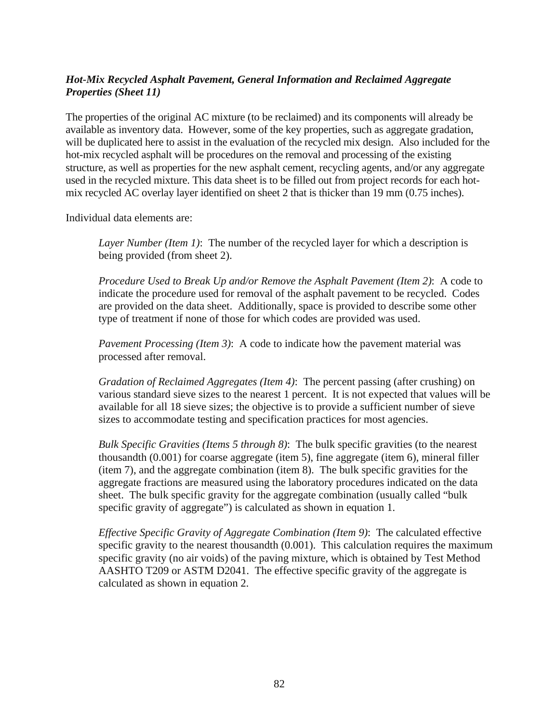# *Hot-Mix Recycled Asphalt Pavement, General Information and Reclaimed Aggregate Properties (Sheet 11)*

The properties of the original AC mixture (to be reclaimed) and its components will already be available as inventory data. However, some of the key properties, such as aggregate gradation, will be duplicated here to assist in the evaluation of the recycled mix design. Also included for the hot-mix recycled asphalt will be procedures on the removal and processing of the existing structure, as well as properties for the new asphalt cement, recycling agents, and/or any aggregate used in the recycled mixture. This data sheet is to be filled out from project records for each hotmix recycled AC overlay layer identified on sheet 2 that is thicker than 19 mm (0.75 inches).

Individual data elements are:

*Layer Number (Item 1)*: The number of the recycled layer for which a description is being provided (from sheet 2).

*Procedure Used to Break Up and/or Remove the Asphalt Pavement (Item 2)*: A code to indicate the procedure used for removal of the asphalt pavement to be recycled. Codes are provided on the data sheet. Additionally, space is provided to describe some other type of treatment if none of those for which codes are provided was used.

*Pavement Processing (Item 3)*: A code to indicate how the pavement material was processed after removal.

*Gradation of Reclaimed Aggregates (Item 4)*: The percent passing (after crushing) on various standard sieve sizes to the nearest 1 percent. It is not expected that values will be available for all 18 sieve sizes; the objective is to provide a sufficient number of sieve sizes to accommodate testing and specification practices for most agencies.

*Bulk Specific Gravities (Items 5 through 8)*: The bulk specific gravities (to the nearest thousandth (0.001) for coarse aggregate (item 5), fine aggregate (item 6), mineral filler (item 7), and the aggregate combination (item 8). The bulk specific gravities for the aggregate fractions are measured using the laboratory procedures indicated on the data sheet. The bulk specific gravity for the aggregate combination (usually called "bulk specific gravity of aggregate") is calculated as shown in equation 1.

*Effective Specific Gravity of Aggregate Combination (Item 9)*: The calculated effective specific gravity to the nearest thousandth (0.001). This calculation requires the maximum specific gravity (no air voids) of the paving mixture, which is obtained by Test Method AASHTO T209 or ASTM D2041. The effective specific gravity of the aggregate is calculated as shown in equation 2.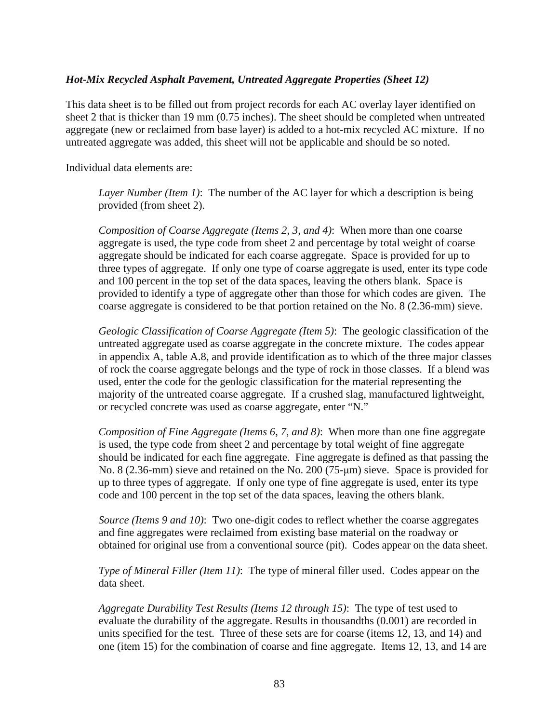### *Hot-Mix Recycled Asphalt Pavement, Untreated Aggregate Properties (Sheet 12)*

This data sheet is to be filled out from project records for each AC overlay layer identified on sheet 2 that is thicker than 19 mm (0.75 inches). The sheet should be completed when untreated aggregate (new or reclaimed from base layer) is added to a hot-mix recycled AC mixture. If no untreated aggregate was added, this sheet will not be applicable and should be so noted.

Individual data elements are:

*Layer Number (Item 1)*: The number of the AC layer for which a description is being provided (from sheet 2).

*Composition of Coarse Aggregate (Items 2, 3, and 4)*: When more than one coarse aggregate is used, the type code from sheet 2 and percentage by total weight of coarse aggregate should be indicated for each coarse aggregate. Space is provided for up to three types of aggregate. If only one type of coarse aggregate is used, enter its type code and 100 percent in the top set of the data spaces, leaving the others blank. Space is provided to identify a type of aggregate other than those for which codes are given. The coarse aggregate is considered to be that portion retained on the No. 8 (2.36-mm) sieve.

*Geologic Classification of Coarse Aggregate (Item 5)*: The geologic classification of the untreated aggregate used as coarse aggregate in the concrete mixture. The codes appear in appendix A, table A.8, and provide identification as to which of the three major classes of rock the coarse aggregate belongs and the type of rock in those classes. If a blend was used, enter the code for the geologic classification for the material representing the majority of the untreated coarse aggregate. If a crushed slag, manufactured lightweight, or recycled concrete was used as coarse aggregate, enter "N."

*Composition of Fine Aggregate (Items 6, 7, and 8)*: When more than one fine aggregate is used, the type code from sheet 2 and percentage by total weight of fine aggregate should be indicated for each fine aggregate. Fine aggregate is defined as that passing the No. 8 (2.36-mm) sieve and retained on the No. 200 (75-μm) sieve. Space is provided for up to three types of aggregate. If only one type of fine aggregate is used, enter its type code and 100 percent in the top set of the data spaces, leaving the others blank.

*Source (Items 9 and 10)*: Two one-digit codes to reflect whether the coarse aggregates and fine aggregates were reclaimed from existing base material on the roadway or obtained for original use from a conventional source (pit). Codes appear on the data sheet.

*Type of Mineral Filler (Item 11)*: The type of mineral filler used. Codes appear on the data sheet.

*Aggregate Durability Test Results (Items 12 through 15)*: The type of test used to evaluate the durability of the aggregate. Results in thousandths (0.001) are recorded in units specified for the test. Three of these sets are for coarse (items 12, 13, and 14) and one (item 15) for the combination of coarse and fine aggregate. Items 12, 13, and 14 are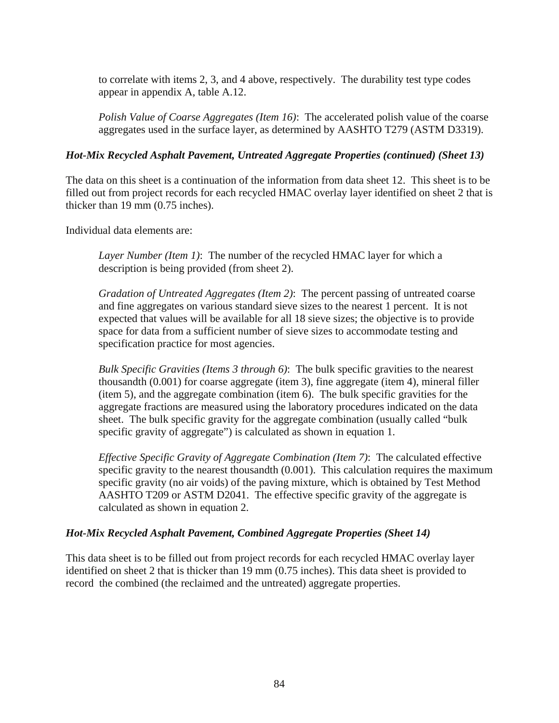to correlate with items 2, 3, and 4 above, respectively. The durability test type codes appear in appendix A, table A.12.

*Polish Value of Coarse Aggregates (Item 16)*: The accelerated polish value of the coarse aggregates used in the surface layer, as determined by AASHTO T279 (ASTM D3319).

### *Hot-Mix Recycled Asphalt Pavement, Untreated Aggregate Properties (continued) (Sheet 13)*

The data on this sheet is a continuation of the information from data sheet 12. This sheet is to be filled out from project records for each recycled HMAC overlay layer identified on sheet 2 that is thicker than 19 mm (0.75 inches).

Individual data elements are:

*Layer Number (Item 1)*: The number of the recycled HMAC layer for which a description is being provided (from sheet 2).

*Gradation of Untreated Aggregates (Item 2)*: The percent passing of untreated coarse and fine aggregates on various standard sieve sizes to the nearest 1 percent. It is not expected that values will be available for all 18 sieve sizes; the objective is to provide space for data from a sufficient number of sieve sizes to accommodate testing and specification practice for most agencies.

*Bulk Specific Gravities (Items 3 through 6)*: The bulk specific gravities to the nearest thousandth (0.001) for coarse aggregate (item 3), fine aggregate (item 4), mineral filler (item 5), and the aggregate combination (item 6). The bulk specific gravities for the aggregate fractions are measured using the laboratory procedures indicated on the data sheet. The bulk specific gravity for the aggregate combination (usually called "bulk specific gravity of aggregate") is calculated as shown in equation 1.

*Effective Specific Gravity of Aggregate Combination (Item 7)*: The calculated effective specific gravity to the nearest thousandth (0.001). This calculation requires the maximum specific gravity (no air voids) of the paving mixture, which is obtained by Test Method AASHTO T209 or ASTM D2041. The effective specific gravity of the aggregate is calculated as shown in equation 2.

# *Hot-Mix Recycled Asphalt Pavement, Combined Aggregate Properties (Sheet 14)*

This data sheet is to be filled out from project records for each recycled HMAC overlay layer identified on sheet 2 that is thicker than 19 mm (0.75 inches). This data sheet is provided to record the combined (the reclaimed and the untreated) aggregate properties.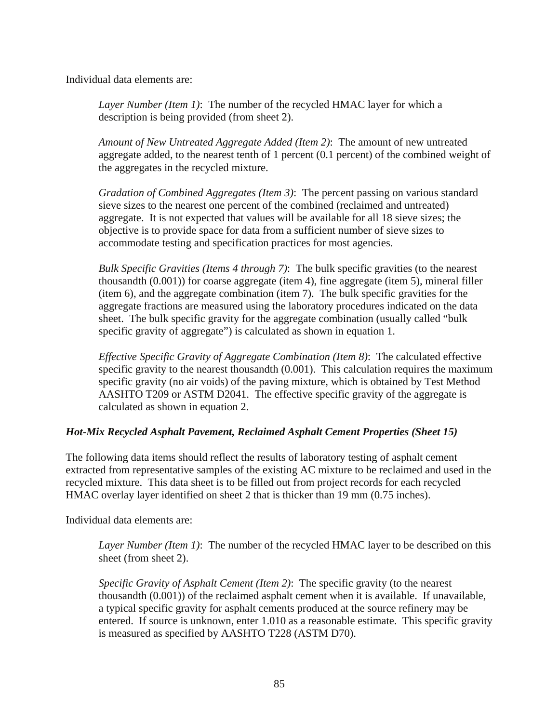Individual data elements are:

*Layer Number (Item 1)*: The number of the recycled HMAC layer for which a description is being provided (from sheet 2).

*Amount of New Untreated Aggregate Added (Item 2)*: The amount of new untreated aggregate added, to the nearest tenth of 1 percent (0.1 percent) of the combined weight of the aggregates in the recycled mixture.

*Gradation of Combined Aggregates (Item 3)*: The percent passing on various standard sieve sizes to the nearest one percent of the combined (reclaimed and untreated) aggregate. It is not expected that values will be available for all 18 sieve sizes; the objective is to provide space for data from a sufficient number of sieve sizes to accommodate testing and specification practices for most agencies.

*Bulk Specific Gravities (Items 4 through 7)*: The bulk specific gravities (to the nearest thousandth (0.001)) for coarse aggregate (item 4), fine aggregate (item 5), mineral filler (item 6), and the aggregate combination (item 7). The bulk specific gravities for the aggregate fractions are measured using the laboratory procedures indicated on the data sheet. The bulk specific gravity for the aggregate combination (usually called "bulk specific gravity of aggregate") is calculated as shown in equation 1.

*Effective Specific Gravity of Aggregate Combination (Item 8)*: The calculated effective specific gravity to the nearest thousandth (0.001). This calculation requires the maximum specific gravity (no air voids) of the paving mixture, which is obtained by Test Method AASHTO T209 or ASTM D2041. The effective specific gravity of the aggregate is calculated as shown in equation 2.

# *Hot-Mix Recycled Asphalt Pavement, Reclaimed Asphalt Cement Properties (Sheet 15)*

The following data items should reflect the results of laboratory testing of asphalt cement extracted from representative samples of the existing AC mixture to be reclaimed and used in the recycled mixture. This data sheet is to be filled out from project records for each recycled HMAC overlay layer identified on sheet 2 that is thicker than 19 mm (0.75 inches).

Individual data elements are:

*Layer Number (Item 1)*: The number of the recycled HMAC layer to be described on this sheet (from sheet 2).

*Specific Gravity of Asphalt Cement (Item 2)*: The specific gravity (to the nearest thousandth (0.001)) of the reclaimed asphalt cement when it is available. If unavailable, a typical specific gravity for asphalt cements produced at the source refinery may be entered. If source is unknown, enter 1.010 as a reasonable estimate. This specific gravity is measured as specified by AASHTO T228 (ASTM D70).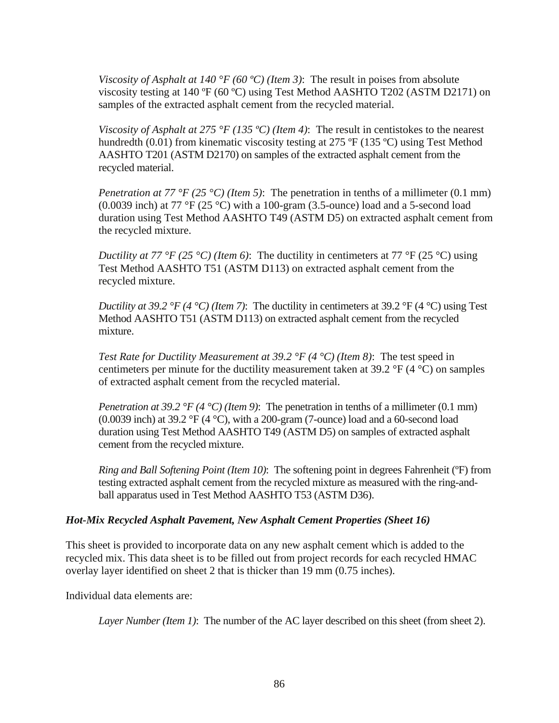*Viscosity of Asphalt at 140 °F (60 ºC) (Item 3)*: The result in poises from absolute viscosity testing at 140 ºF (60 ºC) using Test Method AASHTO T202 (ASTM D2171) on samples of the extracted asphalt cement from the recycled material.

*Viscosity of Asphalt at 275 °F (135 °C) (Item 4)*: The result in centistokes to the nearest hundredth (0.01) from kinematic viscosity testing at 275 °F (135 °C) using Test Method AASHTO T201 (ASTM D2170) on samples of the extracted asphalt cement from the recycled material.

*Penetration at 77 °F (25 °C) (Item 5)*: The penetration in tenths of a millimeter (0.1 mm) (0.0039 inch) at 77 °F (25 °C) with a 100-gram (3.5-ounce) load and a 5-second load duration using Test Method AASHTO T49 (ASTM D5) on extracted asphalt cement from the recycled mixture.

*Ductility at 77 °F (25 °C) (Item 6)*: The ductility in centimeters at 77 °F (25 °C) using Test Method AASHTO T51 (ASTM D113) on extracted asphalt cement from the recycled mixture.

*Ductility at 39.2 °F (4 °C) <i>(Item 7)*: The ductility in centimeters at 39.2 °F (4 °C) using Test Method AASHTO T51 (ASTM D113) on extracted asphalt cement from the recycled mixture.

*Test Rate for Ductility Measurement at 39.2 °F (4 °C) (Item 8)*: The test speed in centimeters per minute for the ductility measurement taken at 39.2  $\rm{^{\circ}F}$  (4  $\rm{^{\circ}C}$ ) on samples of extracted asphalt cement from the recycled material.

*Penetration at 39.2 °F (4 °C) (Item 9)*: The penetration in tenths of a millimeter (0.1 mm) (0.0039 inch) at 39.2 °F (4 °C), with a 200-gram (7-ounce) load and a 60-second load duration using Test Method AASHTO T49 (ASTM D5) on samples of extracted asphalt cement from the recycled mixture.

*Ring and Ball Softening Point (Item 10)*: The softening point in degrees Fahrenheit (ºF) from testing extracted asphalt cement from the recycled mixture as measured with the ring-andball apparatus used in Test Method AASHTO T53 (ASTM D36).

### *Hot-Mix Recycled Asphalt Pavement, New Asphalt Cement Properties (Sheet 16)*

This sheet is provided to incorporate data on any new asphalt cement which is added to the recycled mix. This data sheet is to be filled out from project records for each recycled HMAC overlay layer identified on sheet 2 that is thicker than 19 mm (0.75 inches).

Individual data elements are:

*Layer Number (Item 1)*: The number of the AC layer described on this sheet (from sheet 2).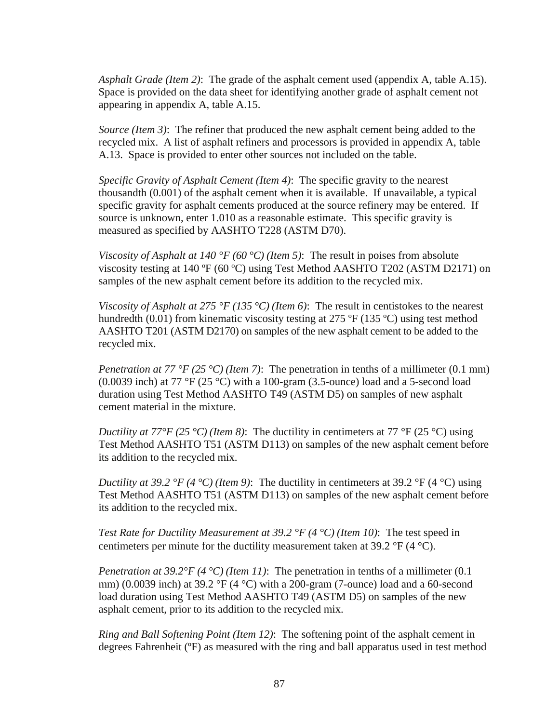*Asphalt Grade (Item 2)*: The grade of the asphalt cement used (appendix A, table A.15). Space is provided on the data sheet for identifying another grade of asphalt cement not appearing in appendix A, table A.15.

*Source (Item 3)*: The refiner that produced the new asphalt cement being added to the recycled mix. A list of asphalt refiners and processors is provided in appendix A, table A.13. Space is provided to enter other sources not included on the table.

*Specific Gravity of Asphalt Cement (Item 4)*: The specific gravity to the nearest thousandth (0.001) of the asphalt cement when it is available. If unavailable, a typical specific gravity for asphalt cements produced at the source refinery may be entered. If source is unknown, enter 1.010 as a reasonable estimate. This specific gravity is measured as specified by AASHTO T228 (ASTM D70).

*Viscosity of Asphalt at 140 °F (60 °C) (Item 5)*: The result in poises from absolute viscosity testing at 140 ºF (60 ºC) using Test Method AASHTO T202 (ASTM D2171) on samples of the new asphalt cement before its addition to the recycled mix.

*Viscosity of Asphalt at 275 °F (135 °C) (Item 6)*: The result in centistokes to the nearest hundredth (0.01) from kinematic viscosity testing at 275  $\textdegree$ F (135  $\textdegree$ C) using test method AASHTO T201 (ASTM D2170) on samples of the new asphalt cement to be added to the recycled mix.

*Penetration at 77 °F (25 °C) (Item 7)*: The penetration in tenths of a millimeter (0.1 mm) (0.0039 inch) at 77 °F (25 °C) with a 100-gram (3.5-ounce) load and a 5-second load duration using Test Method AASHTO T49 (ASTM D5) on samples of new asphalt cement material in the mixture.

*Ductility at 77°F (25 °C) (Item 8)*: The ductility in centimeters at 77 °F (25 °C) using Test Method AASHTO T51 (ASTM D113) on samples of the new asphalt cement before its addition to the recycled mix.

*Ductility at 39.2 °F (4 °C) (Item 9)*: The ductility in centimeters at 39.2 °F (4 °C) using Test Method AASHTO T51 (ASTM D113) on samples of the new asphalt cement before its addition to the recycled mix.

*Test Rate for Ductility Measurement at 39.2 °F (4 °C) (Item 10)*: The test speed in centimeters per minute for the ductility measurement taken at 39.2  $\mathrm{P}F(4 \mathrm{C})$ .

*Penetration at 39.2°F (4 °C) (Item 11)*: The penetration in tenths of a millimeter (0.1 mm) (0.0039 inch) at 39.2 °F (4 °C) with a 200-gram (7-ounce) load and a 60-second load duration using Test Method AASHTO T49 (ASTM D5) on samples of the new asphalt cement, prior to its addition to the recycled mix.

*Ring and Ball Softening Point (Item 12)*: The softening point of the asphalt cement in degrees Fahrenheit (ºF) as measured with the ring and ball apparatus used in test method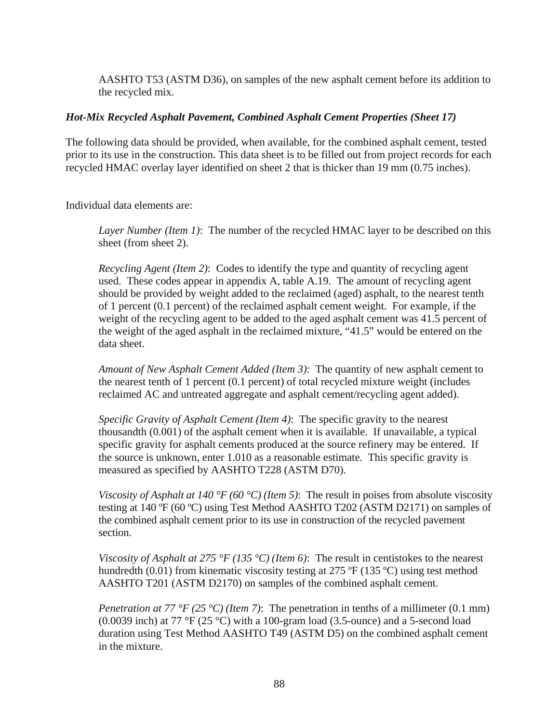AASHTO T53 (ASTM D36), on samples of the new asphalt cement before its addition to the recycled mix.

### *Hot-Mix Recycled Asphalt Pavement, Combined Asphalt Cement Properties (Sheet 17)*

The following data should be provided, when available, for the combined asphalt cement, tested prior to its use in the construction. This data sheet is to be filled out from project records for each recycled HMAC overlay layer identified on sheet 2 that is thicker than 19 mm (0.75 inches).

Individual data elements are:

*Layer Number (Item 1)*: The number of the recycled HMAC layer to be described on this sheet (from sheet 2).

*Recycling Agent (Item 2)*: Codes to identify the type and quantity of recycling agent used. These codes appear in appendix A, table A.19. The amount of recycling agent should be provided by weight added to the reclaimed (aged) asphalt, to the nearest tenth of 1 percent (0.1 percent) of the reclaimed asphalt cement weight. For example, if the weight of the recycling agent to be added to the aged asphalt cement was 41.5 percent of the weight of the aged asphalt in the reclaimed mixture, "41.5" would be entered on the data sheet.

*Amount of New Asphalt Cement Added (Item 3)*: The quantity of new asphalt cement to the nearest tenth of 1 percent (0.1 percent) of total recycled mixture weight (includes reclaimed AC and untreated aggregate and asphalt cement/recycling agent added).

*Specific Gravity of Asphalt Cement (Item 4)*: The specific gravity to the nearest thousandth (0.001) of the asphalt cement when it is available. If unavailable, a typical specific gravity for asphalt cements produced at the source refinery may be entered. If the source is unknown, enter 1.010 as a reasonable estimate. This specific gravity is measured as specified by AASHTO T228 (ASTM D70).

*Viscosity of Asphalt at 140 °F (60 °C) (Item 5)*: The result in poises from absolute viscosity testing at 140 ºF (60 ºC) using Test Method AASHTO T202 (ASTM D2171) on samples of the combined asphalt cement prior to its use in construction of the recycled pavement section.

*Viscosity of Asphalt at 275 °F (135 °C) (Item 6)*: The result in centistokes to the nearest hundredth (0.01) from kinematic viscosity testing at 275 °F (135 °C) using test method AASHTO T201 (ASTM D2170) on samples of the combined asphalt cement.

*Penetration at 77 °F (25 °C) (Item 7)*: The penetration in tenths of a millimeter (0.1 mm) (0.0039 inch) at 77 °F (25 °C) with a 100-gram load (3.5-ounce) and a 5-second load duration using Test Method AASHTO T49 (ASTM D5) on the combined asphalt cement in the mixture.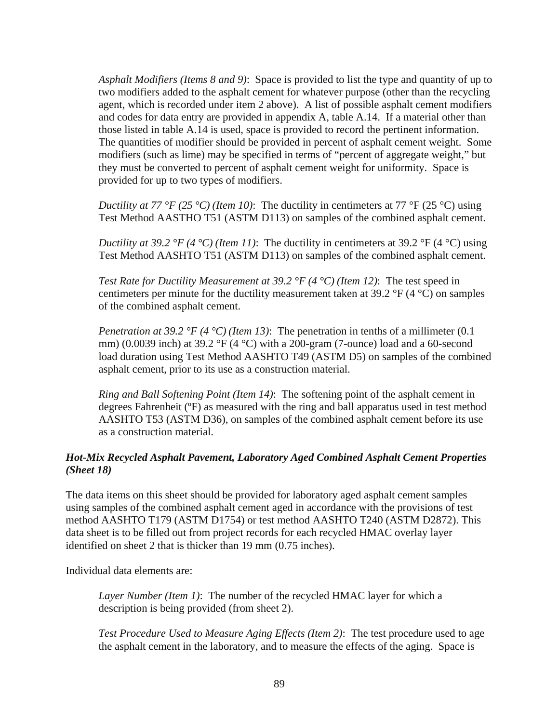*Asphalt Modifiers (Items 8 and 9)*: Space is provided to list the type and quantity of up to two modifiers added to the asphalt cement for whatever purpose (other than the recycling agent, which is recorded under item 2 above). A list of possible asphalt cement modifiers and codes for data entry are provided in appendix A, table A.14. If a material other than those listed in table A.14 is used, space is provided to record the pertinent information. The quantities of modifier should be provided in percent of asphalt cement weight. Some modifiers (such as lime) may be specified in terms of "percent of aggregate weight," but they must be converted to percent of asphalt cement weight for uniformity. Space is provided for up to two types of modifiers.

*Ductility at 77 °F (25 °C) (Item 10)*: The ductility in centimeters at 77 °F (25 °C) using Test Method AASTHO T51 (ASTM D113) on samples of the combined asphalt cement.

*Ductility at 39.2 °F (4 °C) (Item 11)*: The ductility in centimeters at 39.2 °F (4 °C) using Test Method AASHTO T51 (ASTM D113) on samples of the combined asphalt cement.

*Test Rate for Ductility Measurement at 39.2 °F (4 °C) (Item 12)*: The test speed in centimeters per minute for the ductility measurement taken at  $39.2 \text{ }^{\circ}F(4 \text{ }^{\circ}C)$  on samples of the combined asphalt cement.

*Penetration at 39.2 °F (4 °C) (Item 13)*: The penetration in tenths of a millimeter (0.1) mm) (0.0039 inch) at 39.2 °F (4 °C) with a 200-gram (7-ounce) load and a 60-second load duration using Test Method AASHTO T49 (ASTM D5) on samples of the combined asphalt cement, prior to its use as a construction material.

*Ring and Ball Softening Point (Item 14)*: The softening point of the asphalt cement in degrees Fahrenheit (ºF) as measured with the ring and ball apparatus used in test method AASHTO T53 (ASTM D36), on samples of the combined asphalt cement before its use as a construction material.

# *Hot-Mix Recycled Asphalt Pavement, Laboratory Aged Combined Asphalt Cement Properties (Sheet 18)*

The data items on this sheet should be provided for laboratory aged asphalt cement samples using samples of the combined asphalt cement aged in accordance with the provisions of test method AASHTO T179 (ASTM D1754) or test method AASHTO T240 (ASTM D2872). This data sheet is to be filled out from project records for each recycled HMAC overlay layer identified on sheet 2 that is thicker than 19 mm (0.75 inches).

Individual data elements are:

*Layer Number (Item 1)*: The number of the recycled HMAC layer for which a description is being provided (from sheet 2).

*Test Procedure Used to Measure Aging Effects (Item 2)*: The test procedure used to age the asphalt cement in the laboratory, and to measure the effects of the aging. Space is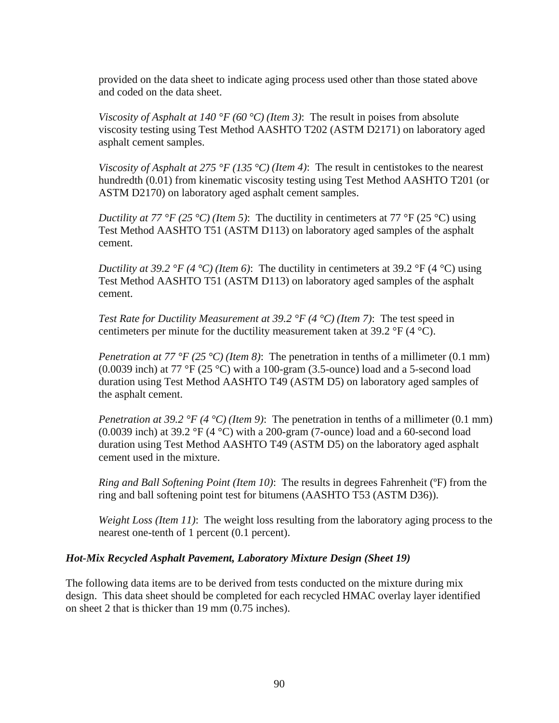provided on the data sheet to indicate aging process used other than those stated above and coded on the data sheet.

*Viscosity of Asphalt at 140 °F (60 °C) (Item 3)*: The result in poises from absolute viscosity testing using Test Method AASHTO T202 (ASTM D2171) on laboratory aged asphalt cement samples.

*Viscosity of Asphalt at 275 °F (135 °C) (Item 4)*: The result in centistokes to the nearest hundredth (0.01) from kinematic viscosity testing using Test Method AASHTO T201 (or ASTM D2170) on laboratory aged asphalt cement samples.

*Ductility at 77 °F (25 °C) (Item 5)*: The ductility in centimeters at 77 °F (25 °C) using Test Method AASHTO T51 (ASTM D113) on laboratory aged samples of the asphalt cement.

*Ductility at 39.2 °F (4 °C) (Item 6)*: The ductility in centimeters at 39.2 °F (4 °C) using Test Method AASHTO T51 (ASTM D113) on laboratory aged samples of the asphalt cement.

*Test Rate for Ductility Measurement at 39.2 °F (4 °C) (Item 7)*: The test speed in centimeters per minute for the ductility measurement taken at 39.2  $\mathrm{P}F(4 \mathrm{C})$ .

*Penetration at 77 °F (25 °C) (Item 8)*: The penetration in tenths of a millimeter (0.1 mm) (0.0039 inch) at 77 °F (25 °C) with a 100-gram (3.5-ounce) load and a 5-second load duration using Test Method AASHTO T49 (ASTM D5) on laboratory aged samples of the asphalt cement.

*Penetration at 39.2 °F (4 °C) (Item 9)*: The penetration in tenths of a millimeter (0.1 mm) (0.0039 inch) at 39.2 °F (4 °C) with a 200-gram (7-ounce) load and a 60-second load duration using Test Method AASHTO T49 (ASTM D5) on the laboratory aged asphalt cement used in the mixture.

*Ring and Ball Softening Point (Item 10)*: The results in degrees Fahrenheit (ºF) from the ring and ball softening point test for bitumens (AASHTO T53 (ASTM D36)).

*Weight Loss (Item 11)*: The weight loss resulting from the laboratory aging process to the nearest one-tenth of 1 percent (0.1 percent).

# *Hot-Mix Recycled Asphalt Pavement, Laboratory Mixture Design (Sheet 19)*

The following data items are to be derived from tests conducted on the mixture during mix design. This data sheet should be completed for each recycled HMAC overlay layer identified on sheet 2 that is thicker than 19 mm (0.75 inches).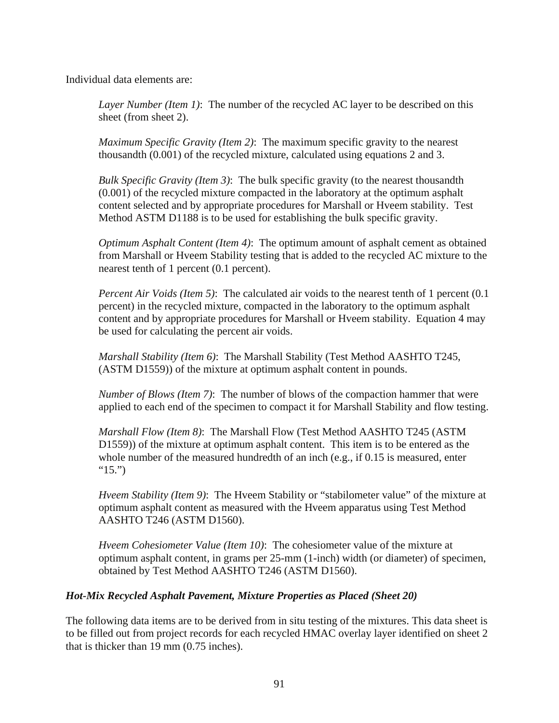Individual data elements are:

*Layer Number (Item 1)*: The number of the recycled AC layer to be described on this sheet (from sheet 2).

*Maximum Specific Gravity (Item 2)*: The maximum specific gravity to the nearest thousandth (0.001) of the recycled mixture, calculated using equations 2 and 3.

*Bulk Specific Gravity (Item 3)*: The bulk specific gravity (to the nearest thousandth (0.001) of the recycled mixture compacted in the laboratory at the optimum asphalt content selected and by appropriate procedures for Marshall or Hveem stability. Test Method ASTM D1188 is to be used for establishing the bulk specific gravity.

*Optimum Asphalt Content (Item 4)*: The optimum amount of asphalt cement as obtained from Marshall or Hveem Stability testing that is added to the recycled AC mixture to the nearest tenth of 1 percent (0.1 percent).

*Percent Air Voids (Item 5)*: The calculated air voids to the nearest tenth of 1 percent (0.1) percent) in the recycled mixture, compacted in the laboratory to the optimum asphalt content and by appropriate procedures for Marshall or Hveem stability. Equation 4 may be used for calculating the percent air voids.

*Marshall Stability (Item 6)*: The Marshall Stability (Test Method AASHTO T245, (ASTM D1559)) of the mixture at optimum asphalt content in pounds.

*Number of Blows (Item 7)*: The number of blows of the compaction hammer that were applied to each end of the specimen to compact it for Marshall Stability and flow testing.

*Marshall Flow (Item 8)*: The Marshall Flow (Test Method AASHTO T245 (ASTM D1559)) of the mixture at optimum asphalt content. This item is to be entered as the whole number of the measured hundredth of an inch (e.g., if 0.15 is measured, enter  $"15."$ 

*Hveem Stability (Item 9)*: The Hveem Stability or "stabilometer value" of the mixture at optimum asphalt content as measured with the Hveem apparatus using Test Method AASHTO T246 (ASTM D1560).

*Hveem Cohesiometer Value (Item 10)*: The cohesiometer value of the mixture at optimum asphalt content, in grams per 25-mm (1-inch) width (or diameter) of specimen, obtained by Test Method AASHTO T246 (ASTM D1560).

# *Hot-Mix Recycled Asphalt Pavement, Mixture Properties as Placed (Sheet 20)*

The following data items are to be derived from in situ testing of the mixtures. This data sheet is to be filled out from project records for each recycled HMAC overlay layer identified on sheet 2 that is thicker than 19 mm (0.75 inches).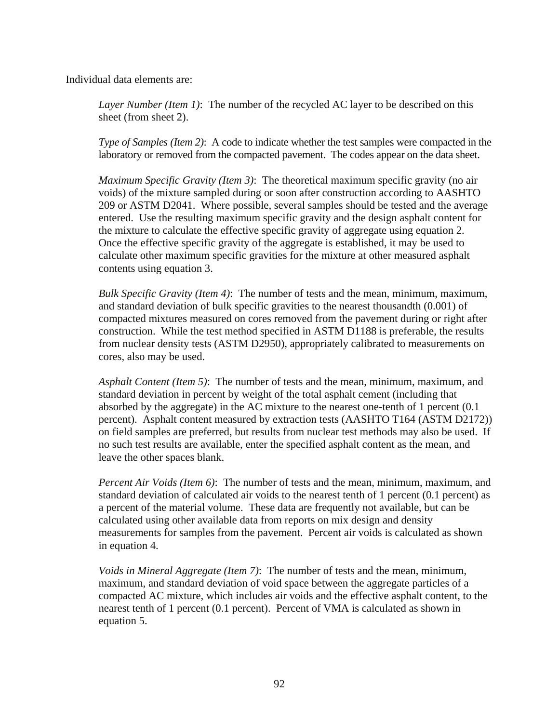Individual data elements are:

*Layer Number (Item 1)*: The number of the recycled AC layer to be described on this sheet (from sheet 2).

*Type of Samples (Item 2)*: A code to indicate whether the test samples were compacted in the laboratory or removed from the compacted pavement. The codes appear on the data sheet.

*Maximum Specific Gravity (Item 3)*: The theoretical maximum specific gravity (no air voids) of the mixture sampled during or soon after construction according to AASHTO 209 or ASTM D2041. Where possible, several samples should be tested and the average entered. Use the resulting maximum specific gravity and the design asphalt content for the mixture to calculate the effective specific gravity of aggregate using equation 2. Once the effective specific gravity of the aggregate is established, it may be used to calculate other maximum specific gravities for the mixture at other measured asphalt contents using equation 3.

*Bulk Specific Gravity (Item 4)*: The number of tests and the mean, minimum, maximum, and standard deviation of bulk specific gravities to the nearest thousandth (0.001) of compacted mixtures measured on cores removed from the pavement during or right after construction. While the test method specified in ASTM D1188 is preferable, the results from nuclear density tests (ASTM D2950), appropriately calibrated to measurements on cores, also may be used.

*Asphalt Content (Item 5)*: The number of tests and the mean, minimum, maximum, and standard deviation in percent by weight of the total asphalt cement (including that absorbed by the aggregate) in the AC mixture to the nearest one-tenth of 1 percent (0.1 percent). Asphalt content measured by extraction tests (AASHTO T164 (ASTM D2172)) on field samples are preferred, but results from nuclear test methods may also be used. If no such test results are available, enter the specified asphalt content as the mean, and leave the other spaces blank.

*Percent Air Voids (Item 6)*: The number of tests and the mean, minimum, maximum, and standard deviation of calculated air voids to the nearest tenth of 1 percent (0.1 percent) as a percent of the material volume. These data are frequently not available, but can be calculated using other available data from reports on mix design and density measurements for samples from the pavement. Percent air voids is calculated as shown in equation 4.

*Voids in Mineral Aggregate (Item 7)*: The number of tests and the mean, minimum, maximum, and standard deviation of void space between the aggregate particles of a compacted AC mixture, which includes air voids and the effective asphalt content, to the nearest tenth of 1 percent (0.1 percent). Percent of VMA is calculated as shown in equation 5.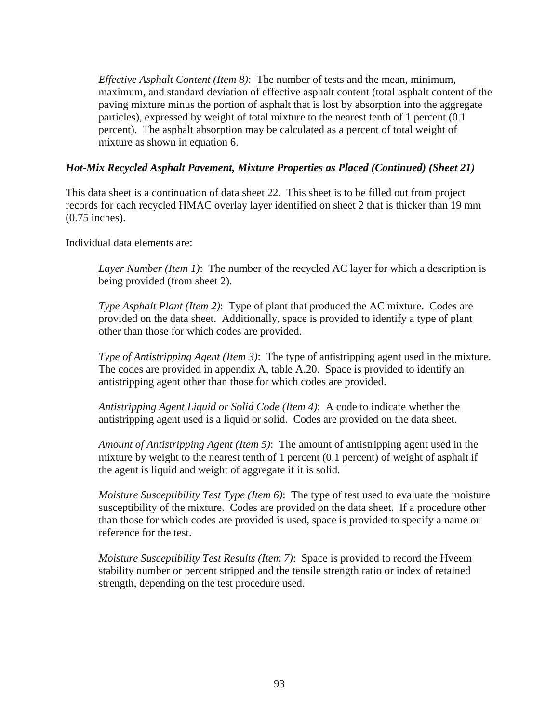*Effective Asphalt Content (Item 8)*: The number of tests and the mean, minimum, maximum, and standard deviation of effective asphalt content (total asphalt content of the paving mixture minus the portion of asphalt that is lost by absorption into the aggregate particles), expressed by weight of total mixture to the nearest tenth of 1 percent (0.1 percent). The asphalt absorption may be calculated as a percent of total weight of mixture as shown in equation 6.

# *Hot-Mix Recycled Asphalt Pavement, Mixture Properties as Placed (Continued) (Sheet 21)*

This data sheet is a continuation of data sheet 22. This sheet is to be filled out from project records for each recycled HMAC overlay layer identified on sheet 2 that is thicker than 19 mm (0.75 inches).

Individual data elements are:

*Layer Number (Item 1)*: The number of the recycled AC layer for which a description is being provided (from sheet 2).

*Type Asphalt Plant (Item 2)*: Type of plant that produced the AC mixture. Codes are provided on the data sheet. Additionally, space is provided to identify a type of plant other than those for which codes are provided.

*Type of Antistripping Agent (Item 3)*: The type of antistripping agent used in the mixture. The codes are provided in appendix A, table A.20. Space is provided to identify an antistripping agent other than those for which codes are provided.

*Antistripping Agent Liquid or Solid Code (Item 4)*: A code to indicate whether the antistripping agent used is a liquid or solid. Codes are provided on the data sheet.

*Amount of Antistripping Agent (Item 5)*: The amount of antistripping agent used in the mixture by weight to the nearest tenth of 1 percent (0.1 percent) of weight of asphalt if the agent is liquid and weight of aggregate if it is solid.

*Moisture Susceptibility Test Type (Item 6)*: The type of test used to evaluate the moisture susceptibility of the mixture. Codes are provided on the data sheet. If a procedure other than those for which codes are provided is used, space is provided to specify a name or reference for the test.

*Moisture Susceptibility Test Results (Item 7)*: Space is provided to record the Hveem stability number or percent stripped and the tensile strength ratio or index of retained strength, depending on the test procedure used.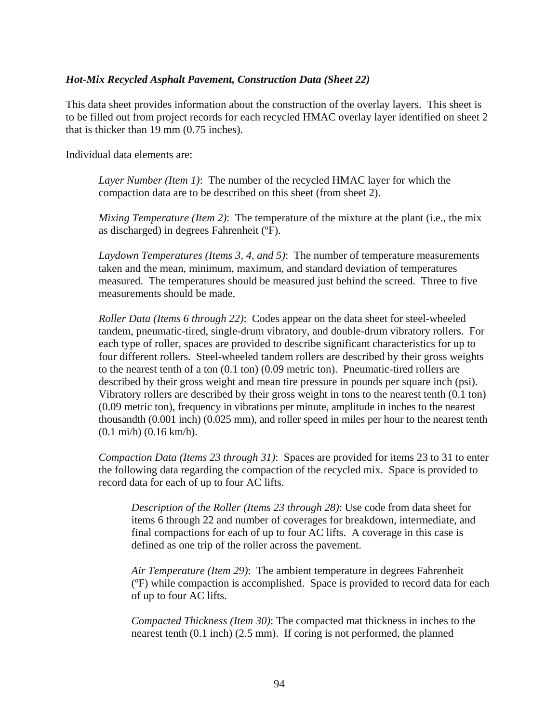### *Hot-Mix Recycled Asphalt Pavement, Construction Data (Sheet 22)*

This data sheet provides information about the construction of the overlay layers. This sheet is to be filled out from project records for each recycled HMAC overlay layer identified on sheet 2 that is thicker than 19 mm (0.75 inches).

Individual data elements are:

*Layer Number (Item 1)*: The number of the recycled HMAC layer for which the compaction data are to be described on this sheet (from sheet 2).

*Mixing Temperature (Item 2)*: The temperature of the mixture at the plant (i.e., the mix as discharged) in degrees Fahrenheit (ºF).

*Laydown Temperatures (Items 3, 4, and 5)*: The number of temperature measurements taken and the mean, minimum, maximum, and standard deviation of temperatures measured. The temperatures should be measured just behind the screed. Three to five measurements should be made.

*Roller Data (Items 6 through 22)*: Codes appear on the data sheet for steel-wheeled tandem, pneumatic-tired, single-drum vibratory, and double-drum vibratory rollers. For each type of roller, spaces are provided to describe significant characteristics for up to four different rollers. Steel-wheeled tandem rollers are described by their gross weights to the nearest tenth of a ton (0.1 ton) (0.09 metric ton). Pneumatic-tired rollers are described by their gross weight and mean tire pressure in pounds per square inch (psi). Vibratory rollers are described by their gross weight in tons to the nearest tenth (0.1 ton) (0.09 metric ton), frequency in vibrations per minute, amplitude in inches to the nearest thousandth (0.001 inch) (0.025 mm), and roller speed in miles per hour to the nearest tenth (0.1 mi/h) (0.16 km/h).

*Compaction Data (Items 23 through 31)*: Spaces are provided for items 23 to 31 to enter the following data regarding the compaction of the recycled mix. Space is provided to record data for each of up to four AC lifts.

*Description of the Roller (Items 23 through 28)*: Use code from data sheet for items 6 through 22 and number of coverages for breakdown, intermediate, and final compactions for each of up to four AC lifts. A coverage in this case is defined as one trip of the roller across the pavement.

*Air Temperature (Item 29)*: The ambient temperature in degrees Fahrenheit (ºF) while compaction is accomplished. Space is provided to record data for each of up to four AC lifts.

*Compacted Thickness (Item 30)*: The compacted mat thickness in inches to the nearest tenth (0.1 inch) (2.5 mm). If coring is not performed, the planned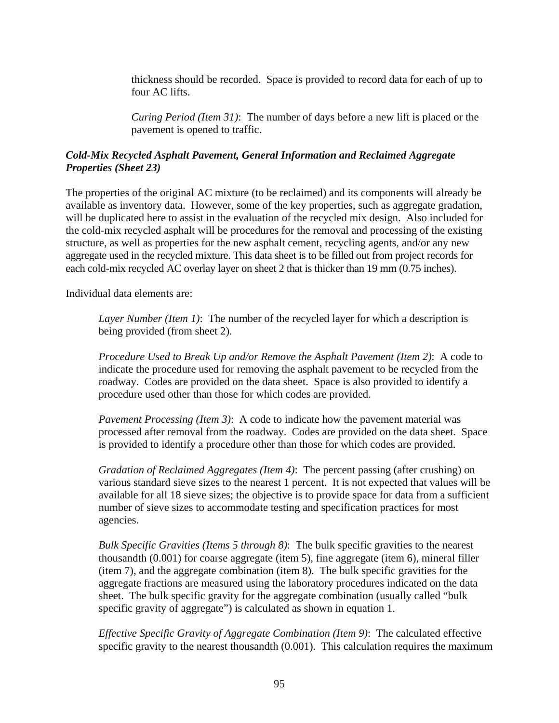thickness should be recorded. Space is provided to record data for each of up to four AC lifts.

*Curing Period (Item 31)*: The number of days before a new lift is placed or the pavement is opened to traffic.

# *Cold-Mix Recycled Asphalt Pavement, General Information and Reclaimed Aggregate Properties (Sheet 23)*

The properties of the original AC mixture (to be reclaimed) and its components will already be available as inventory data. However, some of the key properties, such as aggregate gradation, will be duplicated here to assist in the evaluation of the recycled mix design. Also included for the cold-mix recycled asphalt will be procedures for the removal and processing of the existing structure, as well as properties for the new asphalt cement, recycling agents, and/or any new aggregate used in the recycled mixture. This data sheet is to be filled out from project records for each cold-mix recycled AC overlay layer on sheet 2 that is thicker than 19 mm (0.75 inches).

Individual data elements are:

*Layer Number (Item 1)*: The number of the recycled layer for which a description is being provided (from sheet 2).

*Procedure Used to Break Up and/or Remove the Asphalt Pavement (Item 2)*: A code to indicate the procedure used for removing the asphalt pavement to be recycled from the roadway. Codes are provided on the data sheet. Space is also provided to identify a procedure used other than those for which codes are provided.

*Pavement Processing (Item 3)*: A code to indicate how the pavement material was processed after removal from the roadway. Codes are provided on the data sheet. Space is provided to identify a procedure other than those for which codes are provided.

*Gradation of Reclaimed Aggregates (Item 4)*: The percent passing (after crushing) on various standard sieve sizes to the nearest 1 percent. It is not expected that values will be available for all 18 sieve sizes; the objective is to provide space for data from a sufficient number of sieve sizes to accommodate testing and specification practices for most agencies.

*Bulk Specific Gravities (Items 5 through 8)*: The bulk specific gravities to the nearest thousandth (0.001) for coarse aggregate (item 5), fine aggregate (item 6), mineral filler (item 7), and the aggregate combination (item 8). The bulk specific gravities for the aggregate fractions are measured using the laboratory procedures indicated on the data sheet. The bulk specific gravity for the aggregate combination (usually called "bulk specific gravity of aggregate") is calculated as shown in equation 1.

*Effective Specific Gravity of Aggregate Combination (Item 9)*: The calculated effective specific gravity to the nearest thousandth (0.001). This calculation requires the maximum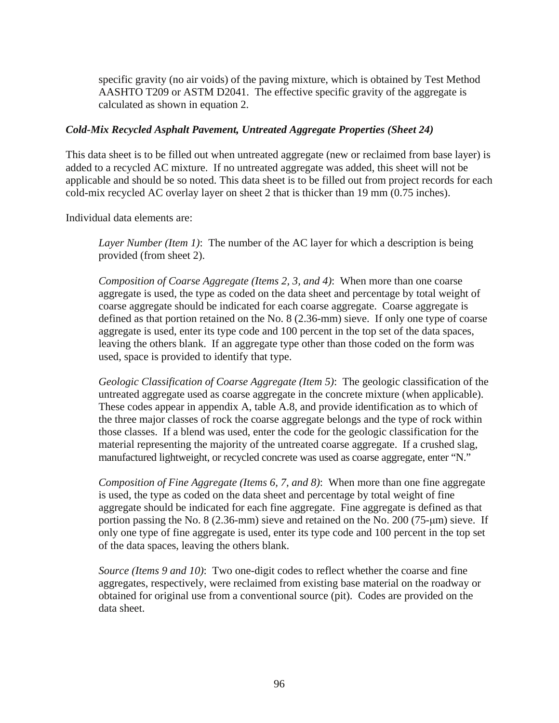specific gravity (no air voids) of the paving mixture, which is obtained by Test Method AASHTO T209 or ASTM D2041. The effective specific gravity of the aggregate is calculated as shown in equation 2.

### *Cold-Mix Recycled Asphalt Pavement, Untreated Aggregate Properties (Sheet 24)*

This data sheet is to be filled out when untreated aggregate (new or reclaimed from base layer) is added to a recycled AC mixture. If no untreated aggregate was added, this sheet will not be applicable and should be so noted. This data sheet is to be filled out from project records for each cold-mix recycled AC overlay layer on sheet 2 that is thicker than 19 mm (0.75 inches).

Individual data elements are:

*Layer Number (Item 1)*: The number of the AC layer for which a description is being provided (from sheet 2).

*Composition of Coarse Aggregate (Items 2, 3, and 4)*: When more than one coarse aggregate is used, the type as coded on the data sheet and percentage by total weight of coarse aggregate should be indicated for each coarse aggregate. Coarse aggregate is defined as that portion retained on the No. 8 (2.36-mm) sieve. If only one type of coarse aggregate is used, enter its type code and 100 percent in the top set of the data spaces, leaving the others blank. If an aggregate type other than those coded on the form was used, space is provided to identify that type.

*Geologic Classification of Coarse Aggregate (Item 5)*: The geologic classification of the untreated aggregate used as coarse aggregate in the concrete mixture (when applicable). These codes appear in appendix A, table A.8, and provide identification as to which of the three major classes of rock the coarse aggregate belongs and the type of rock within those classes. If a blend was used, enter the code for the geologic classification for the material representing the majority of the untreated coarse aggregate. If a crushed slag, manufactured lightweight, or recycled concrete was used as coarse aggregate, enter "N."

*Composition of Fine Aggregate (Items 6, 7, and 8)*: When more than one fine aggregate is used, the type as coded on the data sheet and percentage by total weight of fine aggregate should be indicated for each fine aggregate. Fine aggregate is defined as that portion passing the No. 8 (2.36-mm) sieve and retained on the No. 200 (75-μm) sieve. If only one type of fine aggregate is used, enter its type code and 100 percent in the top set of the data spaces, leaving the others blank.

*Source (Items 9 and 10)*: Two one-digit codes to reflect whether the coarse and fine aggregates, respectively, were reclaimed from existing base material on the roadway or obtained for original use from a conventional source (pit). Codes are provided on the data sheet.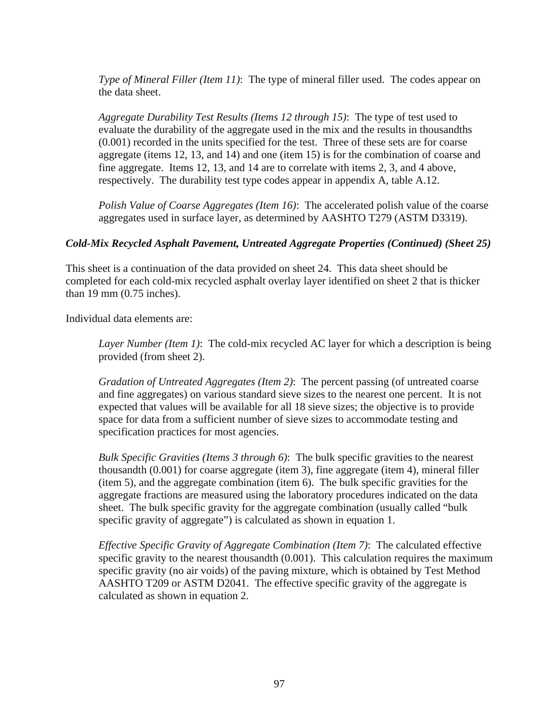*Type of Mineral Filler (Item 11)*: The type of mineral filler used. The codes appear on the data sheet.

*Aggregate Durability Test Results (Items 12 through 15)*: The type of test used to evaluate the durability of the aggregate used in the mix and the results in thousandths (0.001) recorded in the units specified for the test. Three of these sets are for coarse aggregate (items 12, 13, and 14) and one (item 15) is for the combination of coarse and fine aggregate. Items 12, 13, and 14 are to correlate with items 2, 3, and 4 above, respectively. The durability test type codes appear in appendix A, table A.12.

*Polish Value of Coarse Aggregates (Item 16)*: The accelerated polish value of the coarse aggregates used in surface layer, as determined by AASHTO T279 (ASTM D3319).

### *Cold-Mix Recycled Asphalt Pavement, Untreated Aggregate Properties (Continued) (Sheet 25)*

This sheet is a continuation of the data provided on sheet 24. This data sheet should be completed for each cold-mix recycled asphalt overlay layer identified on sheet 2 that is thicker than 19 mm (0.75 inches).

Individual data elements are:

*Layer Number (Item 1)*: The cold-mix recycled AC layer for which a description is being provided (from sheet 2).

*Gradation of Untreated Aggregates (Item 2)*: The percent passing (of untreated coarse and fine aggregates) on various standard sieve sizes to the nearest one percent. It is not expected that values will be available for all 18 sieve sizes; the objective is to provide space for data from a sufficient number of sieve sizes to accommodate testing and specification practices for most agencies.

*Bulk Specific Gravities (Items 3 through 6)*: The bulk specific gravities to the nearest thousandth (0.001) for coarse aggregate (item 3), fine aggregate (item 4), mineral filler (item 5), and the aggregate combination (item 6). The bulk specific gravities for the aggregate fractions are measured using the laboratory procedures indicated on the data sheet. The bulk specific gravity for the aggregate combination (usually called "bulk specific gravity of aggregate") is calculated as shown in equation 1.

*Effective Specific Gravity of Aggregate Combination (Item 7)*: The calculated effective specific gravity to the nearest thousandth (0.001). This calculation requires the maximum specific gravity (no air voids) of the paving mixture, which is obtained by Test Method AASHTO T209 or ASTM D2041. The effective specific gravity of the aggregate is calculated as shown in equation 2.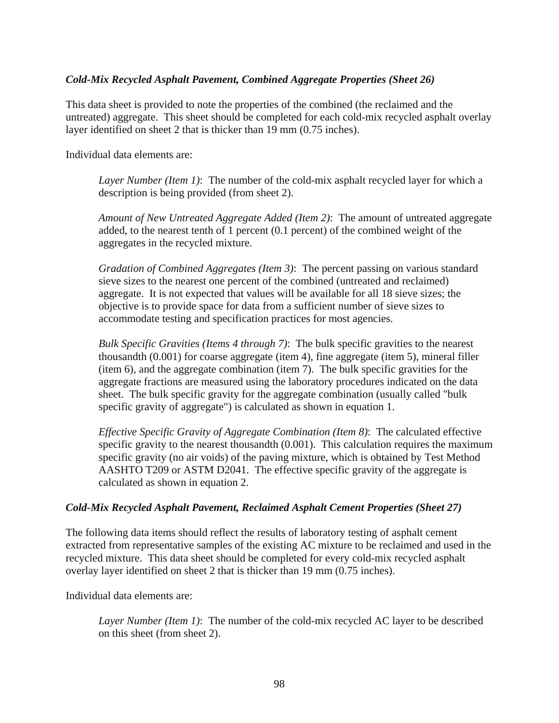### *Cold-Mix Recycled Asphalt Pavement, Combined Aggregate Properties (Sheet 26)*

This data sheet is provided to note the properties of the combined (the reclaimed and the untreated) aggregate. This sheet should be completed for each cold-mix recycled asphalt overlay layer identified on sheet 2 that is thicker than 19 mm (0.75 inches).

Individual data elements are:

*Layer Number (Item 1)*: The number of the cold-mix asphalt recycled layer for which a description is being provided (from sheet 2).

*Amount of New Untreated Aggregate Added (Item 2)*: The amount of untreated aggregate added, to the nearest tenth of 1 percent (0.1 percent) of the combined weight of the aggregates in the recycled mixture.

*Gradation of Combined Aggregates (Item 3)*: The percent passing on various standard sieve sizes to the nearest one percent of the combined (untreated and reclaimed) aggregate. It is not expected that values will be available for all 18 sieve sizes; the objective is to provide space for data from a sufficient number of sieve sizes to accommodate testing and specification practices for most agencies.

*Bulk Specific Gravities (Items 4 through 7)*: The bulk specific gravities to the nearest thousandth (0.001) for coarse aggregate (item 4), fine aggregate (item 5), mineral filler (item 6), and the aggregate combination (item 7). The bulk specific gravities for the aggregate fractions are measured using the laboratory procedures indicated on the data sheet. The bulk specific gravity for the aggregate combination (usually called "bulk specific gravity of aggregate") is calculated as shown in equation 1.

*Effective Specific Gravity of Aggregate Combination (Item 8)*: The calculated effective specific gravity to the nearest thousandth (0.001). This calculation requires the maximum specific gravity (no air voids) of the paving mixture, which is obtained by Test Method AASHTO T209 or ASTM D2041. The effective specific gravity of the aggregate is calculated as shown in equation 2.

### *Cold-Mix Recycled Asphalt Pavement, Reclaimed Asphalt Cement Properties (Sheet 27)*

The following data items should reflect the results of laboratory testing of asphalt cement extracted from representative samples of the existing AC mixture to be reclaimed and used in the recycled mixture. This data sheet should be completed for every cold-mix recycled asphalt overlay layer identified on sheet 2 that is thicker than 19 mm (0.75 inches).

Individual data elements are:

*Layer Number (Item 1)*: The number of the cold-mix recycled AC layer to be described on this sheet (from sheet 2).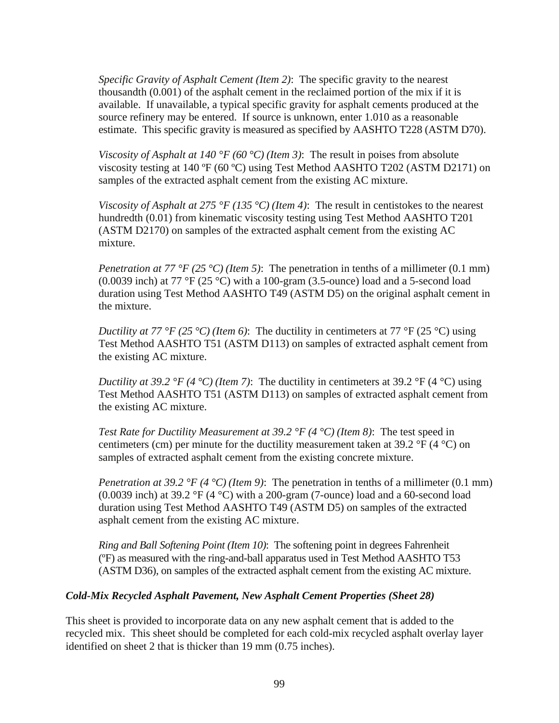*Specific Gravity of Asphalt Cement (Item 2)*: The specific gravity to the nearest thousandth (0.001) of the asphalt cement in the reclaimed portion of the mix if it is available. If unavailable, a typical specific gravity for asphalt cements produced at the source refinery may be entered. If source is unknown, enter 1.010 as a reasonable estimate. This specific gravity is measured as specified by AASHTO T228 (ASTM D70).

*Viscosity of Asphalt at 140 °F (60 °C) (Item 3)*: The result in poises from absolute viscosity testing at 140 ºF (60 ºC) using Test Method AASHTO T202 (ASTM D2171) on samples of the extracted asphalt cement from the existing AC mixture.

*Viscosity of Asphalt at 275 °F (135 °C) (Item 4)*: The result in centistokes to the nearest hundredth (0.01) from kinematic viscosity testing using Test Method AASHTO T201 (ASTM D2170) on samples of the extracted asphalt cement from the existing AC mixture.

*Penetration at 77 °F (25 °C) (Item 5)*: The penetration in tenths of a millimeter (0.1 mm) (0.0039 inch) at 77 °F (25 °C) with a 100-gram (3.5-ounce) load and a 5-second load duration using Test Method AASHTO T49 (ASTM D5) on the original asphalt cement in the mixture.

*Ductility at 77 °F (25 °C) (Item 6)*: The ductility in centimeters at 77 °F (25 °C) using Test Method AASHTO T51 (ASTM D113) on samples of extracted asphalt cement from the existing AC mixture.

*Ductility at 39.2 °F (4 °C) <i>(Item 7)*: The ductility in centimeters at 39.2 °F (4 °C) using Test Method AASHTO T51 (ASTM D113) on samples of extracted asphalt cement from the existing AC mixture.

*Test Rate for Ductility Measurement at 39.2 °F (4 °C) (Item 8)*: The test speed in centimeters (cm) per minute for the ductility measurement taken at 39.2  $\rm{P}$  (4  $\rm{^{\circ}C}$ ) on samples of extracted asphalt cement from the existing concrete mixture.

*Penetration at 39.2 °F (4 °C) (Item 9)*: The penetration in tenths of a millimeter (0.1 mm) (0.0039 inch) at 39.2 °F (4 °C) with a 200-gram (7-ounce) load and a 60-second load duration using Test Method AASHTO T49 (ASTM D5) on samples of the extracted asphalt cement from the existing AC mixture.

*Ring and Ball Softening Point (Item 10)*: The softening point in degrees Fahrenheit (ºF) as measured with the ring-and-ball apparatus used in Test Method AASHTO T53 (ASTM D36), on samples of the extracted asphalt cement from the existing AC mixture.

# *Cold-Mix Recycled Asphalt Pavement, New Asphalt Cement Properties (Sheet 28)*

This sheet is provided to incorporate data on any new asphalt cement that is added to the recycled mix. This sheet should be completed for each cold-mix recycled asphalt overlay layer identified on sheet 2 that is thicker than 19 mm (0.75 inches).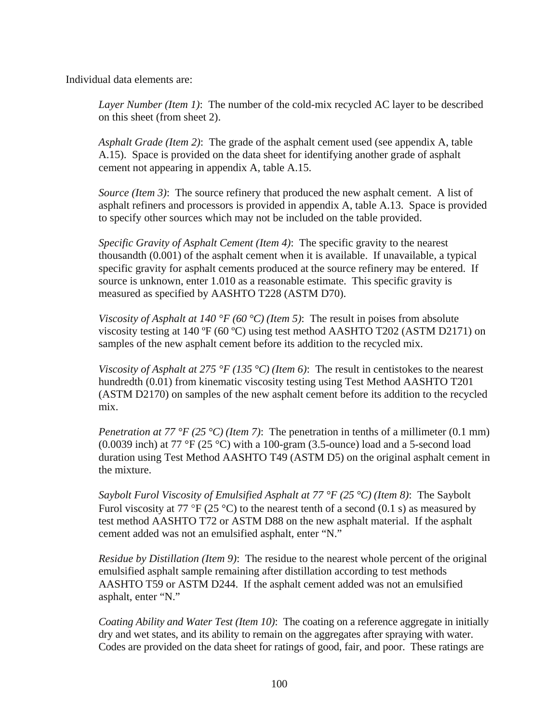Individual data elements are:

*Layer Number (Item 1)*: The number of the cold-mix recycled AC layer to be described on this sheet (from sheet 2).

*Asphalt Grade (Item 2)*: The grade of the asphalt cement used (see appendix A, table A.15). Space is provided on the data sheet for identifying another grade of asphalt cement not appearing in appendix A, table A.15.

*Source (Item 3)*: The source refinery that produced the new asphalt cement. A list of asphalt refiners and processors is provided in appendix A, table A.13. Space is provided to specify other sources which may not be included on the table provided.

*Specific Gravity of Asphalt Cement (Item 4)*: The specific gravity to the nearest thousandth (0.001) of the asphalt cement when it is available. If unavailable, a typical specific gravity for asphalt cements produced at the source refinery may be entered. If source is unknown, enter 1.010 as a reasonable estimate. This specific gravity is measured as specified by AASHTO T228 (ASTM D70).

*Viscosity of Asphalt at 140 °F (60 °C) (Item 5)*: The result in poises from absolute viscosity testing at 140 ºF (60 ºC) using test method AASHTO T202 (ASTM D2171) on samples of the new asphalt cement before its addition to the recycled mix.

*Viscosity of Asphalt at 275 °F (135 °C) (Item 6)*: The result in centistokes to the nearest hundredth (0.01) from kinematic viscosity testing using Test Method AASHTO T201 (ASTM D2170) on samples of the new asphalt cement before its addition to the recycled mix.

*Penetration at 77 °F (25 °C) (Item 7)*: The penetration in tenths of a millimeter (0.1 mm) (0.0039 inch) at 77 °F (25 °C) with a 100-gram (3.5-ounce) load and a 5-second load duration using Test Method AASHTO T49 (ASTM D5) on the original asphalt cement in the mixture.

*Saybolt Furol Viscosity of Emulsified Asphalt at 77 °F (25 °C) (Item 8)*: The Saybolt Furol viscosity at 77 °F (25 °C) to the nearest tenth of a second (0.1 s) as measured by test method AASHTO T72 or ASTM D88 on the new asphalt material. If the asphalt cement added was not an emulsified asphalt, enter "N."

*Residue by Distillation (Item 9)*: The residue to the nearest whole percent of the original emulsified asphalt sample remaining after distillation according to test methods AASHTO T59 or ASTM D244. If the asphalt cement added was not an emulsified asphalt, enter "N."

*Coating Ability and Water Test (Item 10)*: The coating on a reference aggregate in initially dry and wet states, and its ability to remain on the aggregates after spraying with water. Codes are provided on the data sheet for ratings of good, fair, and poor. These ratings are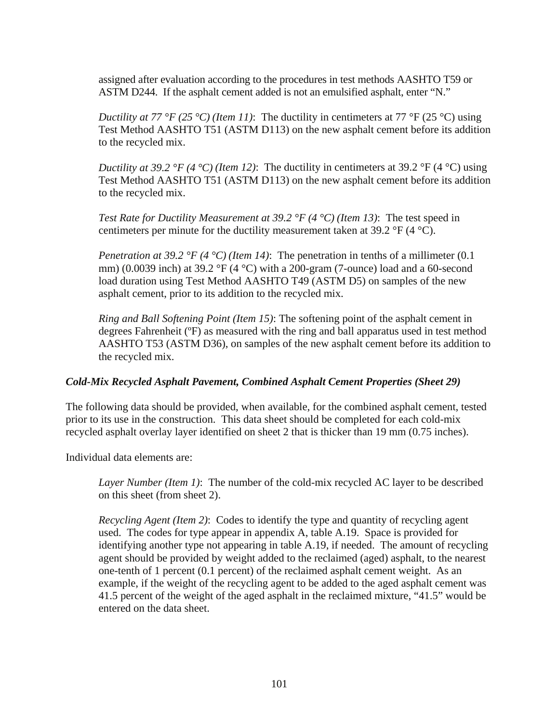assigned after evaluation according to the procedures in test methods AASHTO T59 or ASTM D244. If the asphalt cement added is not an emulsified asphalt, enter "N."

*Ductility at 77 °F (25 °C) (Item 11)*: The ductility in centimeters at 77 °F (25 °C) using Test Method AASHTO T51 (ASTM D113) on the new asphalt cement before its addition to the recycled mix.

*Ductility at 39.2 °F (4 °C) (Item 12)*: The ductility in centimeters at 39.2 °F (4 °C) using Test Method AASHTO T51 (ASTM D113) on the new asphalt cement before its addition to the recycled mix.

*Test Rate for Ductility Measurement at 39.2 °F (4 °C) (Item 13)*: The test speed in centimeters per minute for the ductility measurement taken at 39.2  $\mathrm{P}F(4 \mathrm{C})$ .

*Penetration at 39.2 °F (4 °C) (Item 14)*: The penetration in tenths of a millimeter (0.1) mm) (0.0039 inch) at 39.2 °F (4 °C) with a 200-gram (7-ounce) load and a 60-second load duration using Test Method AASHTO T49 (ASTM D5) on samples of the new asphalt cement, prior to its addition to the recycled mix.

*Ring and Ball Softening Point (Item 15)*: The softening point of the asphalt cement in degrees Fahrenheit (ºF) as measured with the ring and ball apparatus used in test method AASHTO T53 (ASTM D36), on samples of the new asphalt cement before its addition to the recycled mix.

# *Cold-Mix Recycled Asphalt Pavement, Combined Asphalt Cement Properties (Sheet 29)*

The following data should be provided, when available, for the combined asphalt cement, tested prior to its use in the construction. This data sheet should be completed for each cold-mix recycled asphalt overlay layer identified on sheet 2 that is thicker than 19 mm (0.75 inches).

Individual data elements are:

*Layer Number (Item 1)*: The number of the cold-mix recycled AC layer to be described on this sheet (from sheet 2).

*Recycling Agent (Item 2)*: Codes to identify the type and quantity of recycling agent used. The codes for type appear in appendix A, table A.19. Space is provided for identifying another type not appearing in table A.19, if needed. The amount of recycling agent should be provided by weight added to the reclaimed (aged) asphalt, to the nearest one-tenth of 1 percent (0.1 percent) of the reclaimed asphalt cement weight. As an example, if the weight of the recycling agent to be added to the aged asphalt cement was 41.5 percent of the weight of the aged asphalt in the reclaimed mixture, "41.5" would be entered on the data sheet.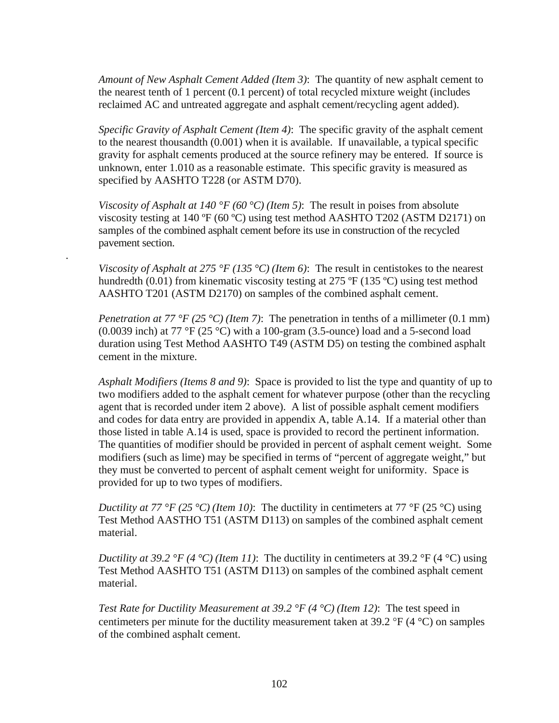*Amount of New Asphalt Cement Added (Item 3)*: The quantity of new asphalt cement to the nearest tenth of 1 percent (0.1 percent) of total recycled mixture weight (includes reclaimed AC and untreated aggregate and asphalt cement/recycling agent added).

*Specific Gravity of Asphalt Cement (Item 4)*: The specific gravity of the asphalt cement to the nearest thousandth (0.001) when it is available. If unavailable, a typical specific gravity for asphalt cements produced at the source refinery may be entered. If source is unknown, enter 1.010 as a reasonable estimate. This specific gravity is measured as specified by AASHTO T228 (or ASTM D70).

*Viscosity of Asphalt at 140 °F (60 °C) (Item 5)*: The result in poises from absolute viscosity testing at 140 ºF (60 ºC) using test method AASHTO T202 (ASTM D2171) on samples of the combined asphalt cement before its use in construction of the recycled pavement section.

*Viscosity of Asphalt at 275 °F (135 °C) (Item 6)*: The result in centistokes to the nearest hundredth (0.01) from kinematic viscosity testing at 275 °F (135 °C) using test method AASHTO T201 (ASTM D2170) on samples of the combined asphalt cement.

.

*Penetration at 77 °F (25 °C) (Item 7)*: The penetration in tenths of a millimeter (0.1 mm) (0.0039 inch) at 77 °F (25 °C) with a 100-gram (3.5-ounce) load and a 5-second load duration using Test Method AASHTO T49 (ASTM D5) on testing the combined asphalt cement in the mixture.

*Asphalt Modifiers (Items 8 and 9)*: Space is provided to list the type and quantity of up to two modifiers added to the asphalt cement for whatever purpose (other than the recycling agent that is recorded under item 2 above). A list of possible asphalt cement modifiers and codes for data entry are provided in appendix A, table A.14. If a material other than those listed in table A.14 is used, space is provided to record the pertinent information. The quantities of modifier should be provided in percent of asphalt cement weight. Some modifiers (such as lime) may be specified in terms of "percent of aggregate weight," but they must be converted to percent of asphalt cement weight for uniformity. Space is provided for up to two types of modifiers.

*Ductility at 77 °F (25 °C) (Item 10)*: The ductility in centimeters at 77 °F (25 °C) using Test Method AASTHO T51 (ASTM D113) on samples of the combined asphalt cement material.

*Ductility at 39.2 °F (4 °C) (Item 11)*: The ductility in centimeters at 39.2 °F (4 °C) using Test Method AASHTO T51 (ASTM D113) on samples of the combined asphalt cement material.

*Test Rate for Ductility Measurement at 39.2 °F (4 °C) (Item 12)*: The test speed in centimeters per minute for the ductility measurement taken at 39.2  $\rm{PF}$  (4  $\rm{^{\circ}C}$ ) on samples of the combined asphalt cement.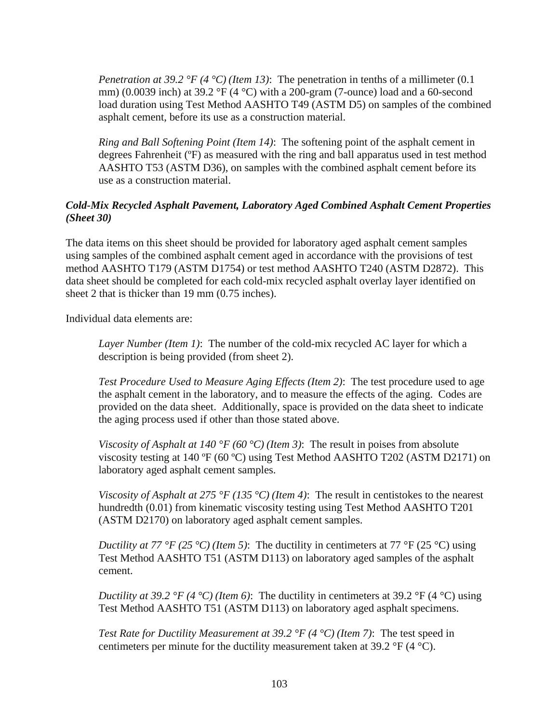*Penetration at 39.2 °F (4 °C) (Item 13)*: The penetration in tenths of a millimeter (0.1 mm) (0.0039 inch) at 39.2 °F (4 °C) with a 200-gram (7-ounce) load and a 60-second load duration using Test Method AASHTO T49 (ASTM D5) on samples of the combined asphalt cement, before its use as a construction material.

*Ring and Ball Softening Point (Item 14)*: The softening point of the asphalt cement in degrees Fahrenheit (ºF) as measured with the ring and ball apparatus used in test method AASHTO T53 (ASTM D36), on samples with the combined asphalt cement before its use as a construction material.

# *Cold-Mix Recycled Asphalt Pavement, Laboratory Aged Combined Asphalt Cement Properties (Sheet 30)*

The data items on this sheet should be provided for laboratory aged asphalt cement samples using samples of the combined asphalt cement aged in accordance with the provisions of test method AASHTO T179 (ASTM D1754) or test method AASHTO T240 (ASTM D2872). This data sheet should be completed for each cold-mix recycled asphalt overlay layer identified on sheet 2 that is thicker than 19 mm (0.75 inches).

Individual data elements are:

*Layer Number (Item 1)*: The number of the cold-mix recycled AC layer for which a description is being provided (from sheet 2).

*Test Procedure Used to Measure Aging Effects (Item 2)*: The test procedure used to age the asphalt cement in the laboratory, and to measure the effects of the aging. Codes are provided on the data sheet. Additionally, space is provided on the data sheet to indicate the aging process used if other than those stated above.

*Viscosity of Asphalt at 140 °F (60 °C) (Item 3)*: The result in poises from absolute viscosity testing at 140 ºF (60 ºC) using Test Method AASHTO T202 (ASTM D2171) on laboratory aged asphalt cement samples.

*Viscosity of Asphalt at 275 °F (135 °C) (Item 4)*: The result in centistokes to the nearest hundredth (0.01) from kinematic viscosity testing using Test Method AASHTO T201 (ASTM D2170) on laboratory aged asphalt cement samples.

*Ductility at 77 °F (25 °C) (Item 5)*: The ductility in centimeters at 77 °F (25 °C) using Test Method AASHTO T51 (ASTM D113) on laboratory aged samples of the asphalt cement.

*Ductility at 39.2 °F (4 °C) <i>(Item 6)*: The ductility in centimeters at 39.2 °F (4 °C) using Test Method AASHTO T51 (ASTM D113) on laboratory aged asphalt specimens.

*Test Rate for Ductility Measurement at 39.2 °F (4 °C) (Item 7)*: The test speed in centimeters per minute for the ductility measurement taken at 39.2  $\mathrm{P}F(4 \mathrm{C})$ .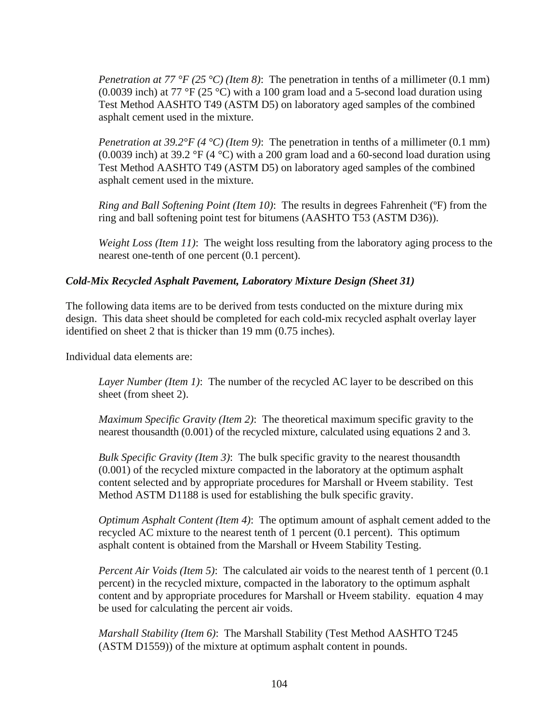*Penetration at 77 °F (25 °C) (Item 8)*: The penetration in tenths of a millimeter (0.1 mm) (0.0039 inch) at 77 °F (25 °C) with a 100 gram load and a 5-second load duration using Test Method AASHTO T49 (ASTM D5) on laboratory aged samples of the combined asphalt cement used in the mixture.

*Penetration at 39.2°F (4 °C) (Item 9)*: The penetration in tenths of a millimeter (0.1 mm) (0.0039 inch) at 39.2 °F (4 °C) with a 200 gram load and a 60-second load duration using Test Method AASHTO T49 (ASTM D5) on laboratory aged samples of the combined asphalt cement used in the mixture.

*Ring and Ball Softening Point (Item 10)*: The results in degrees Fahrenheit (ºF) from the ring and ball softening point test for bitumens (AASHTO T53 (ASTM D36)).

*Weight Loss (Item 11)*: The weight loss resulting from the laboratory aging process to the nearest one-tenth of one percent (0.1 percent).

# *Cold-Mix Recycled Asphalt Pavement, Laboratory Mixture Design (Sheet 31)*

The following data items are to be derived from tests conducted on the mixture during mix design. This data sheet should be completed for each cold-mix recycled asphalt overlay layer identified on sheet 2 that is thicker than 19 mm (0.75 inches).

Individual data elements are:

*Layer Number (Item 1)*: The number of the recycled AC layer to be described on this sheet (from sheet 2).

*Maximum Specific Gravity (Item 2)*: The theoretical maximum specific gravity to the nearest thousandth (0.001) of the recycled mixture, calculated using equations 2 and 3.

*Bulk Specific Gravity (Item 3)*: The bulk specific gravity to the nearest thousandth (0.001) of the recycled mixture compacted in the laboratory at the optimum asphalt content selected and by appropriate procedures for Marshall or Hveem stability. Test Method ASTM D1188 is used for establishing the bulk specific gravity.

*Optimum Asphalt Content (Item 4)*: The optimum amount of asphalt cement added to the recycled AC mixture to the nearest tenth of 1 percent (0.1 percent). This optimum asphalt content is obtained from the Marshall or Hveem Stability Testing.

*Percent Air Voids (Item 5)*: The calculated air voids to the nearest tenth of 1 percent (0.1) percent) in the recycled mixture, compacted in the laboratory to the optimum asphalt content and by appropriate procedures for Marshall or Hveem stability. equation 4 may be used for calculating the percent air voids.

*Marshall Stability (Item 6)*: The Marshall Stability (Test Method AASHTO T245 (ASTM D1559)) of the mixture at optimum asphalt content in pounds.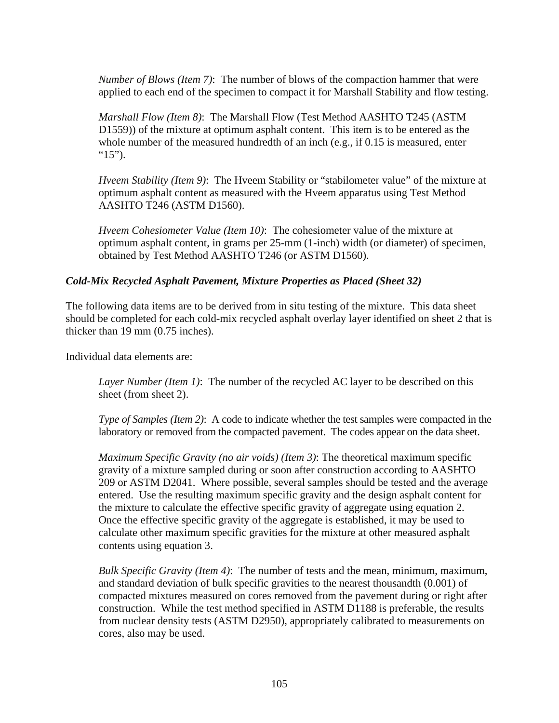*Number of Blows (Item 7)*: The number of blows of the compaction hammer that were applied to each end of the specimen to compact it for Marshall Stability and flow testing.

*Marshall Flow (Item 8)*: The Marshall Flow (Test Method AASHTO T245 (ASTM D1559)) of the mixture at optimum asphalt content. This item is to be entered as the whole number of the measured hundredth of an inch (e.g., if 0.15 is measured, enter " $15$ ").

*Hveem Stability (Item 9)*: The Hveem Stability or "stabilometer value" of the mixture at optimum asphalt content as measured with the Hveem apparatus using Test Method AASHTO T246 (ASTM D1560).

*Hveem Cohesiometer Value (Item 10)*: The cohesiometer value of the mixture at optimum asphalt content, in grams per 25-mm (1-inch) width (or diameter) of specimen, obtained by Test Method AASHTO T246 (or ASTM D1560).

# *Cold-Mix Recycled Asphalt Pavement, Mixture Properties as Placed (Sheet 32)*

The following data items are to be derived from in situ testing of the mixture. This data sheet should be completed for each cold-mix recycled asphalt overlay layer identified on sheet 2 that is thicker than 19 mm (0.75 inches).

Individual data elements are:

*Layer Number (Item 1)*: The number of the recycled AC layer to be described on this sheet (from sheet 2).

*Type of Samples (Item 2)*: A code to indicate whether the test samples were compacted in the laboratory or removed from the compacted pavement. The codes appear on the data sheet.

*Maximum Specific Gravity (no air voids) (Item 3)*: The theoretical maximum specific gravity of a mixture sampled during or soon after construction according to AASHTO 209 or ASTM D2041. Where possible, several samples should be tested and the average entered. Use the resulting maximum specific gravity and the design asphalt content for the mixture to calculate the effective specific gravity of aggregate using equation 2. Once the effective specific gravity of the aggregate is established, it may be used to calculate other maximum specific gravities for the mixture at other measured asphalt contents using equation 3.

*Bulk Specific Gravity (Item 4)*: The number of tests and the mean, minimum, maximum, and standard deviation of bulk specific gravities to the nearest thousandth (0.001) of compacted mixtures measured on cores removed from the pavement during or right after construction. While the test method specified in ASTM D1188 is preferable, the results from nuclear density tests (ASTM D2950), appropriately calibrated to measurements on cores, also may be used.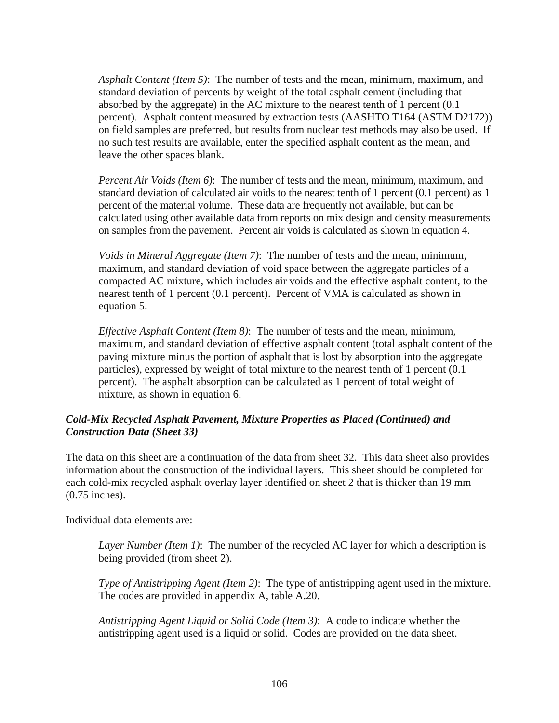*Asphalt Content (Item 5)*: The number of tests and the mean, minimum, maximum, and standard deviation of percents by weight of the total asphalt cement (including that absorbed by the aggregate) in the AC mixture to the nearest tenth of 1 percent (0.1 percent). Asphalt content measured by extraction tests (AASHTO T164 (ASTM D2172)) on field samples are preferred, but results from nuclear test methods may also be used. If no such test results are available, enter the specified asphalt content as the mean, and leave the other spaces blank.

*Percent Air Voids (Item 6)*: The number of tests and the mean, minimum, maximum, and standard deviation of calculated air voids to the nearest tenth of 1 percent (0.1 percent) as 1 percent of the material volume. These data are frequently not available, but can be calculated using other available data from reports on mix design and density measurements on samples from the pavement. Percent air voids is calculated as shown in equation 4.

*Voids in Mineral Aggregate (Item 7)*: The number of tests and the mean, minimum, maximum, and standard deviation of void space between the aggregate particles of a compacted AC mixture, which includes air voids and the effective asphalt content, to the nearest tenth of 1 percent (0.1 percent). Percent of VMA is calculated as shown in equation 5.

*Effective Asphalt Content (Item 8)*: The number of tests and the mean, minimum, maximum, and standard deviation of effective asphalt content (total asphalt content of the paving mixture minus the portion of asphalt that is lost by absorption into the aggregate particles), expressed by weight of total mixture to the nearest tenth of 1 percent (0.1 percent). The asphalt absorption can be calculated as 1 percent of total weight of mixture, as shown in equation 6.

# *Cold-Mix Recycled Asphalt Pavement, Mixture Properties as Placed (Continued) and Construction Data (Sheet 33)*

The data on this sheet are a continuation of the data from sheet 32. This data sheet also provides information about the construction of the individual layers. This sheet should be completed for each cold-mix recycled asphalt overlay layer identified on sheet 2 that is thicker than 19 mm (0.75 inches).

Individual data elements are:

*Layer Number (Item 1)*: The number of the recycled AC layer for which a description is being provided (from sheet 2).

*Type of Antistripping Agent (Item 2)*: The type of antistripping agent used in the mixture. The codes are provided in appendix A, table A.20.

*Antistripping Agent Liquid or Solid Code (Item 3)*: A code to indicate whether the antistripping agent used is a liquid or solid. Codes are provided on the data sheet.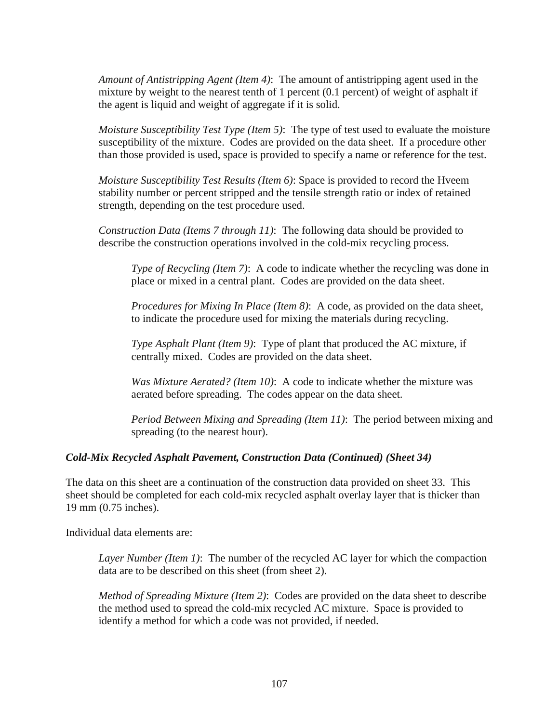*Amount of Antistripping Agent (Item 4)*: The amount of antistripping agent used in the mixture by weight to the nearest tenth of 1 percent (0.1 percent) of weight of asphalt if the agent is liquid and weight of aggregate if it is solid.

*Moisture Susceptibility Test Type (Item 5)*: The type of test used to evaluate the moisture susceptibility of the mixture. Codes are provided on the data sheet. If a procedure other than those provided is used, space is provided to specify a name or reference for the test.

*Moisture Susceptibility Test Results (Item 6)*: Space is provided to record the Hveem stability number or percent stripped and the tensile strength ratio or index of retained strength, depending on the test procedure used.

*Construction Data (Items 7 through 11)*: The following data should be provided to describe the construction operations involved in the cold-mix recycling process.

*Type of Recycling (Item 7)*: A code to indicate whether the recycling was done in place or mixed in a central plant. Codes are provided on the data sheet.

*Procedures for Mixing In Place (Item 8)*: A code, as provided on the data sheet, to indicate the procedure used for mixing the materials during recycling.

*Type Asphalt Plant (Item 9)*: Type of plant that produced the AC mixture, if centrally mixed. Codes are provided on the data sheet.

*Was Mixture Aerated? (Item 10)*: A code to indicate whether the mixture was aerated before spreading. The codes appear on the data sheet.

*Period Between Mixing and Spreading (Item 11)*: The period between mixing and spreading (to the nearest hour).

### *Cold-Mix Recycled Asphalt Pavement, Construction Data (Continued) (Sheet 34)*

The data on this sheet are a continuation of the construction data provided on sheet 33. This sheet should be completed for each cold-mix recycled asphalt overlay layer that is thicker than 19 mm (0.75 inches).

Individual data elements are:

*Layer Number (Item 1)*: The number of the recycled AC layer for which the compaction data are to be described on this sheet (from sheet 2).

*Method of Spreading Mixture (Item 2)*: Codes are provided on the data sheet to describe the method used to spread the cold-mix recycled AC mixture. Space is provided to identify a method for which a code was not provided, if needed.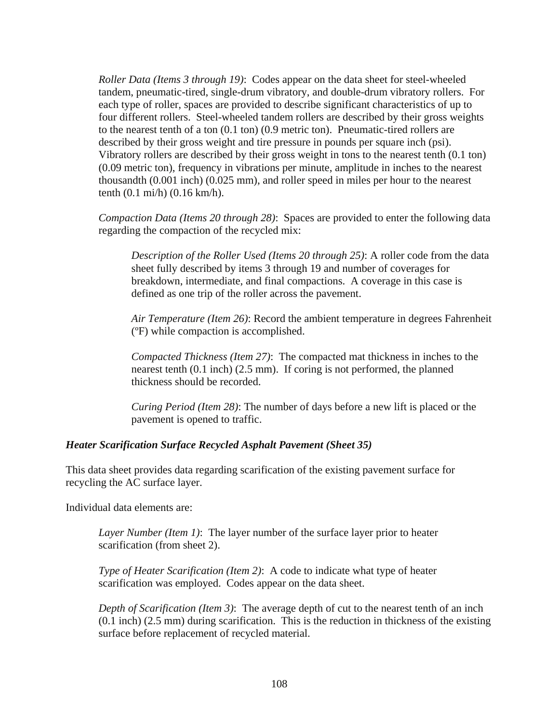*Roller Data (Items 3 through 19)*: Codes appear on the data sheet for steel-wheeled tandem, pneumatic-tired, single-drum vibratory, and double-drum vibratory rollers. For each type of roller, spaces are provided to describe significant characteristics of up to four different rollers. Steel-wheeled tandem rollers are described by their gross weights to the nearest tenth of a ton (0.1 ton) (0.9 metric ton). Pneumatic-tired rollers are described by their gross weight and tire pressure in pounds per square inch (psi). Vibratory rollers are described by their gross weight in tons to the nearest tenth (0.1 ton) (0.09 metric ton), frequency in vibrations per minute, amplitude in inches to the nearest thousandth (0.001 inch) (0.025 mm), and roller speed in miles per hour to the nearest tenth (0.1 mi/h) (0.16 km/h).

*Compaction Data (Items 20 through 28)*: Spaces are provided to enter the following data regarding the compaction of the recycled mix:

*Description of the Roller Used (Items 20 through 25)*: A roller code from the data sheet fully described by items 3 through 19 and number of coverages for breakdown, intermediate, and final compactions. A coverage in this case is defined as one trip of the roller across the pavement.

*Air Temperature (Item 26)*: Record the ambient temperature in degrees Fahrenheit (ºF) while compaction is accomplished.

*Compacted Thickness (Item 27)*: The compacted mat thickness in inches to the nearest tenth (0.1 inch) (2.5 mm). If coring is not performed, the planned thickness should be recorded.

*Curing Period (Item 28)*: The number of days before a new lift is placed or the pavement is opened to traffic.

### *Heater Scarification Surface Recycled Asphalt Pavement (Sheet 35)*

This data sheet provides data regarding scarification of the existing pavement surface for recycling the AC surface layer.

Individual data elements are:

*Layer Number (Item 1)*: The layer number of the surface layer prior to heater scarification (from sheet 2).

*Type of Heater Scarification (Item 2)*: A code to indicate what type of heater scarification was employed. Codes appear on the data sheet.

*Depth of Scarification (Item 3)*: The average depth of cut to the nearest tenth of an inch (0.1 inch) (2.5 mm) during scarification. This is the reduction in thickness of the existing surface before replacement of recycled material.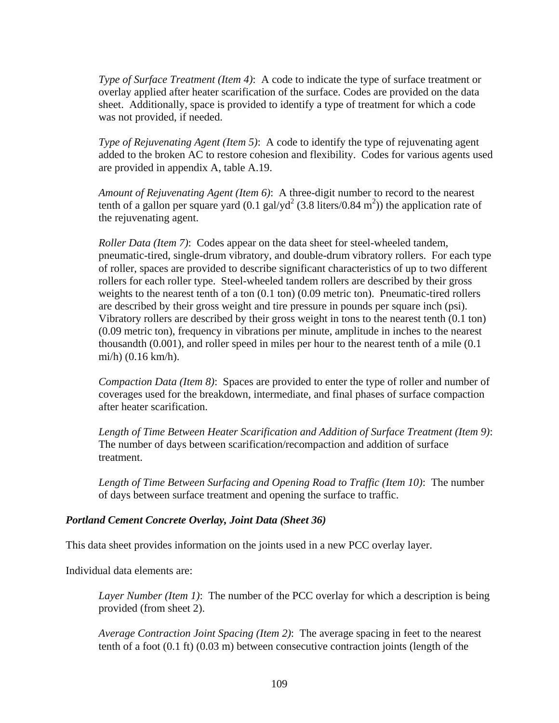*Type of Surface Treatment (Item 4)*: A code to indicate the type of surface treatment or overlay applied after heater scarification of the surface. Codes are provided on the data sheet. Additionally, space is provided to identify a type of treatment for which a code was not provided, if needed.

*Type of Rejuvenating Agent (Item 5)*: A code to identify the type of rejuvenating agent added to the broken AC to restore cohesion and flexibility. Codes for various agents used are provided in appendix A, table A.19.

*Amount of Rejuvenating Agent (Item 6)*: A three-digit number to record to the nearest tenth of a gallon per square yard  $(0.1 \text{ gal/yd}^2 (3.8 \text{ liters}/0.84 \text{ m}^2))$  the application rate of the rejuvenating agent.

*Roller Data (Item 7)*: Codes appear on the data sheet for steel-wheeled tandem, pneumatic-tired, single-drum vibratory, and double-drum vibratory rollers. For each type of roller, spaces are provided to describe significant characteristics of up to two different rollers for each roller type. Steel-wheeled tandem rollers are described by their gross weights to the nearest tenth of a ton  $(0.1 \text{ ton})$   $(0.09 \text{ metric ton})$ . Pneumatic-tired rollers are described by their gross weight and tire pressure in pounds per square inch (psi). Vibratory rollers are described by their gross weight in tons to the nearest tenth (0.1 ton) (0.09 metric ton), frequency in vibrations per minute, amplitude in inches to the nearest thousandth (0.001), and roller speed in miles per hour to the nearest tenth of a mile (0.1 mi/h) (0.16 km/h).

*Compaction Data (Item 8)*: Spaces are provided to enter the type of roller and number of coverages used for the breakdown, intermediate, and final phases of surface compaction after heater scarification.

*Length of Time Between Heater Scarification and Addition of Surface Treatment (Item 9)*: The number of days between scarification/recompaction and addition of surface treatment.

*Length of Time Between Surfacing and Opening Road to Traffic (Item 10)*: The number of days between surface treatment and opening the surface to traffic.

### *Portland Cement Concrete Overlay, Joint Data (Sheet 36)*

This data sheet provides information on the joints used in a new PCC overlay layer.

Individual data elements are:

*Layer Number (Item 1)*: The number of the PCC overlay for which a description is being provided (from sheet 2).

*Average Contraction Joint Spacing (Item 2)*: The average spacing in feet to the nearest tenth of a foot (0.1 ft) (0.03 m) between consecutive contraction joints (length of the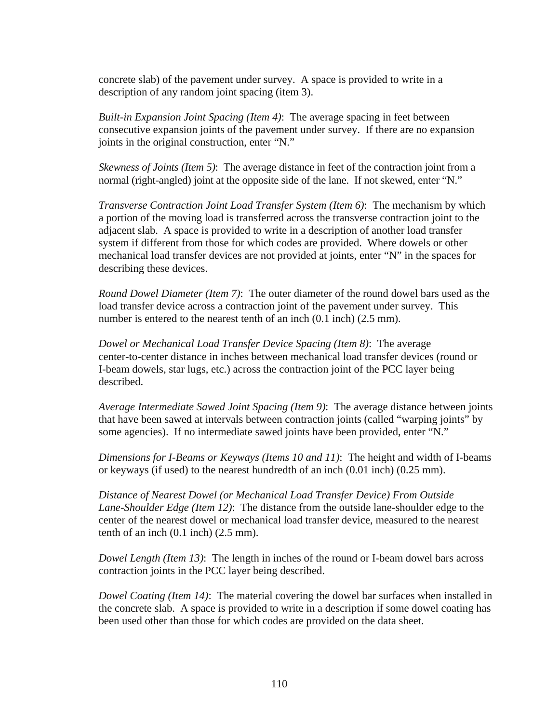concrete slab) of the pavement under survey. A space is provided to write in a description of any random joint spacing (item 3).

*Built-in Expansion Joint Spacing (Item 4)*: The average spacing in feet between consecutive expansion joints of the pavement under survey. If there are no expansion joints in the original construction, enter "N."

*Skewness of Joints (Item 5)*: The average distance in feet of the contraction joint from a normal (right-angled) joint at the opposite side of the lane. If not skewed, enter "N."

*Transverse Contraction Joint Load Transfer System (Item 6)*: The mechanism by which a portion of the moving load is transferred across the transverse contraction joint to the adjacent slab. A space is provided to write in a description of another load transfer system if different from those for which codes are provided. Where dowels or other mechanical load transfer devices are not provided at joints, enter "N" in the spaces for describing these devices.

*Round Dowel Diameter (Item 7)*: The outer diameter of the round dowel bars used as the load transfer device across a contraction joint of the pavement under survey. This number is entered to the nearest tenth of an inch  $(0.1 \text{ inch})$   $(2.5 \text{ mm})$ .

*Dowel or Mechanical Load Transfer Device Spacing (Item 8)*: The average center-to-center distance in inches between mechanical load transfer devices (round or I-beam dowels, star lugs, etc.) across the contraction joint of the PCC layer being described.

*Average Intermediate Sawed Joint Spacing (Item 9)*: The average distance between joints that have been sawed at intervals between contraction joints (called "warping joints" by some agencies). If no intermediate sawed joints have been provided, enter "N."

*Dimensions for I-Beams or Keyways (Items 10 and 11)*: The height and width of I-beams or keyways (if used) to the nearest hundredth of an inch (0.01 inch) (0.25 mm).

*Distance of Nearest Dowel (or Mechanical Load Transfer Device) From Outside Lane-Shoulder Edge (Item 12)*: The distance from the outside lane-shoulder edge to the center of the nearest dowel or mechanical load transfer device, measured to the nearest tenth of an inch  $(0.1$  inch)  $(2.5$  mm).

*Dowel Length (Item 13)*: The length in inches of the round or I-beam dowel bars across contraction joints in the PCC layer being described.

*Dowel Coating (Item 14)*: The material covering the dowel bar surfaces when installed in the concrete slab. A space is provided to write in a description if some dowel coating has been used other than those for which codes are provided on the data sheet.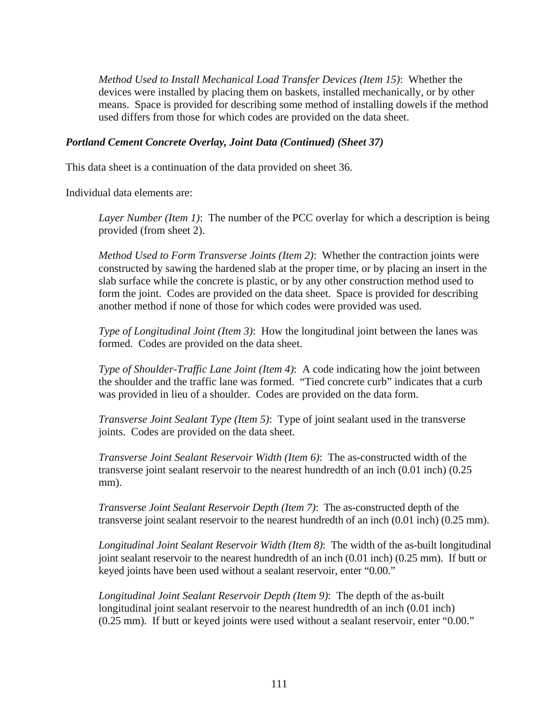*Method Used to Install Mechanical Load Transfer Devices (Item 15)*: Whether the devices were installed by placing them on baskets, installed mechanically, or by other means. Space is provided for describing some method of installing dowels if the method used differs from those for which codes are provided on the data sheet.

#### *Portland Cement Concrete Overlay, Joint Data (Continued) (Sheet 37)*

This data sheet is a continuation of the data provided on sheet 36.

Individual data elements are:

*Layer Number (Item 1)*: The number of the PCC overlay for which a description is being provided (from sheet 2).

*Method Used to Form Transverse Joints (Item 2)*: Whether the contraction joints were constructed by sawing the hardened slab at the proper time, or by placing an insert in the slab surface while the concrete is plastic, or by any other construction method used to form the joint. Codes are provided on the data sheet. Space is provided for describing another method if none of those for which codes were provided was used.

*Type of Longitudinal Joint (Item 3)*: How the longitudinal joint between the lanes was formed. Codes are provided on the data sheet.

*Type of Shoulder-Traffic Lane Joint (Item 4)*: A code indicating how the joint between the shoulder and the traffic lane was formed. "Tied concrete curb" indicates that a curb was provided in lieu of a shoulder. Codes are provided on the data form.

*Transverse Joint Sealant Type (Item 5)*: Type of joint sealant used in the transverse joints. Codes are provided on the data sheet.

*Transverse Joint Sealant Reservoir Width (Item 6)*: The as-constructed width of the transverse joint sealant reservoir to the nearest hundredth of an inch (0.01 inch) (0.25 mm).

*Transverse Joint Sealant Reservoir Depth (Item 7)*: The as-constructed depth of the transverse joint sealant reservoir to the nearest hundredth of an inch (0.01 inch) (0.25 mm).

*Longitudinal Joint Sealant Reservoir Width (Item 8)*: The width of the as-built longitudinal joint sealant reservoir to the nearest hundredth of an inch (0.01 inch) (0.25 mm). If butt or keyed joints have been used without a sealant reservoir, enter "0.00."

*Longitudinal Joint Sealant Reservoir Depth (Item 9)*: The depth of the as-built longitudinal joint sealant reservoir to the nearest hundredth of an inch (0.01 inch) (0.25 mm). If butt or keyed joints were used without a sealant reservoir, enter "0.00."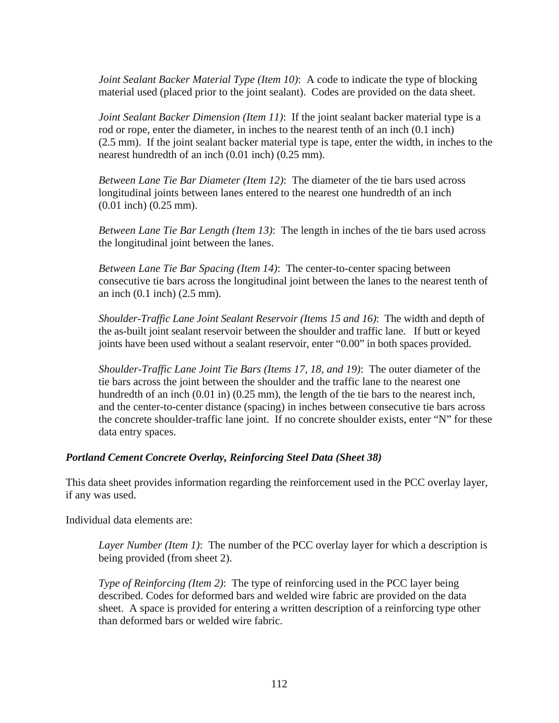*Joint Sealant Backer Material Type (Item 10)*: A code to indicate the type of blocking material used (placed prior to the joint sealant). Codes are provided on the data sheet.

*Joint Sealant Backer Dimension (Item 11)*: If the joint sealant backer material type is a rod or rope, enter the diameter, in inches to the nearest tenth of an inch (0.1 inch) (2.5 mm). If the joint sealant backer material type is tape, enter the width, in inches to the nearest hundredth of an inch (0.01 inch) (0.25 mm).

*Between Lane Tie Bar Diameter (Item 12)*: The diameter of the tie bars used across longitudinal joints between lanes entered to the nearest one hundredth of an inch (0.01 inch) (0.25 mm).

*Between Lane Tie Bar Length (Item 13)*: The length in inches of the tie bars used across the longitudinal joint between the lanes.

*Between Lane Tie Bar Spacing (Item 14)*: The center-to-center spacing between consecutive tie bars across the longitudinal joint between the lanes to the nearest tenth of an inch (0.1 inch) (2.5 mm).

*Shoulder-Traffic Lane Joint Sealant Reservoir (Items 15 and 16)*: The width and depth of the as-built joint sealant reservoir between the shoulder and traffic lane. If butt or keyed joints have been used without a sealant reservoir, enter "0.00" in both spaces provided.

*Shoulder-Traffic Lane Joint Tie Bars (Items 17, 18, and 19)*: The outer diameter of the tie bars across the joint between the shoulder and the traffic lane to the nearest one hundredth of an inch (0.01 in) (0.25 mm), the length of the tie bars to the nearest inch, and the center-to-center distance (spacing) in inches between consecutive tie bars across the concrete shoulder-traffic lane joint. If no concrete shoulder exists, enter "N" for these data entry spaces.

### *Portland Cement Concrete Overlay, Reinforcing Steel Data (Sheet 38)*

This data sheet provides information regarding the reinforcement used in the PCC overlay layer, if any was used.

Individual data elements are:

*Layer Number (Item 1)*: The number of the PCC overlay layer for which a description is being provided (from sheet 2).

*Type of Reinforcing (Item 2)*: The type of reinforcing used in the PCC layer being described. Codes for deformed bars and welded wire fabric are provided on the data sheet. A space is provided for entering a written description of a reinforcing type other than deformed bars or welded wire fabric.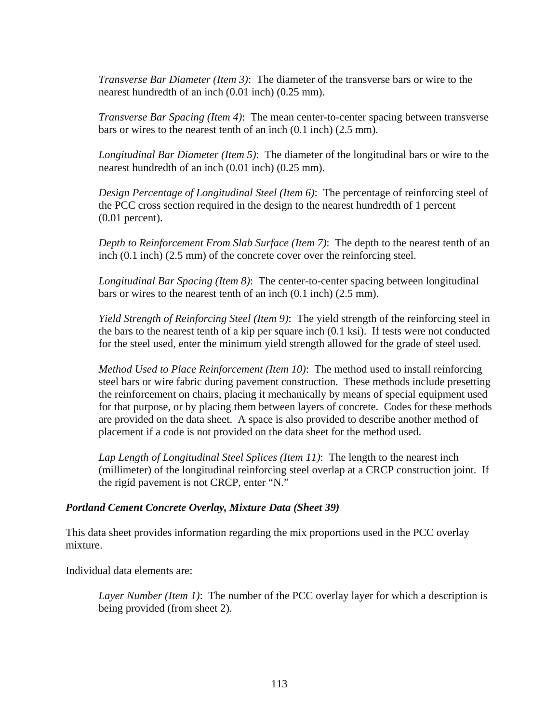*Transverse Bar Diameter (Item 3)*: The diameter of the transverse bars or wire to the nearest hundredth of an inch (0.01 inch) (0.25 mm).

*Transverse Bar Spacing (Item 4)*: The mean center-to-center spacing between transverse bars or wires to the nearest tenth of an inch (0.1 inch) (2.5 mm).

*Longitudinal Bar Diameter (Item 5)*: The diameter of the longitudinal bars or wire to the nearest hundredth of an inch (0.01 inch) (0.25 mm).

*Design Percentage of Longitudinal Steel (Item 6)*: The percentage of reinforcing steel of the PCC cross section required in the design to the nearest hundredth of 1 percent (0.01 percent).

*Depth to Reinforcement From Slab Surface (Item 7)*: The depth to the nearest tenth of an inch (0.1 inch) (2.5 mm) of the concrete cover over the reinforcing steel.

*Longitudinal Bar Spacing (Item 8)*: The center-to-center spacing between longitudinal bars or wires to the nearest tenth of an inch (0.1 inch) (2.5 mm).

*Yield Strength of Reinforcing Steel (Item 9)*: The yield strength of the reinforcing steel in the bars to the nearest tenth of a kip per square inch (0.1 ksi). If tests were not conducted for the steel used, enter the minimum yield strength allowed for the grade of steel used.

*Method Used to Place Reinforcement (Item 10)*: The method used to install reinforcing steel bars or wire fabric during pavement construction. These methods include presetting the reinforcement on chairs, placing it mechanically by means of special equipment used for that purpose, or by placing them between layers of concrete. Codes for these methods are provided on the data sheet. A space is also provided to describe another method of placement if a code is not provided on the data sheet for the method used.

*Lap Length of Longitudinal Steel Splices (Item 11)*: The length to the nearest inch (millimeter) of the longitudinal reinforcing steel overlap at a CRCP construction joint. If the rigid pavement is not CRCP, enter "N."

### *Portland Cement Concrete Overlay, Mixture Data (Sheet 39)*

This data sheet provides information regarding the mix proportions used in the PCC overlay mixture.

Individual data elements are:

*Layer Number (Item 1)*: The number of the PCC overlay layer for which a description is being provided (from sheet 2).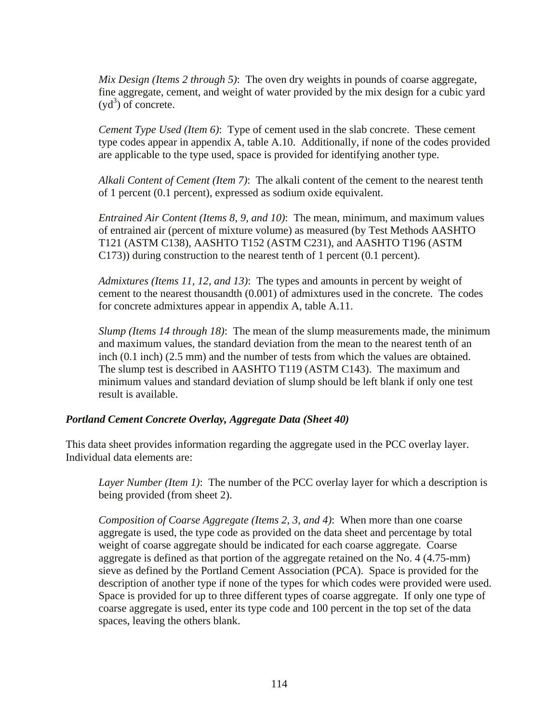*Mix Design (Items 2 through 5)*: The oven dry weights in pounds of coarse aggregate, fine aggregate, cement, and weight of water provided by the mix design for a cubic yard  $(yd^3)$  of concrete.

*Cement Type Used (Item 6)*: Type of cement used in the slab concrete. These cement type codes appear in appendix A, table A.10. Additionally, if none of the codes provided are applicable to the type used, space is provided for identifying another type.

*Alkali Content of Cement (Item 7)*: The alkali content of the cement to the nearest tenth of 1 percent (0.1 percent), expressed as sodium oxide equivalent.

*Entrained Air Content (Items 8, 9, and 10)*: The mean, minimum, and maximum values of entrained air (percent of mixture volume) as measured (by Test Methods AASHTO T121 (ASTM C138), AASHTO T152 (ASTM C231), and AASHTO T196 (ASTM C173)) during construction to the nearest tenth of 1 percent (0.1 percent).

*Admixtures (Items 11, 12, and 13)*: The types and amounts in percent by weight of cement to the nearest thousandth (0.001) of admixtures used in the concrete. The codes for concrete admixtures appear in appendix A, table A.11.

*Slump (Items 14 through 18)*: The mean of the slump measurements made, the minimum and maximum values, the standard deviation from the mean to the nearest tenth of an inch (0.1 inch) (2.5 mm) and the number of tests from which the values are obtained. The slump test is described in AASHTO T119 (ASTM C143). The maximum and minimum values and standard deviation of slump should be left blank if only one test result is available.

### *Portland Cement Concrete Overlay, Aggregate Data (Sheet 40)*

This data sheet provides information regarding the aggregate used in the PCC overlay layer. Individual data elements are:

*Layer Number (Item 1)*: The number of the PCC overlay layer for which a description is being provided (from sheet 2).

*Composition of Coarse Aggregate (Items 2, 3, and 4)*: When more than one coarse aggregate is used, the type code as provided on the data sheet and percentage by total weight of coarse aggregate should be indicated for each coarse aggregate. Coarse aggregate is defined as that portion of the aggregate retained on the No. 4 (4.75-mm) sieve as defined by the Portland Cement Association (PCA). Space is provided for the description of another type if none of the types for which codes were provided were used. Space is provided for up to three different types of coarse aggregate. If only one type of coarse aggregate is used, enter its type code and 100 percent in the top set of the data spaces, leaving the others blank.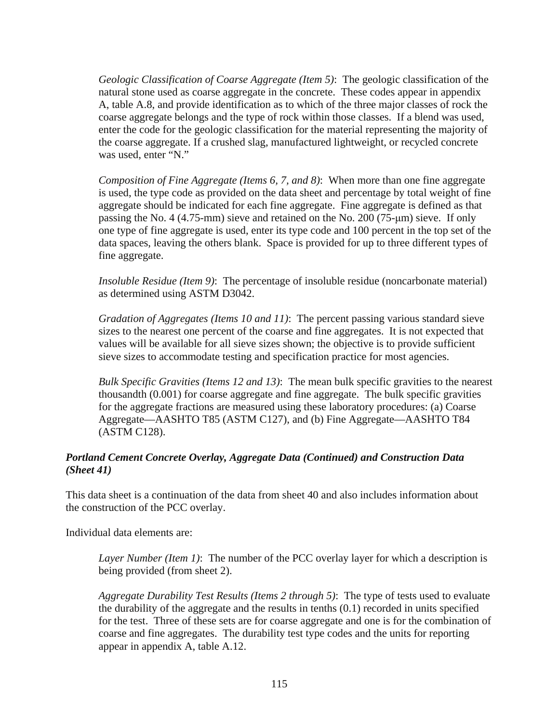*Geologic Classification of Coarse Aggregate (Item 5)*: The geologic classification of the natural stone used as coarse aggregate in the concrete. These codes appear in appendix A, table A.8, and provide identification as to which of the three major classes of rock the coarse aggregate belongs and the type of rock within those classes. If a blend was used, enter the code for the geologic classification for the material representing the majority of the coarse aggregate. If a crushed slag, manufactured lightweight, or recycled concrete was used, enter "N."

*Composition of Fine Aggregate (Items 6, 7, and 8)*: When more than one fine aggregate is used, the type code as provided on the data sheet and percentage by total weight of fine aggregate should be indicated for each fine aggregate. Fine aggregate is defined as that passing the No. 4 (4.75-mm) sieve and retained on the No. 200 (75-μm) sieve. If only one type of fine aggregate is used, enter its type code and 100 percent in the top set of the data spaces, leaving the others blank. Space is provided for up to three different types of fine aggregate.

*Insoluble Residue (Item 9)*: The percentage of insoluble residue (noncarbonate material) as determined using ASTM D3042.

*Gradation of Aggregates (Items 10 and 11)*: The percent passing various standard sieve sizes to the nearest one percent of the coarse and fine aggregates. It is not expected that values will be available for all sieve sizes shown; the objective is to provide sufficient sieve sizes to accommodate testing and specification practice for most agencies.

*Bulk Specific Gravities (Items 12 and 13)*: The mean bulk specific gravities to the nearest thousandth (0.001) for coarse aggregate and fine aggregate. The bulk specific gravities for the aggregate fractions are measured using these laboratory procedures: (a) Coarse Aggregate—AASHTO T85 (ASTM C127), and (b) Fine Aggregate—AASHTO T84 (ASTM C128).

# *Portland Cement Concrete Overlay, Aggregate Data (Continued) and Construction Data (Sheet 41)*

This data sheet is a continuation of the data from sheet 40 and also includes information about the construction of the PCC overlay.

Individual data elements are:

*Layer Number (Item 1)*: The number of the PCC overlay layer for which a description is being provided (from sheet 2).

*Aggregate Durability Test Results (Items 2 through 5)*: The type of tests used to evaluate the durability of the aggregate and the results in tenths (0.1) recorded in units specified for the test. Three of these sets are for coarse aggregate and one is for the combination of coarse and fine aggregates. The durability test type codes and the units for reporting appear in appendix A, table A.12.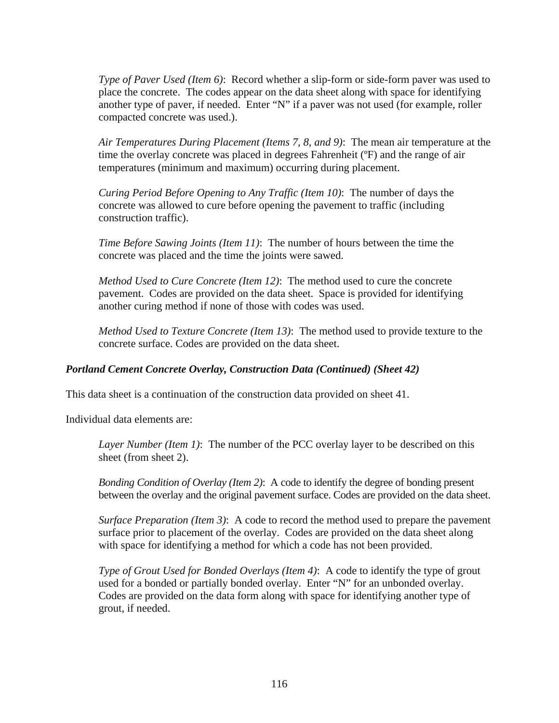*Type of Paver Used (Item 6)*: Record whether a slip-form or side-form paver was used to place the concrete. The codes appear on the data sheet along with space for identifying another type of paver, if needed. Enter "N" if a paver was not used (for example, roller compacted concrete was used.).

*Air Temperatures During Placement (Items 7, 8, and 9)*: The mean air temperature at the time the overlay concrete was placed in degrees Fahrenheit (ºF) and the range of air temperatures (minimum and maximum) occurring during placement.

*Curing Period Before Opening to Any Traffic (Item 10)*: The number of days the concrete was allowed to cure before opening the pavement to traffic (including construction traffic).

*Time Before Sawing Joints (Item 11)*: The number of hours between the time the concrete was placed and the time the joints were sawed.

*Method Used to Cure Concrete (Item 12)*: The method used to cure the concrete pavement. Codes are provided on the data sheet. Space is provided for identifying another curing method if none of those with codes was used.

*Method Used to Texture Concrete (Item 13)*: The method used to provide texture to the concrete surface. Codes are provided on the data sheet.

# *Portland Cement Concrete Overlay, Construction Data (Continued) (Sheet 42)*

This data sheet is a continuation of the construction data provided on sheet 41.

Individual data elements are:

*Layer Number (Item 1)*: The number of the PCC overlay layer to be described on this sheet (from sheet 2).

*Bonding Condition of Overlay (Item 2)*: A code to identify the degree of bonding present between the overlay and the original pavement surface. Codes are provided on the data sheet.

*Surface Preparation (Item 3)*: A code to record the method used to prepare the pavement surface prior to placement of the overlay. Codes are provided on the data sheet along with space for identifying a method for which a code has not been provided.

*Type of Grout Used for Bonded Overlays (Item 4)*: A code to identify the type of grout used for a bonded or partially bonded overlay. Enter "N" for an unbonded overlay. Codes are provided on the data form along with space for identifying another type of grout, if needed.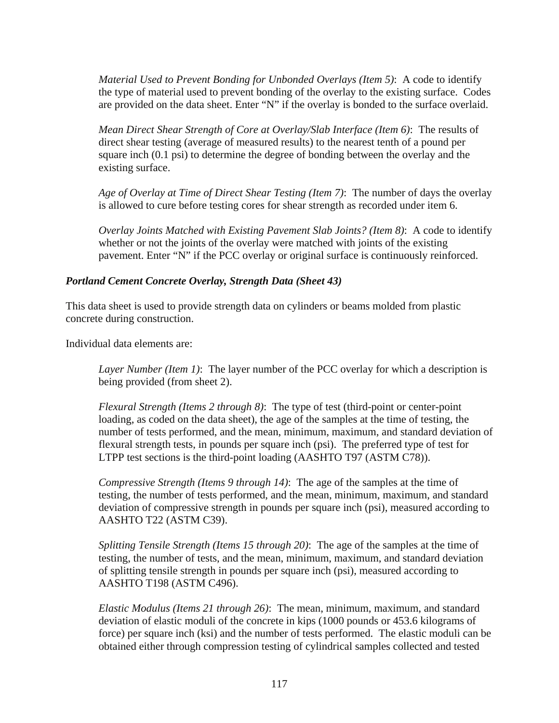*Material Used to Prevent Bonding for Unbonded Overlays (Item 5)*: A code to identify the type of material used to prevent bonding of the overlay to the existing surface. Codes are provided on the data sheet. Enter "N" if the overlay is bonded to the surface overlaid.

*Mean Direct Shear Strength of Core at Overlay/Slab Interface (Item 6)*: The results of direct shear testing (average of measured results) to the nearest tenth of a pound per square inch (0.1 psi) to determine the degree of bonding between the overlay and the existing surface.

*Age of Overlay at Time of Direct Shear Testing (Item 7)*: The number of days the overlay is allowed to cure before testing cores for shear strength as recorded under item 6.

*Overlay Joints Matched with Existing Pavement Slab Joints? (Item 8)*: A code to identify whether or not the joints of the overlay were matched with joints of the existing pavement. Enter "N" if the PCC overlay or original surface is continuously reinforced.

### *Portland Cement Concrete Overlay, Strength Data (Sheet 43)*

This data sheet is used to provide strength data on cylinders or beams molded from plastic concrete during construction.

Individual data elements are:

*Layer Number (Item 1)*: The layer number of the PCC overlay for which a description is being provided (from sheet 2).

*Flexural Strength (Items 2 through 8)*: The type of test (third-point or center-point loading, as coded on the data sheet), the age of the samples at the time of testing, the number of tests performed, and the mean, minimum, maximum, and standard deviation of flexural strength tests, in pounds per square inch (psi). The preferred type of test for LTPP test sections is the third-point loading (AASHTO T97 (ASTM C78)).

*Compressive Strength (Items 9 through 14)*: The age of the samples at the time of testing, the number of tests performed, and the mean, minimum, maximum, and standard deviation of compressive strength in pounds per square inch (psi), measured according to AASHTO T22 (ASTM C39).

*Splitting Tensile Strength (Items 15 through 20)*: The age of the samples at the time of testing, the number of tests, and the mean, minimum, maximum, and standard deviation of splitting tensile strength in pounds per square inch (psi), measured according to AASHTO T198 (ASTM C496).

*Elastic Modulus (Items 21 through 26)*: The mean, minimum, maximum, and standard deviation of elastic moduli of the concrete in kips (1000 pounds or 453.6 kilograms of force) per square inch (ksi) and the number of tests performed. The elastic moduli can be obtained either through compression testing of cylindrical samples collected and tested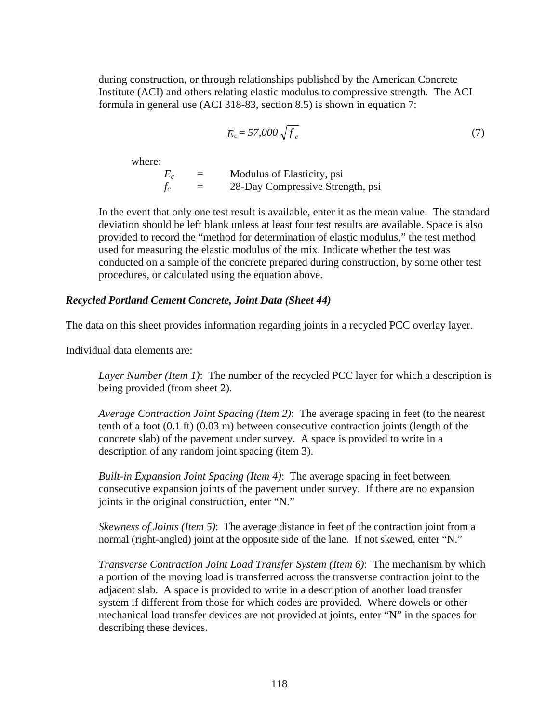during construction, or through relationships published by the American Concrete Institute (ACI) and others relating elastic modulus to compressive strength. The ACI formula in general use (ACI 318-83, section 8.5) is shown in equation 7:

$$
E_c = 57,000\sqrt{f_c} \tag{7}
$$

where:

 $E_c$  = Modulus of Elasticity, psi<br> $f_c$  = 28-Day Compressive Stren  $f_c$  = 28-Day Compressive Strength, psi

In the event that only one test result is available, enter it as the mean value. The standard deviation should be left blank unless at least four test results are available. Space is also provided to record the "method for determination of elastic modulus," the test method used for measuring the elastic modulus of the mix. Indicate whether the test was conducted on a sample of the concrete prepared during construction, by some other test procedures, or calculated using the equation above.

#### *Recycled Portland Cement Concrete, Joint Data (Sheet 44)*

The data on this sheet provides information regarding joints in a recycled PCC overlay layer.

Individual data elements are:

*Layer Number (Item 1)*: The number of the recycled PCC layer for which a description is being provided (from sheet 2).

*Average Contraction Joint Spacing (Item 2)*: The average spacing in feet (to the nearest tenth of a foot (0.1 ft) (0.03 m) between consecutive contraction joints (length of the concrete slab) of the pavement under survey. A space is provided to write in a description of any random joint spacing (item 3).

*Built-in Expansion Joint Spacing (Item 4)*: The average spacing in feet between consecutive expansion joints of the pavement under survey. If there are no expansion joints in the original construction, enter "N."

*Skewness of Joints (Item 5)*: The average distance in feet of the contraction joint from a normal (right-angled) joint at the opposite side of the lane. If not skewed, enter "N."

*Transverse Contraction Joint Load Transfer System (Item 6)*: The mechanism by which a portion of the moving load is transferred across the transverse contraction joint to the adjacent slab. A space is provided to write in a description of another load transfer system if different from those for which codes are provided. Where dowels or other mechanical load transfer devices are not provided at joints, enter "N" in the spaces for describing these devices.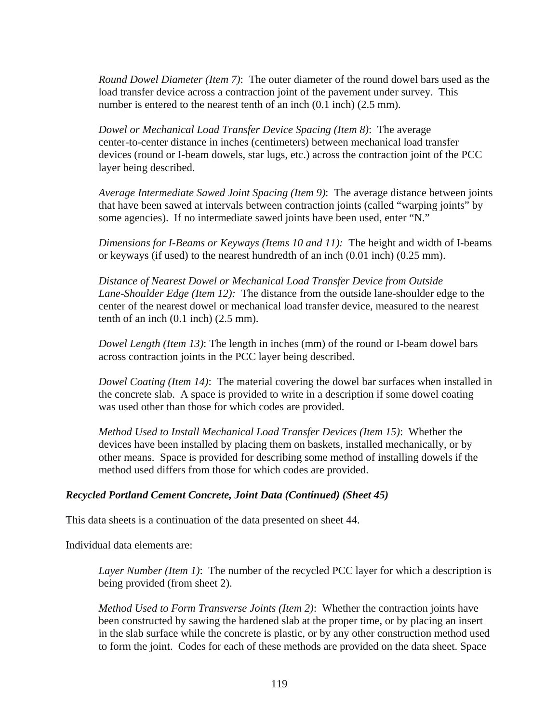*Round Dowel Diameter (Item 7)*: The outer diameter of the round dowel bars used as the load transfer device across a contraction joint of the pavement under survey. This number is entered to the nearest tenth of an inch  $(0.1 \text{ inch})$   $(2.5 \text{ mm})$ .

*Dowel or Mechanical Load Transfer Device Spacing (Item 8)*: The average center-to-center distance in inches (centimeters) between mechanical load transfer devices (round or I-beam dowels, star lugs, etc.) across the contraction joint of the PCC layer being described.

*Average Intermediate Sawed Joint Spacing (Item 9)*: The average distance between joints that have been sawed at intervals between contraction joints (called "warping joints" by some agencies). If no intermediate sawed joints have been used, enter "N."

*Dimensions for I-Beams or Keyways (Items 10 and 11):* The height and width of I-beams or keyways (if used) to the nearest hundredth of an inch (0.01 inch) (0.25 mm).

*Distance of Nearest Dowel or Mechanical Load Transfer Device from Outside Lane-Shoulder Edge (Item 12):* The distance from the outside lane-shoulder edge to the center of the nearest dowel or mechanical load transfer device, measured to the nearest tenth of an inch  $(0.1$  inch)  $(2.5 \text{ mm})$ .

*Dowel Length (Item 13)*: The length in inches (mm) of the round or I-beam dowel bars across contraction joints in the PCC layer being described.

*Dowel Coating (Item 14)*: The material covering the dowel bar surfaces when installed in the concrete slab. A space is provided to write in a description if some dowel coating was used other than those for which codes are provided.

*Method Used to Install Mechanical Load Transfer Devices (Item 15)*: Whether the devices have been installed by placing them on baskets, installed mechanically, or by other means. Space is provided for describing some method of installing dowels if the method used differs from those for which codes are provided.

### *Recycled Portland Cement Concrete, Joint Data (Continued) (Sheet 45)*

This data sheets is a continuation of the data presented on sheet 44.

Individual data elements are:

*Layer Number (Item 1)*: The number of the recycled PCC layer for which a description is being provided (from sheet 2).

*Method Used to Form Transverse Joints (Item 2)*: Whether the contraction joints have been constructed by sawing the hardened slab at the proper time, or by placing an insert in the slab surface while the concrete is plastic, or by any other construction method used to form the joint. Codes for each of these methods are provided on the data sheet. Space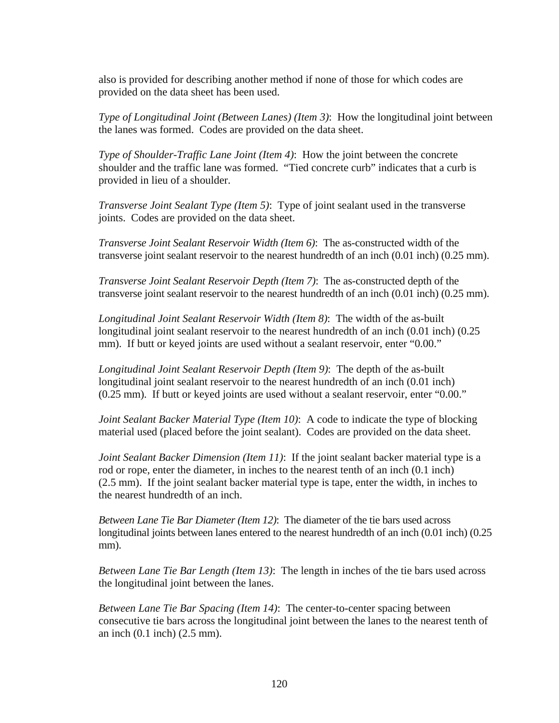also is provided for describing another method if none of those for which codes are provided on the data sheet has been used.

*Type of Longitudinal Joint (Between Lanes) (Item 3)*: How the longitudinal joint between the lanes was formed. Codes are provided on the data sheet.

*Type of Shoulder-Traffic Lane Joint (Item 4)*: How the joint between the concrete shoulder and the traffic lane was formed. "Tied concrete curb" indicates that a curb is provided in lieu of a shoulder.

*Transverse Joint Sealant Type (Item 5)*: Type of joint sealant used in the transverse joints. Codes are provided on the data sheet.

*Transverse Joint Sealant Reservoir Width (Item 6)*: The as-constructed width of the transverse joint sealant reservoir to the nearest hundredth of an inch (0.01 inch) (0.25 mm).

*Transverse Joint Sealant Reservoir Depth (Item 7)*: The as-constructed depth of the transverse joint sealant reservoir to the nearest hundredth of an inch (0.01 inch) (0.25 mm).

*Longitudinal Joint Sealant Reservoir Width (Item 8)*: The width of the as-built longitudinal joint sealant reservoir to the nearest hundredth of an inch (0.01 inch) (0.25 mm). If butt or keyed joints are used without a sealant reservoir, enter "0.00."

*Longitudinal Joint Sealant Reservoir Depth (Item 9)*: The depth of the as-built longitudinal joint sealant reservoir to the nearest hundredth of an inch (0.01 inch) (0.25 mm). If butt or keyed joints are used without a sealant reservoir, enter "0.00."

*Joint Sealant Backer Material Type (Item 10)*: A code to indicate the type of blocking material used (placed before the joint sealant). Codes are provided on the data sheet.

*Joint Sealant Backer Dimension (Item 11)*: If the joint sealant backer material type is a rod or rope, enter the diameter, in inches to the nearest tenth of an inch (0.1 inch) (2.5 mm). If the joint sealant backer material type is tape, enter the width, in inches to the nearest hundredth of an inch.

*Between Lane Tie Bar Diameter (Item 12)*: The diameter of the tie bars used across longitudinal joints between lanes entered to the nearest hundredth of an inch (0.01 inch) (0.25 mm).

*Between Lane Tie Bar Length (Item 13)*: The length in inches of the tie bars used across the longitudinal joint between the lanes.

*Between Lane Tie Bar Spacing (Item 14)*: The center-to-center spacing between consecutive tie bars across the longitudinal joint between the lanes to the nearest tenth of an inch (0.1 inch) (2.5 mm).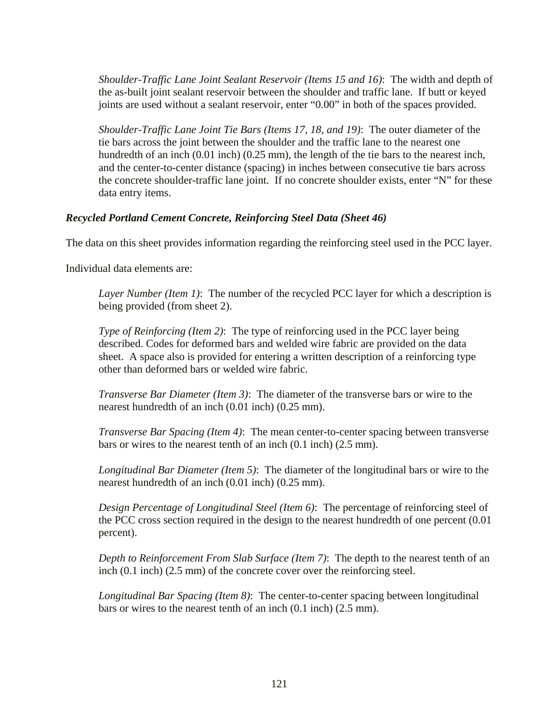*Shoulder-Traffic Lane Joint Sealant Reservoir (Items 15 and 16)*: The width and depth of the as-built joint sealant reservoir between the shoulder and traffic lane. If butt or keyed joints are used without a sealant reservoir, enter "0.00" in both of the spaces provided.

*Shoulder-Traffic Lane Joint Tie Bars (Items 17, 18, and 19)*: The outer diameter of the tie bars across the joint between the shoulder and the traffic lane to the nearest one hundredth of an inch (0.01 inch) (0.25 mm), the length of the tie bars to the nearest inch, and the center-to-center distance (spacing) in inches between consecutive tie bars across the concrete shoulder-traffic lane joint. If no concrete shoulder exists, enter "N" for these data entry items.

### *Recycled Portland Cement Concrete, Reinforcing Steel Data (Sheet 46)*

The data on this sheet provides information regarding the reinforcing steel used in the PCC layer.

Individual data elements are:

*Layer Number (Item 1)*: The number of the recycled PCC layer for which a description is being provided (from sheet 2).

*Type of Reinforcing (Item 2)*: The type of reinforcing used in the PCC layer being described. Codes for deformed bars and welded wire fabric are provided on the data sheet. A space also is provided for entering a written description of a reinforcing type other than deformed bars or welded wire fabric.

*Transverse Bar Diameter (Item 3)*: The diameter of the transverse bars or wire to the nearest hundredth of an inch (0.01 inch) (0.25 mm).

*Transverse Bar Spacing (Item 4)*: The mean center-to-center spacing between transverse bars or wires to the nearest tenth of an inch (0.1 inch) (2.5 mm).

*Longitudinal Bar Diameter (Item 5)*: The diameter of the longitudinal bars or wire to the nearest hundredth of an inch (0.01 inch) (0.25 mm).

*Design Percentage of Longitudinal Steel (Item 6)*: The percentage of reinforcing steel of the PCC cross section required in the design to the nearest hundredth of one percent (0.01 percent).

*Depth to Reinforcement From Slab Surface (Item 7)*: The depth to the nearest tenth of an inch (0.1 inch) (2.5 mm) of the concrete cover over the reinforcing steel.

*Longitudinal Bar Spacing (Item 8)*: The center-to-center spacing between longitudinal bars or wires to the nearest tenth of an inch (0.1 inch) (2.5 mm).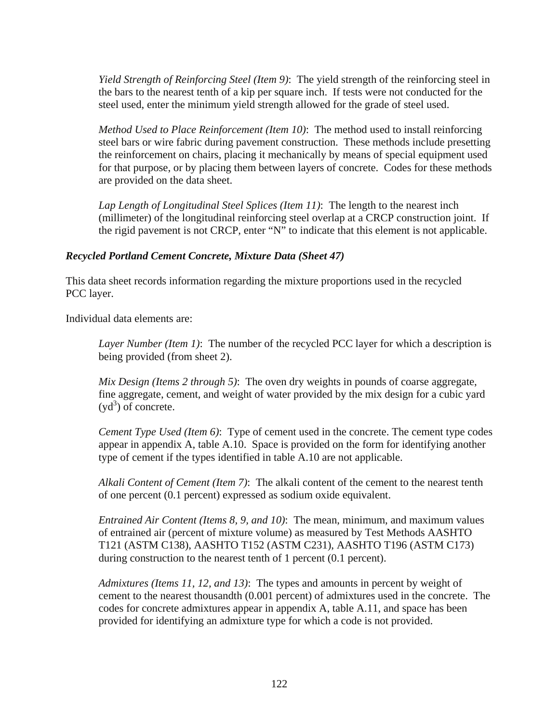*Yield Strength of Reinforcing Steel (Item 9)*: The yield strength of the reinforcing steel in the bars to the nearest tenth of a kip per square inch. If tests were not conducted for the steel used, enter the minimum yield strength allowed for the grade of steel used.

*Method Used to Place Reinforcement (Item 10)*: The method used to install reinforcing steel bars or wire fabric during pavement construction. These methods include presetting the reinforcement on chairs, placing it mechanically by means of special equipment used for that purpose, or by placing them between layers of concrete. Codes for these methods are provided on the data sheet.

*Lap Length of Longitudinal Steel Splices (Item 11)*: The length to the nearest inch (millimeter) of the longitudinal reinforcing steel overlap at a CRCP construction joint. If the rigid pavement is not CRCP, enter "N" to indicate that this element is not applicable.

### *Recycled Portland Cement Concrete, Mixture Data (Sheet 47)*

This data sheet records information regarding the mixture proportions used in the recycled PCC layer.

Individual data elements are:

*Layer Number (Item 1)*: The number of the recycled PCC layer for which a description is being provided (from sheet 2).

*Mix Design (Items 2 through 5)*: The oven dry weights in pounds of coarse aggregate, fine aggregate, cement, and weight of water provided by the mix design for a cubic yard  $(yd^3)$  of concrete.

*Cement Type Used (Item 6)*: Type of cement used in the concrete. The cement type codes appear in appendix A, table A.10. Space is provided on the form for identifying another type of cement if the types identified in table A.10 are not applicable.

*Alkali Content of Cement (Item 7)*: The alkali content of the cement to the nearest tenth of one percent (0.1 percent) expressed as sodium oxide equivalent.

*Entrained Air Content (Items 8, 9, and 10)*: The mean, minimum, and maximum values of entrained air (percent of mixture volume) as measured by Test Methods AASHTO T121 (ASTM C138), AASHTO T152 (ASTM C231), AASHTO T196 (ASTM C173) during construction to the nearest tenth of 1 percent (0.1 percent).

*Admixtures (Items 11, 12, and 13)*: The types and amounts in percent by weight of cement to the nearest thousandth (0.001 percent) of admixtures used in the concrete. The codes for concrete admixtures appear in appendix A, table A.11, and space has been provided for identifying an admixture type for which a code is not provided.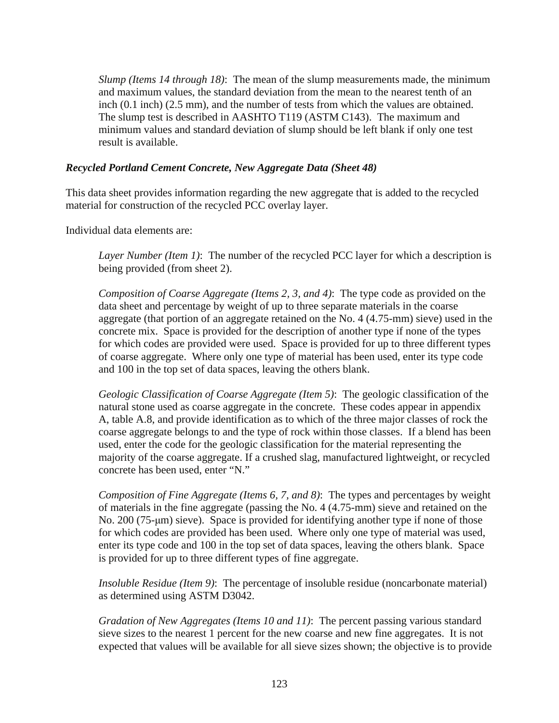*Slump (Items 14 through 18)*: The mean of the slump measurements made, the minimum and maximum values, the standard deviation from the mean to the nearest tenth of an inch (0.1 inch) (2.5 mm), and the number of tests from which the values are obtained. The slump test is described in AASHTO T119 (ASTM C143). The maximum and minimum values and standard deviation of slump should be left blank if only one test result is available.

### *Recycled Portland Cement Concrete, New Aggregate Data (Sheet 48)*

This data sheet provides information regarding the new aggregate that is added to the recycled material for construction of the recycled PCC overlay layer.

Individual data elements are:

*Layer Number (Item 1)*: The number of the recycled PCC layer for which a description is being provided (from sheet 2).

*Composition of Coarse Aggregate (Items 2, 3, and 4)*: The type code as provided on the data sheet and percentage by weight of up to three separate materials in the coarse aggregate (that portion of an aggregate retained on the No. 4 (4.75-mm) sieve) used in the concrete mix. Space is provided for the description of another type if none of the types for which codes are provided were used. Space is provided for up to three different types of coarse aggregate. Where only one type of material has been used, enter its type code and 100 in the top set of data spaces, leaving the others blank.

*Geologic Classification of Coarse Aggregate (Item 5)*: The geologic classification of the natural stone used as coarse aggregate in the concrete. These codes appear in appendix A, table A.8, and provide identification as to which of the three major classes of rock the coarse aggregate belongs to and the type of rock within those classes. If a blend has been used, enter the code for the geologic classification for the material representing the majority of the coarse aggregate. If a crushed slag, manufactured lightweight, or recycled concrete has been used, enter "N."

*Composition of Fine Aggregate (Items 6, 7, and 8)*: The types and percentages by weight of materials in the fine aggregate (passing the No. 4 (4.75-mm) sieve and retained on the No. 200 (75-μm) sieve). Space is provided for identifying another type if none of those for which codes are provided has been used. Where only one type of material was used, enter its type code and 100 in the top set of data spaces, leaving the others blank. Space is provided for up to three different types of fine aggregate.

*Insoluble Residue (Item 9)*: The percentage of insoluble residue (noncarbonate material) as determined using ASTM D3042.

*Gradation of New Aggregates (Items 10 and 11)*: The percent passing various standard sieve sizes to the nearest 1 percent for the new coarse and new fine aggregates. It is not expected that values will be available for all sieve sizes shown; the objective is to provide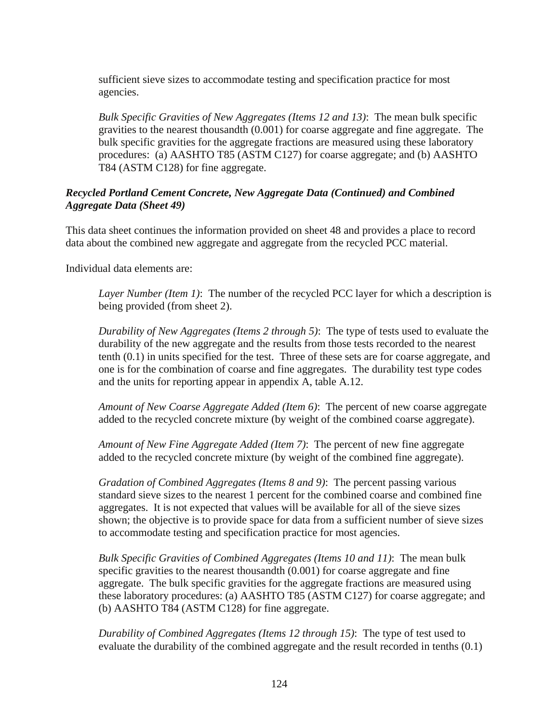sufficient sieve sizes to accommodate testing and specification practice for most agencies.

*Bulk Specific Gravities of New Aggregates (Items 12 and 13)*: The mean bulk specific gravities to the nearest thousandth (0.001) for coarse aggregate and fine aggregate. The bulk specific gravities for the aggregate fractions are measured using these laboratory procedures: (a) AASHTO T85 (ASTM C127) for coarse aggregate; and (b) AASHTO T84 (ASTM C128) for fine aggregate.

# *Recycled Portland Cement Concrete, New Aggregate Data (Continued) and Combined Aggregate Data (Sheet 49)*

This data sheet continues the information provided on sheet 48 and provides a place to record data about the combined new aggregate and aggregate from the recycled PCC material.

Individual data elements are:

*Layer Number (Item 1)*: The number of the recycled PCC layer for which a description is being provided (from sheet 2).

*Durability of New Aggregates (Items 2 through 5)*: The type of tests used to evaluate the durability of the new aggregate and the results from those tests recorded to the nearest tenth (0.1) in units specified for the test. Three of these sets are for coarse aggregate, and one is for the combination of coarse and fine aggregates. The durability test type codes and the units for reporting appear in appendix A, table A.12.

*Amount of New Coarse Aggregate Added (Item 6)*: The percent of new coarse aggregate added to the recycled concrete mixture (by weight of the combined coarse aggregate).

*Amount of New Fine Aggregate Added (Item 7)*: The percent of new fine aggregate added to the recycled concrete mixture (by weight of the combined fine aggregate).

*Gradation of Combined Aggregates (Items 8 and 9)*: The percent passing various standard sieve sizes to the nearest 1 percent for the combined coarse and combined fine aggregates. It is not expected that values will be available for all of the sieve sizes shown; the objective is to provide space for data from a sufficient number of sieve sizes to accommodate testing and specification practice for most agencies.

*Bulk Specific Gravities of Combined Aggregates (Items 10 and 11)*: The mean bulk specific gravities to the nearest thousandth  $(0.001)$  for coarse aggregate and fine aggregate. The bulk specific gravities for the aggregate fractions are measured using these laboratory procedures: (a) AASHTO T85 (ASTM C127) for coarse aggregate; and (b) AASHTO T84 (ASTM C128) for fine aggregate.

*Durability of Combined Aggregates (Items 12 through 15)*: The type of test used to evaluate the durability of the combined aggregate and the result recorded in tenths (0.1)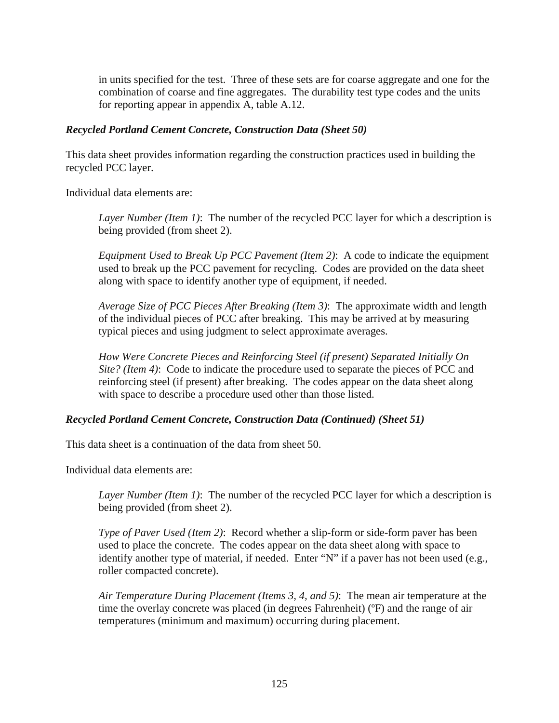in units specified for the test. Three of these sets are for coarse aggregate and one for the combination of coarse and fine aggregates. The durability test type codes and the units for reporting appear in appendix A, table A.12.

### *Recycled Portland Cement Concrete, Construction Data (Sheet 50)*

This data sheet provides information regarding the construction practices used in building the recycled PCC layer.

Individual data elements are:

*Layer Number (Item 1)*: The number of the recycled PCC layer for which a description is being provided (from sheet 2).

*Equipment Used to Break Up PCC Pavement (Item 2)*: A code to indicate the equipment used to break up the PCC pavement for recycling. Codes are provided on the data sheet along with space to identify another type of equipment, if needed.

*Average Size of PCC Pieces After Breaking (Item 3)*: The approximate width and length of the individual pieces of PCC after breaking. This may be arrived at by measuring typical pieces and using judgment to select approximate averages.

*How Were Concrete Pieces and Reinforcing Steel (if present) Separated Initially On Site? (Item 4)*: Code to indicate the procedure used to separate the pieces of PCC and reinforcing steel (if present) after breaking. The codes appear on the data sheet along with space to describe a procedure used other than those listed.

# *Recycled Portland Cement Concrete, Construction Data (Continued) (Sheet 51)*

This data sheet is a continuation of the data from sheet 50.

Individual data elements are:

*Layer Number (Item 1)*: The number of the recycled PCC layer for which a description is being provided (from sheet 2).

*Type of Paver Used (Item 2)*: Record whether a slip-form or side-form paver has been used to place the concrete. The codes appear on the data sheet along with space to identify another type of material, if needed. Enter "N" if a paver has not been used (e.g., roller compacted concrete).

*Air Temperature During Placement (Items 3, 4, and 5)*: The mean air temperature at the time the overlay concrete was placed (in degrees Fahrenheit) (ºF) and the range of air temperatures (minimum and maximum) occurring during placement.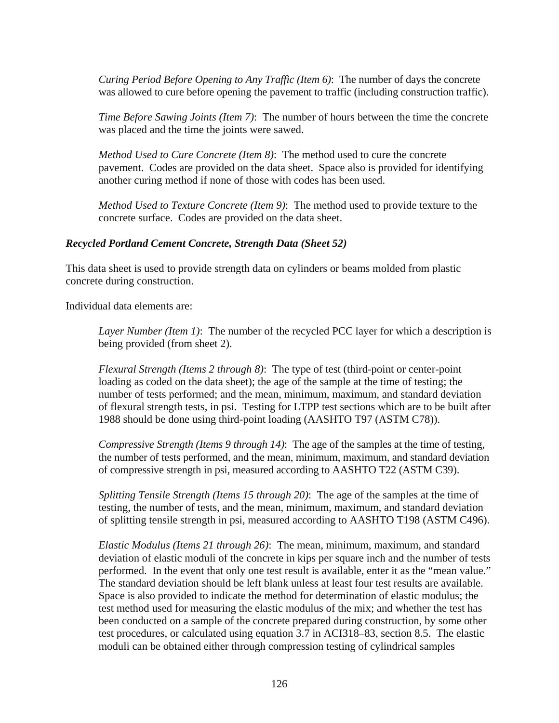*Curing Period Before Opening to Any Traffic (Item 6)*: The number of days the concrete was allowed to cure before opening the pavement to traffic (including construction traffic).

*Time Before Sawing Joints (Item 7)*: The number of hours between the time the concrete was placed and the time the joints were sawed.

*Method Used to Cure Concrete (Item 8)*: The method used to cure the concrete pavement. Codes are provided on the data sheet. Space also is provided for identifying another curing method if none of those with codes has been used.

*Method Used to Texture Concrete (Item 9)*: The method used to provide texture to the concrete surface. Codes are provided on the data sheet.

### *Recycled Portland Cement Concrete, Strength Data (Sheet 52)*

This data sheet is used to provide strength data on cylinders or beams molded from plastic concrete during construction.

Individual data elements are:

*Layer Number (Item 1)*: The number of the recycled PCC layer for which a description is being provided (from sheet 2).

*Flexural Strength (Items 2 through 8)*: The type of test (third-point or center-point loading as coded on the data sheet); the age of the sample at the time of testing; the number of tests performed; and the mean, minimum, maximum, and standard deviation of flexural strength tests, in psi. Testing for LTPP test sections which are to be built after 1988 should be done using third-point loading (AASHTO T97 (ASTM C78)).

*Compressive Strength (Items 9 through 14)*: The age of the samples at the time of testing, the number of tests performed, and the mean, minimum, maximum, and standard deviation of compressive strength in psi, measured according to AASHTO T22 (ASTM C39).

*Splitting Tensile Strength (Items 15 through 20)*: The age of the samples at the time of testing, the number of tests, and the mean, minimum, maximum, and standard deviation of splitting tensile strength in psi, measured according to AASHTO T198 (ASTM C496).

*Elastic Modulus (Items 21 through 26)*: The mean, minimum, maximum, and standard deviation of elastic moduli of the concrete in kips per square inch and the number of tests performed. In the event that only one test result is available, enter it as the "mean value." The standard deviation should be left blank unless at least four test results are available. Space is also provided to indicate the method for determination of elastic modulus; the test method used for measuring the elastic modulus of the mix; and whether the test has been conducted on a sample of the concrete prepared during construction, by some other test procedures, or calculated using equation 3.7 in ACI318–83, section 8.5. The elastic moduli can be obtained either through compression testing of cylindrical samples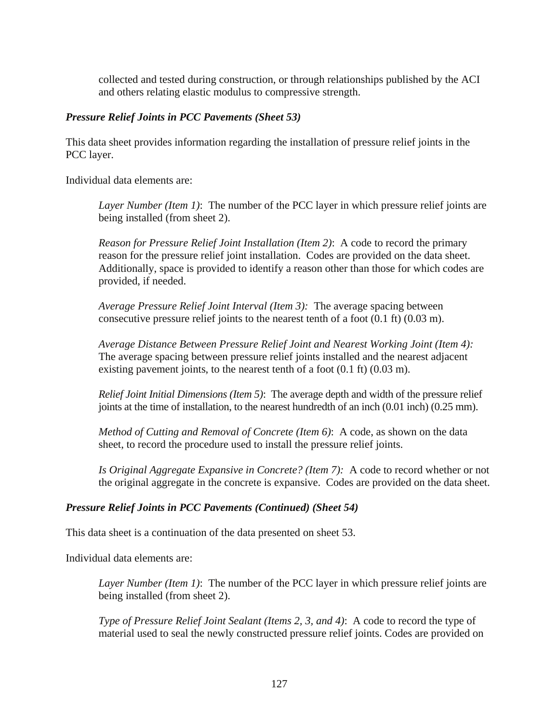collected and tested during construction, or through relationships published by the ACI and others relating elastic modulus to compressive strength.

# *Pressure Relief Joints in PCC Pavements (Sheet 53)*

This data sheet provides information regarding the installation of pressure relief joints in the PCC layer.

Individual data elements are:

*Layer Number (Item 1)*: The number of the PCC layer in which pressure relief joints are being installed (from sheet 2).

*Reason for Pressure Relief Joint Installation (Item 2)*: A code to record the primary reason for the pressure relief joint installation. Codes are provided on the data sheet. Additionally, space is provided to identify a reason other than those for which codes are provided, if needed.

*Average Pressure Relief Joint Interval (Item 3):* The average spacing between consecutive pressure relief joints to the nearest tenth of a foot (0.1 ft) (0.03 m).

*Average Distance Between Pressure Relief Joint and Nearest Working Joint (Item 4):* The average spacing between pressure relief joints installed and the nearest adjacent existing pavement joints, to the nearest tenth of a foot (0.1 ft) (0.03 m).

*Relief Joint Initial Dimensions (Item 5)*: The average depth and width of the pressure relief joints at the time of installation, to the nearest hundredth of an inch (0.01 inch) (0.25 mm).

*Method of Cutting and Removal of Concrete (Item 6)*: A code, as shown on the data sheet, to record the procedure used to install the pressure relief joints.

*Is Original Aggregate Expansive in Concrete? (Item 7):* A code to record whether or not the original aggregate in the concrete is expansive. Codes are provided on the data sheet.

# *Pressure Relief Joints in PCC Pavements (Continued) (Sheet 54)*

This data sheet is a continuation of the data presented on sheet 53.

Individual data elements are:

*Layer Number (Item 1)*: The number of the PCC layer in which pressure relief joints are being installed (from sheet 2).

*Type of Pressure Relief Joint Sealant (Items 2, 3, and 4)*: A code to record the type of material used to seal the newly constructed pressure relief joints. Codes are provided on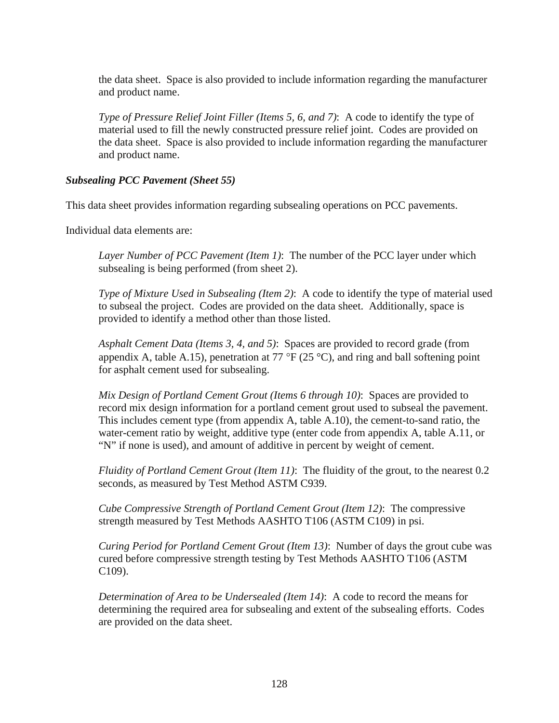the data sheet. Space is also provided to include information regarding the manufacturer and product name.

*Type of Pressure Relief Joint Filler (Items 5, 6, and 7)*: A code to identify the type of material used to fill the newly constructed pressure relief joint. Codes are provided on the data sheet. Space is also provided to include information regarding the manufacturer and product name.

### *Subsealing PCC Pavement (Sheet 55)*

This data sheet provides information regarding subsealing operations on PCC pavements.

Individual data elements are:

*Layer Number of PCC Pavement (Item 1)*: The number of the PCC layer under which subsealing is being performed (from sheet 2).

*Type of Mixture Used in Subsealing (Item 2)*: A code to identify the type of material used to subseal the project. Codes are provided on the data sheet. Additionally, space is provided to identify a method other than those listed.

*Asphalt Cement Data (Items 3, 4, and 5)*: Spaces are provided to record grade (from appendix A, table A.15), penetration at 77 °F (25 °C), and ring and ball softening point for asphalt cement used for subsealing.

*Mix Design of Portland Cement Grout (Items 6 through 10)*: Spaces are provided to record mix design information for a portland cement grout used to subseal the pavement. This includes cement type (from appendix A, table A.10), the cement-to-sand ratio, the water-cement ratio by weight, additive type (enter code from appendix A, table A.11, or "N" if none is used), and amount of additive in percent by weight of cement.

*Fluidity of Portland Cement Grout (Item 11)*: The fluidity of the grout, to the nearest 0.2 seconds, as measured by Test Method ASTM C939.

*Cube Compressive Strength of Portland Cement Grout (Item 12)*: The compressive strength measured by Test Methods AASHTO T106 (ASTM C109) in psi.

*Curing Period for Portland Cement Grout (Item 13)*: Number of days the grout cube was cured before compressive strength testing by Test Methods AASHTO T106 (ASTM C109).

*Determination of Area to be Undersealed (Item 14)*: A code to record the means for determining the required area for subsealing and extent of the subsealing efforts. Codes are provided on the data sheet.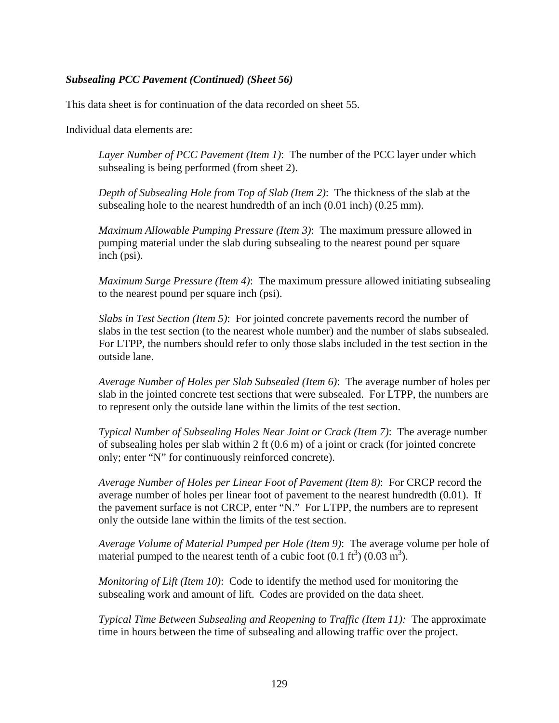### *Subsealing PCC Pavement (Continued) (Sheet 56)*

This data sheet is for continuation of the data recorded on sheet 55.

Individual data elements are:

*Layer Number of PCC Pavement (Item 1)*: The number of the PCC layer under which subsealing is being performed (from sheet 2).

*Depth of Subsealing Hole from Top of Slab (Item 2)*: The thickness of the slab at the subsealing hole to the nearest hundredth of an inch (0.01 inch) (0.25 mm).

*Maximum Allowable Pumping Pressure (Item 3)*: The maximum pressure allowed in pumping material under the slab during subsealing to the nearest pound per square inch (psi).

*Maximum Surge Pressure (Item 4)*: The maximum pressure allowed initiating subsealing to the nearest pound per square inch (psi).

*Slabs in Test Section (Item 5)*: For jointed concrete pavements record the number of slabs in the test section (to the nearest whole number) and the number of slabs subsealed. For LTPP, the numbers should refer to only those slabs included in the test section in the outside lane.

*Average Number of Holes per Slab Subsealed (Item 6)*: The average number of holes per slab in the jointed concrete test sections that were subsealed. For LTPP, the numbers are to represent only the outside lane within the limits of the test section.

*Typical Number of Subsealing Holes Near Joint or Crack (Item 7)*: The average number of subsealing holes per slab within 2 ft  $(0.6 \text{ m})$  of a joint or crack (for jointed concrete only; enter "N" for continuously reinforced concrete).

*Average Number of Holes per Linear Foot of Pavement (Item 8)*: For CRCP record the average number of holes per linear foot of pavement to the nearest hundredth (0.01). If the pavement surface is not CRCP, enter "N." For LTPP, the numbers are to represent only the outside lane within the limits of the test section.

*Average Volume of Material Pumped per Hole (Item 9)*: The average volume per hole of material pumped to the nearest tenth of a cubic foot  $(0.1 \text{ ft}^3)$   $(0.03 \text{ m}^3)$ .

*Monitoring of Lift (Item 10)*: Code to identify the method used for monitoring the subsealing work and amount of lift. Codes are provided on the data sheet.

*Typical Time Between Subsealing and Reopening to Traffic (Item 11):* The approximate time in hours between the time of subsealing and allowing traffic over the project.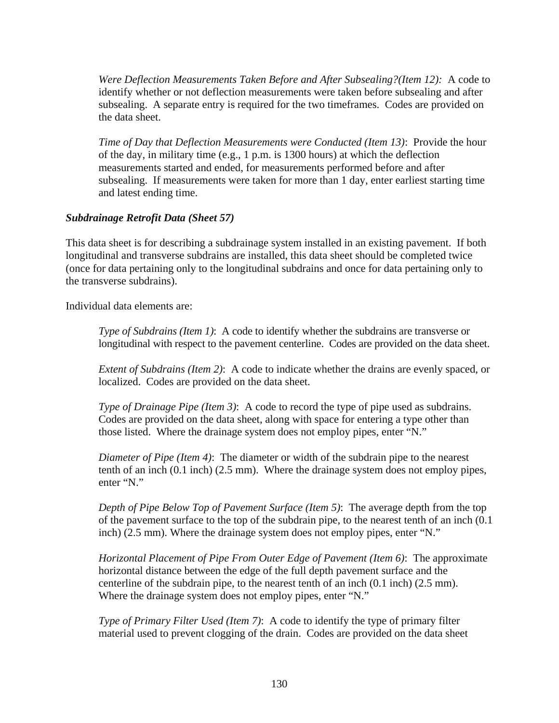*Were Deflection Measurements Taken Before and After Subsealing?(Item 12):* A code to identify whether or not deflection measurements were taken before subsealing and after subsealing. A separate entry is required for the two timeframes. Codes are provided on the data sheet.

*Time of Day that Deflection Measurements were Conducted (Item 13)*: Provide the hour of the day, in military time (e.g., 1 p.m. is 1300 hours) at which the deflection measurements started and ended, for measurements performed before and after subsealing. If measurements were taken for more than 1 day, enter earliest starting time and latest ending time.

### *Subdrainage Retrofit Data (Sheet 57)*

This data sheet is for describing a subdrainage system installed in an existing pavement. If both longitudinal and transverse subdrains are installed, this data sheet should be completed twice (once for data pertaining only to the longitudinal subdrains and once for data pertaining only to the transverse subdrains).

Individual data elements are:

*Type of Subdrains (Item 1)*: A code to identify whether the subdrains are transverse or longitudinal with respect to the pavement centerline. Codes are provided on the data sheet.

*Extent of Subdrains (Item 2)*: A code to indicate whether the drains are evenly spaced, or localized. Codes are provided on the data sheet.

*Type of Drainage Pipe (Item 3)*: A code to record the type of pipe used as subdrains. Codes are provided on the data sheet, along with space for entering a type other than those listed. Where the drainage system does not employ pipes, enter "N."

*Diameter of Pipe (Item 4)*: The diameter or width of the subdrain pipe to the nearest tenth of an inch (0.1 inch) (2.5 mm). Where the drainage system does not employ pipes, enter "N."

*Depth of Pipe Below Top of Pavement Surface (Item 5)*: The average depth from the top of the pavement surface to the top of the subdrain pipe, to the nearest tenth of an inch (0.1 inch) (2.5 mm). Where the drainage system does not employ pipes, enter "N."

*Horizontal Placement of Pipe From Outer Edge of Pavement (Item 6)*: The approximate horizontal distance between the edge of the full depth pavement surface and the centerline of the subdrain pipe, to the nearest tenth of an inch (0.1 inch) (2.5 mm). Where the drainage system does not employ pipes, enter "N."

*Type of Primary Filter Used (Item 7)*: A code to identify the type of primary filter material used to prevent clogging of the drain. Codes are provided on the data sheet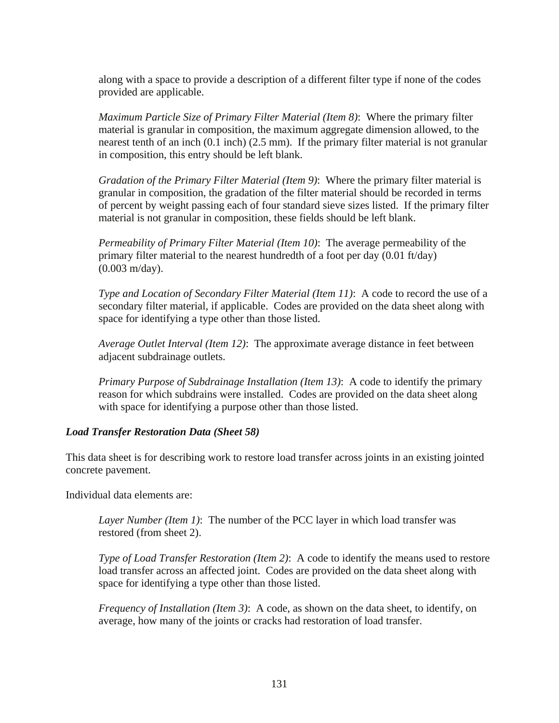along with a space to provide a description of a different filter type if none of the codes provided are applicable.

*Maximum Particle Size of Primary Filter Material (Item 8)*: Where the primary filter material is granular in composition, the maximum aggregate dimension allowed, to the nearest tenth of an inch (0.1 inch) (2.5 mm). If the primary filter material is not granular in composition, this entry should be left blank.

*Gradation of the Primary Filter Material (Item 9)*: Where the primary filter material is granular in composition, the gradation of the filter material should be recorded in terms of percent by weight passing each of four standard sieve sizes listed. If the primary filter material is not granular in composition, these fields should be left blank.

*Permeability of Primary Filter Material (Item 10)*: The average permeability of the primary filter material to the nearest hundredth of a foot per day (0.01 ft/day) (0.003 m/day).

*Type and Location of Secondary Filter Material (Item 11)*: A code to record the use of a secondary filter material, if applicable. Codes are provided on the data sheet along with space for identifying a type other than those listed.

*Average Outlet Interval (Item 12)*: The approximate average distance in feet between adjacent subdrainage outlets.

*Primary Purpose of Subdrainage Installation (Item 13)*: A code to identify the primary reason for which subdrains were installed. Codes are provided on the data sheet along with space for identifying a purpose other than those listed.

# *Load Transfer Restoration Data (Sheet 58)*

This data sheet is for describing work to restore load transfer across joints in an existing jointed concrete pavement.

Individual data elements are:

*Layer Number (Item 1)*: The number of the PCC layer in which load transfer was restored (from sheet 2).

*Type of Load Transfer Restoration (Item 2)*: A code to identify the means used to restore load transfer across an affected joint. Codes are provided on the data sheet along with space for identifying a type other than those listed.

*Frequency of Installation (Item 3)*: A code, as shown on the data sheet, to identify, on average, how many of the joints or cracks had restoration of load transfer.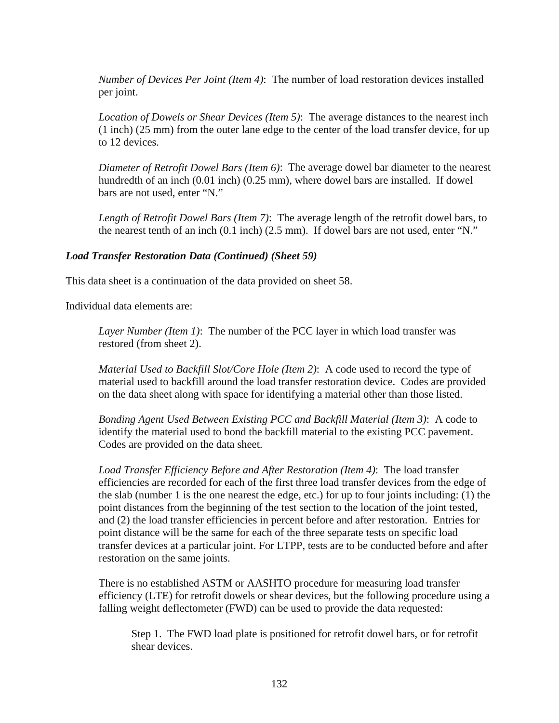*Number of Devices Per Joint (Item 4)*: The number of load restoration devices installed per joint.

*Location of Dowels or Shear Devices (Item 5)*: The average distances to the nearest inch (1 inch) (25 mm) from the outer lane edge to the center of the load transfer device, for up to 12 devices.

*Diameter of Retrofit Dowel Bars (Item 6)*: The average dowel bar diameter to the nearest hundredth of an inch (0.01 inch) (0.25 mm), where dowel bars are installed. If dowel bars are not used, enter "N."

*Length of Retrofit Dowel Bars (Item 7)*: The average length of the retrofit dowel bars, to the nearest tenth of an inch (0.1 inch) (2.5 mm). If dowel bars are not used, enter "N."

### *Load Transfer Restoration Data (Continued) (Sheet 59)*

This data sheet is a continuation of the data provided on sheet 58.

Individual data elements are:

*Layer Number (Item 1)*: The number of the PCC layer in which load transfer was restored (from sheet 2).

*Material Used to Backfill Slot/Core Hole (Item 2)*: A code used to record the type of material used to backfill around the load transfer restoration device. Codes are provided on the data sheet along with space for identifying a material other than those listed.

*Bonding Agent Used Between Existing PCC and Backfill Material (Item 3)*: A code to identify the material used to bond the backfill material to the existing PCC pavement. Codes are provided on the data sheet.

*Load Transfer Efficiency Before and After Restoration (Item 4)*: The load transfer efficiencies are recorded for each of the first three load transfer devices from the edge of the slab (number 1 is the one nearest the edge, etc.) for up to four joints including: (1) the point distances from the beginning of the test section to the location of the joint tested, and (2) the load transfer efficiencies in percent before and after restoration. Entries for point distance will be the same for each of the three separate tests on specific load transfer devices at a particular joint. For LTPP, tests are to be conducted before and after restoration on the same joints.

There is no established ASTM or AASHTO procedure for measuring load transfer efficiency (LTE) for retrofit dowels or shear devices, but the following procedure using a falling weight deflectometer (FWD) can be used to provide the data requested:

Step 1. The FWD load plate is positioned for retrofit dowel bars, or for retrofit shear devices.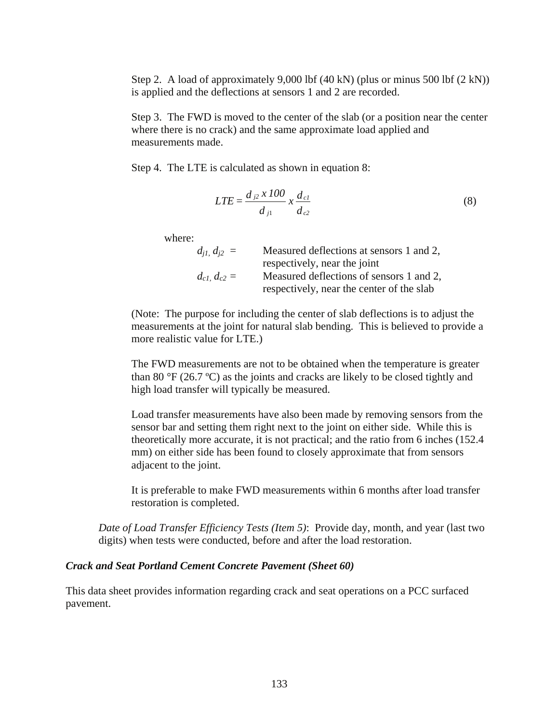Step 2. A load of approximately 9,000 lbf  $(40 \text{ kN})$  (plus or minus 500 lbf  $(2 \text{ kN})$ ) is applied and the deflections at sensors 1 and 2 are recorded.

Step 3. The FWD is moved to the center of the slab (or a position near the center where there is no crack) and the same approximate load applied and measurements made.

Step 4. The LTE is calculated as shown in equation 8:

$$
LTE = \frac{d_{j2} \times 100}{d_{j1}} \times \frac{d_{cl}}{d_{c2}}
$$
 (8)

where:

| $d_{i1} d_{i2} =$ | Measured deflections at sensors 1 and 2,  |
|-------------------|-------------------------------------------|
|                   | respectively, near the joint              |
| $d_{c1} d_{c2} =$ | Measured deflections of sensors 1 and 2,  |
|                   | respectively, near the center of the slab |

(Note: The purpose for including the center of slab deflections is to adjust the measurements at the joint for natural slab bending. This is believed to provide a more realistic value for LTE.)

The FWD measurements are not to be obtained when the temperature is greater than 80  $\rm{°F}$  (26.7  $\rm{°C}$ ) as the joints and cracks are likely to be closed tightly and high load transfer will typically be measured.

Load transfer measurements have also been made by removing sensors from the sensor bar and setting them right next to the joint on either side. While this is theoretically more accurate, it is not practical; and the ratio from 6 inches (152.4 mm) on either side has been found to closely approximate that from sensors adjacent to the joint.

It is preferable to make FWD measurements within 6 months after load transfer restoration is completed.

*Date of Load Transfer Efficiency Tests (Item 5)*: Provide day, month, and year (last two digits) when tests were conducted, before and after the load restoration.

#### *Crack and Seat Portland Cement Concrete Pavement (Sheet 60)*

This data sheet provides information regarding crack and seat operations on a PCC surfaced pavement.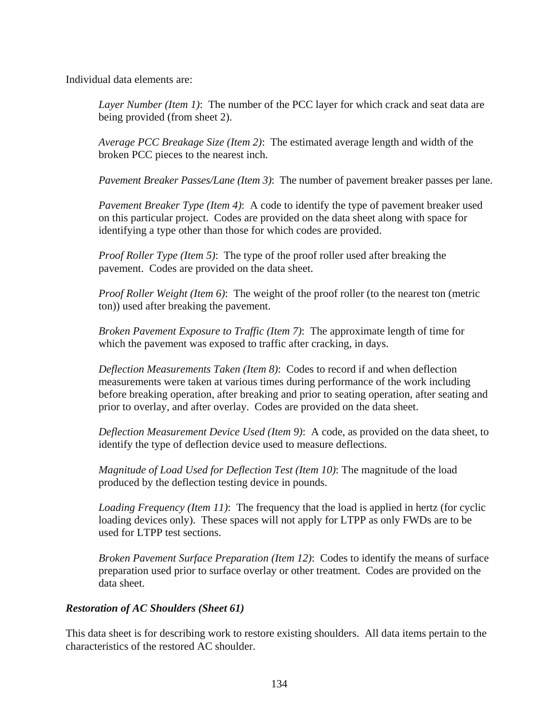Individual data elements are:

*Layer Number (Item 1)*: The number of the PCC layer for which crack and seat data are being provided (from sheet 2).

*Average PCC Breakage Size (Item 2)*: The estimated average length and width of the broken PCC pieces to the nearest inch.

*Pavement Breaker Passes/Lane (Item 3)*: The number of pavement breaker passes per lane.

*Pavement Breaker Type (Item 4)*: A code to identify the type of pavement breaker used on this particular project. Codes are provided on the data sheet along with space for identifying a type other than those for which codes are provided.

*Proof Roller Type (Item 5)*: The type of the proof roller used after breaking the pavement. Codes are provided on the data sheet.

*Proof Roller Weight (Item 6)*: The weight of the proof roller (to the nearest ton (metric ton)) used after breaking the pavement.

*Broken Pavement Exposure to Traffic (Item 7)*: The approximate length of time for which the pavement was exposed to traffic after cracking, in days.

*Deflection Measurements Taken (Item 8)*: Codes to record if and when deflection measurements were taken at various times during performance of the work including before breaking operation, after breaking and prior to seating operation, after seating and prior to overlay, and after overlay. Codes are provided on the data sheet.

*Deflection Measurement Device Used (Item 9)*: A code, as provided on the data sheet, to identify the type of deflection device used to measure deflections.

*Magnitude of Load Used for Deflection Test (Item 10)*: The magnitude of the load produced by the deflection testing device in pounds.

*Loading Frequency (Item 11)*: The frequency that the load is applied in hertz (for cyclic loading devices only). These spaces will not apply for LTPP as only FWDs are to be used for LTPP test sections.

*Broken Pavement Surface Preparation (Item 12)*: Codes to identify the means of surface preparation used prior to surface overlay or other treatment. Codes are provided on the data sheet.

### *Restoration of AC Shoulders (Sheet 61)*

This data sheet is for describing work to restore existing shoulders. All data items pertain to the characteristics of the restored AC shoulder.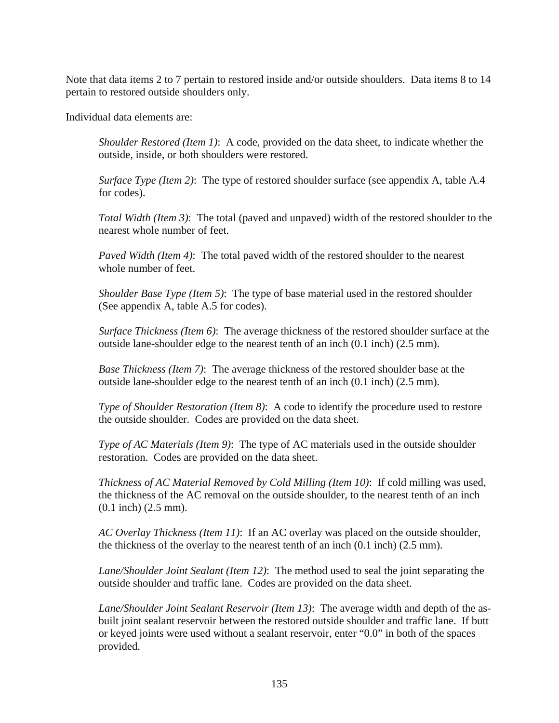Note that data items 2 to 7 pertain to restored inside and/or outside shoulders. Data items 8 to 14 pertain to restored outside shoulders only.

Individual data elements are:

*Shoulder Restored (Item 1)*: A code, provided on the data sheet, to indicate whether the outside, inside, or both shoulders were restored.

*Surface Type (Item 2)*: The type of restored shoulder surface (see appendix A, table A.4) for codes).

*Total Width (Item 3)*: The total (paved and unpaved) width of the restored shoulder to the nearest whole number of feet.

*Paved Width (Item 4)*: The total paved width of the restored shoulder to the nearest whole number of feet.

*Shoulder Base Type (Item 5)*: The type of base material used in the restored shoulder (See appendix A, table A.5 for codes).

*Surface Thickness (Item 6)*: The average thickness of the restored shoulder surface at the outside lane-shoulder edge to the nearest tenth of an inch (0.1 inch) (2.5 mm).

*Base Thickness (Item 7)*: The average thickness of the restored shoulder base at the outside lane-shoulder edge to the nearest tenth of an inch (0.1 inch) (2.5 mm).

*Type of Shoulder Restoration (Item 8)*: A code to identify the procedure used to restore the outside shoulder. Codes are provided on the data sheet.

*Type of AC Materials (Item 9)*: The type of AC materials used in the outside shoulder restoration. Codes are provided on the data sheet.

*Thickness of AC Material Removed by Cold Milling (Item 10)*: If cold milling was used, the thickness of the AC removal on the outside shoulder, to the nearest tenth of an inch (0.1 inch) (2.5 mm).

*AC Overlay Thickness (Item 11)*: If an AC overlay was placed on the outside shoulder, the thickness of the overlay to the nearest tenth of an inch (0.1 inch) (2.5 mm).

*Lane/Shoulder Joint Sealant (Item 12)*: The method used to seal the joint separating the outside shoulder and traffic lane. Codes are provided on the data sheet.

*Lane/Shoulder Joint Sealant Reservoir (Item 13)*: The average width and depth of the asbuilt joint sealant reservoir between the restored outside shoulder and traffic lane. If butt or keyed joints were used without a sealant reservoir, enter "0.0" in both of the spaces provided.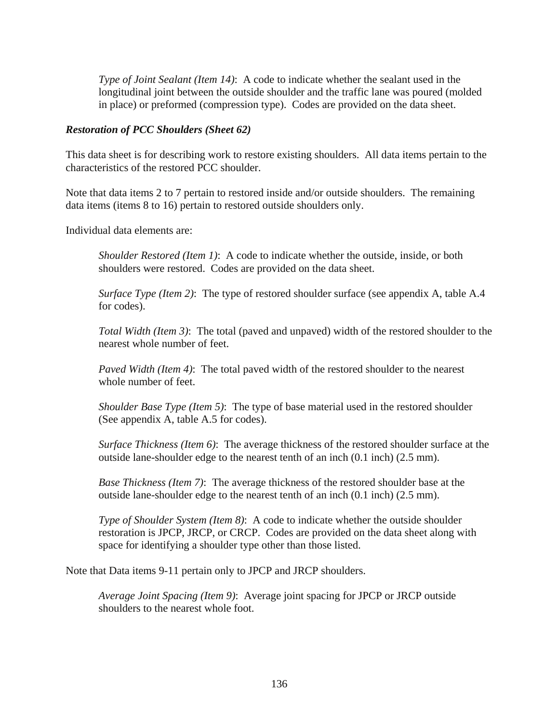*Type of Joint Sealant (Item 14)*: A code to indicate whether the sealant used in the longitudinal joint between the outside shoulder and the traffic lane was poured (molded in place) or preformed (compression type). Codes are provided on the data sheet.

### *Restoration of PCC Shoulders (Sheet 62)*

This data sheet is for describing work to restore existing shoulders. All data items pertain to the characteristics of the restored PCC shoulder.

Note that data items 2 to 7 pertain to restored inside and/or outside shoulders. The remaining data items (items 8 to 16) pertain to restored outside shoulders only.

Individual data elements are:

*Shoulder Restored (Item 1)*: A code to indicate whether the outside, inside, or both shoulders were restored. Codes are provided on the data sheet.

*Surface Type (Item 2)*: The type of restored shoulder surface (see appendix A, table A.4 for codes).

*Total Width (Item 3)*: The total (paved and unpaved) width of the restored shoulder to the nearest whole number of feet.

*Paved Width (Item 4)*: The total paved width of the restored shoulder to the nearest whole number of feet.

*Shoulder Base Type (Item 5)*: The type of base material used in the restored shoulder (See appendix A, table A.5 for codes).

*Surface Thickness (Item 6)*: The average thickness of the restored shoulder surface at the outside lane-shoulder edge to the nearest tenth of an inch (0.1 inch) (2.5 mm).

*Base Thickness (Item 7)*: The average thickness of the restored shoulder base at the outside lane-shoulder edge to the nearest tenth of an inch (0.1 inch) (2.5 mm).

*Type of Shoulder System (Item 8)*: A code to indicate whether the outside shoulder restoration is JPCP, JRCP, or CRCP. Codes are provided on the data sheet along with space for identifying a shoulder type other than those listed.

Note that Data items 9-11 pertain only to JPCP and JRCP shoulders.

*Average Joint Spacing (Item 9)*: Average joint spacing for JPCP or JRCP outside shoulders to the nearest whole foot.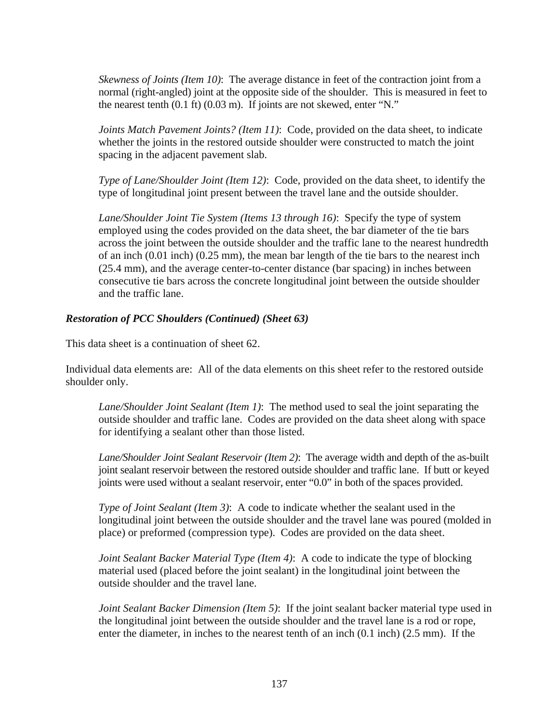*Skewness of Joints (Item 10)*: The average distance in feet of the contraction joint from a normal (right-angled) joint at the opposite side of the shoulder. This is measured in feet to the nearest tenth (0.1 ft) (0.03 m). If joints are not skewed, enter "N."

*Joints Match Pavement Joints? (Item 11)*: Code, provided on the data sheet, to indicate whether the joints in the restored outside shoulder were constructed to match the joint spacing in the adjacent pavement slab.

*Type of Lane/Shoulder Joint (Item 12)*: Code, provided on the data sheet, to identify the type of longitudinal joint present between the travel lane and the outside shoulder.

*Lane/Shoulder Joint Tie System (Items 13 through 16)*: Specify the type of system employed using the codes provided on the data sheet, the bar diameter of the tie bars across the joint between the outside shoulder and the traffic lane to the nearest hundredth of an inch (0.01 inch) (0.25 mm), the mean bar length of the tie bars to the nearest inch (25.4 mm), and the average center-to-center distance (bar spacing) in inches between consecutive tie bars across the concrete longitudinal joint between the outside shoulder and the traffic lane.

## *Restoration of PCC Shoulders (Continued) (Sheet 63)*

This data sheet is a continuation of sheet 62.

Individual data elements are: All of the data elements on this sheet refer to the restored outside shoulder only.

*Lane/Shoulder Joint Sealant (Item 1)*: The method used to seal the joint separating the outside shoulder and traffic lane. Codes are provided on the data sheet along with space for identifying a sealant other than those listed.

*Lane/Shoulder Joint Sealant Reservoir (Item 2)*: The average width and depth of the as-built joint sealant reservoir between the restored outside shoulder and traffic lane. If butt or keyed joints were used without a sealant reservoir, enter "0.0" in both of the spaces provided.

*Type of Joint Sealant (Item 3)*: A code to indicate whether the sealant used in the longitudinal joint between the outside shoulder and the travel lane was poured (molded in place) or preformed (compression type). Codes are provided on the data sheet.

*Joint Sealant Backer Material Type (Item 4)*: A code to indicate the type of blocking material used (placed before the joint sealant) in the longitudinal joint between the outside shoulder and the travel lane.

*Joint Sealant Backer Dimension (Item 5)*: If the joint sealant backer material type used in the longitudinal joint between the outside shoulder and the travel lane is a rod or rope, enter the diameter, in inches to the nearest tenth of an inch (0.1 inch) (2.5 mm). If the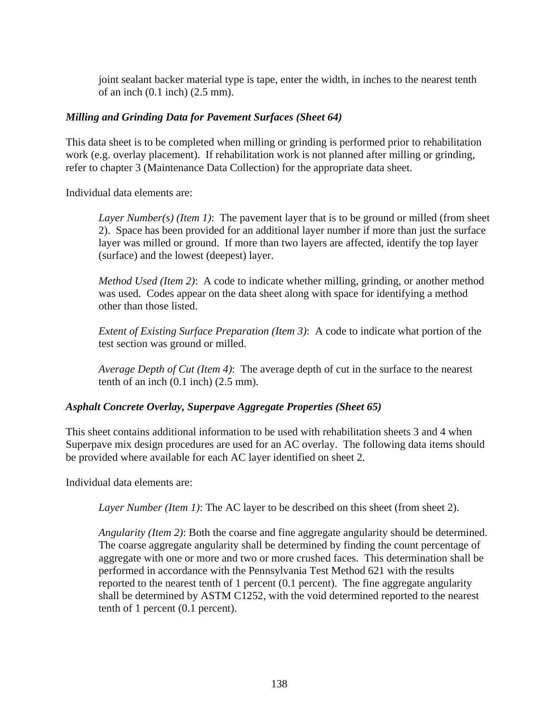joint sealant backer material type is tape, enter the width, in inches to the nearest tenth of an inch (0.1 inch) (2.5 mm).

# *Milling and Grinding Data for Pavement Surfaces (Sheet 64)*

This data sheet is to be completed when milling or grinding is performed prior to rehabilitation work (e.g. overlay placement). If rehabilitation work is not planned after milling or grinding, refer to chapter 3 (Maintenance Data Collection) for the appropriate data sheet.

Individual data elements are:

*Layer Number(s) (Item 1)*: The pavement layer that is to be ground or milled (from sheet 2). Space has been provided for an additional layer number if more than just the surface layer was milled or ground. If more than two layers are affected, identify the top layer (surface) and the lowest (deepest) layer.

*Method Used (Item 2)*: A code to indicate whether milling, grinding, or another method was used. Codes appear on the data sheet along with space for identifying a method other than those listed.

*Extent of Existing Surface Preparation (Item 3)*: A code to indicate what portion of the test section was ground or milled.

*Average Depth of Cut (Item 4)*: The average depth of cut in the surface to the nearest tenth of an inch (0.1 inch) (2.5 mm).

## *Asphalt Concrete Overlay, Superpave Aggregate Properties (Sheet 65)*

This sheet contains additional information to be used with rehabilitation sheets 3 and 4 when Superpave mix design procedures are used for an AC overlay. The following data items should be provided where available for each AC layer identified on sheet 2.

Individual data elements are:

*Layer Number (Item 1)*: The AC layer to be described on this sheet (from sheet 2).

*Angularity (Item 2)*: Both the coarse and fine aggregate angularity should be determined. The coarse aggregate angularity shall be determined by finding the count percentage of aggregate with one or more and two or more crushed faces. This determination shall be performed in accordance with the Pennsylvania Test Method 621 with the results reported to the nearest tenth of 1 percent (0.1 percent). The fine aggregate angularity shall be determined by ASTM C1252, with the void determined reported to the nearest tenth of 1 percent (0.1 percent).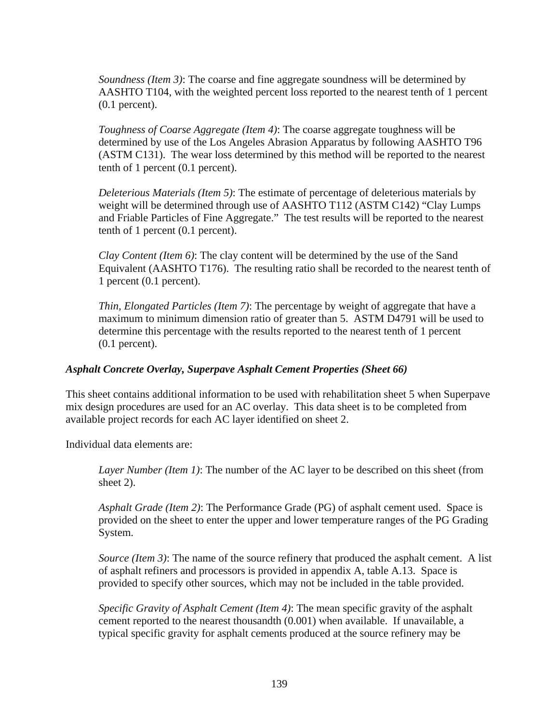*Soundness (Item 3)*: The coarse and fine aggregate soundness will be determined by AASHTO T104, with the weighted percent loss reported to the nearest tenth of 1 percent (0.1 percent).

*Toughness of Coarse Aggregate (Item 4)*: The coarse aggregate toughness will be determined by use of the Los Angeles Abrasion Apparatus by following AASHTO T96 (ASTM C131). The wear loss determined by this method will be reported to the nearest tenth of 1 percent (0.1 percent).

*Deleterious Materials (Item 5)*: The estimate of percentage of deleterious materials by weight will be determined through use of AASHTO T112 (ASTM C142) "Clay Lumps and Friable Particles of Fine Aggregate." The test results will be reported to the nearest tenth of 1 percent (0.1 percent).

*Clay Content (Item 6)*: The clay content will be determined by the use of the Sand Equivalent (AASHTO T176). The resulting ratio shall be recorded to the nearest tenth of 1 percent (0.1 percent).

*Thin, Elongated Particles (Item 7)*: The percentage by weight of aggregate that have a maximum to minimum dimension ratio of greater than 5. ASTM D4791 will be used to determine this percentage with the results reported to the nearest tenth of 1 percent (0.1 percent).

# *Asphalt Concrete Overlay, Superpave Asphalt Cement Properties (Sheet 66)*

This sheet contains additional information to be used with rehabilitation sheet 5 when Superpave mix design procedures are used for an AC overlay. This data sheet is to be completed from available project records for each AC layer identified on sheet 2.

Individual data elements are:

*Layer Number (Item 1)*: The number of the AC layer to be described on this sheet (from sheet 2).

*Asphalt Grade (Item 2)*: The Performance Grade (PG) of asphalt cement used. Space is provided on the sheet to enter the upper and lower temperature ranges of the PG Grading System.

*Source (Item 3)*: The name of the source refinery that produced the asphalt cement. A list of asphalt refiners and processors is provided in appendix A, table A.13. Space is provided to specify other sources, which may not be included in the table provided.

*Specific Gravity of Asphalt Cement (Item 4)*: The mean specific gravity of the asphalt cement reported to the nearest thousandth (0.001) when available. If unavailable, a typical specific gravity for asphalt cements produced at the source refinery may be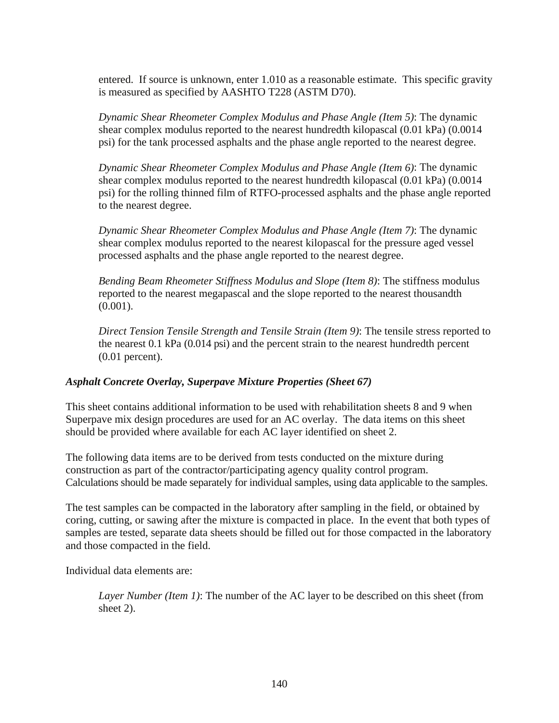entered. If source is unknown, enter 1.010 as a reasonable estimate. This specific gravity is measured as specified by AASHTO T228 (ASTM D70).

*Dynamic Shear Rheometer Complex Modulus and Phase Angle (Item 5)*: The dynamic shear complex modulus reported to the nearest hundredth kilopascal (0.01 kPa) (0.0014 psi) for the tank processed asphalts and the phase angle reported to the nearest degree.

*Dynamic Shear Rheometer Complex Modulus and Phase Angle (Item 6)*: The dynamic shear complex modulus reported to the nearest hundredth kilopascal (0.01 kPa) (0.0014 psi) for the rolling thinned film of RTFO-processed asphalts and the phase angle reported to the nearest degree.

*Dynamic Shear Rheometer Complex Modulus and Phase Angle (Item 7)*: The dynamic shear complex modulus reported to the nearest kilopascal for the pressure aged vessel processed asphalts and the phase angle reported to the nearest degree.

*Bending Beam Rheometer Stiffness Modulus and Slope (Item 8)*: The stiffness modulus reported to the nearest megapascal and the slope reported to the nearest thousandth  $(0.001)$ .

*Direct Tension Tensile Strength and Tensile Strain (Item 9)*: The tensile stress reported to the nearest 0.1 kPa (0.014 psi) and the percent strain to the nearest hundredth percent (0.01 percent).

# *Asphalt Concrete Overlay, Superpave Mixture Properties (Sheet 67)*

This sheet contains additional information to be used with rehabilitation sheets 8 and 9 when Superpave mix design procedures are used for an AC overlay. The data items on this sheet should be provided where available for each AC layer identified on sheet 2.

The following data items are to be derived from tests conducted on the mixture during construction as part of the contractor/participating agency quality control program. Calculations should be made separately for individual samples, using data applicable to the samples.

The test samples can be compacted in the laboratory after sampling in the field, or obtained by coring, cutting, or sawing after the mixture is compacted in place. In the event that both types of samples are tested, separate data sheets should be filled out for those compacted in the laboratory and those compacted in the field.

Individual data elements are:

*Layer Number (Item 1)*: The number of the AC layer to be described on this sheet (from sheet 2).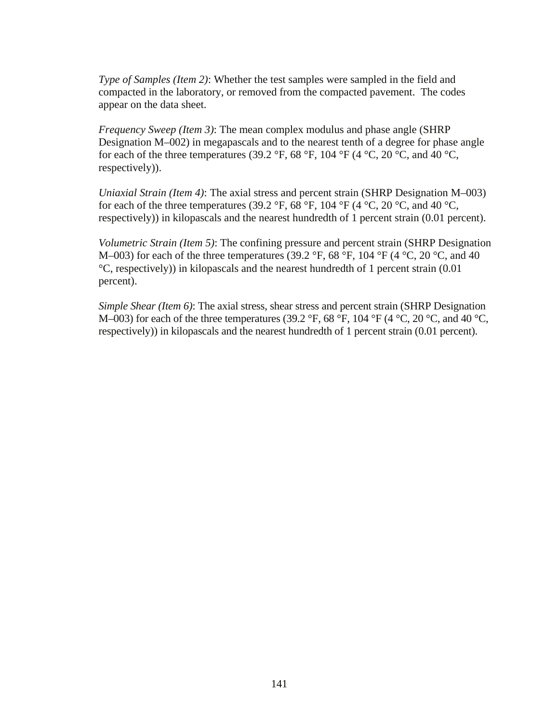*Type of Samples (Item 2)*: Whether the test samples were sampled in the field and compacted in the laboratory, or removed from the compacted pavement. The codes appear on the data sheet.

*Frequency Sweep (Item 3)*: The mean complex modulus and phase angle (SHRP Designation M–002) in megapascals and to the nearest tenth of a degree for phase angle for each of the three temperatures (39.2 °F, 68 °F, 104 °F (4 °C, 20 °C, and 40 °C, respectively)).

*Uniaxial Strain (Item 4)*: The axial stress and percent strain (SHRP Designation M–003) for each of the three temperatures (39.2 °F, 68 °F, 104 °F (4 °C, 20 °C, and 40 °C, respectively)) in kilopascals and the nearest hundredth of 1 percent strain (0.01 percent).

*Volumetric Strain (Item 5)*: The confining pressure and percent strain (SHRP Designation M–003) for each of the three temperatures (39.2 °F, 68 °F, 104 °F (4 °C, 20 °C, and 40 °C, respectively)) in kilopascals and the nearest hundredth of 1 percent strain (0.01 percent).

*Simple Shear (Item 6)*: The axial stress, shear stress and percent strain (SHRP Designation M–003) for each of the three temperatures (39.2 °F, 68 °F, 104 °F (4 °C, 20 °C, and 40 °C, respectively)) in kilopascals and the nearest hundredth of 1 percent strain (0.01 percent).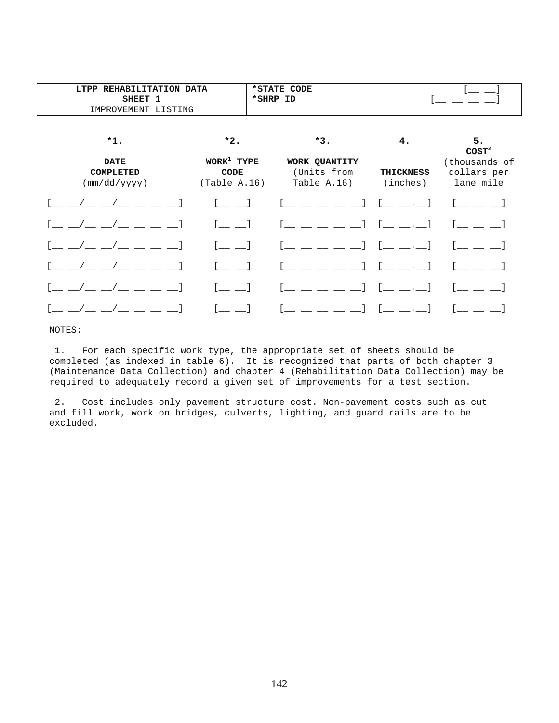| LTPP REHABILITATION DATA                        |                                              | *STATE CODE                                                                                                                                                                                                                                                                                                                                                                                                                                                                                                                                                                                                       |                              |                                                                |
|-------------------------------------------------|----------------------------------------------|-------------------------------------------------------------------------------------------------------------------------------------------------------------------------------------------------------------------------------------------------------------------------------------------------------------------------------------------------------------------------------------------------------------------------------------------------------------------------------------------------------------------------------------------------------------------------------------------------------------------|------------------------------|----------------------------------------------------------------|
| SHEET 1                                         |                                              | *SHRP ID                                                                                                                                                                                                                                                                                                                                                                                                                                                                                                                                                                                                          |                              |                                                                |
| IMPROVEMENT LISTING                             |                                              |                                                                                                                                                                                                                                                                                                                                                                                                                                                                                                                                                                                                                   |                              |                                                                |
| $*1.$                                           | $*2.$                                        | $*3.$                                                                                                                                                                                                                                                                                                                                                                                                                                                                                                                                                                                                             | 4.                           | 5.                                                             |
| <b>DATE</b><br><b>COMPLETED</b><br>(mm/dd/yyyy) | $WORK^1$ TYPE<br><b>CODE</b><br>(Table A.16) | WORK QUANTITY<br>(Units from<br>Table A.16)                                                                                                                                                                                                                                                                                                                                                                                                                                                                                                                                                                       | <b>THICKNESS</b><br>(inches) | $\texttt{COST}^2$<br>(thousands of<br>dollars per<br>lane mile |
|                                                 |                                              | $[\underline{\hspace{1cm}}\underline{\hspace{1cm}}\underline{\hspace{1cm}}\underline{\hspace{1cm}}\underline{\hspace{1cm}}\underline{\hspace{1cm}}\underline{\hspace{1cm}}\underline{\hspace{1cm}}\underline{\hspace{1cm}}\underline{\hspace{1cm}}\underline{\hspace{1cm}}\underline{\hspace{1cm}}\underline{\hspace{1cm}}\underline{\hspace{1cm}}\underline{\hspace{1cm}}\underline{\hspace{1cm}}\underline{\hspace{1cm}}\underline{\hspace{1cm}}\underline{\hspace{1cm}}\underline{\hspace{1cm}}\underline{\hspace{1cm}}\underline{\hspace{1cm}}\underline{\hspace{1cm}}\underline{\hspace{1cm}}\underline{\hs$ |                              |                                                                |
|                                                 |                                              |                                                                                                                                                                                                                                                                                                                                                                                                                                                                                                                                                                                                                   | $= - \cdot$ 1                |                                                                |
|                                                 | $\equiv$ 1                                   | $\frac{1}{2}$ $\frac{1}{2}$ $\frac{1}{2}$                                                                                                                                                                                                                                                                                                                                                                                                                                                                                                                                                                         | $= - \cdot$ 1                |                                                                |
|                                                 |                                              |                                                                                                                                                                                                                                                                                                                                                                                                                                                                                                                                                                                                                   |                              |                                                                |
|                                                 |                                              |                                                                                                                                                                                                                                                                                                                                                                                                                                                                                                                                                                                                                   |                              |                                                                |
|                                                 |                                              | $= - - 1$                                                                                                                                                                                                                                                                                                                                                                                                                                                                                                                                                                                                         |                              |                                                                |

#### NOTES:

 1. For each specific work type, the appropriate set of sheets should be completed (as indexed in table 6). It is recognized that parts of both chapter 3 (Maintenance Data Collection) and chapter 4 (Rehabilitation Data Collection) may be required to adequately record a given set of improvements for a test section.

 2. Cost includes only pavement structure cost. Non-pavement costs such as cut and fill work, work on bridges, culverts, lighting, and guard rails are to be excluded.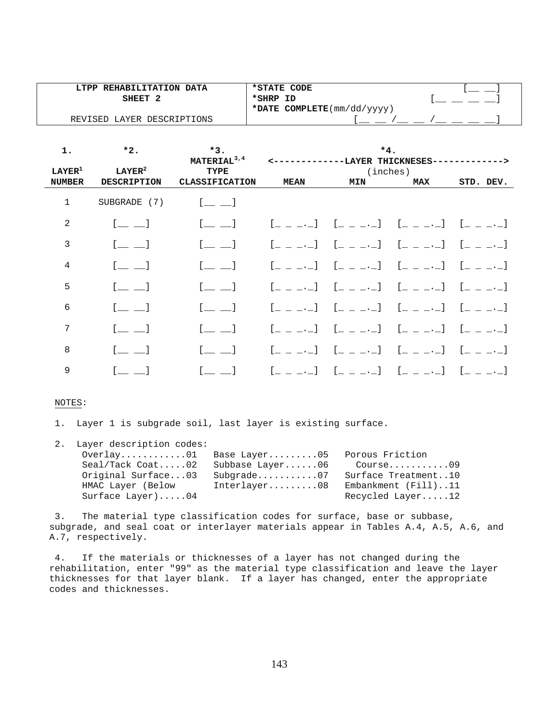| LTPP REHABILITATION DATA   | *STATE CODE                                       |  |
|----------------------------|---------------------------------------------------|--|
| SHEET                      | *SHRP ID                                          |  |
|                            | *DATE COMPLETE $(\text{mm}/\text{dd}/\text{yyy})$ |  |
| REVISED LAYER DESCRIPTIONS |                                                   |  |

| 1.                 | $*2.$                                          | $*3.$<br>MATERIAL <sup>3,4</sup>               |                                                 | $*4.$<br>------LAYER THICKNESES-              |                                                                                                                                                                                                                             | ->                                        |
|--------------------|------------------------------------------------|------------------------------------------------|-------------------------------------------------|-----------------------------------------------|-----------------------------------------------------------------------------------------------------------------------------------------------------------------------------------------------------------------------------|-------------------------------------------|
| LAYER <sup>1</sup> | LAYER <sup>2</sup>                             | TYPE                                           |                                                 |                                               | (inches)                                                                                                                                                                                                                    |                                           |
| <b>NUMBER</b>      | <b>DESCRIPTION</b>                             | <b>CLASSIFICATION</b>                          | <b>MEAN</b>                                     | <b>MIN</b>                                    | <b>MAX</b>                                                                                                                                                                                                                  | STD. DEV.                                 |
| 1                  | SUBGRADE (7)                                   | $\begin{bmatrix} 1 & 1 \\ 1 & 1 \end{bmatrix}$ |                                                 |                                               |                                                                                                                                                                                                                             |                                           |
| $\overline{2}$     | $\begin{bmatrix} 1 & 1 \\ 1 & 1 \end{bmatrix}$ | $\begin{bmatrix} 1 & 1 & 1 \end{bmatrix}$      |                                                 | [2020] [2020] [2020] [2020]                   |                                                                                                                                                                                                                             |                                           |
| 3                  |                                                | $\sim$ 1                                       | $[$ $\Box$ $\Box$ $\Box$ $\Box$                 | $[$ $\_$ $\_$ $\_$ $\_$ $\_$ $]$              | $\begin{bmatrix} 1 & 1 \\ -1 & -1 \end{bmatrix}$                                                                                                                                                                            | $\begin{bmatrix} 1 & 1 & 1 \end{bmatrix}$ |
| 4                  |                                                | $\begin{bmatrix} 1 & 1 \\ 1 & 1 \end{bmatrix}$ | $[$ $\Box$ $\Box$ $\Box$ $]$                    | $[$ $\Box$ $\Box$ $\Box$ $\Box$ $\Box$ $\Box$ | $[$ $\_$ $\_$ $\_$ $\_$ $\_$ $]$                                                                                                                                                                                            | $\begin{bmatrix} 1 & 1 & 1 \end{bmatrix}$ |
| 5                  | $[$ $\_\_$ $\_$ $]$                            | $\begin{bmatrix} 1 & 1 \\ 1 & 1 \end{bmatrix}$ | $[$ _ _ _._]                                    |                                               | $[$ $[$ $[$ $]$ $[$ $]$ $[$ $]$ $[$ $[$ $]$ $[$ $]$ $[$ $]$ $[$ $]$ $[$ $]$ $[$ $]$ $[$ $]$ $[$ $]$ $[$ $]$ $[$ $]$ $[$ $]$ $[$ $]$ $[$ $]$ $[$ $]$ $[$ $]$ $[$ $]$ $[$ $]$ $[$ $]$ $[$ $]$ $[$ $]$ $[$ $]$ $[$ $]$ $[$ $]$ | $\begin{bmatrix} 1 & 1 & 1 \end{bmatrix}$ |
| 6                  |                                                |                                                | $[$ $\_$ $\_$ $\_$ $\_$                         | $[$ $\_$ $\_$ $\_$ $\_$ $\_$ $\_$             | $[$ $\_$ $\_$ $\_$ $\_$ $\_$ $]$                                                                                                                                                                                            | $\begin{bmatrix} 1 & 1 & 1 \end{bmatrix}$ |
| 7                  | $\equiv$ 1                                     | $\sim$ 1                                       | $[$ _ _ _._]                                    | $1 - 1$                                       | $\begin{bmatrix} 1 & 1 & 1 \end{bmatrix}$                                                                                                                                                                                   | $\begin{bmatrix} 1 & 1 & 1 \end{bmatrix}$ |
| 8                  |                                                |                                                | $[$ _ _ _._]                                    | $[$ _ _ _._]                                  | $[$ $\_$ $\_$ $\_$ $\_$ $\_$ $]$                                                                                                                                                                                            |                                           |
| 9                  |                                                |                                                | $\mathfrak{l}_- \perp \_ \cdot \_ \mathfrak{l}$ | $[$ $\bot$ $\bot$ $\bot$ $\bot$               | $[$ $\Box$ $\Box$ $\Box$ $\Box$                                                                                                                                                                                             |                                           |

#### NOTES:

1. Layer 1 is subgrade soil, last layer is existing surface.

| 2. Layer description codes: |                 |                     |
|-----------------------------|-----------------|---------------------|
| Overlay01 Base Layer05      |                 | Porous Friction     |
| $Seal/Tack$ $Coat$ 02       | Subbase Layer06 | Course09            |
| Original Surface03          | $Subgrade$ 07   | Surface Treatment10 |
| HMAC Layer (Below           | Interlayer08    | Embankment (Fill)11 |
| Surface Layer) $04$         |                 | Recycled Layer12    |

 3. The material type classification codes for surface, base or subbase, subgrade, and seal coat or interlayer materials appear in Tables A.4, A.5, A.6, and A.7, respectively.

 4. If the materials or thicknesses of a layer has not changed during the rehabilitation, enter "99" as the material type classification and leave the layer thicknesses for that layer blank. If a layer has changed, enter the appropriate codes and thicknesses.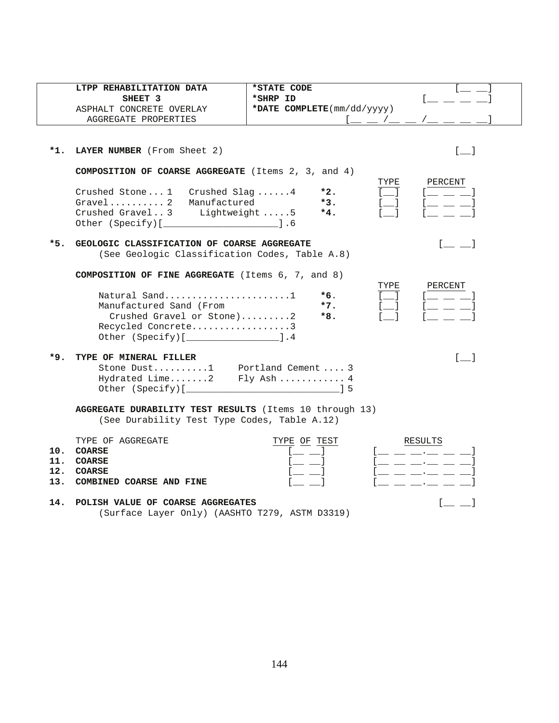|       | LTPP REHABILITATION DATA                                                                                | *STATE CODE                                |                                                                     |
|-------|---------------------------------------------------------------------------------------------------------|--------------------------------------------|---------------------------------------------------------------------|
|       | SHEET 3                                                                                                 | *SHRP ID                                   |                                                                     |
|       | ASPHALT CONCRETE OVERLAY                                                                                | *DATE COMPLETE(mm/dd/yyyy)                 |                                                                     |
|       | AGGREGATE PROPERTIES                                                                                    | $1\_\_\_\_\_\_\$ / $\_\_\_\$               |                                                                     |
|       |                                                                                                         |                                            |                                                                     |
| *1.   | LAYER NUMBER (From Sheet 2)                                                                             |                                            | $[\_$                                                               |
|       | COMPOSITION OF COARSE AGGREGATE (Items 2, 3, and 4)                                                     |                                            |                                                                     |
|       |                                                                                                         | TYPE                                       | PERCENT                                                             |
|       | Crushed Stone1 Crushed Slag4                                                                            | $\begin{bmatrix} 1 \end{bmatrix}$<br>$*2.$ | $\begin{bmatrix} 1 & 1 & 1 \end{bmatrix}$                           |
|       | Gravel 2 Manufactured                                                                                   | $*3.$<br>$\equiv$ 1<br>$*4.$               | $[$ $\_$ $\_$                                                       |
|       | Crushed Gravel3 Lightweight 5                                                                           |                                            |                                                                     |
|       |                                                                                                         |                                            |                                                                     |
| $*5.$ | GEOLOGIC CLASSIFICATION OF COARSE AGGREGATE                                                             |                                            | <b>Contract Contract</b>                                            |
|       | (See Geologic Classification Codes, Table A.8)                                                          |                                            |                                                                     |
|       |                                                                                                         |                                            |                                                                     |
|       | <b>COMPOSITION OF FINE AGGREGATE</b> (Items $6, 7,$ and $8)$                                            |                                            |                                                                     |
|       | Natural Sand1                                                                                           | TYPE<br>$*6.$<br>$\sim 1$                  | PERCENT<br>and the control                                          |
|       | Manufactured Sand (From                                                                                 | $*7.$                                      | $\frac{1}{2}$ and $\frac{1}{2}$                                     |
|       | Crushed Gravel or Stone)2                                                                               | $*8.$                                      |                                                                     |
|       | Recycled Concrete3                                                                                      |                                            |                                                                     |
|       | Other (Specify) [ __________________________ ].4                                                        |                                            |                                                                     |
| *9.   | TYPE OF MINERAL FILLER                                                                                  |                                            | $\begin{bmatrix} 1 & 1 \end{bmatrix}$                               |
|       |                                                                                                         |                                            |                                                                     |
|       | Stone Dust1 Portland Cement  3<br>Hydrated Lime2 Fly Ash 4                                              |                                            |                                                                     |
|       |                                                                                                         |                                            |                                                                     |
|       |                                                                                                         |                                            |                                                                     |
|       | AGGREGATE DURABILITY TEST RESULTS (Items 10 through 13)<br>(See Durability Test Type Codes, Table A.12) |                                            |                                                                     |
|       |                                                                                                         |                                            |                                                                     |
|       | TYPE OF AGGREGATE                                                                                       | TYPE OF TEST                               | RESULTS                                                             |
|       | 10. COARSE                                                                                              |                                            | $\frac{1}{2}$ and $\frac{1}{2}$ and $\frac{1}{2}$ and $\frac{1}{2}$ |
|       | 11. COARSE                                                                                              |                                            | $\equiv \equiv \pm \cdot \pm \pm \cdot \pm$                         |
|       | 12. COARSE                                                                                              |                                            | __ __ __.__ __ __                                                   |
|       | 13. COMBINED COARSE AND FINE                                                                            |                                            | and the contract of the contract of                                 |
| 11    | DOLTEU VALUE OF COADER ACCOFOAT                                                                         |                                            | $\blacksquare$ . The set of $\blacksquare$                          |

14. POLISH VALUE OF COARSE AGGREGATES **[** \_\_ ] (Surface Layer Only) (AASHTO T279, ASTM D3319)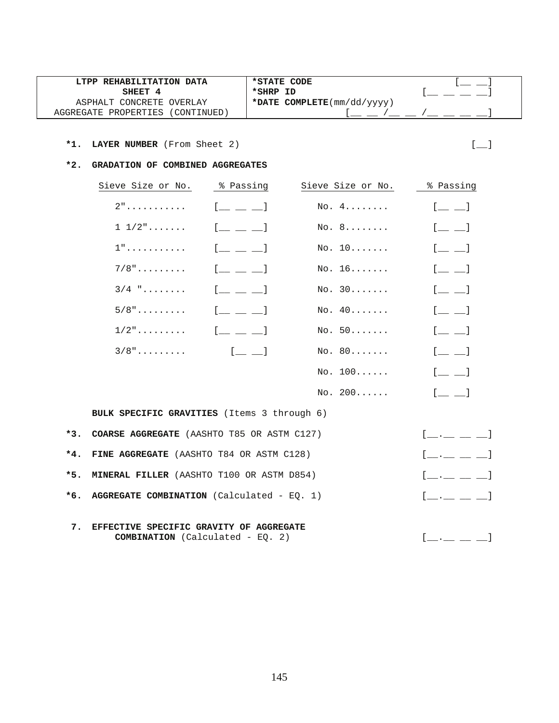| LTPP REHABILITATION DATA         | *STATE CODE                                       |  |
|----------------------------------|---------------------------------------------------|--|
| SHEET 4                          | *SHRP ID                                          |  |
| ASPHALT CONCRETE OVERLAY         | *DATE COMPLETE $(\text{mm}/\text{dd}/\text{yyy})$ |  |
| AGGREGATE PROPERTIES (CONTINUED) |                                                   |  |

 $*3.$ 

 $*4.$ 

 $*5.$ 

 $*6.$ 

#### **\*2. GRADATION OF COMBINED AGGREGATES**

|       | Sieve Size or No.                                  | % Passing                               | Sieve Size or No. | % Passing                                                                    |
|-------|----------------------------------------------------|-----------------------------------------|-------------------|------------------------------------------------------------------------------|
|       | $2"$                                               | $[$ $\perp$ $\perp$ $]$                 | No. 4.            | $[$ $\qquad \qquad$ $\qquad$                                                 |
|       | $1\;\;1/2" \ldots \ldots$                          | $[$ $\perp$ $\perp$ $\perp$             | No. 8             | $[$ $\_$ $\_$                                                                |
|       | $1"$                                               | $[$ $\perp$ $\perp$ $\perp$             | No. 10            | $[$ $\equiv$ $\equiv$ $]$                                                    |
|       | $7/8"$                                             | $[$ $\perp$ $\perp$ $\perp$             | No. 16            | $[$ $\qquad \qquad$ $\qquad$                                                 |
|       | $3/4$ "                                            | $[$ $\_$ $\_$ $\_$                      | No. 30            | $[$ $\qquad \qquad$ $\qquad$                                                 |
|       | $5/8"$                                             | $[$ $\perp$ $\perp$ $\perp$             | No. 40            | $[$ $\qquad \qquad$ $\qquad$                                                 |
|       | $1/2$ "                                            | $[$ $\perp$ $\perp$ $\perp$             | No. 50            | $[$ $\equiv$ $\equiv$ $]$                                                    |
|       | $3/8"$                                             | $[$ $[$ $\underline{]}$ $\underline{]}$ | No. 80            | $[$ $\perp$ $\perp$                                                          |
|       |                                                    |                                         | No. 100           | $[\underline{\hspace{1cm}}\underline{\hspace{1cm}}\underline{\hspace{1cm}}]$ |
|       |                                                    |                                         | No. 200           | $[$ $\qquad$ $]$                                                             |
|       | <b>BULK SPECIFIC GRAVITIES</b> (Items 3 through 6) |                                         |                   |                                                                              |
| $*3.$ | COARSE AGGREGATE (AASHTO T85 OR ASTM C127)         |                                         |                   | $[$ __ .__ __ __ ]                                                           |
| $*4.$ | FINE AGGREGATE (AASHTO T84 OR ASTM C128)           |                                         |                   | $[\_\_\_\_\_\_\_\_\_\_$                                                      |
| $*5.$ | <b>MINERAL FILLER</b> (AASHTO T100 OR ASTM D854)   |                                         |                   | $\begin{bmatrix} 1 & 1 & 1 \end{bmatrix}$                                    |
| *6.   | AGGREGATE COMBINATION (Calculated - $EQ. 1)$       |                                         |                   | $[ \quad . \qquad \qquad ]$                                                  |
| 7.    | EFFECTIVE SPECIFIC GRAVITY OF AGGREGATE            |                                         |                   |                                                                              |

**COMBINATION** (Calculated - EQ. 2)  $[\_\_\_\_\_\_\_\_\_\_\_\_$ 

145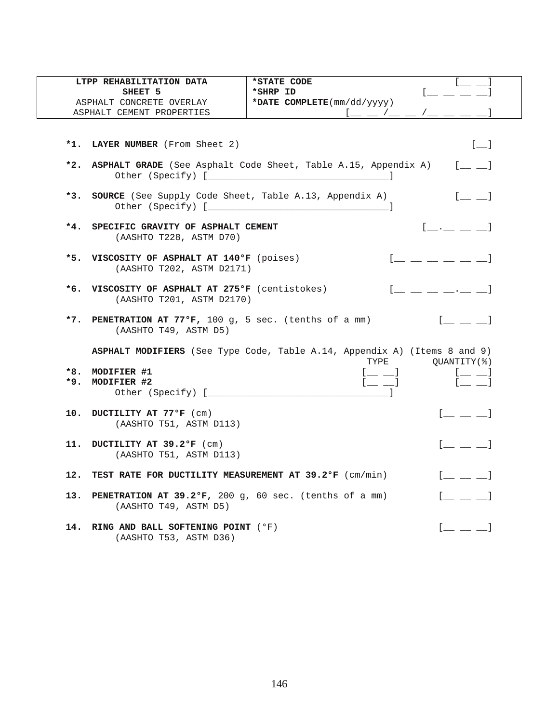|       | LTPP REHABILITATION DATA                                                         | *STATE CODE                                                                                                                                                                                                                    |                                                                                                                                                                                                                                                                                                                        |
|-------|----------------------------------------------------------------------------------|--------------------------------------------------------------------------------------------------------------------------------------------------------------------------------------------------------------------------------|------------------------------------------------------------------------------------------------------------------------------------------------------------------------------------------------------------------------------------------------------------------------------------------------------------------------|
|       | SHEET 5                                                                          | *SHRP ID                                                                                                                                                                                                                       | $\mathbf{r}$                                                                                                                                                                                                                                                                                                           |
|       | ASPHALT CONCRETE OVERLAY                                                         | *DATE COMPLETE(mm/dd/yyyy)                                                                                                                                                                                                     |                                                                                                                                                                                                                                                                                                                        |
|       | ASPHALT CEMENT PROPERTIES                                                        |                                                                                                                                                                                                                                |                                                                                                                                                                                                                                                                                                                        |
|       |                                                                                  |                                                                                                                                                                                                                                |                                                                                                                                                                                                                                                                                                                        |
|       |                                                                                  |                                                                                                                                                                                                                                |                                                                                                                                                                                                                                                                                                                        |
|       | *1. LAYER NUMBER (From Sheet 2)                                                  |                                                                                                                                                                                                                                | $[-]$                                                                                                                                                                                                                                                                                                                  |
|       |                                                                                  |                                                                                                                                                                                                                                |                                                                                                                                                                                                                                                                                                                        |
|       |                                                                                  | *2. ASPHALT GRADE (See Asphalt Code Sheet, Table A.15, Appendix A) [ _ _ ]                                                                                                                                                     |                                                                                                                                                                                                                                                                                                                        |
| $*3.$ | SOURCE (See Supply Code Sheet, Table A.13, Appendix A)                           |                                                                                                                                                                                                                                | $[$ $\Box$ $\Box$                                                                                                                                                                                                                                                                                                      |
|       | *4. SPECIFIC GRAVITY OF ASPHALT CEMENT                                           |                                                                                                                                                                                                                                | $\begin{bmatrix} 1 & 1 & 1 \end{bmatrix}$                                                                                                                                                                                                                                                                              |
|       | (AASHTO T228, ASTM D70)                                                          |                                                                                                                                                                                                                                |                                                                                                                                                                                                                                                                                                                        |
|       |                                                                                  |                                                                                                                                                                                                                                |                                                                                                                                                                                                                                                                                                                        |
|       | *5. VISCOSITY OF ASPHALT AT 140°F (poises)                                       |                                                                                                                                                                                                                                | $\begin{bmatrix} 1 & 1 & 1 & 1 \ 1 & 1 & 1 & 1 \end{bmatrix}$                                                                                                                                                                                                                                                          |
|       | (AASHTO T202, ASTM D2171)                                                        |                                                                                                                                                                                                                                |                                                                                                                                                                                                                                                                                                                        |
|       |                                                                                  |                                                                                                                                                                                                                                |                                                                                                                                                                                                                                                                                                                        |
|       | *6. VISCOSITY OF ASPHALT AT 275°F (centistokes)                                  |                                                                                                                                                                                                                                | $[$ $\frac{1}{2}$ $\frac{1}{2}$ $\frac{1}{2}$ $\frac{1}{2}$ $\frac{1}{2}$ $\frac{1}{2}$ $\frac{1}{2}$ $\frac{1}{2}$ $\frac{1}{2}$ $\frac{1}{2}$ $\frac{1}{2}$ $\frac{1}{2}$ $\frac{1}{2}$ $\frac{1}{2}$ $\frac{1}{2}$ $\frac{1}{2}$ $\frac{1}{2}$ $\frac{1}{2}$ $\frac{1}{2}$ $\frac{1}{2}$ $\frac{1}{2}$ $\frac{1}{2$ |
|       | (AASHTO T201, ASTM D2170)                                                        |                                                                                                                                                                                                                                |                                                                                                                                                                                                                                                                                                                        |
|       |                                                                                  |                                                                                                                                                                                                                                |                                                                                                                                                                                                                                                                                                                        |
|       | *7. PENETRATION AT 77ºF, 100 g, 5 sec. (tenths of a mm)<br>(AASHTO T49, ASTM D5) |                                                                                                                                                                                                                                | $\begin{bmatrix} 1 & 1 & 1 \end{bmatrix}$                                                                                                                                                                                                                                                                              |
|       |                                                                                  | ASPHALT MODIFIERS (See Type Code, Table A.14, Appendix A) (Items 8 and 9)                                                                                                                                                      |                                                                                                                                                                                                                                                                                                                        |
|       |                                                                                  | TYPE                                                                                                                                                                                                                           | QUANTITY (%)                                                                                                                                                                                                                                                                                                           |
|       | *8. MODIFIER #1                                                                  | $[$ $\_$ $\_$                                                                                                                                                                                                                  |                                                                                                                                                                                                                                                                                                                        |
|       | *9. MODIFIER #2                                                                  | $[$ $\qquad$ $\qquad$ $]$                                                                                                                                                                                                      |                                                                                                                                                                                                                                                                                                                        |
|       |                                                                                  | and the contract of the property of the contract of the contract of the contract of the contract of the contract of the contract of the contract of the contract of the contract of the contract of the contract of the contra |                                                                                                                                                                                                                                                                                                                        |
|       |                                                                                  |                                                                                                                                                                                                                                |                                                                                                                                                                                                                                                                                                                        |
|       | 10. DUCTILITY AT 77°F (cm)                                                       |                                                                                                                                                                                                                                | $[$ $\_$ $\_$ $\_$                                                                                                                                                                                                                                                                                                     |
|       | (AASHTO T51, ASTM D113)                                                          |                                                                                                                                                                                                                                |                                                                                                                                                                                                                                                                                                                        |
|       |                                                                                  |                                                                                                                                                                                                                                |                                                                                                                                                                                                                                                                                                                        |
|       | 11. DUCTILITY AT 39.2°F (cm)                                                     |                                                                                                                                                                                                                                | $[$ $\perp$ $\perp$ $\perp$                                                                                                                                                                                                                                                                                            |
|       | (AASHTO T51, ASTM D113)                                                          |                                                                                                                                                                                                                                |                                                                                                                                                                                                                                                                                                                        |
|       |                                                                                  |                                                                                                                                                                                                                                |                                                                                                                                                                                                                                                                                                                        |
|       | 12. TEST RATE FOR DUCTILITY MEASUREMENT AT 39.2°F (cm/min)                       |                                                                                                                                                                                                                                | $\begin{bmatrix} 1 & 1 & 1 \end{bmatrix}$                                                                                                                                                                                                                                                                              |
|       |                                                                                  |                                                                                                                                                                                                                                |                                                                                                                                                                                                                                                                                                                        |
|       | 13. PENETRATION AT 39.2°F, 200 g, 60 sec. (tenths of a mm)                       |                                                                                                                                                                                                                                | $\begin{bmatrix} 1 & 1 & 1 \end{bmatrix}$                                                                                                                                                                                                                                                                              |
|       | (AASHTO T49, ASTM D5)                                                            |                                                                                                                                                                                                                                |                                                                                                                                                                                                                                                                                                                        |
|       |                                                                                  |                                                                                                                                                                                                                                |                                                                                                                                                                                                                                                                                                                        |
| 14.   | RING AND BALL SOFTENING POINT (°F)                                               |                                                                                                                                                                                                                                |                                                                                                                                                                                                                                                                                                                        |
|       | (AASHTO T53, ASTM D36)                                                           |                                                                                                                                                                                                                                |                                                                                                                                                                                                                                                                                                                        |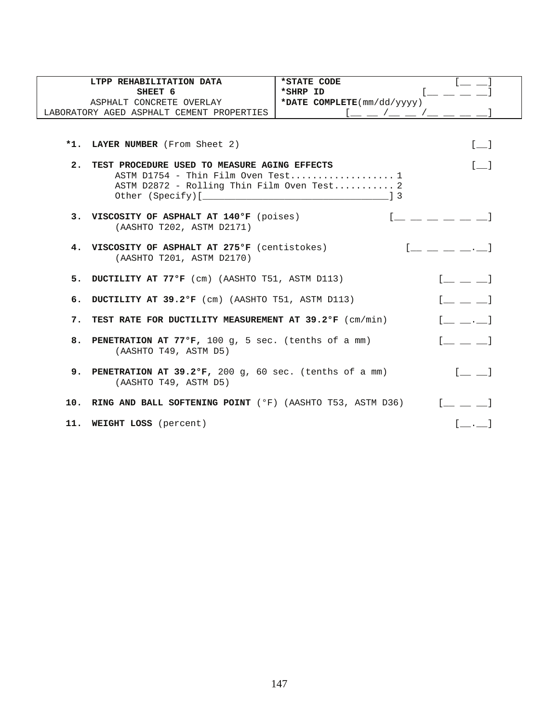|    | LTPP REHABILITATION DATA                                                                                                         | *STATE CODE                |                                           |
|----|----------------------------------------------------------------------------------------------------------------------------------|----------------------------|-------------------------------------------|
|    | SHEET 6                                                                                                                          | *SHRP ID                   |                                           |
|    | ASPHALT CONCRETE OVERLAY                                                                                                         | *DATE COMPLETE(mm/dd/yyyy) |                                           |
|    | LABORATORY AGED ASPHALT CEMENT PROPERTIES                                                                                        | $1 - 2 - 1 - 1 - 1 = -1$   |                                           |
|    | *1. LAYER NUMBER (From Sheet 2)                                                                                                  |                            | $[-]$                                     |
| 2. | TEST PROCEDURE USED TO MEASURE AGING EFFECTS<br>ASTM D1754 - Thin Film Oven Test 1<br>ASTM D2872 - Rolling Thin Film Oven Test 2 |                            | $[ \quad ]$                               |
|    | 3. VISCOSITY OF ASPHALT AT 140°F (poises)<br>(AASHTO T202, ASTM D2171)                                                           |                            |                                           |
|    | 4. VISCOSITY OF ASPHALT AT 275°F (centistokes)<br>(AASHTO T201, ASTM D2170)                                                      |                            |                                           |
|    | 5. DUCTILITY AT 77°F (cm) (AASHTO T51, ASTM D113)                                                                                |                            | $\begin{bmatrix} 1 & 1 & 1 \end{bmatrix}$ |
|    | 6. DUCTILITY AT 39.2°F (cm) (AASHTO T51, ASTM D113)                                                                              |                            | $\begin{bmatrix} 1 & 1 & 1 \end{bmatrix}$ |
|    | 7. TEST RATE FOR DUCTILITY MEASUREMENT AT 39.2°F (cm/min)                                                                        |                            | $[$ $,$ $]$                               |
|    | 8. PENETRATION AT 77°F, 100 g, 5 sec. (tenths of a mm)<br>(AASHTO T49, ASTM D5)                                                  |                            | $\begin{bmatrix} 1 & 1 & 1 \end{bmatrix}$ |
|    | 9. PENETRATION AT 39.2°F, 200 g, 60 sec. (tenths of a mm)<br>(AASHTO T49, ASTM D5)                                               |                            | $[- \ ]$                                  |
|    | 10. RING AND BALL SOFTENING POINT (°F) (AASHTO T53, ASTM D36)                                                                    |                            |                                           |
|    | 11. WEIGHT LOSS (percent)                                                                                                        |                            | $\begin{bmatrix} 1 & 1 \end{bmatrix}$     |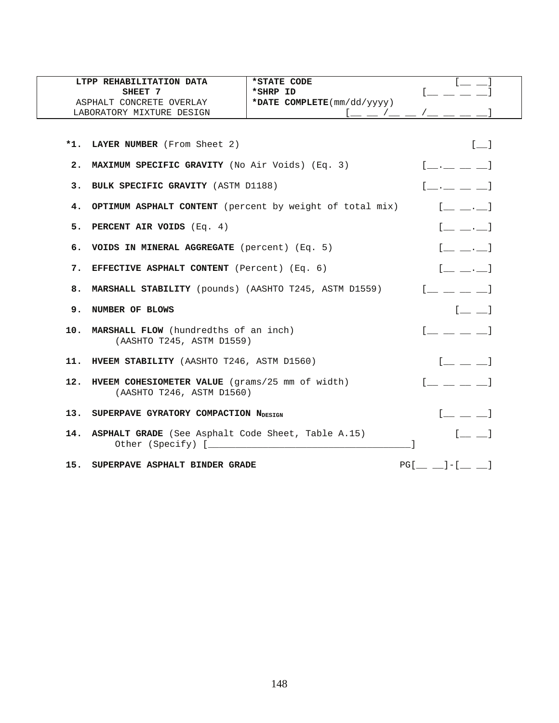|    | LTPP REHABILITATION DATA                                                                      | *STATE CODE                                                                     |                                                                        |
|----|-----------------------------------------------------------------------------------------------|---------------------------------------------------------------------------------|------------------------------------------------------------------------|
|    | SHEET 7                                                                                       | *SHRP ID                                                                        |                                                                        |
|    | ASPHALT CONCRETE OVERLAY                                                                      | *DATE COMPLETE(mm/dd/yyyy)                                                      |                                                                        |
|    | LABORATORY MIXTURE DESIGN                                                                     |                                                                                 |                                                                        |
|    |                                                                                               |                                                                                 |                                                                        |
|    | *1. LAYER NUMBER (From Sheet 2)                                                               |                                                                                 | $\begin{bmatrix} 1 & 1 \end{bmatrix}$                                  |
|    | 2. MAXIMUM SPECIFIC GRAVITY (No Air Voids) (Eq. 3)                                            |                                                                                 | $[$ __ _ _ _ _ ]                                                       |
| 3. | BULK SPECIFIC GRAVITY (ASTM D1188)                                                            |                                                                                 | $\begin{bmatrix} 1 & 1 & 1 & 1 \\ 1 & 1 & 1 & 1 \end{bmatrix}$         |
|    | 4. OPTIMUM ASPHALT CONTENT (percent by weight of total mix)                                   |                                                                                 | $[$                                                                    |
|    | 5. PERCENT AIR VOIDS (Eq. 4)                                                                  |                                                                                 | $[$ <sub>__</sub> __ .__ $]$                                           |
|    | 6. VOIDS IN MINERAL AGGREGATE (percent) (Eq. 5)                                               |                                                                                 | $[$ $\underline{\qquad}$ $\underline{\qquad}$ $\underline{\qquad}$ $]$ |
|    | 7. EFFECTIVE ASPHALT CONTENT (Percent) (Eq. 6)                                                | $[$ $\ldots$ $\ldots]$                                                          |                                                                        |
|    | 8. MARSHALL STABILITY (pounds) (AASHTO T245, ASTM D1559)                                      | $\begin{bmatrix} 1 & 1 & 1 & 1 \\ 1 & 1 & 1 & 1 \\ 1 & 1 & 1 & 1 \end{bmatrix}$ |                                                                        |
|    | 9. NUMBER OF BLOWS                                                                            | $[$ <sub><math>-</math></sub> $]$                                               |                                                                        |
|    | 10. MARSHALL FLOW (hundredths of an inch)<br>(AASHTO T245, ASTM D1559)                        | $\begin{bmatrix} 1 & 1 & 1 & 1 \\ 1 & 1 & 1 & 1 \\ 1 & 1 & 1 & 1 \end{bmatrix}$ |                                                                        |
|    | 11. HVEEM STABILITY (AASHTO T246, ASTM D1560)                                                 |                                                                                 | $\begin{bmatrix} 1 & 1 & 1 \end{bmatrix}$                              |
|    | 12. HVEEM COHESIOMETER VALUE (grams/25 mm of width)<br>(AASHTO T246, ASTM D1560)              | $\begin{bmatrix} 1 & 1 & 1 & 1 \\ 1 & 1 & 1 & 1 \\ 1 & 1 & 1 & 1 \end{bmatrix}$ |                                                                        |
|    | 13. SUPERPAVE GYRATORY COMPACTION NDESIGN                                                     | $[$ $\_$ $\_$ $]$                                                               |                                                                        |
|    | 14. ASPHALT GRADE (See Asphalt Code Sheet, Table A.15)<br>Other (Specify) [ <i>__________</i> |                                                                                 | $[$ $\qquad$ $]$                                                       |
|    | 15. SUPERPAVE ASPHALT BINDER GRADE                                                            |                                                                                 | $PG[\_\_]=[-[\_\_]=[\_\_]=]$                                           |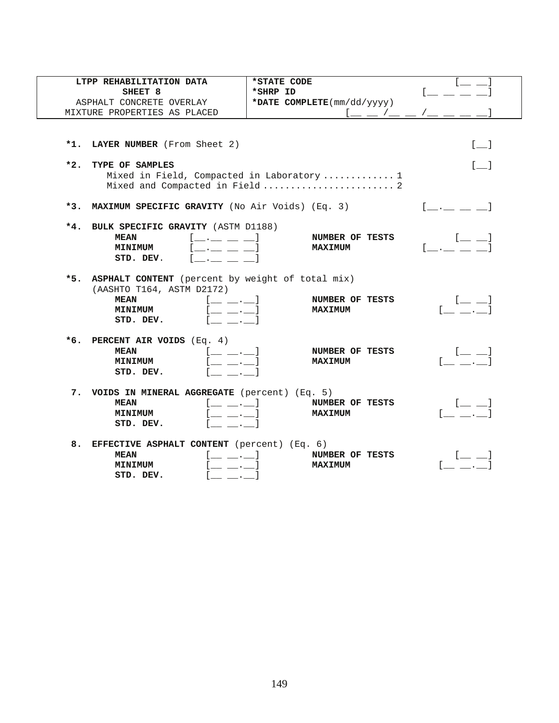| LTPP REHABILITATION DATA                                                                                                                                                                                                                                                                       | *STATE CODE                                                                   |                                                                                         |
|------------------------------------------------------------------------------------------------------------------------------------------------------------------------------------------------------------------------------------------------------------------------------------------------|-------------------------------------------------------------------------------|-----------------------------------------------------------------------------------------|
| SHEET 8                                                                                                                                                                                                                                                                                        | *SHRP ID                                                                      |                                                                                         |
| ASPHALT CONCRETE OVERLAY                                                                                                                                                                                                                                                                       | *DATE COMPLETE(mm/dd/yyyy)                                                    |                                                                                         |
| MIXTURE PROPERTIES AS PLACED                                                                                                                                                                                                                                                                   | $1 \underline{\qquad}$ $\underline{\qquad}$ $\underline{\qquad}$              |                                                                                         |
| LAYER NUMBER (From Sheet 2)<br>$*1.$                                                                                                                                                                                                                                                           |                                                                               | $[-]$                                                                                   |
| $*2.$<br>TYPE OF SAMPLES                                                                                                                                                                                                                                                                       | Mixed in Field, Compacted in Laboratory  1<br>Mixed and Compacted in Field  2 | $\begin{bmatrix} 1 & 1 \\ 1 & 1 \end{bmatrix}$                                          |
| *3. MAXIMUM SPECIFIC GRAVITY (No Air Voids) (Eq. 3)                                                                                                                                                                                                                                            |                                                                               | $\begin{bmatrix} 1 & 1 & 1 \end{bmatrix}$                                               |
| $*4.$<br>BULK SPECIFIC GRAVITY (ASTM D1188)<br>$[\underline{\phantom{a}} \underline{\phantom{a}} \underline{\phantom{a}} \underline{\phantom{a}} \underline{\phantom{a}} \underline{\phantom{a}}]$<br><b>MEAN</b><br><b>MINIMUM</b><br>STD. DEV.<br><b>Contract Contract Contract Contract</b> | NUMBER OF TESTS<br><b>MAXIMUM</b>                                             | $\begin{bmatrix} 1 & 1 \\ 1 & 1 \end{bmatrix}$<br>$\mathbf{L}$ , the state $\mathbf{L}$ |
| *5. ASPHALT CONTENT (percent by weight of total mix)<br>(AASHTO T164, ASTM D2172)<br><b>MEAN</b><br>$[$ $\_\_$ $\_\_$<br>. 1<br><b>MINIMUM</b><br>STD. DEV.                                                                                                                                    | NUMBER OF TESTS<br><b>MAXIMUM</b>                                             | [2010]                                                                                  |
| *6. PERCENT AIR VOIDS $(Eq. 4)$<br>$[$ _ _ . _ $]$<br><b>MEAN</b><br><b>MINIMUM</b><br>STD. DEV.                                                                                                                                                                                               | NUMBER OF TESTS<br><b>MAXIMUM</b>                                             | $[$ $\perp$ $\perp$<br><b>Communication</b>                                             |
| 7. VOIDS IN MINERAL AGGREGATE (percent) (Eq. 5)<br><b>MEAN</b><br><b>MINIMUM</b><br>$\sim$ $\sim$ $\sim$ $\sim$<br>STD. DEV.                                                                                                                                                                   | NUMBER OF TESTS<br><b>MAXIMUM</b>                                             | $\mathsf{L} = \mathsf{L}$ .                                                             |
| 8. EFFECTIVE ASPHALT CONTENT (percent) (Eq. 6)<br><b>MEAN</b><br><b>MINIMUM</b><br>STD. DEV.<br>$\mathcal{L} = \mathcal{L} \mathcal{L}$                                                                                                                                                        | NUMBER OF TESTS<br><b>MAXIMUM</b>                                             |                                                                                         |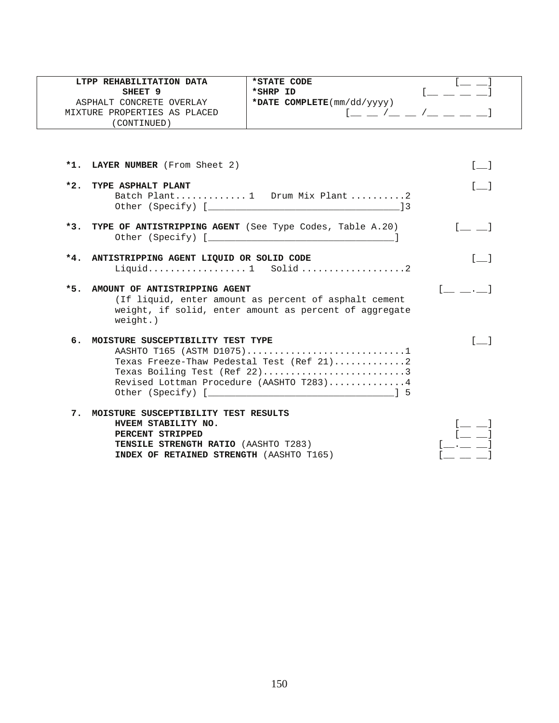| LTPP REHABILITATION DATA                                     | *STATE CODE                                            |                                                                                                                                                                                                                                                                                                                                                                                                                                                                                                                                                                                     |
|--------------------------------------------------------------|--------------------------------------------------------|-------------------------------------------------------------------------------------------------------------------------------------------------------------------------------------------------------------------------------------------------------------------------------------------------------------------------------------------------------------------------------------------------------------------------------------------------------------------------------------------------------------------------------------------------------------------------------------|
| SHEET 9                                                      | *SHRP ID                                               |                                                                                                                                                                                                                                                                                                                                                                                                                                                                                                                                                                                     |
| ASPHALT CONCRETE OVERLAY                                     | *DATE COMPLETE(mm/dd/yyyy)                             |                                                                                                                                                                                                                                                                                                                                                                                                                                                                                                                                                                                     |
| MIXTURE PROPERTIES AS PLACED                                 |                                                        | $[$ $\_\_$ $\_\_$ $/$ $\_\_$ $\_\_$ $/$ $\_\_$ $\_\_$ $\_\_$                                                                                                                                                                                                                                                                                                                                                                                                                                                                                                                        |
| (CONTINUED)                                                  |                                                        |                                                                                                                                                                                                                                                                                                                                                                                                                                                                                                                                                                                     |
|                                                              |                                                        |                                                                                                                                                                                                                                                                                                                                                                                                                                                                                                                                                                                     |
|                                                              |                                                        |                                                                                                                                                                                                                                                                                                                                                                                                                                                                                                                                                                                     |
| *1. LAYER NUMBER (From Sheet 2)                              |                                                        | $\sqrt{1}$                                                                                                                                                                                                                                                                                                                                                                                                                                                                                                                                                                          |
| *2. TYPE ASPHALT PLANT                                       |                                                        | $\sqrt{1}$                                                                                                                                                                                                                                                                                                                                                                                                                                                                                                                                                                          |
|                                                              | Batch Plant 1 Drum Mix Plant2                          |                                                                                                                                                                                                                                                                                                                                                                                                                                                                                                                                                                                     |
|                                                              |                                                        |                                                                                                                                                                                                                                                                                                                                                                                                                                                                                                                                                                                     |
|                                                              |                                                        |                                                                                                                                                                                                                                                                                                                                                                                                                                                                                                                                                                                     |
| *3. TYPE OF ANTISTRIPPING AGENT (See Type Codes, Table A.20) |                                                        | $\begin{bmatrix} 1 & 1 \\ 1 & 1 \end{bmatrix}$                                                                                                                                                                                                                                                                                                                                                                                                                                                                                                                                      |
|                                                              |                                                        |                                                                                                                                                                                                                                                                                                                                                                                                                                                                                                                                                                                     |
|                                                              |                                                        |                                                                                                                                                                                                                                                                                                                                                                                                                                                                                                                                                                                     |
| *4. ANTISTRIPPING AGENT LIQUID OR SOLID CODE                 |                                                        | $\begin{bmatrix} 1 & 1 \end{bmatrix}$                                                                                                                                                                                                                                                                                                                                                                                                                                                                                                                                               |
|                                                              | Liquid 1 Solid2                                        |                                                                                                                                                                                                                                                                                                                                                                                                                                                                                                                                                                                     |
|                                                              |                                                        |                                                                                                                                                                                                                                                                                                                                                                                                                                                                                                                                                                                     |
| *5. AMOUNT OF ANTISTRIPPING AGENT                            | (If liquid, enter amount as percent of asphalt cement  | $\begin{array}{ccc} \begin{array}{ccc} \end{array} & \begin{array}{ccc} \end{array} & \begin{array}{ccc} \end{array} & \begin{array}{ccc} \end{array} & \begin{array}{ccc} \end{array} & \begin{array}{ccc} \end{array} & \begin{array}{ccc} \end{array} & \begin{array}{ccc} \end{array} & \begin{array}{ccc} \end{array} & \begin{array}{ccc} \end{array} & \begin{array}{ccc} \end{array} & \begin{array}{ccc} \end{array} & \begin{array}{ccc} \end{array} & \begin{array}{ccc} \end{array} & \begin{array}{ccc} \end{array} & \begin{array}{ccc} \end{array} & \begin{array}{$ |
|                                                              | weight, if solid, enter amount as percent of aggregate |                                                                                                                                                                                                                                                                                                                                                                                                                                                                                                                                                                                     |
| $weight.$ )                                                  |                                                        |                                                                                                                                                                                                                                                                                                                                                                                                                                                                                                                                                                                     |
|                                                              |                                                        |                                                                                                                                                                                                                                                                                                                                                                                                                                                                                                                                                                                     |
| 6. MOISTURE SUSCEPTIBILITY TEST TYPE                         |                                                        | $\sqrt{1}$                                                                                                                                                                                                                                                                                                                                                                                                                                                                                                                                                                          |
|                                                              | AASHTO T165 (ASTM D1075)1                              |                                                                                                                                                                                                                                                                                                                                                                                                                                                                                                                                                                                     |
|                                                              | Texas Freeze-Thaw Pedestal Test (Ref 21)2              |                                                                                                                                                                                                                                                                                                                                                                                                                                                                                                                                                                                     |
|                                                              | Texas Boiling Test (Ref 22)3                           |                                                                                                                                                                                                                                                                                                                                                                                                                                                                                                                                                                                     |
|                                                              | Revised Lottman Procedure (AASHTO T283)4               |                                                                                                                                                                                                                                                                                                                                                                                                                                                                                                                                                                                     |
|                                                              |                                                        |                                                                                                                                                                                                                                                                                                                                                                                                                                                                                                                                                                                     |
| 7. MOISTURE SUSCEPTIBILITY TEST RESULTS                      |                                                        |                                                                                                                                                                                                                                                                                                                                                                                                                                                                                                                                                                                     |
| HVEEM STABILITY NO.                                          |                                                        |                                                                                                                                                                                                                                                                                                                                                                                                                                                                                                                                                                                     |
| PERCENT STRIPPED                                             |                                                        |                                                                                                                                                                                                                                                                                                                                                                                                                                                                                                                                                                                     |
| TENSILE STRENGTH RATIO (AASHTO T283)                         |                                                        |                                                                                                                                                                                                                                                                                                                                                                                                                                                                                                                                                                                     |
| INDEX OF RETAINED STRENGTH (AASHTO T165)                     |                                                        |                                                                                                                                                                                                                                                                                                                                                                                                                                                                                                                                                                                     |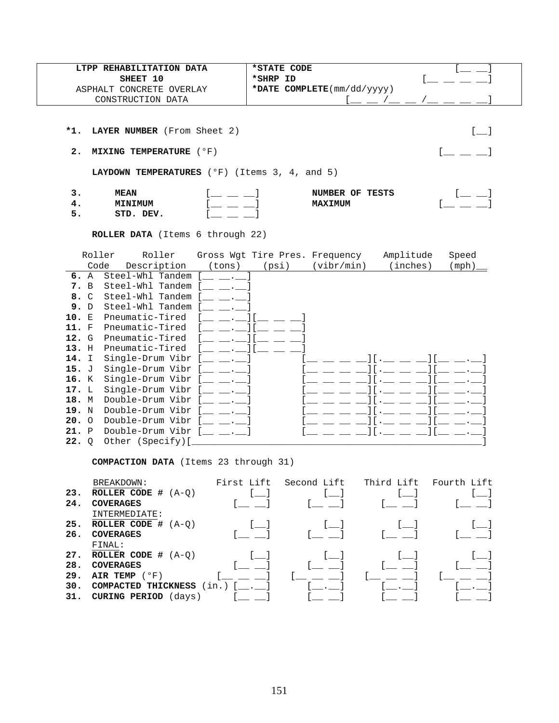| LTPP REHABILITATION DATA                                        | *STATE CODE                                     |  |
|-----------------------------------------------------------------|-------------------------------------------------|--|
| SHEET 10                                                        | *SHRP ID                                        |  |
| ASPHALT CONCRETE OVERLAY                                        | *DATE COMPLETE $\text{mm}/\text{dd}/\text{yyy}$ |  |
| CONSTRUCTION DATA                                               |                                                 |  |
|                                                                 |                                                 |  |
| *1. LAYER NUMBER (From Sheet 2)                                 |                                                 |  |
| 2. MIXING TEMPERATURE $(°F)$                                    |                                                 |  |
| <b>LAYDOWN TEMPERATURES</b> ( $^{\circ}$ F) (Items 3, 4, and 5) |                                                 |  |
| з.<br><b>MEAN</b><br><b>MINIMUM</b><br>4.<br>5.<br>STD. DEV.    | NUMBER OF TESTS<br><b>MAXIMUM</b>               |  |

**ROLLER DATA** (Items 6 through 22)

|       | Roller       | Roller           |        | Gross Wgt Tire Pres. Frequency |            | Amplitude | Speed |
|-------|--------------|------------------|--------|--------------------------------|------------|-----------|-------|
|       | Code         | Description      | (tons) | (psi)                          | (vibr/min) | (inches)  | (mph) |
| 6. A  |              | Steel-Whl Tandem |        |                                |            |           |       |
| 7.    | B            | Steel-Whl Tandem |        |                                |            |           |       |
| 8. C  |              | Steel-Whl Tandem |        |                                |            |           |       |
| 9.    | D            | Steel-Whl Tandem |        |                                |            |           |       |
| 10. E |              | Pneumatic-Tired  |        |                                |            |           |       |
| 11.   | F            | Pneumatic-Tired  |        |                                |            |           |       |
| 12. G |              | Pneumatic-Tired  |        |                                |            |           |       |
| 13. H |              | Pneumatic-Tired  |        |                                |            |           |       |
| 14.   | I            | Single-Drum Vibr |        |                                |            |           |       |
| 15. J |              | Single-Drum Vibr |        |                                |            |           |       |
| 16. K |              | Single-Drum Vibr |        |                                |            |           |       |
| 17.   | L            | Single-Drum Vibr |        |                                |            |           |       |
| 18.   | M            | Double-Drum Vibr |        |                                |            |           |       |
| 19.   | N            | Double-Drum Vibr |        |                                |            |           |       |
| 20.   | $\Omega$     | Double-Drum Vibr |        |                                |            |           |       |
| 21.   | $\mathbf{P}$ | Double-Drum Vibr |        |                                |            |           |       |
| 22.   | Q            | Other (Specify)[ |        |                                |            |           |       |

**COMPACTION DATA** (Items 23 through 31)

|     | BREAKDOWN:                  | First Lift                 | Second Lift | Third Lift | Fourth Lift |
|-----|-----------------------------|----------------------------|-------------|------------|-------------|
| 23. | ROLLER CODE $#$ $(A-Q)$     |                            |             |            |             |
| 24. | <b>COVERAGES</b>            |                            |             |            |             |
|     | INTERMEDIATE:               |                            |             |            |             |
| 25. | ROLLER CODE $#$ $(A-O)$     |                            |             |            |             |
| 26. | <b>COVERAGES</b>            |                            |             |            |             |
|     | FINAL:                      |                            |             |            |             |
| 27. | ROLLER CODE $#$ $(A-O)$     |                            |             |            |             |
| 28. | <b>COVERAGES</b>            |                            |             |            |             |
| 29. | AIR TEMP $(°F)$             |                            |             |            |             |
| 30. | COMPACTED THICKNESS         | $(in.)$ [ $\blacksquare$ ] |             |            |             |
| 31. | <b>CURING PERIOD</b> (days) |                            |             |            |             |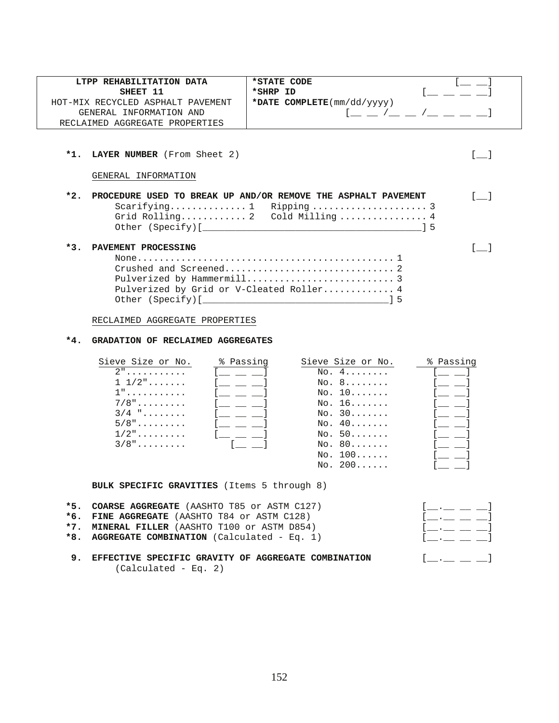| LTPP REHABILITATION DATA<br>SHEET 11                                                                                                                                                                                                                                                                                                | *STATE CODE<br>*SHRP ID                                                                                                                        |
|-------------------------------------------------------------------------------------------------------------------------------------------------------------------------------------------------------------------------------------------------------------------------------------------------------------------------------------|------------------------------------------------------------------------------------------------------------------------------------------------|
| HOT-MIX RECYCLED ASPHALT PAVEMENT                                                                                                                                                                                                                                                                                                   | *DATE COMPLETE(mm/dd/yyyy)                                                                                                                     |
| GENERAL INFORMATION AND                                                                                                                                                                                                                                                                                                             | $1 - 2 - 1 - 1 - 1 = 1$                                                                                                                        |
| RECLAIMED AGGREGATE PROPERTIES                                                                                                                                                                                                                                                                                                      |                                                                                                                                                |
|                                                                                                                                                                                                                                                                                                                                     |                                                                                                                                                |
| $*1.$<br>LAYER NUMBER (From Sheet 2)                                                                                                                                                                                                                                                                                                | $\begin{bmatrix} 1 & 1 \end{bmatrix}$                                                                                                          |
| GENERAL INFORMATION                                                                                                                                                                                                                                                                                                                 |                                                                                                                                                |
| $*2.$                                                                                                                                                                                                                                                                                                                               | PROCEDURE USED TO BREAK UP AND/OR REMOVE THE ASPHALT PAVEMENT<br>$\begin{bmatrix} 1 & 1 \end{bmatrix}$<br>Grid Rolling 2 Cold Milling  4<br>15 |
| *3.<br>PAVEMENT PROCESSING<br>RECLAIMED AGGREGATE PROPERTIES                                                                                                                                                                                                                                                                        | $\begin{bmatrix} 1 & 1 \end{bmatrix}$<br>Pulverized by Grid or V-Cleated Roller 4                                                              |
| $*4.$<br>GRADATION OF RECLAIMED AGGREGATES                                                                                                                                                                                                                                                                                          |                                                                                                                                                |
| Sieve Size or No.<br>% Passing<br>$\overline{1}$<br>$2^{\mathsf{n}}$<br>$1\;\;1/2"$<br>$\mathbb{R}^n$ . The set of $\mathbb{R}^n$<br>$1"$<br>[ __ __ __<br>$7/8"$<br>$[$ $\perp$ $\perp$ $\perp$<br>$3/4$ "<br>$[$ $\_\_$ $\_\_$<br>$5/8"$<br>$[$ $\perp$ $\perp$ $\perp$ $]$<br>$1/2$ "<br><u>لــــــــــــــــــــا</u><br>$3/8"$ | Sieve Size or No.<br>% Passing<br>NO, 4,<br>No. 8<br>No. 10<br>No. 16<br>No. 30<br>No. 40<br>No. 50<br>NO. 80<br>No. 100<br>NO. 200            |

**BULK SPECIFIC GRAVITIES** (Items 5 through 8)

| *5. COARSE AGGREGATE (AASHTO T85 or ASTM C127)         | $\begin{array}{ccc} 1 & . & . & . \end{array}$         |
|--------------------------------------------------------|--------------------------------------------------------|
| *6. FINE AGGREGATE (AASHTO T84 or ASTM C128)           | $[$ $\ldots$ $\ldots$ $\ldots$ $]$                     |
| *7. MINERAL FILLER (AASHTO T100 or ASTM D854)          |                                                        |
| *8. AGGREGATE COMBINATION (Calculated - Eq. 1)         | $1 \qquad \qquad 1$                                    |
|                                                        |                                                        |
| 9. EFFECTIVE SPECIFIC GRAVITY OF AGGREGATE COMBINATION | $\begin{bmatrix} 1 & 1 & 1 \\ 1 & 1 & 1 \end{bmatrix}$ |

(Calculated - Eq. 2)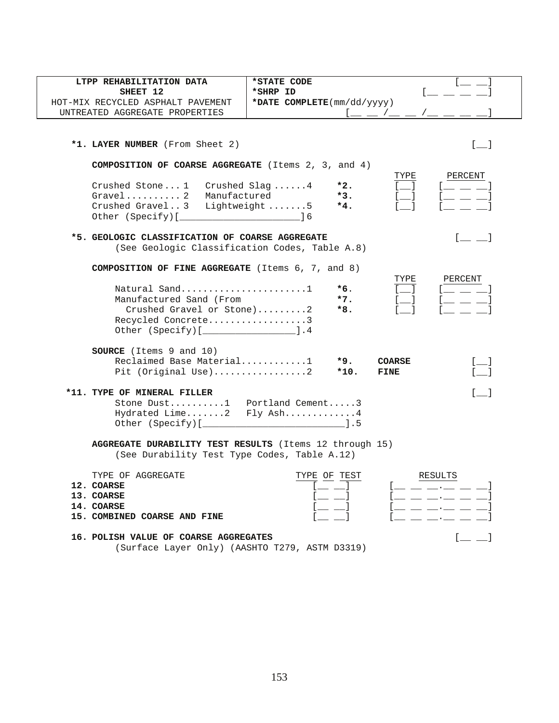| LTPP REHABILITATION DATA                                   | *STATE CODE                                                     |
|------------------------------------------------------------|-----------------------------------------------------------------|
| SHEET 12                                                   | *SHRP ID                                                        |
| HOT-MIX RECYCLED ASPHALT PAVEMENT                          | *DATE $COMPLETE(mm/dd/yyyy)$                                    |
| UNTREATED AGGREGATE PROPERTIES                             |                                                                 |
|                                                            |                                                                 |
|                                                            |                                                                 |
| *1. LAYER NUMBER (From Sheet 2)                            | $\begin{bmatrix} 1 & 1 \end{bmatrix}$                           |
|                                                            |                                                                 |
| <b>COMPOSITION OF COARSE AGGREGATE</b> (Items 2, 3, and 4) |                                                                 |
| Crushed Stone $1$ Crushed Slag 4                           | TYPE<br>PERCENT<br>$*2.$                                        |
| Gravel 2 Manufactured                                      | $*3.$                                                           |
| Crushed Gravel3                                            | Lightweight 5<br>$*4.$                                          |
|                                                            |                                                                 |
|                                                            |                                                                 |
| *5. GEOLOGIC CLASSIFICATION OF COARSE AGGREGATE            | $\begin{bmatrix} 1 & 1 \\ 1 & 1 \end{bmatrix}$                  |
| (See Geologic Classification Codes, Table A.8)             |                                                                 |
| COMPOSITION OF FINE AGGREGATE (Items 6, 7, and 8)          |                                                                 |
|                                                            | TYPE<br>PERCENT                                                 |
|                                                            | $*6.$                                                           |
| Manufactured Sand (From                                    | $*7.$                                                           |
| Crushed Gravel or Stone)2                                  | $*8.$                                                           |
| Recycled Concrete3                                         |                                                                 |
| Other (Specify) [ ____________________].4                  |                                                                 |
| <b>SOURCE</b> (Items 9 and 10)                             |                                                                 |
| Reclaimed Base Material1                                   | *9.<br><b>COARSE</b>                                            |
| Pit (Original Use)2                                        | $*10.$<br>FINE                                                  |
|                                                            |                                                                 |
| *11. TYPE OF MINERAL FILLER                                | $\lceil$ 1                                                      |
| Stone Dust1 Portland Cement3                               |                                                                 |
| Hydrated Lime2 Fly Ash4                                    |                                                                 |
|                                                            |                                                                 |
| AGGREGATE DURABILITY TEST RESULTS (Items 12 through 15)    |                                                                 |
| (See Durability Test Type Codes, Table A.12)               |                                                                 |
|                                                            |                                                                 |
| TYPE OF AGGREGATE                                          | TYPE OF TEST<br>RESULTS                                         |
| 12. COARSE<br>13. COARSE                                   |                                                                 |
| 14. COARSE                                                 | [ <u>_ _ _ _ . _</u> _ _<br>the contract of the contract of the |
| 15. COMBINED COARSE AND FINE                               |                                                                 |
|                                                            |                                                                 |
| 16. POLISH VALUE OF COARSE AGGREGATES                      |                                                                 |

(Surface Layer Only) (AASHTO T279, ASTM D3319)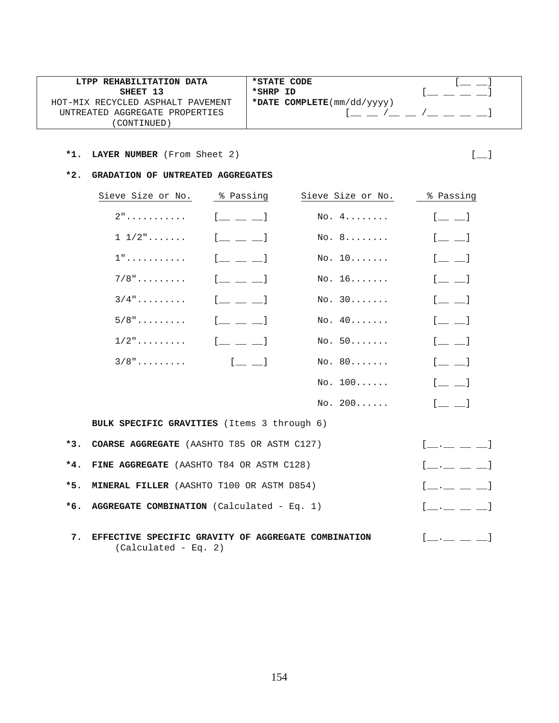| LTPP REHABILITATION DATA          | *STATE CODE                |  |
|-----------------------------------|----------------------------|--|
| SHEET 13                          | *SHRP ID                   |  |
| HOT-MIX RECYCLED ASPHALT PAVEMENT | *DATE COMPLETE(mm/dd/yyyy) |  |
| UNTREATED AGGREGATE PROPERTIES    |                            |  |
| CONTINUED)                        |                            |  |

#### **\*2. GRADATION OF UNTREATED AGGREGATES**

|       | Sieve Size or No.                                   | % Passing                                 | Sieve Size or No. | % Passing                                 |
|-------|-----------------------------------------------------|-------------------------------------------|-------------------|-------------------------------------------|
|       | $2"$                                                | $\begin{bmatrix} 1 & 1 & 1 \end{bmatrix}$ | No. 4.            | $[$ $\qquad$ $]$                          |
|       | $1\;\;1/2"$                                         | $[$ $\perp$ $\perp$ $\perp$               | No. 8             | $[$ $\_\_$ $\_\_$                         |
|       | $1"$                                                | $[$ $\perp$ $\perp$ $\perp$               | No. 10            | $[$ $\equiv$ $\equiv$ $]$                 |
|       | $7/8"$                                              | $[$ $\_$ $\_$ $\_$                        | No. 16            | $[$ $\Box$ $\Box$ $]$                     |
|       | $3/4$ "                                             | $[$ $\perp$ $\perp$ $\perp$               | No. 30            | $[$ $\equiv$ $\equiv$ $]$                 |
|       | $5/8"$                                              | $[$ $\perp$ $\perp$ $\perp$               | No. 40            | $[$ $\qquad$ $\qquad$ $\qquad$            |
|       | $1/2$ "                                             | $[$ $\perp$ $\perp$ $\perp$               | No. 50            | $[$ $\_\_$ $\_\_$                         |
|       | $3/8"$                                              | $\sim$ 1 $\sim$ 1                         | No. 80            | $[$ $\_\_$ $\_\_$                         |
|       |                                                     |                                           | No. 100           | $[\underline{\qquad} \underline{\qquad}]$ |
|       |                                                     |                                           | No. 200           | $[$ <sub><math>-</math></sub> $]$         |
|       | <b>BULK SPECIFIC GRAVITIES</b> (Items 3 through 6)  |                                           |                   |                                           |
| $*3.$ | COARSE AGGREGATE (AASHTO T85 OR ASTM C127)          |                                           |                   | $[\_\_\_\_\_\_\_\]\_\_$                   |
| $*4.$ | FINE AGGREGATE (AASHTO T84 OR ASTM C128)            |                                           |                   | $[$ $\_\_$ $\_\_$ $\_\_$ $\_\_$ $\_\_$    |
| $*5.$ | <b>MINERAL FILLER</b> (AASHTO T100 OR ASTM D854)    |                                           |                   | $[$ __ _ _ _ _ $]$                        |
| $*6.$ | AGGREGATE COMBINATION (Calculated - Eq. 1)          |                                           |                   | $[$ $\ldots$ $\ldots$ $\ldots$ $]$        |
|       |                                                     |                                           |                   |                                           |
| 7.    | EFFECTIVE SPECIFIC GRAVITY OF AGGREGATE COMBINATION |                                           |                   | [____ __ __]                              |

(Calculated - Eq. 2)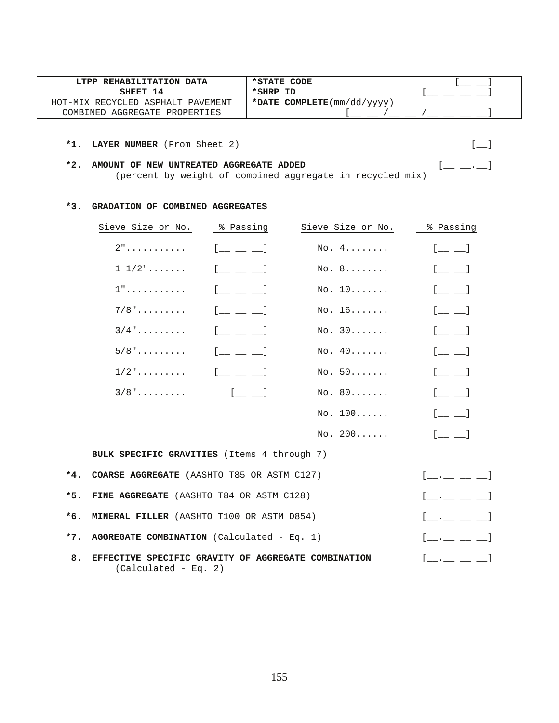| LTPP REHABILITATION DATA          | *STATE CODE                  |  |
|-----------------------------------|------------------------------|--|
| SHEET 14                          | *SHRP ID                     |  |
| HOT-MIX RECYCLED ASPHALT PAVEMENT | *DATE $COMPLETE(mm/dd/yyyy)$ |  |
| COMBINED AGGREGATE PROPERTIES     |                              |  |

| *2. AMOUNT OF NEW UNTREATED AGGREGATE ADDED               | $\begin{bmatrix} 1 & 1 & 1 \end{bmatrix}$ |
|-----------------------------------------------------------|-------------------------------------------|
| (percent by weight of combined aggregate in recycled mix) |                                           |

#### **\*3. GRADATION OF COMBINED AGGREGATES**

|       | Sieve Size or No.                                                             | % Passing                                 | Sieve Size or No. | % Passing                                                    |
|-------|-------------------------------------------------------------------------------|-------------------------------------------|-------------------|--------------------------------------------------------------|
|       | $2"$                                                                          | $[$ $\perp$ $\perp$ $\perp$               | No. 4.            | $[$ $\Box$                                                   |
|       | $1\;\;1/2" \ldots \ldots$                                                     | $[$ $\perp$ $\perp$ $\perp$               | No. 8             | $[\underline{\qquad} \underline{\qquad}]$                    |
|       | $1"$                                                                          | $[$ $\perp$ $\perp$ $\perp$               | No. 10            | $[$ $\qquad \qquad$ $\qquad$                                 |
|       | $7/8$ "                                                                       | $\begin{bmatrix} 1 & 1 & 1 \end{bmatrix}$ | No. 16            | $[$ $\qquad$ $\qquad$ $]$                                    |
|       | $3/4$ "                                                                       | $[$ $\_$ $\_$ $\_$                        | No. 30            | $[$ $\qquad \qquad$ $\qquad$                                 |
|       | $5/8"$                                                                        | $[$ $\perp$ $\perp$ $\perp$               | No. 40            | $[$ $\qquad \qquad$ $\qquad$                                 |
|       | $1/2$ "                                                                       | $[$ $\perp$ $\perp$ $\perp$               | No. 50            | $[$ $\perp$ $\perp$                                          |
|       | $3/8"$                                                                        | $[$ $[$ $]$ $[$ $]$                       | NO. 80            | $[$ $\qquad$ $\qquad$ $]$                                    |
|       |                                                                               |                                           | NO. 100           | $[$ $\qquad \qquad$ $\qquad$                                 |
|       |                                                                               |                                           | NO. 200           | $\begin{bmatrix} 1 & 1 \\ 1 & 1 \end{bmatrix}$               |
|       | BULK SPECIFIC GRAVITIES (Items 4 through 7)                                   |                                           |                   |                                                              |
| *4.   | <b>COARSE AGGREGATE</b> (AASHTO T85 OR ASTM C127)                             |                                           |                   |                                                              |
| $*5.$ | FINE AGGREGATE (AASHTO T84 OR ASTM C128)                                      |                                           |                   | $[\underline{\qquad},\underline{\qquad},\underline{\qquad}]$ |
| $*6.$ | MINERAL FILLER (AASHTO T100 OR ASTM D854)                                     |                                           |                   | $[$ $\_\_$ $\_\_$ $\_\_$ $\_\_$ $\_\_$                       |
| $*7.$ | AGGREGATE COMBINATION (Calculated - Eq. 1)                                    |                                           |                   | $[$ __ .__ __ __ ]                                           |
| 8.    | EFFECTIVE SPECIFIC GRAVITY OF AGGREGATE COMBINATION<br>$(Calculated - Eq. 2)$ |                                           |                   | $\begin{bmatrix} 1 & 1 & 1 \end{bmatrix}$                    |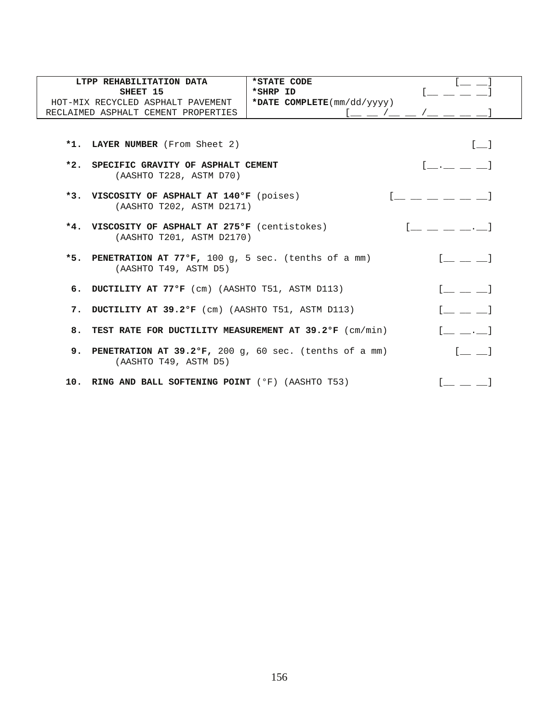| LTPP REHABILITATION DATA                                                | *STATE CODE                |                                                       |
|-------------------------------------------------------------------------|----------------------------|-------------------------------------------------------|
| SHEET 15                                                                | *SHRP ID                   |                                                       |
| HOT-MIX RECYCLED ASPHALT PAVEMENT                                       | *DATE COMPLETE(mm/dd/yyyy) |                                                       |
| RECLAIMED ASPHALT CEMENT PROPERTIES                                     |                            |                                                       |
|                                                                         |                            |                                                       |
| *1. LAYER NUMBER (From Sheet 2)                                         |                            | $\begin{bmatrix} 1 & 1 \end{bmatrix}$                 |
| *2. SPECIFIC GRAVITY OF ASPHALT CEMENT<br>(AASHTO T228, ASTM D70)       |                            | [ 1                                                   |
|                                                                         |                            |                                                       |
| *3. VISCOSITY OF ASPHALT AT 140°F (poises)<br>(AASHTO T202, ASTM D2171) |                            |                                                       |
|                                                                         |                            |                                                       |
| *4. VISCOSITY OF ASPHALT AT 275°F (centistokes)                         |                            |                                                       |
| (AASHTO T201, ASTM D2170)                                               |                            |                                                       |
| *5. PENETRATION AT 77°F, 100 g, 5 sec. (tenths of a mm)                 |                            |                                                       |
| (AASHTO T49, ASTM D5)                                                   |                            |                                                       |
| 6. DUCTILITY AT 77°F (cm) (AASHTO T51, ASTM D113)                       |                            | $\begin{bmatrix} 1 & 1 & 1 \ 1 & 1 & 1 \end{bmatrix}$ |
| 7. DUCTILITY AT 39.2ºF (cm) (AASHTO T51, ASTM D113)                     |                            |                                                       |
|                                                                         |                            |                                                       |
| 8. TEST RATE FOR DUCTILITY MEASUREMENT AT 39.2°F (cm/min)               |                            |                                                       |
| 9. PENETRATION AT 39.2°F, 200 g, 60 sec. (tenths of a mm)               |                            |                                                       |
| (AASHTO T49, ASTM D5)                                                   |                            |                                                       |
| 10. RING AND BALL SOFTENING POINT (°F) (AASHTO T53)                     |                            |                                                       |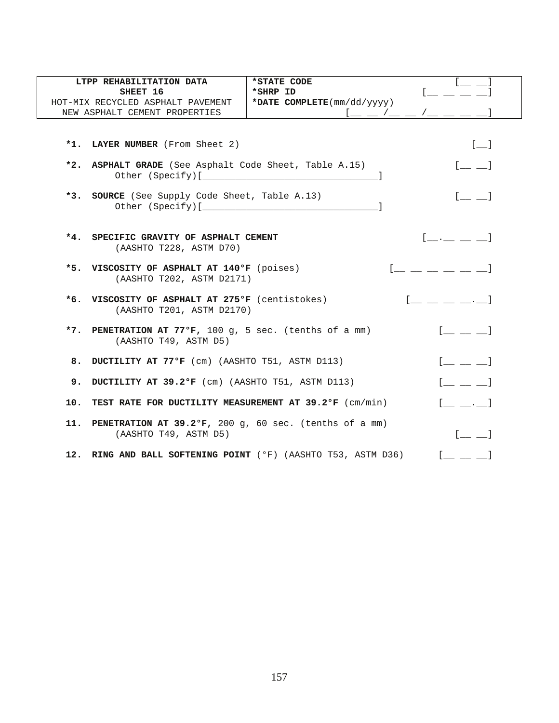| LTPP REHABILITATION DATA<br>SHEET 16                                                | *STATE CODE<br>*SHRP ID                                                                                                                                                                                                                                                                                             |                                                                                                                                                                                                                             |
|-------------------------------------------------------------------------------------|---------------------------------------------------------------------------------------------------------------------------------------------------------------------------------------------------------------------------------------------------------------------------------------------------------------------|-----------------------------------------------------------------------------------------------------------------------------------------------------------------------------------------------------------------------------|
| HOT-MIX RECYCLED ASPHALT PAVEMENT                                                   | *DATE COMPLETE(mm/dd/yyyy)                                                                                                                                                                                                                                                                                          |                                                                                                                                                                                                                             |
| NEW ASPHALT CEMENT PROPERTIES                                                       | $\frac{1}{2}$ $\frac{1}{2}$ $\frac{1}{2}$ $\frac{1}{2}$ $\frac{1}{2}$ $\frac{1}{2}$ $\frac{1}{2}$ $\frac{1}{2}$ $\frac{1}{2}$ $\frac{1}{2}$ $\frac{1}{2}$ $\frac{1}{2}$ $\frac{1}{2}$ $\frac{1}{2}$ $\frac{1}{2}$ $\frac{1}{2}$ $\frac{1}{2}$ $\frac{1}{2}$ $\frac{1}{2}$ $\frac{1}{2}$ $\frac{1}{2}$ $\frac{1}{2}$ |                                                                                                                                                                                                                             |
|                                                                                     |                                                                                                                                                                                                                                                                                                                     |                                                                                                                                                                                                                             |
| *1. LAYER NUMBER (From Sheet 2)                                                     |                                                                                                                                                                                                                                                                                                                     | $[-]$                                                                                                                                                                                                                       |
| *2. ASPHALT GRADE (See Asphalt Code Sheet, Table A.15)                              |                                                                                                                                                                                                                                                                                                                     | $[$ <sub>__</sub> __ $]$                                                                                                                                                                                                    |
| *3. SOURCE (See Supply Code Sheet, Table A.13)                                      |                                                                                                                                                                                                                                                                                                                     | $\begin{bmatrix} 1 & 1 \\ 1 & 1 \end{bmatrix}$                                                                                                                                                                              |
| *4. SPECIFIC GRAVITY OF ASPHALT CEMENT<br>(AASHTO T228, ASTM D70)                   | $[$ ___ _ _ _]                                                                                                                                                                                                                                                                                                      |                                                                                                                                                                                                                             |
| *5. VISCOSITY OF ASPHALT AT 140°F (poises)<br>(AASHTO T202, ASTM D2171)             |                                                                                                                                                                                                                                                                                                                     |                                                                                                                                                                                                                             |
| *6. VISCOSITY OF ASPHALT AT 275°F (centistokes)<br>(AASHTO T201, ASTM D2170)        |                                                                                                                                                                                                                                                                                                                     | $[$ $[$ $]$ $]$ $[$ $]$ $[$ $]$ $[$ $]$ $[$ $]$ $[$ $]$ $[$ $]$ $[$ $]$ $[$ $]$ $[$ $]$ $[$ $]$ $[$ $]$ $[$ $]$ $[$ $]$ $[$ $]$ $[$ $]$ $[$ $]$ $[$ $]$ $[$ $]$ $[$ $]$ $[$ $]$ $[$ $]$ $[$ $]$ $[$ $]$ $[$ $]$ $[$ $]$ $[$ |
| *7. PENETRATION AT 77°F, 100 g, 5 sec. (tenths of a mm)<br>(AASHTO T49, ASTM D5)    |                                                                                                                                                                                                                                                                                                                     | $\begin{bmatrix} 1 & 1 & 1 \end{bmatrix}$                                                                                                                                                                                   |
| 8. DUCTILITY AT 77°F (cm) (AASHTO T51, ASTM D113)                                   |                                                                                                                                                                                                                                                                                                                     | $\begin{bmatrix} 1 & 1 & 1 \end{bmatrix}$                                                                                                                                                                                   |
| 9. DUCTILITY AT 39.2°F (cm) (AASHTO T51, ASTM D113)                                 |                                                                                                                                                                                                                                                                                                                     | $[$ $\_\_$ $\_\_$                                                                                                                                                                                                           |
| 10. TEST RATE FOR DUCTILITY MEASUREMENT AT 39.2°F (cm/min)                          |                                                                                                                                                                                                                                                                                                                     | $[$ $\_\_$ $\_\_$                                                                                                                                                                                                           |
| 11. PENETRATION AT 39.2°F, 200 g, 60 sec. (tenths of a mm)<br>(AASHTO T49, ASTM D5) |                                                                                                                                                                                                                                                                                                                     | $[$ $\qquad \qquad$ $\qquad$                                                                                                                                                                                                |
| 12. RING AND BALL SOFTENING POINT (°F) (AASHTO T53, ASTM D36)                       | $1 \equiv \equiv \equiv 1$                                                                                                                                                                                                                                                                                          |                                                                                                                                                                                                                             |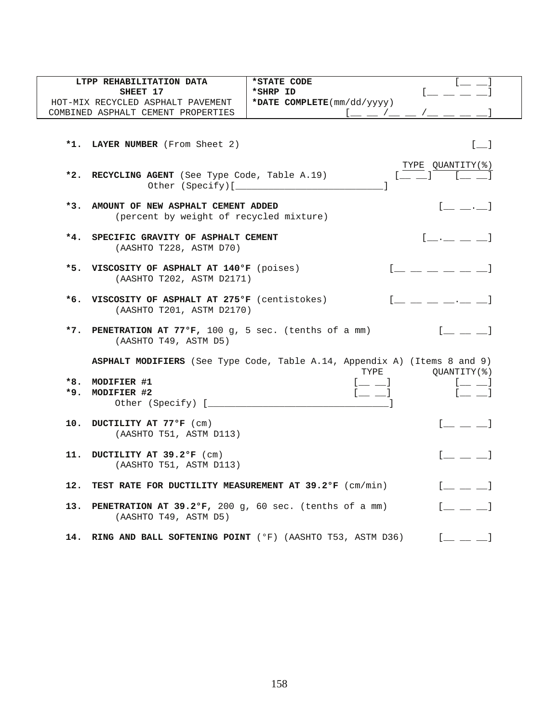| LTPP REHABILITATION DATA                                                             | $\begin{bmatrix} 1 & 1 \\ 1 & 1 \end{bmatrix}$<br>*STATE CODE                                                                 |                                       |  |  |  |
|--------------------------------------------------------------------------------------|-------------------------------------------------------------------------------------------------------------------------------|---------------------------------------|--|--|--|
| SHEET 17                                                                             | *SHRP ID                                                                                                                      |                                       |  |  |  |
| HOT-MIX RECYCLED ASPHALT PAVEMENT                                                    | *DATE COMPLETE(mm/dd/yyyy)                                                                                                    |                                       |  |  |  |
| COMBINED ASPHALT CEMENT PROPERTIES                                                   |                                                                                                                               |                                       |  |  |  |
| *1. LAYER NUMBER (From Sheet 2)                                                      |                                                                                                                               | $\begin{bmatrix} 1 & 1 \end{bmatrix}$ |  |  |  |
| *2. RECYCLING AGENT (See Type Code, Table A.19)                                      | $\begin{bmatrix} \frac{TYPE}{I} & \frac{QUANTITY(\textit{%})}{I} \\ 1 & 1 & 1 \end{bmatrix}$                                  |                                       |  |  |  |
| *3. AMOUNT OF NEW ASPHALT CEMENT ADDED                                               | $[$ $\bot$ $\bot$ $\cdot$ $\bot$ $]$                                                                                          |                                       |  |  |  |
| (percent by weight of recycled mixture)<br>*4. SPECIFIC GRAVITY OF ASPHALT CEMENT    | $[\underline{\qquad},\underline{\qquad},\underline{\qquad}]$                                                                  |                                       |  |  |  |
| (AASHTO T228, ASTM D70)<br>*5. VISCOSITY OF ASPHALT AT 140°F (poises)                | $\left[\begin{array}{ccc} 1 & 1 \\ 1 & 1 \end{array}\right]$ and $\left[\begin{array}{ccc} 1 & 1 \\ 1 & 1 \end{array}\right]$ |                                       |  |  |  |
| *6. VISCOSITY OF ASPHALT AT 275°F (centistokes)                                      | (AASHTO T202, ASTM D2171)<br>$[$ $\Box$ $\Box$ $\Box$ $\Box$ $\Box$ $\Box$ $\Box$                                             |                                       |  |  |  |
| (AASHTO T201, ASTM D2170)<br>*7. PENETRATION AT 77°F, 100 g, 5 sec. (tenths of a mm) | $[$ $\perp$ $\perp$ $\perp$                                                                                                   |                                       |  |  |  |
| (AASHTO T49, ASTM D5)                                                                | ASPHALT MODIFIERS (See Type Code, Table A.14, Appendix A) (Items 8 and 9)                                                     |                                       |  |  |  |
|                                                                                      | TYPE<br>QUANTITY(%)                                                                                                           |                                       |  |  |  |
| *8. MODIFIER #1                                                                      | $[$ $\Box$<br>$[$ $[$ $\quad$ $\quad$ $]$                                                                                     |                                       |  |  |  |
| *9. MODIFIER #2                                                                      | $[$ $]$<br>$[\underline{\qquad} \underline{\qquad}]$                                                                          |                                       |  |  |  |
| 10. DUCTILITY AT 77°F (cm)<br>(AASHTO T51, ASTM D113)                                | $[$ $\perp$ $\perp$ $]$                                                                                                       |                                       |  |  |  |
| DUCTILITY AT 39.2°F (cm)<br>11.<br>(AASHTO T51, ASTM D113)                           | $[$ $\perp$ $\perp$ $\perp$                                                                                                   |                                       |  |  |  |
| 12. TEST RATE FOR DUCTILITY MEASUREMENT AT 39.2°F (cm/min)                           | $1 \equiv 1$                                                                                                                  |                                       |  |  |  |
| 13. PENETRATION AT 39.2ºF, 200 g, 60 sec. (tenths of a mm)<br>(AASHTO T49, ASTM D5)  | $[$ $\underline{\qquad}$ $\underline{\qquad}$ $]$                                                                             |                                       |  |  |  |
| 14. RING AND BALL SOFTENING POINT (°F) (AASHTO T53, ASTM D36)                        | $[$ $\_\_$ $\_\_$                                                                                                             |                                       |  |  |  |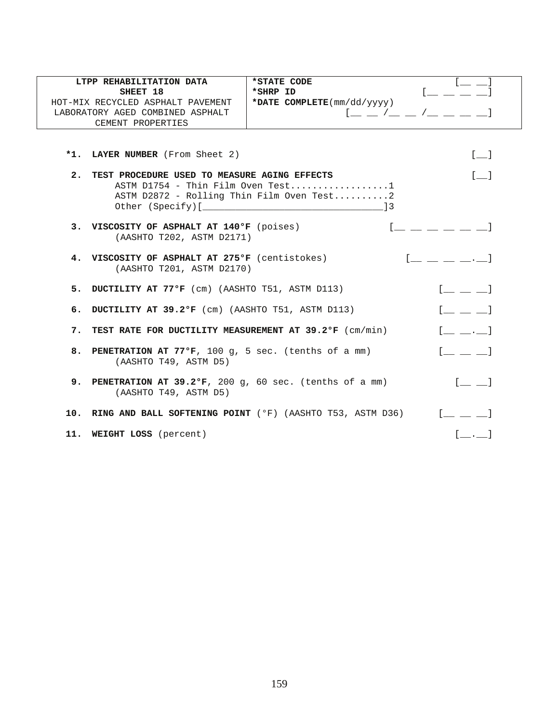|                                   | LTPP REHABILITATION DATA                                         | *STATE CODE                               |                                                        |
|-----------------------------------|------------------------------------------------------------------|-------------------------------------------|--------------------------------------------------------|
|                                   | SHEET 18                                                         | *SHRP ID<br>*DATE COMPLETE(mm/dd/yyyy)    | $I_{\frac{1}{2}}$                                      |
| HOT-MIX RECYCLED ASPHALT PAVEMENT |                                                                  |                                           |                                                        |
|                                   | LABORATORY AGED COMBINED ASPHALT                                 |                                           |                                                        |
|                                   | CEMENT PROPERTIES                                                |                                           |                                                        |
|                                   |                                                                  |                                           |                                                        |
|                                   | *1. LAYER NUMBER (From Sheet 2)                                  |                                           | $\begin{bmatrix} 1 & 1 \end{bmatrix}$                  |
|                                   | 2. TEST PROCEDURE USED TO MEASURE AGING EFFECTS                  |                                           | $\lceil$ 1                                             |
|                                   |                                                                  | ASTM $D1754$ - Thin Film Oven Test1       |                                                        |
|                                   |                                                                  | ASTM D2872 - Rolling Thin Film Oven Test2 |                                                        |
|                                   |                                                                  |                                           |                                                        |
|                                   |                                                                  |                                           |                                                        |
|                                   | 3. VISCOSITY OF ASPHALT AT 140°F (poises)                        |                                           |                                                        |
|                                   | (AASHTO T202, ASTM D2171)                                        |                                           |                                                        |
|                                   | 4. VISCOSITY OF ASPHALT AT 275°F (centistokes)                   |                                           | $\begin{bmatrix} 1 & 1 & 1 \\ 1 & 1 & 1 \end{bmatrix}$ |
|                                   | (AASHTO T201, ASTM D2170)                                        |                                           |                                                        |
|                                   |                                                                  |                                           |                                                        |
|                                   | 5. DUCTILITY AT 77ºF (cm) (AASHTO T51, ASTM D113)                |                                           | $\begin{bmatrix} 1 & 1 & 1 \end{bmatrix}$              |
|                                   |                                                                  |                                           |                                                        |
|                                   | 6. DUCTILITY AT 39.2°F (cm) (AASHTO T51, ASTM D113)              |                                           | $\begin{bmatrix} 1 & 1 & 1 \end{bmatrix}$              |
|                                   | 7. TEST RATE FOR DUCTILITY MEASUREMENT AT 39.2°F (cm/min)        |                                           | $[$ $\ldots$ $\ldots]$                                 |
|                                   |                                                                  |                                           |                                                        |
|                                   | 8. PENETRATION AT 77°F, 100 g, 5 sec. (tenths of a mm)           |                                           | $\begin{bmatrix} 1 & 1 & 1 \end{bmatrix}$              |
|                                   | (AASHTO T49, ASTM D5)                                            |                                           |                                                        |
|                                   |                                                                  |                                           |                                                        |
|                                   | <b>9. PENETRATION AT 39.2°F,</b> 200 g, 60 sec. (tenths of a mm) |                                           | $[$ $\perp$ $\perp$                                    |
|                                   | (AASHTO T49, ASTM D5)                                            |                                           |                                                        |
|                                   | 10. RING AND BALL SOFTENING POINT (°F) (AASHTO T53, ASTM D36)    |                                           | $\begin{bmatrix} 1 & 1 & 1 \end{bmatrix}$              |
|                                   |                                                                  |                                           |                                                        |
|                                   | 11. WEIGHT LOSS (percent)                                        |                                           |                                                        |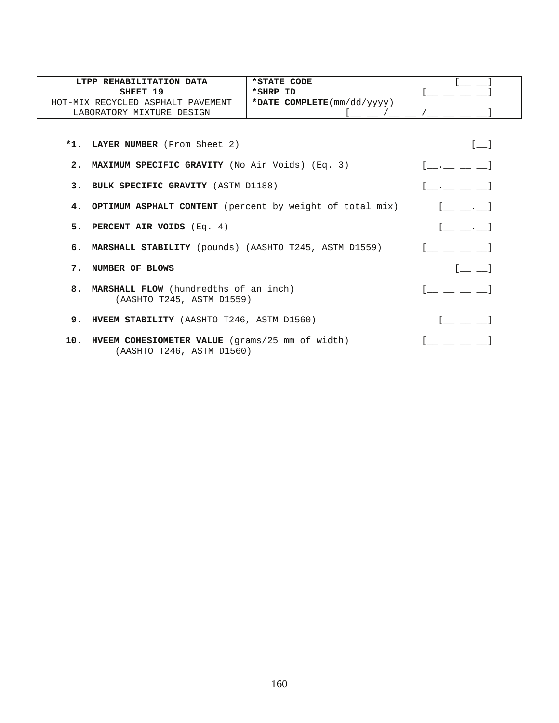|    | LTPP REHABILITATION DATA<br>SHEET 19<br>HOT-MIX RECYCLED ASPHALT PAVEMENT<br>LABORATORY MIXTURE DESIGN | *STATE CODE<br>*SHRP ID<br>*DATE COMPLETE(mm/dd/yyyy) |                                               |
|----|--------------------------------------------------------------------------------------------------------|-------------------------------------------------------|-----------------------------------------------|
|    | *1. LAYER NUMBER (From Sheet 2)                                                                        |                                                       | $\begin{bmatrix} 1 & 1 \end{bmatrix}$         |
|    | 2. MAXIMUM SPECIFIC GRAVITY (No Air Voids) (Eq. 3)                                                     |                                                       | $\begin{bmatrix} 1 & 1 & 1 & 1 \end{bmatrix}$ |
|    | 3. BULK SPECIFIC GRAVITY (ASTM D1188)                                                                  |                                                       |                                               |
|    | 4. OPTIMUM ASPHALT CONTENT (percent by weight of total mix)                                            |                                                       |                                               |
|    | 5. PERCENT AIR VOIDS (Eq. 4)                                                                           | [ 1                                                   |                                               |
|    | 6. MARSHALL STABILITY (pounds) (AASHTO T245, ASTM D1559)                                               |                                                       |                                               |
| 7. | NUMBER OF BLOWS                                                                                        |                                                       |                                               |
|    | 8. MARSHALL FLOW (hundredths of an inch)<br>(AASHTO T245, ASTM D1559)                                  |                                                       |                                               |
|    | 9. HVEEM STABILITY (AASHTO T246, ASTM D1560)                                                           |                                                       |                                               |
|    | 10. HVEEM COHESIOMETER VALUE (grams/25 mm of width)<br>(AASHTO T246, ASTM D1560)                       |                                                       |                                               |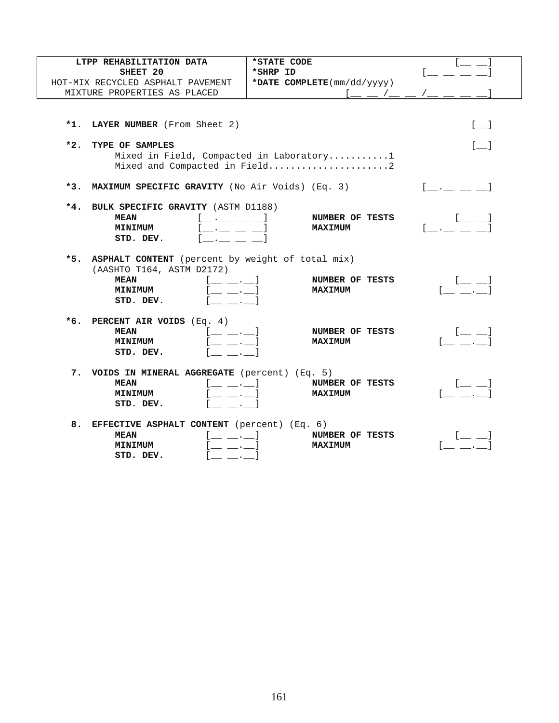| LTPP REHABILITATION DATA                                                                                            | *STATE CODE                              |                                                                         |
|---------------------------------------------------------------------------------------------------------------------|------------------------------------------|-------------------------------------------------------------------------|
| SHEET 20                                                                                                            | *SHRP ID                                 |                                                                         |
| HOT-MIX RECYCLED ASPHALT PAVEMENT                                                                                   | *DATE COMPLETE(mm/dd/yyyy)               |                                                                         |
| MIXTURE PROPERTIES AS PLACED                                                                                        | $1 - 1 - 1$                              |                                                                         |
|                                                                                                                     |                                          |                                                                         |
|                                                                                                                     |                                          | $\begin{bmatrix} 1 \end{bmatrix}$                                       |
| *1. LAYER NUMBER (From Sheet 2)                                                                                     |                                          |                                                                         |
| $*2.$<br>TYPE OF SAMPLES                                                                                            |                                          | [ 1                                                                     |
|                                                                                                                     | Mixed in Field, Compacted in Laboratory1 |                                                                         |
|                                                                                                                     | Mixed and Compacted in Field2            |                                                                         |
|                                                                                                                     |                                          |                                                                         |
| *3. MAXIMUM SPECIFIC GRAVITY (No Air Voids) (Eq. 3)                                                                 |                                          |                                                                         |
| *4. BULK SPECIFIC GRAVITY (ASTM D1188)                                                                              |                                          |                                                                         |
| <b>MEAN</b><br><b>Contract Contract Contract Contract</b>                                                           | NUMBER OF TESTS                          |                                                                         |
| <b>MINIMUM</b><br><b>All Contract Contracts</b>                                                                     | <b>MAXIMUM</b>                           | $\mathcal{L}$ and $\mathcal{L}$ and $\mathcal{L}$                       |
| STD. DEV.                                                                                                           |                                          |                                                                         |
|                                                                                                                     |                                          |                                                                         |
| *5. ASPHALT CONTENT (percent by weight of total mix)<br>(AASHTO T164, ASTM D2172)                                   |                                          |                                                                         |
| <b>MEAN</b><br>$[$ $\_\_$ $\_\_$                                                                                    | NUMBER OF TESTS                          | l 1                                                                     |
| <b>MINIMUM</b><br>l __ __ . __                                                                                      | <b>MAXIMUM</b>                           |                                                                         |
| STD. DEV.                                                                                                           |                                          |                                                                         |
|                                                                                                                     |                                          |                                                                         |
| *6. PERCENT AIR VOIDS $(Eq. 4)$                                                                                     |                                          |                                                                         |
| <b>MEAN</b><br>$\begin{bmatrix} 1 & 1 & 1 \\ 1 & 1 & 1 \end{bmatrix}$<br><b>Contract Contract</b><br><b>MINIMUM</b> | NUMBER OF TESTS<br><b>MAXIMUM</b>        | $[$ $\qquad \qquad$ $\qquad$<br>$\mathcal{L} = \mathcal{L} \mathcal{L}$ |
| STD. DEV.                                                                                                           |                                          |                                                                         |
|                                                                                                                     |                                          |                                                                         |
| 7. VOIDS IN MINERAL AGGREGATE (percent) (Eq. 5)                                                                     |                                          |                                                                         |
| <b>MEAN</b><br>. 1                                                                                                  | NUMBER OF TESTS                          | l 1                                                                     |
| <b>MINIMUM</b><br><b>Contractor</b>                                                                                 | <b>MAXIMUM</b>                           |                                                                         |
| STD. DEV.                                                                                                           |                                          |                                                                         |
| 8. EFFECTIVE ASPHALT CONTENT (percent) (Eq. 6)                                                                      |                                          |                                                                         |
| <b>MEAN</b><br>$[$ __ __ . __ $]$                                                                                   | NUMBER OF TESTS                          |                                                                         |
| $\mathcal{L} = \mathcal{L}$<br><b>MINIMUM</b>                                                                       | <b>MAXIMUM</b>                           |                                                                         |
| STD. DEV.<br>$\mathcal{L} = \mathcal{L}$                                                                            |                                          |                                                                         |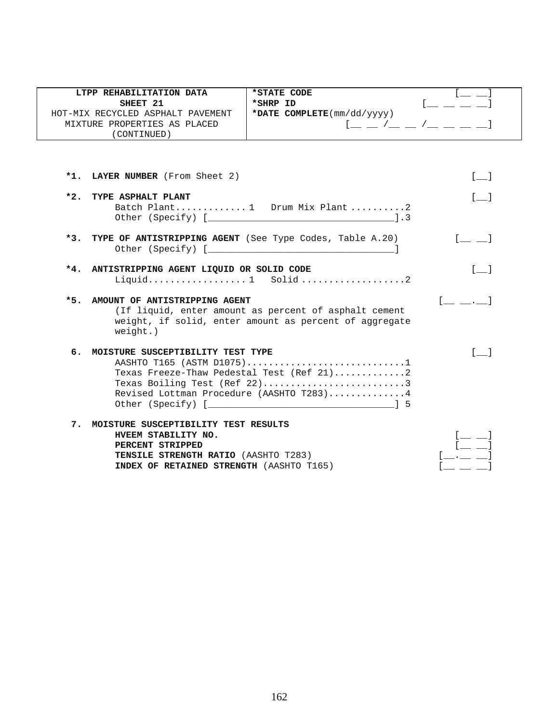|       | LTPP REHABILITATION DATA<br>SHEET 21<br>HOT-MIX RECYCLED ASPHALT PAVEMENT<br>MIXTURE PROPERTIES AS PLACED<br>(CONTINUED)                                                   | *STATE CODE<br>*SHRP ID<br>*DATE COMPLETE(mm/dd/yyyy)                                                                                              | $[$ $\_$ $\_$ $/$ $\_$ $\_$ $/$ $\_$ $\_$ $\_$ $\_$ |
|-------|----------------------------------------------------------------------------------------------------------------------------------------------------------------------------|----------------------------------------------------------------------------------------------------------------------------------------------------|-----------------------------------------------------|
|       |                                                                                                                                                                            |                                                                                                                                                    |                                                     |
|       | *1. LAYER NUMBER (From Sheet 2)                                                                                                                                            |                                                                                                                                                    | $\begin{bmatrix} 1 & 1 \end{bmatrix}$               |
| $*2.$ | TYPE ASPHALT PLANT                                                                                                                                                         | Batch Plant 1 Drum Mix Plant2                                                                                                                      | $\sqrt{1}$                                          |
|       | *3. TYPE OF ANTISTRIPPING AGENT (See Type Codes, Table A.20)                                                                                                               |                                                                                                                                                    | . 1                                                 |
|       | *4. ANTISTRIPPING AGENT LIQUID OR SOLID CODE                                                                                                                               | Liquid 1 Solid 2                                                                                                                                   | $\sqrt{1}$                                          |
|       | *5. AMOUNT OF ANTISTRIPPING AGENT<br>$weight.$ )                                                                                                                           | (If liquid, enter amount as percent of asphalt cement<br>weight, if solid, enter amount as percent of aggregate                                    |                                                     |
| б.    | MOISTURE SUSCEPTIBILITY TEST TYPE                                                                                                                                          | AASHTO T165 (ASTM D1075)1<br>Texas Freeze-Thaw Pedestal Test (Ref 21)2<br>Texas Boiling Test (Ref 22)3<br>Revised Lottman Procedure (AASHTO T283)4 | $\sqrt{1}$                                          |
| 7.    | MOISTURE SUSCEPTIBILITY TEST RESULTS<br>HVEEM STABILITY NO.<br>PERCENT STRIPPED<br><b>TENSILE STRENGTH RATIO (AASHTO T283)</b><br>INDEX OF RETAINED STRENGTH (AASHTO T165) |                                                                                                                                                    |                                                     |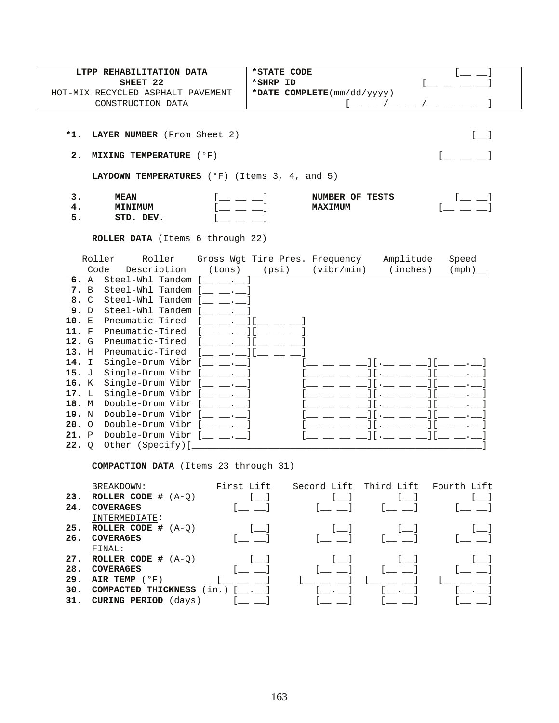| LTPP REHABILITATION DATA          | *STATE CODE                                       |  |
|-----------------------------------|---------------------------------------------------|--|
| SHEET 22                          | *SHRP ID                                          |  |
| HOT-MIX RECYCLED ASPHALT PAVEMENT | *DATE COMPLETE $(\text{mm}/\text{dd}/\text{yyy})$ |  |
| CONSTRUCTION DATA                 |                                                   |  |

**2. MIXING TEMPERATURE** (°F)  $\begin{bmatrix} 0 & 1 \end{bmatrix}$ 

**LAYDOWN TEMPERATURES** (°F) (Items 3, 4, and 5)

| -      | <b>MEAN</b> | OF<br>TESTS<br><b>NIMBER</b> |  |
|--------|-------------|------------------------------|--|
| т.     | MINIMUM     | <b>XIMUM</b><br>ЭΤ.          |  |
| -<br>- | amn<br>DEV  |                              |  |

**ROLLER DATA** (Items 6 through 22)

|         | Roller         | Roller             |        | Gross Wgt Tire Pres. Frequency |            | Amplitude | Speed  |
|---------|----------------|--------------------|--------|--------------------------------|------------|-----------|--------|
|         | Code           | Description        | (tons) | (psi)                          | (vibr/min) | (inches)  | (mph). |
| 6. A    |                | Steel-Whl Tandem   |        |                                |            |           |        |
| 7.      | $\overline{B}$ | Steel-Whl Tandem   |        |                                |            |           |        |
| 8. C    |                | Steel-Whl Tandem   |        |                                |            |           |        |
| 9.      | D              | Steel-Whl Tandem   |        |                                |            |           |        |
| 10.     | E              | Pneumatic-Tired    |        |                                |            |           |        |
| 11. F   |                | Pneumatic-Tired    |        |                                |            |           |        |
| 12. G   |                | Pneumatic-Tired    |        |                                |            |           |        |
| $13.$ H |                | Pneumatic-Tired    |        |                                |            |           |        |
| 14. I   |                | Single-Drum Vibr   |        |                                |            |           |        |
| 15. J   |                | Single-Drum Vibr   |        |                                |            |           |        |
| 16. K   |                | Single-Drum Vibr   |        |                                |            |           |        |
| 17. L   |                | Single-Drum Vibr   |        |                                |            |           |        |
| 18.     | M              | Double-Drum Vibr   |        |                                |            |           |        |
| 19.     | N              | Double-Drum Vibr   |        |                                |            |           |        |
| 20.     | $\Omega$       | Double-Drum Vibr   |        |                                |            |           |        |
| 21.     | $\mathbf{P}$   | Double-Drum Vibr [ |        |                                |            |           |        |
| 22.     | $\circ$        | Other (Specify)[   |        |                                |            |           |        |

**COMPACTION DATA** (Items 23 through 31)

| 23.<br>24.                      | BREAKDOWN:<br>ROLLER CODE $#$ $(A-O)$<br><b>COVERAGES</b>                                                                      | First Lift                 | Second Lift | Third Lift Fourth Lift |  |
|---------------------------------|--------------------------------------------------------------------------------------------------------------------------------|----------------------------|-------------|------------------------|--|
| 25.<br>26.                      | INTERMEDIATE:<br>ROLLER CODE $# (A-Q)$<br><b>COVERAGES</b>                                                                     |                            |             |                        |  |
| 27.<br>28.<br>29.<br>30.<br>31. | FINAL:<br>ROLLER CODE $#$ $(A-O)$<br><b>COVERAGES</b><br>AIR TEMP $(°F)$<br>COMPACTED THICKNESS<br><b>CURING PERIOD</b> (days) | $(in.)$ [ $\blacksquare$ ] |             |                        |  |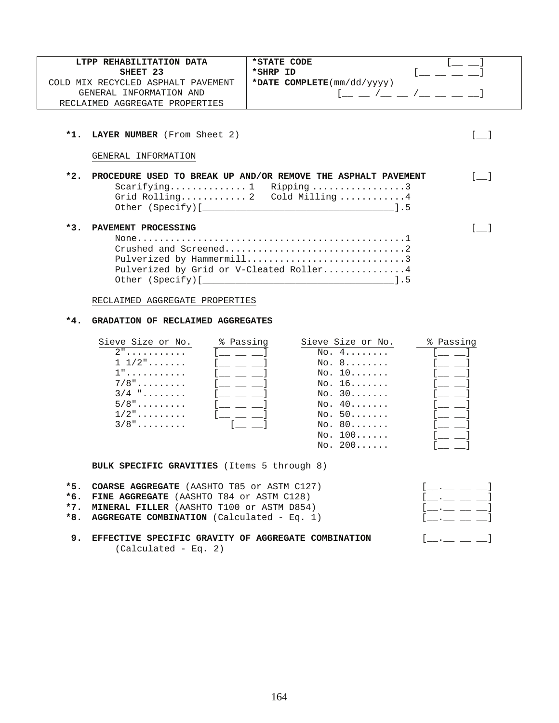| LTPP REHABILITATION DATA           | *STATE CODE                                       |  |
|------------------------------------|---------------------------------------------------|--|
| SHEET 23                           | *SHRP ID                                          |  |
| COLD MIX RECYCLED ASPHALT PAVEMENT | *DATE COMPLETE $(\text{mm}/\text{dd}/\text{yyy})$ |  |
| GENERAL INFORMATION AND            |                                                   |  |
| RECLAIMED AGGREGATE PROPERTIES     |                                                   |  |

GENERAL INFORMATION

| *2. PROCEDURE USED TO BREAK UP AND/OR REMOVE THE ASPHALT PAVEMENT |  |
|-------------------------------------------------------------------|--|
| Scarifying 1 Ripping3                                             |  |
| Grid Rolling 2 Cold Milling4                                      |  |
|                                                                   |  |
| *3. PAVEMENT PROCESSING                                           |  |
|                                                                   |  |

| Pulverized by Hammermill3               |  |
|-----------------------------------------|--|
| Pulverized by Grid or V-Cleated Roller4 |  |
|                                         |  |

RECLAIMED AGGREGATE PROPERTIES

### **\*4. GRADATION OF RECLAIMED AGGREGATES**

| Sieve Size or No.         | % Passing | Sieve Size or No. | % Passing |
|---------------------------|-----------|-------------------|-----------|
| $2"$                      |           | No. 4.            |           |
| $1\;\;1/2" \ldots \ldots$ |           | NO. 8             |           |
| $1"$                      |           | NO. 10            |           |
| $7/8"$                    |           | $No. 16 \ldots$   |           |
| $3/4$ "                   |           | No. 30            |           |
| $5/8"$                    |           | No. 40            |           |
| $1/2$ "                   |           | NO. 50            |           |
| $3/8"$                    |           | NO. 80            |           |
|                           |           | NO. 100           |           |
|                           |           | NO. 200           |           |

**BULK SPECIFIC GRAVITIES** (Items 5 through 8)

| *5. COARSE AGGREGATE (AASHTO T85 or ASTM C127) | $\begin{bmatrix} 1 & 1 & 1 & 1 \end{bmatrix}$                |
|------------------------------------------------|--------------------------------------------------------------|
| *6. FINE AGGREGATE (AASHTO T84 or ASTM C128)   | $\begin{bmatrix} 1 & 1 & 1 \end{bmatrix}$                    |
| *7. MINERAL FILLER (AASHTO T100 or ASTM D854)  | $\left[\begin{array}{ccc} 1 & 1 \\ 1 & 1 \end{array}\right]$ |
| *8. AGGREGATE COMBINATION (Calculated - Eq. 1) | $\begin{bmatrix} 1 & 1 & 1 & 1 \end{bmatrix}$                |
|                                                |                                                              |

9. EFFECTIVE SPECIFIC GRAVITY OF AGGREGATE COMBINATION  $[\dots]$ (Calculated - Eq. 2)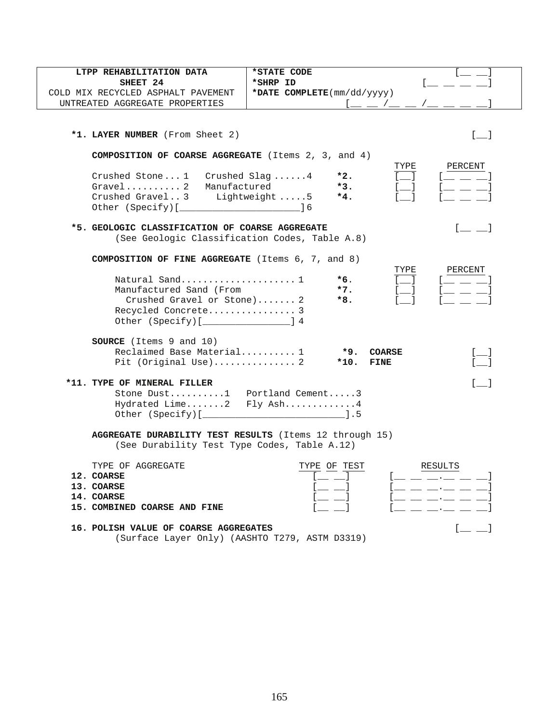| LTPP REHABILITATION DATA                                            | *STATE CODE                                                         |
|---------------------------------------------------------------------|---------------------------------------------------------------------|
| SHEET 24                                                            | *SHRP ID                                                            |
| COLD MIX RECYCLED ASPHALT PAVEMENT                                  | *DATE COMPLETE(mm/dd/yyyy)                                          |
| UNTREATED AGGREGATE PROPERTIES                                      |                                                                     |
|                                                                     |                                                                     |
|                                                                     |                                                                     |
| *1. LAYER NUMBER (From Sheet 2)                                     | [ ]                                                                 |
| <b>COMPOSITION OF COARSE AGGREGATE</b> (Items $2$ , $3$ , and $4$ ) |                                                                     |
|                                                                     | PERCENT<br>TYPE                                                     |
| Crushed Stone1 Crushed Slag4                                        | *2.                                                                 |
| $Gravel$ 2<br>Manufactured                                          | $*3.$                                                               |
| Crushed Gravel3 Lightweight5                                        | $*4.$                                                               |
|                                                                     |                                                                     |
|                                                                     |                                                                     |
| *5. GEOLOGIC CLASSIFICATION OF COARSE AGGREGATE                     |                                                                     |
| (See Geologic Classification Codes, Table A.8)                      |                                                                     |
|                                                                     |                                                                     |
| <b>COMPOSITION OF FINE AGGREGATE</b> (Items 6, 7, and 8)            |                                                                     |
|                                                                     | TYPE<br>PERCENT                                                     |
| Natural Sand 1                                                      | *6.                                                                 |
| Manufactured Sand (From                                             | $*7.$<br><u>i</u> kacamatan ing Kabupatèn Kabupatèn Ing             |
| Crushed Gravel or Stone) 2                                          | *8.                                                                 |
| Recycled Concrete 3                                                 |                                                                     |
| Other (Specify) [ <i>_________________</i> ] 4                      |                                                                     |
|                                                                     |                                                                     |
| <b>SOURCE</b> (Items 9 and 10)                                      |                                                                     |
| Reclaimed Base Material 1                                           | *9.<br><b>COARSE</b><br>$[$ $\Box$                                  |
| Pit (Original Use) 2                                                | *10.<br>FINE                                                        |
|                                                                     |                                                                     |
| *11. TYPE OF MINERAL FILLER                                         | $\lceil$ 1                                                          |
| Stone Dust1 Portland Cement3                                        |                                                                     |
| Hydrated Lime2 Fly Ash4                                             |                                                                     |
|                                                                     |                                                                     |
|                                                                     |                                                                     |
| AGGREGATE DURABILITY TEST RESULTS (Items 12 through 15)             |                                                                     |
| (See Durability Test Type Codes, Table A.12)                        |                                                                     |
| TYPE OF AGGREGATE                                                   | TYPE OF TEST<br>RESULTS                                             |
| 12. COARSE                                                          |                                                                     |
| 13. COARSE                                                          |                                                                     |
| 14. COARSE                                                          | _ __ __ __ __ __ __                                                 |
| 15. COMBINED COARSE AND FINE                                        | $\frac{1}{2}$ and $\frac{1}{2}$ and $\frac{1}{2}$ and $\frac{1}{2}$ |
|                                                                     |                                                                     |
| 16. POLISH VALUE OF COARSE AGGREGATES                               | $\lfloor$ $\rfloor$                                                 |
| (Surface Layer Only) (AASHTO T279, ASTM D3319)                      |                                                                     |
|                                                                     |                                                                     |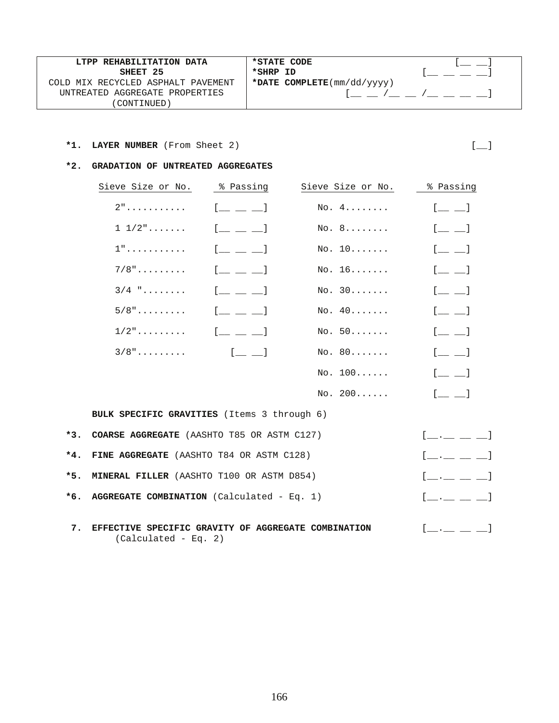| LTPP REHABILITATION DATA           | *STATE CODE                                       |  |
|------------------------------------|---------------------------------------------------|--|
| SHEET 25                           | *SHRP ID                                          |  |
| COLD MIX RECYCLED ASPHALT PAVEMENT | *DATE COMPLETE $(\text{mm}/\text{dd}/\text{yyy})$ |  |
| UNTREATED AGGREGATE PROPERTIES     |                                                   |  |
| 'CONTINUED)                        |                                                   |  |

# **\*1. LAYER NUMBER** (From Sheet 2)  $\begin{bmatrix} \_ \end{bmatrix}$

 $*3.$ 

 $*4.$ 

 $*5.$ 

 $*6.$ 

#### **\*2. GRADATION OF UNTREATED AGGREGATES**

|       | Sieve Size or No.                                                           | % Passing                        | Sieve Size or No. | % Passing                                              |
|-------|-----------------------------------------------------------------------------|----------------------------------|-------------------|--------------------------------------------------------|
|       | $2"$                                                                        | $[$ $\perp$ $\perp$ $\perp$      | No. 4.            | $[$ $\perp$ $\perp$                                    |
|       | $1\;\;1/2" \ldots \ldots$                                                   | $[$ $\perp$ $\perp$ $\perp$      | No. 8             | $[$ $\qquad$ $\qquad$ $]$                              |
|       | 1"                                                                          | $[$ $\perp$ $\perp$ $\perp$      | No. 10            | $[$ $\equiv$ $\equiv$ $]$                              |
|       | $7/8$ "                                                                     | $[$ $\_\_$ $\_\_$                | No. 16            | $1 \underline{\qquad} \underline{\qquad} 1$            |
|       | $3/4$ "                                                                     | $[$ $\perp$ $\perp$ <sup>1</sup> | No. 30            | $[$ $\qquad \qquad$ $\qquad$                           |
|       | $5/8"$                                                                      | $[$ $\perp$ $\perp$ $\perp$      | No. 40            | $[$ $\Box$ $\Box$ $]$                                  |
|       | $1/2$ "                                                                     | $[$ $\perp$ $\perp$ $\perp$      | No. 50            | $[$ $\qquad \qquad$ $\qquad$                           |
|       | $3/8"$                                                                      | $[$ $\Box$ $\Box$                | No. 80            | $[$ $\equiv$ $\equiv$ $]$                              |
|       |                                                                             |                                  | No. 100           | $[$ $\perp$ $\perp$                                    |
|       |                                                                             |                                  | No. 200           | $[\_$ $\_$                                             |
|       | BULK SPECIFIC GRAVITIES (Items 3 through 6)                                 |                                  |                   |                                                        |
| $*3.$ | COARSE AGGREGATE (AASHTO T85 OR ASTM C127)                                  |                                  |                   |                                                        |
| $*4.$ | FINE AGGREGATE (AASHTO T84 OR ASTM C128)                                    |                                  |                   |                                                        |
| *5.   | MINERAL FILLER (AASHTO T100 OR ASTM D854)                                   |                                  |                   | $[$ __ .__ __ __ $]$                                   |
| $*6.$ | AGGREGATE COMBINATION (Calculated - Eq. 1)                                  |                                  |                   | $[$ __ .__ __ __ ]                                     |
| 7.    | EFFECTIVE SPECIFIC GRAVITY OF AGGREGATE COMBINATION<br>(Calculated - Eq. 2) |                                  |                   | $\begin{bmatrix} 1 & 1 & 1 \\ 1 & 1 & 1 \end{bmatrix}$ |

166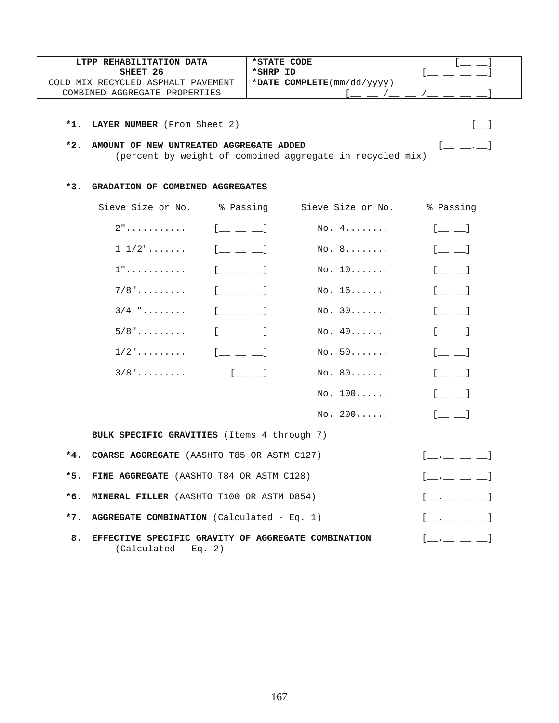| LTPP REHABILITATION DATA               | *STATE CODE                                       |  |
|----------------------------------------|---------------------------------------------------|--|
| SHEET 26                               | *SHRP ID                                          |  |
| MIX RECYCLED ASPHALT PAVEMENT<br>∩⊓ ר∩ | *DATE COMPLETE $(\text{mm}/\text{dd}/\text{yyy})$ |  |
| AGGREGATE PROPERTIES<br>COMBINED       |                                                   |  |

## **\*2. AMOUNT OF NEW UNTREATED AGGREGATE ADDED** [\_\_ \_\_.\_\_] (percent by weight of combined aggregate in recycled mix)

## **\*3. GRADATION OF COMBINED AGGREGATES**

|       | Sieve Size or No.                                                             | % Passing                                     | Sieve Size or No. | % Passing                                      |
|-------|-------------------------------------------------------------------------------|-----------------------------------------------|-------------------|------------------------------------------------|
|       | $2"$                                                                          | $[$ $\_$ $\_$ $\_$                            | No. 4.            | $[$ $\Box$                                     |
|       | $1\;\;1/2" \ldots \ldots$                                                     | $\begin{bmatrix} 1 & 1 & 1 & 1 \end{bmatrix}$ | No. 8             | $\begin{bmatrix} 1 & 1 \\ 1 & 1 \end{bmatrix}$ |
|       | $1"$                                                                          | $[$ $\perp$ $\perp$ $\perp$                   | No. 10            | $[$ $\qquad$ $\qquad$ $]$                      |
|       | $7/8$ "                                                                       | $[$ $\qquad$ $\qquad$ $\qquad$ $]$            | No. 16            | $[$ $\qquad \qquad$ $\qquad$                   |
|       | $3/4$ "                                                                       | $[$ $\_$ $\_$ $\_$                            | No. 30            | $[$ $\perp$ $\perp$                            |
|       | $5/8"$                                                                        | $[$ $\_$ $\_$ $\_$                            | No. 40            | $[$ $\Box$                                     |
|       | $1/2$ "                                                                       | $\begin{bmatrix} 1 & 1 & 1 \end{bmatrix}$     | No. 50            | $\begin{bmatrix} 1 & 1 \\ 1 & 1 \end{bmatrix}$ |
|       | $3/8"$                                                                        | $[$ $[$ $\qquad$ $]$                          | No. 80            | $[$ $\perp$ $\perp$                            |
|       |                                                                               |                                               | No. 100           | $[$ $\qquad$ $\qquad$ $]$                      |
|       |                                                                               |                                               | No. 200           | $[$ $\qquad$ $\qquad$ $]$                      |
|       | <b>BULK SPECIFIC GRAVITIES</b> (Items 4 through 7)                            |                                               |                   |                                                |
| *4.   | COARSE AGGREGATE (AASHTO T85 OR ASTM C127)                                    |                                               |                   | $[\_\_\_\_\_\_\_\]\_\_$                        |
| $*5.$ | FINE AGGREGATE (AASHTO T84 OR ASTM C128)                                      |                                               |                   | $[$ __ _ _ _ _ $]$                             |
| $*6.$ | MINERAL FILLER (AASHTO T100 OR ASTM D854)                                     |                                               |                   | $[$ __ .__ __ __ $]$                           |
| $*7.$ | AGGREGATE COMBINATION (Calculated - Eq. 1)                                    |                                               |                   | $\begin{bmatrix} 1 & 1 & 1 & 1 \end{bmatrix}$  |
| 8.    | EFFECTIVE SPECIFIC GRAVITY OF AGGREGATE COMBINATION<br>$(Calculated - Eq. 2)$ |                                               |                   | $\begin{bmatrix} 1 & 1 & 1 & 1 \end{bmatrix}$  |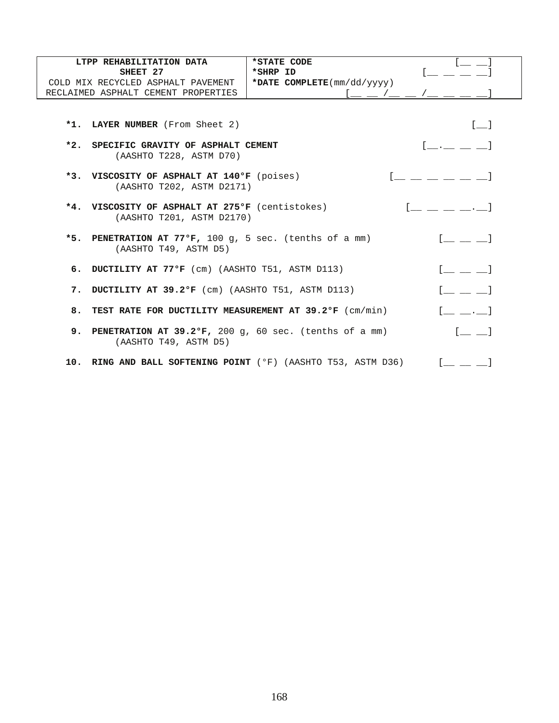| LTPP REHABILITATION DATA                                                                             | *STATE CODE                  |                                                                                                                                                                                                                                                                                                                                              |
|------------------------------------------------------------------------------------------------------|------------------------------|----------------------------------------------------------------------------------------------------------------------------------------------------------------------------------------------------------------------------------------------------------------------------------------------------------------------------------------------|
| SHEET 27                                                                                             | *SHRP ID                     |                                                                                                                                                                                                                                                                                                                                              |
| COLD MIX RECYCLED ASPHALT PAVEMENT                                                                   | *DATE $COMPLETE(mm/dd/yyyy)$ |                                                                                                                                                                                                                                                                                                                                              |
| RECLAIMED ASPHALT CEMENT PROPERTIES                                                                  | $1 - -$ / _ _ / _            |                                                                                                                                                                                                                                                                                                                                              |
| *1. LAYER NUMBER (From Sheet 2)<br>*2. SPECIFIC GRAVITY OF ASPHALT CEMENT<br>(AASHTO T228, ASTM D70) |                              | $\lceil$ 1<br>and the company of the state of the                                                                                                                                                                                                                                                                                            |
| *3. VISCOSITY OF ASPHALT AT 140°F (poises)<br>(AASHTO T202, ASTM D2171)                              |                              |                                                                                                                                                                                                                                                                                                                                              |
| *4. VISCOSITY OF ASPHALT AT 275°F (centistokes)<br>(AASHTO T201, ASTM D2170)                         |                              |                                                                                                                                                                                                                                                                                                                                              |
| *5. PENETRATION AT 77°F, 100 g, 5 sec. (tenths of a mm)<br>(AASHTO T49, ASTM D5)                     |                              | $\begin{bmatrix} 1 & 1 & 1 \ 1 & 1 & 1 \end{bmatrix}$                                                                                                                                                                                                                                                                                        |
| 6. DUCTILITY AT 77°F (cm) (AASHTO T51, ASTM D113)                                                    |                              |                                                                                                                                                                                                                                                                                                                                              |
| 7. DUCTILITY AT 39.2°F (cm) (AASHTO T51, ASTM D113)                                                  |                              |                                                                                                                                                                                                                                                                                                                                              |
| 8. TEST RATE FOR DUCTILITY MEASUREMENT AT 39.2°F (cm/min)                                            |                              |                                                                                                                                                                                                                                                                                                                                              |
| <b>9. PENETRATION AT 39.2°F,</b> 200 q, 60 sec. (tenths of a mm)<br>(AASHTO T49, ASTM D5)            |                              | $\lceil$ $\lceil$ $\lceil$ $\lceil$ $\lceil$ $\lceil$ $\lceil$ $\lceil$ $\lceil$ $\lceil$ $\lceil$ $\lceil$ $\lceil$ $\lceil$ $\lceil$ $\lceil$ $\lceil$ $\lceil$ $\lceil$ $\lceil$ $\lceil$ $\lceil$ $\lceil$ $\lceil$ $\lceil$ $\lceil$ $\lceil$ $\lceil$ $\lceil$ $\lceil$ $\lceil$ $\lceil$ $\lceil$ $\lceil$ $\lceil$ $\lceil$ $\lceil$ |
| 10. RING AND BALL SOFTENING POINT (°F) (AASHTO T53, ASTM D36)                                        |                              |                                                                                                                                                                                                                                                                                                                                              |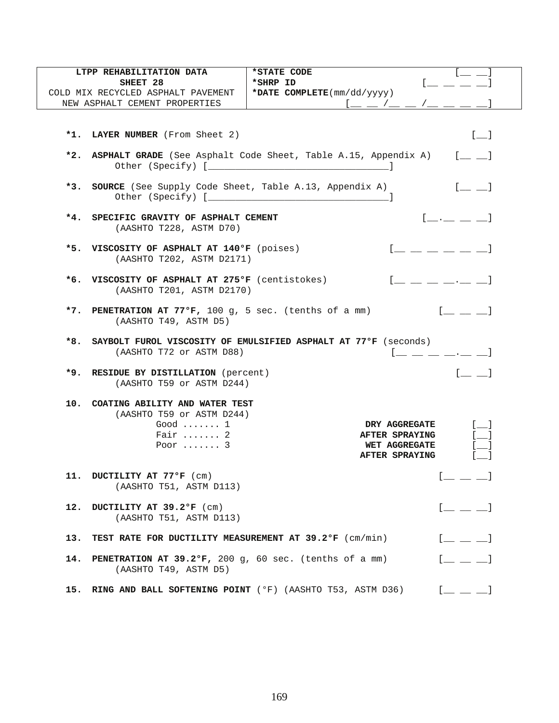| LTPP REHABILITATION DATA                                                                                              | *STATE CODE                                                                                                                                                                                                                                                                                                                                                                                                                                                                            |
|-----------------------------------------------------------------------------------------------------------------------|----------------------------------------------------------------------------------------------------------------------------------------------------------------------------------------------------------------------------------------------------------------------------------------------------------------------------------------------------------------------------------------------------------------------------------------------------------------------------------------|
| SHEET 28<br>COLD MIX RECYCLED ASPHALT PAVEMENT                                                                        | *SHRP ID<br>*DATE $COMPLETE(mm/dd/yyyy)$                                                                                                                                                                                                                                                                                                                                                                                                                                               |
| NEW ASPHALT CEMENT PROPERTIES                                                                                         |                                                                                                                                                                                                                                                                                                                                                                                                                                                                                        |
|                                                                                                                       |                                                                                                                                                                                                                                                                                                                                                                                                                                                                                        |
| *1. LAYER NUMBER (From Sheet 2)                                                                                       | $[-]$                                                                                                                                                                                                                                                                                                                                                                                                                                                                                  |
|                                                                                                                       | *2. ASPHALT GRADE (See Asphalt Code Sheet, Table A.15, Appendix A) $[$ $]$                                                                                                                                                                                                                                                                                                                                                                                                             |
| *3. SOURCE (See Supply Code Sheet, Table A.13, Appendix A)                                                            | $[$ $\qquad$ $\qquad$ $]$                                                                                                                                                                                                                                                                                                                                                                                                                                                              |
| *4. SPECIFIC GRAVITY OF ASPHALT CEMENT<br>(AASHTO T228, ASTM D70)                                                     | [ ]                                                                                                                                                                                                                                                                                                                                                                                                                                                                                    |
| *5. VISCOSITY OF ASPHALT AT 140°F (poises)<br>(AASHTO T202, ASTM D2171)                                               | <u> [ _ _ _ _ _ _ _</u>                                                                                                                                                                                                                                                                                                                                                                                                                                                                |
| *6. VISCOSITY OF ASPHALT AT 275°F (centistokes)<br>(AASHTO T201, ASTM D2170)                                          |                                                                                                                                                                                                                                                                                                                                                                                                                                                                                        |
| *7. PENETRATION AT $77^{\circ}$ F, 100 g, 5 sec. (tenths of a mm)<br>(AASHTO T49, ASTM D5)                            |                                                                                                                                                                                                                                                                                                                                                                                                                                                                                        |
|                                                                                                                       |                                                                                                                                                                                                                                                                                                                                                                                                                                                                                        |
| *8.<br>(AASHTO T72 or ASTM D88)                                                                                       | SAYBOLT FUROL VISCOSITY OF EMULSIFIED ASPHALT AT 77ºF (seconds)<br>$1 \underline{\hspace{1cm}} \underline{\hspace{1cm}} \underline{\hspace{1cm}} \underline{\hspace{1cm}} \underline{\hspace{1cm}} \underline{\hspace{1cm}} \underline{\hspace{1cm}} \underline{\hspace{1cm}} \underline{\hspace{1cm}} \underline{\hspace{1cm}} \underline{\hspace{1cm}} \underline{\hspace{1cm}} \underline{\hspace{1cm}} \underline{\hspace{1cm}} \underline{\hspace{1cm}} \underline{\hspace{1cm}}$ |
| *9. RESIDUE BY DISTILLATION (percent)<br>(AASHTO T59 or ASTM D244)                                                    | $[$ $\Box$ $\Box$ $]$                                                                                                                                                                                                                                                                                                                                                                                                                                                                  |
| 10. COATING ABILITY AND WATER TEST<br>(AASHTO T59 or ASTM D244)<br>Good $\dots$<br>Fair $\ldots$ 2<br>Poor $\ldots$ . | $\begin{bmatrix} 1 & 1 \end{bmatrix}$<br><b>DRY AGGREGATE</b><br>$\begin{bmatrix} 1 \end{bmatrix}$<br><b>AFTER SPRAYING</b><br><b>WET AGGREGATE</b><br>AFTER SPRAYING                                                                                                                                                                                                                                                                                                                  |
| 11. DUCTILITY AT 77°F (cm)<br>(AASHTO T51, ASTM D113)                                                                 | $\mathbf{r}$                                                                                                                                                                                                                                                                                                                                                                                                                                                                           |
| 12. DUCTILITY AT 39.2°F (cm)<br>(AASHTO T51, ASTM D113)                                                               | $[$ $\_\_$ $\_\_$                                                                                                                                                                                                                                                                                                                                                                                                                                                                      |
| 13.<br><b>TEST RATE FOR DUCTILITY MEASUREMENT AT 39.2°F</b> (cm/min)                                                  | $[$ $\perp$ $\perp$ $\perp$                                                                                                                                                                                                                                                                                                                                                                                                                                                            |
| <b>PENETRATION AT 39.2°F,</b> 200 g, 60 sec. (tenths of a mm)<br>14.<br>(AASHTO T49, ASTM D5)                         | $[$ $\qquad \qquad$ $\qquad$ $]$                                                                                                                                                                                                                                                                                                                                                                                                                                                       |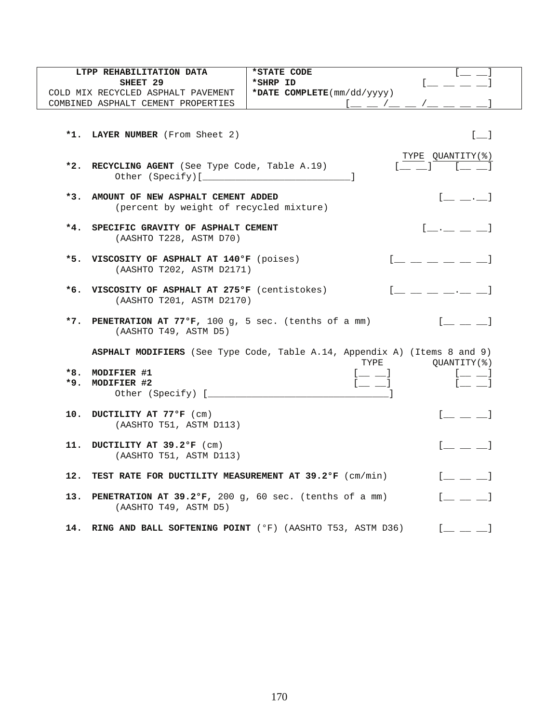| SHEET 29<br>*SHRP ID<br>*DATE COMPLETE(mm/dd/yyyy)<br>COLD MIX RECYCLED ASPHALT PAVEMENT<br>COMBINED ASPHALT CEMENT PROPERTIES<br>$\begin{bmatrix} 1 & 1 \end{bmatrix}$<br>*1. LAYER NUMBER (From Sheet 2)<br>TYPE QUANTITY(%)<br>*2. RECYCLING AGENT (See Type Code, Table A.19)<br>$*3.$<br>AMOUNT OF NEW ASPHALT CEMENT ADDED<br>$\begin{bmatrix} 1 & 1 & 1 \\ 1 & 1 & 1 \end{bmatrix}$<br>(percent by weight of recycled mixture)<br>*4. SPECIFIC GRAVITY OF ASPHALT CEMENT<br>$\begin{bmatrix} 1 & 1 & 1 \end{bmatrix}$<br>(AASHTO T228, ASTM D70)<br>*5. VISCOSITY OF ASPHALT AT 140°F (poises)<br>(AASHTO T202, ASTM D2171)<br>*6. VISCOSITY OF ASPHALT AT 275°F (centistokes)<br>(AASHTO T201, ASTM D2170)<br>$[$ $\perp$ $\perp$ $]$<br>*7. PENETRATION AT 77°F, 100 g, 5 sec. (tenths of a mm)<br>(AASHTO T49, ASTM D5)<br>ASPHALT MODIFIERS (See Type Code, Table A.14, Appendix A) (Items 8 and 9)<br>TYPE<br>QUANTITY (%)<br>*8. MODIFIER #1<br>$[$ $\Box$ $\Box$ $]$<br>$[$ $\_$<br>$1 \underline{\qquad} \underline{\qquad} 1$<br>*9. MODIFIER #2<br>Other (Specify) [______________<br>$[$ $\perp$ $\perp$ $\perp$<br>10. DUCTILITY AT 77°F (cm)<br>(AASHTO T51, ASTM D113) |
|---------------------------------------------------------------------------------------------------------------------------------------------------------------------------------------------------------------------------------------------------------------------------------------------------------------------------------------------------------------------------------------------------------------------------------------------------------------------------------------------------------------------------------------------------------------------------------------------------------------------------------------------------------------------------------------------------------------------------------------------------------------------------------------------------------------------------------------------------------------------------------------------------------------------------------------------------------------------------------------------------------------------------------------------------------------------------------------------------------------------------------------------------------------------------------------------|
|                                                                                                                                                                                                                                                                                                                                                                                                                                                                                                                                                                                                                                                                                                                                                                                                                                                                                                                                                                                                                                                                                                                                                                                             |
|                                                                                                                                                                                                                                                                                                                                                                                                                                                                                                                                                                                                                                                                                                                                                                                                                                                                                                                                                                                                                                                                                                                                                                                             |
|                                                                                                                                                                                                                                                                                                                                                                                                                                                                                                                                                                                                                                                                                                                                                                                                                                                                                                                                                                                                                                                                                                                                                                                             |
|                                                                                                                                                                                                                                                                                                                                                                                                                                                                                                                                                                                                                                                                                                                                                                                                                                                                                                                                                                                                                                                                                                                                                                                             |
|                                                                                                                                                                                                                                                                                                                                                                                                                                                                                                                                                                                                                                                                                                                                                                                                                                                                                                                                                                                                                                                                                                                                                                                             |
|                                                                                                                                                                                                                                                                                                                                                                                                                                                                                                                                                                                                                                                                                                                                                                                                                                                                                                                                                                                                                                                                                                                                                                                             |
|                                                                                                                                                                                                                                                                                                                                                                                                                                                                                                                                                                                                                                                                                                                                                                                                                                                                                                                                                                                                                                                                                                                                                                                             |
|                                                                                                                                                                                                                                                                                                                                                                                                                                                                                                                                                                                                                                                                                                                                                                                                                                                                                                                                                                                                                                                                                                                                                                                             |
|                                                                                                                                                                                                                                                                                                                                                                                                                                                                                                                                                                                                                                                                                                                                                                                                                                                                                                                                                                                                                                                                                                                                                                                             |
|                                                                                                                                                                                                                                                                                                                                                                                                                                                                                                                                                                                                                                                                                                                                                                                                                                                                                                                                                                                                                                                                                                                                                                                             |
|                                                                                                                                                                                                                                                                                                                                                                                                                                                                                                                                                                                                                                                                                                                                                                                                                                                                                                                                                                                                                                                                                                                                                                                             |
|                                                                                                                                                                                                                                                                                                                                                                                                                                                                                                                                                                                                                                                                                                                                                                                                                                                                                                                                                                                                                                                                                                                                                                                             |
|                                                                                                                                                                                                                                                                                                                                                                                                                                                                                                                                                                                                                                                                                                                                                                                                                                                                                                                                                                                                                                                                                                                                                                                             |
|                                                                                                                                                                                                                                                                                                                                                                                                                                                                                                                                                                                                                                                                                                                                                                                                                                                                                                                                                                                                                                                                                                                                                                                             |
|                                                                                                                                                                                                                                                                                                                                                                                                                                                                                                                                                                                                                                                                                                                                                                                                                                                                                                                                                                                                                                                                                                                                                                                             |
|                                                                                                                                                                                                                                                                                                                                                                                                                                                                                                                                                                                                                                                                                                                                                                                                                                                                                                                                                                                                                                                                                                                                                                                             |
|                                                                                                                                                                                                                                                                                                                                                                                                                                                                                                                                                                                                                                                                                                                                                                                                                                                                                                                                                                                                                                                                                                                                                                                             |
|                                                                                                                                                                                                                                                                                                                                                                                                                                                                                                                                                                                                                                                                                                                                                                                                                                                                                                                                                                                                                                                                                                                                                                                             |
|                                                                                                                                                                                                                                                                                                                                                                                                                                                                                                                                                                                                                                                                                                                                                                                                                                                                                                                                                                                                                                                                                                                                                                                             |
|                                                                                                                                                                                                                                                                                                                                                                                                                                                                                                                                                                                                                                                                                                                                                                                                                                                                                                                                                                                                                                                                                                                                                                                             |
|                                                                                                                                                                                                                                                                                                                                                                                                                                                                                                                                                                                                                                                                                                                                                                                                                                                                                                                                                                                                                                                                                                                                                                                             |
|                                                                                                                                                                                                                                                                                                                                                                                                                                                                                                                                                                                                                                                                                                                                                                                                                                                                                                                                                                                                                                                                                                                                                                                             |
|                                                                                                                                                                                                                                                                                                                                                                                                                                                                                                                                                                                                                                                                                                                                                                                                                                                                                                                                                                                                                                                                                                                                                                                             |
|                                                                                                                                                                                                                                                                                                                                                                                                                                                                                                                                                                                                                                                                                                                                                                                                                                                                                                                                                                                                                                                                                                                                                                                             |
|                                                                                                                                                                                                                                                                                                                                                                                                                                                                                                                                                                                                                                                                                                                                                                                                                                                                                                                                                                                                                                                                                                                                                                                             |
|                                                                                                                                                                                                                                                                                                                                                                                                                                                                                                                                                                                                                                                                                                                                                                                                                                                                                                                                                                                                                                                                                                                                                                                             |
|                                                                                                                                                                                                                                                                                                                                                                                                                                                                                                                                                                                                                                                                                                                                                                                                                                                                                                                                                                                                                                                                                                                                                                                             |
|                                                                                                                                                                                                                                                                                                                                                                                                                                                                                                                                                                                                                                                                                                                                                                                                                                                                                                                                                                                                                                                                                                                                                                                             |
|                                                                                                                                                                                                                                                                                                                                                                                                                                                                                                                                                                                                                                                                                                                                                                                                                                                                                                                                                                                                                                                                                                                                                                                             |
|                                                                                                                                                                                                                                                                                                                                                                                                                                                                                                                                                                                                                                                                                                                                                                                                                                                                                                                                                                                                                                                                                                                                                                                             |
|                                                                                                                                                                                                                                                                                                                                                                                                                                                                                                                                                                                                                                                                                                                                                                                                                                                                                                                                                                                                                                                                                                                                                                                             |
|                                                                                                                                                                                                                                                                                                                                                                                                                                                                                                                                                                                                                                                                                                                                                                                                                                                                                                                                                                                                                                                                                                                                                                                             |
|                                                                                                                                                                                                                                                                                                                                                                                                                                                                                                                                                                                                                                                                                                                                                                                                                                                                                                                                                                                                                                                                                                                                                                                             |
|                                                                                                                                                                                                                                                                                                                                                                                                                                                                                                                                                                                                                                                                                                                                                                                                                                                                                                                                                                                                                                                                                                                                                                                             |
|                                                                                                                                                                                                                                                                                                                                                                                                                                                                                                                                                                                                                                                                                                                                                                                                                                                                                                                                                                                                                                                                                                                                                                                             |
| $[$ $\perp$ $\perp$ <sup>1</sup><br>11. DUCTILITY AT 39.2°F (cm)                                                                                                                                                                                                                                                                                                                                                                                                                                                                                                                                                                                                                                                                                                                                                                                                                                                                                                                                                                                                                                                                                                                            |
| (AASHTO T51, ASTM D113)                                                                                                                                                                                                                                                                                                                                                                                                                                                                                                                                                                                                                                                                                                                                                                                                                                                                                                                                                                                                                                                                                                                                                                     |
|                                                                                                                                                                                                                                                                                                                                                                                                                                                                                                                                                                                                                                                                                                                                                                                                                                                                                                                                                                                                                                                                                                                                                                                             |
| $\begin{bmatrix} 1 & 1 & 1 \end{bmatrix}$<br>12. TEST RATE FOR DUCTILITY MEASUREMENT AT 39.2°F (cm/min)                                                                                                                                                                                                                                                                                                                                                                                                                                                                                                                                                                                                                                                                                                                                                                                                                                                                                                                                                                                                                                                                                     |
|                                                                                                                                                                                                                                                                                                                                                                                                                                                                                                                                                                                                                                                                                                                                                                                                                                                                                                                                                                                                                                                                                                                                                                                             |
| $\begin{bmatrix} 1 & 1 & 1 \end{bmatrix}$<br>13. PENETRATION AT 39.2°F, 200 g, 60 sec. (tenths of a mm)                                                                                                                                                                                                                                                                                                                                                                                                                                                                                                                                                                                                                                                                                                                                                                                                                                                                                                                                                                                                                                                                                     |
| (AASHTO T49, ASTM D5)                                                                                                                                                                                                                                                                                                                                                                                                                                                                                                                                                                                                                                                                                                                                                                                                                                                                                                                                                                                                                                                                                                                                                                       |
|                                                                                                                                                                                                                                                                                                                                                                                                                                                                                                                                                                                                                                                                                                                                                                                                                                                                                                                                                                                                                                                                                                                                                                                             |
| 14. RING AND BALL SOFTENING POINT (°F) (AASHTO T53, ASTM D36)<br>$\begin{bmatrix} 1 & 1 & 1 & 1 \end{bmatrix}$                                                                                                                                                                                                                                                                                                                                                                                                                                                                                                                                                                                                                                                                                                                                                                                                                                                                                                                                                                                                                                                                              |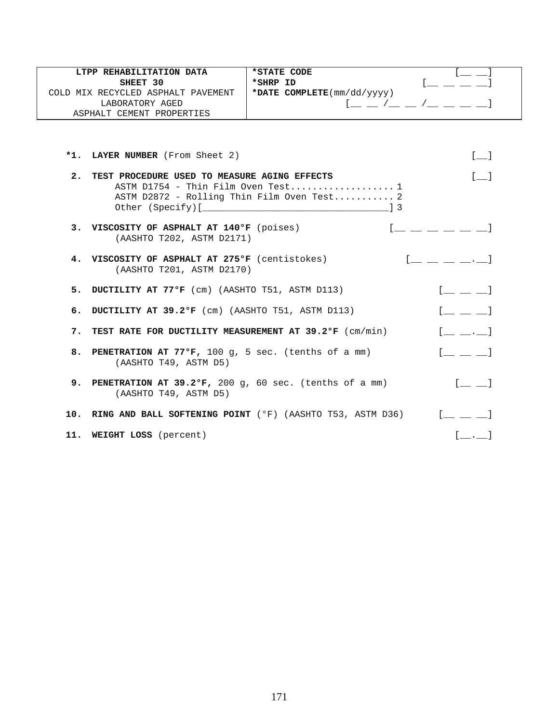| LTPP REHABILITATION DATA                                                           | *STATE CODE                                                   |                                                   |
|------------------------------------------------------------------------------------|---------------------------------------------------------------|---------------------------------------------------|
| SHEET 30                                                                           | *SHRP ID                                                      |                                                   |
| COLD MIX RECYCLED ASPHALT PAVEMENT                                                 | *DATE COMPLETE(mm/dd/yyyy)                                    |                                                   |
| LABORATORY AGED                                                                    | $1 - 1 - 1 - 1 - 1$                                           |                                                   |
| ASPHALT CEMENT PROPERTIES                                                          |                                                               |                                                   |
|                                                                                    |                                                               |                                                   |
| *1. LAYER NUMBER (From Sheet 2)                                                    |                                                               | $[ \quad ]$                                       |
| 2. TEST PROCEDURE USED TO MEASURE AGING EFFECTS                                    |                                                               | $\lceil$ $\rceil$                                 |
|                                                                                    | ASTM $D1754$ - Thin Film Oven Test 1                          |                                                   |
|                                                                                    | ASTM D2872 - Rolling Thin Film Oven Test 2                    |                                                   |
|                                                                                    |                                                               |                                                   |
| 3. VISCOSITY OF ASPHALT AT 140°F (poises)<br>(AASHTO T202, ASTM D2171)             |                                                               |                                                   |
| 4. VISCOSITY OF ASPHALT AT 275°F (centistokes)<br>(AASHTO T201, ASTM D2170)        |                                                               |                                                   |
| 5. DUCTILITY AT 77°F (cm) (AASHTO T51, ASTM D113)                                  |                                                               | $[$ $\underline{\qquad}$ $\underline{\qquad}$ $]$ |
| 6. DUCTILITY AT 39.2°F (cm) (AASHTO T51, ASTM D113)                                |                                                               | $[$ $\perp$ $\perp$ $]$                           |
| 7. TEST RATE FOR DUCTILITY MEASUREMENT AT 39.2°F (cm/min)                          |                                                               | $[$ $\ldots$ $\ldots]$                            |
| 8. PENETRATION AT 77°F, 100 g, 5 sec. (tenths of a mm)<br>(AASHTO T49, ASTM D5)    |                                                               | $\begin{bmatrix} 1 & 1 & 1 \end{bmatrix}$         |
| 9. PENETRATION AT 39.2°F, 200 g, 60 sec. (tenths of a mm)<br>(AASHTO T49, ASTM D5) |                                                               | $[$ $\perp$ $\perp$                               |
|                                                                                    | 10. RING AND BALL SOFTENING POINT (°F) (AASHTO T53, ASTM D36) | $\begin{bmatrix} 1 & 1 & 1 & 1 \end{bmatrix}$     |
| 11. WEIGHT LOSS (percent)                                                          |                                                               | [.1                                               |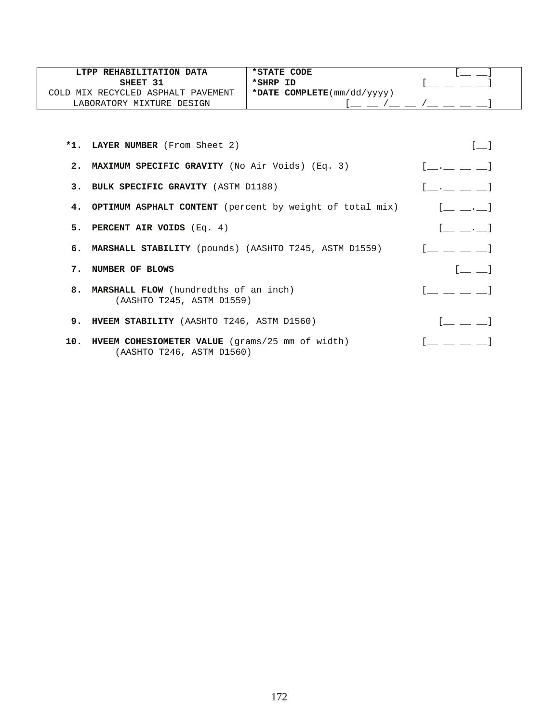| LTPP REHABILITATION DATA           | *STATE CODE                                       |  |
|------------------------------------|---------------------------------------------------|--|
| SHEET 31                           | *SHRP ID                                          |  |
| COLD MIX RECYCLED ASPHALT PAVEMENT | *DATE COMPLETE $(\text{mm}/\text{dd}/\text{yyy})$ |  |
| LABORATORY MIXTURE DESIGN          |                                                   |  |

|    | *1. LAYER NUMBER (From Sheet 2)                                                  |                                                                                                                                                                                                                                                                                                                |
|----|----------------------------------------------------------------------------------|----------------------------------------------------------------------------------------------------------------------------------------------------------------------------------------------------------------------------------------------------------------------------------------------------------------|
|    | 2. MAXIMUM SPECIFIC GRAVITY (No Air Voids) (Eq. 3)                               | $[$ $\_\_$ . $\_\_$ $\_$                                                                                                                                                                                                                                                                                       |
|    | 3. BULK SPECIFIC GRAVITY (ASTM D1188)                                            | $[\underline{\hspace{1cm}} \underline{\hspace{1cm}} \underline{\hspace{1cm}} \underline{\hspace{1cm}} \underline{\hspace{1cm}} \underline{\hspace{1cm}} \underline{\hspace{1cm}} \underline{\hspace{1cm}} \underline{\hspace{1cm}} \underline{\hspace{1cm}} \underline{\hspace{1cm}} \underline{\hspace{1cm}}$ |
|    | 4. OPTIMUM ASPHALT CONTENT (percent by weight of total mix)                      | $\begin{bmatrix} 1 & 1 & 1 \end{bmatrix}$                                                                                                                                                                                                                                                                      |
|    | 5. PERCENT AIR VOIDS (Eq. 4)                                                     |                                                                                                                                                                                                                                                                                                                |
|    | 6. MARSHALL STABILITY (pounds) (AASHTO T245, ASTM D1559)                         |                                                                                                                                                                                                                                                                                                                |
| 7. | NUMBER OF BLOWS                                                                  |                                                                                                                                                                                                                                                                                                                |
|    | 8. MARSHALL FLOW (hundredths of an inch)<br>(AASHTO T245, ASTM D1559)            | $\begin{bmatrix} 1 & 1 & 1 & 1 \ 1 & 1 & 1 & 1 \end{bmatrix}$                                                                                                                                                                                                                                                  |
|    | 9. HVEEM STABILITY (AASHTO T246, ASTM D1560)                                     | $\mathbb{R}^n$ . The set of $\mathbb{R}^n$                                                                                                                                                                                                                                                                     |
|    | 10. HVEEM COHESIOMETER VALUE (grams/25 mm of width)<br>(AASHTO T246, ASTM D1560) |                                                                                                                                                                                                                                                                                                                |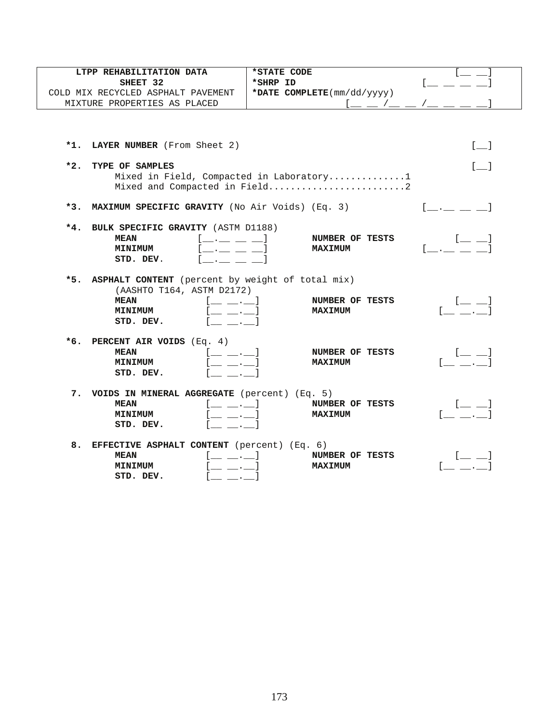| LTPP REHABILITATION DATA                                                                                                                                                                                                                                                                                                                                                                                                                  | *STATE CODE                                                               |                                                         |
|-------------------------------------------------------------------------------------------------------------------------------------------------------------------------------------------------------------------------------------------------------------------------------------------------------------------------------------------------------------------------------------------------------------------------------------------|---------------------------------------------------------------------------|---------------------------------------------------------|
| SHEET 32<br>COLD MIX RECYCLED ASPHALT PAVEMENT                                                                                                                                                                                                                                                                                                                                                                                            | *SHRP ID<br>*DATE COMPLETE(mm/dd/yyyy)                                    |                                                         |
| MIXTURE PROPERTIES AS PLACED                                                                                                                                                                                                                                                                                                                                                                                                              | <u>l _ _ /_ _ /_ _ _ /_</u>                                               |                                                         |
|                                                                                                                                                                                                                                                                                                                                                                                                                                           |                                                                           |                                                         |
|                                                                                                                                                                                                                                                                                                                                                                                                                                           |                                                                           |                                                         |
| *1. LAYER NUMBER (From Sheet 2)                                                                                                                                                                                                                                                                                                                                                                                                           |                                                                           | $\begin{bmatrix} 1 & 1 \end{bmatrix}$                   |
| $*2.$<br>TYPE OF SAMPLES                                                                                                                                                                                                                                                                                                                                                                                                                  |                                                                           |                                                         |
|                                                                                                                                                                                                                                                                                                                                                                                                                                           | Mixed in Field, Compacted in Laboratory1<br>Mixed and Compacted in Field2 |                                                         |
| *3. MAXIMUM SPECIFIC GRAVITY (No Air Voids) (Eq. 3)                                                                                                                                                                                                                                                                                                                                                                                       |                                                                           | in a straight and the state                             |
| $*4.$<br>BULK SPECIFIC GRAVITY (ASTM D1188)<br><b>MEAN</b><br>[ <u>______</u> ___ __]<br><b>MINIMUM</b><br>$\overline{\phantom{a}}$ . $\overline{\phantom{a}}$ . $\overline{\phantom{a}}$ . $\overline{\phantom{a}}$ .<br>STD. DEV.                                                                                                                                                                                                       | NUMBER OF TESTS<br><b>MAXIMUM</b>                                         |                                                         |
| *5. ASPHALT CONTENT (percent by weight of total mix)<br>(AASHTO T164, ASTM D2172)<br><b>MEAN</b><br>$[$ $\_\_\_$ $\_\_$ .<br><b>MINIMUM</b><br>$\equiv \equiv \cdot \equiv 1$<br>STD. DEV.                                                                                                                                                                                                                                                | NUMBER OF TESTS<br><b>MAXIMUM</b>                                         | $[- \quad \quad \quad ]$<br>$\mathcal{L} = \mathcal{L}$ |
| *6. PERCENT AIR VOIDS $(Eq. 4)$<br>$[$ $\_\_$ $\_\_$<br><b>MEAN</b><br><b>MINIMUM</b><br>$\left[\begin{smallmatrix} 1 & 0 & 0 \\ 0 & 1 & 0 & 0 \\ 0 & 0 & 0 & 0 \\ 0 & 0 & 0 & 0 \\ 0 & 0 & 0 & 0 \\ 0 & 0 & 0 & 0 \\ 0 & 0 & 0 & 0 & 0 \\ 0 & 0 & 0 & 0 & 0 \\ 0 & 0 & 0 & 0 & 0 \\ 0 & 0 & 0 & 0 & 0 \\ 0 & 0 & 0 & 0 & 0 \\ 0 & 0 & 0 & 0 & 0 & 0 \\ 0 & 0 & 0 & 0 & 0 & 0 \\ 0 & 0 & 0 & 0 & 0 & 0 \\ 0 & 0 & 0 & 0 & 0$<br>STD. DEV. | NUMBER OF TESTS<br><b>MAXIMUM</b>                                         | $[$ $\_\_$ $\_\_$                                       |
| 7. VOIDS IN MINERAL AGGREGATE (percent) (Eq. 5)<br><b>MEAN</b><br>$[$ _ _ . _ $]$<br>. 1<br><b>MINIMUM</b><br>STD. DEV.<br>$\mathcal{L}$ and $\mathcal{L}$                                                                                                                                                                                                                                                                                | NUMBER OF TESTS<br><b>MAXIMUM</b>                                         |                                                         |
| 8. EFFECTIVE ASPHALT CONTENT (percent) (Eq. 6)<br><b>MEAN</b><br>l___ . 1<br><b>Contract Contract Street</b><br><b>MINIMUM</b><br>STD. DEV.<br><b>Contract Contract Contract</b>                                                                                                                                                                                                                                                          | NUMBER OF TESTS<br><b>MAXIMUM</b>                                         |                                                         |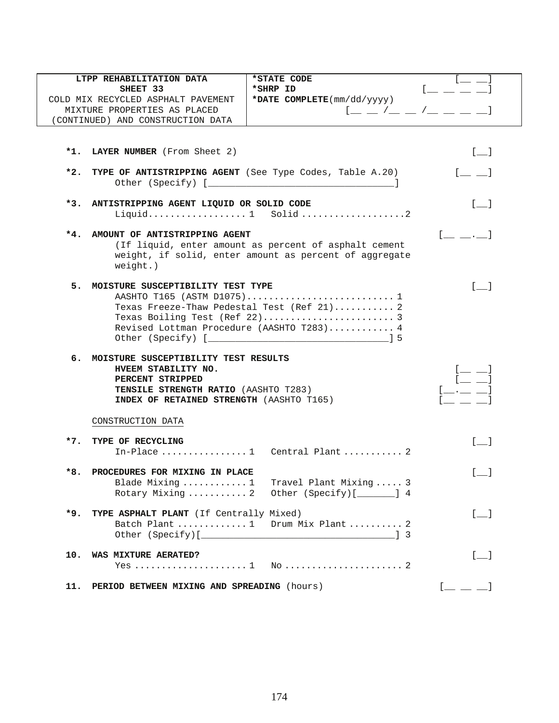|       | LTPP REHABILITATION DATA                                           | *STATE CODE                                                                                                                                                                                                         |                                                |
|-------|--------------------------------------------------------------------|---------------------------------------------------------------------------------------------------------------------------------------------------------------------------------------------------------------------|------------------------------------------------|
|       | SHEET 33                                                           | *SHRP ID                                                                                                                                                                                                            |                                                |
|       | COLD MIX RECYCLED ASPHALT PAVEMENT<br>MIXTURE PROPERTIES AS PLACED | *DATE COMPLETE(mm/dd/yyyy)<br>$\mathfrak{l} \underline{\ \ }\, =\, \mathfrak{l} \underline{\ \ }\, =\, \mathfrak{l} \underline{\ \ }\, =\, \mathfrak{l} \underline{\ \ }\, =\, \underline{\ \ }\, =\, \mathfrak{l}$ |                                                |
|       | (CONTINUED) AND CONSTRUCTION DATA                                  |                                                                                                                                                                                                                     |                                                |
|       |                                                                    |                                                                                                                                                                                                                     |                                                |
|       |                                                                    |                                                                                                                                                                                                                     |                                                |
|       | *1. LAYER NUMBER (From Sheet 2)                                    |                                                                                                                                                                                                                     | $[\_$                                          |
|       |                                                                    |                                                                                                                                                                                                                     |                                                |
|       | *2. TYPE OF ANTISTRIPPING AGENT (See Type Codes, Table A.20)       |                                                                                                                                                                                                                     | $[$ $\_\_$ $\_\_$                              |
|       |                                                                    |                                                                                                                                                                                                                     |                                                |
|       | *3. ANTISTRIPPING AGENT LIQUID OR SOLID CODE                       |                                                                                                                                                                                                                     | $\begin{bmatrix} 1 & 1 \end{bmatrix}$          |
|       |                                                                    | Liquid 1 Solid2                                                                                                                                                                                                     |                                                |
|       |                                                                    |                                                                                                                                                                                                                     |                                                |
|       | *4. AMOUNT OF ANTISTRIPPING AGENT                                  | (If liquid, enter amount as percent of asphalt cement                                                                                                                                                               | $[$ $\ldots$ $\ldots]$                         |
|       |                                                                    | weight, if solid, enter amount as percent of aggregate                                                                                                                                                              |                                                |
|       | $weight.$ )                                                        |                                                                                                                                                                                                                     |                                                |
|       |                                                                    |                                                                                                                                                                                                                     |                                                |
|       | 5. MOISTURE SUSCEPTIBILITY TEST TYPE                               |                                                                                                                                                                                                                     | $\begin{bmatrix} 1 & 1 \\ 1 & 1 \end{bmatrix}$ |
|       |                                                                    | Texas Freeze-Thaw Pedestal Test (Ref 21) 2                                                                                                                                                                          |                                                |
|       |                                                                    |                                                                                                                                                                                                                     |                                                |
|       |                                                                    | Revised Lottman Procedure (AASHTO T283) 4                                                                                                                                                                           |                                                |
|       |                                                                    |                                                                                                                                                                                                                     |                                                |
| б.    | MOISTURE SUSCEPTIBILITY TEST RESULTS                               |                                                                                                                                                                                                                     |                                                |
|       | HVEEM STABILITY NO.                                                |                                                                                                                                                                                                                     |                                                |
|       | PERCENT STRIPPED                                                   |                                                                                                                                                                                                                     |                                                |
|       | TENSILE STRENGTH RATIO (AASHTO T283)                               |                                                                                                                                                                                                                     |                                                |
|       | INDEX OF RETAINED STRENGTH (AASHTO T165)                           |                                                                                                                                                                                                                     |                                                |
|       | CONSTRUCTION DATA                                                  |                                                                                                                                                                                                                     |                                                |
|       |                                                                    |                                                                                                                                                                                                                     |                                                |
| $*7.$ | TYPE OF RECYCLING                                                  |                                                                                                                                                                                                                     | $\begin{bmatrix} 1 & 1 \end{bmatrix}$          |
|       |                                                                    | In-Place  1 Central Plant  2                                                                                                                                                                                        |                                                |
| $*8.$ | PROCEDURES FOR MIXING IN PLACE                                     |                                                                                                                                                                                                                     | $\begin{bmatrix} 1 & 1 \end{bmatrix}$          |
|       |                                                                    | Blade Mixing  1 Travel Plant Mixing  3                                                                                                                                                                              |                                                |
|       | Rotary Mixing  2                                                   | Other (Specify)[_______] 4                                                                                                                                                                                          |                                                |
|       |                                                                    |                                                                                                                                                                                                                     |                                                |
| $*9.$ | TYPE ASPHALT PLANT (If Centrally Mixed)                            |                                                                                                                                                                                                                     | $\begin{bmatrix} 1 & 1 \\ 1 & 1 \end{bmatrix}$ |
|       |                                                                    | Batch Plant  1 Drum Mix Plant  2                                                                                                                                                                                    |                                                |
|       |                                                                    |                                                                                                                                                                                                                     |                                                |
| 10.   | WAS MIXTURE AERATED?                                               |                                                                                                                                                                                                                     | $[\_$                                          |
|       |                                                                    |                                                                                                                                                                                                                     |                                                |
|       |                                                                    |                                                                                                                                                                                                                     |                                                |
| 11.   | PERIOD BETWEEN MIXING AND SPREADING (hours)                        |                                                                                                                                                                                                                     | $\begin{bmatrix} 1 & 1 \\ 1 & 1 \end{bmatrix}$ |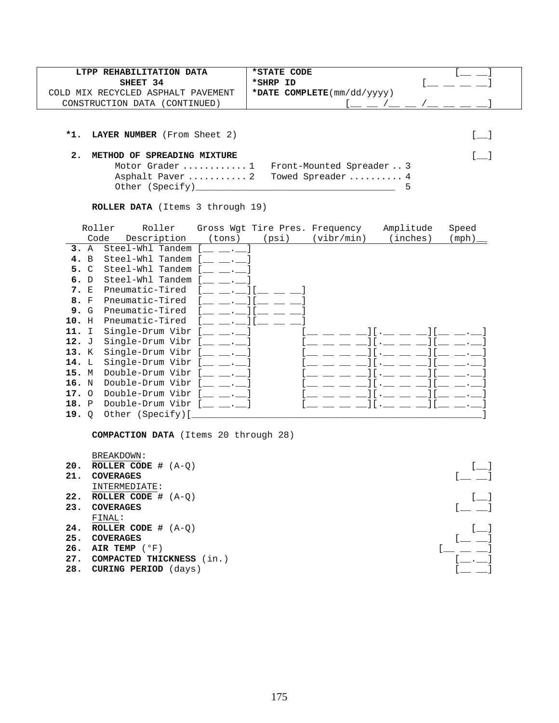| LTPP REHABILITATION DATA           | *STATE CODE                                       |  |
|------------------------------------|---------------------------------------------------|--|
| SHEET 34                           | *SHRP ID                                          |  |
| COLD MIX RECYCLED ASPHALT PAVEMENT | *DATE COMPLETE $(\text{mm}/\text{dd}/\text{yyy})$ |  |
| CONSTRUCTION DATA (<br>(CONTINUED) |                                                   |  |

**\*1. LAYER NUMBER** (From Sheet 2) [\_\_]

## **2. METHOD OF SPREADING MIXTURE** [\_\_]

| Motor Grader  1 Front-Mounted Spreader  3 |  |
|-------------------------------------------|--|
| Asphalt Paver  2 Towed Spreader  4        |  |
| Other (Specify)                           |  |

**ROLLER DATA** (Items 3 through 19)

|       | Roller         | Roller           |        | Gross Wgt Tire Pres. Frequency |            | Amplitude | Speed |
|-------|----------------|------------------|--------|--------------------------------|------------|-----------|-------|
|       | Code           | Description      | (tons) | (psi)                          | (vibr/min) | (inches)  | (mph) |
| 3.    | $\mathbb A$    | Steel-Whl Tandem |        |                                |            |           |       |
| 4.    | $\overline{B}$ | Steel-Whl Tandem |        |                                |            |           |       |
| 5. C  |                | Steel-Whl Tandem |        |                                |            |           |       |
| б.    | D              | Steel-Whl Tandem |        |                                |            |           |       |
| 7.    | E              | Pneumatic-Tired  |        |                                |            |           |       |
| 8. F  |                | Pneumatic-Tired  |        |                                |            |           |       |
| 9. G  |                | Pneumatic-Tired  |        |                                |            |           |       |
| 10.   | H              | Pneumatic-Tired  |        |                                |            |           |       |
| 11.   | I              | Single-Drum Vibr |        |                                |            |           |       |
| 12. J |                | Single-Drum Vibr |        |                                |            |           |       |
| 13.   | K              | Single-Drum Vibr |        |                                |            |           |       |
| 14. L |                | Single-Drum Vibr |        |                                |            |           |       |
| 15. M |                | Double-Drum Vibr |        |                                |            |           |       |
| 16. N |                | Double-Drum Vibr |        |                                |            |           |       |
| 17.   | $\circ$        | Double-Drum Vibr |        |                                |            |           |       |
| 18.   | $\mathbf{P}$   | Double-Drum Vibr |        |                                |            |           |       |
| 19.   | $\overline{Q}$ | Other (Specify)[ |        |                                |            |           |       |

**COMPACTION DATA** (Items 20 through 28)

 BREAKDOWN: **20. ROLLER CODE #** (A-Q) [\_]<br>**21. COVERAGES** [\_\_] 21. COVERAGES INTERMEDIATE: **22. ROLLER CODE #**  $(A-Q)$   $[$   $]$ <br> **23. COVERAGES**  $[$ 23. COVERAGES FINAL: **24. ROLLER CODE #**  $(A-Q)$   $[$   $]$ <br>**25. COVERAGES**  $[$   $]$ 25. COVERAGES<br>
26. AIR TEMP (°F)<br>
27. COMPACTED THICKNESS (in.)<br>
27. COMPACTED THICKNESS (in.) **26. AIR TEMP** ( $^{\circ}$ F) 27. COMPACTED THICKNESS (in.)

**28. CURING PERIOD** (days)  $[\_ \_ ]$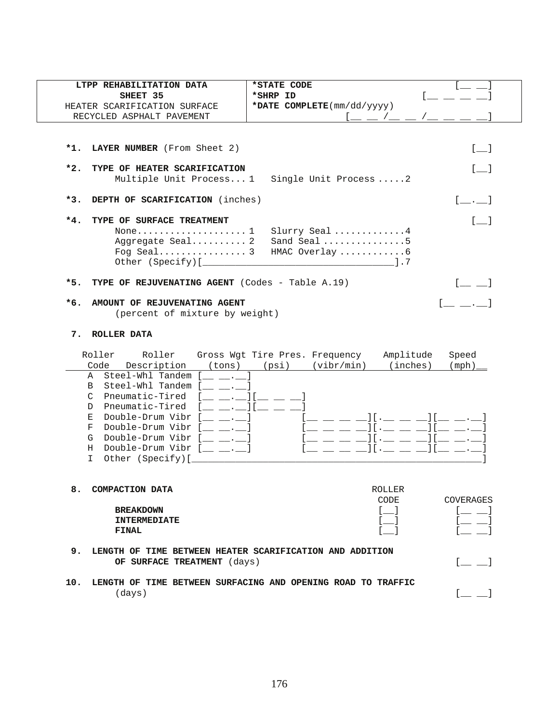| LTPP REHABILITATION DATA                                                                                                                                                                                                                                                                                                                                                                                                                                                     | *STATE CODE                                                                                                                                                                                                                                                                                                                                                                                                                                                                                                                                             |
|------------------------------------------------------------------------------------------------------------------------------------------------------------------------------------------------------------------------------------------------------------------------------------------------------------------------------------------------------------------------------------------------------------------------------------------------------------------------------|---------------------------------------------------------------------------------------------------------------------------------------------------------------------------------------------------------------------------------------------------------------------------------------------------------------------------------------------------------------------------------------------------------------------------------------------------------------------------------------------------------------------------------------------------------|
| SHEET 35                                                                                                                                                                                                                                                                                                                                                                                                                                                                     | *SHRP ID                                                                                                                                                                                                                                                                                                                                                                                                                                                                                                                                                |
| HEATER SCARIFICATION SURFACE                                                                                                                                                                                                                                                                                                                                                                                                                                                 | *DATE COMPLETE(mm/dd/yyyy)                                                                                                                                                                                                                                                                                                                                                                                                                                                                                                                              |
| RECYCLED ASPHALT PAVEMENT                                                                                                                                                                                                                                                                                                                                                                                                                                                    | $1 = -1 = -1$                                                                                                                                                                                                                                                                                                                                                                                                                                                                                                                                           |
| LAYER NUMBER (From Sheet 2)<br>*1.                                                                                                                                                                                                                                                                                                                                                                                                                                           | $[\_$                                                                                                                                                                                                                                                                                                                                                                                                                                                                                                                                                   |
| $*2.$<br>TYPE OF HEATER SCARIFICATION                                                                                                                                                                                                                                                                                                                                                                                                                                        | $[-]$<br>Multiple Unit Process 1 Single Unit Process  2                                                                                                                                                                                                                                                                                                                                                                                                                                                                                                 |
| $*3.$<br>DEPTH OF SCARIFICATION (inches)                                                                                                                                                                                                                                                                                                                                                                                                                                     | $\begin{bmatrix} 1 & 1 & 1 \end{bmatrix}$                                                                                                                                                                                                                                                                                                                                                                                                                                                                                                               |
| *4.<br>TYPE OF SURFACE TREATMENT                                                                                                                                                                                                                                                                                                                                                                                                                                             | $\begin{bmatrix} 1 \end{bmatrix}$                                                                                                                                                                                                                                                                                                                                                                                                                                                                                                                       |
| Aggregate Seal 2                                                                                                                                                                                                                                                                                                                                                                                                                                                             | Slurry Seal 4<br>Sand Seal 5<br>HMAC Overlay 6                                                                                                                                                                                                                                                                                                                                                                                                                                                                                                          |
| TYPE OF REJUVENATING AGENT (Codes - Table A.19)<br>*5.                                                                                                                                                                                                                                                                                                                                                                                                                       |                                                                                                                                                                                                                                                                                                                                                                                                                                                                                                                                                         |
| *6.<br>AMOUNT OF REJUVENATING AGENT                                                                                                                                                                                                                                                                                                                                                                                                                                          | $\begin{bmatrix} 1 & 1 & 1 \end{bmatrix}$                                                                                                                                                                                                                                                                                                                                                                                                                                                                                                               |
| (percent of mixture by weight)                                                                                                                                                                                                                                                                                                                                                                                                                                               |                                                                                                                                                                                                                                                                                                                                                                                                                                                                                                                                                         |
| ROLLER DATA<br>7.<br>Roller<br>Roller<br>Code Description<br>(tons)<br>A Steel-Whl Tandem [ . ]<br>Steel-Whl Tandem [<br>$\mathbf{B}$<br><b>Contract Contract Contract</b><br>Pneumatic-Tired<br>$\mathcal{C}$<br>Pneumatic-Tired<br>$\blacksquare$ . If $\blacksquare$<br>D<br>Double-Drum Vibr $[\_\_\_ \_\_ \_]\$<br>Е<br>Double-Drum Vibr $[\_\_\_ \_\_ \_ \_$<br>F<br>Double-Drum Vibr $[\_\_\_\_\_\_\_\_]\$<br>G<br>Double-Drum Vibr $[\_\_\_\_\_\_\_.\_]\$<br>H<br>I. | Gross Wgt Tire Pres. Frequency<br>Amplitude<br>Speed<br>$(psi)$ $(vibr/min)$<br>(inches)<br>(mph)<br>$[ \begin{array}{cccc} 1 & 0 & 0 & 0 \\ 0 & 0 & 0 & 0 \\ 0 & 0 & 0 & 0 \\ 0 & 0 & 0 & 0 \\ 0 & 0 & 0 & 0 \\ 0 & 0 & 0 & 0 \\ 0 & 0 & 0 & 0 \\ 0 & 0 & 0 & 0 \\ 0 & 0 & 0 & 0 \\ 0 & 0 & 0 & 0 \\ 0 & 0 & 0 & 0 \\ 0 & 0 & 0 & 0 & 0 \\ 0 & 0 & 0 & 0 & 0 \\ 0 & 0 & 0 & 0 & 0 \\ 0 & 0 & 0 & 0 & 0 \\ 0 & 0 & 0 & 0 & 0 \\ 0 & 0$<br>$\mathfrak{l}=\bot\bot\bot\mathfrak{l}\mathfrak{l}\cdot\bot\bot\bot\mathfrak{l}\mathfrak{l}\bot\bot\cdot\bot$ |
| 8<br>COMPACTION DATA                                                                                                                                                                                                                                                                                                                                                                                                                                                         | <b>ROLLER</b><br>CODE<br>COVERAGES                                                                                                                                                                                                                                                                                                                                                                                                                                                                                                                      |
| <b>BREAKDOWN</b>                                                                                                                                                                                                                                                                                                                                                                                                                                                             | $[$ $\Box$<br>$[$ $\equiv$ $\equiv$ $]$<br>$\begin{bmatrix} 1 & 1 \end{bmatrix}$                                                                                                                                                                                                                                                                                                                                                                                                                                                                        |
| <b>INTERMEDIATE</b><br><b>FINAL</b>                                                                                                                                                                                                                                                                                                                                                                                                                                          | $[$ <sub>__</sub> __ $]$<br>$[$ $\qquad \qquad$ $\qquad$                                                                                                                                                                                                                                                                                                                                                                                                                                                                                                |
| 9.<br>LENGTH OF TIME BETWEEN HEATER SCARIFICATION AND ADDITION<br>OF SURFACE TREATMENT (days)                                                                                                                                                                                                                                                                                                                                                                                | $[$ $\equiv$ $\equiv$ $]$                                                                                                                                                                                                                                                                                                                                                                                                                                                                                                                               |
| 10.<br>(days)                                                                                                                                                                                                                                                                                                                                                                                                                                                                | LENGTH OF TIME BETWEEN SURFACING AND OPENING ROAD TO TRAFFIC<br>$[$                                                                                                                                                                                                                                                                                                                                                                                                                                                                                     |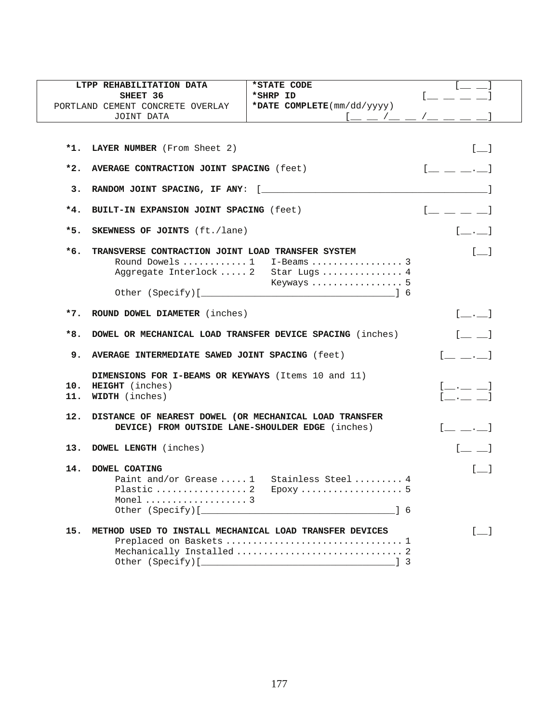|       | LTPP REHABILITATION DATA                                  | *STATE CODE                               |                                                                                                                                                                               |
|-------|-----------------------------------------------------------|-------------------------------------------|-------------------------------------------------------------------------------------------------------------------------------------------------------------------------------|
|       | SHEET 36                                                  | *SHRP ID                                  |                                                                                                                                                                               |
|       | PORTLAND CEMENT CONCRETE OVERLAY                          | *DATE COMPLETE(mm/dd/yyyy)                |                                                                                                                                                                               |
|       | JOINT DATA                                                |                                           |                                                                                                                                                                               |
|       |                                                           |                                           |                                                                                                                                                                               |
|       |                                                           |                                           |                                                                                                                                                                               |
|       | *1. LAYER NUMBER (From Sheet 2)                           |                                           | $[\_$                                                                                                                                                                         |
|       |                                                           |                                           |                                                                                                                                                                               |
| *2.   | AVERAGE CONTRACTION JOINT SPACING (feet)                  |                                           | $[$ $\_\_$ $\_\_$ $\_\_$                                                                                                                                                      |
|       |                                                           |                                           |                                                                                                                                                                               |
| 3.    |                                                           |                                           |                                                                                                                                                                               |
| $*4.$ | BUILT-IN EXPANSION JOINT SPACING (feet)                   |                                           | $[$ $]$                                                                                                                                                                       |
|       |                                                           |                                           |                                                                                                                                                                               |
| $*5.$ | <b>SKEWNESS OF JOINTS</b> (ft./lane)                      |                                           | $[-.$                                                                                                                                                                         |
|       |                                                           |                                           |                                                                                                                                                                               |
| *6.   | TRANSVERSE CONTRACTION JOINT LOAD TRANSFER SYSTEM         |                                           | $[$ $]$                                                                                                                                                                       |
|       |                                                           |                                           |                                                                                                                                                                               |
|       |                                                           | Aggregate Interlock  2 Star Lugs  4       |                                                                                                                                                                               |
|       |                                                           | Keyways  5                                |                                                                                                                                                                               |
|       |                                                           |                                           |                                                                                                                                                                               |
|       |                                                           |                                           |                                                                                                                                                                               |
|       | *7. ROUND DOWEL DIAMETER (inches)                         |                                           | $[\underline{\hspace{1cm}}\underline{\hspace{1cm}}\underline{\hspace{1cm}}\underline{\hspace{1cm}}\underline{\hspace{1cm}}\underline{\hspace{1cm}}\underline{\hspace{1cm}}}]$ |
|       |                                                           |                                           |                                                                                                                                                                               |
| *8.   | DOWEL OR MECHANICAL LOAD TRANSFER DEVICE SPACING (inches) |                                           | $[$ $\qquad \qquad$ $]$                                                                                                                                                       |
| 9.    | AVERAGE INTERMEDIATE SAWED JOINT SPACING (feet)           |                                           | $[\underline{\qquad} \underline{\qquad} \underline{\cdot} \underline{\qquad}]$                                                                                                |
|       |                                                           |                                           |                                                                                                                                                                               |
|       | DIMENSIONS FOR I-BEAMS OR KEYWAYS (Items 10 and 11)       |                                           |                                                                                                                                                                               |
|       | 10. HEIGHT (inches)                                       |                                           | $[$ $]$                                                                                                                                                                       |
|       | 11. WIDTH (inches)                                        |                                           | and the state of the                                                                                                                                                          |
|       |                                                           |                                           |                                                                                                                                                                               |
| 12.   | DISTANCE OF NEAREST DOWEL (OR MECHANICAL LOAD TRANSFER    |                                           |                                                                                                                                                                               |
|       | DEVICE) FROM OUTSIDE LANE-SHOULDER EDGE (inches)          |                                           | $[$ $\ldots$ $]$                                                                                                                                                              |
|       |                                                           |                                           |                                                                                                                                                                               |
|       | 13. DOWEL LENGTH (inches)                                 |                                           | $[$ <sub>__</sub> __ $]$                                                                                                                                                      |
|       |                                                           |                                           |                                                                                                                                                                               |
|       | 14. DOWEL COATING                                         |                                           | $\begin{bmatrix} 1 & 1 \end{bmatrix}$                                                                                                                                         |
|       |                                                           | Paint and/or Grease  1 Stainless Steel  4 |                                                                                                                                                                               |
|       |                                                           | Plastic  2 Epoxy  5                       |                                                                                                                                                                               |
|       | Monel  3                                                  |                                           |                                                                                                                                                                               |
|       |                                                           | Other (Specify)[<br>16                    |                                                                                                                                                                               |
| 15.   | METHOD USED TO INSTALL MECHANICAL LOAD TRANSFER DEVICES   |                                           |                                                                                                                                                                               |
|       |                                                           |                                           | $[\underline{\ }$                                                                                                                                                             |
|       |                                                           |                                           |                                                                                                                                                                               |
|       |                                                           |                                           |                                                                                                                                                                               |
|       |                                                           |                                           |                                                                                                                                                                               |

177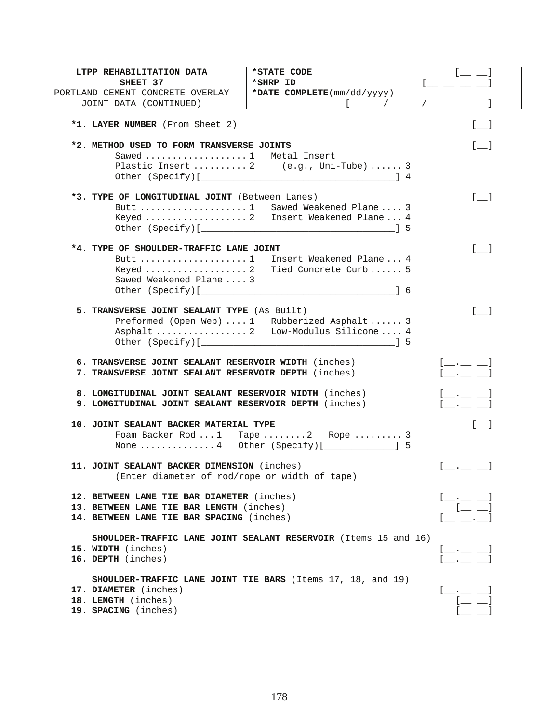| *STATE CODE<br>LTPP REHABILITATION DATA<br>*SHRP ID<br>SHEET 37<br>*DATE COMPLETE(mm/dd/yyyy)<br>PORTLAND CEMENT CONCRETE OVERLAY<br>JOINT DATA (CONTINUED) | $\Box$ $\Box$ $\Box$ $\Box$<br>$\mathfrak{l} \underline{\qquad} \underline{\qquad} \underline{\qquad} \underline{\qquad} \underline{\qquad} \underline{\qquad} \underline{\qquad} \underline{\qquad} \underline{\qquad} \underline{\qquad} \underline{\qquad} \underline{\qquad}$                                                                                                                                                                                                                                                                                                                        |
|-------------------------------------------------------------------------------------------------------------------------------------------------------------|----------------------------------------------------------------------------------------------------------------------------------------------------------------------------------------------------------------------------------------------------------------------------------------------------------------------------------------------------------------------------------------------------------------------------------------------------------------------------------------------------------------------------------------------------------------------------------------------------------|
| *1. LAYER NUMBER (From Sheet 2)                                                                                                                             | $\begin{bmatrix} 1 & 1 \end{bmatrix}$                                                                                                                                                                                                                                                                                                                                                                                                                                                                                                                                                                    |
| *2. METHOD USED TO FORM TRANSVERSE JOINTS<br>Sawed  1 Metal Insert                                                                                          |                                                                                                                                                                                                                                                                                                                                                                                                                                                                                                                                                                                                          |
| Plastic Insert  2 (e.g., Uni-Tube)  3                                                                                                                       |                                                                                                                                                                                                                                                                                                                                                                                                                                                                                                                                                                                                          |
| *3. TYPE OF LONGITUDINAL JOINT (Between Lanes)<br>Butt  1 Sawed Weakened Plane  3<br>Keyed  2    Insert Weakened Plane  4                                   | $\lceil$ 1<br>- 15                                                                                                                                                                                                                                                                                                                                                                                                                                                                                                                                                                                       |
| *4. TYPE OF SHOULDER-TRAFFIC LANE JOINT<br>Butt 1 Insert Weakened Plane  4<br>Keyed  2 Tied Concrete Curb  5<br>Sawed Weakened Plane  3                     | $\lceil$ 1                                                                                                                                                                                                                                                                                                                                                                                                                                                                                                                                                                                               |
| 5. TRANSVERSE JOINT SEALANT TYPE (As Built)<br>Preformed (Open Web)  1 Rubberized Asphalt  3<br>Asphalt  2 Low-Modulus Silicone 4                           | $\begin{bmatrix} 1 & 1 \end{bmatrix}$                                                                                                                                                                                                                                                                                                                                                                                                                                                                                                                                                                    |
| 6. TRANSVERSE JOINT SEALANT RESERVOIR WIDTH (inches)<br>7. TRANSVERSE JOINT SEALANT RESERVOIR DEPTH (inches)                                                | $[$ __ .__ __ $]$<br>$\begin{array}{ccc} \begin{array}{ccc} \end{array} & \begin{array}{ccc} \end{array} & \begin{array}{ccc} \end{array} & \begin{array}{ccc} \end{array} & \begin{array}{ccc} \end{array} & \begin{array}{ccc} \end{array} & \begin{array}{ccc} \end{array} & \begin{array}{ccc} \end{array} & \begin{array}{ccc} \end{array} & \begin{array}{ccc} \end{array} & \begin{array}{ccc} \end{array} & \begin{array}{ccc} \end{array} & \begin{array}{ccc} \end{array} & \begin{array}{ccc} \end{array} & \begin{array}{ccc} \end{array} & \begin{array}{ccc} \end{array} & \begin{array}{$ |
| 8. LONGITUDINAL JOINT SEALANT RESERVOIR WIDTH (inches)<br>9. LONGITUDINAL JOINT SEALANT RESERVOIR DEPTH (inches)                                            | $[$ __._ __ ___ $]$<br>[                                                                                                                                                                                                                                                                                                                                                                                                                                                                                                                                                                                 |
| <b>10. JOINT SEALANT BACKER MATERIAL TYPE</b><br>Foam Backer Rod 1 Tape  2 Rope  3<br>None 4 Other (Specify) [ $\qquad \qquad$ ] 5                          |                                                                                                                                                                                                                                                                                                                                                                                                                                                                                                                                                                                                          |
| 11. JOINT SEALANT BACKER DIMENSION (inches)<br>(Enter diameter of rod/rope or width of tape)                                                                |                                                                                                                                                                                                                                                                                                                                                                                                                                                                                                                                                                                                          |
| 12. BETWEEN LANE TIE BAR DIAMETER (inches)<br>13. BETWEEN LANE TIE BAR LENGTH (inches)<br>14. BETWEEN LANE TIE BAR SPACING (inches)                         | $\frac{1}{\sqrt{1-\frac{1}{\sqrt{1-\frac{1}{\sqrt{1-\frac{1}{\sqrt{1-\frac{1}{\sqrt{1-\frac{1}{\sqrt{1-\frac{1}{\sqrt{1-\frac{1}{\sqrt{1-\frac{1}{\sqrt{1-\frac{1}{\sqrt{1-\frac{1}{\sqrt{1-\frac{1}{\sqrt{1-\frac{1}{\sqrt{1-\frac{1}{\sqrt{1-\frac{1}{\sqrt{1-\frac{1}{\sqrt{1-\frac{1}{\sqrt{1-\frac{1}{\sqrt{1-\frac{1}{\sqrt{1-\frac{1}{\sqrt{1-\frac{1}{\sqrt{1-\frac{1}{\sqrt{1-\frac{1}{\sqrt{1-\frac{1}{\sqrt{1-\frac{1$                                                                                                                                                                        |
| <b>SHOULDER-TRAFFIC LANE JOINT SEALANT RESERVOIR</b> (Items 15 and 16)<br>15. WIDTH (inches)<br>16. DEPTH (inches)                                          | $[-,-]$<br>$\begin{bmatrix} 1 & 1 & 1 \\ 1 & 1 & 1 \end{bmatrix}$                                                                                                                                                                                                                                                                                                                                                                                                                                                                                                                                        |
| SHOULDER-TRAFFIC LANE JOINT TIE BARS (Items 17, 18, and 19)<br>17. DIAMETER (inches)<br>18. LENGTH (inches)<br>19. SPACING (inches)                         |                                                                                                                                                                                                                                                                                                                                                                                                                                                                                                                                                                                                          |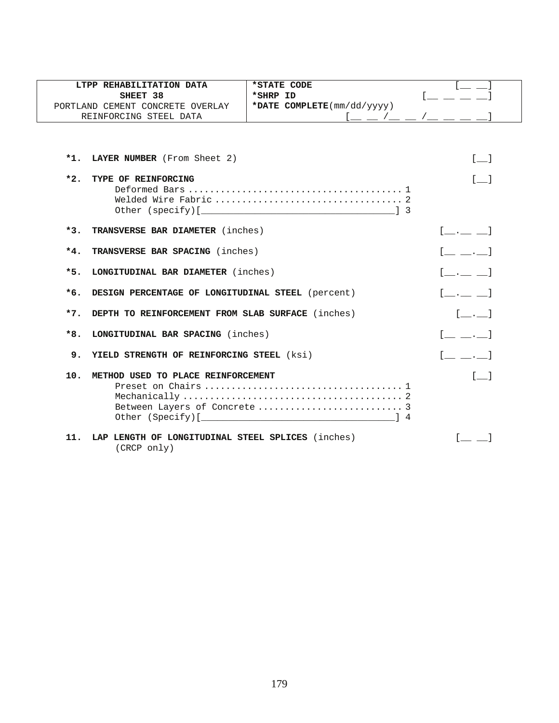|       | LTPP REHABILITATION DATA                                         | *STATE CODE                |                                                     |
|-------|------------------------------------------------------------------|----------------------------|-----------------------------------------------------|
|       | SHEET 38                                                         | *SHRP ID                   |                                                     |
|       | PORTLAND CEMENT CONCRETE OVERLAY                                 | *DATE COMPLETE(mm/dd/yyyy) |                                                     |
|       | REINFORCING STEEL DATA                                           |                            | $[$ $\_$ $\_$ $/$ $\_$ $\_$ $/$ $\_$ $\_$ $\_$ $\_$ |
|       |                                                                  |                            |                                                     |
|       | *1. LAYER NUMBER (From Sheet 2)                                  |                            | $[$ $]$                                             |
| $*2.$ | TYPE OF REINFORCING                                              |                            | $\sqrt{1}$                                          |
|       |                                                                  |                            |                                                     |
|       |                                                                  |                            |                                                     |
|       |                                                                  |                            |                                                     |
| $*3.$ | TRANSVERSE BAR DIAMETER (inches)                                 |                            | $[$ __ .__ __ $]$                                   |
| $*4.$ | TRANSVERSE BAR SPACING (inches)                                  |                            | $[$ $, ]$                                           |
| $*5.$ | LONGITUDINAL BAR DIAMETER (inches)                               |                            | $[-,-]$                                             |
| $*6.$ | DESIGN PERCENTAGE OF LONGITUDINAL STEEL (percent)                |                            | $[$ $]$                                             |
| $*7.$ | DEPTH TO REINFORCEMENT FROM SLAB SURFACE (inches)                |                            | [ ]                                                 |
| $*8.$ | LONGITUDINAL BAR SPACING (inches)                                |                            | $[$ $, ]$                                           |
| 9.    | YIELD STRENGTH OF REINFORCING STEEL (ksi)                        |                            | $[\_$ . 1                                           |
| 10.   | METHOD USED TO PLACE REINFORCEMENT                               |                            | $\begin{bmatrix} 1 \end{bmatrix}$                   |
|       |                                                                  |                            |                                                     |
|       |                                                                  |                            |                                                     |
|       |                                                                  |                            |                                                     |
|       |                                                                  |                            |                                                     |
| 11.   | LAP LENGTH OF LONGITUDINAL STEEL SPLICES (inches)<br>(CRCP only) |                            |                                                     |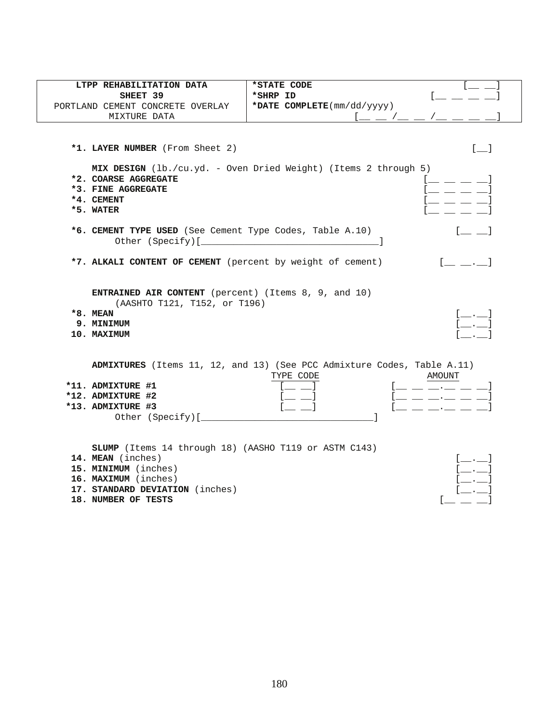| LTPP REHABILITATION DATA                                     | *STATE CODE                                                             |
|--------------------------------------------------------------|-------------------------------------------------------------------------|
| SHEET 39                                                     | *SHRP ID                                                                |
| PORTLAND CEMENT CONCRETE OVERLAY                             | *DATE COMPLETE(mm/dd/yyyy)                                              |
| MIXTURE DATA                                                 |                                                                         |
|                                                              |                                                                         |
|                                                              |                                                                         |
| *1. LAYER NUMBER (From Sheet 2)                              | $[$ $]$                                                                 |
|                                                              | MIX DESIGN (lb./cu.yd. - Oven Dried Weight) (Items 2 through 5)         |
| *2. COARSE AGGREGATE                                         | and the company of the company of                                       |
| *3. FINE AGGREGATE                                           |                                                                         |
| *4. CEMENT                                                   |                                                                         |
| *5. WATER                                                    |                                                                         |
|                                                              |                                                                         |
| *6. CEMENT TYPE USED (See Cement Type Codes, Table A.10)     |                                                                         |
|                                                              |                                                                         |
| *7. ALKALI CONTENT OF CEMENT (percent by weight of cement)   | $[$ $,$ $]$                                                             |
|                                                              |                                                                         |
|                                                              |                                                                         |
| <b>ENTRAINED AIR CONTENT</b> (percent) (Items 8, 9, and 10)  |                                                                         |
| (AASHTO T121, T152, or T196)                                 |                                                                         |
| *8. MEAN                                                     | $[\_\_\cdot\_\cdot]$<br>$\begin{bmatrix} 1 & 1 \\ 1 & 1 \end{bmatrix}$  |
| 9. MINIMUM                                                   |                                                                         |
| 10. MAXIMUM                                                  |                                                                         |
|                                                              |                                                                         |
|                                                              | ADMIXTURES (Items 11, 12, and 13) (See PCC Admixture Codes, Table A.11) |
|                                                              | AMOUNT<br>TYPE CODE                                                     |
| *11. ADMIXTURE #1                                            | _ __ __.__ __ __]                                                       |
| *12. ADMIXTURE #2                                            | __ __ __.__ __ __                                                       |
| *13. ADMIXTURE #3                                            |                                                                         |
| Other (Specify) [                                            |                                                                         |
|                                                              |                                                                         |
| <b>SLUMP</b> (Items 14 through 18) (AASHO T119 or ASTM C143) |                                                                         |
| 14. MEAN (inches)                                            |                                                                         |
| 15. MINIMUM (inches)                                         | $\left[ \ldots \right]$                                                 |
| 16. MAXIMUM (inches)                                         |                                                                         |
| 17. STANDARD DEVIATION (inches)                              |                                                                         |
| 18. NUMBER OF TESTS                                          |                                                                         |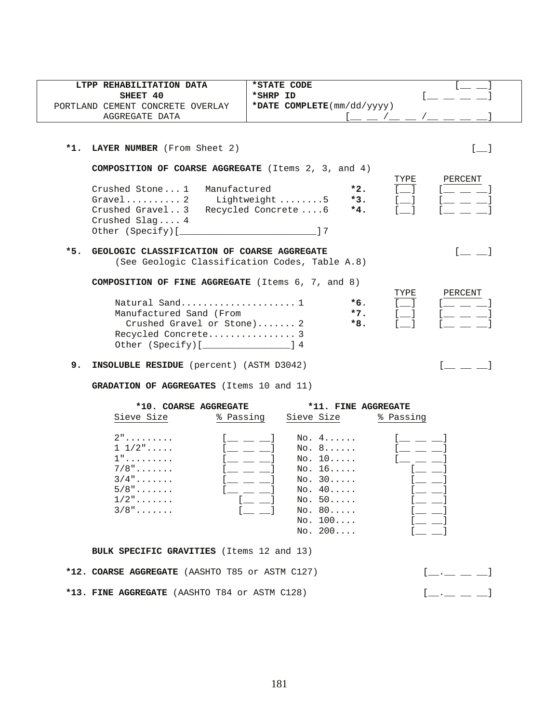| LTPP REHABILITATION DATA<br>SHEET 40<br>PORTLAND CEMENT CONCRETE OVERLAY<br>AGGREGATE DATA                                                                                                                                               | *STATE CODE<br>*SHRP ID<br>*DATE COMPLETE(mm/dd/yyyy)<br>$[$ $\_\_$ $\_\_$ $/$ $\_\_$ $\_\_$ $/$ $\_\_$ $\_\_$ $\_\_$ |
|------------------------------------------------------------------------------------------------------------------------------------------------------------------------------------------------------------------------------------------|-----------------------------------------------------------------------------------------------------------------------|
| *1. LAYER NUMBER (From Sheet 2)                                                                                                                                                                                                          | $\begin{bmatrix} 1 & 1 \end{bmatrix}$                                                                                 |
| <b>COMPOSITION OF COARSE AGGREGATE</b> (Items $2$ , $3$ , and $4$ )<br>Crushed Stone1 Manufactured<br>Gravel2 Lightweight5<br>Crushed Gravel3 Recycled Concrete6<br>Crushed Slag $4$<br>Other (Specify) [ <i>_______________________</i> | TYPE<br>PERCENT<br>$*2.$<br>$*3.$<br>and the state<br>$*4.$<br>17                                                     |
| $*5.$<br>GEOLOGIC CLASSIFICATION OF COARSE AGGREGATE                                                                                                                                                                                     | (See Geologic Classification Codes, Table A.8)                                                                        |
| <b>COMPOSITION OF FINE AGGREGATE</b> (Items 6, 7, and 8)<br>Natural Sand 1<br>Manufactured Sand (From<br>Crushed Gravel or Stone) 2<br>Recycled Concrete 3<br>Other (Specify) [ <i>________________</i> ____] 4                          | TYPE<br>PERCENT<br>$*6.$<br>$*7.$<br>$*8.$                                                                            |
| 9.<br>INSOLUBLE RESIDUE (percent) (ASTM D3042)                                                                                                                                                                                           |                                                                                                                       |
| <b>GRADATION OF AGGREGATES</b> (Items 10 and 11)                                                                                                                                                                                         |                                                                                                                       |

| *10. COARSE AGGREGATE |           | *11. FINE AGGREGATE |           |
|-----------------------|-----------|---------------------|-----------|
| Sieve Size            | % Passing | Sieve Size          | % Passing |
| $2"$                  |           | NO. 4.000           |           |
| $1\;\;1/2"$           |           | No. 8               |           |
| $1"$                  |           | NO. 10              |           |
| $7/8$ "               |           | No. 16              |           |
| $3/4$ "               |           | No. 30              |           |
| $5/8"$                |           | No. 40              |           |
| $1/2$ "               |           | No. 50              |           |
| $3/8"$                |           | No. 80              |           |
|                       |           | No. 100             |           |
|                       |           | NO. 200             |           |

**BULK SPECIFIC GRAVITIES** (Items 12 and 13)

|  | *12. COARSE AGGREGATE (AASHTO T85 or ASTM C127) | $\begin{bmatrix} 1 & 1 & 1 \end{bmatrix}$ |
|--|-------------------------------------------------|-------------------------------------------|
|  | *13. FINE AGGREGATE (AASHTO T84 or ASTM C128)   | $[$ $\_\_$ $\_\_$ $\_\_$ $\_\_$           |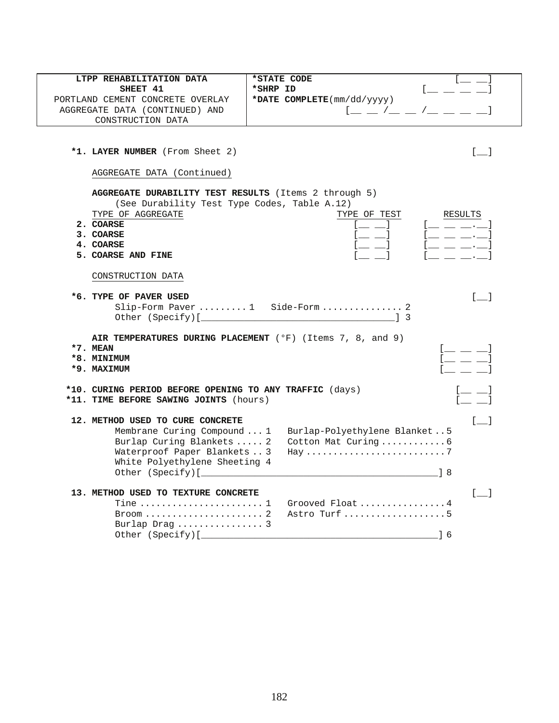| LTPP REHABILITATION DATA                                | <i><b>*STATE CODE</b></i>                                             |  |  |
|---------------------------------------------------------|-----------------------------------------------------------------------|--|--|
| SHEET 41                                                | *SHRP ID                                                              |  |  |
| PORTLAND CEMENT CONCRETE OVERLAY                        | *DATE COMPLETE(mm/dd/yyyy)                                            |  |  |
| AGGREGATE DATA (CONTINUED) AND                          | $1 - 2 - 1 - 1 = 1$                                                   |  |  |
| CONSTRUCTION DATA                                       |                                                                       |  |  |
|                                                         |                                                                       |  |  |
| *1. LAYER NUMBER (From Sheet 2)                         | $\begin{bmatrix} 1 & 1 \end{bmatrix}$                                 |  |  |
|                                                         |                                                                       |  |  |
| AGGREGATE DATA (Continued)                              |                                                                       |  |  |
| AGGREGATE DURABILITY TEST RESULTS (Items 2 through 5)   |                                                                       |  |  |
| (See Durability Test Type Codes, Table A.12)            |                                                                       |  |  |
| TYPE OF AGGREGATE                                       | TYPE OF TEST<br>RESULTS                                               |  |  |
| 2. COARSE                                               |                                                                       |  |  |
| 3. COARSE                                               | $[$ $\_\_$ $\_\_$ $\_\_$<br>__ __]                                    |  |  |
| 4. COARSE                                               | $\frac{1}{2}$ and $\frac{1}{2}$ and $\frac{1}{2}$                     |  |  |
| 5. COARSE AND FINE                                      | $\sim$ $\sim$ $\sim$ $\sim$                                           |  |  |
| CONSTRUCTION DATA                                       |                                                                       |  |  |
| *6. TYPE OF PAVER USED                                  | $\begin{bmatrix} 1 \end{bmatrix}$                                     |  |  |
| Slip-Form Paver  1 Side-Form  2                         |                                                                       |  |  |
|                                                         |                                                                       |  |  |
|                                                         |                                                                       |  |  |
|                                                         | AIR TEMPERATURES DURING PLACEMENT ( $^{\circ}$ F) (Items 7, 8, and 9) |  |  |
| $*7.$ MEAN                                              | $1 \pm 1$                                                             |  |  |
| *8. MINIMUM                                             | $[$ $\_\_$ $\_$                                                       |  |  |
| *9. MAXIMUM                                             |                                                                       |  |  |
| *10. CURING PERIOD BEFORE OPENING TO ANY TRAFFIC (days) |                                                                       |  |  |
| *11. TIME BEFORE SAWING JOINTS (hours)                  |                                                                       |  |  |
| 12. METHOD USED TO CURE CONCRETE                        | $\begin{bmatrix} 1 \end{bmatrix}$                                     |  |  |
| Membrane Curing Compound  1                             | Burlap-Polyethylene Blanket5                                          |  |  |
| Burlap Curing Blankets  2                               | Cotton Mat Curing6                                                    |  |  |
| Waterproof Paper Blankets  3                            |                                                                       |  |  |
| White Polyethylene Sheeting 4                           |                                                                       |  |  |
|                                                         |                                                                       |  |  |
|                                                         |                                                                       |  |  |
| 13. METHOD USED TO TEXTURE CONCRETE                     | $\begin{bmatrix} 1 & 1 \end{bmatrix}$                                 |  |  |
| Tine  1                                                 | Grooved Float 4                                                       |  |  |
| $Broom \ldots \ldots \ldots \ldots \ldots \ldots 2$     | Astro Turf 5                                                          |  |  |
| Burlap Draq $3$                                         |                                                                       |  |  |
| Other (Specify) [_                                      | 1 6                                                                   |  |  |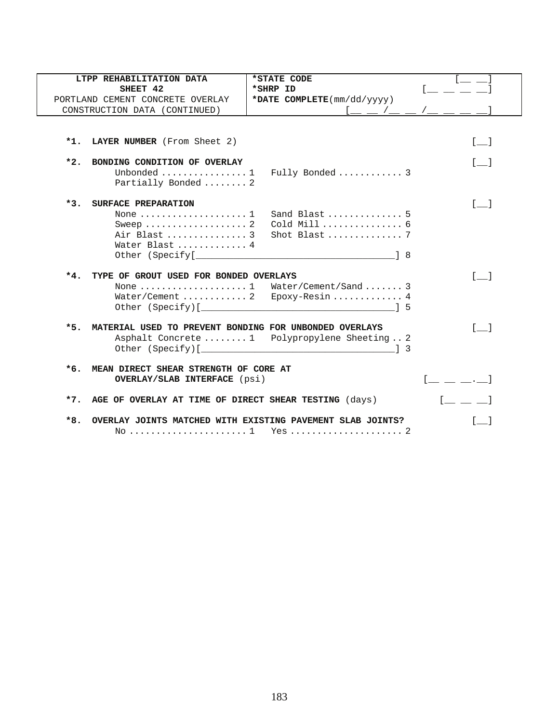|       | LTPP REHABILITATION DATA                                   | *STATE CODE                                   |                                       |
|-------|------------------------------------------------------------|-----------------------------------------------|---------------------------------------|
|       | SHEET 42                                                   | *SHRP ID                                      |                                       |
|       | PORTLAND CEMENT CONCRETE OVERLAY                           | *DATE COMPLETE(mm/dd/yyyy)                    |                                       |
|       | CONSTRUCTION DATA (CONTINUED)                              | _ _ /_ _ /_ _ _                               |                                       |
|       |                                                            |                                               |                                       |
|       | *1. LAYER NUMBER (From Sheet 2)                            |                                               | $\lceil$ 1                            |
| $*2.$ | BONDING CONDITION OF OVERLAY                               |                                               | $\begin{bmatrix} 1 & 1 \end{bmatrix}$ |
|       | Unbonded $\dots\dots\dots\dots\dots\dots1$                 | Fully Bonded  3                               |                                       |
|       | Partially Bonded  2                                        |                                               |                                       |
|       | *3. SURFACE PREPARATION                                    |                                               | $\begin{bmatrix} 1 & 1 \end{bmatrix}$ |
|       | None $\ldots \ldots \ldots \ldots \ldots 1$                | Sand Blast  5                                 |                                       |
|       | Sweep  2                                                   | Cold Mill  6                                  |                                       |
|       | Air Blast  3                                               | Shot Blast $7$                                |                                       |
|       | Water Blast  4                                             |                                               |                                       |
|       |                                                            |                                               |                                       |
|       | *4. TYPE OF GROUT USED FOR BONDED OVERLAYS                 |                                               |                                       |
|       |                                                            | None 1 Water/Cement/Sand  3                   |                                       |
|       |                                                            |                                               |                                       |
|       |                                                            |                                               |                                       |
| $*5.$ | MATERIAL USED TO PREVENT BONDING FOR UNBONDED OVERLAYS     |                                               | $\begin{bmatrix} 1 \end{bmatrix}$     |
|       |                                                            | Asphalt Concrete  1 Polypropylene Sheeting  2 |                                       |
|       |                                                            |                                               |                                       |
|       | *6. MEAN DIRECT SHEAR STRENGTH OF CORE AT                  |                                               |                                       |
|       | <b>OVERLAY/SLAB INTERFACE</b> (psi)                        |                                               |                                       |
|       | *7. AGE OF OVERLAY AT TIME OF DIRECT SHEAR TESTING (days)  |                                               |                                       |
| $*8.$ | OVERLAY JOINTS MATCHED WITH EXISTING PAVEMENT SLAB JOINTS? |                                               |                                       |
|       |                                                            |                                               |                                       |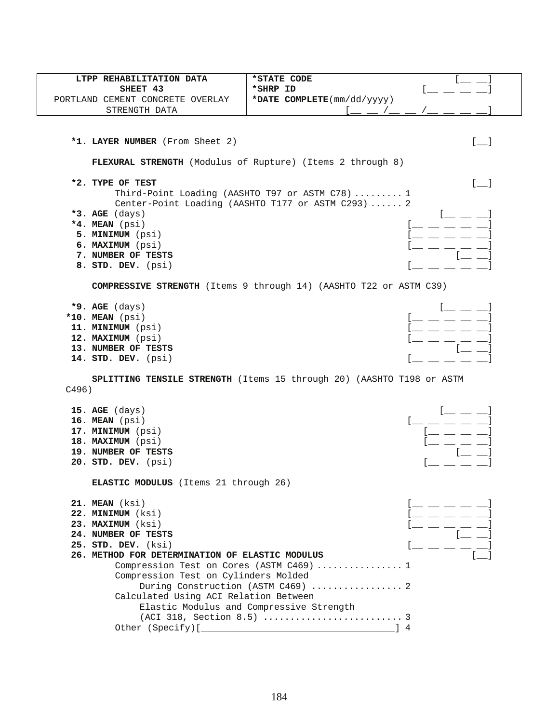| LTPP REHABILITATION DATA                          | *STATE CODE                                                                                           |
|---------------------------------------------------|-------------------------------------------------------------------------------------------------------|
| SHEET 43                                          | *SHRP ID                                                                                              |
| PORTLAND CEMENT CONCRETE OVERLAY<br>STRENGTH DATA | *DATE COMPLETE(mm/dd/yyyy)                                                                            |
|                                                   |                                                                                                       |
|                                                   |                                                                                                       |
| *1. LAYER NUMBER (From Sheet 2)                   | $\begin{bmatrix} 1 & 1 \\ 1 & 1 \end{bmatrix}$                                                        |
|                                                   | FLEXURAL STRENGTH (Modulus of Rupture) (Items 2 through 8)                                            |
| *2. TYPE OF TEST                                  | $\sim$                                                                                                |
|                                                   | Third-Point Loading (AASHTO T97 or ASTM C78)  1<br>Center-Point Loading (AASHTO T177 or ASTM C293)  2 |
| *3. AGE $(days)$                                  |                                                                                                       |
| *4. MEAN (psi)                                    |                                                                                                       |
| 5. MINIMUM (psi)                                  |                                                                                                       |
| 6. MAXIMUM (psi)                                  |                                                                                                       |
| 7. NUMBER OF TESTS                                |                                                                                                       |
| 8. STD. DEV. (psi)                                |                                                                                                       |
|                                                   | <b>COMPRESSIVE STRENGTH</b> (Items 9 through 14) (AASHTO T22 or ASTM C39)                             |
| $*9.$ AGE (days)                                  |                                                                                                       |
| *10. MEAN (psi)                                   |                                                                                                       |
| 11. MINIMUM (psi)                                 |                                                                                                       |
| 12. MAXIMUM (psi)                                 |                                                                                                       |
| 13. NUMBER OF TESTS                               |                                                                                                       |
| 14. STD. DEV. (psi)                               |                                                                                                       |
| C496)                                             | SPLITTING TENSILE STRENGTH (Items 15 through 20) (AASHTO T198 or ASTM                                 |
| $15.$ AGE (days)                                  |                                                                                                       |
| 16. MEAN (psi)                                    |                                                                                                       |
| 17. MINIMUM (psi)                                 |                                                                                                       |
| 18. MAXIMUM (psi)                                 |                                                                                                       |
| 19. NUMBER OF TESTS                               |                                                                                                       |
| 20. STD. DEV. (psi)                               |                                                                                                       |
| <b>ELASTIC MODULUS</b> (Items 21 through 26)      |                                                                                                       |
| 21. MEAN (ksi)                                    | $[$ $\_\_$ $\_\_$ $\_\_$ $\_\_$ $\_\_$                                                                |
| 22. MINIMUM (ksi)                                 |                                                                                                       |
| 23. MAXIMUM (ksi)                                 |                                                                                                       |
| 24. NUMBER OF TESTS                               | $\begin{array}{c} \begin{array}{c} \end{array} \end{array}$                                           |
| 25. STD. DEV. (ksi)                               |                                                                                                       |
| 26. METHOD FOR DETERMINATION OF ELASTIC MODULUS   |                                                                                                       |
|                                                   | Compression Test on Cores (ASTM C469)  1                                                              |
| Compression Test on Cylinders Molded              |                                                                                                       |
|                                                   | During Construction (ASTM C469)  2                                                                    |
| Calculated Using ACI Relation Between             |                                                                                                       |
|                                                   | Elastic Modulus and Compressive Strength                                                              |
|                                                   |                                                                                                       |
|                                                   |                                                                                                       |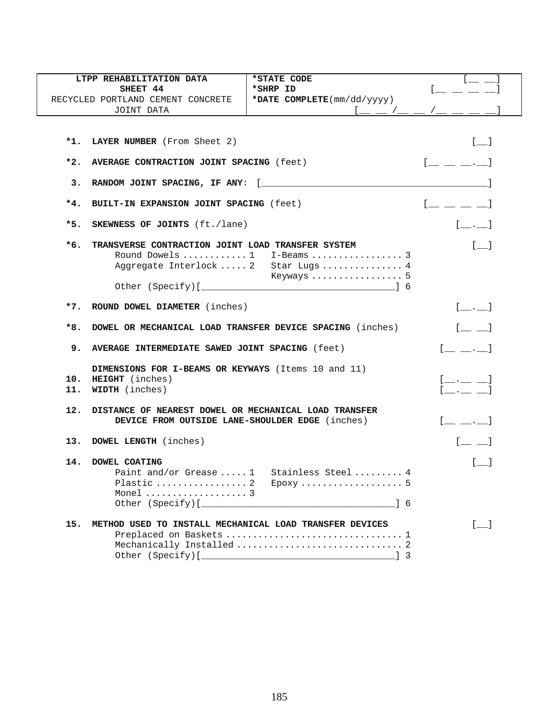|            | LTPP REHABILITATION DATA                                  | *STATE CODE                               |                                                                                                                                                                                                                                                                                                                                |
|------------|-----------------------------------------------------------|-------------------------------------------|--------------------------------------------------------------------------------------------------------------------------------------------------------------------------------------------------------------------------------------------------------------------------------------------------------------------------------|
|            | SHEET 44                                                  | *SHRP ID                                  | [ _ _ _ _                                                                                                                                                                                                                                                                                                                      |
|            | RECYCLED PORTLAND CEMENT CONCRETE                         | *DATE COMPLETE(mm/dd/yyyy)                |                                                                                                                                                                                                                                                                                                                                |
|            | JOINT DATA                                                |                                           |                                                                                                                                                                                                                                                                                                                                |
|            |                                                           |                                           |                                                                                                                                                                                                                                                                                                                                |
|            |                                                           |                                           |                                                                                                                                                                                                                                                                                                                                |
|            | *1. LAYER NUMBER (From Sheet 2)                           |                                           | $[\_$                                                                                                                                                                                                                                                                                                                          |
|            |                                                           |                                           |                                                                                                                                                                                                                                                                                                                                |
| $*2.$      | AVERAGE CONTRACTION JOINT SPACING (feet)                  |                                           | $[$ $\_\_$ $\_\_$ $\_\_$                                                                                                                                                                                                                                                                                                       |
|            |                                                           |                                           |                                                                                                                                                                                                                                                                                                                                |
| 3.         |                                                           |                                           |                                                                                                                                                                                                                                                                                                                                |
| $*4.$      | BUILT-IN EXPANSION JOINT SPACING (feet)                   |                                           | $\begin{bmatrix} 1 & 1 & 1 & 1 \\ 1 & 1 & 1 & 1 \\ 1 & 1 & 1 & 1 \\ 1 & 1 & 1 & 1 \\ 1 & 1 & 1 & 1 \\ 1 & 1 & 1 & 1 \\ 1 & 1 & 1 & 1 \\ 1 & 1 & 1 & 1 \\ 1 & 1 & 1 & 1 \\ 1 & 1 & 1 & 1 \\ 1 & 1 & 1 & 1 \\ 1 & 1 & 1 & 1 \\ 1 & 1 & 1 & 1 & 1 \\ 1 & 1 & 1 & 1 & 1 \\ 1 & 1 & 1 & 1 & 1 \\ 1 & 1 & 1 & 1 & 1 \\ 1 & 1 & 1 & $ |
|            |                                                           |                                           |                                                                                                                                                                                                                                                                                                                                |
| *5.        | <b>SKEWNESS OF JOINTS</b> (ft./lane)                      |                                           | $[\underline{\hspace{1cm}} \underline{\hspace{1cm}} \underline{\hspace{1cm}} \underline{\hspace{1cm}} \underline{\hspace{1cm}} \underline{\hspace{1cm}}$                                                                                                                                                                       |
|            |                                                           |                                           |                                                                                                                                                                                                                                                                                                                                |
| *6.        | TRANSVERSE CONTRACTION JOINT LOAD TRANSFER SYSTEM         |                                           | $\begin{bmatrix} 1 & 1 \end{bmatrix}$                                                                                                                                                                                                                                                                                          |
|            |                                                           | Round Dowels  1 I-Beams  3                |                                                                                                                                                                                                                                                                                                                                |
|            |                                                           | Aggregate Interlock  2 Star Lugs  4       |                                                                                                                                                                                                                                                                                                                                |
|            |                                                           | Keyways  5                                |                                                                                                                                                                                                                                                                                                                                |
|            |                                                           |                                           |                                                                                                                                                                                                                                                                                                                                |
|            |                                                           |                                           |                                                                                                                                                                                                                                                                                                                                |
|            | *7. ROUND DOWEL DIAMETER (inches)                         |                                           | $[\underline{\hspace{1cm}}\underline{\hspace{1cm}}\underline{\hspace{1cm}}\underline{\hspace{1cm}}\underline{\hspace{1cm}}\underline{\hspace{1cm}}\underline{\hspace{1cm}}}]$                                                                                                                                                  |
|            |                                                           |                                           |                                                                                                                                                                                                                                                                                                                                |
| *8.        | DOWEL OR MECHANICAL LOAD TRANSFER DEVICE SPACING (inches) | $[\underline{\qquad} \underline{\qquad}]$ |                                                                                                                                                                                                                                                                                                                                |
|            |                                                           |                                           |                                                                                                                                                                                                                                                                                                                                |
| 9.         | AVERAGE INTERMEDIATE SAWED JOINT SPACING (feet)           |                                           | $[$ <sub>_</sub> _ ._ $]$                                                                                                                                                                                                                                                                                                      |
|            |                                                           |                                           |                                                                                                                                                                                                                                                                                                                                |
|            | DIMENSIONS FOR I-BEAMS OR KEYWAYS (Items 10 and 11)       |                                           | $\begin{bmatrix} 1 & 1 & 1 \\ 1 & 1 & 1 \end{bmatrix}$                                                                                                                                                                                                                                                                         |
| 10.<br>11. | <b>HEIGHT</b> (inches)                                    |                                           |                                                                                                                                                                                                                                                                                                                                |
|            | <b>WIDTH</b> (inches)                                     |                                           |                                                                                                                                                                                                                                                                                                                                |
| 12.        | DISTANCE OF NEAREST DOWEL OR MECHANICAL LOAD TRANSFER     |                                           |                                                                                                                                                                                                                                                                                                                                |
|            | DEVICE FROM OUTSIDE LANE-SHOULDER EDGE (inches)           |                                           | $[\underline{\qquad} \underline{\qquad} \underline{\qquad}]$                                                                                                                                                                                                                                                                   |
|            |                                                           |                                           |                                                                                                                                                                                                                                                                                                                                |
|            | 13. DOWEL LENGTH (inches)                                 |                                           | $[$ <sub><math>\perp</math></sub> $]$                                                                                                                                                                                                                                                                                          |
|            |                                                           |                                           |                                                                                                                                                                                                                                                                                                                                |
| 14.        | DOWEL COATING                                             |                                           | $\begin{bmatrix} 1 & 1 \end{bmatrix}$                                                                                                                                                                                                                                                                                          |
|            |                                                           | Paint and/or Grease  1 Stainless Steel  4 |                                                                                                                                                                                                                                                                                                                                |
|            | Plastic  2 Epoxy                                          |                                           |                                                                                                                                                                                                                                                                                                                                |
|            | Monel  3                                                  |                                           |                                                                                                                                                                                                                                                                                                                                |
|            |                                                           |                                           |                                                                                                                                                                                                                                                                                                                                |
|            |                                                           |                                           |                                                                                                                                                                                                                                                                                                                                |
| 15.        | METHOD USED TO INSTALL MECHANICAL LOAD TRANSFER DEVICES   |                                           | $\begin{bmatrix} 1 & 1 \end{bmatrix}$                                                                                                                                                                                                                                                                                          |
|            |                                                           |                                           |                                                                                                                                                                                                                                                                                                                                |
|            |                                                           |                                           |                                                                                                                                                                                                                                                                                                                                |
|            |                                                           |                                           |                                                                                                                                                                                                                                                                                                                                |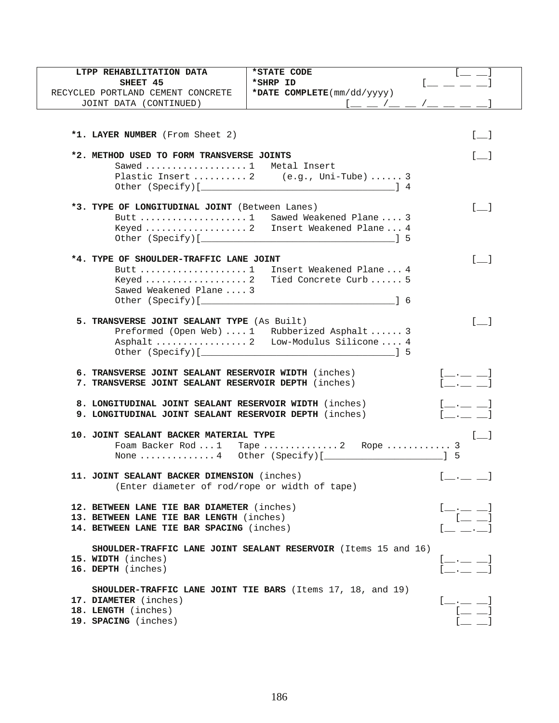| LTPP REHABILITATION DATA                                                            | *STATE CODE                                                            |                                                                                                                                                                                                                                                                                                                                                                                                                                                                                                                                                                                                                                                             |
|-------------------------------------------------------------------------------------|------------------------------------------------------------------------|-------------------------------------------------------------------------------------------------------------------------------------------------------------------------------------------------------------------------------------------------------------------------------------------------------------------------------------------------------------------------------------------------------------------------------------------------------------------------------------------------------------------------------------------------------------------------------------------------------------------------------------------------------------|
| SHEET 45                                                                            | *SHRP ID                                                               |                                                                                                                                                                                                                                                                                                                                                                                                                                                                                                                                                                                                                                                             |
| RECYCLED PORTLAND CEMENT CONCRETE                                                   | *DATE COMPLETE(mm/dd/yyyy)                                             |                                                                                                                                                                                                                                                                                                                                                                                                                                                                                                                                                                                                                                                             |
| JOINT DATA (CONTINUED)                                                              |                                                                        |                                                                                                                                                                                                                                                                                                                                                                                                                                                                                                                                                                                                                                                             |
|                                                                                     |                                                                        |                                                                                                                                                                                                                                                                                                                                                                                                                                                                                                                                                                                                                                                             |
| *1. LAYER NUMBER (From Sheet 2)                                                     |                                                                        | $\begin{bmatrix} 1 & 1 \end{bmatrix}$                                                                                                                                                                                                                                                                                                                                                                                                                                                                                                                                                                                                                       |
|                                                                                     |                                                                        |                                                                                                                                                                                                                                                                                                                                                                                                                                                                                                                                                                                                                                                             |
| *2. METHOD USED TO FORM TRANSVERSE JOINTS                                           |                                                                        | $\lceil$ 1                                                                                                                                                                                                                                                                                                                                                                                                                                                                                                                                                                                                                                                  |
| Sawed  1 Metal Insert                                                               |                                                                        |                                                                                                                                                                                                                                                                                                                                                                                                                                                                                                                                                                                                                                                             |
|                                                                                     | Plastic Insert  2 (e.g., Uni-Tube)  3                                  |                                                                                                                                                                                                                                                                                                                                                                                                                                                                                                                                                                                                                                                             |
|                                                                                     |                                                                        |                                                                                                                                                                                                                                                                                                                                                                                                                                                                                                                                                                                                                                                             |
| *3. TYPE OF LONGITUDINAL JOINT (Between Lanes)                                      |                                                                        | $\lceil \quad \rceil$                                                                                                                                                                                                                                                                                                                                                                                                                                                                                                                                                                                                                                       |
|                                                                                     | Butt  1 Sawed Weakened Plane  3                                        |                                                                                                                                                                                                                                                                                                                                                                                                                                                                                                                                                                                                                                                             |
|                                                                                     | Keyed  2 Insert Weakened Plane  4                                      |                                                                                                                                                                                                                                                                                                                                                                                                                                                                                                                                                                                                                                                             |
|                                                                                     |                                                                        |                                                                                                                                                                                                                                                                                                                                                                                                                                                                                                                                                                                                                                                             |
|                                                                                     |                                                                        |                                                                                                                                                                                                                                                                                                                                                                                                                                                                                                                                                                                                                                                             |
| *4. TYPE OF SHOULDER-TRAFFIC LANE JOINT                                             |                                                                        | $[$ $]$                                                                                                                                                                                                                                                                                                                                                                                                                                                                                                                                                                                                                                                     |
| Butt $\ldots \ldots \ldots \ldots \ldots \ldots 1$                                  | Insert Weakened Plane  4                                               |                                                                                                                                                                                                                                                                                                                                                                                                                                                                                                                                                                                                                                                             |
|                                                                                     | Tied Concrete Curb 5                                                   |                                                                                                                                                                                                                                                                                                                                                                                                                                                                                                                                                                                                                                                             |
| Sawed Weakened Plane  3                                                             |                                                                        |                                                                                                                                                                                                                                                                                                                                                                                                                                                                                                                                                                                                                                                             |
|                                                                                     |                                                                        |                                                                                                                                                                                                                                                                                                                                                                                                                                                                                                                                                                                                                                                             |
|                                                                                     |                                                                        | $\lceil \quad \rceil$                                                                                                                                                                                                                                                                                                                                                                                                                                                                                                                                                                                                                                       |
| 5. TRANSVERSE JOINT SEALANT TYPE (As Built)                                         |                                                                        |                                                                                                                                                                                                                                                                                                                                                                                                                                                                                                                                                                                                                                                             |
| Preformed (Open Web)  1 Rubberized Asphalt  3<br>Asphalt  2 Low-Modulus Silicone  4 |                                                                        |                                                                                                                                                                                                                                                                                                                                                                                                                                                                                                                                                                                                                                                             |
|                                                                                     |                                                                        |                                                                                                                                                                                                                                                                                                                                                                                                                                                                                                                                                                                                                                                             |
|                                                                                     |                                                                        |                                                                                                                                                                                                                                                                                                                                                                                                                                                                                                                                                                                                                                                             |
| 6. TRANSVERSE JOINT SEALANT RESERVOIR WIDTH (inches)                                |                                                                        | $[$ ___ __ __ $]$                                                                                                                                                                                                                                                                                                                                                                                                                                                                                                                                                                                                                                           |
| 7. TRANSVERSE JOINT SEALANT RESERVOIR DEPTH (inches)                                |                                                                        |                                                                                                                                                                                                                                                                                                                                                                                                                                                                                                                                                                                                                                                             |
| 8. LONGITUDINAL JOINT SEALANT RESERVOIR WIDTH (inches)                              |                                                                        | [ ]                                                                                                                                                                                                                                                                                                                                                                                                                                                                                                                                                                                                                                                         |
| 9. LONGITUDINAL JOINT SEALANT RESERVOIR DEPTH (inches)                              |                                                                        | $\begin{bmatrix} 1 & 1 & 1 \end{bmatrix}$                                                                                                                                                                                                                                                                                                                                                                                                                                                                                                                                                                                                                   |
|                                                                                     |                                                                        |                                                                                                                                                                                                                                                                                                                                                                                                                                                                                                                                                                                                                                                             |
| 10. JOINT SEALANT BACKER MATERIAL TYPE                                              |                                                                        | $\begin{bmatrix} 1 & 1 \\ 1 & 1 \end{bmatrix}$                                                                                                                                                                                                                                                                                                                                                                                                                                                                                                                                                                                                              |
|                                                                                     |                                                                        |                                                                                                                                                                                                                                                                                                                                                                                                                                                                                                                                                                                                                                                             |
|                                                                                     |                                                                        |                                                                                                                                                                                                                                                                                                                                                                                                                                                                                                                                                                                                                                                             |
| 11. JOINT SEALANT BACKER DIMENSION (inches)                                         |                                                                        | <b>Contract Contract Contract</b>                                                                                                                                                                                                                                                                                                                                                                                                                                                                                                                                                                                                                           |
| (Enter diameter of rod/rope or width of tape)                                       |                                                                        |                                                                                                                                                                                                                                                                                                                                                                                                                                                                                                                                                                                                                                                             |
|                                                                                     |                                                                        |                                                                                                                                                                                                                                                                                                                                                                                                                                                                                                                                                                                                                                                             |
| 12. BETWEEN LANE TIE BAR DIAMETER (inches)                                          |                                                                        |                                                                                                                                                                                                                                                                                                                                                                                                                                                                                                                                                                                                                                                             |
| 13. BETWEEN LANE TIE BAR LENGTH (inches)                                            |                                                                        |                                                                                                                                                                                                                                                                                                                                                                                                                                                                                                                                                                                                                                                             |
| 14. BETWEEN LANE TIE BAR SPACING (inches)                                           |                                                                        |                                                                                                                                                                                                                                                                                                                                                                                                                                                                                                                                                                                                                                                             |
|                                                                                     | <b>SHOULDER-TRAFFIC LANE JOINT SEALANT RESERVOIR</b> (Items 15 and 16) |                                                                                                                                                                                                                                                                                                                                                                                                                                                                                                                                                                                                                                                             |
| 15. WIDTH (inches)                                                                  |                                                                        |                                                                                                                                                                                                                                                                                                                                                                                                                                                                                                                                                                                                                                                             |
| 16. DEPTH (inches)                                                                  |                                                                        | $\frac{[,-]}{[]}$                                                                                                                                                                                                                                                                                                                                                                                                                                                                                                                                                                                                                                           |
|                                                                                     |                                                                        |                                                                                                                                                                                                                                                                                                                                                                                                                                                                                                                                                                                                                                                             |
|                                                                                     | SHOULDER-TRAFFIC LANE JOINT TIE BARS (Items 17, 18, and 19)            |                                                                                                                                                                                                                                                                                                                                                                                                                                                                                                                                                                                                                                                             |
| 17. DIAMETER (inches)                                                               |                                                                        | $\begin{array}{c} \underline{\mathbf{1}} \underline{\mathbf{1}} \underline{\mathbf{1}} \underline{\mathbf{1}} \underline{\mathbf{1}} \underline{\mathbf{1}} \underline{\mathbf{1}} \underline{\mathbf{1}} \underline{\mathbf{1}} \underline{\mathbf{1}} \underline{\mathbf{1}} \underline{\mathbf{1}} \underline{\mathbf{1}} \underline{\mathbf{1}} \underline{\mathbf{1}} \underline{\mathbf{1}} \underline{\mathbf{1}} \underline{\mathbf{1}} \underline{\mathbf{1}} \underline{\mathbf{1}} \underline{\mathbf{1}} \underline{\mathbf{1}} \underline{\mathbf{1}} \underline{\mathbf{1}} \underline{\mathbf{1}} \underline{\mathbf{1}} \underline{\mathbf$ |
| 18. LENGTH (inches)                                                                 |                                                                        |                                                                                                                                                                                                                                                                                                                                                                                                                                                                                                                                                                                                                                                             |
| 19. SPACING (inches)                                                                |                                                                        |                                                                                                                                                                                                                                                                                                                                                                                                                                                                                                                                                                                                                                                             |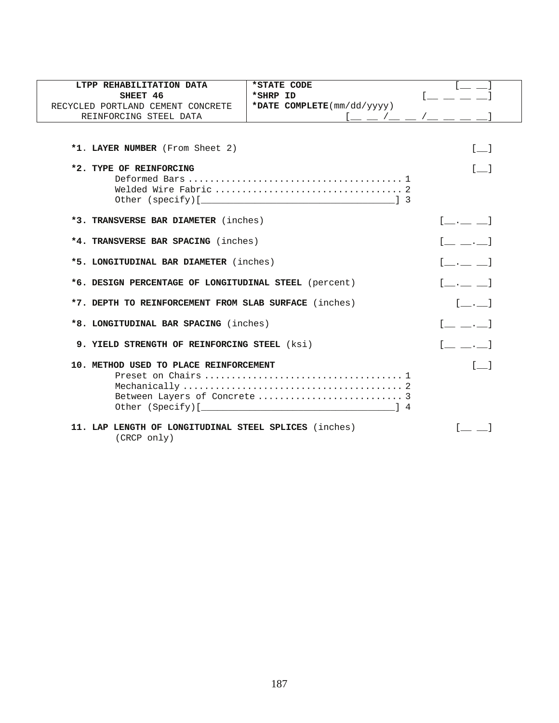| LTPP REHABILITATION DATA                                             | *STATE CODE                |                                                                                                                                                                                                                                                           |
|----------------------------------------------------------------------|----------------------------|-----------------------------------------------------------------------------------------------------------------------------------------------------------------------------------------------------------------------------------------------------------|
| SHEET 46                                                             | *SHRP ID                   |                                                                                                                                                                                                                                                           |
| RECYCLED PORTLAND CEMENT CONCRETE                                    | *DATE COMPLETE(mm/dd/yyyy) |                                                                                                                                                                                                                                                           |
| REINFORCING STEEL DATA                                               |                            | $1 - 1 - 1 - 1$                                                                                                                                                                                                                                           |
|                                                                      |                            |                                                                                                                                                                                                                                                           |
| *1. LAYER NUMBER (From Sheet 2)                                      |                            | $\begin{bmatrix} 1 & 1 \\ 1 & 1 \end{bmatrix}$                                                                                                                                                                                                            |
| *2. TYPE OF REINFORCING                                              |                            | $\begin{bmatrix} 1 & 1 \end{bmatrix}$                                                                                                                                                                                                                     |
|                                                                      |                            |                                                                                                                                                                                                                                                           |
|                                                                      |                            |                                                                                                                                                                                                                                                           |
| *3. TRANSVERSE BAR DIAMETER (inches)                                 |                            | $[$ $,$ $]$                                                                                                                                                                                                                                               |
| *4. TRANSVERSE BAR SPACING (inches)                                  | $[$ $, ]$                  |                                                                                                                                                                                                                                                           |
| *5. LONGITUDINAL BAR DIAMETER (inches)                               | [ ]                        |                                                                                                                                                                                                                                                           |
| *6. DESIGN PERCENTAGE OF LONGITUDINAL STEEL (percent)                | $[$ $]$                    |                                                                                                                                                                                                                                                           |
| *7. DEPTH TO REINFORCEMENT FROM SLAB SURFACE (inches)                |                            |                                                                                                                                                                                                                                                           |
| *8. LONGITUDINAL BAR SPACING (inches)                                |                            | $\begin{bmatrix} 1 & 1 & 1 \\ 1 & 1 & 1 \end{bmatrix}$                                                                                                                                                                                                    |
| 9. YIELD STRENGTH OF REINFORCING STEEL (ksi)                         |                            | $\begin{array}{ccc} \begin{array}{ccc} \end{array} & \begin{array}{ccc} \end{array} & \begin{array}{ccc} \end{array} & \begin{array}{ccc} \end{array} & \begin{array}{ccc} \end{array} & \begin{array}{ccc} \end{array} & \begin{array}{ccc} \end{array}$ |
| 10. METHOD USED TO PLACE REINFORCEMENT                               |                            | $\lceil$ 1                                                                                                                                                                                                                                                |
|                                                                      |                            |                                                                                                                                                                                                                                                           |
|                                                                      |                            |                                                                                                                                                                                                                                                           |
|                                                                      |                            |                                                                                                                                                                                                                                                           |
| 11. LAP LENGTH OF LONGITUDINAL STEEL SPLICES (inches)<br>(CRCP only) |                            |                                                                                                                                                                                                                                                           |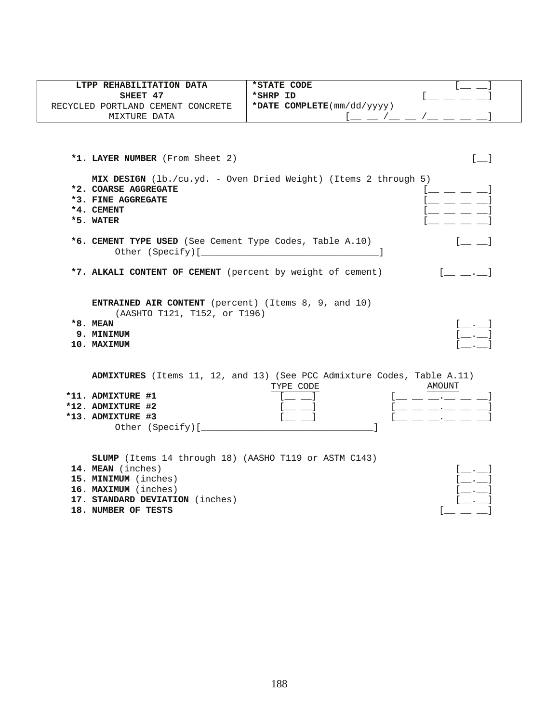| LTPP REHABILITATION DATA<br>SHEET 47                                                                                                                                                        | *STATE CODE<br>*SHRP ID                                                                                                                          |
|---------------------------------------------------------------------------------------------------------------------------------------------------------------------------------------------|--------------------------------------------------------------------------------------------------------------------------------------------------|
| RECYCLED PORTLAND CEMENT CONCRETE                                                                                                                                                           | *DATE COMPLETE(mm/dd/yyyy)                                                                                                                       |
| MIXTURE DATA                                                                                                                                                                                |                                                                                                                                                  |
| *1. LAYER NUMBER (From Sheet 2)<br>*2. COARSE AGGREGATE<br>*3. FINE AGGREGATE<br>*4. CEMENT<br>*5. WATER                                                                                    | $[$ $]$<br>MIX DESIGN (lb./cu.yd. - Oven Dried Weight) (Items 2 through 5)<br>$=$ $=$ $=$ $=$<br>$=$ $=$ $=$ $=$                                 |
| *6. CEMENT TYPE USED (See Cement Type Codes, Table A.10)                                                                                                                                    |                                                                                                                                                  |
| *7. ALKALI CONTENT OF CEMENT (percent by weight of cement)                                                                                                                                  |                                                                                                                                                  |
| ENTRAINED AIR CONTENT (percent) (Items 8, 9, and 10)<br>(AASHTO T121, T152, or T196)<br>$*8.$ MEAN<br>9. MINIMUM<br>10. MAXIMUM                                                             | $[\_\_\_\_\_\_\]$<br>$[\_\_\cdot\_\cdot]$                                                                                                        |
| *11. ADMIXTURE #1<br>*12. ADMIXTURE #2<br>*13. ADMIXTURE #3                                                                                                                                 | ADMIXTURES (Items 11, 12, and 13) (See PCC Admixture Codes, Table A.11)<br><b>AMOUNT</b><br>TYPE CODE<br>$=$ $=$ $  =$ $-1$<br>__ __ __.__ __ __ |
| <b>SLUMP</b> (Items 14 through 18) (AASHO T119 or ASTM C143)<br>14. MEAN (inches)<br>15. MINIMUM (inches)<br>16. MAXIMUM (inches)<br>17. STANDARD DEVIATION (inches)<br>18. NUMBER OF TESTS | []                                                                                                                                               |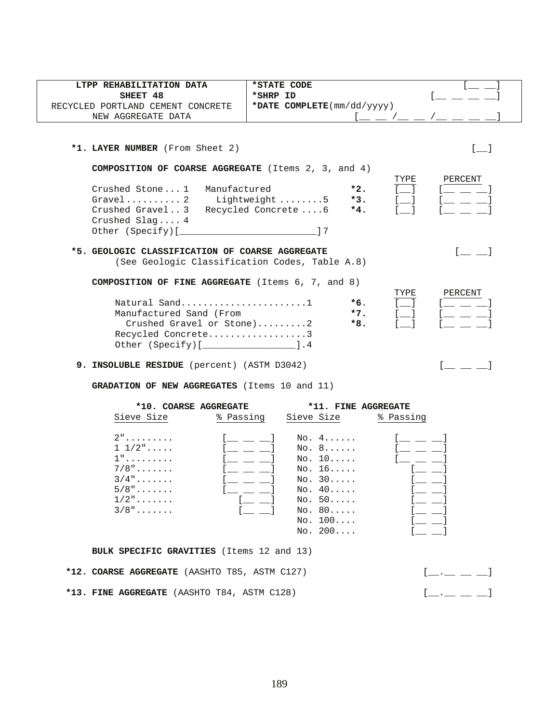| LTPP REHABILITATION DATA                                                                                                                                      | *STATE CODE                                                                      |                                                  |
|---------------------------------------------------------------------------------------------------------------------------------------------------------------|----------------------------------------------------------------------------------|--------------------------------------------------|
| SHEET 48                                                                                                                                                      | *SHRP ID                                                                         |                                                  |
| RECYCLED PORTLAND CEMENT CONCRETE                                                                                                                             | *DATE $COMPLETE(mm/dd/yyyy)$                                                     |                                                  |
| NEW AGGREGATE DATA                                                                                                                                            | l __ _ /__ _ /_                                                                  |                                                  |
| *1. LAYER NUMBER (From Sheet 2)<br><b>COMPOSITION OF COARSE AGGREGATE</b> (Items $2$ , $3$ , and $4$ )<br>Crushed Stone1 Manufactured<br>Gravel2 Lightweight5 | TYPE<br>$*2.$<br>$*3.$<br>$\blacksquare$                                         | $\begin{bmatrix} 1 & 1 \end{bmatrix}$<br>PERCENT |
| Crushed Gravel3 Recycled Concrete6<br>Crushed Slaq $4$<br>Other (Specify) [                                                                                   | $*4.$                                                                            |                                                  |
| *5. GEOLOGIC CLASSIFICATION OF COARSE AGGREGATE<br>(See Geologic Classification Codes, Table A.8)<br><b>COMPOSITION OF FINE AGGREGATE</b> (Items 6, 7, and 8) | TYPE                                                                             | PERCENT                                          |
| Natural Sand1<br>Manufactured Sand (From<br>Crushed Gravel or Stone)2<br>Recycled Concrete3<br>Other (Specify) [ <i>_________________</i> ].4                 | $\overline{\phantom{0}}$<br>$*6$ .<br>$*7.$<br>$\overline{\phantom{0}}$<br>$*8.$ |                                                  |
| 9. INSOLUBLE RESIDUE (percent) (ASTM D3042)<br><b>GRADATION OF NEW AGGREGATES</b> (Items 10 and 11)                                                           |                                                                                  |                                                  |

| *10. COARSE AGGREGATE |           | *11. FINE AGGREGATE |           |
|-----------------------|-----------|---------------------|-----------|
| Sieve Size            | % Passing | Sieve Size          | % Passing |
| $2"$                  |           | NO. 4.000           |           |
| $1\;\;1/2"$           |           | NO. 8.000           |           |
| $1"$                  |           | No. 10              |           |
| $7/8$ "               |           | No. 16              |           |
| $3/4$ "               |           | No. 30              |           |
| $5/8"$                |           | No. 40              |           |
| $1/2$ "               |           | No. 50              |           |
| $3/8"$                |           | No. 80              |           |
|                       |           | No. 100             |           |
|                       |           | NO. 200             |           |

**BULK SPECIFIC GRAVITIES** (Items 12 and 13)

|  | *12. COARSE AGGREGATE (AASHTO T85, ASTM C127) | $\begin{bmatrix} 1 & 1 & 1 \end{bmatrix}$ |
|--|-----------------------------------------------|-------------------------------------------|
|  | *13. FINE AGGREGATE (AASHTO T84, ASTM C128)   | $[$ $\_\_$ $\_\_$ $\_\_$ $\_\_$           |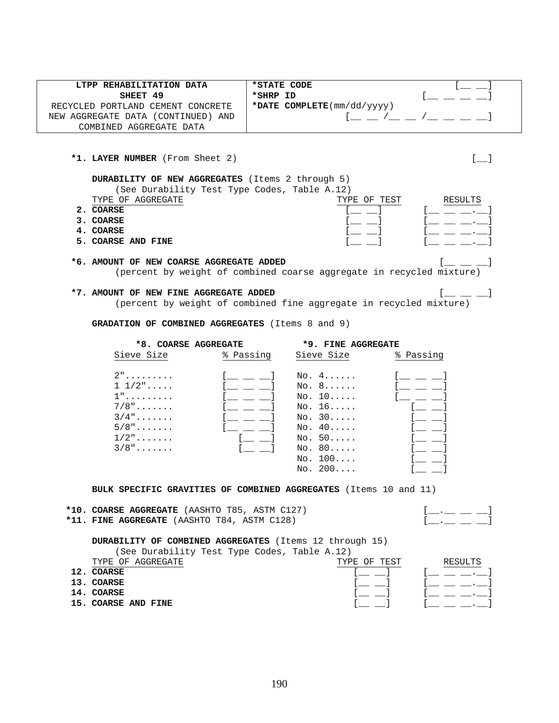| LTPP REHABILITATION DATA           | *STATE CODE                                       |  |
|------------------------------------|---------------------------------------------------|--|
| SHEET 49                           | *SHRP ID                                          |  |
| RECYCLED PORTLAND CEMENT CONCRETE  | *DATE COMPLETE $(\text{mm}/\text{dd}/\text{yyy})$ |  |
| NEW AGGREGATE DATA (CONTINUED) AND |                                                   |  |
| COMBINED AGGREGATE DATA            |                                                   |  |

\*1. LAYER NUMBER (From Sheet 2) [\_\_]

**DURABILITY OF NEW AGGREGATES** (Items 2 through 5)

(See Durability Test Type Codes, Table A.12)

|    | $\sqrt{2}$ . The contract of $\frac{1}{2}$ |                    |         |
|----|--------------------------------------------|--------------------|---------|
|    | TYPE OF AGGREGATE                          | TEST<br>TYPE<br>ΟF | RESULTS |
|    | <b>COARSE</b>                              |                    |         |
| 2. | <b>COARSE</b>                              |                    |         |
|    | COARSE                                     |                    |         |

**5. COARSE AND FINE** 

#### **\*6. AMOUNT OF NEW COARSE AGGREGATE ADDED** [\_\_ \_\_ \_\_]

(percent by weight of combined coarse aggregate in recycled mixture)

## \*7. AMOUNT OF NEW FINE AGGREGATE ADDED  $[$   $\_\_\_\_$

(percent by weight of combined fine aggregate in recycled mixture)

 **GRADATION OF COMBINED AGGREGATES** (Items 8 and 9)

 **\*8. COARSE AGGREGATE \*9. FINE AGGREGATE** Sieve Size % Passing Sieve Size % Passing 2"......... [\_\_ \_\_ \_\_] No. 4...... [\_\_ \_\_ \_\_] 1  $1/2$ ".....  $[$   $[$   $]$   $[$   $]$   $[$   $]$   $[$   $]$   $[$   $]$   $[$   $]$   $[$   $]$   $[$   $]$   $[$   $]$   $[$   $]$   $[$   $]$   $[$   $]$   $[$   $]$   $[$   $]$   $[$   $]$   $[$   $]$   $[$   $]$   $[$   $]$   $[$   $]$   $[$   $]$   $[$   $]$   $[$   $]$   $[$   $]$   $[$   $]$   $[$   $]$   $[$  $[$   $\bot$   $\bot$   $\bot$   $]$  No. 10..... [ $\bot$   $\bot$   $\bot$ ] 7/8"....... [\_\_ \_\_ \_\_] No. 16..... [\_\_ \_\_]  $3/4$ "....... [\_ \_ \_ ] No. 30..... [\_ \_]  $5/8$ ".......  $[$   $[$   $]$   $[$   $]$   $[$   $]$   $[$   $]$   $[$   $]$   $[$   $]$   $[$   $]$   $[$   $]$   $[$   $]$   $[$   $]$   $[$   $]$   $[$   $]$   $[$   $]$   $[$   $]$   $[$   $]$   $[$   $]$   $[$   $]$   $[$   $]$   $[$   $]$   $[$   $]$   $[$   $]$   $[$   $]$   $[$   $]$   $[$   $]$   $[$   $]$   $[$  $\frac{5}{8}, \frac{1}{2}, \ldots, \frac{1}{1}$   $\frac{1}{2}, \ldots, \frac{1}{2}$   $\frac{1}{2}, \ldots, \frac{1}{2}$  $3/8"$ .......  $[$   $]$   $]$   $]$  No. 80..... No.  $100...$  [\_ \_]  $No. 200...$ 

**BULK SPECIFIC GRAVITIES OF COMBINED AGGREGATES** (Items 10 and 11)

### \*10. COARSE AGGREGATE (AASHTO T85, ASTM C127)  $[$  \_\_\_\_\_ \_\_\_ \_\_\_

\*11. FINE AGGREGATE (AASHTO T84, ASTM C128)

**DURABILITY OF COMBINED AGGREGATES** (Items 12 through 15)

| (See Durability Test Type Codes, Table A.12) |  |                        |
|----------------------------------------------|--|------------------------|
| M                                            |  | $m$ $m$ n $n$ mn $n$ m |

| AGGREGATE<br>TYPE OF | TEST<br>TYPE<br>ΩF | RESULTS |
|----------------------|--------------------|---------|
| 12<br><b>COARSE</b>  |                    |         |
| 13. COARSE           |                    |         |
| 14. COARSE           |                    |         |
| 15. COARSE AND FINE  |                    |         |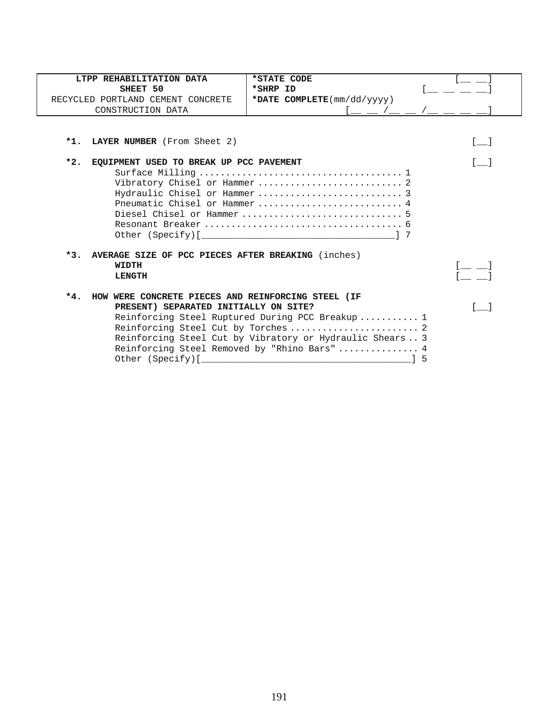|       | LTPP REHABILITATION DATA                           | *STATE CODE                                              |                 |
|-------|----------------------------------------------------|----------------------------------------------------------|-----------------|
|       | SHEET 50                                           | *SHRP ID                                                 |                 |
|       | RECYCLED PORTLAND CEMENT CONCRETE                  | *DATE COMPLETE(mm/dd/yyyy)                               |                 |
|       | CONSTRUCTION DATA                                  |                                                          |                 |
|       |                                                    |                                                          |                 |
|       | *1. LAYER NUMBER (From Sheet 2)                    |                                                          | <b>Contract</b> |
| $*2.$ | EQUIPMENT USED TO BREAK UP PCC PAVEMENT            |                                                          |                 |
|       |                                                    |                                                          |                 |
|       |                                                    |                                                          |                 |
|       |                                                    |                                                          |                 |
|       |                                                    |                                                          |                 |
|       |                                                    |                                                          |                 |
|       |                                                    |                                                          |                 |
|       |                                                    |                                                          |                 |
|       |                                                    |                                                          |                 |
| $*3.$ | AVERAGE SIZE OF PCC PIECES AFTER BREAKING (inches) |                                                          |                 |
|       | WIDTH                                              |                                                          |                 |
|       |                                                    |                                                          |                 |
|       | <b>LENGTH</b>                                      |                                                          |                 |
|       |                                                    |                                                          |                 |
| $*4.$ | HOW WERE CONCRETE PIECES AND REINFORCING STEEL (IF |                                                          |                 |
|       | PRESENT) SEPARATED INITIALLY ON SITE?              |                                                          |                 |
|       |                                                    | Reinforcing Steel Ruptured During PCC Breakup  1         |                 |
|       |                                                    |                                                          |                 |
|       |                                                    | Reinforcing Steel Cut by Vibratory or Hydraulic Shears 3 |                 |
|       |                                                    | Reinforcing Steel Removed by "Rhino Bars" 4              |                 |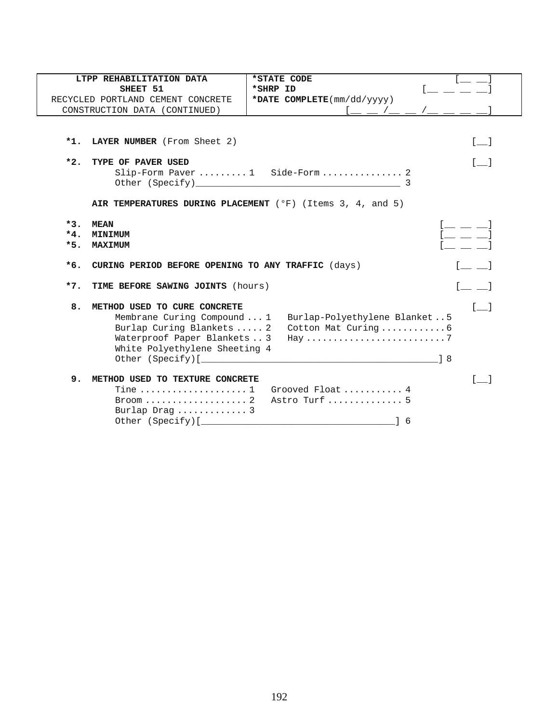|       | LTPP REHABILITATION DATA                                  | *STATE CODE                                                           |                                                |
|-------|-----------------------------------------------------------|-----------------------------------------------------------------------|------------------------------------------------|
|       | SHEET 51                                                  | *SHRP ID                                                              |                                                |
|       | RECYCLED PORTLAND CEMENT CONCRETE                         | *DATE COMPLETE(mm/dd/yyyy)                                            |                                                |
|       | CONSTRUCTION DATA (CONTINUED)                             |                                                                       |                                                |
|       |                                                           |                                                                       |                                                |
|       |                                                           |                                                                       |                                                |
| $*1.$ | <b>LAYER NUMBER</b> (From Sheet 2)                        |                                                                       | $\lceil$ 1                                     |
| $*2.$ | TYPE OF PAVER USED                                        |                                                                       |                                                |
|       |                                                           | Slip-Form Paver  1 Side-Form  2                                       |                                                |
|       |                                                           | Other (Specify) 3                                                     |                                                |
|       |                                                           |                                                                       |                                                |
|       |                                                           | AIR TEMPERATURES DURING PLACEMENT ( $^{\circ}$ F) (Items 3, 4, and 5) |                                                |
| $*3.$ | <b>MEAN</b>                                               |                                                                       | [ __ __ _                                      |
| $*4.$ | MINIMUM                                                   |                                                                       | $l = -1$                                       |
| $*5.$ | <b>MAXIMUM</b>                                            |                                                                       |                                                |
| $*6.$ |                                                           |                                                                       |                                                |
|       | CURING PERIOD BEFORE OPENING TO ANY TRAFFIC (days)        |                                                                       |                                                |
| $*7.$ | TIME BEFORE SAWING JOINTS (hours)                         |                                                                       | $\begin{bmatrix} 1 & 1 \\ 1 & 1 \end{bmatrix}$ |
|       |                                                           |                                                                       |                                                |
| 8.    | METHOD USED TO CURE CONCRETE                              |                                                                       | $\begin{bmatrix} 1 & 1 \end{bmatrix}$          |
|       | Membrane Curing Compound  1                               | Burlap-Polyethylene Blanket5                                          |                                                |
|       | Burlap Curing Blankets  2<br>Waterproof Paper Blankets  3 | Cotton Mat Curing6                                                    |                                                |
|       | White Polyethylene Sheeting 4                             |                                                                       |                                                |
|       |                                                           | Other (Specify) [ $\qquad \qquad$ 3                                   |                                                |
|       |                                                           |                                                                       |                                                |
| 9.    | METHOD USED TO TEXTURE CONCRETE                           |                                                                       |                                                |
|       | Tine $\ldots \ldots \ldots \ldots \ldots 1$               | Grooved Float  4                                                      |                                                |
|       |                                                           | Astro Turf  5                                                         |                                                |
|       | Burlap Drag  3                                            |                                                                       |                                                |
|       |                                                           | 1 6                                                                   |                                                |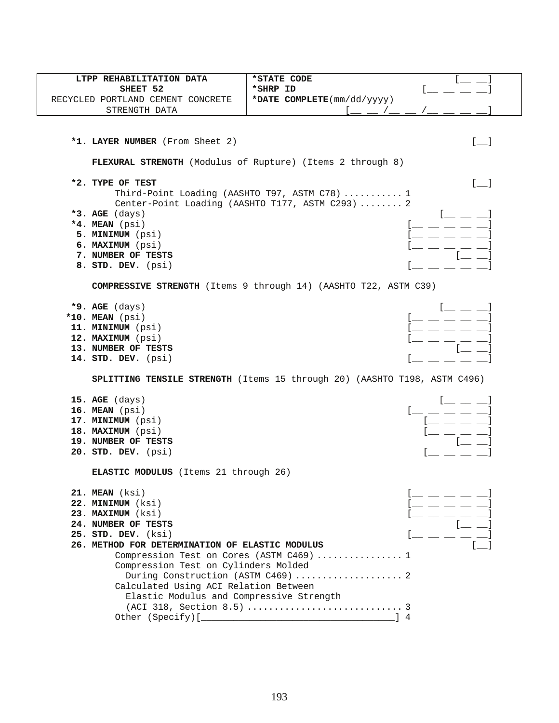| LTPP REHABILITATION DATA                        | *STATE CODE                                                               |                                       |
|-------------------------------------------------|---------------------------------------------------------------------------|---------------------------------------|
| SHEET 52                                        | *SHRP ID                                                                  |                                       |
| RECYCLED PORTLAND CEMENT CONCRETE               | *DATE COMPLETE(mm/dd/yyyy)                                                |                                       |
| STRENGTH DATA                                   |                                                                           |                                       |
|                                                 |                                                                           |                                       |
|                                                 |                                                                           |                                       |
| *1. LAYER NUMBER (From Sheet 2)                 |                                                                           | $\begin{bmatrix} 1 & 1 \end{bmatrix}$ |
|                                                 | FLEXURAL STRENGTH (Modulus of Rupture) (Items 2 through 8)                |                                       |
|                                                 |                                                                           |                                       |
| *2. TYPE OF TEST                                |                                                                           | $[\_$                                 |
|                                                 | Third-Point Loading (AASHTO T97, ASTM C78)  1                             |                                       |
|                                                 | Center-Point Loading (AASHTO T177, ASTM C293)  2                          |                                       |
| *3. AGE $(days)$                                |                                                                           |                                       |
| *4. MEAN (psi)<br>5. MINIMUM (psi)              |                                                                           |                                       |
| 6. MAXIMUM (psi)                                |                                                                           |                                       |
| 7. NUMBER OF TESTS                              |                                                                           |                                       |
| 8. STD. DEV. (psi)                              |                                                                           |                                       |
|                                                 |                                                                           |                                       |
|                                                 | COMPRESSIVE STRENGTH (Items 9 through 14) (AASHTO T22, ASTM C39)          |                                       |
|                                                 |                                                                           |                                       |
| $*9.$ AGE (days)                                |                                                                           |                                       |
| *10. MEAN (psi)                                 |                                                                           |                                       |
| 11. MINIMUM (psi)<br>12. MAXIMUM (psi)          |                                                                           |                                       |
| 13. NUMBER OF TESTS                             |                                                                           |                                       |
| 14. STD. DEV. (psi)                             |                                                                           |                                       |
|                                                 |                                                                           |                                       |
|                                                 | SPLITTING TENSILE STRENGTH (Items 15 through 20) (AASHTO T198, ASTM C496) |                                       |
|                                                 |                                                                           |                                       |
| 15. $AGE$ (days)                                |                                                                           |                                       |
| 16. MEAN (psi)<br>17. MINIMUM (psi)             |                                                                           |                                       |
| 18. MAXIMUM (psi)                               |                                                                           |                                       |
| 19. NUMBER OF TESTS                             |                                                                           |                                       |
| 20. STD. DEV. (psi)                             |                                                                           |                                       |
|                                                 |                                                                           |                                       |
| <b>ELASTIC MODULUS</b> (Items 21 through 26)    |                                                                           |                                       |
| 21. MEAN (ksi)                                  |                                                                           |                                       |
| 22. MINIMUM (ksi)                               |                                                                           |                                       |
| 23. MAXIMUM (ksi)                               |                                                                           |                                       |
| 24. NUMBER OF TESTS                             |                                                                           |                                       |
| 25. STD. DEV. (ksi)                             |                                                                           |                                       |
| 26. METHOD FOR DETERMINATION OF ELASTIC MODULUS |                                                                           |                                       |
|                                                 | Compression Test on Cores (ASTM C469)  1                                  |                                       |
| Compression Test on Cylinders Molded            |                                                                           |                                       |
|                                                 | During Construction (ASTM C469)  2                                        |                                       |
| Calculated Using ACI Relation Between           |                                                                           |                                       |
| Elastic Modulus and Compressive Strength        |                                                                           |                                       |
|                                                 |                                                                           |                                       |
|                                                 |                                                                           |                                       |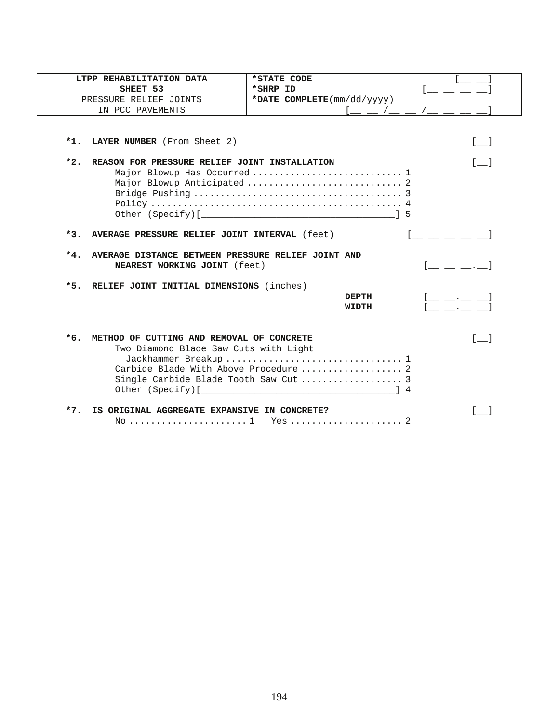|       | LTPP REHABILITATION DATA                                                                  | *STATE CODE                |                                         |
|-------|-------------------------------------------------------------------------------------------|----------------------------|-----------------------------------------|
|       | SHEET 53                                                                                  | *SHRP ID                   |                                         |
|       | PRESSURE RELIEF JOINTS                                                                    | *DATE COMPLETE(mm/dd/yyyy) |                                         |
|       | IN PCC PAVEMENTS                                                                          | $1$ __ __ /__ __ /__ __    |                                         |
|       |                                                                                           |                            |                                         |
| $*1.$ | LAYER NUMBER (From Sheet 2)                                                               |                            | $\lceil$ 1                              |
| $*2.$ | REASON FOR PRESSURE RELIEF JOINT INSTALLATION                                             |                            | $\sqrt{2}$                              |
|       |                                                                                           |                            |                                         |
|       |                                                                                           |                            |                                         |
|       |                                                                                           |                            |                                         |
|       |                                                                                           |                            |                                         |
|       |                                                                                           |                            |                                         |
| $*3.$ | AVERAGE PRESSURE RELIEF JOINT INTERVAL (feet)                                             |                            |                                         |
|       |                                                                                           |                            |                                         |
|       |                                                                                           |                            |                                         |
| $*4.$ | AVERAGE DISTANCE BETWEEN PRESSURE RELIEF JOINT AND<br><b>NEAREST WORKING JOINT</b> (feet) |                            |                                         |
| $*5.$ |                                                                                           |                            |                                         |
|       | RELIEF JOINT INITIAL DIMENSIONS (inches)                                                  | <b>DEPTH</b>               |                                         |
|       |                                                                                           | <b>WIDTH</b>               | $\mathcal{L}(\mathcal{L}(\mathcal{L}))$ |
|       |                                                                                           |                            |                                         |
| $*6.$ | METHOD OF CUTTING AND REMOVAL OF CONCRETE                                                 |                            | $\begin{bmatrix} 1 & 1 \end{bmatrix}$   |
|       | Two Diamond Blade Saw Cuts with Light                                                     |                            |                                         |
|       |                                                                                           |                            |                                         |
|       |                                                                                           |                            |                                         |
|       |                                                                                           |                            |                                         |
|       |                                                                                           |                            |                                         |
| $*7.$ | IS ORIGINAL AGGREGATE EXPANSIVE IN CONCRETE?                                              |                            |                                         |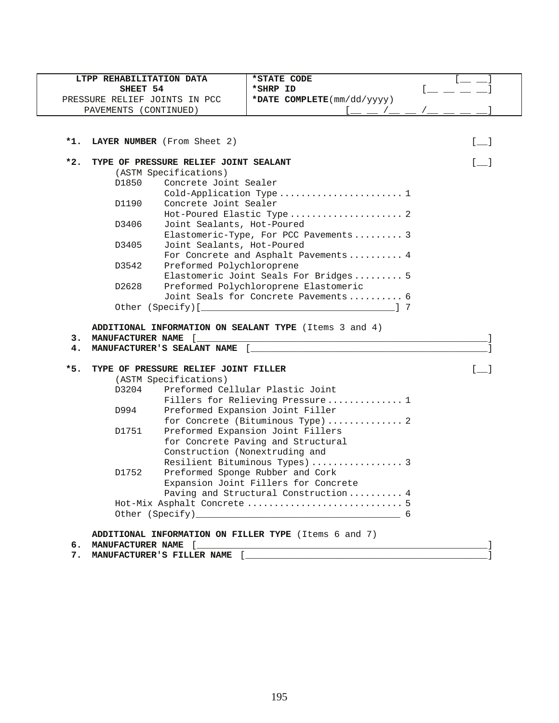|       |                            | LTPP REHABILITATION DATA              | *STATE CODE                                            |                                   |
|-------|----------------------------|---------------------------------------|--------------------------------------------------------|-----------------------------------|
|       | SHEET 54                   |                                       | *SHRP ID                                               |                                   |
|       |                            | PRESSURE RELIEF JOINTS IN PCC         | *DATE COMPLETE(mm/dd/yyyy)                             |                                   |
|       | PAVEMENTS (CONTINUED)      |                                       |                                                        |                                   |
|       |                            |                                       |                                                        |                                   |
| *1.   |                            | LAYER NUMBER (From Sheet 2)           |                                                        | $\lceil$ 1                        |
| $*2.$ |                            | TYPE OF PRESSURE RELIEF JOINT SEALANT |                                                        | $\begin{bmatrix} 1 \end{bmatrix}$ |
|       |                            | (ASTM Specifications)                 |                                                        |                                   |
|       | D1850                      | Concrete Joint Sealer                 |                                                        |                                   |
|       |                            |                                       | Cold-Application Type 1                                |                                   |
|       | D1190                      | Concrete Joint Sealer                 |                                                        |                                   |
|       |                            |                                       | Hot-Poured Elastic Type 2                              |                                   |
|       | D3406                      | Joint Sealants, Hot-Poured            |                                                        |                                   |
|       |                            |                                       | Elastomeric-Type, For PCC Pavements 3                  |                                   |
|       | D3405                      | Joint Sealants, Hot-Poured            |                                                        |                                   |
|       |                            |                                       | For Concrete and Asphalt Pavements 4                   |                                   |
|       | D3542                      | Preformed Polychloroprene             |                                                        |                                   |
|       |                            |                                       | Elastomeric Joint Seals For Bridges 5                  |                                   |
|       | D2628                      |                                       | Preformed Polychloroprene Elastomeric                  |                                   |
|       |                            |                                       | Joint Seals for Concrete Pavements 6                   |                                   |
|       |                            |                                       | ADDITIONAL INFORMATION ON SEALANT TYPE (Items 3 and 4) |                                   |
| з.    | <b>MANUFACTURER NAME</b> [ |                                       |                                                        |                                   |
| 4.    |                            | MANUFACTURER'S SEALANT NAME [         |                                                        |                                   |
| $*5.$ |                            | TYPE OF PRESSURE RELIEF JOINT FILLER  |                                                        | $\lceil$ 1                        |
|       |                            | (ASTM Specifications)                 |                                                        |                                   |
|       | D3204                      |                                       | Preformed Cellular Plastic Joint                       |                                   |
|       |                            |                                       | Fillers for Relieving Pressure 1                       |                                   |
|       | D994                       |                                       | Preformed Expansion Joint Filler                       |                                   |
|       |                            |                                       | for Concrete (Bituminous Type)  2                      |                                   |
|       | D1751                      |                                       | Preformed Expansion Joint Fillers                      |                                   |
|       |                            |                                       | for Concrete Paving and Structural                     |                                   |
|       |                            |                                       | Construction (Nonextruding and                         |                                   |
|       |                            |                                       | Resilient Bituminous Types)  3                         |                                   |
|       | D1752                      |                                       | Preformed Sponge Rubber and Cork                       |                                   |
|       |                            |                                       | Expansion Joint Fillers for Concrete                   |                                   |
|       |                            |                                       | Paving and Structural Construction 4                   |                                   |
|       |                            |                                       |                                                        |                                   |
|       |                            |                                       |                                                        |                                   |
|       |                            |                                       | ADDITIONAL INFORMATION ON FILLER TYPE (Items 6 and 7)  |                                   |

195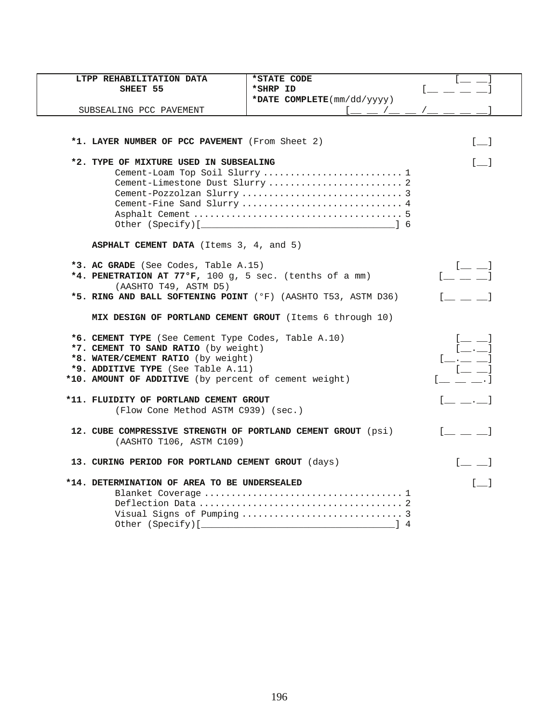| LTPP REHABILITATION DATA                                     | *STATE CODE                                                   |                                                                                                                                                                                                                                                                                                                        |
|--------------------------------------------------------------|---------------------------------------------------------------|------------------------------------------------------------------------------------------------------------------------------------------------------------------------------------------------------------------------------------------------------------------------------------------------------------------------|
| SHEET 55                                                     | *SHRP ID                                                      | Letter and the second                                                                                                                                                                                                                                                                                                  |
|                                                              | *DATE COMPLETE(mm/dd/yyyy)                                    |                                                                                                                                                                                                                                                                                                                        |
| SUBSEALING PCC PAVEMENT                                      | $\frac{1-\frac{1}{2}-1}{1-\frac{1}{2}-1}$                     |                                                                                                                                                                                                                                                                                                                        |
|                                                              |                                                               |                                                                                                                                                                                                                                                                                                                        |
| *1. LAYER NUMBER OF PCC PAVEMENT (From Sheet 2)              |                                                               | $[$ $]$                                                                                                                                                                                                                                                                                                                |
|                                                              |                                                               |                                                                                                                                                                                                                                                                                                                        |
| *2. TYPE OF MIXTURE USED IN SUBSEALING                       |                                                               | $[$ ]                                                                                                                                                                                                                                                                                                                  |
|                                                              | Cement-Loam Top Soil Slurry  1                                |                                                                                                                                                                                                                                                                                                                        |
|                                                              | Cement-Limestone Dust Slurry  2                               |                                                                                                                                                                                                                                                                                                                        |
|                                                              |                                                               |                                                                                                                                                                                                                                                                                                                        |
|                                                              | Cement-Fine Sand Slurry  4                                    |                                                                                                                                                                                                                                                                                                                        |
|                                                              |                                                               |                                                                                                                                                                                                                                                                                                                        |
|                                                              |                                                               |                                                                                                                                                                                                                                                                                                                        |
| ASPHALT CEMENT DATA (Items 3, 4, and 5)                      |                                                               |                                                                                                                                                                                                                                                                                                                        |
| *3. AC GRADE (See Codes, Table A.15)                         |                                                               |                                                                                                                                                                                                                                                                                                                        |
| *4. PENETRATION AT 77°F, 100 g, 5 sec. (tenths of a mm)      |                                                               | $[$ $\frac{1}{2}$ $\frac{1}{2}$ $\frac{1}{2}$ $\frac{1}{2}$ $\frac{1}{2}$ $\frac{1}{2}$ $\frac{1}{2}$ $\frac{1}{2}$ $\frac{1}{2}$ $\frac{1}{2}$ $\frac{1}{2}$ $\frac{1}{2}$ $\frac{1}{2}$ $\frac{1}{2}$ $\frac{1}{2}$ $\frac{1}{2}$ $\frac{1}{2}$ $\frac{1}{2}$ $\frac{1}{2}$ $\frac{1}{2}$ $\frac{1}{2}$ $\frac{1}{2$ |
| (AASHTO T49, ASTM D5)                                        |                                                               |                                                                                                                                                                                                                                                                                                                        |
|                                                              | *5. RING AND BALL SOFTENING POINT (°F) (AASHTO T53, ASTM D36) | $\begin{bmatrix} 1 & 1 \\ 1 & 1 \end{bmatrix}$                                                                                                                                                                                                                                                                         |
|                                                              |                                                               |                                                                                                                                                                                                                                                                                                                        |
| MIX DESIGN OF PORTLAND CEMENT GROUT (Items 6 through 10)     |                                                               |                                                                                                                                                                                                                                                                                                                        |
| *6. CEMENT TYPE (See Cement Type Codes, Table A.10)          |                                                               |                                                                                                                                                                                                                                                                                                                        |
| *7. CEMENT TO SAND RATIO (by weight)                         |                                                               |                                                                                                                                                                                                                                                                                                                        |
| *8. WATER/CEMENT RATIO (by weight)                           |                                                               | $[-,-,-]$                                                                                                                                                                                                                                                                                                              |
| *9. ADDITIVE TYPE (See Table A.11)                           |                                                               | $[$ $\qquad$ $]$                                                                                                                                                                                                                                                                                                       |
| *10. AMOUNT OF ADDITIVE (by percent of cement weight)        |                                                               | $[$ $,$ $,$ $]$                                                                                                                                                                                                                                                                                                        |
|                                                              |                                                               |                                                                                                                                                                                                                                                                                                                        |
| *11. FLUIDITY OF PORTLAND CEMENT GROUT                       |                                                               |                                                                                                                                                                                                                                                                                                                        |
| (Flow Cone Method ASTM C939) (sec.)                          |                                                               |                                                                                                                                                                                                                                                                                                                        |
| 12. CUBE COMPRESSIVE STRENGTH OF PORTLAND CEMENT GROUT (psi) |                                                               |                                                                                                                                                                                                                                                                                                                        |
| (AASHTO T106, ASTM C109)                                     |                                                               |                                                                                                                                                                                                                                                                                                                        |
|                                                              |                                                               |                                                                                                                                                                                                                                                                                                                        |
| 13. CURING PERIOD FOR PORTLAND CEMENT GROUT (days)           |                                                               | $\begin{bmatrix} 1 & 1 \\ 1 & 1 \end{bmatrix}$                                                                                                                                                                                                                                                                         |
| *14. DETERMINATION OF AREA TO BE UNDERSEALED                 |                                                               | $[$ $]$                                                                                                                                                                                                                                                                                                                |
|                                                              |                                                               |                                                                                                                                                                                                                                                                                                                        |
|                                                              |                                                               |                                                                                                                                                                                                                                                                                                                        |
|                                                              |                                                               |                                                                                                                                                                                                                                                                                                                        |
| Other (Specify)[_                                            |                                                               |                                                                                                                                                                                                                                                                                                                        |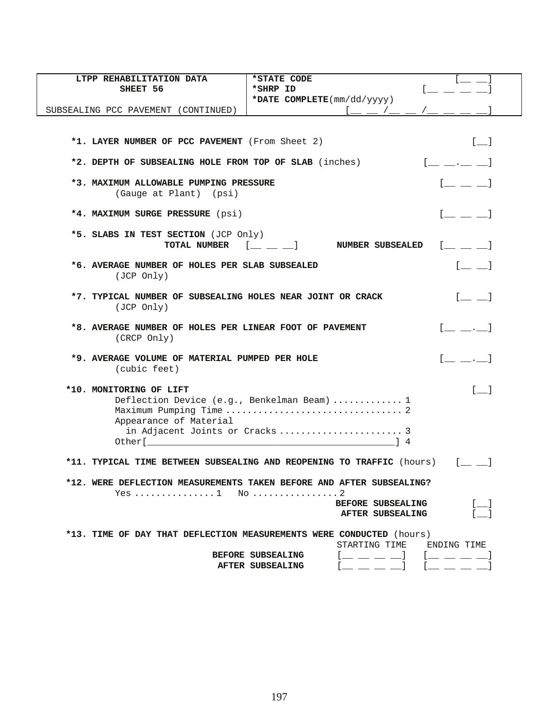| LTPP REHABILITATION DATA                                                 | *STATE CODE                                                           |
|--------------------------------------------------------------------------|-----------------------------------------------------------------------|
| SHEET 56                                                                 | *SHRP ID                                                              |
|                                                                          | *DATE COMPLETE(mm/dd/yyyy)                                            |
| SUBSEALING PCC PAVEMENT (CONTINUED)                                      |                                                                       |
|                                                                          |                                                                       |
|                                                                          |                                                                       |
| *1. LAYER NUMBER OF PCC PAVEMENT (From Sheet 2)                          | $\lceil$ 1                                                            |
| *2. DEPTH OF SUBSEALING HOLE FROM TOP OF SLAB (inches)                   | $[$ $,$ $]$                                                           |
| *3. MAXIMUM ALLOWABLE PUMPING PRESSURE                                   |                                                                       |
| (Gauge at Plant) (psi)                                                   |                                                                       |
| *4. MAXIMUM SURGE PRESSURE (psi)                                         | $\begin{bmatrix} 1 & 1 & 1 \end{bmatrix}$                             |
| *5. SLABS IN TEST SECTION (JCP Only)                                     |                                                                       |
| TOTAL NUMBER                                                             | $\mathbb{R}^n$ and $\mathbb{R}^n$<br><b>NUMBER SUBSEALED</b>          |
| *6. AVERAGE NUMBER OF HOLES PER SLAB SUBSEALED                           | $[$ $\equiv$ $\equiv$ $]$                                             |
| (JCP Only)                                                               |                                                                       |
|                                                                          |                                                                       |
| *7. TYPICAL NUMBER OF SUBSEALING HOLES NEAR JOINT OR CRACK<br>(JCP Only) | $[$ $\Box$                                                            |
|                                                                          |                                                                       |
| *8. AVERAGE NUMBER OF HOLES PER LINEAR FOOT OF PAVEMENT<br>(CRCP Only)   | $\begin{bmatrix} 1 & 1 & 1 \\ 1 & 1 & 1 \end{bmatrix}$                |
| *9. AVERAGE VOLUME OF MATERIAL PUMPED PER HOLE                           | $[$ $\ldots]$                                                         |
| (cubic feet)                                                             |                                                                       |
|                                                                          |                                                                       |
| *10. MONITORING OF LIFT                                                  | $\begin{bmatrix} 1 & 1 \end{bmatrix}$                                 |
|                                                                          | Deflection Device (e.g., Benkelman Beam)  1                           |
|                                                                          |                                                                       |
| Appearance of Material                                                   |                                                                       |
|                                                                          | in Adjacent Joints or Cracks  3                                       |
|                                                                          |                                                                       |
|                                                                          | *11. TYPICAL TIME BETWEEN SUBSEALING AND REOPENING TO TRAFFIC (hours) |
|                                                                          |                                                                       |
|                                                                          | *12. WERE DEFLECTION MEASUREMENTS TAKEN BEFORE AND AFTER SUBSEALING?  |
|                                                                          | <b>BEFORE SUBSEALING</b>                                              |
|                                                                          | AFTER SUBSEALING                                                      |
|                                                                          |                                                                       |
|                                                                          | *13. TIME OF DAY THAT DEFLECTION MEASUREMENTS WERE CONDUCTED (hours)  |
|                                                                          | STARTING TIME<br>ENDING TIME                                          |
|                                                                          | BEFORE SUBSEALING<br>_ __ __ __ 1                                     |
|                                                                          | AFTER SUBSEALING                                                      |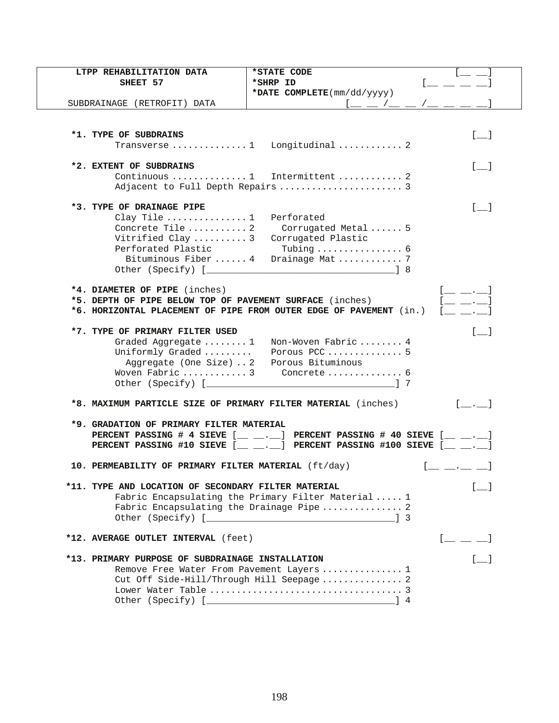| LTPP REHABILITATION DATA                                           | *STATE CODE                                                                                                                                                                                                                                   |                                                |
|--------------------------------------------------------------------|-----------------------------------------------------------------------------------------------------------------------------------------------------------------------------------------------------------------------------------------------|------------------------------------------------|
| SHEET 57                                                           | *SHRP ID                                                                                                                                                                                                                                      |                                                |
|                                                                    | *DATE COMPLETE(mm/dd/yyyy)                                                                                                                                                                                                                    |                                                |
| SUBDRAINAGE (RETROFIT) DATA                                        | <u>[ _ _ /_ _ /_ _ _ _ _</u>                                                                                                                                                                                                                  |                                                |
|                                                                    |                                                                                                                                                                                                                                               |                                                |
|                                                                    |                                                                                                                                                                                                                                               |                                                |
| *1. TYPE OF SUBDRAINS                                              |                                                                                                                                                                                                                                               | $\begin{bmatrix} 1 & 1 \\ 1 & 1 \end{bmatrix}$ |
|                                                                    | Transverse  1 Longitudinal  2                                                                                                                                                                                                                 |                                                |
|                                                                    |                                                                                                                                                                                                                                               |                                                |
| *2. EXTENT OF SUBDRAINS                                            | Continuous  1 Intermittent  2                                                                                                                                                                                                                 | $\begin{bmatrix} 1 & 1 \end{bmatrix}$          |
|                                                                    |                                                                                                                                                                                                                                               |                                                |
|                                                                    |                                                                                                                                                                                                                                               |                                                |
| *3. TYPE OF DRAINAGE PIPE                                          |                                                                                                                                                                                                                                               | $\begin{bmatrix} 1 & 1 \end{bmatrix}$          |
| Clay Tile  1                                                       | Perforated                                                                                                                                                                                                                                    |                                                |
| Concrete Tile  2                                                   | Corrugated Metal  5                                                                                                                                                                                                                           |                                                |
| Vitrified Clay  3                                                  | Corrugated Plastic                                                                                                                                                                                                                            |                                                |
| Perforated Plastic                                                 | Tubing $\ldots \ldots \ldots \ldots$ .                                                                                                                                                                                                        |                                                |
|                                                                    | Bituminous Fiber  4 Drainage Mat  7                                                                                                                                                                                                           |                                                |
|                                                                    |                                                                                                                                                                                                                                               |                                                |
|                                                                    |                                                                                                                                                                                                                                               |                                                |
| *4. DIAMETER OF PIPE (inches)                                      |                                                                                                                                                                                                                                               |                                                |
| *5. DEPTH OF PIPE BELOW TOP OF PAVEMENT SURFACE (inches)           |                                                                                                                                                                                                                                               |                                                |
| *6. HORIZONTAL PLACEMENT OF PIPE FROM OUTER EDGE OF PAVEMENT (in.) |                                                                                                                                                                                                                                               |                                                |
|                                                                    |                                                                                                                                                                                                                                               |                                                |
| *7. TYPE OF PRIMARY FILTER USED                                    |                                                                                                                                                                                                                                               | $\lceil$ 1                                     |
|                                                                    | Graded Aggregate  1 Non-Woven Fabric  4<br>Porous PCC 5                                                                                                                                                                                       |                                                |
| Uniformly Graded<br>Aggregate (One Size)  2  Porous Bituminous     |                                                                                                                                                                                                                                               |                                                |
|                                                                    | Woven Fabric  3 Concrete  6                                                                                                                                                                                                                   |                                                |
|                                                                    | 17                                                                                                                                                                                                                                            |                                                |
|                                                                    |                                                                                                                                                                                                                                               |                                                |
| *8. MAXIMUM PARTICLE SIZE OF PRIMARY FILTER MATERIAL (inches)      |                                                                                                                                                                                                                                               | $\lceil$ . 1                                   |
|                                                                    |                                                                                                                                                                                                                                               |                                                |
| *9. GRADATION OF PRIMARY FILTER MATERIAL                           |                                                                                                                                                                                                                                               |                                                |
|                                                                    | PERCENT PASSING # 4 SIEVE $[\underline{\hspace{1cm}} \underline{\hspace{1cm}} \ldots]$ PERCENT PASSING # 40 SIEVE $[\underline{\hspace{1cm}} \underline{\hspace{1cm}} \ldots]$                                                                |                                                |
|                                                                    | PERCENT PASSING #10 SIEVE $[\underline{\hspace{1cm}} \underline{\hspace{1cm}} \underline{\hspace{1cm}} \underline{\hspace{1cm}} ]$ PERCENT PASSING #100 SIEVE $[\underline{\hspace{1cm}} \underline{\hspace{1cm}} \underline{\hspace{1cm}} ]$ |                                                |
| 10. PERMEABILITY OF PRIMARY FILTER MATERIAL (ft/day)               |                                                                                                                                                                                                                                               |                                                |
|                                                                    |                                                                                                                                                                                                                                               |                                                |
| *11. TYPE AND LOCATION OF SECONDARY FILTER MATERIAL                |                                                                                                                                                                                                                                               |                                                |
|                                                                    | Fabric Encapsulating the Primary Filter Material  1                                                                                                                                                                                           |                                                |
|                                                                    | Fabric Encapsulating the Drainage Pipe  2                                                                                                                                                                                                     |                                                |
|                                                                    |                                                                                                                                                                                                                                               |                                                |
|                                                                    |                                                                                                                                                                                                                                               |                                                |
| *12. AVERAGE OUTLET INTERVAL (feet)                                |                                                                                                                                                                                                                                               | $[$ $\_$ $\_$ $\_$                             |
|                                                                    |                                                                                                                                                                                                                                               |                                                |
| *13. PRIMARY PURPOSE OF SUBDRAINAGE INSTALLATION                   |                                                                                                                                                                                                                                               |                                                |
|                                                                    | Remove Free Water From Pavement Layers  1                                                                                                                                                                                                     |                                                |
|                                                                    | Cut Off Side-Hill/Through Hill Seepage  2                                                                                                                                                                                                     |                                                |
|                                                                    |                                                                                                                                                                                                                                               |                                                |
|                                                                    |                                                                                                                                                                                                                                               |                                                |
|                                                                    |                                                                                                                                                                                                                                               |                                                |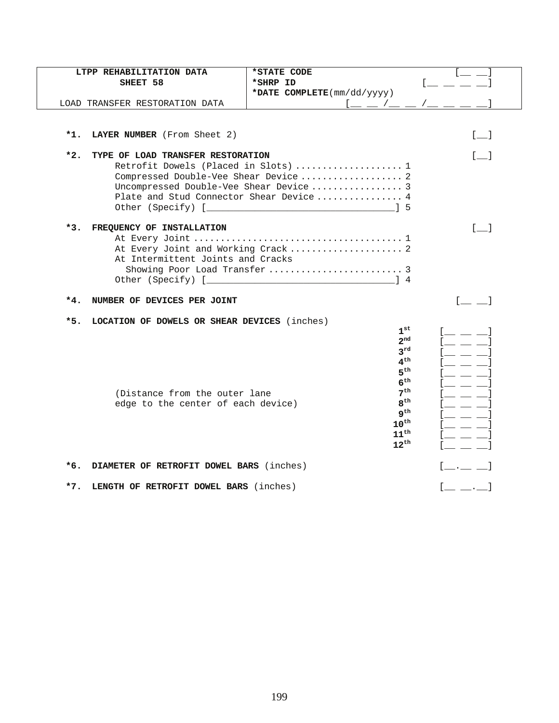|       | LTPP REHABILITATION DATA<br>SHEET 58         | *STATE CODE<br>*SHRP ID                                |                                   |
|-------|----------------------------------------------|--------------------------------------------------------|-----------------------------------|
|       | LOAD TRANSFER RESTORATION DATA               | *DATE COMPLETE(mm/dd/yyyy)<br><u>l — / — / — / — -</u> |                                   |
| $*1.$ | LAYER NUMBER (From Sheet 2)                  |                                                        | $[\_$                             |
|       |                                              |                                                        |                                   |
| $*2.$ | TYPE OF LOAD TRANSFER RESTORATION            |                                                        | $\begin{bmatrix} 1 \end{bmatrix}$ |
|       |                                              | Retrofit Dowels (Placed in Slots)  1                   |                                   |
|       |                                              | Compressed Double-Vee Shear Device  2                  |                                   |
|       |                                              |                                                        |                                   |
|       |                                              | Plate and Stud Connector Shear Device  4               |                                   |
|       |                                              | Other (Specify) [ 3                                    |                                   |
| $*3.$ | FREQUENCY OF INSTALLATION                    |                                                        | $\lceil$ 1                        |
|       |                                              |                                                        |                                   |
|       |                                              | At Every Joint and Working Crack  2                    |                                   |
|       | At Intermittent Joints and Cracks            |                                                        |                                   |
|       |                                              |                                                        |                                   |
|       |                                              |                                                        |                                   |
| $*4.$ | NUMBER OF DEVICES PER JOINT                  |                                                        |                                   |
| $*5.$ | LOCATION OF DOWELS OR SHEAR DEVICES (inches) |                                                        |                                   |
|       |                                              | $1^{\rm st}$                                           |                                   |
|       |                                              | $2^{\text{nd}}$                                        |                                   |
|       |                                              | $3^{rd}$                                               |                                   |
|       |                                              | $4^{\text{th}}$                                        |                                   |
|       |                                              | 5 <sup>th</sup>                                        |                                   |
|       |                                              | 6 <sup>th</sup>                                        |                                   |
|       | (Distance from the outer lane                | 7 <sup>th</sup>                                        |                                   |
|       | edge to the center of each device)           | 8 <sup>th</sup><br>$q^{th}$                            |                                   |
|       |                                              | $10^{\text{th}}$                                       |                                   |
|       |                                              | $11^{\text{th}}$                                       |                                   |
|       |                                              | $12^{\text{th}}$                                       |                                   |
|       |                                              |                                                        |                                   |
| $*6.$ | DIAMETER OF RETROFIT DOWEL BARS (inches)     |                                                        |                                   |
| $*7.$ | LENGTH OF RETROFIT DOWEL BARS (inches)       |                                                        |                                   |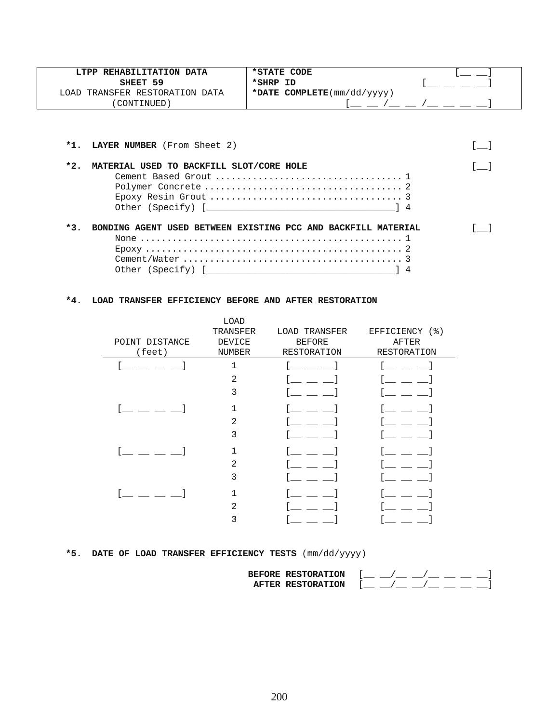| LTPP REHABILITATION DATA       | *STATE CODE                                       |  |
|--------------------------------|---------------------------------------------------|--|
| SHEET 59                       | *SHRP ID                                          |  |
| LOAD TRANSFER RESTORATION DATA | *DATE COMPLETE $(\text{mm}/\text{dd}/\text{yyy})$ |  |
| CONTINUED)                     |                                                   |  |

|       | *1. LAYER NUMBER (From Sheet 2)                                                    |  |
|-------|------------------------------------------------------------------------------------|--|
| $*2.$ | MATERIAL USED TO BACKFILL SLOT/CORE HOLE                                           |  |
| $*3.$ | BONDING AGENT USED BETWEEN EXISTING PCC AND BACKFILL MATERIAL<br>Other (Specify) [ |  |

### **\*4. LOAD TRANSFER EFFICIENCY BEFORE AND AFTER RESTORATION**

| POINT DISTANCE<br>(feet) | LOAD<br>TRANSFER<br><b>DEVICE</b><br>NUMBER | LOAD TRANSFER<br><b>BEFORE</b><br>RESTORATION | EFFICIENCY (%)<br>AFTER<br>RESTORATION |
|--------------------------|---------------------------------------------|-----------------------------------------------|----------------------------------------|
|                          | 1                                           |                                               |                                        |
|                          | $\mathfrak{D}$                              |                                               |                                        |
|                          | 3                                           |                                               |                                        |
|                          |                                             |                                               |                                        |
|                          | 2                                           |                                               |                                        |
|                          | 3                                           |                                               |                                        |
|                          |                                             |                                               |                                        |
|                          | 2                                           |                                               |                                        |
|                          | 3                                           |                                               |                                        |
|                          |                                             |                                               |                                        |
|                          | $\overline{2}$                              |                                               |                                        |
|                          |                                             |                                               |                                        |

# **\*5. DATE OF LOAD TRANSFER EFFICIENCY TESTS** (mm/dd/yyyy)

| <b>BEFORE RESTORATION</b>          |  |
|------------------------------------|--|
| <b>RESTORATION</b><br><b>AFTER</b> |  |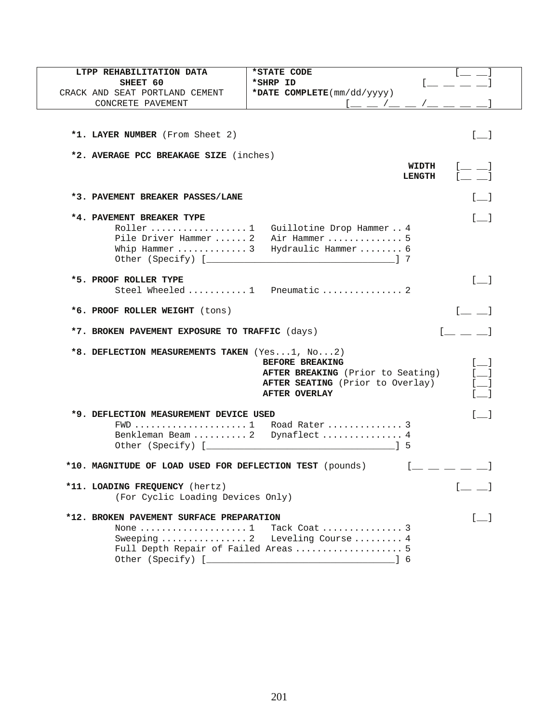| LTPP REHABILITATION DATA                                 | *STATE CODE                                                   |
|----------------------------------------------------------|---------------------------------------------------------------|
| SHEET 60                                                 | *SHRP ID                                                      |
| CRACK AND SEAT PORTLAND CEMENT                           | *DATE $COMPLETE(mm/dd/yyyy)$                                  |
| CONCRETE PAVEMENT                                        | $1 = -1 = -1$                                                 |
|                                                          |                                                               |
|                                                          |                                                               |
| *1. LAYER NUMBER (From Sheet 2)                          | $\begin{bmatrix} 1 & 1 \end{bmatrix}$                         |
|                                                          |                                                               |
| *2. AVERAGE PCC BREAKAGE SIZE (inches)                   |                                                               |
|                                                          | WIDTH<br><b>LENGTH</b>                                        |
|                                                          |                                                               |
| *3. PAVEMENT BREAKER PASSES/LANE                         | $\lceil$ 1                                                    |
|                                                          |                                                               |
| *4. PAVEMENT BREAKER TYPE                                | $\begin{bmatrix} 1 \end{bmatrix}$                             |
| Roller  1                                                | Guillotine Drop Hammer 4                                      |
| Pile Driver Hammer  2                                    | Air Hammer  5                                                 |
| Whip Hammer  3                                           | Hydraulic Hammer  6                                           |
|                                                          |                                                               |
|                                                          |                                                               |
| *5. PROOF ROLLER TYPE                                    | $[ \quad ]$                                                   |
|                                                          | Steel Wheeled  1 Pneumatic  2                                 |
|                                                          |                                                               |
| *6. PROOF ROLLER WEIGHT (tons)                           | $[$ $\qquad$ $\qquad$ $]$                                     |
| *7. BROKEN PAVEMENT EXPOSURE TO TRAFFIC (days)           |                                                               |
|                                                          |                                                               |
| *8. DEFLECTION MEASUREMENTS TAKEN (Yes1, No2)            |                                                               |
|                                                          | BEFORE BREAKING                                               |
|                                                          | $\overline{\phantom{a}}$<br>AFTER BREAKING (Prior to Seating) |
|                                                          | AFTER SEATING (Prior to Overlay)                              |
|                                                          | <b>AFTER OVERLAY</b>                                          |
|                                                          |                                                               |
| *9. DEFLECTION MEASUREMENT DEVICE USED                   | $\lceil$ 1                                                    |
|                                                          |                                                               |
|                                                          | Benkleman Beam  2 Dynaflect  4                                |
|                                                          |                                                               |
|                                                          |                                                               |
| *10. MAGNITUDE OF LOAD USED FOR DEFLECTION TEST (pounds) | $[$ $\_\_$ $\_\_$ $\_$                                        |
|                                                          |                                                               |
| *11. LOADING FREQUENCY (hertz)                           | $\begin{bmatrix} 1 & 1 \\ 1 & 1 \end{bmatrix}$                |
| (For Cyclic Loading Devices Only)                        |                                                               |
|                                                          |                                                               |
| *12. BROKEN PAVEMENT SURFACE PREPARATION                 | $\Box$                                                        |
| None $\dots\dots\dots\dots\dots\dots\dots1$              | Tack Coat  3                                                  |
|                                                          | Leveling Course  4                                            |
|                                                          | Full Depth Repair of Failed Areas  5                          |
|                                                          |                                                               |
|                                                          |                                                               |

 $\overline{\phantom{a}}$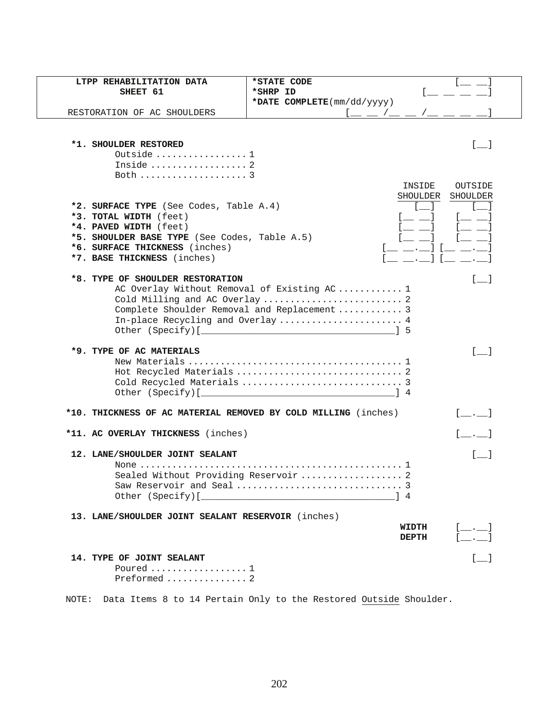| LTPP REHABILITATION DATA                                       | *STATE CODE                                    |
|----------------------------------------------------------------|------------------------------------------------|
| SHEET 61                                                       | *SHRP ID                                       |
|                                                                | *DATE COMPLETE(mm/dd/yyyy)                     |
| RESTORATION OF AC SHOULDERS                                    |                                                |
|                                                                |                                                |
|                                                                |                                                |
| *1. SHOULDER RESTORED                                          | $\lceil \quad \rceil$                          |
| Outside  1                                                     |                                                |
| Inside  2                                                      |                                                |
| Both  3                                                        |                                                |
|                                                                | INSIDE<br>OUTSIDE                              |
|                                                                | SHOULDER<br>SHOULDER                           |
| *2. SURFACE TYPE (See Codes, Table A.4)                        |                                                |
| *3. TOTAL WIDTH (feet)                                         |                                                |
| *4. PAVED WIDTH (feet)                                         |                                                |
| *5. SHOULDER BASE TYPE (See Codes, Table A.5)                  |                                                |
| *6. SURFACE THICKNESS (inches)                                 |                                                |
| *7. BASE THICKNESS (inches)                                    | $\blacksquare$ . If $\blacksquare$             |
|                                                                |                                                |
| *8. TYPE OF SHOULDER RESTORATION                               |                                                |
|                                                                | AC Overlay Without Removal of Existing AC  1   |
|                                                                | Cold Milling and AC Overlay  2                 |
|                                                                | Complete Shoulder Removal and Replacement  3   |
|                                                                | In-place Recycling and Overlay  4              |
|                                                                |                                                |
| *9. TYPE OF AC MATERIALS                                       | $\begin{bmatrix} 1 & 1 \end{bmatrix}$          |
|                                                                |                                                |
|                                                                |                                                |
|                                                                |                                                |
|                                                                |                                                |
|                                                                |                                                |
| *10. THICKNESS OF AC MATERIAL REMOVED BY COLD MILLING (inches) |                                                |
|                                                                |                                                |
| *11. AC OVERLAY THICKNESS (inches)                             | $[\quad \quad \quad ]$                         |
|                                                                |                                                |
| 12. LANE/SHOULDER JOINT SEALANT                                |                                                |
|                                                                |                                                |
|                                                                | Sealed Without Providing Reservoir  2          |
|                                                                |                                                |
|                                                                |                                                |
| 13. LANE/SHOULDER JOINT SEALANT RESERVOIR (inches)             |                                                |
|                                                                | WIDTH                                          |
|                                                                | $[$ $,$ $]$<br><b>DEPTH</b>                    |
|                                                                |                                                |
| <b>14. TYPE OF JOINT SEALANT</b>                               | $\begin{bmatrix} 1 & 1 \\ 1 & 1 \end{bmatrix}$ |
| Poured $1$                                                     |                                                |
| Preformed  2                                                   |                                                |
|                                                                |                                                |

NOTE: Data Items 8 to 14 Pertain Only to the Restored Outside Shoulder.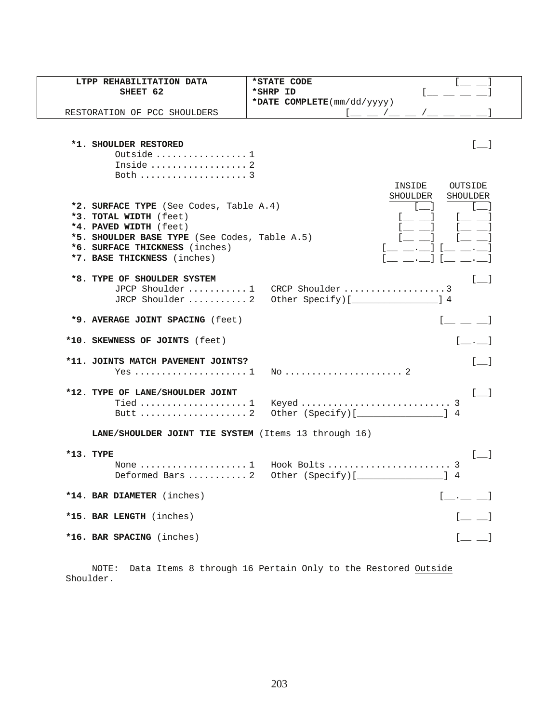| LTPP REHABILITATION DATA                                        | *STATE CODE                                    |  |
|-----------------------------------------------------------------|------------------------------------------------|--|
| SHEET 62                                                        | *SHRP ID                                       |  |
|                                                                 | *DATE COMPLETE(mm/dd/yyyy)                     |  |
| RESTORATION OF PCC SHOULDERS                                    | $\sqrt{2}$                                     |  |
|                                                                 |                                                |  |
| *1. SHOULDER RESTORED                                           | $\begin{bmatrix} 1 & 1 \\ 1 & 1 \end{bmatrix}$ |  |
| Outside $1$                                                     |                                                |  |
| Inside  2                                                       |                                                |  |
| Both $\ldots \ldots \ldots \ldots \ldots$                       |                                                |  |
|                                                                 | INSIDE<br>OUTSIDE                              |  |
|                                                                 | SHOULDER<br>SHOULDER                           |  |
| *2. SURFACE TYPE (See Codes, Table A.4)                         |                                                |  |
| *3. TOTAL WIDTH (feet)                                          | ւ__ __ ]                                       |  |
| *4. PAVED WIDTH (feet)                                          |                                                |  |
| *5. SHOULDER BASE TYPE (See Codes, Table A.5)                   |                                                |  |
| *6. SURFACE THICKNESS (inches)                                  | $[ \quad . \quad ]$ [<br>$\sim$ $\sim$ 1       |  |
| *7. BASE THICKNESS (inches)                                     | $\blacksquare$                                 |  |
| *8. TYPE OF SHOULDER SYSTEM                                     | $\begin{bmatrix} 1 & 1 \\ 1 & 1 \end{bmatrix}$ |  |
|                                                                 |                                                |  |
| JRCP Shoulder  2                                                | Other Specify)[         ] 4                    |  |
|                                                                 |                                                |  |
| *9. AVERAGE JOINT SPACING (feet)                                | $\begin{bmatrix} 1 & 1 & 1 \end{bmatrix}$      |  |
| *10. SKEWNESS OF JOINTS (feet)                                  |                                                |  |
| *11. JOINTS MATCH PAVEMENT JOINTS?                              | $\lceil$ 1                                     |  |
| Yes $1$                                                         |                                                |  |
|                                                                 |                                                |  |
| *12. TYPE OF LANE/SHOULDER JOINT                                | $[-]$                                          |  |
|                                                                 |                                                |  |
|                                                                 | Other $(Specify)$ [ $\qquad \qquad$ ] 4        |  |
| LANE/SHOULDER JOINT TIE SYSTEM (Items 13 through 16)            |                                                |  |
|                                                                 |                                                |  |
| $*13.$ TYPE                                                     | $[$ $]$                                        |  |
| None $\dots\dots\dots\dots\dots\dots\dots1$<br>Deformed Bars  2 |                                                |  |
|                                                                 | Other (Specify)[__________________] 4          |  |
| *14. BAR DIAMETER (inches)                                      | $[$ $,$ $]$                                    |  |
|                                                                 |                                                |  |
| *15. BAR LENGTH (inches)                                        | $[$ $\qquad \qquad$ $\qquad$                   |  |
| *16. BAR SPACING (inches)                                       | $[\underline{\qquad} \underline{\qquad}]$      |  |
|                                                                 |                                                |  |

 NOTE: Data Items 8 through 16 Pertain Only to the Restored Outside Shoulder.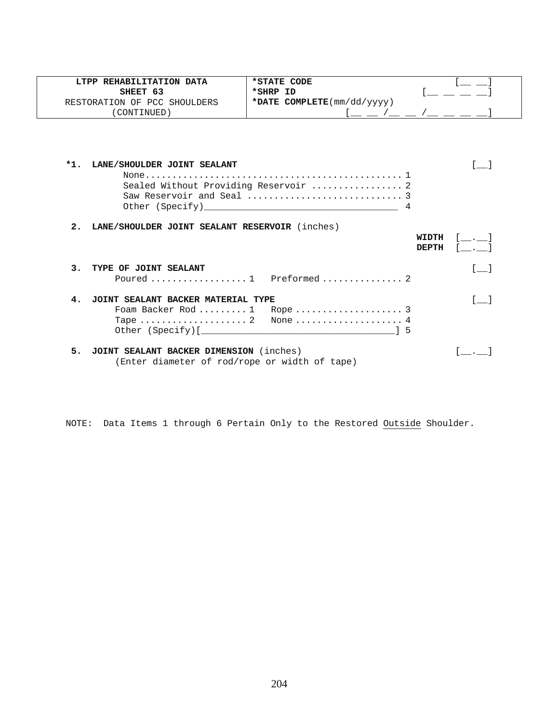|        | LTPP REHABILITATION DATA                                                                 | *STATE CODE                           |                                       |
|--------|------------------------------------------------------------------------------------------|---------------------------------------|---------------------------------------|
|        | SHEET 63                                                                                 | *SHRP ID                              |                                       |
|        | RESTORATION OF PCC SHOULDERS                                                             | *DATE COMPLETE(mm/dd/yyyy)            |                                       |
|        | (CONTINUED)                                                                              | $1 - 2 - 1 - 1 - 1 = 1$               |                                       |
| $*1$ . | LANE/SHOULDER JOINT SEALANT                                                              | Sealed Without Providing Reservoir  2 |                                       |
| 2.     | LANE/SHOULDER JOINT SEALANT RESERVOIR (inches)                                           |                                       | WIDTH<br><b>DEPTH</b>                 |
|        | 3. TYPE OF JOINT SEALANT                                                                 |                                       | $\begin{bmatrix} 1 & 1 \end{bmatrix}$ |
| 4.     | JOINT SEALANT BACKER MATERIAL TYPE                                                       |                                       |                                       |
| 5.     | JOINT SEALANT BACKER DIMENSION (inches)<br>(Enter diameter of rod/rope or width of tape) |                                       |                                       |

NOTE: Data Items 1 through 6 Pertain Only to the Restored Outside Shoulder.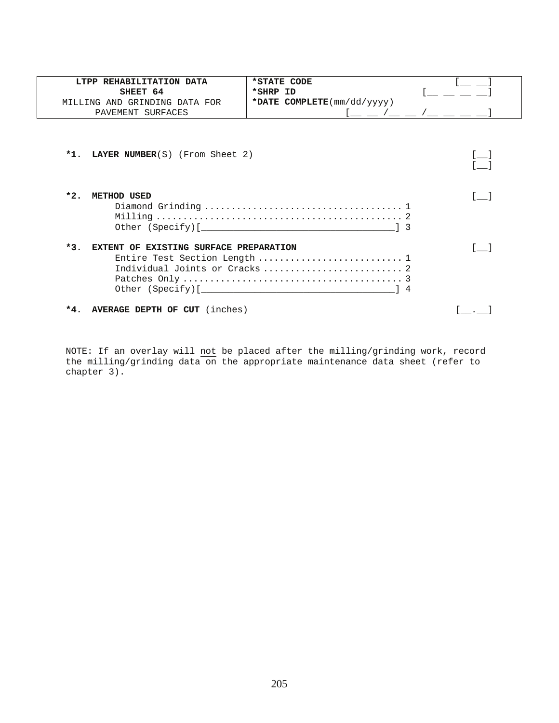| LTPP REHABILITATION DATA                        | *STATE CODE                                       |  |
|-------------------------------------------------|---------------------------------------------------|--|
| SHEET 64                                        | *SHRP ID                                          |  |
| MILLING AND GRINDING DATA FOR                   | *DATE COMPLETE $(\text{mm}/\text{dd}/\text{yyy})$ |  |
| PAVEMENT SURFACES                               | $\sqrt{2}$                                        |  |
| <b>LAYER NUMBER</b> (S) (From Sheet 2)<br>$*1.$ |                                                   |  |
| $*2.$<br>METHOD USED                            |                                                   |  |
| $*3.$<br>EXTENT OF EXISTING SURFACE PREPARATION | Entire Test Section Length  1                     |  |
| <b>AVERAGE DEPTH OF CUT</b> (inches)<br>$*4.$   |                                                   |  |

NOTE: If an overlay will not be placed after the milling/grinding work, record the milling/grinding data on the appropriate maintenance data sheet (refer to chapter 3).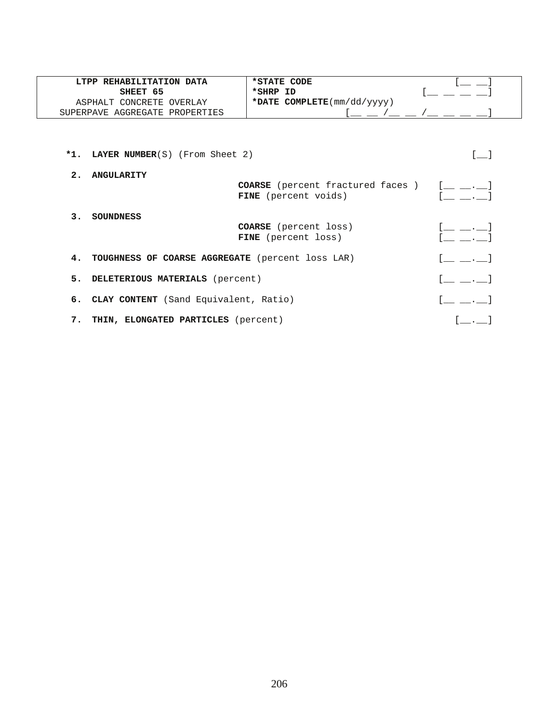| LTPP REHABILITATION DATA       | *STATE CODE                                       |  |
|--------------------------------|---------------------------------------------------|--|
| SHEET 65                       | *SHRP ID                                          |  |
| ASPHALT CONCRETE OVERLAY       | *DATE COMPLETE $(\text{mm}/\text{dd}/\text{yyy})$ |  |
| SUPERPAVE AGGREGATE PROPERTIES |                                                   |  |

\*1. LAYER NUMBER(S) (From Sheet 2) [\_\_] **2. ANGULARITY<br>COARSE** (percent fractured faces )  $[$  \_\_ .\_\_ ]<br>**FINE** (percent voids)  $[$  \_\_ .\_\_ ] COARSE (percent fractured faces ) FINE (percent voids)  **3. SOUNDNESS COARSE** (percent loss)  $[\underline{\hspace{1cm}} \underline{\hspace{1cm}} \underline{\hspace{1cm}} \underline{\hspace{1cm}} \underline{\hspace{1cm}} \underline{\hspace{1cm}} \underline{\hspace{1cm}} \underline{\hspace{1cm}} \underline{\hspace{1cm}} \underline{\hspace{1cm}} \underline{\hspace{1cm}} \underline{\hspace{1cm}} \underline{\hspace{1cm}} \underline{\hspace{1cm}} \underline{\hspace{1cm}} \underline{\hspace{1cm}} \underline{\hspace{1cm}} \underline{\hspace{1cm}} \underline{\hspace{1cm}} \underline{\hspace{1cm}} \underline{\hspace{1cm}} \underline{\hspace{1$ FINE (percent loss) **4. TOUGHNESS OF COARSE AGGREGATE** (percent loss LAR) [\_\_ \_\_.\_] **5. DELETERIOUS MATERIALS** (percent)  $[\underline{\hspace{1cm}} \underline{\hspace{1cm}} \underline{\hspace{1cm}} \underline{\hspace{1cm}} \underline{\hspace{1cm}} \underline{\hspace{1cm}} \underline{\hspace{1cm}} \underline{\hspace{1cm}} \underline{\hspace{1cm}} \underline{\hspace{1cm}} \underline{\hspace{1cm}} \underline{\hspace{1cm}} \underline{\hspace{1cm}} \underline{\hspace{1cm}} \underline{\hspace{1cm}} \underline{\hspace{1cm}} \underline{\hspace{1cm}} \underline{\hspace{1cm}} \underline{\hspace{1cm}} \underline{\hspace{1cm}} \underline{\hs$ **6. CLAY CONTENT** (Sand Equivalent, Ratio)  $[\underline{\hspace{1cm}} \underline{\hspace{1cm}} \underline{\hspace{1cm}} \underline{\hspace{1cm}} \underline{\hspace{1cm}} \underline{\hspace{1cm}} \underline{\hspace{1cm}} \underline{\hspace{1cm}} \underline{\hspace{1cm}} \underline{\hspace{1cm}} \underline{\hspace{1cm}} \underline{\hspace{1cm}} \underline{\hspace{1cm}} \underline{\hspace{1cm}} \underline{\hspace{1cm}} \underline{\hspace{1cm}} \underline{\hspace{1cm}} \underline{\hspace{1cm}} \underline{\hspace{1cm}} \underline{\hspace{$ 7. **THIN, ELONGATED PARTICLES** (percent)  $[\_\_\_\_\_\]$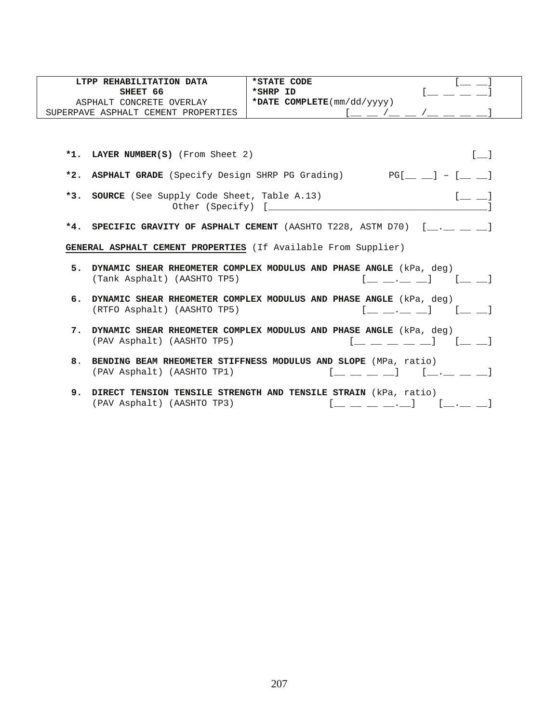| LTPP REHABILITATION DATA            | *STATE CODE                                       |  |
|-------------------------------------|---------------------------------------------------|--|
| SHEET 66                            | *SHRP ID                                          |  |
| ASPHALT CONCRETE OVERLAY            | *DATE COMPLETE $(\text{mm}/\text{dd}/\text{yyy})$ |  |
| SUPERPAVE ASPHALT CEMENT PROPERTIES |                                                   |  |

|    | *1. LAYER NUMBER(S) (From Sheet 2)                                                                                                                                                   |
|----|--------------------------------------------------------------------------------------------------------------------------------------------------------------------------------------|
|    | *2. ASPHALT GRADE (Specify Design SHRP PG Grading) $PG[\underline{\hspace{1cm}}\underline{\hspace{1cm}}] = [\underline{\hspace{1cm}}\underline{\hspace{1cm}}]$                       |
|    | *3. SOURCE (See Supply Code Sheet, Table A.13)<br>$[$ $\_\_$ $\_\_$                                                                                                                  |
|    | *4. SPECIFIC GRAVITY OF ASPHALT CEMENT (AASHTO T228, ASTM D70) [ . ]                                                                                                                 |
|    | GENERAL ASPHALT CEMENT PROPERTIES (If Available From Supplier)                                                                                                                       |
|    | 5. DYNAMIC SHEAR RHEOMETER COMPLEX MODULUS AND PHASE ANGLE (kPa, deg)<br>(Tank Asphalt) (AASHTO TP5)<br>$\begin{bmatrix} 1 & 1 & 1 \end{bmatrix}$<br>the contract of the contract of |
|    | 6. DYNAMIC SHEAR RHEOMETER COMPLEX MODULUS AND PHASE ANGLE (kPa, deg)<br>(RTFO Asphalt) (AASHTO TP5)<br>$[$ $[$ $[$ $]$ $[$ $[$ $]$                                                  |
|    | 7. DYNAMIC SHEAR RHEOMETER COMPLEX MODULUS AND PHASE ANGLE (kPa, deg)<br>(PAV Asphalt) (AASHTO TP5)                                                                                  |
|    | 8. BENDING BEAM RHEOMETER STIFFNESS MODULUS AND SLOPE (MPa, ratio)<br>(PAV Asphalt) (AASHTO TP1)<br>$[$ _ $\cdot$ _ _ _ _ _ _ $]$<br>the contract of the contract of                 |
| 9. | DIRECT TENSION TENSILE STRENGTH AND TENSILE STRAIN (kPa, ratio)<br>(PAV Asphalt) (AASHTO TP3)<br>$\begin{bmatrix} 1 & 1 & 1 \end{bmatrix}$<br>the contract of the contract of the    |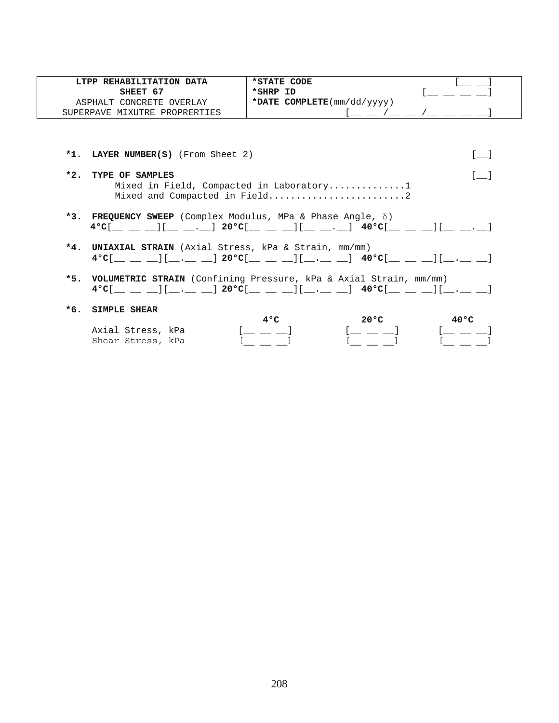| LTPP REHABILITATION DATA      | *STATE CODE                                       |  |
|-------------------------------|---------------------------------------------------|--|
| SHEET 67                      | *SHRP ID                                          |  |
| ASPHALT CONCRETE OVERLAY      | *DATE COMPLETE $(\text{mm}/\text{dd}/\text{yyy})$ |  |
| SUPERPAVE MIXUTRE PROPRERTIES |                                                   |  |

**\*1. LAYER NUMBER(S)** (From Sheet 2) [\_\_]

- **\*2. TYPE OF SAMPLES** [\_\_] Mixed in Field, Compacted in Laboratory..............1 Mixed and Compacted in Field..............................2
- **\*3. FREQUENCY SWEEP** (Complex Modulus, MPa & Phase Angle, δ) **4°C**[\_\_ \_\_ \_\_][\_\_ \_\_.\_\_] **20°C**[\_\_ \_\_ \_\_][\_\_ \_\_.\_\_] **40°C**[\_\_ \_\_ \_\_][\_\_ \_\_.\_\_]
- **\*4. UNIAXIAL STRAIN** (Axial Stress, kPa & Strain, mm/mm) **4°C**[\_\_ \_\_ \_\_][\_\_.\_\_ \_\_] **20°C**[\_\_ \_\_ \_\_][\_\_.\_\_ \_\_] **40°C**[\_\_ \_\_ \_\_][\_\_.\_\_ \_\_]
- **\*5. VOLUMETRIC STRAIN** (Confining Pressure, kPa & Axial Strain, mm/mm) **4°C**[\_\_ \_\_ \_\_][\_\_.\_\_ \_\_] **20°C**[\_\_ \_\_ \_\_][\_\_.\_\_ \_\_] **40°C**[\_\_ \_\_ \_\_][\_\_.\_\_ \_\_]

#### **\*6. SIMPLE SHEAR**

| Axial Stress, kPa |  |  |
|-------------------|--|--|
| Shear Stress, kPa |  |  |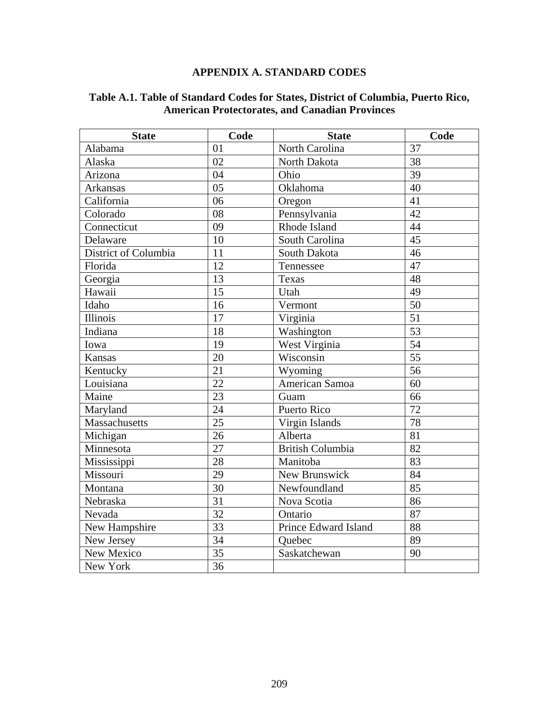## **APPENDIX A. STANDARD CODES**

| <b>State</b>         | Code            | <b>State</b>            | Code            |
|----------------------|-----------------|-------------------------|-----------------|
| Alabama              | 01              | North Carolina          | 37              |
| Alaska               | 02              | North Dakota            | 38              |
| Arizona              | 04              | Ohio                    | 39              |
| Arkansas             | 05              | Oklahoma                | 40              |
| California           | 06              | Oregon                  | 41              |
| Colorado             | 08              | Pennsylvania            | 42              |
| Connecticut          | 09              | Rhode Island            | 44              |
| Delaware             | 10              | South Carolina          | 45              |
| District of Columbia | 11              | South Dakota            | 46              |
| Florida              | 12              | Tennessee               | 47              |
| Georgia              | 13              | <b>Texas</b>            | 48              |
| Hawaii               | 15              | Utah                    | 49              |
| Idaho                | 16              | Vermont                 | 50              |
| Illinois             | 17              | Virginia                | $\overline{51}$ |
| Indiana              | 18              | Washington              | 53              |
| Iowa                 | 19              | West Virginia           | 54              |
| <b>Kansas</b>        | 20              | Wisconsin               | $\overline{55}$ |
| Kentucky             | 21              | Wyoming                 | 56              |
| Louisiana            | 22              | American Samoa          | 60              |
| Maine                | 23              | Guam                    | 66              |
| Maryland             | 24              | Puerto Rico             | 72              |
| Massachusetts        | $\overline{25}$ | Virgin Islands          | 78              |
| Michigan             | 26              | Alberta                 | 81              |
| Minnesota            | 27              | <b>British Columbia</b> | $\overline{82}$ |
| Mississippi          | 28              | Manitoba                | 83              |
| Missouri             | 29              | New Brunswick           | 84              |
| Montana              | 30              | Newfoundland            | 85              |
| Nebraska             | 31              | Nova Scotia             | 86              |
| Nevada               | $\overline{32}$ | Ontario                 | 87              |
| New Hampshire        | 33              | Prince Edward Island    | 88              |
| New Jersey           | 34              | Quebec                  | 89              |
| New Mexico           | 35              | Saskatchewan            | 90              |
| New York             | 36              |                         |                 |

### **Table A.1. Table of Standard Codes for States, District of Columbia, Puerto Rico, American Protectorates, and Canadian Provinces**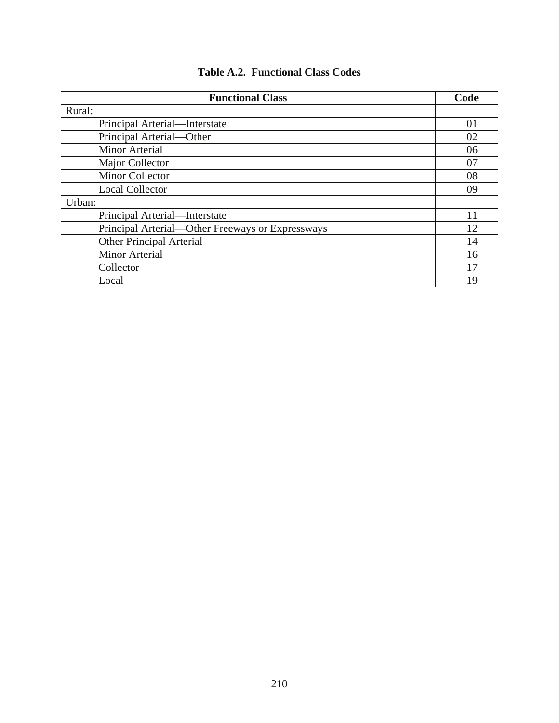| <b>Functional Class</b>                          | Code |
|--------------------------------------------------|------|
| Rural:                                           |      |
| Principal Arterial—Interstate                    | 01   |
| Principal Arterial-Other                         | 02   |
| <b>Minor Arterial</b>                            | 06   |
| Major Collector                                  | 07   |
| <b>Minor Collector</b>                           | 08   |
| <b>Local Collector</b>                           | 09   |
| Urban:                                           |      |
| Principal Arterial—Interstate                    | 11   |
| Principal Arterial—Other Freeways or Expressways | 12   |
| <b>Other Principal Arterial</b>                  | 14   |
| <b>Minor Arterial</b>                            | 16   |
| Collector                                        | 17   |
| Local                                            | 19   |

## **Table A.2. Functional Class Codes**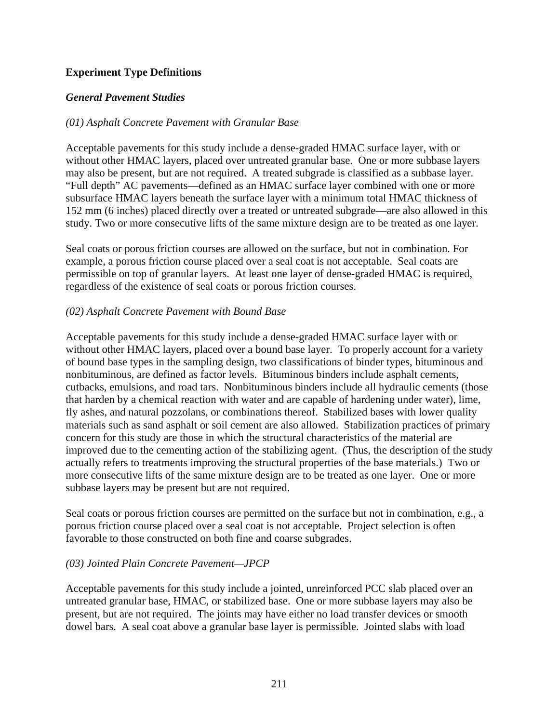### **Experiment Type Definitions**

#### *General Pavement Studies*

#### *(01) Asphalt Concrete Pavement with Granular Base*

Acceptable pavements for this study include a dense-graded HMAC surface layer, with or without other HMAC layers, placed over untreated granular base. One or more subbase layers may also be present, but are not required. A treated subgrade is classified as a subbase layer. "Full depth" AC pavements—defined as an HMAC surface layer combined with one or more subsurface HMAC layers beneath the surface layer with a minimum total HMAC thickness of 152 mm (6 inches) placed directly over a treated or untreated subgrade—are also allowed in this study. Two or more consecutive lifts of the same mixture design are to be treated as one layer.

Seal coats or porous friction courses are allowed on the surface, but not in combination. For example, a porous friction course placed over a seal coat is not acceptable. Seal coats are permissible on top of granular layers. At least one layer of dense-graded HMAC is required, regardless of the existence of seal coats or porous friction courses.

#### *(02) Asphalt Concrete Pavement with Bound Base*

Acceptable pavements for this study include a dense-graded HMAC surface layer with or without other HMAC layers, placed over a bound base layer. To properly account for a variety of bound base types in the sampling design, two classifications of binder types, bituminous and nonbituminous, are defined as factor levels. Bituminous binders include asphalt cements, cutbacks, emulsions, and road tars. Nonbituminous binders include all hydraulic cements (those that harden by a chemical reaction with water and are capable of hardening under water), lime, fly ashes, and natural pozzolans, or combinations thereof. Stabilized bases with lower quality materials such as sand asphalt or soil cement are also allowed. Stabilization practices of primary concern for this study are those in which the structural characteristics of the material are improved due to the cementing action of the stabilizing agent. (Thus, the description of the study actually refers to treatments improving the structural properties of the base materials.) Two or more consecutive lifts of the same mixture design are to be treated as one layer. One or more subbase layers may be present but are not required.

Seal coats or porous friction courses are permitted on the surface but not in combination, e.g., a porous friction course placed over a seal coat is not acceptable. Project selection is often favorable to those constructed on both fine and coarse subgrades.

#### *(03) Jointed Plain Concrete Pavement—JPCP*

Acceptable pavements for this study include a jointed, unreinforced PCC slab placed over an untreated granular base, HMAC, or stabilized base. One or more subbase layers may also be present, but are not required. The joints may have either no load transfer devices or smooth dowel bars. A seal coat above a granular base layer is permissible. Jointed slabs with load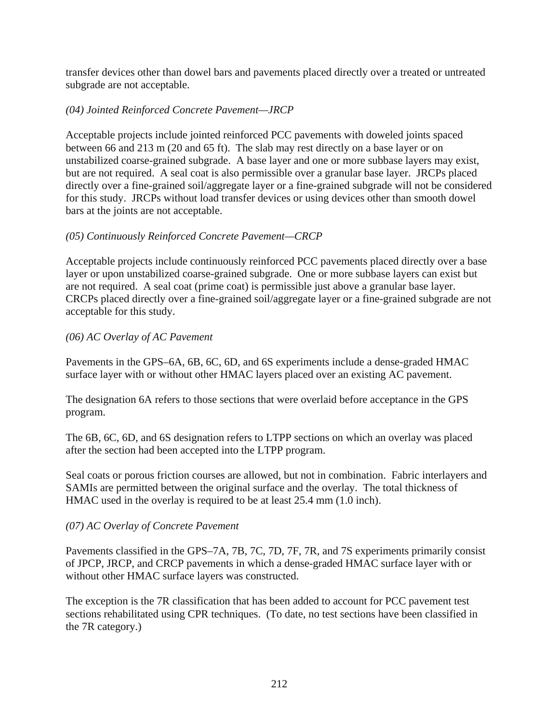transfer devices other than dowel bars and pavements placed directly over a treated or untreated subgrade are not acceptable.

## *(04) Jointed Reinforced Concrete Pavement—JRCP*

Acceptable projects include jointed reinforced PCC pavements with doweled joints spaced between 66 and 213 m (20 and 65 ft). The slab may rest directly on a base layer or on unstabilized coarse-grained subgrade. A base layer and one or more subbase layers may exist, but are not required. A seal coat is also permissible over a granular base layer. JRCPs placed directly over a fine-grained soil/aggregate layer or a fine-grained subgrade will not be considered for this study. JRCPs without load transfer devices or using devices other than smooth dowel bars at the joints are not acceptable.

## *(05) Continuously Reinforced Concrete Pavement—CRCP*

Acceptable projects include continuously reinforced PCC pavements placed directly over a base layer or upon unstabilized coarse-grained subgrade. One or more subbase layers can exist but are not required. A seal coat (prime coat) is permissible just above a granular base layer. CRCPs placed directly over a fine-grained soil/aggregate layer or a fine-grained subgrade are not acceptable for this study.

### *(06) AC Overlay of AC Pavement*

Pavements in the GPS–6A, 6B, 6C, 6D, and 6S experiments include a dense-graded HMAC surface layer with or without other HMAC layers placed over an existing AC pavement.

The designation 6A refers to those sections that were overlaid before acceptance in the GPS program.

The 6B, 6C, 6D, and 6S designation refers to LTPP sections on which an overlay was placed after the section had been accepted into the LTPP program.

Seal coats or porous friction courses are allowed, but not in combination. Fabric interlayers and SAMIs are permitted between the original surface and the overlay. The total thickness of HMAC used in the overlay is required to be at least 25.4 mm (1.0 inch).

### *(07) AC Overlay of Concrete Pavement*

Pavements classified in the GPS–7A, 7B, 7C, 7D, 7F, 7R, and 7S experiments primarily consist of JPCP, JRCP, and CRCP pavements in which a dense-graded HMAC surface layer with or without other HMAC surface layers was constructed.

The exception is the 7R classification that has been added to account for PCC pavement test sections rehabilitated using CPR techniques. (To date, no test sections have been classified in the 7R category.)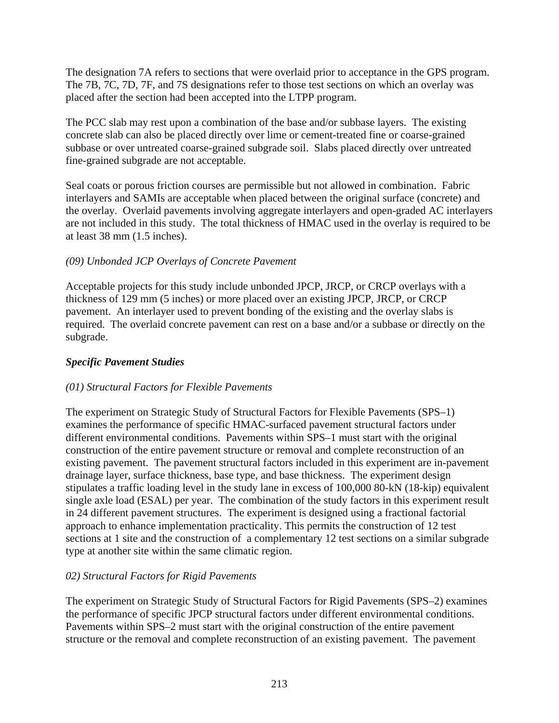The designation 7A refers to sections that were overlaid prior to acceptance in the GPS program. The 7B, 7C, 7D, 7F, and 7S designations refer to those test sections on which an overlay was placed after the section had been accepted into the LTPP program.

The PCC slab may rest upon a combination of the base and/or subbase layers. The existing concrete slab can also be placed directly over lime or cement-treated fine or coarse-grained subbase or over untreated coarse-grained subgrade soil. Slabs placed directly over untreated fine-grained subgrade are not acceptable.

Seal coats or porous friction courses are permissible but not allowed in combination. Fabric interlayers and SAMIs are acceptable when placed between the original surface (concrete) and the overlay. Overlaid pavements involving aggregate interlayers and open-graded AC interlayers are not included in this study. The total thickness of HMAC used in the overlay is required to be at least 38 mm (1.5 inches).

## *(09) Unbonded JCP Overlays of Concrete Pavement*

Acceptable projects for this study include unbonded JPCP, JRCP, or CRCP overlays with a thickness of 129 mm (5 inches) or more placed over an existing JPCP, JRCP, or CRCP pavement. An interlayer used to prevent bonding of the existing and the overlay slabs is required. The overlaid concrete pavement can rest on a base and/or a subbase or directly on the subgrade.

## *Specific Pavement Studies*

### *(01) Structural Factors for Flexible Pavements*

The experiment on Strategic Study of Structural Factors for Flexible Pavements (SPS–1) examines the performance of specific HMAC-surfaced pavement structural factors under different environmental conditions. Pavements within SPS–1 must start with the original construction of the entire pavement structure or removal and complete reconstruction of an existing pavement. The pavement structural factors included in this experiment are in-pavement drainage layer, surface thickness, base type, and base thickness. The experiment design stipulates a traffic loading level in the study lane in excess of 100,000 80-kN (18-kip) equivalent single axle load (ESAL) per year. The combination of the study factors in this experiment result in 24 different pavement structures. The experiment is designed using a fractional factorial approach to enhance implementation practicality. This permits the construction of 12 test sections at 1 site and the construction of a complementary 12 test sections on a similar subgrade type at another site within the same climatic region.

### *02) Structural Factors for Rigid Pavements*

The experiment on Strategic Study of Structural Factors for Rigid Pavements (SPS–2) examines the performance of specific JPCP structural factors under different environmental conditions. Pavements within SPS–2 must start with the original construction of the entire pavement structure or the removal and complete reconstruction of an existing pavement. The pavement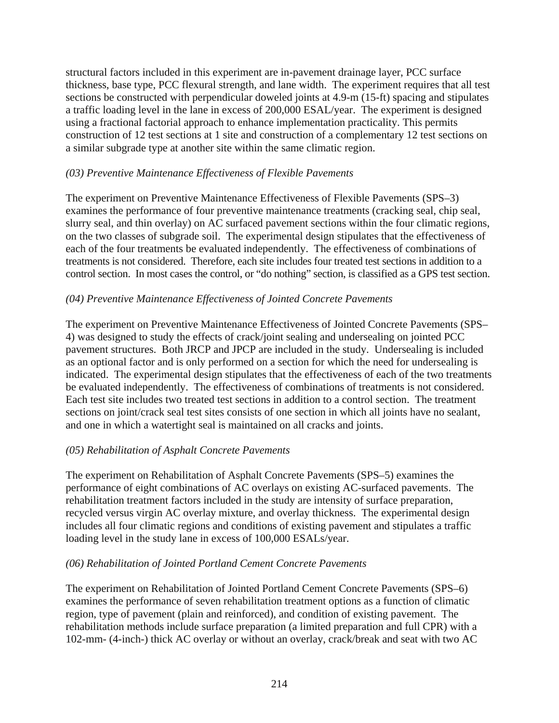structural factors included in this experiment are in-pavement drainage layer, PCC surface thickness, base type, PCC flexural strength, and lane width. The experiment requires that all test sections be constructed with perpendicular doweled joints at 4.9-m (15-ft) spacing and stipulates a traffic loading level in the lane in excess of 200,000 ESAL/year. The experiment is designed using a fractional factorial approach to enhance implementation practicality. This permits construction of 12 test sections at 1 site and construction of a complementary 12 test sections on a similar subgrade type at another site within the same climatic region.

### *(03) Preventive Maintenance Effectiveness of Flexible Pavements*

The experiment on Preventive Maintenance Effectiveness of Flexible Pavements (SPS–3) examines the performance of four preventive maintenance treatments (cracking seal, chip seal, slurry seal, and thin overlay) on AC surfaced pavement sections within the four climatic regions, on the two classes of subgrade soil. The experimental design stipulates that the effectiveness of each of the four treatments be evaluated independently. The effectiveness of combinations of treatments is not considered. Therefore, each site includes four treated test sections in addition to a control section. In most cases the control, or "do nothing" section, is classified as a GPS test section.

#### *(04) Preventive Maintenance Effectiveness of Jointed Concrete Pavements*

The experiment on Preventive Maintenance Effectiveness of Jointed Concrete Pavements (SPS– 4) was designed to study the effects of crack/joint sealing and undersealing on jointed PCC pavement structures. Both JRCP and JPCP are included in the study. Undersealing is included as an optional factor and is only performed on a section for which the need for undersealing is indicated. The experimental design stipulates that the effectiveness of each of the two treatments be evaluated independently. The effectiveness of combinations of treatments is not considered. Each test site includes two treated test sections in addition to a control section. The treatment sections on joint/crack seal test sites consists of one section in which all joints have no sealant, and one in which a watertight seal is maintained on all cracks and joints.

### *(05) Rehabilitation of Asphalt Concrete Pavements*

The experiment on Rehabilitation of Asphalt Concrete Pavements (SPS–5) examines the performance of eight combinations of AC overlays on existing AC-surfaced pavements. The rehabilitation treatment factors included in the study are intensity of surface preparation, recycled versus virgin AC overlay mixture, and overlay thickness. The experimental design includes all four climatic regions and conditions of existing pavement and stipulates a traffic loading level in the study lane in excess of 100,000 ESALs/year.

#### *(06) Rehabilitation of Jointed Portland Cement Concrete Pavements*

The experiment on Rehabilitation of Jointed Portland Cement Concrete Pavements (SPS–6) examines the performance of seven rehabilitation treatment options as a function of climatic region, type of pavement (plain and reinforced), and condition of existing pavement. The rehabilitation methods include surface preparation (a limited preparation and full CPR) with a 102-mm- (4-inch-) thick AC overlay or without an overlay, crack/break and seat with two AC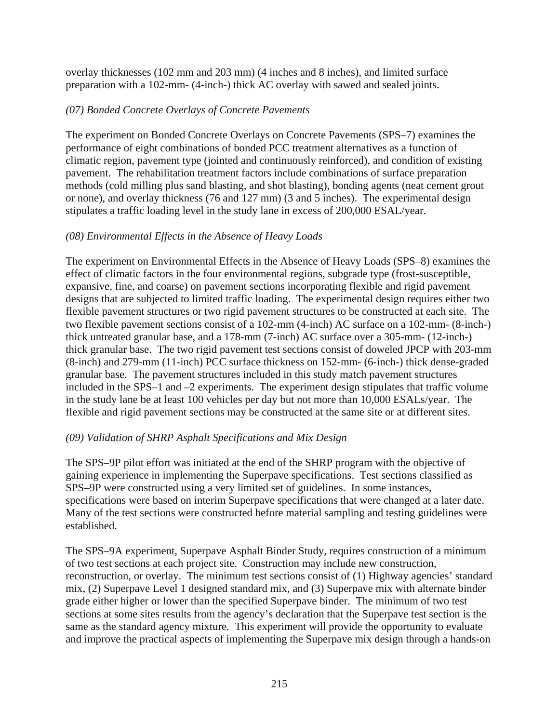overlay thicknesses (102 mm and 203 mm) (4 inches and 8 inches), and limited surface preparation with a 102-mm- (4-inch-) thick AC overlay with sawed and sealed joints.

## *(07) Bonded Concrete Overlays of Concrete Pavements*

The experiment on Bonded Concrete Overlays on Concrete Pavements (SPS–7) examines the performance of eight combinations of bonded PCC treatment alternatives as a function of climatic region, pavement type (jointed and continuously reinforced), and condition of existing pavement. The rehabilitation treatment factors include combinations of surface preparation methods (cold milling plus sand blasting, and shot blasting), bonding agents (neat cement grout or none), and overlay thickness (76 and 127 mm) (3 and 5 inches). The experimental design stipulates a traffic loading level in the study lane in excess of 200,000 ESAL/year.

## *(08) Environmental Effects in the Absence of Heavy Loads*

The experiment on Environmental Effects in the Absence of Heavy Loads (SPS–8) examines the effect of climatic factors in the four environmental regions, subgrade type (frost-susceptible, expansive, fine, and coarse) on pavement sections incorporating flexible and rigid pavement designs that are subjected to limited traffic loading. The experimental design requires either two flexible pavement structures or two rigid pavement structures to be constructed at each site. The two flexible pavement sections consist of a 102-mm (4-inch) AC surface on a 102-mm- (8-inch-) thick untreated granular base, and a 178-mm (7-inch) AC surface over a 305-mm- (12-inch-) thick granular base. The two rigid pavement test sections consist of doweled JPCP with 203-mm (8-inch) and 279-mm (11-inch) PCC surface thickness on 152-mm- (6-inch-) thick dense-graded granular base. The pavement structures included in this study match pavement structures included in the SPS–1 and –2 experiments. The experiment design stipulates that traffic volume in the study lane be at least 100 vehicles per day but not more than 10,000 ESALs/year. The flexible and rigid pavement sections may be constructed at the same site or at different sites.

### *(09) Validation of SHRP Asphalt Specifications and Mix Design*

The SPS–9P pilot effort was initiated at the end of the SHRP program with the objective of gaining experience in implementing the Superpave specifications. Test sections classified as SPS–9P were constructed using a very limited set of guidelines. In some instances, specifications were based on interim Superpave specifications that were changed at a later date. Many of the test sections were constructed before material sampling and testing guidelines were established.

The SPS–9A experiment, Superpave Asphalt Binder Study, requires construction of a minimum of two test sections at each project site. Construction may include new construction, reconstruction, or overlay. The minimum test sections consist of (1) Highway agencies' standard mix, (2) Superpave Level 1 designed standard mix, and (3) Superpave mix with alternate binder grade either higher or lower than the specified Superpave binder. The minimum of two test sections at some sites results from the agency's declaration that the Superpave test section is the same as the standard agency mixture. This experiment will provide the opportunity to evaluate and improve the practical aspects of implementing the Superpave mix design through a hands-on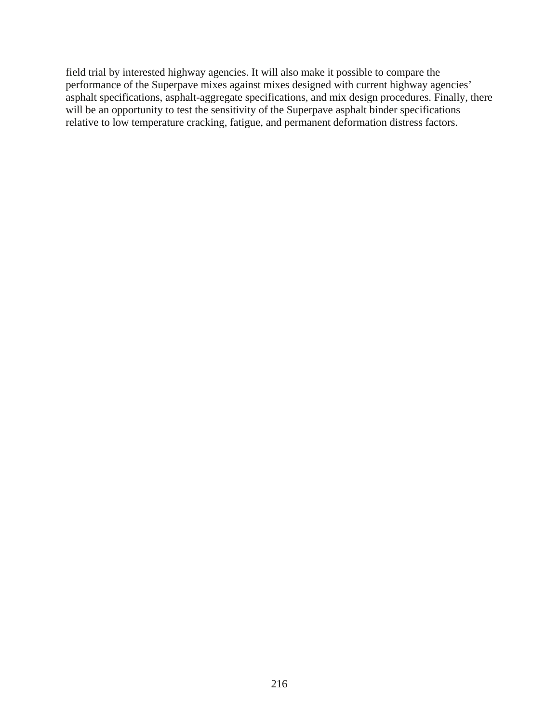field trial by interested highway agencies. It will also make it possible to compare the performance of the Superpave mixes against mixes designed with current highway agencies' asphalt specifications, asphalt-aggregate specifications, and mix design procedures. Finally, there will be an opportunity to test the sensitivity of the Superpave asphalt binder specifications relative to low temperature cracking, fatigue, and permanent deformation distress factors.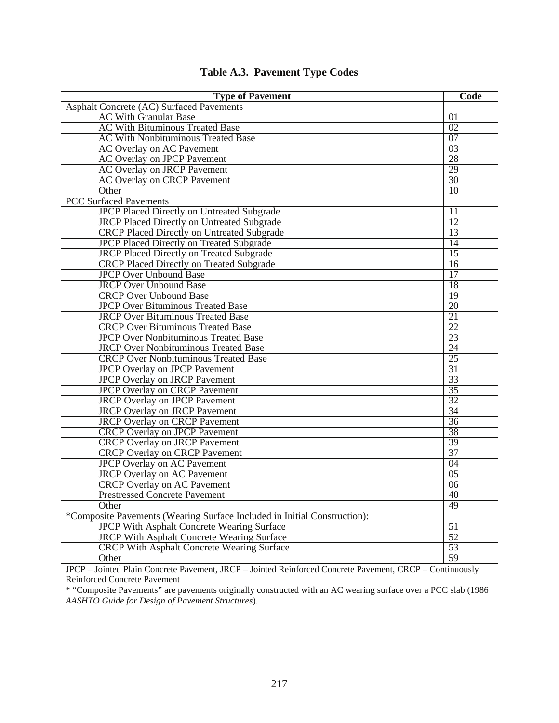| <b>Type of Pavement</b>                                                  | Code            |
|--------------------------------------------------------------------------|-----------------|
| <b>Asphalt Concrete (AC) Surfaced Pavements</b>                          |                 |
| <b>AC With Granular Base</b>                                             | $\overline{01}$ |
| <b>AC With Bituminous Treated Base</b>                                   | 02              |
| <b>AC With Nonbituminous Treated Base</b>                                | 07              |
| <b>AC Overlay on AC Pavement</b>                                         | 03              |
| <b>AC Overlay on JPCP Pavement</b>                                       | 28              |
| <b>AC Overlay on JRCP Pavement</b>                                       | 29              |
| <b>AC Overlay on CRCP Pavement</b>                                       | 30              |
| Other                                                                    | 10              |
| <b>PCC Surfaced Pavements</b>                                            |                 |
| <b>JPCP Placed Directly on Untreated Subgrade</b>                        | 11              |
| <b>JRCP Placed Directly on Untreated Subgrade</b>                        | 12              |
| <b>CRCP Placed Directly on Untreated Subgrade</b>                        | 13              |
| <b>JPCP Placed Directly on Treated Subgrade</b>                          | $\overline{14}$ |
| <b>JRCP Placed Directly on Treated Subgrade</b>                          | $\overline{15}$ |
| <b>CRCP Placed Directly on Treated Subgrade</b>                          | 16              |
| <b>JPCP Over Unbound Base</b>                                            | 17              |
| <b>JRCP Over Unbound Base</b>                                            | 18              |
| <b>CRCP Over Unbound Base</b>                                            | 19              |
| <b>JPCP Over Bituminous Treated Base</b>                                 | 20              |
| <b>JRCP Over Bituminous Treated Base</b>                                 | 21              |
| <b>CRCP Over Bituminous Treated Base</b>                                 | 22              |
| <b>JPCP Over Nonbituminous Treated Base</b>                              | 23              |
| <b>JRCP Over Nonbituminous Treated Base</b>                              | $\overline{24}$ |
| <b>CRCP Over Nonbituminous Treated Base</b>                              | 25              |
| <b>JPCP Overlay on JPCP Pavement</b>                                     | 31              |
| <b>JPCP Overlay on JRCP Pavement</b>                                     | 33              |
| <b>JPCP Overlay on CRCP Pavement</b>                                     | 35              |
| <b>JRCP</b> Overlay on JPCP Pavement                                     | 32              |
| <b>JRCP Overlay on JRCP Pavement</b>                                     | 34              |
| <b>JRCP Overlay on CRCP Pavement</b>                                     | 36              |
| <b>CRCP Overlay on JPCP Pavement</b>                                     | 38              |
| <b>CRCP</b> Overlay on JRCP Pavement                                     | 39              |
| <b>CRCP Overlay on CRCP Pavement</b>                                     | 37              |
| <b>JPCP Overlay on AC Pavement</b>                                       | 04              |
| <b>JRCP</b> Overlay on AC Pavement                                       | 0 <sub>5</sub>  |
| <b>CRCP</b> Overlay on AC Pavement                                       | 06              |
| <b>Prestressed Concrete Pavement</b>                                     | 40              |
| Other                                                                    | 49              |
| *Composite Pavements (Wearing Surface Included in Initial Construction): |                 |
| <b>JPCP With Asphalt Concrete Wearing Surface</b>                        | 51              |
| <b>JRCP With Asphalt Concrete Wearing Surface</b>                        | 52              |
| <b>CRCP With Asphalt Concrete Wearing Surface</b>                        | 53              |
| Other                                                                    | 59              |

## **Table A.3. Pavement Type Codes**

JPCP – Jointed Plain Concrete Pavement, JRCP – Jointed Reinforced Concrete Pavement, CRCP – Continuously Reinforced Concrete Pavement

\* "Composite Pavements" are pavements originally constructed with an AC wearing surface over a PCC slab (1986 *AASHTO Guide for Design of Pavement Structures*).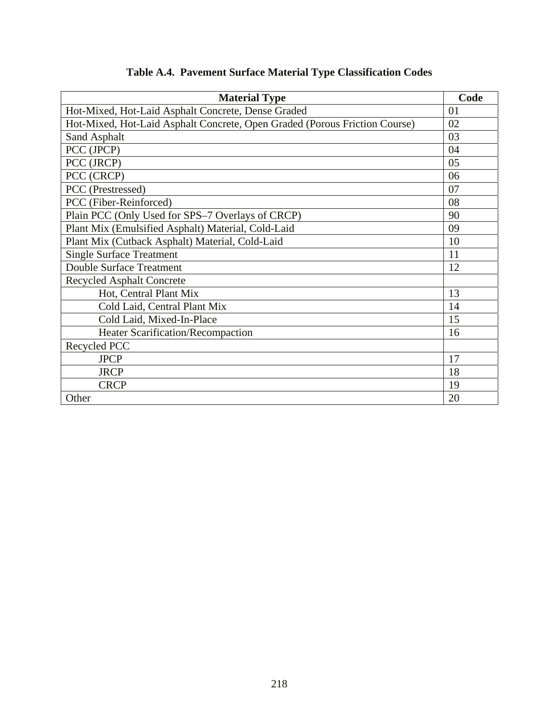| <b>Material Type</b>                                                       | Code |
|----------------------------------------------------------------------------|------|
| Hot-Mixed, Hot-Laid Asphalt Concrete, Dense Graded                         | 01   |
| Hot-Mixed, Hot-Laid Asphalt Concrete, Open Graded (Porous Friction Course) | 02   |
| Sand Asphalt                                                               | 03   |
| PCC (JPCP)                                                                 | 04   |
| PCC (JRCP)                                                                 | 05   |
| PCC (CRCP)                                                                 | 06   |
| PCC (Prestressed)                                                          | 07   |
| PCC (Fiber-Reinforced)                                                     | 08   |
| Plain PCC (Only Used for SPS-7 Overlays of CRCP)                           | 90   |
| Plant Mix (Emulsified Asphalt) Material, Cold-Laid                         | 09   |
| Plant Mix (Cutback Asphalt) Material, Cold-Laid                            | 10   |
| <b>Single Surface Treatment</b>                                            | 11   |
| <b>Double Surface Treatment</b>                                            | 12   |
| <b>Recycled Asphalt Concrete</b>                                           |      |
| Hot, Central Plant Mix                                                     | 13   |
| Cold Laid, Central Plant Mix                                               | 14   |
| Cold Laid, Mixed-In-Place                                                  | 15   |
| <b>Heater Scarification/Recompaction</b>                                   | 16   |
| Recycled PCC                                                               |      |
| <b>JPCP</b>                                                                | 17   |
| <b>JRCP</b>                                                                | 18   |
| <b>CRCP</b>                                                                | 19   |
| Other                                                                      | 20   |

# **Table A.4. Pavement Surface Material Type Classification Codes**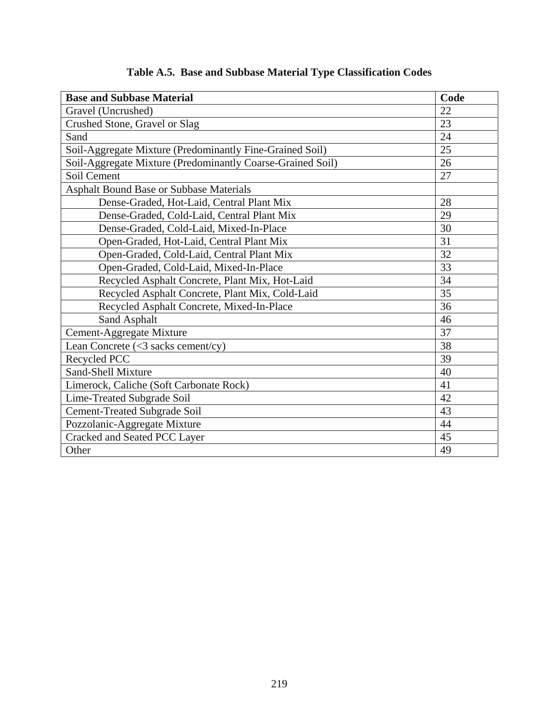| <b>Base and Subbase Material</b>                           | Code |
|------------------------------------------------------------|------|
| Gravel (Uncrushed)                                         | 22   |
| Crushed Stone, Gravel or Slag                              | 23   |
| Sand                                                       | 24   |
| Soil-Aggregate Mixture (Predominantly Fine-Grained Soil)   | 25   |
| Soil-Aggregate Mixture (Predominantly Coarse-Grained Soil) | 26   |
| Soil Cement                                                | 27   |
| <b>Asphalt Bound Base or Subbase Materials</b>             |      |
| Dense-Graded, Hot-Laid, Central Plant Mix                  | 28   |
| Dense-Graded, Cold-Laid, Central Plant Mix                 | 29   |
| Dense-Graded, Cold-Laid, Mixed-In-Place                    | 30   |
| Open-Graded, Hot-Laid, Central Plant Mix                   | 31   |
| Open-Graded, Cold-Laid, Central Plant Mix                  | 32   |
| Open-Graded, Cold-Laid, Mixed-In-Place                     | 33   |
| Recycled Asphalt Concrete, Plant Mix, Hot-Laid             | 34   |
| Recycled Asphalt Concrete, Plant Mix, Cold-Laid            | 35   |
| Recycled Asphalt Concrete, Mixed-In-Place                  | 36   |
| Sand Asphalt                                               | 46   |
| Cement-Aggregate Mixture                                   | 37   |
| Lean Concrete (<3 sacks cement/cy)                         | 38   |
| Recycled PCC                                               | 39   |
| <b>Sand-Shell Mixture</b>                                  | 40   |
| Limerock, Caliche (Soft Carbonate Rock)                    | 41   |
| Lime-Treated Subgrade Soil                                 | 42   |
| <b>Cement-Treated Subgrade Soil</b>                        | 43   |
| Pozzolanic-Aggregate Mixture                               | 44   |
| Cracked and Seated PCC Layer                               | 45   |
| Other                                                      | 49   |

# **Table A.5. Base and Subbase Material Type Classification Codes**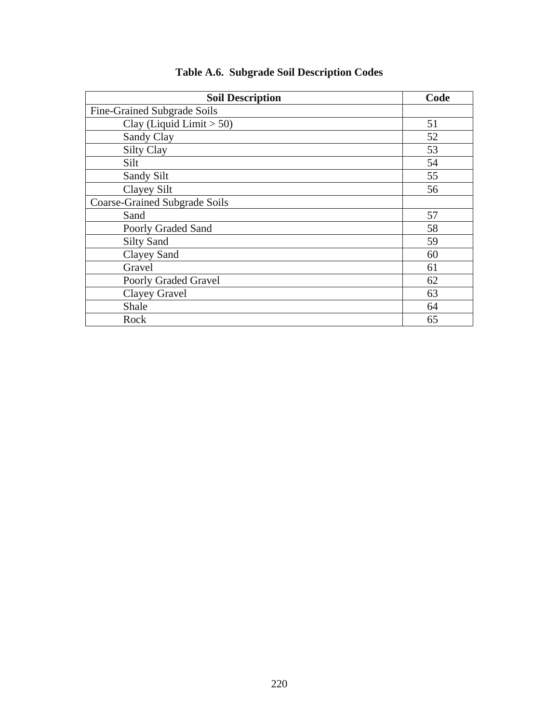| <b>Soil Description</b>              | Code |
|--------------------------------------|------|
| Fine-Grained Subgrade Soils          |      |
| Clay (Liquid Limit $> 50$ )          | 51   |
| Sandy Clay                           | 52   |
| <b>Silty Clay</b>                    | 53   |
| Silt                                 | 54   |
| Sandy Silt                           | 55   |
| Clayey Silt                          | 56   |
| <b>Coarse-Grained Subgrade Soils</b> |      |
| Sand                                 | 57   |
| Poorly Graded Sand                   | 58   |
| <b>Silty Sand</b>                    | 59   |
| <b>Clayey Sand</b>                   | 60   |
| Gravel                               | 61   |
| Poorly Graded Gravel                 | 62   |
| Clayey Gravel                        | 63   |
| Shale                                | 64   |
| Rock                                 | 65   |

## **Table A.6. Subgrade Soil Description Codes**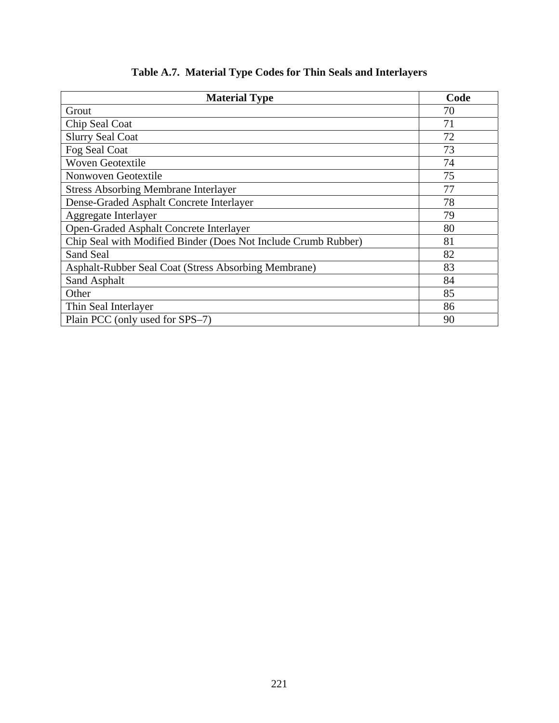| <b>Material Type</b>                                           | Code |
|----------------------------------------------------------------|------|
| Grout                                                          | 70   |
| Chip Seal Coat                                                 | 71   |
| <b>Slurry Seal Coat</b>                                        | 72   |
| Fog Seal Coat                                                  | 73   |
| <b>Woven Geotextile</b>                                        | 74   |
| Nonwoven Geotextile                                            | 75   |
| <b>Stress Absorbing Membrane Interlayer</b>                    | 77   |
| Dense-Graded Asphalt Concrete Interlayer                       | 78   |
| Aggregate Interlayer                                           | 79   |
| Open-Graded Asphalt Concrete Interlayer                        | 80   |
| Chip Seal with Modified Binder (Does Not Include Crumb Rubber) | 81   |
| Sand Seal                                                      | 82   |
| Asphalt-Rubber Seal Coat (Stress Absorbing Membrane)           | 83   |
| Sand Asphalt                                                   | 84   |
| Other                                                          | 85   |
| Thin Seal Interlayer                                           | 86   |
| Plain PCC (only used for SPS-7)                                | 90   |

# **Table A.7. Material Type Codes for Thin Seals and Interlayers**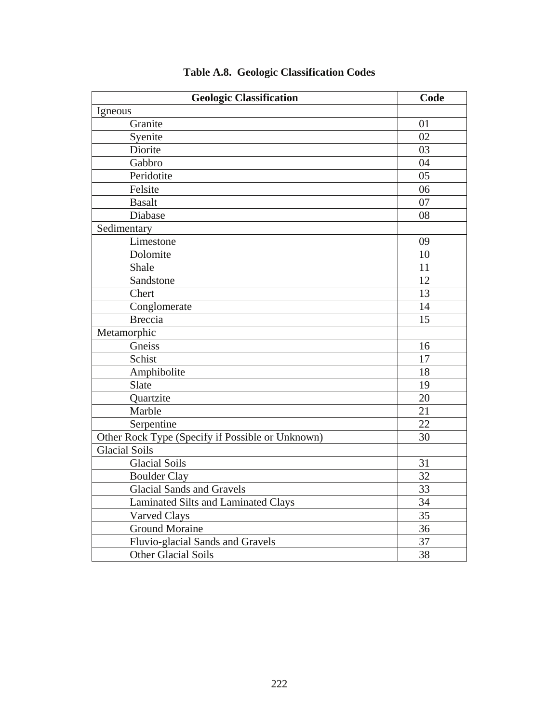| <b>Geologic Classification</b>                   | Code |
|--------------------------------------------------|------|
| Igneous                                          |      |
| Granite                                          | 01   |
| Syenite                                          | 02   |
| Diorite                                          | 03   |
| Gabbro                                           | 04   |
| Peridotite                                       | 05   |
| Felsite                                          | 06   |
| <b>Basalt</b>                                    | 07   |
| Diabase                                          | 08   |
| Sedimentary                                      |      |
| Limestone                                        | 09   |
| Dolomite                                         | 10   |
| Shale                                            | 11   |
| Sandstone                                        | 12   |
| Chert                                            | 13   |
| Conglomerate                                     | 14   |
| <b>Breccia</b>                                   | 15   |
| Metamorphic                                      |      |
| Gneiss                                           | 16   |
| Schist                                           | 17   |
| Amphibolite                                      | 18   |
| Slate                                            | 19   |
| Quartzite                                        | 20   |
| Marble                                           | 21   |
| Serpentine                                       | 22   |
| Other Rock Type (Specify if Possible or Unknown) | 30   |
| <b>Glacial Soils</b>                             |      |
| <b>Glacial Soils</b>                             | 31   |
| <b>Boulder Clay</b>                              | 32   |
| <b>Glacial Sands and Gravels</b>                 | 33   |
| <b>Laminated Silts and Laminated Clays</b>       | 34   |
| Varved Clays                                     | 35   |
| <b>Ground Moraine</b>                            | 36   |
| Fluvio-glacial Sands and Gravels                 | 37   |
| <b>Other Glacial Soils</b>                       | 38   |

# **Table A.8. Geologic Classification Codes**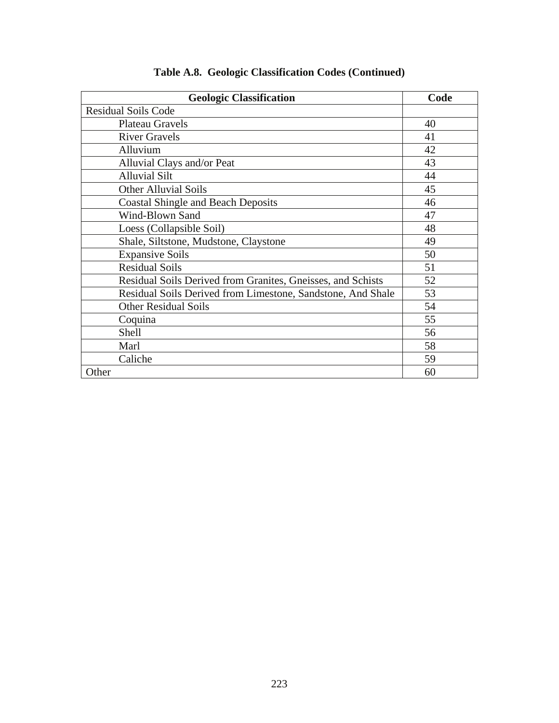| <b>Geologic Classification</b>                              | Code |
|-------------------------------------------------------------|------|
| <b>Residual Soils Code</b>                                  |      |
| <b>Plateau Gravels</b>                                      | 40   |
| <b>River Gravels</b>                                        | 41   |
| Alluvium                                                    | 42   |
| Alluvial Clays and/or Peat                                  | 43   |
| <b>Alluvial Silt</b>                                        | 44   |
| <b>Other Alluvial Soils</b>                                 | 45   |
| <b>Coastal Shingle and Beach Deposits</b>                   | 46   |
| Wind-Blown Sand                                             | 47   |
| Loess (Collapsible Soil)                                    | 48   |
| Shale, Siltstone, Mudstone, Claystone                       | 49   |
| <b>Expansive Soils</b>                                      | 50   |
| <b>Residual Soils</b>                                       | 51   |
| Residual Soils Derived from Granites, Gneisses, and Schists | 52   |
| Residual Soils Derived from Limestone, Sandstone, And Shale | 53   |
| <b>Other Residual Soils</b>                                 | 54   |
| Coquina                                                     | 55   |
| Shell                                                       | 56   |
| Marl                                                        | 58   |
| Caliche                                                     | 59   |
| Other                                                       | 60   |

## **Table A.8. Geologic Classification Codes (Continued)**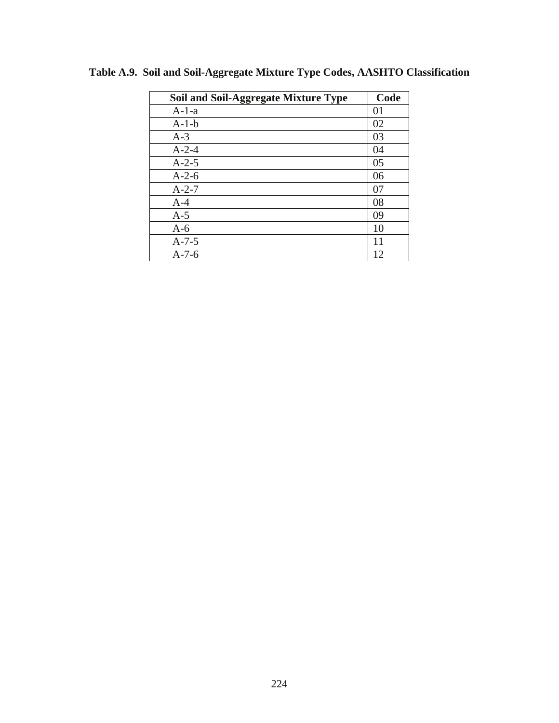| <b>Soil and Soil-Aggregate Mixture Type</b> | Code |
|---------------------------------------------|------|
| $A-1-a$                                     | 01   |
| $A-1-b$                                     | 02   |
| $A-3$                                       | 03   |
| $A-2-4$                                     | 04   |
| $A-2-5$                                     | 05   |
| $A-2-6$                                     | 06   |
| $A-2-7$                                     | 07   |
| $A-4$                                       | 08   |
| $A-5$                                       | 09   |
| $A-6$                                       | 10   |
| $A - 7 - 5$                                 | 11   |
| $A-7-6$                                     | 12   |

**Table A.9. Soil and Soil-Aggregate Mixture Type Codes, AASHTO Classification**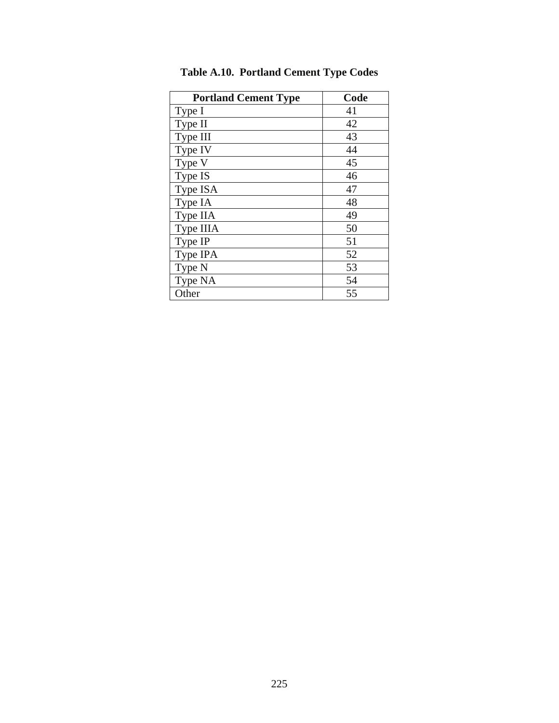| <b>Portland Cement Type</b> | Code |
|-----------------------------|------|
| Type I                      | 41   |
| Type II                     | 42   |
| Type III                    | 43   |
| Type IV                     | 44   |
| Type V                      | 45   |
| Type IS                     | 46   |
| Type ISA                    | 47   |
| Type IA                     | 48   |
| Type IIA                    | 49   |
| Type IIIA                   | 50   |
| Type IP                     | 51   |
| Type IPA                    | 52   |
| Type N                      | 53   |
| Type NA                     | 54   |
| Other                       | 55   |

**Table A.10. Portland Cement Type Codes**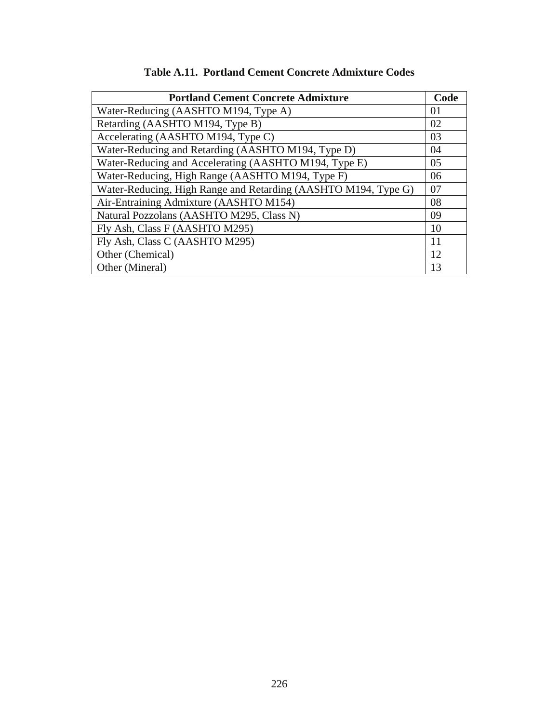| <b>Portland Cement Concrete Admixture</b>                      | Code |
|----------------------------------------------------------------|------|
| Water-Reducing (AASHTO M194, Type A)                           | 01   |
| Retarding (AASHTO M194, Type B)                                | 02   |
| Accelerating (AASHTO M194, Type C)                             | 03   |
| Water-Reducing and Retarding (AASHTO M194, Type D)             | 04   |
| Water-Reducing and Accelerating (AASHTO M194, Type E)          | 05   |
| Water-Reducing, High Range (AASHTO M194, Type F)               | 06   |
| Water-Reducing, High Range and Retarding (AASHTO M194, Type G) | 07   |
| Air-Entraining Admixture (AASHTO M154)                         | 08   |
| Natural Pozzolans (AASHTO M295, Class N)                       | 09   |
| Fly Ash, Class F (AASHTO M295)                                 | 10   |
| Fly Ash, Class C (AASHTO M295)                                 | 11   |
| Other (Chemical)                                               | 12   |
| Other (Mineral)                                                | 13   |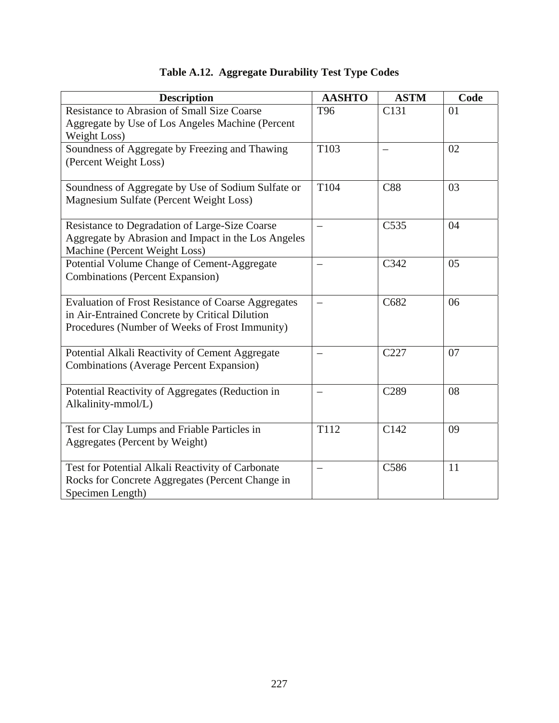| <b>Description</b>                                         | <b>AASHTO</b> | <b>ASTM</b>      | Code           |
|------------------------------------------------------------|---------------|------------------|----------------|
| <b>Resistance to Abrasion of Small Size Coarse</b>         | T96           | C <sub>131</sub> | 0 <sub>1</sub> |
| Aggregate by Use of Los Angeles Machine (Percent           |               |                  |                |
| Weight Loss)                                               |               |                  |                |
| Soundness of Aggregate by Freezing and Thawing             | T103          |                  | 02             |
| (Percent Weight Loss)                                      |               |                  |                |
| Soundness of Aggregate by Use of Sodium Sulfate or         | T104          | <b>C88</b>       | 03             |
| Magnesium Sulfate (Percent Weight Loss)                    |               |                  |                |
| Resistance to Degradation of Large-Size Coarse             | —             | C <sub>535</sub> | 04             |
| Aggregate by Abrasion and Impact in the Los Angeles        |               |                  |                |
| Machine (Percent Weight Loss)                              |               |                  |                |
| Potential Volume Change of Cement-Aggregate                |               | C342             | 05             |
| <b>Combinations (Percent Expansion)</b>                    |               |                  |                |
| <b>Evaluation of Frost Resistance of Coarse Aggregates</b> |               | C682             | 06             |
| in Air-Entrained Concrete by Critical Dilution             |               |                  |                |
| Procedures (Number of Weeks of Frost Immunity)             |               |                  |                |
| Potential Alkali Reactivity of Cement Aggregate            |               | C <sub>227</sub> | 07             |
| <b>Combinations (Average Percent Expansion)</b>            |               |                  |                |
| Potential Reactivity of Aggregates (Reduction in           |               | C <sub>289</sub> | 08             |
| Alkalinity-mmol/L)                                         |               |                  |                |
| Test for Clay Lumps and Friable Particles in               | T112          | C142             | 09             |
| Aggregates (Percent by Weight)                             |               |                  |                |
|                                                            |               |                  |                |
| Test for Potential Alkali Reactivity of Carbonate          |               | C586             | 11             |
| Rocks for Concrete Aggregates (Percent Change in           |               |                  |                |
| Specimen Length)                                           |               |                  |                |

# **Table A.12. Aggregate Durability Test Type Codes**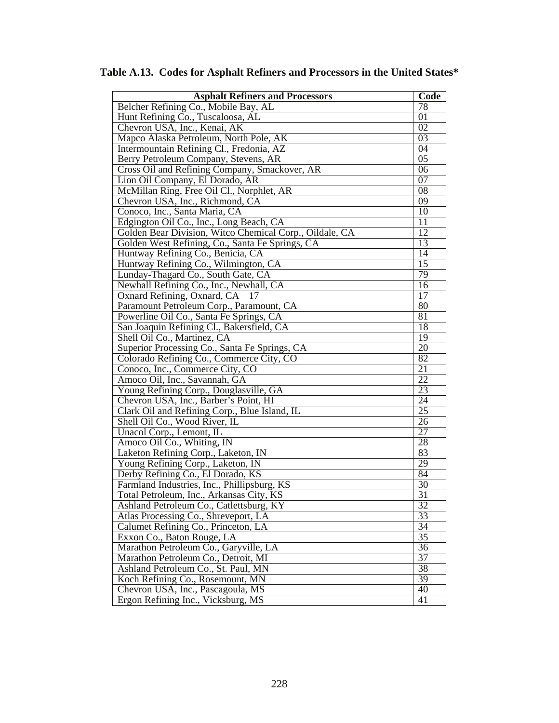| <b>Asphalt Refiners and Processors</b>                                       | Code                               |
|------------------------------------------------------------------------------|------------------------------------|
| Belcher Refining Co., Mobile Bay, AL                                         | 78                                 |
| Hunt Refining Co., Tuscaloosa, AL                                            | $\overline{01}$                    |
| Chevron USA, Inc., Kenai, AK                                                 | $\overline{02}$                    |
| Mapco Alaska Petroleum, North Pole, AK                                       | $\overline{03}$                    |
| Intermountain Refining Cl., Fredonia, AZ                                     | $\overline{04}$                    |
| Berry Petroleum Company, Stevens, AR                                         | $\overline{05}$                    |
| Cross Oil and Refining Company, Smackover, AR                                | $\overline{06}$                    |
| Lion Oil Company, El Dorado, AR                                              | $\overline{07}$                    |
| McMillan Ring, Free Oil Cl., Norphlet, AR                                    | $\overline{08}$                    |
| Chevron USA, Inc., Richmond, CA                                              | 09                                 |
| Conoco, Inc., Santa Maria, CA                                                | 10                                 |
| Edgington Oil Co., Inc., Long Beach, CA                                      | 11                                 |
| Golden Bear Division, Witco Chemical Corp., Oildale, CA                      | $\overline{12}$                    |
| Golden West Refining, Co., Santa Fe Springs, CA                              | $\overline{13}$                    |
| Huntway Refining Co., Benicia, CA                                            | $\overline{14}$                    |
| Huntway Refining Co., Wilmington, CA                                         | 15                                 |
| Lunday-Thagard Co., South Gate, CA                                           | 79                                 |
| Newhall Refining Co., Inc., Newhall, CA                                      | $\overline{16}$                    |
| Oxnard Refining, Oxnard, CA<br>17                                            | 17                                 |
| Paramount Petroleum Corp., Paramount, CA                                     | 80                                 |
| Powerline Oil Co., Santa Fe Springs, CA                                      | $\overline{81}$                    |
| San Joaquin Refining Cl., Bakersfield, CA                                    | 18                                 |
| Shell Oil Co., Martinez, CA                                                  | 19                                 |
| Superior Processing Co., Santa Fe Springs, CA                                | $\overline{20}$                    |
| Colorado Refining Co., Commerce City, CO                                     | 82                                 |
| Conoco, Inc., Commerce City, CO                                              | 21                                 |
| Amoco Oil, Inc., Savannah, GA                                                | $\overline{22}$                    |
| Young Refining Corp., Douglasville, GA                                       | 23                                 |
| Chevron USA, Inc., Barber's Point, HI                                        | $\overline{24}$                    |
| Clark Oil and Refining Corp., Blue Island, IL                                | $\overline{25}$                    |
| Shell Oil Co., Wood River, IL                                                | 26                                 |
| Unacol Corp., Lemont, IL                                                     | $\overline{27}$                    |
| Amoco Oil Co., Whiting, IN                                                   | 28                                 |
| Laketon Refining Corp., Laketon, IN                                          | 83                                 |
| Young Refining Corp., Laketon, IN                                            | 29                                 |
| Derby Refining Co., El Dorado, KS                                            | 84                                 |
| Farmland Industries, Inc., Phillipsburg, KS                                  | 30                                 |
| Total Petroleum, Inc., Arkansas City, KS                                     | 31                                 |
| Ashland Petroleum Co., Catlettsburg, KY                                      | 32<br>33                           |
| Atlas Processing Co., Shreveport, LA                                         |                                    |
| Calumet Refining Co., Princeton, LA                                          | $\overline{34}$<br>$\overline{35}$ |
| Exxon Co., Baton Rouge, LA                                                   | $\overline{36}$                    |
| Marathon Petroleum Co., Garyville, LA<br>Marathon Petroleum Co., Detroit, MI | $\overline{37}$                    |
| Ashland Petroleum Co., St. Paul, MN                                          | 38                                 |
|                                                                              | $\overline{39}$                    |
| Koch Refining Co., Rosemount, MN<br>Chevron USA, Inc., Pascagoula, MS        | 40                                 |
|                                                                              | 41                                 |
| Ergon Refining Inc., Vicksburg, MS                                           |                                    |

**Table A.13. Codes for Asphalt Refiners and Processors in the United States\***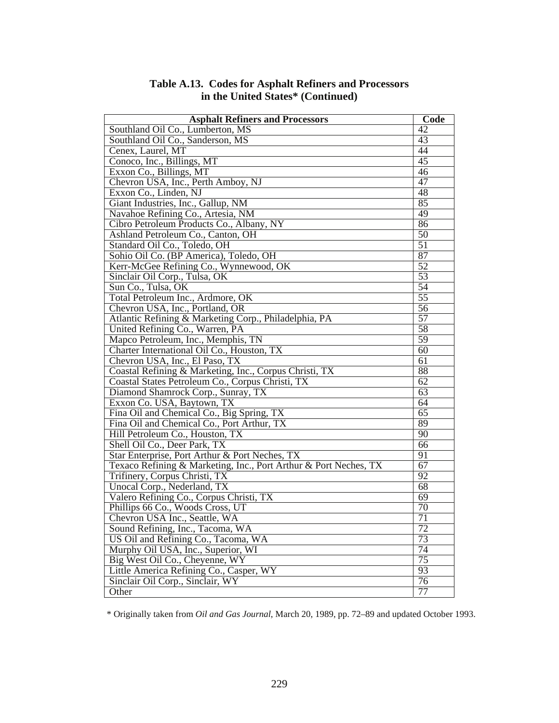| <b>Asphalt Refiners and Processors</b>                           | Code            |
|------------------------------------------------------------------|-----------------|
| Southland Oil Co., Lumberton, MS                                 | $\overline{42}$ |
| Southland Oil Co., Sanderson, MS                                 | $\overline{43}$ |
| Cenex, Laurel, MT                                                | 44              |
| Conoco, Inc., Billings, MT                                       | 45              |
| Exxon Co., Billings, MT                                          | 46              |
| Chevron USA, Inc., Perth Amboy, NJ                               | 47              |
| Exxon Co., Linden, NJ                                            | 48              |
| Giant Industries, Inc., Gallup, NM                               | 85              |
| Navahoe Refining Co., Artesia, NM                                | 49              |
| Cibro Petroleum Products Co., Albany, NY                         | 86              |
| Ashland Petroleum Co., Canton, OH                                | 50              |
| Standard Oil Co., Toledo, OH                                     | $\overline{51}$ |
| Sohio Oil Co. (BP America), Toledo, OH                           | 87              |
| Kerr-McGee Refining Co., Wynnewood, OK                           | $\overline{52}$ |
| Sinclair Oil Corp., Tulsa, OK                                    | 53              |
| Sun Co., Tulsa, OK                                               | 54              |
| Total Petroleum Inc., Ardmore, OK                                | $\overline{55}$ |
| Chevron USA, Inc., Portland, OR                                  | 56              |
| Atlantic Refining & Marketing Corp., Philadelphia, PA            | $\overline{57}$ |
| United Refining Co., Warren, PA                                  | 58              |
| Mapco Petroleum, Inc., Memphis, TN                               | 59              |
| Charter International Oil Co., Houston, TX                       | 60              |
| Chevron USA, Inc., El Paso, TX                                   | 61              |
| Coastal Refining & Marketing, Inc., Corpus Christi, TX           | 88              |
| Coastal States Petroleum Co., Corpus Christi, TX                 | 62              |
| Diamond Shamrock Corp., Sunray, TX                               | 63              |
| Exxon Co. USA, Baytown, TX                                       | $\overline{64}$ |
| Fina Oil and Chemical Co., Big Spring, TX                        | 65              |
| Fina Oil and Chemical Co., Port Arthur, TX                       | 89              |
| Hill Petroleum Co., Houston, TX                                  | 90              |
| Shell Oil Co., Deer Park, TX                                     | 66              |
| Star Enterprise, Port Arthur & Port Neches, TX                   | 91              |
| Texaco Refining & Marketing, Inc., Port Arthur & Port Neches, TX | $\overline{67}$ |
| Trifinery, Corpus Christi, TX                                    | $\overline{92}$ |
| Unocal Corp., Nederland, TX                                      | 68              |
| Valero Refining Co., Corpus Christi, TX                          | 69              |
| Phillips 66 Co., Woods Cross, UT                                 | $\overline{70}$ |
| Chevron USA Inc., Seattle, WA                                    | $\overline{71}$ |
| Sound Refining, Inc., Tacoma, WA                                 | $\overline{72}$ |
| US Oil and Refining Co., Tacoma, WA                              | 73              |
| Murphy Oil USA, Inc., Superior, WI                               | 74              |
| Big West Oil Co., Cheyenne, WY                                   | 75              |
| Little America Refining Co., Casper, WY                          | 93              |
| Sinclair Oil Corp., Sinclair, WY                                 | 76              |
| Other                                                            | 77              |

#### **Table A.13. Codes for Asphalt Refiners and Processors in the United States\* (Continued)**

\* Originally taken from *Oil and Gas Journal*, March 20, 1989, pp. 72–89 and updated October 1993.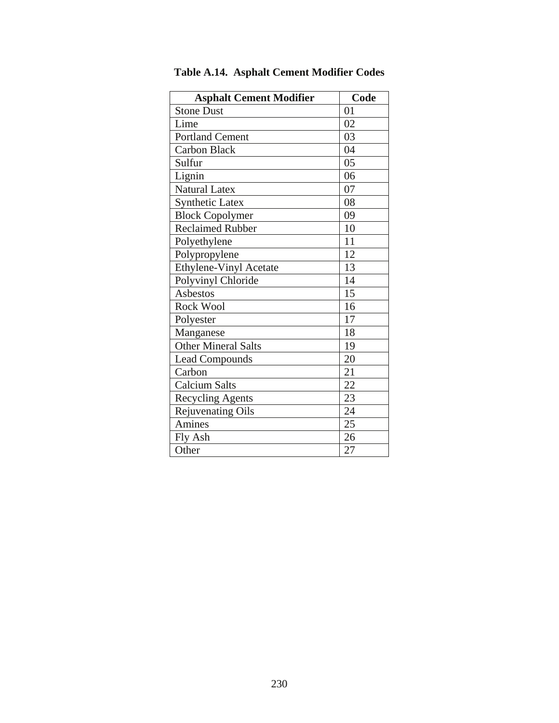| <b>Asphalt Cement Modifier</b> | Code |
|--------------------------------|------|
| <b>Stone Dust</b>              | 01   |
| Lime                           | 02   |
| <b>Portland Cement</b>         | 03   |
| <b>Carbon Black</b>            | 04   |
| Sulfur                         | 05   |
| Lignin                         | 06   |
| <b>Natural Latex</b>           | 07   |
| Synthetic Latex                | 08   |
| <b>Block Copolymer</b>         | 09   |
| <b>Reclaimed Rubber</b>        | 10   |
| Polyethylene                   | 11   |
| Polypropylene                  | 12   |
| <b>Ethylene-Vinyl Acetate</b>  | 13   |
| Polyvinyl Chloride             | 14   |
| Asbestos                       | 15   |
| <b>Rock Wool</b>               | 16   |
| Polyester                      | 17   |
| Manganese                      | 18   |
| <b>Other Mineral Salts</b>     | 19   |
| <b>Lead Compounds</b>          | 20   |
| Carbon                         | 21   |
| <b>Calcium Salts</b>           | 22   |
| <b>Recycling Agents</b>        | 23   |
| <b>Rejuvenating Oils</b>       | 24   |
| Amines                         | 25   |
| Fly Ash                        | 26   |
| Other                          | 27   |

**Table A.14. Asphalt Cement Modifier Codes**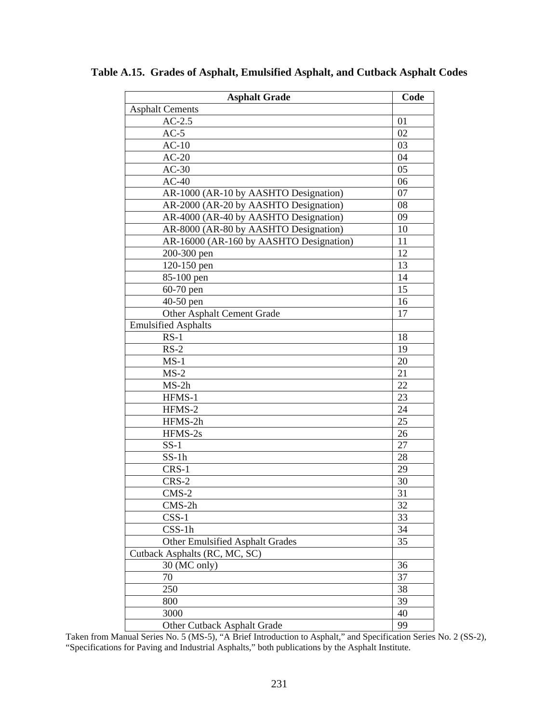| <b>Asphalt Grade</b>                    | Code |
|-----------------------------------------|------|
| <b>Asphalt Cements</b>                  |      |
| $AC-2.5$                                | 01   |
| $AC-5$                                  | 02   |
| $AC-10$                                 | 03   |
| $AC-20$                                 | 04   |
| $AC-30$                                 | 05   |
| $AC-40$                                 | 06   |
| AR-1000 (AR-10 by AASHTO Designation)   | 07   |
| AR-2000 (AR-20 by AASHTO Designation)   | 08   |
| AR-4000 (AR-40 by AASHTO Designation)   | 09   |
| AR-8000 (AR-80 by AASHTO Designation)   | 10   |
| AR-16000 (AR-160 by AASHTO Designation) | 11   |
| 200-300 pen                             | 12   |
| 120-150 pen                             | 13   |
| 85-100 pen                              | 14   |
| $60-70$ pen                             | 15   |
| $40-50$ pen                             | 16   |
| Other Asphalt Cement Grade              | 17   |
| <b>Emulsified Asphalts</b>              |      |
| $RS-1$                                  | 18   |
| $RS-2$                                  | 19   |
| $MS-1$                                  | 20   |
| $MS-2$                                  | 21   |
| $MS-2h$                                 | 22   |
| HFMS-1                                  | 23   |
| HFMS-2                                  | 24   |
| HFMS-2h                                 | 25   |
| HFMS-2s                                 | 26   |
| $SS-1$                                  | 27   |
| $SS-1h$                                 | 28   |
| CRS-1                                   | 29   |
| CRS-2                                   | 30   |
| $CMS-2$                                 | 31   |
| $CMS-2h$                                | 32   |
| $CSS-1$                                 | 33   |
| $CSS-1h$                                | 34   |
| <b>Other Emulsified Asphalt Grades</b>  | 35   |
| Cutback Asphalts (RC, MC, SC)           |      |
| 30 (MC only)                            | 36   |
| 70                                      | 37   |
| 250                                     | 38   |
| 800                                     | 39   |
| 3000                                    | 40   |
| Other Cutback Asphalt Grade             | 99   |

**Table A.15. Grades of Asphalt, Emulsified Asphalt, and Cutback Asphalt Codes** 

Taken from Manual Series No. 5 (MS-5), "A Brief Introduction to Asphalt," and Specification Series No. 2 (SS-2), "Specifications for Paving and Industrial Asphalts," both publications by the Asphalt Institute.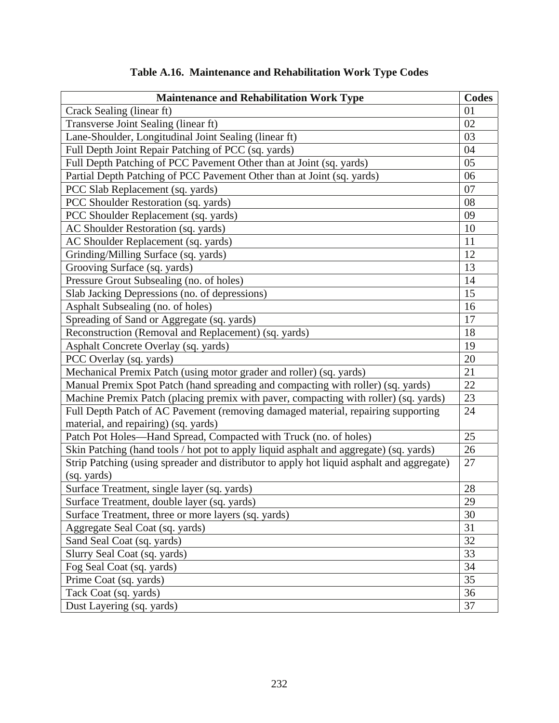| <b>Maintenance and Rehabilitation Work Type</b>                                           | <b>Codes</b> |
|-------------------------------------------------------------------------------------------|--------------|
| Crack Sealing (linear ft)                                                                 | 01           |
| Transverse Joint Sealing (linear ft)                                                      | 02           |
| Lane-Shoulder, Longitudinal Joint Sealing (linear ft)                                     | 03           |
| Full Depth Joint Repair Patching of PCC (sq. yards)                                       | 04           |
| Full Depth Patching of PCC Pavement Other than at Joint (sq. yards)                       | 05           |
| Partial Depth Patching of PCC Pavement Other than at Joint (sq. yards)                    | 06           |
| PCC Slab Replacement (sq. yards)                                                          | 07           |
| PCC Shoulder Restoration (sq. yards)                                                      | 08           |
| PCC Shoulder Replacement (sq. yards)                                                      | 09           |
| AC Shoulder Restoration (sq. yards)                                                       | 10           |
| AC Shoulder Replacement (sq. yards)                                                       | 11           |
| Grinding/Milling Surface (sq. yards)                                                      | 12           |
| Grooving Surface (sq. yards)                                                              | 13           |
| Pressure Grout Subsealing (no. of holes)                                                  | 14           |
| Slab Jacking Depressions (no. of depressions)                                             | 15           |
| Asphalt Subsealing (no. of holes)                                                         | 16           |
| Spreading of Sand or Aggregate (sq. yards)                                                | 17           |
| Reconstruction (Removal and Replacement) (sq. yards)                                      | 18           |
| Asphalt Concrete Overlay (sq. yards)                                                      | 19           |
| PCC Overlay (sq. yards)                                                                   | 20           |
| Mechanical Premix Patch (using motor grader and roller) (sq. yards)                       | 21           |
| Manual Premix Spot Patch (hand spreading and compacting with roller) (sq. yards)          | 22           |
| Machine Premix Patch (placing premix with paver, compacting with roller) (sq. yards)      | 23           |
| Full Depth Patch of AC Pavement (removing damaged material, repairing supporting          | 24           |
| material, and repairing) (sq. yards)                                                      |              |
| Patch Pot Holes-Hand Spread, Compacted with Truck (no. of holes)                          | 25           |
| Skin Patching (hand tools / hot pot to apply liquid asphalt and aggregate) (sq. yards)    | 26           |
| Strip Patching (using spreader and distributor to apply hot liquid asphalt and aggregate) | 27           |
| (sq. yards)                                                                               |              |
| Surface Treatment, single layer (sq. yards)                                               | 28           |
| Surface Treatment, double layer (sq. yards)                                               | 29           |
| Surface Treatment, three or more layers (sq. yards)                                       | 30           |
| Aggregate Seal Coat (sq. yards)                                                           | 31           |
| Sand Seal Coat (sq. yards)                                                                | 32           |
| Slurry Seal Coat (sq. yards)                                                              | 33           |
| Fog Seal Coat (sq. yards)                                                                 | 34           |
| Prime Coat (sq. yards)                                                                    | 35           |
| Tack Coat (sq. yards)                                                                     | 36           |
| Dust Layering (sq. yards)                                                                 | 37           |

# **Table A.16. Maintenance and Rehabilitation Work Type Codes**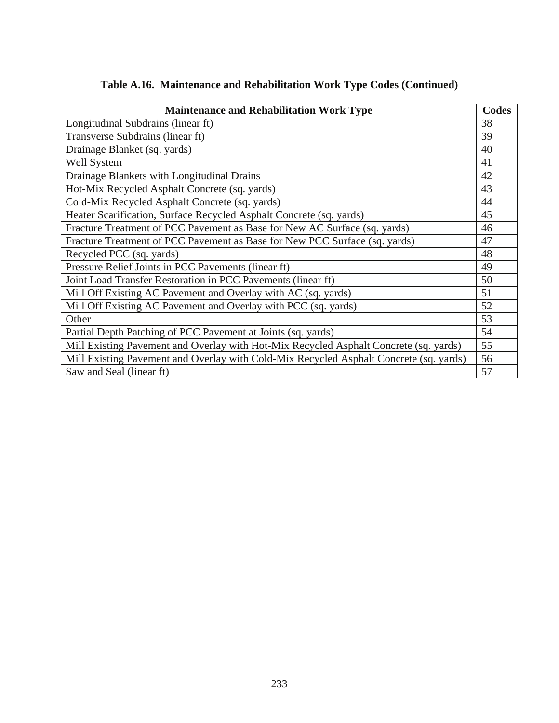| <b>Maintenance and Rehabilitation Work Type</b>                                        | Codes |
|----------------------------------------------------------------------------------------|-------|
| Longitudinal Subdrains (linear ft)                                                     | 38    |
| Transverse Subdrains (linear ft)                                                       | 39    |
| Drainage Blanket (sq. yards)                                                           | 40    |
| Well System                                                                            | 41    |
| Drainage Blankets with Longitudinal Drains                                             | 42    |
| Hot-Mix Recycled Asphalt Concrete (sq. yards)                                          | 43    |
| Cold-Mix Recycled Asphalt Concrete (sq. yards)                                         | 44    |
| Heater Scarification, Surface Recycled Asphalt Concrete (sq. yards)                    | 45    |
| Fracture Treatment of PCC Pavement as Base for New AC Surface (sq. yards)              | 46    |
| Fracture Treatment of PCC Pavement as Base for New PCC Surface (sq. yards)             | 47    |
| Recycled PCC (sq. yards)                                                               | 48    |
| Pressure Relief Joints in PCC Pavements (linear ft)                                    | 49    |
| Joint Load Transfer Restoration in PCC Pavements (linear ft)                           | 50    |
| Mill Off Existing AC Pavement and Overlay with AC (sq. yards)                          | 51    |
| Mill Off Existing AC Pavement and Overlay with PCC (sq. yards)                         | 52    |
| Other                                                                                  | 53    |
| Partial Depth Patching of PCC Pavement at Joints (sq. yards)                           | 54    |
| Mill Existing Pavement and Overlay with Hot-Mix Recycled Asphalt Concrete (sq. yards)  | 55    |
| Mill Existing Pavement and Overlay with Cold-Mix Recycled Asphalt Concrete (sq. yards) | 56    |
| Saw and Seal (linear ft)                                                               | 57    |

# **Table A.16. Maintenance and Rehabilitation Work Type Codes (Continued)**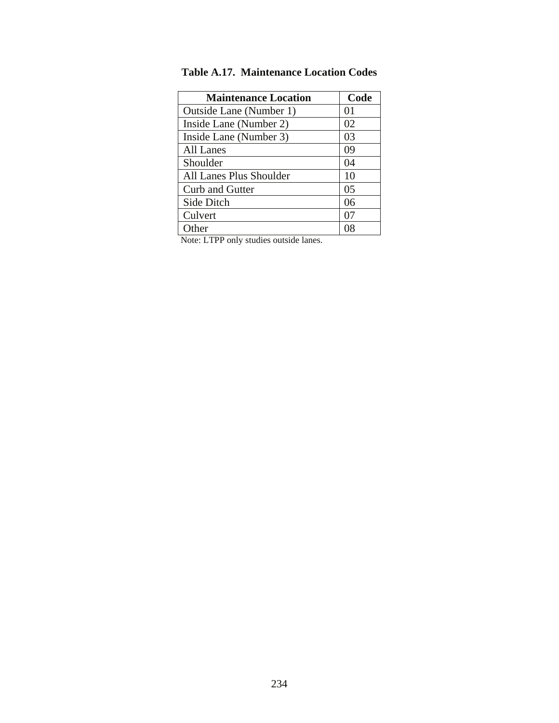| Code |
|------|
| 01   |
| 02   |
| 03   |
| 09   |
| 04   |
| 10   |
| 05   |
| 06   |
| 07   |
| 08   |
|      |

**Table A.17. Maintenance Location Codes** 

Note: LTPP only studies outside lanes.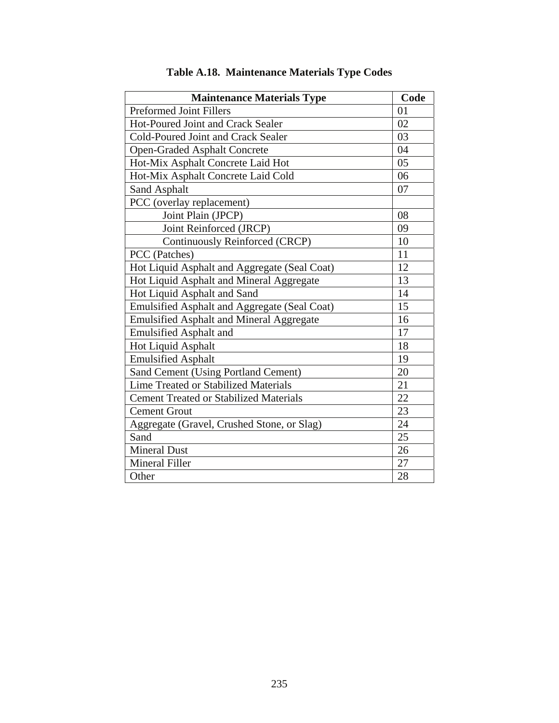| <b>Maintenance Materials Type</b>               | Code |
|-------------------------------------------------|------|
| <b>Preformed Joint Fillers</b>                  | 01   |
| <b>Hot-Poured Joint and Crack Sealer</b>        | 02   |
| Cold-Poured Joint and Crack Sealer              | 03   |
| <b>Open-Graded Asphalt Concrete</b>             | 04   |
| Hot-Mix Asphalt Concrete Laid Hot               | 05   |
| Hot-Mix Asphalt Concrete Laid Cold              | 06   |
| Sand Asphalt                                    | 07   |
| PCC (overlay replacement)                       |      |
| Joint Plain (JPCP)                              | 08   |
| Joint Reinforced (JRCP)                         | 09   |
| Continuously Reinforced (CRCP)                  | 10   |
| PCC (Patches)                                   | 11   |
| Hot Liquid Asphalt and Aggregate (Seal Coat)    | 12   |
| Hot Liquid Asphalt and Mineral Aggregate        | 13   |
| Hot Liquid Asphalt and Sand                     | 14   |
| Emulsified Asphalt and Aggregate (Seal Coat)    | 15   |
| <b>Emulsified Asphalt and Mineral Aggregate</b> | 16   |
| <b>Emulsified Asphalt and</b>                   | 17   |
| Hot Liquid Asphalt                              | 18   |
| <b>Emulsified Asphalt</b>                       | 19   |
| Sand Cement (Using Portland Cement)             | 20   |
| <b>Lime Treated or Stabilized Materials</b>     | 21   |
| <b>Cement Treated or Stabilized Materials</b>   | 22   |
| <b>Cement Grout</b>                             | 23   |
| Aggregate (Gravel, Crushed Stone, or Slag)      | 24   |
| Sand                                            | 25   |
| <b>Mineral Dust</b>                             | 26   |
| <b>Mineral Filler</b>                           | 27   |
| Other                                           | 28   |

# **Table A.18. Maintenance Materials Type Codes**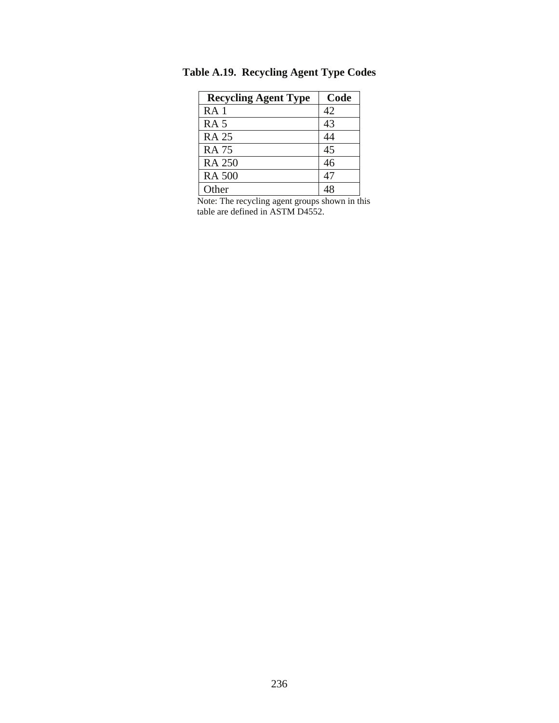| <b>Recycling Agent Type</b> | Code |
|-----------------------------|------|
| RA <sub>1</sub>             | 42   |
| <b>RA 5</b>                 | 43   |
| <b>RA 25</b>                | 44   |
| <b>RA 75</b>                | 45   |
| <b>RA 250</b>               | 46   |
| <b>RA 500</b>               | 47   |
| Other                       |      |

**Table A.19. Recycling Agent Type Codes** 

Note: The recycling agent groups shown in this table are defined in ASTM D4552.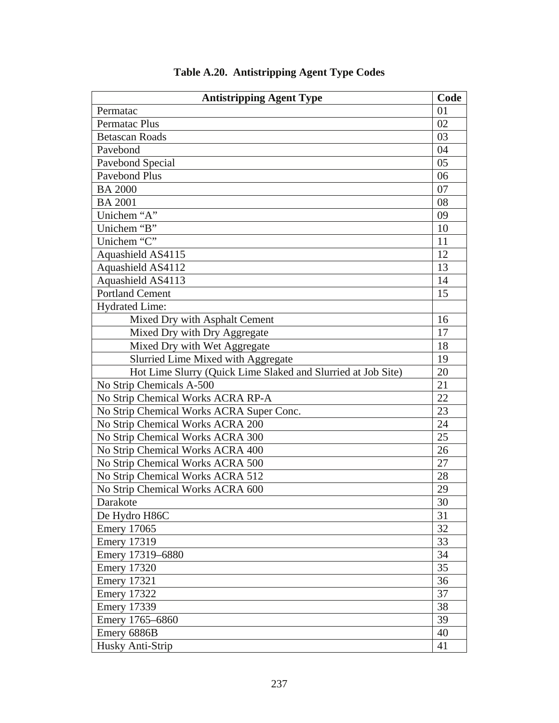| <b>Antistripping Agent Type</b>                              | Code |
|--------------------------------------------------------------|------|
| Permatac                                                     | 01   |
| Permatac Plus                                                | 02   |
| <b>Betascan Roads</b>                                        | 03   |
| Pavebond                                                     | 04   |
| Pavebond Special                                             | 05   |
| <b>Pavebond Plus</b>                                         | 06   |
| <b>BA 2000</b>                                               | 07   |
| <b>BA 2001</b>                                               | 08   |
| Unichem "A"                                                  | 09   |
| Unichem "B"                                                  | 10   |
| Unichem "C"                                                  | 11   |
| Aquashield AS4115                                            | 12   |
| Aquashield AS4112                                            | 13   |
| Aquashield AS4113                                            | 14   |
| <b>Portland Cement</b>                                       | 15   |
| Hydrated Lime:                                               |      |
| Mixed Dry with Asphalt Cement                                | 16   |
| Mixed Dry with Dry Aggregate                                 | 17   |
| Mixed Dry with Wet Aggregate                                 | 18   |
| Slurried Lime Mixed with Aggregate                           | 19   |
| Hot Lime Slurry (Quick Lime Slaked and Slurried at Job Site) | 20   |
| No Strip Chemicals A-500                                     | 21   |
| No Strip Chemical Works ACRA RP-A                            | 22   |
| No Strip Chemical Works ACRA Super Conc.                     | 23   |
| No Strip Chemical Works ACRA 200                             | 24   |
| No Strip Chemical Works ACRA 300                             | 25   |
| No Strip Chemical Works ACRA 400                             | 26   |
| No Strip Chemical Works ACRA 500                             | 27   |
| No Strip Chemical Works ACRA 512                             | 28   |
| No Strip Chemical Works ACRA 600                             | 29   |
| Darakote                                                     | 30   |
| De Hydro H86C                                                | 31   |
| <b>Emery 17065</b>                                           | 32   |
| <b>Emery 17319</b>                                           | 33   |
| Emery 17319-6880                                             | 34   |
| <b>Emery 17320</b>                                           | 35   |
| <b>Emery 17321</b>                                           | 36   |
| <b>Emery 17322</b>                                           | 37   |
| <b>Emery 17339</b>                                           | 38   |
| Emery 1765-6860                                              | 39   |
| Emery 6886B                                                  | 40   |
| Husky Anti-Strip                                             | 41   |

# **Table A.20. Antistripping Agent Type Codes**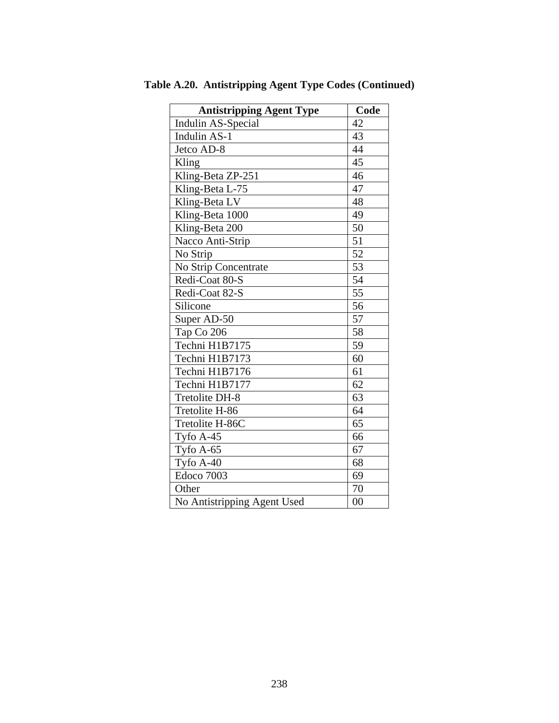| <b>Antistripping Agent Type</b> | Code            |
|---------------------------------|-----------------|
| Indulin AS-Special              | 42              |
| <b>Indulin AS-1</b>             | 43              |
| Jetco AD-8                      | 44              |
| Kling                           | 45              |
| Kling-Beta ZP-251               | 46              |
| Kling-Beta L-75                 | 47              |
| Kling-Beta LV                   | 48              |
| Kling-Beta 1000                 | 49              |
| Kling-Beta 200                  | 50              |
| Nacco Anti-Strip                | 51              |
| No Strip                        | $\overline{52}$ |
| No Strip Concentrate            | 53              |
| Redi-Coat 80-S                  | 54              |
| Redi-Coat 82-S                  | 55              |
| Silicone                        | 56              |
| Super AD-50                     | 57              |
| Tap Co 206                      | 58              |
| Techni H1B7175                  | 59              |
| Techni H1B7173                  | 60              |
| Techni H1B7176                  | 61              |
| Techni H1B7177                  | 62              |
| Tretolite DH-8                  | 63              |
| Tretolite H-86                  | 64              |
| Tretolite H-86C                 | 65              |
| Tyfo $A-45$                     | 66              |
| Tyfo A-65                       | 67              |
| Tyfo A-40                       | 68              |
| Edoco 7003                      | 69              |
| Other                           | 70              |
| No Antistripping Agent Used     | $00\,$          |

**Table A.20. Antistripping Agent Type Codes (Continued)**